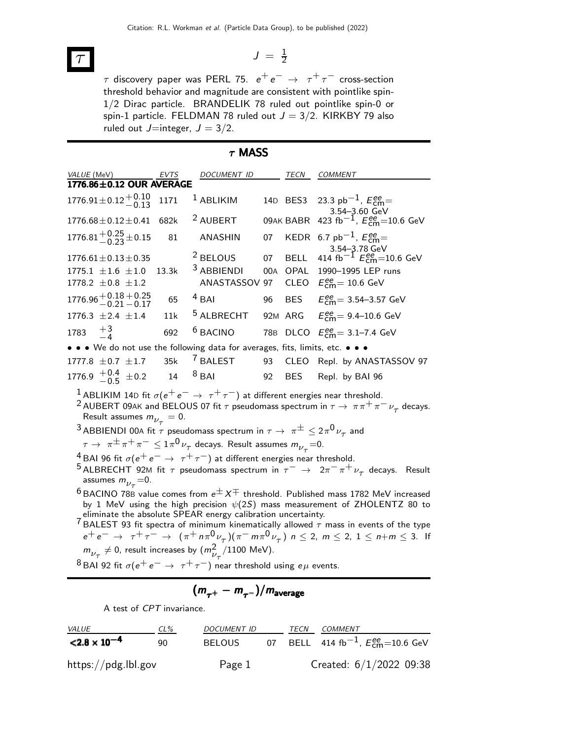$$
\mathcal{T} \qquad \qquad J = \frac{1}{2}
$$

 $\tau$  discovery paper was PERL 75.  $\,e^+\,e^-\,\rightarrow\;\,\tau^+\,\tau^-$  cross-section threshold behavior and magnitude are consistent with pointlike spin-1/2 Dirac particle. BRANDELIK 78 ruled out pointlike spin-0 or spin-1 particle. FELDMAN 78 ruled out  $J = 3/2$ . KIRKBY 79 also ruled out  $J=$ integer,  $J = 3/2$ .

| $\tau$ MASS                                                                                                                                              |       |                                                                                                            |    |             |                                                                                                                                                                                  |  |  |
|----------------------------------------------------------------------------------------------------------------------------------------------------------|-------|------------------------------------------------------------------------------------------------------------|----|-------------|----------------------------------------------------------------------------------------------------------------------------------------------------------------------------------|--|--|
| <i>VALUE</i> (MeV)                                                                                                                                       | EVTS  | DOCUMENT ID                                                                                                |    | TECN        | COMMENT                                                                                                                                                                          |  |  |
| 1776.86±0.12 OUR AVERAGE                                                                                                                                 |       |                                                                                                            |    |             |                                                                                                                                                                                  |  |  |
| $1776.91 \pm 0.12 \begin{array}{c} +0.10 \\ -0.13 \end{array}$                                                                                           | 1171  | <sup>1</sup> ABLIKIM                                                                                       |    |             | 14D BES3 23.3 pb <sup>-1</sup> , $E_{\text{cm}}^{ee}$<br>3.54-3.60 GeV                                                                                                           |  |  |
| $1776.68 \pm 0.12 \pm 0.41$                                                                                                                              | 682k  | <sup>2</sup> AUBERT                                                                                        |    | 09AK BABR   | 423 fb <sup>-1</sup> , $E_{cm}^{ee}$ =10.6 GeV                                                                                                                                   |  |  |
| 1776.81 $^{+0.25}_{-0.23}$ ± 0.15                                                                                                                        | 81    | ANASHIN                                                                                                    | 07 |             | KEDR 6.7 $pb^{-1}$ , $E_{cm}^{ee}$ =                                                                                                                                             |  |  |
| $1776.61 \pm 0.13 \pm 0.35$                                                                                                                              |       | <sup>2</sup> BELOUS                                                                                        | 07 | <b>BELL</b> | 3.54–3.78 GeV<br>414 fb <sup>-1</sup> $E_{\text{cm}}^{ee}$ =10.6 GeV                                                                                                             |  |  |
| $1775.1 \pm 1.6 \pm 1.0$                                                                                                                                 | 13.3k | <sup>3</sup> ABBIENDI                                                                                      |    | 00A OPAL    | 1990-1995 LEP runs                                                                                                                                                               |  |  |
| 1778.2 $\pm$ 0.8 $\pm$ 1.2                                                                                                                               |       | ANASTASSOV                                                                                                 | 97 | CLEO        | $E_{cm}^{ee}$ = 10.6 GeV                                                                                                                                                         |  |  |
| $1776.96 + 0.18 + 0.25$<br>0.25 0.21 - 0.17                                                                                                              | 65    | $4$ BAI                                                                                                    | 96 | <b>BES</b>  | $E_{\text{cm}}^{ee} = 3.54 - 3.57 \text{ GeV}$                                                                                                                                   |  |  |
| 1776.3 $\pm 2.4$ $\pm 1.4$                                                                                                                               | 11k   | <sup>5</sup> ALBRECHT                                                                                      |    |             | 92M ARG $E_{cm}^{ee} = 9.4 - 10.6$ GeV                                                                                                                                           |  |  |
| 1783 $+3$                                                                                                                                                | 692   | <sup>6</sup> BACINO                                                                                        |    |             | 78B DLCO $E_{\text{cm}}^{ee} = 3.1 - 7.4 \text{ GeV}$                                                                                                                            |  |  |
| $\bullet$ $\bullet$ $\bullet$ We do not use the following data for averages, fits, limits, etc. $\bullet$ $\bullet$ $\bullet$                            |       |                                                                                                            |    |             |                                                                                                                                                                                  |  |  |
| 1777.8 $\pm$ 0.7 $\pm$ 1.7                                                                                                                               | 35k   | <sup>7</sup> BALEST                                                                                        | 93 | <b>CLEO</b> | Repl. by ANASTASSOV 97                                                                                                                                                           |  |  |
| 1776.9 $\frac{+0.4}{-0.5}$ $\pm 0.2$ 14                                                                                                                  |       | $8$ BAI                                                                                                    | 92 | <b>BES</b>  | Repl. by BAI 96                                                                                                                                                                  |  |  |
| $^1$ ABLIKIM 14D fit $\sigma(\mathrm{e^+ e^-} \rightarrow \ \tau^+ \tau^-)$ at different energies near threshold.<br>Result assumes $m_{\nu_{\tau}}=0$ . |       |                                                                                                            |    |             | <sup>2</sup> AUBERT 09AK and BELOUS 07 fit $\tau$ pseudomass spectrum in $\tau \to \pi \pi^+ \pi^- \nu_\tau$ decays.                                                             |  |  |
| <sup>3</sup> ABBIENDI 00A fit $\tau$ pseudomass spectrum in $\tau \to \pi^{\pm} \leq 2\pi^0 \nu_{\tau}$ and                                              |       |                                                                                                            |    |             |                                                                                                                                                                                  |  |  |
|                                                                                                                                                          |       | $\tau\rightarrow\ \pi^{\pm}\pi^+\pi^-\leq 1\pi^0\,\nu_{\tau}$ decays. Result assumes $m_{\nu_{\tau}}{=}0.$ |    |             |                                                                                                                                                                                  |  |  |
| <sup>4</sup> BAI 96 fit $\sigma(e^+e^-\rightarrow \tau^+\tau^-)$ at different energies near threshold.                                                   |       |                                                                                                            |    |             |                                                                                                                                                                                  |  |  |
|                                                                                                                                                          |       |                                                                                                            |    |             | $^5$ ALBRECHT 92M fit $\tau$ pseudomass spectrum in $\tau^-\,\rightarrow\,\,2\pi^-\pi^+\nu_\tau$ decays. Result                                                                  |  |  |
| assumes $m_{\nu_{\tau}} = 0$ .                                                                                                                           |       |                                                                                                            |    |             |                                                                                                                                                                                  |  |  |
|                                                                                                                                                          |       | eliminate the absolute SPEAR energy calibration uncertainty.                                               |    |             | $6$ BACINO 78B value comes from $e^{\pm}X^{\mp}$ threshold. Published mass 1782 MeV increased<br>by 1 MeV using the high precision $\psi(2S)$ mass measurement of ZHOLENTZ 80 to |  |  |
|                                                                                                                                                          |       |                                                                                                            |    |             | <sup>7</sup> BALEST 93 fit spectra of minimum kinematically allowed $\tau$ mass in events of the type                                                                            |  |  |
|                                                                                                                                                          |       |                                                                                                            |    |             |                                                                                                                                                                                  |  |  |

 $e^+e^- \to \tau^+\tau^- \to (\pi^+ n \pi^0 \nu_\tau)(\pi^- m \pi^0 \nu_\tau) n \leq 2, m \leq 2, 1 \leq n+m \leq 3.$  If  $m_{\nu_{\tau}}^{} \neq 0$ , result increases by  $(m_{\nu_{\tau}}^{2}/1100\,\,\text{MeV}).$ 

<sup>8</sup> BAI 92 fit  $\sigma(e^+e^-\rightarrow \tau^+\tau^-)$  near threshold using  $e\mu$  events.

$$
(m_{\tau^+}-m_{\tau^-})/m_{\rm average}
$$

A test of CPT invariance.

| <i>VALUE</i>                      | $CL\%$ | DOCUMENT ID   | TECN | <i>COMMENT</i>                                         |
|-----------------------------------|--------|---------------|------|--------------------------------------------------------|
| $<$ 2.8 $\times$ 10 <sup>-4</sup> | ۹N     | <b>BELOUS</b> |      | 07 BELL 414 fb <sup>-1</sup> , $E_{cm}^{ee}$ =10.6 GeV |
| https://pdg.lbl.gov               |        | Page 1        |      | Created: $6/1/2022$ 09:38                              |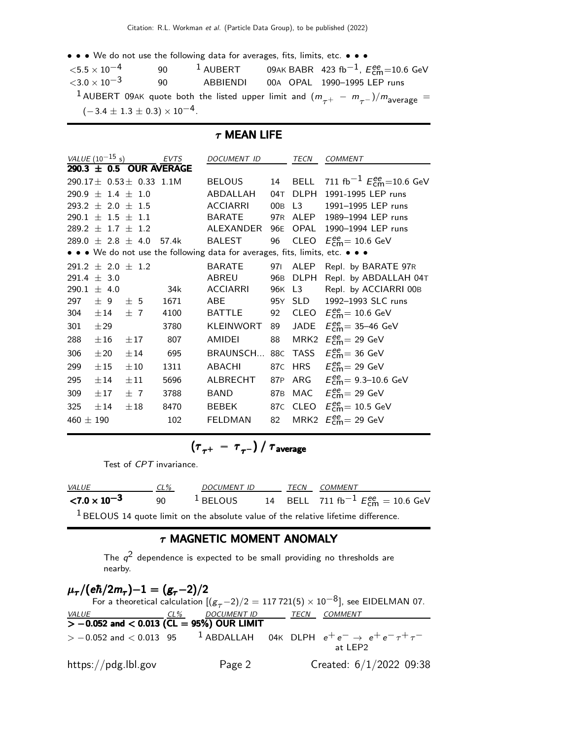• • • We do not use the following data for averages, fits, limits, etc. • • •

| ${<}5.5\times10^{-4}$ | 90                                        | $1$ AUBERT | 09AK BABR 423 fb <sup>-1</sup> , $E_{cm}^{ee}$ =10.6 GeV                                                        |
|-----------------------|-------------------------------------------|------------|-----------------------------------------------------------------------------------------------------------------|
| ${<}3.0\times10^{-3}$ | 90                                        | ABBIENDI   | 00A OPAL 1990-1995 LEP runs                                                                                     |
|                       |                                           |            | <sup>1</sup> AUBERT 09AK quote both the listed upper limit and $(m_{\tau^+} - m_{\tau^-})/m_{\text{average}} =$ |
|                       | $(-3.4 \pm 1.3 \pm 0.3) \times 10^{-4}$ . |            |                                                                                                                 |

### $\tau$  MEAN LIFE

|               | VALUE $(10^{-15} s)$    |                                   | <b>EVTS</b> | <b>DOCUMENT ID</b>                                                            |        | TECN        | <b>COMMENT</b>                                       |
|---------------|-------------------------|-----------------------------------|-------------|-------------------------------------------------------------------------------|--------|-------------|------------------------------------------------------|
|               |                         | 290.3 $\pm$ 0.5 OUR AVERAGE       |             |                                                                               |        |             |                                                      |
|               |                         | 290.17 $\pm$ 0.53 $\pm$ 0.33 1.1M |             | <b>BELOUS</b>                                                                 |        |             | 14 BELL 711 fb <sup>-1</sup> $E_{cm}^{ee}$ =10.6 GeV |
|               | $290.9 \pm 1.4 \pm 1.0$ |                                   |             | ABDALLAH                                                                      |        | 04T DLPH    | 1991-1995 LEP runs                                   |
|               | $293.2 \pm 2.0 \pm 1.5$ |                                   |             | <b>ACCIARRI</b>                                                               | 00B L3 |             | 1991-1995 LEP runs                                   |
|               | $290.1 \pm 1.5 \pm 1.1$ |                                   |             | <b>BARATE</b>                                                                 |        | 97R ALEP    | 1989-1994 LEP runs                                   |
|               | $289.2 \pm 1.7 \pm 1.2$ |                                   |             | ALEXANDER                                                                     | 96E    | OPAL        | 1990-1994 LEP runs                                   |
|               |                         | 289.0 $\pm$ 2.8 $\pm$ 4.0         | 57.4k       | <b>BALEST</b>                                                                 | 96     | CLEO        | $E_{\text{cm}}^{ee}$ = 10.6 GeV                      |
|               |                         |                                   |             | • • • We do not use the following data for averages, fits, limits, etc. • • • |        |             |                                                      |
|               | $291.2 \pm 2.0 \pm 1.2$ |                                   |             | <b>BARATE</b>                                                                 | 971    | ALEP        | Repl. by BARATE 97R                                  |
|               | 291.4 $\pm$ 3.0         |                                   |             | ABREU                                                                         | 96B    | <b>DLPH</b> | Repl. by ABDALLAH 04T                                |
|               | 290.1 $\pm$ 4.0         |                                   | 34k         | <b>ACCIARRI</b>                                                               |        | 96K L3      | Repl. by ACCIARRI 00B                                |
| 297           | ± 9                     | ± 5                               | 1671        | ABE                                                                           |        | 95Y SLD     | 1992-1993 SLC runs                                   |
| 304           | $\pm 14$                | $\pm$ 7                           | 4100        | <b>BATTLE</b>                                                                 | 92     |             | CLEO $E_{\text{cm}}^{\text{ee}} = 10.6 \text{ GeV}$  |
| 301           | ±29                     |                                   | 3780        | <b>KLEINWORT</b>                                                              | 89     | JADE        | $E_{\text{cm}}^{\text{ee}}$ = 35-46 GeV              |
| 288           | $\pm 16$                | $\pm 17$                          | 807         | AMIDEI                                                                        | 88     |             | MRK2 $E_{\text{cm}}^{\text{ee}}$ = 29 GeV            |
| 306           | $\pm 20$                | ±14                               | 695         | BRAUNSCH                                                                      | 88C    | <b>TASS</b> | $E_{\text{cm}}^{\text{ee}}$ = 36 GeV                 |
| 299           | $\pm 15$                | $\pm 10$                          | 1311        | <b>ABACHI</b>                                                                 | 87C    | HRS         | $E_{\text{cm}}^{\text{ee}}$ = 29 GeV                 |
| 295           | $\pm 14$                | $\pm 11$                          | 5696        | ALBRECHT                                                                      |        |             | 87P ARG $E_{cm}^{ee} = 9.3 - 10.6$ GeV               |
| 309           | $\pm 17$                | $+7$                              | 3788        | BAND                                                                          |        | 87B MAC     | $E_{\rm cm}^{\rm ee}$ = 29 GeV                       |
| 325           | $\pm 14$                | $\pm 18$                          | 8470        | <b>BEBEK</b>                                                                  |        |             | 87C CLEO $E_{\text{cm}}^{ee} = 10.5 \text{ GeV}$     |
| 460 $\pm$ 190 |                         |                                   | 102         | <b>FELDMAN</b>                                                                | 82     | MRK2        | $E_{\text{cm}}^{\text{ee}}$ = 29 GeV                 |

$$
\left(\tau_{\tau^+}~-~\tau_{\tau^-}\right)/~\tau_{\rm average}
$$

Test of CPT invariance.

| <b>VALUE</b>          | $CL\%$ | DOCUMENT ID |  | <b>TECN COMMENT</b> |                                                                                  |
|-----------------------|--------|-------------|--|---------------------|----------------------------------------------------------------------------------|
| ${<}7.0\times10^{-3}$ | 90     |             |  |                     | <sup>1</sup> BELOUS 14 BELL 711 fb <sup>-1</sup> $E_{\text{cm}}^{ee} = 10.6$ GeV |
| $1 - 1$               |        |             |  |                     |                                                                                  |

<sup>1</sup> BELOUS 14 quote limit on the absolute value of the relative lifetime difference.

### $\tau$  MAGNETIC MOMENT ANOMALY

The  $q^2$  dependence is expected to be small providing no thresholds are nearby.

# $\mu_\tau/(\text{e}\hbar/2m_\tau){-1} = (g_\tau{-2})/{2}$

For a theoretical calculation  $[(g_T - 2)/2 = 117721(5) \times 10^{-8}]$ , see EIDELMAN 07.<br>VALUE CL% DOCUMENT ID TECN COMMENT TECN COMMENT  $\frac{32.66}{2}$   $> -0.052$  and  $< 0.013$  (CL = 95%) OUR LIMIT  $> -0.052$  and  $< 0.013$  95  $^{-1}$  ABDALLAH  $>$  − 0.052 and < 0.013 95  $^{-1}$  ABDALLAH 04K DLPH  $e^+e^ \rightarrow$   $e^+e^-\tau^+\tau^-$ <br>at LEP2 https://pdg.lbl.gov Page 2 Created: 6/1/2022 09:38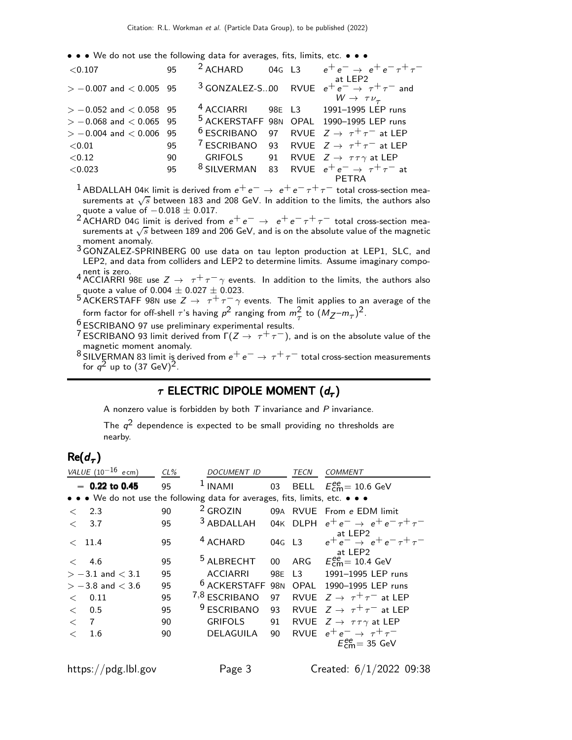• • • We do not use the following data for averages, fits, limits, etc. • • •

| < 0.107                     | 95 |  | $2$ ACHARD 04G L3 $e^+e^- \rightarrow e^+e^- \tau^+\tau^-$                                                         |
|-----------------------------|----|--|--------------------------------------------------------------------------------------------------------------------|
| $> -0.007$ and $< 0.005$ 95 |    |  | at LEP2<br><sup>3</sup> GONZALEZ-S00 RVUE $e^+e^- \rightarrow \tau^+\tau^-$ and<br>$W \rightarrow \tau \nu_{\tau}$ |
| $> -0.052$ and $< 0.058$ 95 |    |  | <sup>4</sup> ACCIARRI 98E L3 1991-1995 LEP runs                                                                    |
| $> -0.068$ and $< 0.065$ 95 |    |  | 5 ACKERSTAFF 98N OPAL 1990-1995 LEP runs                                                                           |
| $> -0.004$ and $< 0.006$ 95 |    |  | <sup>6</sup> ESCRIBANO 97 RVUE $Z \rightarrow \tau^+\tau^-$ at LEP                                                 |
| ${<}0.01$                   | 95 |  | <sup>7</sup> ESCRIBANO 93 RVUE $Z \rightarrow \tau^+\tau^-$ at LEP                                                 |
| < 0.12                      | 90 |  | GRIFOLS 91 RVUE $Z \rightarrow \tau \tau \gamma$ at LEP                                                            |
| < 0.023                     | 95 |  | <sup>8</sup> SILVERMAN 83 RVUE $e^+e^- \rightarrow \tau^+\tau^-$ at                                                |
|                             |    |  |                                                                                                                    |

- <sup>1</sup> ABDALLAH 04K limit is derived from  $e^+e^- \rightarrow e^+e^-\tau^+\tau^-$  total cross-section measurements at  $\sqrt{s}$  between 183 and 208 GeV. In addition to the limits, the authors also quote a value of  $-0.018 \pm 0.017$ .
- <sup>2</sup> ACHARD 04G limit is derived from  $e^+e^- \rightarrow e^+e^-\tau^+\tau^-$  total cross-section measurements at √*s* between 189 and 206 GeV, and is on the absolute value of the magnetic moment anomaly.
- 3 GONZALEZ-SPRINBERG 00 use data on tau lepton production at LEP1, SLC, and LEP2, and data from colliders and LEP2 to determine limits. Assume imaginary compo-
- 4 nent is zero.<br>4 ACCIARRI 98E use  $Z \to \tau^+ \tau^- \gamma$  events. In addition to the limits, the authors also quote a value of  $0.004 \pm 0.027 \pm 0.023$ .
- $^5$  ACKERSTAFF 98N use  $Z \rightarrow \tau^+ \tau^- \gamma$  events. The limit applies to an average of the form factor for off-shell  $\tau$ 's having  $p^2$  ranging from  $m_\tau^2$  to  $(M_Z - m_\tau)^2$ .
- 6 ESCRIBANO 97 use preliminary experimental results.
- <sup>7</sup> ESCRIBANO 93 limit derived from  $\Gamma(Z \to \tau^+ \tau^-)$ , and is on the absolute value of the magnetic moment anomaly.
- <sup>8</sup> SILVERMAN 83 limit is derived from  $e^+e^- \rightarrow \tau^+\tau^-$  total cross-section measurements for  $q^2$  up to  $(37 \text{ GeV})^2$ .

## $\tau$  electric dipole moment  $(d_{\tau})$

A nonzero value is forbidden by both  $T$  invariance and  $P$  invariance.

The  $q^2$  dependence is expected to be small providing no thresholds are nearby.

# $\mathsf{Re}(d_{\bm{\tau}})$

|         | VALUE $(10^{-16}$ ecm)                                                        | $CL\%$ | DOCUMENT ID             |                 | TECN   | <b>COMMENT</b>                                                                 |
|---------|-------------------------------------------------------------------------------|--------|-------------------------|-----------------|--------|--------------------------------------------------------------------------------|
|         | $-0.22$ to 0.45                                                               | 95     | $1$ INAMI               |                 |        | 03 BELL $E_{cm}^{ee}$ = 10.6 GeV                                               |
|         | • • • We do not use the following data for averages, fits, limits, etc. • • • |        |                         |                 |        |                                                                                |
| $\,<\,$ | 2.3                                                                           | 90     | <sup>2</sup> GROZIN     |                 |        | 09A RVUE From e EDM limit                                                      |
| $\lt$   | 3.7                                                                           | 95     | <sup>3</sup> ABDALLAH   |                 |        | 04K DLPH $e^+e^- \rightarrow e^+e^- \tau^+\tau^-$                              |
|         | $<$ 11.4                                                                      | 95     | <sup>4</sup> ACHARD     |                 | 04G L3 | at LEP2<br>$e^+e^- \rightarrow e^+e^-\tau^+\tau^-$<br>at LEP2                  |
| $\,<\,$ | 4.6                                                                           | 95     | <sup>5</sup> ALBRECHT   | 00 <sup>1</sup> |        | ARG $E_{cm}^{ee} = 10.4$ GeV                                                   |
|         | $> -3.1$ and $< 3.1$                                                          | 95     | <b>ACCIARRI</b>         | 98E             |        | L3 1991-1995 LEP runs                                                          |
|         | $> -3.8$ and $< 3.6$                                                          | 95     | <sup>b</sup> ACKERSTAFF | 98 <sub>N</sub> | OPAL   | 1990-1995 LEP runs                                                             |
| $\lt$   | 0.11                                                                          | 95     | 7,8 ESCRIBANO           | 97              |        | RVUE $Z \rightarrow \tau^+\tau^-$ at LEP                                       |
| $\lt$   | 0.5                                                                           | 95     | <sup>9</sup> ESCRIBANO  | 93              |        | RVUE $Z \rightarrow \tau^+\tau^-$ at LEP                                       |
| $\lt$   | 7                                                                             | 90     | <b>GRIFOLS</b>          | 91              |        | RVUE $Z \rightarrow \tau \tau \gamma$ at LEP                                   |
| $\lt$   | 1.6                                                                           | 90     | DELAGUILA               | 90              |        | RVUE $e^+e^- \rightarrow \tau^+\tau^-$<br>$E_{\text{cm}}^{\text{ee}}$ = 35 GeV |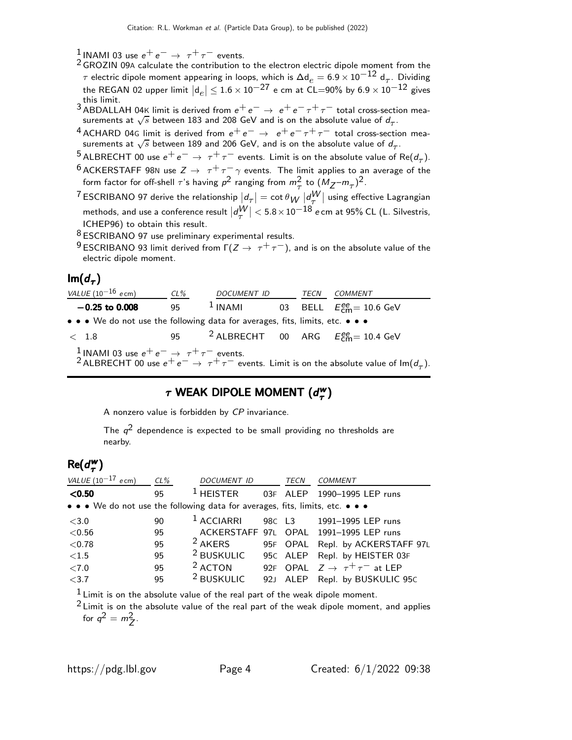1 INAMI 03 use  $e^+e^- \rightarrow \tau^+\tau^-$  events.

- $2$  GROZIN 09A calculate the contribution to the electron electric dipole moment from the  $τ$  electric dipole moment appearing in loops, which is  $\Delta \mathsf{d}_e = 6.9 \times 10^{-12} \; \mathsf{d}_τ$ . Dividing the REGAN 02 upper limit  $|\mathsf{d}_e| \leq 1.6 \times 10^{-27}$  e cm at CL=90% by  $6.9 \times 10^{-12}$  gives this limit.
- <sup>3</sup> ABDALLAH 04K limit is derived from  $e^+e^- \rightarrow e^+e^-\tau^+\tau^-$  total cross-section measurements at  $\sqrt{s}$  between 183 and 208 GeV and is on the absolute value of  $d_{\tau}$ .
- <sup>4</sup> ACHARD 04G limit is derived from  $e^+e^-$  →  $e^+e^-\tau^+\tau^-$  total cross-section mea-<br>\_surements at  $\sqrt{s}$  between 189 and 206 GeV, and is on the absolute value of  $d_{\tau}$ .
- <sup>5</sup> ALBRECHT 00 use  $e^+e^- \rightarrow \tau^+\tau^-$  events. Limit is on the absolute value of Re( $d_{\tau}$ ).
- <sup>6</sup> ACKERSTAFF 98N use  $Z \rightarrow \tau^+ \tau^- \gamma$  events. The limit applies to an average of the form factor for off-shell  $\tau$ 's having  $p^2$  ranging from  $m_\tau^2$  to  $(M_Z - m_\tau)^2$ .
- $^7$ ESCRIBANO 97 derive the relationship  $\vert d_\tau\vert= \cot\theta_W\,\vert d_V^W\vert$  using effective Lagrangian τ methods, and use a conference result  $\left|d_\tau^W\right| < 5.8 \times 10^{-18}$  e cm at 95% CL (L. Silvestris, ICHEP96) to obtain this result.
- 8 ESCRIBANO 97 use preliminary experimental results.
- 9 ESCRIBANO 93 limit derived from  $\Gamma(Z \to \tau^+ \tau^-)$ , and is on the absolute value of the electric dipole moment.

## lm $(d_\tau)$

| VALUE $(10^{-16}$ ecm)                                                        | CL% | DOCUMENT ID | TECN | <i>COMMENT</i>                                                                                                                                                                                     |
|-------------------------------------------------------------------------------|-----|-------------|------|----------------------------------------------------------------------------------------------------------------------------------------------------------------------------------------------------|
| $-0.25$ to 0.008                                                              | 95  |             |      | <sup>1</sup> INAMI 03 BELL $E_{cm}^{ee} = 10.6$ GeV                                                                                                                                                |
| • • • We do not use the following data for averages, fits, limits, etc. • • • |     |             |      |                                                                                                                                                                                                    |
| $\langle$ 1.8                                                                 |     |             |      | 95 <sup>2</sup> ALBRECHT 00 ARG $E_{cm}^{ee}$ = 10.4 GeV                                                                                                                                           |
|                                                                               |     |             |      | <sup>1</sup> INAMI 03 use $e^+e^-\rightarrow \tau^+\tau^-$ events.<br><sup>2</sup> ALBRECHT 00 use $e^+e^-\rightarrow \tau^+\tau^-$ events. Limit is on the absolute value of Im(d <sub>7</sub> ). |

### $\tau$  WEAK DIPOLE MOMENT ( $d_{\tau}^{w}$  $\tau$  WEAK DIPOLE MOMENT  $(d_\tau^{{\sf w}})$

A nonzero value is forbidden by CP invariance.

The  $q^2$  dependence is expected to be small providing no thresholds are nearby.

#### $Re(d_{\tau}^{w})$  $_{\tau}^{\mathsf{w}})$

| VALUE $(10^{-17}$<br>$e$ cm)                                                  | $CL\%$ | DOCUMENT ID           |     | TECN     | COMMENT                                   |
|-------------------------------------------------------------------------------|--------|-----------------------|-----|----------|-------------------------------------------|
| < 0.50                                                                        | 95     | $1$ HEISTER           |     | 03F ALEP | 1990-1995 LEP runs                        |
| • • • We do not use the following data for averages, fits, limits, etc. • • • |        |                       |     |          |                                           |
| $<$ 3.0                                                                       | 90     | <sup>1</sup> ACCIARRI |     |          | 98C L3 1991-1995 LEP runs                 |
| < 0.56                                                                        | 95     |                       |     |          | ACKERSTAFF 97L OPAL 1991-1995 LEP runs    |
| < 0.78                                                                        | 95     | <sup>2</sup> AKERS    |     |          | 95F OPAL Repl. by ACKERSTAFF 97L          |
| ${<}1.5$                                                                      | 95     | <sup>2</sup> BUSKULIC |     |          | 95C ALEP Repl. by HEISTER 03F             |
| ${<}7.0$                                                                      | 95     | <sup>2</sup> ACTON    | 92F |          | OPAL $Z \rightarrow \tau^+ \tau^-$ at LEP |
| < 3.7                                                                         | 95     | <sup>2</sup> BUSKULIC | 921 | ALEP     | Repl. by BUSKULIC 95C                     |

 $<sup>1</sup>$  Limit is on the absolute value of the real part of the weak dipole moment.</sup>

 $2$  Limit is on the absolute value of the real part of the weak dipole moment, and applies for  $q^2 = m_Z^2$ .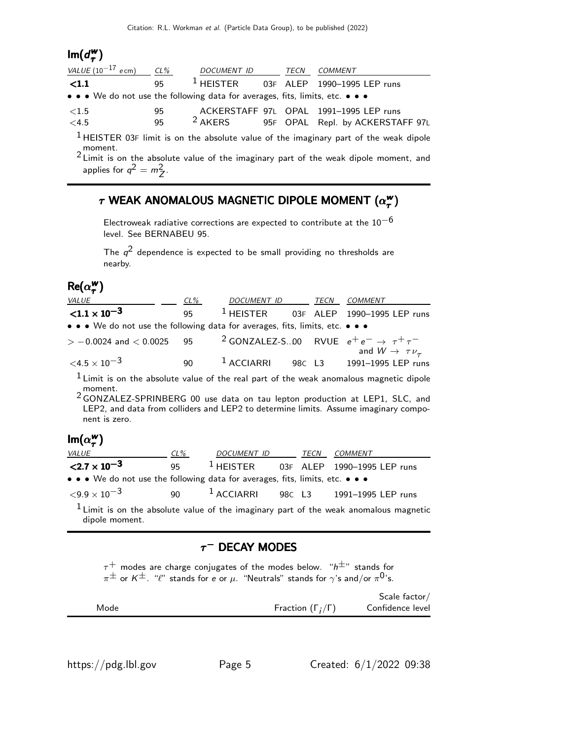#### $Im(d^w_\tau)$  $_{\tau}^{\mathsf{w}})$

| VALUE $(10^{-17}$ ecm) | CL% | DOCUMENT ID                                                                                                           | TECN | COMMENT                                |
|------------------------|-----|-----------------------------------------------------------------------------------------------------------------------|------|----------------------------------------|
| $\langle 1.1$          | 95  | $^1$ HEISTER                                                                                                          |      | 03F ALEP 1990-1995 LEP runs            |
|                        |     | $\bullet \bullet \bullet$ We do not use the following data for averages, fits, limits, etc. $\bullet \bullet \bullet$ |      |                                        |
| $\langle 1.5$          | 95  |                                                                                                                       |      | ACKERSTAFF 97L OPAL 1991-1995 LEP runs |
| $<$ 4.5                | 95  | $2$ AKERS                                                                                                             |      | 95F OPAL Repl. by ACKERSTAFF 97L       |
|                        |     |                                                                                                                       |      |                                        |

<sup>1</sup> HEISTER 03F limit is on the absolute value of the imaginary part of the weak dipole moment.<br> $^2$  Limit is on the absolute value of the imaginary part of the weak dipole moment, and

applies for  $q^2 = m_Z^2$ .

### $\tau$  WEAK ANOMALOUS MAGNETIC DIPOLE MOMENT ( $\alpha^{\rm{w}}_{\tau}$  $\tau$  WEAK ANOMALOUS MAGNETIC DIPOLE MOMENT  $(\alpha_{\bm{\tau}}^{\bm{\mathsf{w}}})$

Electroweak radiative corrections are expected to contribute at the  $10^{-6}$ level. See BERNABEU 95.

The  $q^2$  dependence is expected to be small providing no thresholds are nearby.

#### $Re(\alpha_{\tau}^{w})$ τ )

| <i>VALUE</i>                                                                  | CL% | DOCUMENT ID TECN |  | <i>COMMENT</i>                                                                         |
|-------------------------------------------------------------------------------|-----|------------------|--|----------------------------------------------------------------------------------------|
| ${<}1.1 \times 10^{-3}$                                                       | 95  |                  |  | $1$ HEISTER 03F ALEP 1990-1995 LEP runs                                                |
| • • • We do not use the following data for averages, fits, limits, etc. • • • |     |                  |  |                                                                                        |
| $> -0.0024$ and $< 0.0025$ 95                                                 |     |                  |  | <sup>2</sup> GONZALEZ-S00 RVUE $e^+e^- \rightarrow \tau^+\tau^-$                       |
| $\leq 4.5 \times 10^{-3}$                                                     | 90. |                  |  | and $W \rightarrow \tau \nu_{\tau}$<br><sup>1</sup> ACCIARRI 98C L3 1991-1995 LEP runs |

 $1$  Limit is on the absolute value of the real part of the weak anomalous magnetic dipole moment.

2 GONZALEZ-SPRINBERG 00 use data on tau lepton production at LEP1, SLC, and LEP2, and data from colliders and LEP2 to determine limits. Assume imaginary component is zero.

#### $\mathsf{Im}(\alpha_\tau^{\mathsf{w}})$ ")<br>π

| <i>VALUE</i>                                                                  | $CL\%$ | DOCUMENT ID | <i>TECN</i> | COMMENT                                 |
|-------------------------------------------------------------------------------|--------|-------------|-------------|-----------------------------------------|
| $\langle 2.7 \times 10^{-3} \rangle$                                          | 95     |             |             | $1$ HEISTER 03F ALEP 1990-1995 LEP runs |
| • • • We do not use the following data for averages, fits, limits, etc. • • • |        |             |             |                                         |
| $<$ 9.9 $\times$ 10 $^{-3}$                                                   | 90     |             |             | $1$ ACCIARRI 98C L3 1991-1995 LEP runs  |

 $<sup>1</sup>$  Limit is on the absolute value of the imaginary part of the weak anomalous magnetic</sup> dipole moment.

### $\tau^-$  Decay modes

 $\tau^+$  modes are charge conjugates of the modes below. "h $^{\pm}$ " stands for  $\pi^{\pm}$  or  $\kappa^{\pm}$ . " $\ell$ " stands for e or  $\mu$ . "Neutrals" stands for  $\gamma$ 's and/or  $\pi^{0}$ 's.

|      |                              | Scale factor/    |
|------|------------------------------|------------------|
| Mode | Fraction $(\Gamma_i/\Gamma)$ | Confidence level |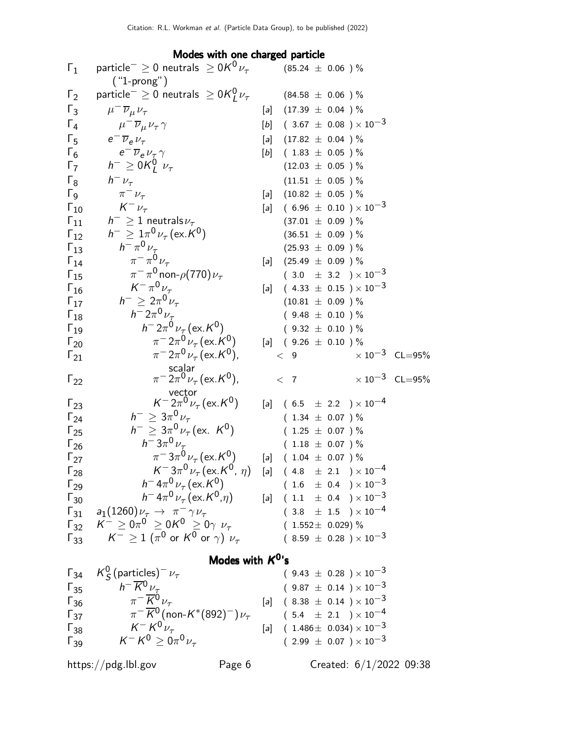Modes with one charged particle

| $\Gamma_1$    | particle <sup>-</sup> $\geq$ 0 neutrals $\geq$ 0K <sup>0</sup> $\nu_{\tau}$<br>$('1-prong")$ |                   | $(85.24 \pm 0.06)$ %     |                                                                        |                         |
|---------------|----------------------------------------------------------------------------------------------|-------------------|--------------------------|------------------------------------------------------------------------|-------------------------|
| $\Gamma_2$    | particle $^{-} \geq 0$ neutrals $\geq 0$ K $_{I}^{0}$ $\nu_{\tau}$                           |                   | $(84.58 \pm 0.06) %$     |                                                                        |                         |
| $\Gamma_3$    | $\mu^- \overline{\nu}_{\mu} \nu_{\tau}$                                                      |                   | [a] $(17.39 \pm 0.04)$ % |                                                                        |                         |
| $\Gamma_4$    | $\mu^- \overline{\nu}_{\mu} \nu_{\tau} \gamma$                                               |                   |                          | [b] $(3.67 \pm 0.08) \times 10^{-3}$                                   |                         |
| $\Gamma_5$    | $e^{-}\overline{\nu}_{e}\nu_{\tau}$                                                          |                   | [a] $(17.82 \pm 0.04)$ % |                                                                        |                         |
| $\Gamma_6$    | $e^{-}\overline{\nu}_{e}\nu_{\tau}\gamma$                                                    | $[b]$             | $(1.83 \pm 0.05) \%$     |                                                                        |                         |
| $\Gamma_7$    | $h^{-} \geq 0 \mathcal{K}_{I}^{0}$ $\nu_{\tau}$                                              |                   | $(12.03 \pm 0.05)$ %     |                                                                        |                         |
| $\Gamma_8$    | $h^ \nu_\tau$                                                                                |                   | $(11.51 \pm 0.05)$ %     |                                                                        |                         |
| $\Gamma_{9}$  | $\pi^ \nu_{\tau}$                                                                            |                   | [a] $(10.82 \pm 0.05)$ % |                                                                        |                         |
| $\Gamma_{10}$ | $K^-\nu_\tau$                                                                                | $[a]$             |                          | $(6.96 \pm 0.10) \times 10^{-3}$                                       |                         |
| $\Gamma_{11}$ | $h^{-} \geq 1$ neutrals $\nu_{\tau}$                                                         |                   | $(37.01 \pm 0.09)$ %     |                                                                        |                         |
| $\Gamma_{12}$ | $h^{-} \geq 1 \pi^{0} \nu_{\tau} (\text{ex. } K^{0})$                                        |                   | $(36.51 \pm 0.09)$ %     |                                                                        |                         |
| $\Gamma_{13}$ | $h^{-} \pi^{0} \nu_{\tau}$                                                                   |                   | $(25.93 \pm 0.09)$ %     |                                                                        |                         |
| $\Gamma_{14}$ | $\pi^{-} \pi^{0} \nu_{\tau}$                                                                 |                   | [a] $(25.49 \pm 0.09)$ % |                                                                        |                         |
| $\Gamma_{15}$ | $\pi^{-} \pi^{0}$ non- $\rho$ (770) $\nu_{\tau}$                                             |                   |                          | $(3.0 \pm 3.2) \times 10^{-3}$                                         |                         |
| $\Gamma_{16}$ | $K^{-} \pi^{0} \nu_{\tau}$                                                                   | $\lceil a \rceil$ |                          | $(4.33 \pm 0.15) \times 10^{-3}$                                       |                         |
| $\Gamma_{17}$ | $h^{-} \geq 2\pi^{0} \nu_{\tau}$                                                             |                   | $(10.81 \pm 0.09)$ %     |                                                                        |                         |
| $\Gamma_{18}$ | $h = 2\pi^0 \nu_{\tau}$                                                                      |                   | $(9.48 \pm 0.10)$ %      |                                                                        |                         |
| $\Gamma_{19}$ | $h = 2\pi^0 \nu_\tau (\text{ex. } K^0)$                                                      |                   | $(9.32 \pm 0.10)$ %      |                                                                        |                         |
| $\Gamma_{20}$ | $\pi^{-}2\pi^{0}\nu_{\tau}$ (ex. K <sup>0</sup> )                                            |                   | [a] $(9.26 \pm 0.10)$ %  |                                                                        |                         |
| $1_{21}$      | $\pi^{-}2\pi^{0}\nu_{\tau}$ (ex. K <sup>0</sup> ),                                           |                   | < 9                      |                                                                        | $\times 10^{-3}$ CL=95% |
| $\Gamma_{22}$ | scalar<br>$\pi^{-} 2\pi^{0} \nu_{\tau}$ (ex. K <sup>0</sup> ),                               |                   | < 7                      |                                                                        | $\times 10^{-3}$ CL=95% |
| $\Gamma_{23}$ | vector<br>$K^{-2}\pi^{0}\nu_{\tau}$ (ex. $K^{0}$ )                                           |                   |                          | [a] $(6.5 \pm 2.2) \times 10^{-4}$                                     |                         |
| $\Gamma_{24}$ | $h^{-} \geq 3\pi^{0} \nu_{\tau}$                                                             |                   | $(1.34 \pm 0.07)$ %      |                                                                        |                         |
| $\Gamma_{25}$ | $h^{-} \geq 3\pi^{0} \nu_{\tau}$ (ex. K <sup>0</sup> )                                       |                   | $(1.25 \pm 0.07)$ %      |                                                                        |                         |
| $\Gamma_{26}$ | $h^- 3\pi^0 \nu_\tau$                                                                        |                   | $(1.18 \pm 0.07)$ %      |                                                                        |                         |
| $\Gamma_{27}$ | $\pi^{-}3\pi^{0}\nu_{\tau}$ (ex. K <sup>0</sup> )                                            |                   | [a] $(1.04 \pm 0.07)$ %  |                                                                        |                         |
| $\Gamma_{28}$ | $K^- 3\pi^0 \nu_\tau (\text{ex.} K^0, \eta)$                                                 |                   |                          | $[a]$ (4.8 $\pm$ 2.1 ) $\times$ 10 <sup>-4</sup>                       |                         |
| $\Gamma_{29}$ | $h^- 4\pi^0 \nu_\tau (\text{ex.}\, K^0)$                                                     |                   |                          | $(1.6 \pm 0.4) \times 10^{-3}$                                         |                         |
| $\Gamma_{30}$ | $h^- 4\pi^0 \nu_\tau (\text{ex.} K^0, \eta)$                                                 |                   |                          | $[a]$ (1.1 $\pm$ 0.4 ) × 10 <sup>-3</sup>                              |                         |
|               | $\Gamma_{31}$ $a_1(1260)\nu_\tau \to \pi^- \gamma \nu_\tau$                                  |                   |                          | $(3.8 \pm 1.5) \times 10^{-4}$                                         |                         |
|               | $\Gamma_{32}$ $K^- \ge 0 \pi^0 \ge 0 K^0 \ge 0 \gamma \nu_{\tau}$                            |                   | $(1.552 \pm 0.029)$ %    |                                                                        |                         |
| $\Gamma_{33}$ | $K^- \geq 1$ $(\pi^0$ or $K^0$ or $\gamma)$ $\nu_\tau$                                       |                   |                          | $(8.59 \pm 0.28) \times 10^{-3}$                                       |                         |
|               | Modes with $K^0$ 's                                                                          |                   |                          |                                                                        |                         |
| $\Gamma_{34}$ | $K_S^0$ (particles) <sup>-</sup> $\nu_\tau$                                                  |                   |                          | $(9.43 \pm 0.28) \times 10^{-3}$                                       |                         |
| $\Gamma_{35}$ | $h^{-} \overline{K}{}^{0} \nu_{\tau}$                                                        |                   |                          | $(9.87 \pm 0.14) \times 10^{-3}$                                       |                         |
| $\Gamma_{36}$ | $\pi^{-} \overline{K}{}^{0} \nu_{\tau}$                                                      |                   |                          | [a] $(8.38 \pm 0.14) \times 10^{-3}$                                   |                         |
| $\Gamma_{37}$ | $\pi^{-} \overline{K}^{0}$ (non-K <sup>*</sup> (892) <sup>-</sup> ) $\nu_{\tau}$             |                   |                          | $(\phantom{-}5.4\phantom{0}\pm\phantom{0}2.1\phantom{0})\times10^{-4}$ |                         |
| $\Gamma_{38}$ | $K^- K^0 \nu_\tau$                                                                           |                   |                          | $[a]$ (1.486 ± 0.034) × 10 <sup>-3</sup>                               |                         |
| $\Gamma_{39}$ | $K^- K^0 \ge 0 \pi^0 \nu_{\tau}$                                                             |                   |                          | $(2.99 \pm 0.07) \times 10^{-3}$                                       |                         |
|               |                                                                                              |                   |                          |                                                                        |                         |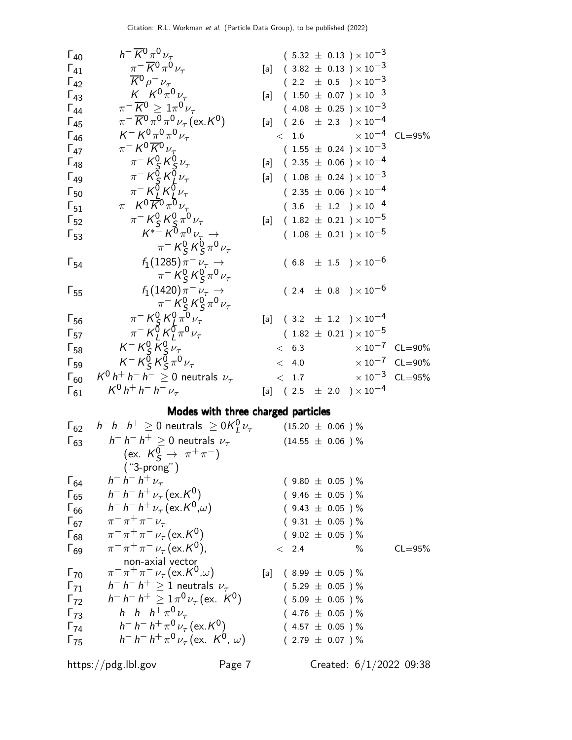| $F_{40}$ | $h^- \overline{K^0} \pi^0 \nu_{\tau}$   | $(5.32 \pm 0.13) \times 10^{-3}$ |                                  |
|----------|-----------------------------------------|----------------------------------|----------------------------------|
| $F_{41}$ | $\pi^- \overline{K^0} \pi^0 \nu_{\tau}$ | $[a]$                            | $(3.82 \pm 0.13) \times 10^{-3}$ |
| $F_{42}$ | $\overline{K^0} \rho^- \nu_{\tau}$      | $(2.2 \pm 0.5) \times 10^{-3}$   |                                  |
| $F_{43}$ | $K^- K^0 \pi^0 \nu_{\tau}$              | $[a]$                            | $(1.50 \pm 0.07) \times 10^{-3}$ |
| $F_{44}$ | $\pi^- \overline{K^0} \pi^0 \nu_{\tau}$ | $(4.08 \pm 0.25) \times 10^{-3}$ |                                  |
| $F_{45}$ | $\pi^- K^0 \overline{K^0} \nu_{\tau}$   | $(1.55 \pm 0.24) \times 10^{-3}$ |                                  |
| $F_{46}$ | $K^- K^0 \overline{K^0} \nu_{\tau}$     | $[a]$                            | $(2.35 \pm 0.06) \times 10^{-4}$ |
| $F_{49}$ | $\pi^- K^0 \overline{K^0} \nu_{\tau}$   | $[a]$                            | $(1.08 \pm 0.24) \times 10^{-3}$ |
| $F_{50}$ | $\pi^- K^0 \overline{K^0} \nu_{\tau}$   | $[a]$                            | $(1.08 \pm 0.24) \times 10^{-3}$ |
| $F_{51}$ | <math< td=""></math<>                   |                                  |                                  |

# Modes with three charged particles

| $\Gamma_{62}$ | $h^- h^- h^+ \geq 0$ neutrals $\geq 0$ K $^{0}_{I}$ $\nu_{\tau}$ | $(15.20 \pm 0.06)$ %    |             |
|---------------|------------------------------------------------------------------|-------------------------|-------------|
| $\Gamma_{63}$ | $h^- h^- h^+ > 0$ neutrals $\nu_\tau$                            | $(14.55 \pm 0.06) \%$   |             |
|               | (ex. $K_S^0 \to \pi^+ \pi^-$ )                                   |                         |             |
|               | $("3-prong")$                                                    |                         |             |
| $\Gamma_{64}$ | $h^- h^- h^+ \nu_\tau$                                           | $(9.80 \pm 0.05) \%$    |             |
| $\Gamma_{65}$ | $h^- h^- h^+ \nu_\tau (\text{ex.} K^0)$                          | $(9.46 \pm 0.05)$ %     |             |
| $\Gamma_{66}$ | $h^- h^- h^+ \nu_\tau (\text{ex. } K^0, \omega)$                 | $(9.43 \pm 0.05)$ %     |             |
| $\Gamma_{67}$ | $\pi^{-} \pi^{+} \pi^{-} \nu_{\tau}$                             | $(9.31 \pm 0.05)$ %     |             |
| $\Gamma_{68}$ | $\pi^{-} \pi^{+} \pi^{-} \nu_{\tau}$ (ex. K <sup>0</sup> )       | $(9.02 \pm 0.05) \%$    |             |
| $\Gamma_{69}$ | $\pi^{-} \pi^{+} \pi^{-} \nu_{\tau}$ (ex. K <sup>0</sup> ),      | < 2.4<br>$\%$           | $CL = 95\%$ |
|               | non-axial vector                                                 |                         |             |
| $\Gamma_{70}$ | $\pi^{-} \pi^{+} \pi^{-} \nu_{\tau}$ (ex. $K^{0}$ , $\omega$ )   | [a] $(8.99 \pm 0.05)$ % |             |
| $\Gamma_{71}$ | $h^- h^- h^+ \geq 1$ neutrals $\nu_{\tau}$                       | $(5.29 \pm 0.05) \%$    |             |
| $\Gamma_{72}$ | $h^- h^- h^+ > 1 \pi^0 \nu_\tau (\text{ex. } K^0)$               | $(5.09 \pm 0.05)$ %     |             |
| $\Gamma_{73}$ | $h^- h^- h^+ \pi^0 \nu_{\tau}$                                   | $(4.76 \pm 0.05) \%$    |             |
| $\Gamma_{74}$ | $h^- h^- h^+ \pi^0 \nu_\tau (\text{ex. } K^0)$                   | $(4.57 \pm 0.05)$ %     |             |
| $\Gamma_{75}$ | $h^- h^- h^+ \pi^0 \nu_\tau (\text{ex. } K^0, \omega)$           | $(2.79 \pm 0.07)$ %     |             |
|               |                                                                  |                         |             |

https://pdg.lbl.gov Page 7 Created: 6/1/2022 09:38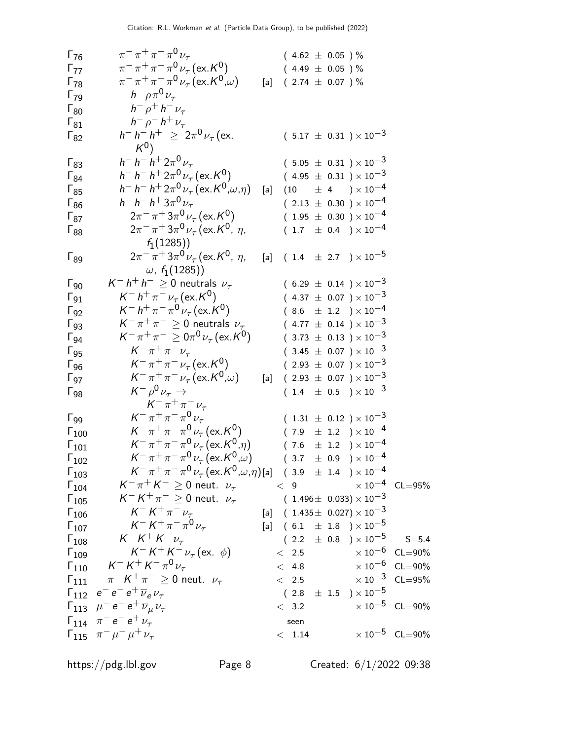| $\Gamma_{76}$                                             | $\pi^{-} \pi^{+} \pi^{-} \pi^{0} \nu_{\tau}$                                                       |     | $(4.62 \pm 0.05)$ %                                                            |                                           |                         |
|-----------------------------------------------------------|----------------------------------------------------------------------------------------------------|-----|--------------------------------------------------------------------------------|-------------------------------------------|-------------------------|
| $\Gamma_{77}$                                             | $\pi^{-} \pi^{+} \pi^{-} \pi^{0} \nu_{\tau}$ (ex. K <sup>0</sup> )                                 |     | $(4.49 \pm 0.05)$ %                                                            |                                           |                         |
| $\Gamma_{78}$                                             | $\pi^{-} \pi^{+} \pi^{-} \pi^{0} \nu_{\tau}$ (ex. $K^{0}(\omega)$ )                                | [a] | $(2.74 \pm 0.07)$ %                                                            |                                           |                         |
| $\Gamma_{79}$                                             | $h^- \rho \pi^0 \nu_{\tau}$                                                                        |     |                                                                                |                                           |                         |
|                                                           | $h^ \rho^+$ $h^ \nu_{\tau}$                                                                        |     |                                                                                |                                           |                         |
| $\Gamma_{80}$                                             | $h^- \rho^- h^+ \nu_\tau$                                                                          |     |                                                                                |                                           |                         |
| $\Gamma_{81}$                                             | $h^- h^- h^+ \geq 2\pi^0 \nu_\tau$ (ex.                                                            |     |                                                                                |                                           |                         |
| $1_{82}$                                                  | $K^0$ )                                                                                            |     |                                                                                | $(5.17 \pm 0.31) \times 10^{-3}$          |                         |
| $\Gamma_{83}$                                             | $h^- h^- h^+ 2\pi^0 \nu_\tau$                                                                      |     |                                                                                | $(5.05 \pm 0.31) \times 10^{-3}$          |                         |
| $\Gamma_{84}$                                             | $h^- h^- h^+ 2\pi^0 \nu_\tau (\text{ex. } K^0)$                                                    |     |                                                                                | $(4.95 \pm 0.31) \times 10^{-3}$          |                         |
| $\Gamma_{85}$                                             | $h^- h^- h^+ 2\pi^0 \nu_\tau (\text{ex. } K^0, \omega, \eta)$                                      | [a] | (10)                                                                           | $\pm$ 4 $\phantom{0}$ $\times$ 10 $^{-4}$ |                         |
| $\Gamma_{86}$                                             | $h^- h^- h^+ 3\pi^0 \nu_\tau$                                                                      |     |                                                                                | $(2.13 \pm 0.30) \times 10^{-4}$          |                         |
| $\Gamma_{87}$                                             | $2\pi^{-} \pi^{+} 3\pi^{0} \nu_{\tau}$ (ex. K <sup>0</sup> )                                       |     |                                                                                | $(1.95 \pm 0.30) \times 10^{-4}$          |                         |
| $\begin{array}{c} \n\text{I} \\ \n\text{88}\n\end{array}$ | $2\pi^{-} \pi^{+} 3\pi^{0} \nu_{\tau}$ (ex. K <sup>0</sup> , $\eta$ ,                              |     |                                                                                | $(1.7 \pm 0.4) \times 10^{-4}$            |                         |
|                                                           | $f_1(1285)$                                                                                        |     |                                                                                |                                           |                         |
| $\Gamma_{89}$                                             | $2\pi^{-} \pi^{+} 3\pi^{0} \nu_{\tau}$ (ex. K <sup>0</sup> , $\eta$ ,<br>$\omega$ , $f_1(1285)$    | [a] |                                                                                | $(1.4 \pm 2.7) \times 10^{-5}$            |                         |
|                                                           | $K^- h^+ h^- \geq 0$ neutrals $\nu_\tau$                                                           |     |                                                                                |                                           |                         |
| $\Gamma_{90}$                                             |                                                                                                    |     |                                                                                | $(6.29 \pm 0.14) \times 10^{-3}$          |                         |
| $\Gamma_{91}$                                             | $K^- h^+ \pi^- \nu_\tau (\text{ex.} K^0)$<br>$K^- h^+ \pi^- \pi^0 \nu_\tau (\text{ex.} K^0)$       |     |                                                                                | $(4.37 \pm 0.07) \times 10^{-3}$          |                         |
| $\Gamma_{92}$                                             |                                                                                                    |     |                                                                                | $(8.6 \pm 1.2) \times 10^{-4}$            |                         |
| $\Gamma_{93}$                                             | $K^-\pi^+\pi^- \geq 0$ neutrals $\nu_{\tau}$                                                       |     |                                                                                | $(4.77 \pm 0.14) \times 10^{-3}$          |                         |
| $\Gamma_{94}$                                             | $K^-\pi^+\pi^- \ge 0\pi^0\nu_\tau$ (ex. K <sup>0</sup> )                                           |     |                                                                                | $(3.73 \pm 0.13) \times 10^{-3}$          |                         |
| $\Gamma_{95}$                                             | $K^{-} \pi^{+} \pi^{-} \nu_{\tau}$                                                                 |     |                                                                                | $(3.45 \pm 0.07) \times 10^{-3}$          |                         |
| $\Gamma_{96}$                                             | $K^{-} \pi^{+} \pi^{-} \nu_{\tau}$ (ex. $K^{0}$ )                                                  |     |                                                                                | $(2.93 \pm 0.07) \times 10^{-3}$          |                         |
| $\Gamma_{97}$                                             | $K^-\pi^+\pi^-\nu_{\tau}$ (ex. $K^0,\omega$ )                                                      | [a] |                                                                                | $(2.93 \pm 0.07) \times 10^{-3}$          |                         |
| $\Gamma_{98}$                                             | $K^- \rho^0 \nu_\tau \rightarrow$                                                                  |     |                                                                                | $(1.4 \pm 0.5) \times 10^{-3}$            |                         |
|                                                           | $K^{-} \pi^{+} \pi^{-} \nu_{\tau}$                                                                 |     |                                                                                |                                           |                         |
| $\Gamma_{99}$                                             | $K^- \pi^+ \pi^- \pi^0 \nu_{\tau}$                                                                 |     |                                                                                | $(1.31 \pm 0.12) \times 10^{-3}$          |                         |
| $\Gamma_{100}$                                            | $K^-\pi^+\pi^-\pi^0\nu_{\tau}$ (ex. K <sup>0</sup> )                                               |     |                                                                                | $(7.9 \pm 1.2) \times 10^{-4}$            |                         |
| $\Gamma_{101}$                                            | $K^-\pi^+\pi^-\pi^0\nu_{\tau}$ (ex. $K^0,\eta$ )                                                   |     |                                                                                | $(7.6 \pm 1.2) \times 10^{-4}$            |                         |
| $\Gamma_{102}$                                            | $K^{-} \pi^{+} \pi^{-} \pi^{0} \nu_{\tau}$ (ex. $K^{0}$ , $\omega$ )                               |     |                                                                                | $(3.7 \pm 0.9) \times 10^{-4}$            |                         |
| $\Gamma_{103}$                                            | $K^-\pi^+\pi^-\pi^0\nu_{\tau}$ (ex. $K^0,\omega,\eta$ )[a] (3.9 ± 1.4 ) × 10 <sup>-4</sup>         |     |                                                                                |                                           |                         |
| $\Gamma_{104}$                                            | $K^-\pi^+K^-\geq 0$ neut. $\nu_\tau$ $<$ 9                                                         |     |                                                                                | $\times$ 10 $^{-4}~$ CL $=$ 95%           |                         |
| $\Gamma_{105}$                                            | $K^- K^+ \pi^- \geq 0$ neut. $\nu_\tau$                                                            |     | $(\ \ 1.496 \pm \ \ 0.033) \times 10^{-3}$                                     |                                           |                         |
| $\Gamma_{106}$                                            | $K^- K^+ \pi^- \nu_\tau$                                                                           |     | [a] $(1.435 \pm 0.027) \times 10^{-3}$                                         |                                           |                         |
| $\Gamma_{107}$                                            | $K^- K^+ \pi^- \pi^0 \nu_{\tau}$                                                                   |     | [a] $(6.1 \pm 1.8) \times 10^{-5}$                                             |                                           |                         |
| $\Gamma_{108}$                                            | $K^- K^+ K^- \nu_\tau$                                                                             |     | $( \ \ 2.2 \ \ \ \pm \ \ 0.8 \ \ \ )\times 10^{-5} \qquad {\mathsf S}{=}{5.4}$ |                                           |                         |
| $\Gamma_{109}$                                            | $K^- K^+ K^- \nu_\tau (\text{ex. } \phi)$                                                          |     | < 2.5                                                                          | $\times$ 10 $^{-6}$ $\,$ CL $=$ 90%       |                         |
|                                                           | $\Gamma_{110} \, \quad \  \, \mathcal{K}^- \, \mathcal{K}^+ \, \mathcal{K}^- \, \pi^0 \, \nu_\tau$ |     | < 4.8                                                                          |                                           | $\times 10^{-6}$ CL=90% |
|                                                           | $\Gamma_{111}$ $\pi^- K^+ \pi^- \ge 0$ neut. $\nu_\tau$                                            |     | < 2.5                                                                          | $\times\,10^{-3}$ CL=95%                  |                         |
|                                                           | $\Gamma_{112}$ $e^-e^-e^+\overline{\nu}_e\nu_\tau$                                                 |     | $(2.8\ \pm\ 1.5\ \ ) \times 10^{-5}$                                           |                                           |                         |
|                                                           | $\Gamma_{113}$ $\mu^- e^- e^+ \overline{\nu}_\mu \nu_\tau$                                         |     | < 3.2                                                                          | $\times$ 10 $^{-5}$ $\,$ CL $=$ 90%       |                         |
|                                                           | $\Gamma_{114}$ $\pi^- e^- e^+ \nu_{\tau}$                                                          |     |                                                                                |                                           |                         |
|                                                           |                                                                                                    |     | seen                                                                           |                                           | $\times 10^{-5}$ CL=90% |
|                                                           | $\Gamma_{115}$ $\pi^{-} \mu^{-} \mu^{+} \nu_{\tau}$                                                |     | < 1.14                                                                         |                                           |                         |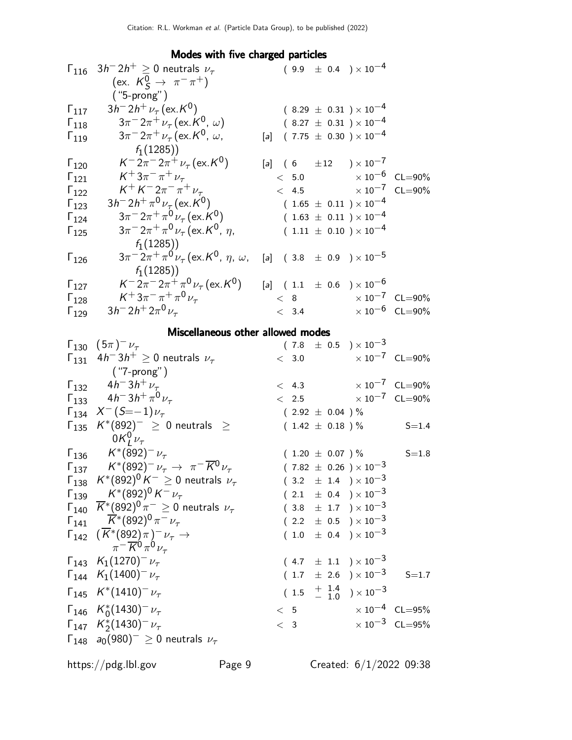# Modes with five charged particles

| $\Gamma_{116}$ | $3h^-2h^+ \geq 0$ neutrals $\nu_{\tau}$                                                                                 |  |       |                      | $(9.9 \pm 0.4) \times 10^{-4}$                     |                                      |
|----------------|-------------------------------------------------------------------------------------------------------------------------|--|-------|----------------------|----------------------------------------------------|--------------------------------------|
|                | (ex. $K^0_S \rightarrow \pi^- \pi^+$ )                                                                                  |  |       |                      |                                                    |                                      |
|                | $("5-prong")$                                                                                                           |  |       |                      |                                                    |                                      |
| $\Gamma_{117}$ | $3h^{-} 2h^{+} \nu_{\tau}$ (ex. K <sup>0</sup> )                                                                        |  |       |                      | $(8.29 \pm 0.31) \times 10^{-4}$                   |                                      |
| $\Gamma_{118}$ | $3\pi^{-}2\pi^{+}\nu_{\tau}$ (ex. K <sup>0</sup> , $\omega$ )                                                           |  |       |                      | $(8.27 \pm 0.31) \times 10^{-4}$                   |                                      |
| $\Gamma_{119}$ | $3\pi^{-}2\pi^{+}\nu_{\tau}$ (ex. K <sup>0</sup> , $\omega$ ,                                                           |  |       |                      | $[a]$ (7.75 $\pm$ 0.30 ) $\times$ 10 <sup>-4</sup> |                                      |
|                | $f_1(1285)$                                                                                                             |  |       |                      |                                                    |                                      |
| $\Gamma_{120}$ | $K^- 2\pi^- 2\pi^+ \nu_\tau$ (ex. K <sup>0</sup> )                                                                      |  |       |                      | [a] $(6 \pm 12) \times 10^{-7}$                    |                                      |
| $\Gamma_{121}$ | $K^{+}3\pi^{-}\pi^{+}\nu_{\tau}$                                                                                        |  |       |                      |                                                    | $< 5.0$ $\times 10^{-6}$ CL=90%      |
| $\Gamma_{122}$ | $K^+ K^- 2\pi^- \pi^+ \nu_\tau$                                                                                         |  |       |                      |                                                    | $< 4.5$ $\times 10^{-7}$ CL=90%      |
| $\Gamma_{123}$ | $3h^- 2h^+ \pi^0 \nu_\tau (\text{ex. } K^0)$                                                                            |  |       |                      | $(1.65 \pm 0.11) \times 10^{-4}$                   |                                      |
| $\Gamma_{124}$ | $3\pi^{-}2\pi^{+}\pi^{0}\nu_{\tau}$ (ex. K <sup>0</sup> )                                                               |  |       |                      | $(1.63 \pm 0.11) \times 10^{-4}$                   |                                      |
| $\Gamma_{125}$ | $3\pi$ <sup>-</sup> $2\pi$ <sup>+</sup> $\pi$ <sup>0</sup> $\nu$ <sub>7</sub> (ex. K <sup>0</sup> , $\eta$ ,            |  |       |                      | $(1.11 \pm 0.10) \times 10^{-4}$                   |                                      |
|                | $f_1(1285)$                                                                                                             |  |       |                      |                                                    |                                      |
| $\Gamma_{126}$ | $3\pi$ <sup>-</sup> $2\pi$ <sup>+</sup> $\pi$ <sup>0</sup> $\nu$ <sub>7</sub> (ex. K <sup>0</sup> , $\eta$ , $\omega$ , |  |       |                      | [a] $(3.8 \pm 0.9) \times 10^{-5}$                 |                                      |
|                | $f_1(1285)$                                                                                                             |  |       |                      |                                                    |                                      |
| $\Gamma_{127}$ | $K^- 2\pi^- 2\pi^+ \pi^0 \nu_\tau (\text{ex.} K^0)$                                                                     |  |       |                      | [a] $(1.1 \pm 0.6) \times 10^{-6}$                 |                                      |
| $\Gamma_{128}$ | $K^+ 3\pi^- \pi^+ \pi^0 \nu_\tau$                                                                                       |  |       | < 8                  |                                                    | $\times 10^{-7}$ CL=90%              |
| $\Gamma_{129}$ | $3h^- 2h^+ 2\pi^0 \nu_\tau$                                                                                             |  | < 3.4 |                      |                                                    | $\times$ 10 <sup>-6</sup> CL=90%     |
|                |                                                                                                                         |  |       |                      |                                                    |                                      |
|                | Miscellaneous other allowed modes<br>$\Gamma_{130}$ $(5\pi)^{-1}$                                                       |  |       |                      | $(7.8 \pm 0.5) \times 10^{-3}$                     |                                      |
| $\Gamma_{131}$ | $4h^{-}3h^{+} \geq 0$ neutrals $\nu_{\tau}$                                                                             |  |       |                      |                                                    | $< 3.0$ $\times 10^{-7}$ CL=90%      |
|                | ("7-prong")                                                                                                             |  |       |                      |                                                    |                                      |
|                | $\Gamma_{132}$ 4h <sup>-</sup> 3h <sup>+</sup> $\nu_{\tau}$                                                             |  | < 4.3 |                      |                                                    | $\times 10^{-7}$ CL=90%              |
|                | $\Gamma_{133}$ 4h <sup>-</sup> 3h <sup>+</sup> $\pi^{0}$ <sub>V<sup><math>\tau</math></sup></sub>                       |  |       |                      |                                                    | $< 2.5$ $\times 10^{-7}$ CL=90%      |
|                | $\Gamma_{134}$ $X^{-}(S=-1)\nu_{\tau}$                                                                                  |  |       | $(2.92 \pm 0.04) \%$ |                                                    |                                      |
|                | $\Gamma_{135}$ $K^*(892)^{-} \geq 0$ neutrals $\geq$                                                                    |  |       |                      |                                                    | $(1.42 \pm 0.18)$ % S=1.4            |
|                | $0K_l^0\nu_\tau$                                                                                                        |  |       |                      |                                                    |                                      |
|                | $\Gamma_{136}$ $K^*(892)^{-} \nu_{\tau}$                                                                                |  |       | $(1.20 \pm 0.07) \%$ |                                                    | $S = 1.8$                            |
| $\Gamma_{137}$ | $\mathcal{K}^{*}(892)^{-}\,\nu_{\tau}^{}\rightarrow~\pi^{-}\,\overline{\mathcal{K}}{}^{0}\,\nu_{\tau}^{}$               |  |       |                      | $(7.82 \pm 0.26) \times 10^{-3}$                   |                                      |
|                | $\Gamma_{138}$ $K^*(892)^0 K^- \geq 0$ neutrals $\nu_{\tau}$                                                            |  |       |                      | $(3.2 \pm 1.4) \times 10^{-3}$                     |                                      |
|                | $\Gamma_{139}$ $K^*(892)^0 K^- \nu_\tau$                                                                                |  |       |                      | $(2.1 \pm 0.4) \times 10^{-3}$                     |                                      |
|                | $\Gamma_{140}$ $\overline{K}^*(892)^0 \pi^- \geq 0$ neutrals $\nu_{\tau}$                                               |  |       |                      | $(3.8 \pm 1.7) \times 10^{-3}$                     |                                      |
|                | $\Gamma_{141}$ $\overline{K}$ <sup>*</sup> (892) <sup>0</sup> $\pi$ <sup>-</sup> $\nu_{\tau}$                           |  |       |                      | $(2.2 \pm 0.5) \times 10^{-3}$                     |                                      |
|                |                                                                                                                         |  |       |                      | $(1.0 \pm 0.4) \times 10^{-3}$                     |                                      |
|                | $\Gamma_{142} \ \ (\overline{K}^* (892) \pi)^- \nu_{\tau} \rightarrow$<br>$\pi^- \overline{K^0} \pi^0 \nu_{\tau}$       |  |       |                      |                                                    |                                      |
|                | $\Gamma_{143}$ $K_1(1270)^{-1}$                                                                                         |  |       |                      | $(4.7 \pm 1.1) \times 10^{-3}$                     |                                      |
|                | $\Gamma_{144}$ $K_1(1400)^{-1}$                                                                                         |  |       |                      |                                                    | $(1.7 \pm 2.6) \times 10^{-3}$ S=1.7 |
|                | $\Gamma_{145}$ $K^*(1410)^{-} \nu_{\tau}$                                                                               |  |       |                      | $(1.5 + \frac{1.4}{1.0}) \times 10^{-3}$           |                                      |
|                | $\Gamma_{146}$ $K_0^*(1430)^{-1}$                                                                                       |  |       |                      |                                                    | $< 5$ $\times 10^{-4}$ CL=95%        |
|                |                                                                                                                         |  |       |                      |                                                    |                                      |
|                |                                                                                                                         |  |       |                      |                                                    |                                      |
|                | $\Gamma_{147}$ $K_2^*(1430)^{-1}$<br>$\Gamma_{148}$ $a_0(980)^{-} \geq 0$ neutrals $\nu_{\tau}$                         |  | < 3   |                      |                                                    | $\times$ 10 <sup>-3</sup> CL=95%     |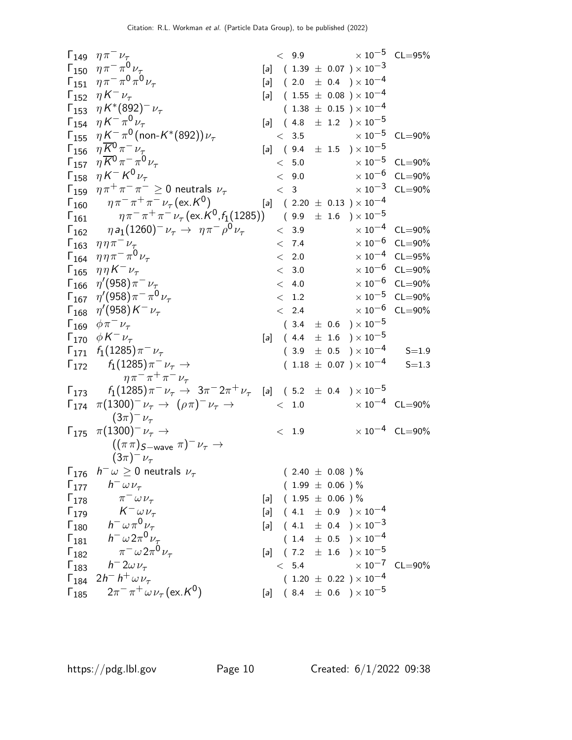|                         | $\Gamma_{149}$ $\eta \pi^{-} \nu_{\tau}$                                                                        |       |                         |  | $< 9.9$ $\times 10^{-5}$ CL=95%                                                              |                            |
|-------------------------|-----------------------------------------------------------------------------------------------------------------|-------|-------------------------|--|----------------------------------------------------------------------------------------------|----------------------------|
|                         | $\Gamma_{150}$ $\eta \pi^- \pi^0 \nu_{\tau}$                                                                    |       |                         |  | $[a]$ (1.39 $\pm$ 0.07 ) $\times$ 10 <sup>-3</sup>                                           |                            |
|                         | $\Gamma_{151}$ $\eta \pi^- \pi^0 \pi^0 \nu_{\tau}$                                                              |       |                         |  | $[a]$ (2.0 $\pm$ 0.4 ) $\times 10^{-4}$                                                      |                            |
|                         | $\Gamma_{152}$ $\eta K^{-} \nu_{\tau}$                                                                          |       |                         |  | $[a]$ (1.55 $\pm$ 0.08 ) × 10 <sup>-4</sup>                                                  |                            |
|                         | $\Gamma_{153}$ $\eta K^{*}(892)^{-} \nu_{\tau}$                                                                 |       |                         |  | $(1.38 \pm 0.15) \times 10^{-4}$                                                             |                            |
|                         | $\Gamma_{154}$ $\eta K^{-} \pi^{0} \nu_{\tau}$                                                                  |       |                         |  | [a] $(4.8 \pm 1.2) \times 10^{-5}$                                                           |                            |
|                         | $\Gamma_{155}$ $\eta K^{-} \pi^{0}$ (non-K*(892)) $\nu_{\tau}$                                                  |       |                         |  | $< 3.5$ $\times 10^{-5}$ CL=90%                                                              |                            |
|                         | $\Gamma_{156}$ $\eta K^{0} \pi^{-} \nu_{\tau}$                                                                  |       |                         |  | [a] $(9.4 \pm 1.5) \times 10^{-5}$                                                           |                            |
| $\Gamma_{157}$          | $\eta \overline{K}^0 \pi^- \pi^0 \nu_\tau$                                                                      |       | < 5.0                   |  |                                                                                              | $\times 10^{-5}$ CL=90%    |
|                         | $\Gamma_{158}$ $\eta K^{-} K^{0} \nu_{\tau}$                                                                    |       | < 9.0                   |  |                                                                                              | $\times$ 10 $^{-6}$ CL=90% |
|                         | $\Gamma_{159}$ $\eta \pi^+ \pi^- \pi^- \geq 0$ neutrals $\nu_{\tau}$                                            |       |                         |  | $< 3$ $\times 10^{-3}$ CL=90%                                                                |                            |
|                         | $\Gamma_{160}$ $\eta \pi^- \pi^+ \pi^- \nu_{\tau} (\text{ex. K}^0)$                                             |       |                         |  | [a] $(2.20 \pm 0.13) \times 10^{-4}$                                                         |                            |
| $\Gamma_{161}$          | $\eta \pi^- \pi^+ \pi^- \nu_\tau (\text{ex.} K^0, f_1(1285))$                                                   |       |                         |  | $(\begin{array}{cc} 9.9 & \pm \end{array} \begin{array}{cc} 1.6 \end{array}) \times 10^{-5}$ |                            |
|                         | $\Gamma_{162}$ $\eta a_1 (1260)^- \nu_\tau \rightarrow \eta \pi^- \rho^0 \nu_\tau$                              |       | < 3.9                   |  |                                                                                              | $\times 10^{-4}$ CL=90%    |
| $\Gamma_{163}$          | $\eta \eta \pi^- \nu_\tau$                                                                                      |       | < 7.4                   |  |                                                                                              | $\times 10^{-6}$ CL=90%    |
|                         | $\Gamma_{164}$ $\eta \eta \pi^- \pi^0 \nu_{\tau}$                                                               |       | < 2.0                   |  |                                                                                              | $\times 10^{-4}$ CL=95%    |
|                         | $\Gamma_{165}$ $\eta \eta K^{-} \nu_{\tau}$                                                                     |       | < 3.0                   |  |                                                                                              | $\times 10^{-6}$ CL=90%    |
|                         | $\Gamma_{166}$ $\eta'(958)\pi^{-}\nu_{\tau}$                                                                    |       | < 4.0                   |  |                                                                                              | $\times$ 10 $^{-6}$ CL=90% |
|                         | $\Gamma_{167}$ $\eta'(958)\pi^{-}\pi^{0}\nu_{\tau}$                                                             |       |                         |  | $< 1.2$ $\times 10^{-5}$ CL=90%                                                              |                            |
|                         | $\Gamma_{168}$ $\eta'(958)K^{-}\nu_{\tau}$                                                                      |       | < 2.4                   |  | $\times$ 10 $^{-6}$ CL=90%                                                                   |                            |
|                         | $\Gamma_{169}$ $\phi \pi^- \nu_{\tau}$                                                                          |       |                         |  | $(\phantom{-}3.4\phantom{0} \pm \phantom{0}0.6\phantom{0})\times 10^{-5}$                    |                            |
|                         | $\Gamma_{170}$ $\phi K^{-} \nu_{\tau}$                                                                          |       |                         |  | [a] $(4.4 \pm 1.6) \times 10^{-5}$                                                           |                            |
|                         | $\Gamma_{171}$ $f_1(1285)\pi^{-}\nu_{\tau}$                                                                     |       |                         |  | $(3.9 \pm 0.5) \times 10^{-4}$ S=1.9                                                         |                            |
|                         | $\Gamma_{172}$ $f_1(1285)\pi^- \nu_\tau \rightarrow$                                                            |       |                         |  | $(1.18 \pm 0.07) \times 10^{-4}$                                                             | $S = 1.3$                  |
|                         | $\eta \pi^- \pi^+ \pi^- \nu_\tau$                                                                               |       |                         |  |                                                                                              |                            |
|                         | $\Gamma_{173}$ $f_1(1285)\pi^-\nu_\tau \rightarrow 3\pi^-2\pi^+\nu_\tau$ [a] (5.2 $\pm$ 0.4 ) $\times\,10^{-5}$ |       |                         |  |                                                                                              |                            |
|                         | $\Gamma_{174}$ $\pi(1300)^{-}\nu_{\tau} \rightarrow (\rho\pi)^{-}\nu_{\tau} \rightarrow$                        |       |                         |  | $< 1.0$ $\times 10^{-4}$ CL=90%                                                              |                            |
|                         | $(3\pi)^{-1} \nu_{\tau}$                                                                                        |       |                         |  |                                                                                              |                            |
|                         | $\Gamma_{175}$ $\pi(1300)^{-} \nu_{\tau}$ $\rightarrow$                                                         |       | < 1.9                   |  |                                                                                              | $\times 10^{-4}$ CL=90%    |
|                         | $((\pi \pi)_{S-wave} \pi)^{-} \nu_{\tau} \rightarrow$                                                           |       |                         |  |                                                                                              |                            |
|                         | $(3\pi)^{-1} \nu_{\tau}$                                                                                        |       |                         |  |                                                                                              |                            |
| $\Gamma_{176}$          | $h^{-} \omega \geq 0$ neutrals $\nu_{\tau}$                                                                     |       | $(2.40 \pm 0.08) \%$    |  |                                                                                              |                            |
| $\Gamma_{177}$          | $h^ \omega \nu_{\tau}$                                                                                          |       | $(1.99 \pm 0.06)$ %     |  |                                                                                              |                            |
|                         | $\Gamma_{178}$ $\pi^{-} \omega \nu_{\tau}$                                                                      |       | [a] $(1.95 \pm 0.06)$ % |  |                                                                                              |                            |
| $\Gamma_{179}$          | $K^ \omega \nu_{\tau}$                                                                                          |       |                         |  | [a] $(4.1 \pm 0.9) \times 10^{-4}$                                                           |                            |
| $\Gamma_{180}$          | $h^- \omega \pi^0 \nu_\tau$                                                                                     |       |                         |  | [a] $(4.1 \pm 0.4) \times 10^{-3}$                                                           |                            |
| $\Gamma_{181}$          | $h^ \omega 2\pi^0 \nu_\tau$                                                                                     |       |                         |  | $(1.4 \pm 0.5) \times 10^{-4}$                                                               |                            |
| $\Gamma_{182}$          | $\pi^{-} \omega 2\pi^{0} \nu_{\tau}$                                                                            | [a]   |                         |  | $(7.2 \pm 1.6) \times 10^{-5}$                                                               |                            |
| $\Gamma_{183}$          | $h = 2\omega \nu_{\tau}$                                                                                        |       | < 5.4                   |  | $\times$ 10 <sup>-7</sup> CL=90%                                                             |                            |
| $\mathsf{\Gamma}_{184}$ | $2h^- h^+ \omega \nu_{\tau}$                                                                                    |       |                         |  | $(1.20 \pm 0.22) \times 10^{-4}$                                                             |                            |
| $\Gamma_{185}$          | $2\pi^{-} \pi^{+} \omega \nu_{\tau}$ (ex. K <sup>0</sup> )                                                      | $[a]$ |                         |  | $(8.4 \pm 0.6) \times 10^{-5}$                                                               |                            |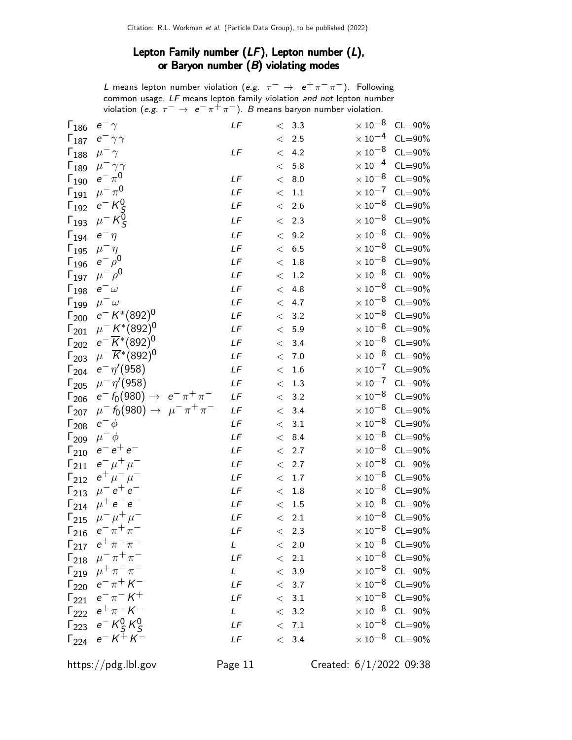# Lepton Family number  $(LF)$ , Lepton number  $(L)$ , or Baryon number  $(B)$  violating modes

L means lepton number violation (e.g.  $\tau^-\,\rightarrow\,\,e^+\pi^-\pi^-)$ . Following common usage, LF means lepton family violation and not lepton number violation (e.g.  $\tau^- \to e^- \pi^+ \pi^-$ ). B means baryon number violation.

| $\Gamma_{186}$ | $e^-\, \gamma$                                               | LF          |        | < 3.3             | $\times$ 10 $^{-8}$ | $CL = 90\%$                      |
|----------------|--------------------------------------------------------------|-------------|--------|-------------------|---------------------|----------------------------------|
| $\Gamma_{187}$ | $e^- \gamma \gamma$                                          |             |        | $< 2.5$           |                     | $\times 10^{-4}$ CL=90%          |
| $\Gamma_{188}$ | $\mu^-\gamma$                                                | LF          | $\leq$ | 4.2               | $\times$ 10 $^{-8}$ | $CL = 90\%$                      |
| $\Gamma_{189}$ | $\mu^-\gamma\gamma$                                          |             | $\lt$  | 5.8               | $\times$ 10 $^{-4}$ | $CL = 90\%$                      |
| $\Gamma_{190}$ | $e^{-} \pi^{0}$                                              | LF          | $\lt$  | 8.0               | $\times$ 10 $^{-8}$ | $CL = 90\%$                      |
| $\Gamma_{191}$ | $\mu^-\pi^0$                                                 | LF          | $\lt$  | 1.1               | $\times\,10^{-7}$   | $CL = 90\%$                      |
| $\Gamma_{192}$ | $e^-$ K <sub>S</sub> <sup>0</sup>                            | LF          |        | $< 2.6$           | $\times$ 10 $^{-8}$ | $CL = 90\%$                      |
| $\Gamma_{193}$ | $\mu^-$ K <sub>S</sub> <sup>0</sup>                          | LF          |        | < 2.3             | $\times\,10^{-8}$   | $CL = 90\%$                      |
| $\Gamma_{194}$ | $e^-\eta$                                                    | LF          | $\lt$  | 9.2               | $\times$ 10 $^{-8}$ | $CL = 90\%$                      |
| $\Gamma_{195}$ | $\mu^-\eta$                                                  | LF          |        | < 6.5             | $\times$ 10 $^{-8}$ | $CL = 90\%$                      |
| $\Gamma_{196}$ | $e^ \rho^0$                                                  | LF          |        | $< 1.8$           | $\times$ 10 $^{-8}$ | $CL = 90\%$                      |
| $\Gamma_{197}$ | $\mu^- \rho^0$                                               | LF          | $\leq$ | 1.2               | $\times$ 10 $^{-8}$ | $CL = 90\%$                      |
| $\Gamma_{198}$ | $e^ \omega$                                                  | LF          | $\lt$  | 4.8               | $\times$ 10 $^{-8}$ | $CL = 90\%$                      |
| $\Gamma_{199}$ | $\mu^-\omega$                                                | LF          | $\lt$  | 4.7               | $\times$ 10 $^{-8}$ | $CL = 90\%$                      |
| $\Gamma_{200}$ | $e^- K^{*}(892)^{0}$                                         | $L\digamma$ |        | < 3.2             | $\times$ 10 $^{-8}$ | $CL = 90\%$                      |
|                | $\Gamma_{201}$ $\mu^- K^*(892)^0$                            | LF          |        | < 5.9             | $\times$ 10 $^{-8}$ | $CL = 90\%$                      |
| $\Gamma_{202}$ | $e^{-\overline{K}^{*}(892)^{0}}$                             | LF          | $\lt$  | 3.4               | $\times$ 10 $^{-8}$ | $CL = 90\%$                      |
| $\Gamma_{203}$ | $\mu^{-} \overline{K}^{*} (892)^{0}$                         | LF          |        | < 7.0             | $\times$ 10 $^{-8}$ | $CL = 90\%$                      |
| $\Gamma_{204}$ | $e^- \eta' (958)$                                            | LF          | $\lt$  | 1.6               | $\times$ 10 $^{-7}$ | $CL = 90\%$                      |
| $\Gamma_{205}$ | $\mu^{-} \eta' (958)$                                        | LF          |        | < 1.3             | $\times$ 10 $^{-7}$ | $CL = 90\%$                      |
|                | $\Gamma_{206}$ $e^- f_0(980) \rightarrow e^- \pi^+ \pi^-$    | $L\digamma$ |        | < 3.2             |                     | $\times$ 10 <sup>-8</sup> CL=90% |
| $\Gamma_{207}$ | $\mu^-$ f <sub>0</sub> (980) $\rightarrow \mu^- \pi^+ \pi^-$ | LF          |        | < 3.4             | $\times$ 10 $^{-8}$ | $CL = 90\%$                      |
| $\Gamma_{208}$ | $e^- \phi$                                                   | LF          |        | < 3.1             | $\times$ 10 $^{-8}$ | $CL = 90\%$                      |
| $\Gamma_{209}$ | $\mu^- \phi$                                                 | LF          | $\lt$  | 8.4               | $\times$ 10 $^{-8}$ | $CL = 90\%$                      |
| $\Gamma_{210}$ | $e^-e^+e^-$                                                  | LF          |        | < 2.7             | $\times$ 10 $^{-8}$ | $CL = 90\%$                      |
| $\Gamma_{211}$ | $e^{-}\mu^{+}\mu^{-}$                                        | LF          |        | < 2.7             | $\times$ 10 $^{-8}$ | $CL = 90\%$                      |
| $\Gamma_{212}$ | $e^+ \mu^- \mu^-$                                            | LF          | $\lt$  | $1.7\,$           | $\times$ 10 $^{-8}$ | $CL = 90\%$                      |
| $\Gamma_{213}$ | $\mu^{-} e^{+} e^{-}$                                        | $L\digamma$ | $\lt$  | $1.8\,$           | $\times$ 10 $^{-8}$ | $CL = 90\%$                      |
| $\Gamma_{214}$ | $\mu^+ e^- e^-$                                              | LF          | $\lt$  | 1.5               |                     | $\times 10^{-8}$ CL=90%          |
| $\Gamma_{215}$ | $\mu^{-} \mu^{+} \mu^{-}$                                    | LF          |        | $\rm <$ 2.1       | $\times$ 10 $^{-8}$ | $CL = 90\%$                      |
| $\Gamma_{216}$ | $e^- \pi^+ \pi^-$                                            | LF          |        | < 2.3             |                     | $\times$ 10 <sup>-8</sup> CL=90% |
|                | $\Gamma_{217}$ $e^+ \pi^- \pi^-$                             | L           |        | $\rm <~2.0$       |                     | $\times$ 10 <sup>-8</sup> CL=90% |
|                | $\Gamma_{218}$ $\mu^{-} \pi^{+} \pi^{-}$                     | LF          |        | $\rm <$ 2.1       |                     | $\times$ 10 <sup>-8</sup> CL=90% |
|                | $\Gamma_{219}$ $\mu^+ \pi^- \pi^-$                           | L           |        | < 3.9             |                     | $\times$ 10 <sup>-8</sup> CL=90% |
|                | $\Gamma_{220}$ $e^- \pi^+ K^-$                               | LF          |        | < 3.7             |                     | $\times$ 10 <sup>-8</sup> CL=90% |
|                | $\Gamma_{221}$ $e^- \pi^- K^+$                               | LF          |        | $<\phantom{0}3.1$ |                     | $\times$ 10 <sup>-8</sup> CL=90% |
|                | $\Gamma_{222}$ $e^+ \pi^- K^-$                               | L           |        | $< 3.2$           |                     | $\times$ 10 <sup>-8</sup> CL=90% |
|                | $\Gamma_{223}$ $e^- K^0_S K^0_S$                             | LF          |        | < 7.1             |                     | $\times$ 10 <sup>-8</sup> CL=90% |
|                | $\Gamma_{224}$ $e^- K^+ K^-$                                 | LF          |        | < 3.4             |                     | $\times$ 10 <sup>-8</sup> CL=90% |
|                |                                                              |             |        |                   |                     |                                  |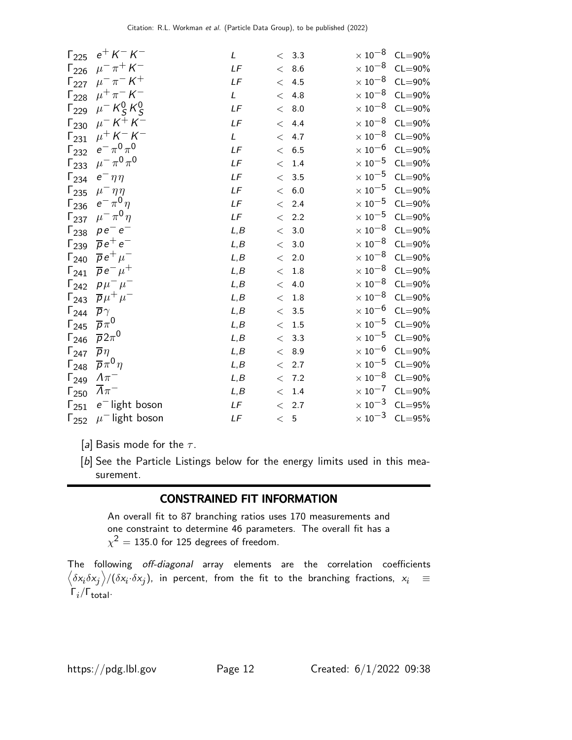| $\Gamma_{225}$ | $e^{+}$ K $-$ K $-$            | L    |       | < 3.3             | $\times$ 10 $^{-8}$ | $CL = 90\%$ |
|----------------|--------------------------------|------|-------|-------------------|---------------------|-------------|
| $\Gamma_{226}$ | $\mu^{-} \pi^{+} K^{-}$        | LF   |       | < 8.6             | $\times$ 10 $^{-8}$ | $CL = 90\%$ |
| $\Gamma_{227}$ | $\mu^{-} \pi^{-} K^{+}$        | LF   |       | < 4.5             | $\times$ 10 $^{-8}$ | $CL = 90\%$ |
| $\Gamma_{228}$ | $\mu^{+} \pi^{-} K^{-}$        | L    | $\lt$ | 4.8               | $\times$ 10 $^{-8}$ | $CL = 90\%$ |
| $\Gamma_{229}$ | $\mu^- K^0_S K^0_S$            | LF   |       | < 8.0             | $\times$ 10 $^{-8}$ | $CL = 90\%$ |
| $\Gamma_{230}$ | $\mu^- K^+ K^-$                | LF   | $\lt$ | 4.4               | $\times$ 10 $^{-8}$ | $CL = 90\%$ |
| $\Gamma_{231}$ | $\mu^{+} K^{-} K^{-}$          | L    | $\lt$ | 4.7               | $\times$ 10 $^{-8}$ | $CL = 90\%$ |
| $\Gamma_{232}$ | $e^-\,\pi^0\,\pi^0$            | LF   |       | < 6.5             | $\times$ 10 $^{-6}$ | $CL = 90\%$ |
| $\Gamma_{233}$ | $\mu^-\pi^0\pi^0$              | LF   |       | < 1.4             | $\times$ 10 $^{-5}$ | $CL = 90\%$ |
| $\Gamma_{234}$ | $e^-\eta\eta$                  | LF   |       | < 3.5             | $\times$ 10 $^{-5}$ | $CL = 90\%$ |
| $\Gamma_{235}$ | $\mu^-\eta\eta$                | LF   |       | < 6.0             | $\times$ 10 $^{-5}$ | $CL = 90\%$ |
| $\Gamma_{236}$ | $e^{-\pi^0\eta}$               | LF   |       | < 2.4             | $\times$ 10 $^{-5}$ | $CL = 90\%$ |
| $\Gamma_{237}$ | $\mu^{-} \pi^{0} \eta$         | LF   |       | < 2.2             | $\times\,10^{-5}$   | $CL = 90\%$ |
| $\Gamma_{238}$ | $p e^- e^-$                    | L, B |       | < 3.0             | $\times$ 10 $^{-8}$ | $CL = 90\%$ |
| $\Gamma_{239}$ | $\overline{p}e^+e^-$           | L, B |       | $< 3.0$           | $\times$ 10 $^{-8}$ | $CL = 90\%$ |
| $\Gamma_{240}$ | $\overline{p}e^+\mu^-$         | L, B |       | $< 2.0$           | $\times$ 10 $^{-8}$ | $CL = 90\%$ |
| $\Gamma_{241}$ | $\overline{p}e^{-}\mu^{+}$     | L, B |       | $< 1.8$           | $\times$ 10 $^{-8}$ | $CL = 90\%$ |
| $\Gamma_{242}$ | $p\mu^{-}\mu^{-}$              | L, B | $\lt$ | 4.0               | $\times\,10^{-8}$   | $CL = 90\%$ |
| $\Gamma_{243}$ | $\overline{p}\mu^+\mu^-$       | L, B |       | < 1.8             | $\times$ 10 $^{-8}$ | $CL = 90\%$ |
| $\Gamma_{244}$ | $\overline{p}\gamma$           | L, B |       | < 3.5             | $\times$ 10 $^{-6}$ | $CL = 90\%$ |
| $\Gamma_{245}$ | $\overline{p}\pi^0$            | L, B |       | $<\phantom{0}1.5$ | $\times\,10^{-5}$   | $CL = 90\%$ |
| $\Gamma_{246}$ | $\overline{p}2\pi^0$           | L, B |       | < 3.3             | $\times\,10^{-5}$   | $CL = 90\%$ |
| $\Gamma_{247}$ | $\overline{p}\eta$             | L, B |       | < 8.9             | $\times$ 10 $^{-6}$ | $CL = 90\%$ |
| $\Gamma_{248}$ | $\overline{p}\pi^0\eta$        | L, B |       | < 2.7             | $\times\,10^{-5}$   | $CL = 90\%$ |
| $\Gamma_{249}$ | $\Lambda\pi^-$                 | L, B |       | < 7.2             | $\times$ 10 $^{-8}$ | $CL = 90\%$ |
| $\Gamma_{250}$ | $\Lambda\pi^-$                 | L, B |       | $< 1.4$           | $\times$ 10 $^{-7}$ | $CL = 90\%$ |
| $\Gamma_{251}$ | $e^-$ light boson              | LF   |       | < 2.7             | $\times$ 10 $^{-3}$ | $CL = 95%$  |
| $\Gamma_{252}$ | $\mu$ <sup>-</sup> light boson | LF   | < 5   |                   | $\times$ 10 $^{-3}$ | $CL = 95%$  |

[a] Basis mode for the  $\tau$ .

[b] See the Particle Listings below for the energy limits used in this measurement.

# CONSTRAINED FIT INFORMATION

An overall fit to 87 branching ratios uses 170 measurements and one constraint to determine 46 parameters. The overall fit has a  $\chi^2=135.0$  for 125 degrees of freedom.

The following off-diagonal array elements are the correlation coefficients  $\left<\delta x_i\delta x_j\right>$ / $(\delta x_i\cdot\delta x_j)$ , in percent, from the fit to the branching fractions,  $x_i$   $\;\equiv$  $Γ_i/Γ_{total}.$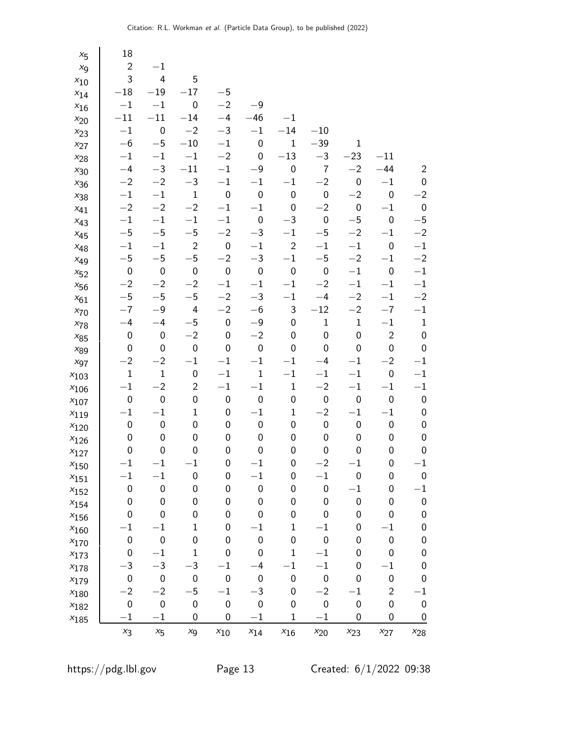| $x_{5}$        | 18               |                  |                  |                  |                  |                  |                  |                  |                  |                  |
|----------------|------------------|------------------|------------------|------------------|------------------|------------------|------------------|------------------|------------------|------------------|
| X <sub>9</sub> | $\overline{c}$   | $-1$             |                  |                  |                  |                  |                  |                  |                  |                  |
| $x_{10}$       | 3                | 4                | 5                |                  |                  |                  |                  |                  |                  |                  |
| $x_{14}$       | $-18$            | $-19$            | $-17$            | $-5$             |                  |                  |                  |                  |                  |                  |
| $x_{16}$       | $-1\,$           | $-1$             | $\boldsymbol{0}$ | $-2$             | $-9$             |                  |                  |                  |                  |                  |
| $x_{20}$       | $-11$            | $-11$            | $-14$            | $-4$             | $-46$            | $-1$             |                  |                  |                  |                  |
| $x_{23}$       | $-1$             | $\mathbf 0$      | $-2$             | $-3$             | $-1$             | $-14$            | $-10$            |                  |                  |                  |
| $x_{27}$       | $-6$             | $-5$             | $-10\,$          | $-1$             | $\boldsymbol{0}$ | $\mathbf 1$      | $-39$            | $\mathbf{1}$     |                  |                  |
| $x_{28}$       | $-1$             | $-1\,$           | $-1$             | $-2$             | $\boldsymbol{0}$ | $-13$            | $-3$             | $-23$            | $-11$            |                  |
| $x_{30}$       | $-4$             | $-3$             | $-11$            | $-1$             | $-9$             | $\boldsymbol{0}$ | $\overline{7}$   | $-2$             | $-44$            | $\overline{2}$   |
| $x_{36}$       | $-2$             | $-2$             | $-3\,$           | $-1$             | $-1$             | $-1$             | $-2$             | $\boldsymbol{0}$ | $-1$             | 0                |
| $x_{38}$       | $-1$             | $-1$             | $\mathbf 1$      | $\boldsymbol{0}$ | $\boldsymbol{0}$ | $\boldsymbol{0}$ | $\pmb{0}$        | $-2$             | $\pmb{0}$        | $-2$             |
| $x_{41}$       | $-2$             | $-2$             | $-2$             | $-1$             | $-1$             | $\boldsymbol{0}$ | $-2$             | $\pmb{0}$        | $-1$             | $\mathbf 0$      |
| $x_{43}$       | $-1$             | $-1\,$           | $-1$             | $-1$             | $\boldsymbol{0}$ | $-3$             | $\boldsymbol{0}$ | $-5$             | 0                | $-5$             |
| $x_{45}$       | $-5$             | $-5$             | $-5$             | $-2$             | $-3$             | $-1$             | $-5$             | $-2$             | $-1$             | $-2$             |
| $x_{48}$       | $-1$             | $-1$             | $\mathbf 2$      | $\boldsymbol{0}$ | $-1$             | $\mathbf 2$      | $-1$             | $-{\bf 1}$       | $\boldsymbol{0}$ | $-1$             |
| $x_{49}$       | $-5$             | $-5$             | $-5$             | $-2$             | $-3$             | $-{\bf 1}$       | $-\mathbf{5}$    | $-2$             | $-1$             | $-2$             |
| $x_{52}$       | $\boldsymbol{0}$ | $\mathbf 0$      | $\boldsymbol{0}$ | $\boldsymbol{0}$ | $\boldsymbol{0}$ | $\boldsymbol{0}$ | $\boldsymbol{0}$ | $-{\bf 1}$       | $\boldsymbol{0}$ | $-1$             |
| $x_{56}$       | $-2$             | $-2$             | $-2$             | $-1$             | $-1$             | $-1$             | $-2$             | $-1$             | $-1$             | $-1$             |
| $x_{61}$       | $-5$             | $-5$             | $-\mathbf{5}$    | $-2$             | $-3$             | $-1$             | $-4$             | $-2$             | $-1$             | $-2$             |
| $x_{70}$       | $-7$             | $-9$             | 4                | $-2$             | $-6$             | 3                | $-12$            | $-2$             | $-7$             | $-1$             |
| $x_{78}$       | $-4$             | $-4$             | $-5$             | $\boldsymbol{0}$ | $-9$             | $\boldsymbol{0}$ | $\mathbf 1$      | $\mathbf{1}$     | $-1$             | $\mathbf 1$      |
| $x_{85}$       | $\boldsymbol{0}$ | $\boldsymbol{0}$ | $-2$             | 0                | $-2$             | 0                | $\pmb{0}$        | $\boldsymbol{0}$ | $\overline{c}$   | $\mathbf 0$      |
| $x_{89}$       | $\boldsymbol{0}$ | $\mathbf 0$      | $\boldsymbol{0}$ | 0                | $\pmb{0}$        | $\boldsymbol{0}$ | $\boldsymbol{0}$ | 0                | $\pmb{0}$        | $\pmb{0}$        |
| $x_{97}$       | $-2$             | $-2$             | $-{\bf 1}$       | $-1$             | $-1$             | $-1$             | $-4$             | $-1\,$           | $-2$             | $^{-1}$          |
| $x_{103}$      | $\mathbf 1$      | $\mathbf 1$      | $\pmb{0}$        | $-1$             | $\mathbf 1$      | $-1$             | $-1$             | $-1$             | $\pmb{0}$        | $-1$             |
| $x_{106}$      | $-1$             | $-2$             | $\overline{2}$   | $-1$             | $-1$             | $\mathbf 1$      | $-2$             | $-{\bf 1}$       | $-1$             | $-1$             |
| $x_{107}$      | $\boldsymbol{0}$ | $\boldsymbol{0}$ | 0                | 0                | $\boldsymbol{0}$ | $\boldsymbol{0}$ | $\boldsymbol{0}$ | $\boldsymbol{0}$ | $\boldsymbol{0}$ | $\pmb{0}$        |
| $x_{119}$      | $-1$             | $-1$             | $\mathbf 1$      | 0                | $-1$             | $\mathbf{1}$     | $-2$             | $-1$             | $-1$             | $\boldsymbol{0}$ |
| $x_{120}$      | $\boldsymbol{0}$ | $\boldsymbol{0}$ | 0                | 0                | $\boldsymbol{0}$ | 0                | $\boldsymbol{0}$ | $\boldsymbol{0}$ | $\pmb{0}$        | $\mathbf 0$      |
| $x_{126}$      | $\boldsymbol{0}$ | $\pmb{0}$        | 0                | 0                | $\boldsymbol{0}$ | $\boldsymbol{0}$ | $\boldsymbol{0}$ | 0                | 0                | $\mathbf 0$      |
| $x_{127}$      | $\boldsymbol{0}$ | $\pmb{0}$        | 0                | 0                | 0                | $\pmb{0}$        | 0                | 0                | 0                | $\mathbf 0$      |
| $x_{150}$      | $-1$             | $-1$             | $-1$             | $\boldsymbol{0}$ | $-1$             | 0                | $-2$             | $-1$             | $\boldsymbol{0}$ | $-1$             |
| $x_{151}$      | $^{-1}$          | $^{-1}$          | $\pmb{0}$        | 0                | $^{-1}$          | 0                | $^{-1}$          | 0                | 0                | 0                |
| $x_{152}$      | $\boldsymbol{0}$ | $\mathbf 0$      | $\mathbf 0$      | $\mathbf 0$      | $\pmb{0}$        | 0                | $\boldsymbol{0}$ | $-1$             | $\boldsymbol{0}$ | $^{-1}$          |
| $x_{154}$      | $\boldsymbol{0}$ | $\boldsymbol{0}$ | 0                | 0                | 0                | 0                | 0                | $\pmb{0}$        | $\mathbf 0$      | $\mathbf 0$      |
| $x_{156}$      | 0                | 0                | 0                | 0                | 0                | 0                | 0                | 0                | 0                | 0                |
| $x_{160}$      | $^{-1}$          | $^{-1}$          | 1                | 0                | $^{-1}$          | $\mathbf 1$      | $^{-1}$          | 0                | $^{-1}$          | 0                |
| $x_{170}$      | $\boldsymbol{0}$ | 0                | 0                | 0                | $\mathbf 0$      | $\mathbf 0$      | 0                | 0                | $\pmb{0}$        | 0                |
| $x_{173}$      | $\boldsymbol{0}$ | $^{-1}$          | 1                | 0                | 0                | $\mathbf 1$      | $^{-1}$          | 0                | 0                | 0                |
| $x_{178}$      | $-3$             | $-3$             | $-3$             | $^{-1}$          | $-4$             | $-1$             | $^{-1}$          | 0                | $-1$             | 0                |
| $x_{179}$      | $\boldsymbol{0}$ | $\pmb{0}$        | $\boldsymbol{0}$ | $\boldsymbol{0}$ | $\boldsymbol{0}$ | $\boldsymbol{0}$ | $\boldsymbol{0}$ | 0                | $\boldsymbol{0}$ | 0                |
| $x_{180}$      | $-2$             | $-2$             | $-5$             | $-1$             | $-3$             | 0                | $-2$             | $-1$             | $\mathbf{2}$     | $-1$             |
| $x_{182}$      | $\boldsymbol{0}$ | $\mathbf 0$      | $\pmb{0}$        | $\boldsymbol{0}$ | $\boldsymbol{0}$ | 0                | $\boldsymbol{0}$ | $\pmb{0}$        | $\boldsymbol{0}$ | 0                |
| $x_{185}$      | $-1$             | $-1$             | $\mathbf 0$      | 0                | $^{-1}$          | $\mathbf{1}$     | $-1$             | 0                | $\mathbf 0$      | 0                |
|                | $x_3$            | $x_{5}$          | $x_{9}$          | $x_{10}$         | $x_{14}$         | $x_{16}$         | $x_{20}$         | $x_{23}$         | $x_{27}$         | $x_{28}$         |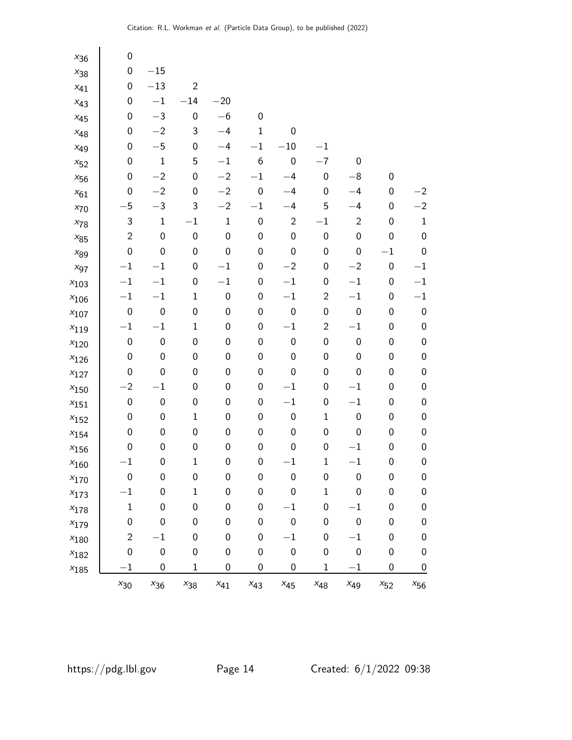| $x_{36}$  | 0                |                  |                  |                  |                  |                  |                  |                  |                  |                  |
|-----------|------------------|------------------|------------------|------------------|------------------|------------------|------------------|------------------|------------------|------------------|
| $x_{38}$  | 0                | $-15\,$          |                  |                  |                  |                  |                  |                  |                  |                  |
| $x_{41}$  | 0                | $-13$            | $\mathbf{2}$     |                  |                  |                  |                  |                  |                  |                  |
| $x_{43}$  | 0                | $-1$             | $-14$            | $-20$            |                  |                  |                  |                  |                  |                  |
| $x_{45}$  | 0                | $-3$             | $\pmb{0}$        | $-6$             | $\boldsymbol{0}$ |                  |                  |                  |                  |                  |
| $x_{48}$  | 0                | $-2$             | 3                | $-4$             | 1                | 0                |                  |                  |                  |                  |
| $x_{49}$  | 0                | $-5$             | $\boldsymbol{0}$ | $-4$             | $-1$             | $-10\,$          | $-1$             |                  |                  |                  |
| $x_{52}$  | 0                | $\mathbf 1$      | 5                | $-1$             | $\boldsymbol{6}$ | 0                | $-7$             | $\boldsymbol{0}$ |                  |                  |
| $x_{56}$  | 0                | $-2$             | 0                | $-2$             | $-1$             | $-4$             | 0                | $-8$             | $\boldsymbol{0}$ |                  |
| $x_{61}$  | 0                | $-2$             | $\boldsymbol{0}$ | $-2$             | $\boldsymbol{0}$ | $-4$             | $\boldsymbol{0}$ | $-4$             | $\boldsymbol{0}$ | $^{-2}$          |
| $x_{70}$  | $-5$             | $-3$             | 3                | $-2$             | $-1$             | $-4$             | 5                | $-4$             | $\boldsymbol{0}$ | $-2$             |
| $x_{78}$  | 3                | $\mathbf{1}$     | $-1$             | $\mathbf{1}$     | $\boldsymbol{0}$ | $\overline{c}$   | $-1$             | $\sqrt{2}$       | $\boldsymbol{0}$ | $\mathbf 1$      |
| $x_{85}$  | $\overline{c}$   | $\boldsymbol{0}$ | $\pmb{0}$        | $\boldsymbol{0}$ | $\pmb{0}$        | $\boldsymbol{0}$ | $\boldsymbol{0}$ | $\boldsymbol{0}$ | $\boldsymbol{0}$ | $\boldsymbol{0}$ |
| $x_{89}$  | 0                | $\boldsymbol{0}$ | $\boldsymbol{0}$ | $\boldsymbol{0}$ | $\pmb{0}$        | 0                | 0                | $\boldsymbol{0}$ | $-1$             | $\pmb{0}$        |
| $x_{97}$  | $-1$             | $-1$             | $\boldsymbol{0}$ | $-1$             | $\boldsymbol{0}$ | $-2$             | $\boldsymbol{0}$ | $-2$             | $\boldsymbol{0}$ | $^{-1}$          |
| $x_{103}$ | $-1$             | $-1$             | $\pmb{0}$        | $-1$             | $\boldsymbol{0}$ | $-1$             | $\boldsymbol{0}$ | $-1$             | $\boldsymbol{0}$ | $-1$             |
| $x_{106}$ | $-1$             | $-1$             | $\mathbf 1$      | $\boldsymbol{0}$ | $\pmb{0}$        | $-1$             | $\mathbf{2}$     | $-1$             | $\boldsymbol{0}$ | $-1$             |
| $x_{107}$ | $\boldsymbol{0}$ | $\boldsymbol{0}$ | $\pmb{0}$        | $\boldsymbol{0}$ | $\pmb{0}$        | $\boldsymbol{0}$ | $\boldsymbol{0}$ | $\boldsymbol{0}$ | $\boldsymbol{0}$ | $\pmb{0}$        |
| $x_{119}$ | $-1$             | $-1$             | $\mathbf 1$      | $\boldsymbol{0}$ | $\boldsymbol{0}$ | $-1$             | $\mathbf{2}$     | $-1$             | $\boldsymbol{0}$ | $\pmb{0}$        |
| $x_{120}$ | 0                | $\boldsymbol{0}$ | $\pmb{0}$        | $\boldsymbol{0}$ | $\pmb{0}$        | $\boldsymbol{0}$ | $\boldsymbol{0}$ | $\boldsymbol{0}$ | $\boldsymbol{0}$ | $\pmb{0}$        |
| $x_{126}$ | 0                | $\boldsymbol{0}$ | $\boldsymbol{0}$ | $\boldsymbol{0}$ | $\boldsymbol{0}$ | 0                | $\boldsymbol{0}$ | $\boldsymbol{0}$ | $\boldsymbol{0}$ | $\pmb{0}$        |
| $x_{127}$ | 0                | $\pmb{0}$        | $\pmb{0}$        | $\boldsymbol{0}$ | $\boldsymbol{0}$ | 0                | $\pmb{0}$        | $\boldsymbol{0}$ | $\boldsymbol{0}$ | $\pmb{0}$        |
| $x_{150}$ | $-2$             | $-1$             | $\pmb{0}$        | $\boldsymbol{0}$ | $\pmb{0}$        | $-1$             | $\boldsymbol{0}$ | $-1$             | $\boldsymbol{0}$ | $\pmb{0}$        |
| $x_{151}$ | $\boldsymbol{0}$ | $\boldsymbol{0}$ | $\pmb{0}$        | $\boldsymbol{0}$ | $\boldsymbol{0}$ | $-1$             | $\boldsymbol{0}$ | $-1$             | $\boldsymbol{0}$ | $\pmb{0}$        |
| $x_{152}$ | 0                | 0                | $\mathbf 1$      | $\boldsymbol{0}$ | $\boldsymbol{0}$ | 0                | $\mathbf{1}$     | 0                | $\boldsymbol{0}$ | $\pmb{0}$        |
| $x_{154}$ | 0                | $\boldsymbol{0}$ | $\pmb{0}$        | $\boldsymbol{0}$ | $\pmb{0}$        | 0                | 0                | $\boldsymbol{0}$ | $\boldsymbol{0}$ | $\pmb{0}$        |
| $x_{156}$ | 0                | $\pmb{0}$        | $\pmb{0}$        | $\boldsymbol{0}$ | $\boldsymbol{0}$ | 0                | $\boldsymbol{0}$ | $-1$             | $\boldsymbol{0}$ | $\pmb{0}$        |
| $x_{160}$ | $-1$             | 0                | $\mathbf{1}$     | 0                | $\pmb{0}$        | $^{-1}$          | $\mathbf 1$      | $-1$             | $\boldsymbol{0}$ | $\pmb{0}$        |
| $x_{170}$ | 0                | $\boldsymbol{0}$ | $\pmb{0}$        | $\boldsymbol{0}$ | $\boldsymbol{0}$ | $\mathbf 0$      | $\boldsymbol{0}$ | 0                | $\boldsymbol{0}$ | $\boldsymbol{0}$ |
| $x_{173}$ | $^{-1}$          | 0                | $\mathbf 1$      | $\boldsymbol{0}$ | $\boldsymbol{0}$ | 0                | $\mathbf 1$      | 0                | $\boldsymbol{0}$ | $\boldsymbol{0}$ |
| $x_{178}$ | $\mathbf 1$      | 0                | $\pmb{0}$        | 0                | 0                | $^{-1}$          | 0                | $^{-1}$          | 0                | $\pmb{0}$        |
| $x_{179}$ | $\boldsymbol{0}$ | $\boldsymbol{0}$ | $\boldsymbol{0}$ | $\boldsymbol{0}$ | $\pmb{0}$        | $\boldsymbol{0}$ | $\boldsymbol{0}$ | $\boldsymbol{0}$ | $\boldsymbol{0}$ | $\boldsymbol{0}$ |
| $x_{180}$ | $\mathbf{2}$     | $-1$             | $\boldsymbol{0}$ | $\boldsymbol{0}$ | 0                | $-1$             | $\boldsymbol{0}$ | $-1$             | $\boldsymbol{0}$ | $\boldsymbol{0}$ |
| $x_{182}$ | 0                | 0                | $\pmb{0}$        | $\boldsymbol{0}$ | $\pmb{0}$        | $\pmb{0}$        | $\boldsymbol{0}$ | $\boldsymbol{0}$ | 0                | $\boldsymbol{0}$ |
| $x_{185}$ | $-1$             | $\boldsymbol{0}$ | $\mathbf 1$      | $\pmb{0}$        | $\mathbf 0$      | 0                | $\mathbf 1$      | $-1$             | $\boldsymbol{0}$ | $\boldsymbol{0}$ |
|           | $x_{30}$         | $x_{36}$         | $x_{38}$         | $x_{41}$         | $x_{43}$         | $x_{45}$         | $x_{48}$         | $x_{49}$         | $x_{52}$         | $x_{56}$         |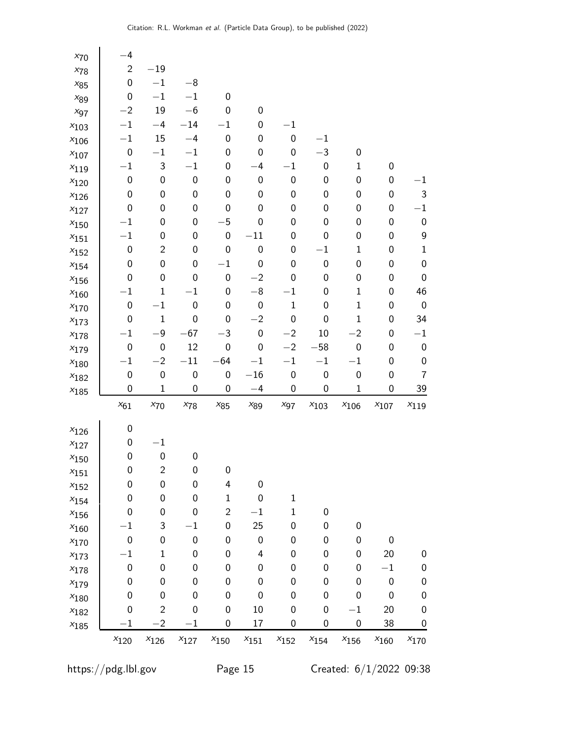| $x_{70}$      | $-4$             |                         |                  |                  |                  |                  |                  |                  |                  |                  |
|---------------|------------------|-------------------------|------------------|------------------|------------------|------------------|------------------|------------------|------------------|------------------|
| $x_{78}$      | $\mathbf 2$      | $-19\,$                 |                  |                  |                  |                  |                  |                  |                  |                  |
| $x_{85}$      | $\boldsymbol{0}$ | $-1\,$                  | $-\bf{8}$        |                  |                  |                  |                  |                  |                  |                  |
| $x_{89}$      | $\boldsymbol{0}$ | $-1$                    | $-1$             | $\boldsymbol{0}$ |                  |                  |                  |                  |                  |                  |
| $x_{97}$      | $-2$             | 19                      | $-6$             | $\mathbf 0$      | $\boldsymbol{0}$ |                  |                  |                  |                  |                  |
| $x_{103}$     | $-1$             | $-4$                    | $-14$            | $-1$             | $\boldsymbol{0}$ | $-1$             |                  |                  |                  |                  |
| $x_{106}$     | $-1$             | 15                      | $-4$             | $\mathbf 0$      | 0                | 0                | $-1$             |                  |                  |                  |
| $x_{107}$     | $\boldsymbol{0}$ | $-1$                    | $-1$             | 0                | 0                | 0                | $-3$             | $\boldsymbol{0}$ |                  |                  |
| $x_{\rm 119}$ | $-1$             | 3                       | $-1\,$           | 0                | $-4$             | $-1$             | $\boldsymbol{0}$ | $\mathbf 1$      | $\boldsymbol{0}$ |                  |
| $x_{120}$     | $\boldsymbol{0}$ | 0                       | $\pmb{0}$        | $\mathbf 0$      | $\boldsymbol{0}$ | $\boldsymbol{0}$ | 0                | 0                | 0                | $^{-1}$          |
| $x_{126}$     | $\boldsymbol{0}$ | 0                       | $\boldsymbol{0}$ | $\mathbf 0$      | $\boldsymbol{0}$ | 0                | $\boldsymbol{0}$ | 0                | $\boldsymbol{0}$ | 3                |
| $x_{127}$     | $\boldsymbol{0}$ | 0                       | 0                | 0                | 0                | 0                | 0                | 0                | $\boldsymbol{0}$ | $-1$             |
| $x_{150}$     | $-1$             | 0                       | $\boldsymbol{0}$ | $-5$             | $\boldsymbol{0}$ | 0                | $\boldsymbol{0}$ | 0                | $\boldsymbol{0}$ | $\pmb{0}$        |
| $x_{151}$     | $-1$             | 0                       | 0                | $\boldsymbol{0}$ | $-11$            | 0                | 0                | 0                | $\boldsymbol{0}$ | 9                |
| $x_{152}$     | $\boldsymbol{0}$ | $\overline{c}$          | 0                | $\mathbf 0$      | $\boldsymbol{0}$ | 0                | $-1$             | 1                | $\boldsymbol{0}$ | $\mathbf 1$      |
| $x_{154}$     | $\boldsymbol{0}$ | $\boldsymbol{0}$        | 0                | $-1$             | $\boldsymbol{0}$ | 0                | $\boldsymbol{0}$ | 0                | $\boldsymbol{0}$ | $\pmb{0}$        |
| $x_{156}$     | $\boldsymbol{0}$ | $\boldsymbol{0}$        | $\boldsymbol{0}$ | $\boldsymbol{0}$ | $-2$             | 0                | $\boldsymbol{0}$ | 0                | $\boldsymbol{0}$ | $\pmb{0}$        |
| $x_{160}$     | $-1$             | $\mathbf{1}$            | $-1$             | $\boldsymbol{0}$ | $-8\,$           | $-1$             | $\boldsymbol{0}$ | $\mathbf 1$      | $\boldsymbol{0}$ | 46               |
| $x_{170}$     | $\boldsymbol{0}$ | $-1$                    | $\pmb{0}$        | $\boldsymbol{0}$ | $\boldsymbol{0}$ | $\mathbf{1}$     | $\boldsymbol{0}$ | 1                | $\boldsymbol{0}$ | $\pmb{0}$        |
| $x_{173}$     | $\boldsymbol{0}$ | $\mathbf 1$             | $\boldsymbol{0}$ | $\boldsymbol{0}$ | $-2$             | $\boldsymbol{0}$ | $\boldsymbol{0}$ | $\mathbf 1$      | $\boldsymbol{0}$ | 34               |
| $x_{178}$     | $-1$             | $-9$                    | $-67$            | $-3$             | $\boldsymbol{0}$ | $-2$             | 10               | $-2$             | $\boldsymbol{0}$ | $^{-1}$          |
| $x_{179}$     | $\boldsymbol{0}$ | $\boldsymbol{0}$        | 12               | $\mathbf 0$      | $\boldsymbol{0}$ | $-2$             | $-58$            | $\pmb{0}$        | $\boldsymbol{0}$ | 0                |
| $x_{180}$     | $^{-1}$          | $-2$                    | $-11$            | $-64$            | $-1$             | $-1$             | $-1$             | $-1$             | $\boldsymbol{0}$ | 0                |
| $x_{182}$     | $\boldsymbol{0}$ | $\boldsymbol{0}$        | $\pmb{0}$        | $\boldsymbol{0}$ | $-16$            | $\pmb{0}$        | $\boldsymbol{0}$ | $\pmb{0}$        | $\boldsymbol{0}$ | 7                |
| $x_{185}$     | $\mathbf 0$      | $\mathbf 1$             | $\boldsymbol{0}$ | $\mathbf 0$      | $-4$             | $\mathbf 0$      | $\boldsymbol{0}$ | $\mathbf 1$      | $\boldsymbol{0}$ | 39               |
|               | $x_{61}$         | $x_{70}$                | $x_{78}$         | $x_{85}$         | $x_{89}$         | $x_{97}$         | $x_{103}$        | $x_{106}$        | $x_{107}$        | $x_{119}$        |
| $x_{126}$     | $\boldsymbol{0}$ |                         |                  |                  |                  |                  |                  |                  |                  |                  |
| $x_{127}$     | $\boldsymbol{0}$ | $-1$                    |                  |                  |                  |                  |                  |                  |                  |                  |
| $x_{150}$     | $\boldsymbol{0}$ | $\mathbf 0$             | $\pmb{0}$        |                  |                  |                  |                  |                  |                  |                  |
| $x_{151}$     | $\pmb{0}$        | $\overline{c}$          | $\boldsymbol{0}$ | 0                |                  |                  |                  |                  |                  |                  |
| $x_{152}$     | $\boldsymbol{0}$ | $\boldsymbol{0}$        | $\pmb{0}$        | 4                | $\boldsymbol{0}$ |                  |                  |                  |                  |                  |
| $x_{154}$     | $\boldsymbol{0}$ | $\boldsymbol{0}$        | $\boldsymbol{0}$ | $\mathbf{1}$     | $\pmb{0}$        | $\mathbf 1$      |                  |                  |                  |                  |
| $x_{156}$     | $\mathbf 0$      | 0                       | $\boldsymbol{0}$ | $\mathbf{2}$     | $^{-1}$          | 1                | $\boldsymbol{0}$ |                  |                  |                  |
| $x_{160}$     | $-1$             | 3                       | $^{-1}$          | $\boldsymbol{0}$ | 25               | 0                | $\boldsymbol{0}$ | 0                |                  |                  |
| $x_{170}$     | $\boldsymbol{0}$ | $\boldsymbol{0}$        | $\pmb{0}$        | 0                | $\pmb{0}$        | 0                | $\boldsymbol{0}$ | 0                | $\boldsymbol{0}$ |                  |
| $x_{173}$     | $-1$             | $\mathbf 1$             | $\boldsymbol{0}$ | $\boldsymbol{0}$ | 4                | 0                | $\boldsymbol{0}$ | 0                | 20               | $\mathbf 0$      |
| $x_{178}$     | $\boldsymbol{0}$ | 0                       | $\boldsymbol{0}$ | $\mathbf 0$      | $\boldsymbol{0}$ | 0                | $\boldsymbol{0}$ | 0                | $-1$             | $\pmb{0}$        |
| $x_{179}$     | $\boldsymbol{0}$ | 0                       | $\boldsymbol{0}$ | $\mathbf 0$      | $\pmb{0}$        | 0                | $\boldsymbol{0}$ | 0                | $\boldsymbol{0}$ | $\pmb{0}$        |
| $x_{180}$     | $\boldsymbol{0}$ | 0                       | $\boldsymbol{0}$ | $\mathbf 0$      | $\boldsymbol{0}$ | 0                | $\boldsymbol{0}$ | 0                | $\boldsymbol{0}$ | $\boldsymbol{0}$ |
| $x_{182}$     | $\mathbf 0$      | $\overline{c}$          | $\boldsymbol{0}$ | $\mathbf 0$      | 10               | $\mathbf{0}$     | $\boldsymbol{0}$ | $^{-1}$          | 20               | $\mathbf 0$      |
| $x_{185}$     | $-1$             | $\overline{\mathbf{c}}$ | $^{-1}$          | 0                | 17               | 0                | 0                | 0                | 38               | 0                |
|               | $x_{120}$        | $x_{126}$               | $x_{127}$        | $x_{150}$        | $x_{151}$        | $x_{152}$        | $x_{154}$        | $x_{156}$        | $x_{160}$        | $x_{170}$        |

https://pdg.lbl.gov Page 15 Created: 6/1/2022 09:38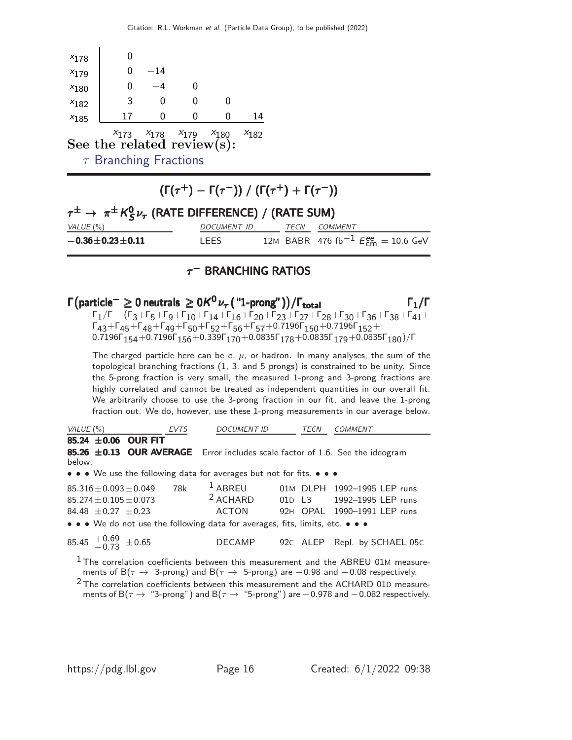|           | See the related review(s): |       | $x_{173}$ $x_{178}$ $x_{179}$ $x_{180}$ | $x_{182}$ |  |
|-----------|----------------------------|-------|-----------------------------------------|-----------|--|
| $x_{185}$ | 17                         |       |                                         | 14        |  |
| $x_{182}$ | 3                          |       |                                         |           |  |
| $x_{180}$ |                            |       |                                         |           |  |
| $x_{179}$ |                            | $-14$ |                                         |           |  |
| $x_{178}$ |                            |       |                                         |           |  |

 $\tau$  [Branching Fractions](http://pdg.lbl.gov/2022/reviews/rpp2021-rev-tau-branching-fractions.pdf)

 $\blacksquare$ 

 $(\Gamma(\tau^+) - \Gamma(\tau^-)) / (\Gamma(\tau^+) + \Gamma(\tau^-))$ 

### $\tau^{\pm} \rightarrow \pi^{\pm} K_S^0$  $\tau^\pm \rightarrow \; \pi^\pm \, \mathsf{K}^0_{\mathsf{S}} \nu_\tau$  (RATE DIFFERENCE) / (RATE SUM) VALUE (%)  $DOCUMENT$  ID TECN COMMENT  $-0.36 \pm 0.23 \pm 0.11$  LEES 12M BABR 476 fb<sup>-1</sup>  $E_{\text{cm}}^{ee} = 10.6 \text{ GeV}$

### $\tau^-$  Branching ratios

### Γ $(\textsf{particle}^-\geq 0$  neutrals  $\geq 0$ Κ $^0\nu_\tau($  "1-prong"  $))/$ Γ $_{\textsf{total}}$  Γ $_1$ /Γ  $\Gamma_1/\Gamma = (\Gamma_3 + \Gamma_5 + \Gamma_9 + \Gamma_{10} + \Gamma_{14} + \Gamma_{16} + \Gamma_{20} + \Gamma_{23} + \Gamma_{27} + \Gamma_{28} + \Gamma_{30} + \Gamma_{36} + \Gamma_{38} + \Gamma_{41} +$  $\Gamma_{43}$ +Γ $_{45}$ +Γ $_{48}$ +Γ $_{49}$ +Γ $_{50}$ +Γ $_{52}$ +Γ $_{56}$ +Γ $_{57}$ +0.7196Γ $_{150}$ +0.7196Γ $_{152}$ + 0.7196Γ $_{154}$ +0.7196Γ $_{156}$ +0.339Γ $_{170}$ +0.0835Γ $_{178}$ +0.0835Γ $_{179}$ +0.0835Γ $_{180})$ /Γ

The charged particle here can be e,  $\mu$ , or hadron. In many analyses, the sum of the topological branching fractions (1, 3, and 5 prongs) is constrained to be unity. Since the 5-prong fraction is very small, the measured 1-prong and 3-prong fractions are highly correlated and cannot be treated as independent quantities in our overall fit. We arbitrarily choose to use the 3-prong fraction in our fit, and leave the 1-prong fraction out. We do, however, use these 1-prong measurements in our average below.

| VALUE(%)                                                                                                                                                                 | EVTS | <i>DOCUMENT ID</i>      | TECN | COMMENT                                                                                                                                                                                                                                                                                                                                                                                   |
|--------------------------------------------------------------------------------------------------------------------------------------------------------------------------|------|-------------------------|------|-------------------------------------------------------------------------------------------------------------------------------------------------------------------------------------------------------------------------------------------------------------------------------------------------------------------------------------------------------------------------------------------|
| 85.24 $\pm$ 0.06 OUR FIT<br>85.26 ±0.13 OUR AVERAGE Error includes scale factor of 1.6. See the ideogram<br>below.                                                       |      |                         |      |                                                                                                                                                                                                                                                                                                                                                                                           |
| • • • We use the following data for averages but not for fits. • • •                                                                                                     |      |                         |      |                                                                                                                                                                                                                                                                                                                                                                                           |
| $85.316 \pm 0.093 \pm 0.049$<br>$85.274 + 0.105 + 0.073$<br>84.48 $\pm$ 0.27 $\pm$ 0.23<br>• • • We do not use the following data for averages, fits, limits, etc. • • • | 78k  | $1$ ABREU<br>$2$ ACHARD |      | 01M DLPH 1992-1995 LEP runs<br>01D L3 1992-1995 LEP runs<br>ACTON 92H OPAL 1990-1991 LEP runs                                                                                                                                                                                                                                                                                             |
| 85.45 $^{+0.69}_{-0.73}$ ±0.65                                                                                                                                           |      |                         |      | DECAMP 92C ALEP Repl. by SCHAEL 05C                                                                                                                                                                                                                                                                                                                                                       |
|                                                                                                                                                                          |      |                         |      | $1$ The correlation coefficients between this measurement and the ABREU 01M measure-<br>ments of B( $\tau \to 3$ -prong) and B( $\tau \to 5$ -prong) are -0.98 and -0.08 respectively.<br>$2$ The correlation coefficients between this measurement and the ACHARD 01D measure-<br>ments of B( $\tau \to$ "3-prong") and B( $\tau \to$ "5-prong") are $-0.978$ and $-0.082$ respectively. |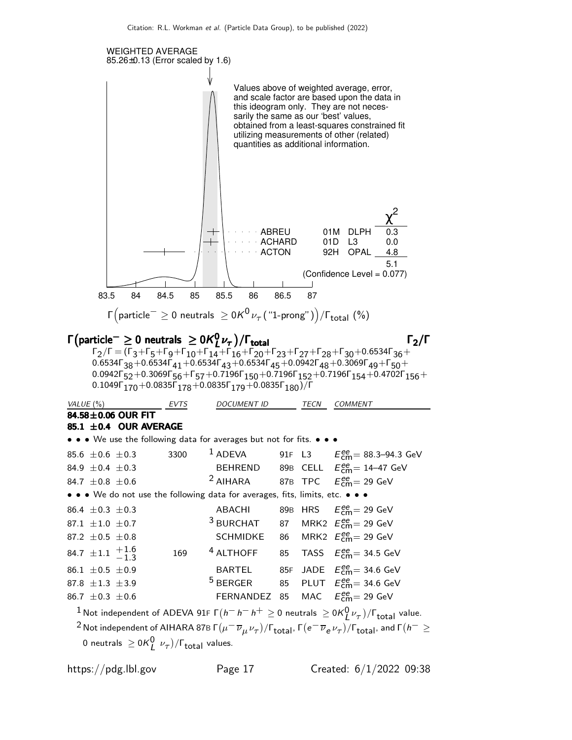

 $\mathsf{\Gamma}\!\left(\mathsf{particle}^-\geq 0\;\mathsf{neutrals}\;\geq 0\mathsf{K}^{\mathsf{0}}\nu_\tau\!\left( \text{ ``1-prong''}\right)\right)\!/\mathsf{\Gamma}_{\mathsf{total}}\;\!\left(\text{''}\right)$ 

#### $Γ$ (particle $^− \geq 0$  neutrals  $\geq 0$   $K_I^0$  $Γ$ (particle $^-\geq 0$  neutrals  $\geq 0$ K $_l^0\nu_{\tau}$ )/ $Γ_{\text{total}}$  Γ  $_{\tau}$  Γ  $_{\tau}$  Γ  $_{\tau}$  Γ  $_{\tau}$

 $\Gamma_2/\Gamma = (\Gamma_3 + \Gamma_5 + \Gamma_9 + \Gamma_{10} + \Gamma_{14} + \Gamma_{16} + \Gamma_{20} + \Gamma_{23} + \Gamma_{27} + \Gamma_{28} + \Gamma_{30} + 0.6534 \Gamma_{36} +$ 0.6534Γ $_{38}+$ 0.6534Γ $_{41}+$ 0.6534Γ $_{43}+$ 0.6534Γ $_{45}+$ 0.0942Γ $_{48}+$ 0.3069Γ $_{49}+$ Γ $_{50}+$ 0.0942Γ $_{\rm 52}$ +0.3069Г $_{\rm 56}$ +Г $_{\rm 57}$ +0.7196Г $_{\rm 150}$ +0.7196Г $_{\rm 152}$ +0.7196Г $_{\rm 154}$ +0.4702Г $_{\rm 156}$ + 0.1049Γ $_{\rm 170}$ +0.0835Γ $_{\rm 178}$ +0.0835Γ $_{\rm 179}$ +0.0835Γ $_{\rm 180})$ /Γ

| VALUE (%)                                                                                                                                   | EVTS | <b>DOCUMENT ID</b>                                        |    | TECN | <b>COMMENT</b>                                   |
|---------------------------------------------------------------------------------------------------------------------------------------------|------|-----------------------------------------------------------|----|------|--------------------------------------------------|
| 84.58±0.06 OUR FIT                                                                                                                          |      |                                                           |    |      |                                                  |
| 85.1 ±0.4 OUR AVERAGE                                                                                                                       |      |                                                           |    |      |                                                  |
| • • • We use the following data for averages but not for fits. • • •                                                                        |      |                                                           |    |      |                                                  |
| 85.6 $\pm$ 0.6 $\pm$ 0.3                                                                                                                    | 3300 | $1$ ADEVA                                                 |    |      | 91F L3 $E_{cm}^{ee} = 88.3 - 94.3$ GeV           |
| 84.9 $\pm$ 0.4 $\pm$ 0.3                                                                                                                    |      |                                                           |    |      | BEHREND 89B CELL $E_{cm}^{ee}$ = 14-47 GeV       |
| 84.7 $\pm$ 0.8 $\pm$ 0.6                                                                                                                    |      | <sup>2</sup> AIHARA 87B TPC $E_{\text{cm}}^{ee}$ = 29 GeV |    |      |                                                  |
| • • • We do not use the following data for averages, fits, limits, etc. • • •                                                               |      |                                                           |    |      |                                                  |
| 86.4 $\pm$ 0.3 $\pm$ 0.3                                                                                                                    |      | ABACHI                                                    |    |      | 89B HRS $E_{cm}^{ee}$ = 29 GeV                   |
| 87.1 $\pm$ 1.0 $\pm$ 0.7                                                                                                                    |      | <sup>3</sup> BURCHAT                                      |    |      | 87 MRK2 $E_{\text{cm}}^{ee}$ = 29 GeV            |
| 87.2 $\pm$ 0.5 $\pm$ 0.8                                                                                                                    |      | <b>SCHMIDKE</b>                                           | 86 |      | MRK2 $E_{\text{cm}}^{\text{ee}}$ = 29 GeV        |
| 84.7 $\pm 1.1$ $^{+1.6}_{-1.3}$                                                                                                             | 169  | <sup>4</sup> ALTHOFF                                      | 85 |      | TASS $E_{cm}^{ee}$ = 34.5 GeV                    |
| 86.1 $\pm$ 0.5 $\pm$ 0.9                                                                                                                    |      | BARTEL                                                    |    |      | 85F JADE $E_{cm}^{ee}$ = 34.6 GeV                |
| 87.8 $\pm 1.3 \pm 3.9$                                                                                                                      |      | $5$ BERGER                                                |    |      | 85 PLUT $E_{\text{cm}}^{ee}$ = 34.6 GeV          |
| 86.7 $\pm$ 0.3 $\pm$ 0.6                                                                                                                    |      | FERNANDEZ 85                                              |    |      | MAC $E_{\text{cm}}^{\text{ee}} = 29 \text{ GeV}$ |
| $\frac{1}{2}$ $\cdots$ $\cdots$ $\cdots$ $\cdots$ $\cdots$ $\cdots$ $\cdots$ $\cdots$ $\cdots$ $\cdots$ $\cdots$ $\cdots$ $\cdots$ $\cdots$ |      |                                                           |    |      |                                                  |

 $1$  Not independent of ADEVA 91F  $\Gamma(h^{-}h^{-}h^{+}\geq0$  neutrals  $\geq0$ K $_{L}^{0}\nu_{\tau})/\Gamma_{\rm total}$  value.  $^2$  Not independent of AIHARA 87B Γ $(\mu^-\,\overline{\nu}_\mu\,\nu_\tau)/$ Γ $_{\rm total}$ , Γ $(e^-\,\overline{\nu}_e\,\nu_\tau)/$ Γ $_{\rm total}$ , and Γ $(h^-\geq$ 0 neutrals  $\geq 0 \mathcal{K}_L^0 \nu_\tau$ )/ $\Gamma_{\text{total}}$  values.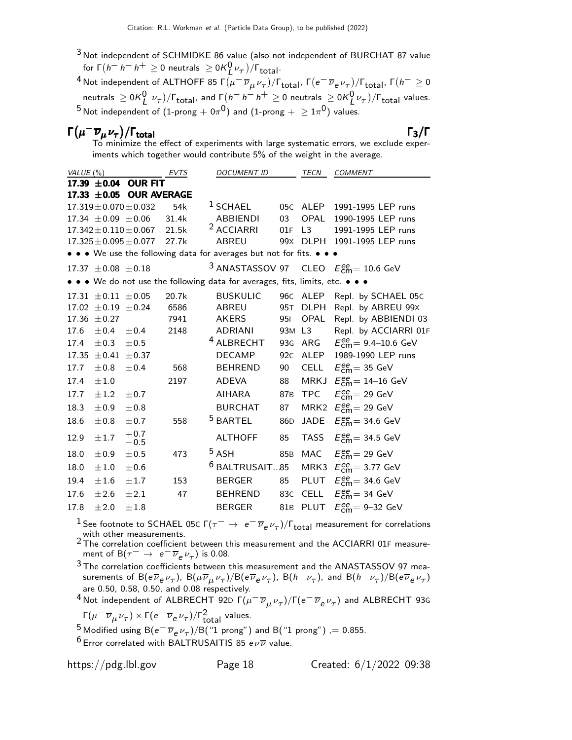3 Not independent of SCHMIDKE 86 value (also not independent of BURCHAT 87 value for Γ $(h^- h^- h^+ \ge 0$  neutrals  $\ge 0$ Κ $_{L}^{0}$ ν $_{\tau}$ )/Γ<sub>total</sub>.

 $^4$ Not independent of ALTHOFF 85 Γ $(\overline{ \mu}^- \overline{\nu}_{\mu} \nu_{\tau})/\Gamma_{\text{total}}$ , Γ $(e^- \overline{\nu}_{\text{e}} \nu_{\tau})/\Gamma_{\text{total}}$ , Γ $(h^- \geq 0$ neutrals  $\geq 0 \kappa_L^0 \nu_\tau) / \Gamma_{\rm total}$ , and  $\Gamma(h^- h^- h^+ \geq 0$  neutrals  $\geq 0 \kappa_L^0 \nu_\tau) / \Gamma_{\rm total}$  values.  $^5$ Not independent of  $(1\text{-prong} + 0\pi^0)$  and  $(1\text{-prong} + \geq 1\pi^0)$  values.

# $\Gamma(\mu^-\overline{\nu}_\mu \nu_\tau)/\Gamma_{\rm total}$  Γ3/Γ

To minimize the effect of experiments with large systematic errors, we exclude experiments which together would contribute 5% of the weight in the average.

| VALUE $(\% )$ |                             |                              | <b>EVTS</b> | <b>DOCUMENT ID</b>                                                            |                 | <b>TECN</b>      | <b>COMMENT</b>                                                  |
|---------------|-----------------------------|------------------------------|-------------|-------------------------------------------------------------------------------|-----------------|------------------|-----------------------------------------------------------------|
|               | $17.39 \pm 0.04$            | <b>OUR FIT</b>               |             |                                                                               |                 |                  |                                                                 |
|               | $17.33 \pm 0.05$            | <b>OUR AVERAGE</b>           |             |                                                                               |                 |                  |                                                                 |
|               |                             | $17.319 \pm 0.070 \pm 0.032$ | 54k         | <sup>1</sup> SCHAEL                                                           | 05 <sub>C</sub> | ALEP             | 1991-1995 LEP runs                                              |
|               |                             | $17.34 \pm 0.09 \pm 0.06$    | 31.4k       | <b>ABBIENDI</b>                                                               | 03              | OPAL             | 1990-1995 LEP runs                                              |
|               |                             | $17.342 \pm 0.110 \pm 0.067$ | 21.5k       | <sup>2</sup> ACCIARRI                                                         | 01F             | L3               | 1991-1995 LEP runs                                              |
|               |                             | $17.325 \pm 0.095 \pm 0.077$ | 27.7k       | <b>ABREU</b>                                                                  |                 | 99X DLPH         | 1991-1995 LEP runs                                              |
|               |                             |                              |             | • • • We use the following data for averages but not for fits. • • •          |                 |                  |                                                                 |
|               | 17.37 $\pm$ 0.08 $\pm$ 0.18 |                              |             |                                                                               |                 |                  | <sup>3</sup> ANASTASSOV 97 CLEO $E_{\text{cm}}^{ee}$ = 10.6 GeV |
|               |                             |                              |             | • • • We do not use the following data for averages, fits, limits, etc. • • • |                 |                  |                                                                 |
|               | $17.31 \pm 0.11 \pm 0.05$   |                              | 20.7k       | <b>BUSKULIC</b>                                                               |                 | 96C ALEP         | Repl. by SCHAEL 05C                                             |
|               | 17.02 $\pm$ 0.19 $\pm$ 0.24 |                              | 6586        | <b>ABREU</b>                                                                  | 95T             | <b>DLPH</b>      | Repl. by ABREU 99X                                              |
| 17.36         | $\pm 0.27$                  |                              | 7941        | <b>AKERS</b>                                                                  | 951             | OPAL             | Repl. by ABBIENDI 03                                            |
| 17.6          | ±0.4                        | ±0.4                         | 2148        | <b>ADRIANI</b>                                                                | 93M L3          |                  | Repl. by ACCIARRI 01F                                           |
| 17.4          | ±0.3                        | ±0.5                         |             | <sup>4</sup> ALBRECHT                                                         | 93 <sub>G</sub> | ARG              | $E_{\text{cm}}^{\text{ee}} = 9.4 - 10.6 \text{ GeV}$            |
| 17.35         | $\pm$ 0.41                  | $\pm 0.37$                   |             | <b>DECAMP</b>                                                                 | 92C             | ALEP             | 1989-1990 LEP runs                                              |
| 17.7          | ±0.8                        | ±0.4                         | 568         | <b>BEHREND</b>                                                                | 90              | <b>CELL</b>      | $E_{\text{cm}}^{\text{ee}}$ = 35 GeV                            |
| 17.4          | ±1.0                        |                              | 2197        | <b>ADEVA</b>                                                                  | 88              | <b>MRKJ</b>      | $E_{\text{cm}}^{\text{ee}}$ = 14–16 GeV                         |
| 17.7          | ±1.2                        | ±0.7                         |             | <b>AIHARA</b>                                                                 | 87 <sub>B</sub> | <b>TPC</b>       | $E_{\text{cm}}^{\text{ee}}$ = 29 GeV                            |
| 18.3          | ±0.9                        | ±0.8                         |             | <b>BURCHAT</b>                                                                | 87              | MRK <sub>2</sub> | $E_{\text{cm}}^{\text{ee}}$ = 29 GeV                            |
| 18.6          | ±0.8                        | ±0.7                         | 558         | <sup>5</sup> BARTEL                                                           | 86 <sub>D</sub> | <b>JADE</b>      | $E_{\text{cm}}^{\text{ee}}$ 34.6 GeV                            |
| 12.9          | ±1.7                        | $^{+0.7}_{-0.5}$             |             | <b>ALTHOFF</b>                                                                | 85              | <b>TASS</b>      | $E_{\text{cm}}^{ee}$ = 34.5 GeV                                 |
| 18.0          | ±0.9                        | ±0.5                         | 473         | $5$ ASH                                                                       | 85 <sub>B</sub> | MAC              | $E_{\text{cm}}^{\text{ee}}$ = 29 GeV                            |
| 18.0          | ±1.0                        | ±0.6                         |             | $6$ BALTRUSAIT85                                                              |                 |                  | MRK3 $E_{\text{cm}}^{\text{ee}} = 3.77 \text{ GeV}$             |
| 19.4          | ±1.6                        | ±1.7                         | 153         | <b>BERGER</b>                                                                 | 85              | PLUT             | $E_{\text{cm}}^{\text{ee}}$ = 34.6 GeV                          |
| 17.6          | ±2.6                        | ±2.1                         | 47          | <b>BEHREND</b>                                                                | 83C             | <b>CELL</b>      | $E_{\text{cm}}^{\text{ee}}$ = 34 GeV                            |
| 17.8          | ±2.0                        | ±1.8                         |             | <b>BERGER</b>                                                                 |                 | 81B PLUT         | $E_{\text{cm}}^{\text{ee}}$ = 9-32 GeV                          |

<sup>1</sup> See footnote to SCHAEL 05C  $\Gamma(\tau^- \to e^- \overline{\nu}_e \nu_\tau)/\Gamma_{\rm total}$  measurement for correlations with other measurements.

2 The correlation coefficient between this measurement and the ACCIARRI 01F measurement of B( $\tau^- \to e^- \overline{\nu}_e \nu_\tau$ ) is 0.08.

 $3$  The correlation coefficients between this measurement and the ANASTASSOV 97 measurements of  ${\sf B}(e\overline\nu_e\nu_\tau)$ ,  ${\sf B}(\mu\overline\nu_\mu\nu_\tau)/{\sf B}(e\overline\nu_e\nu_\tau)$ ,  ${\sf B}(h^-\nu_\tau)$ , and  ${\sf B}(h^-\nu_\tau)/{\sf B}(e\overline\nu_e\nu_\tau)$ are 0.50, 0.58, 0.50, and 0.08 respectively.

 $^4$ Not independent of ALBRECHT 92D Γ $(\mu^-\overline{\nu}_\mu \nu_\tau)/$ Γ $(e^-\overline{\nu}_e \nu_\tau)$  and ALBRECHT 93G

Γ $(\mu^- \overline{\nu}_{\mu} \nu_{\tau}) \times \Gamma(e^- \overline{\nu}_{e} \nu_{\tau})/\Gamma_{total}^2$  values.

<sup>5</sup> Modified using B $(e^- \overline{\nu}_e \nu_\tau)/B("1 \text{ prong}")$  and B $("1 \text{ prong}")$  ,= 0.855.

 $6$  Error correlated with BALTRUSAITIS 85  $e\nu\overline{\nu}$  value.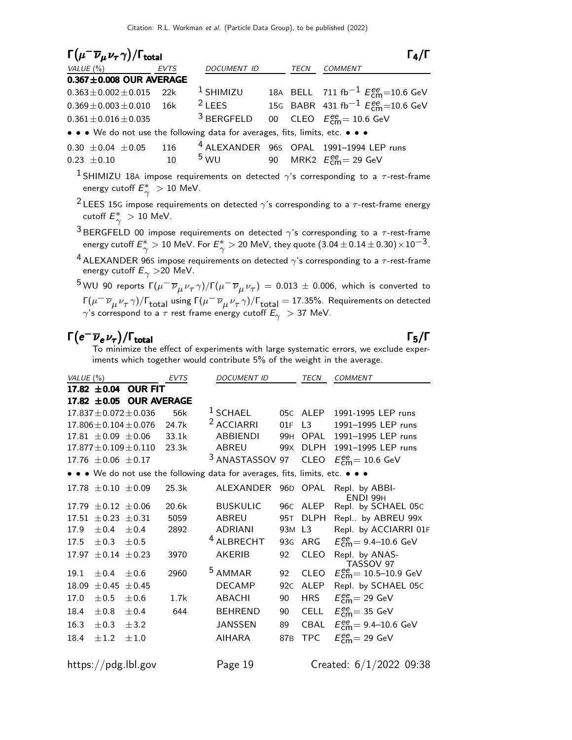| $\Gamma(\mu^- \overline{\nu}_\mu \nu_\tau \gamma)/\Gamma_{\rm total}$         |     |               | $\Gamma_4/\Gamma$ |                                                        |
|-------------------------------------------------------------------------------|-----|---------------|-------------------|--------------------------------------------------------|
| $VALUE(%)$ EVTS                                                               |     | DOCUMENT ID   | TECN              | <b>COMMENT</b>                                         |
| $0.367 \pm 0.008$ OUR AVERAGE                                                 |     |               |                   |                                                        |
| $0.363 \pm 0.002 \pm 0.015$ 22k                                               |     | $1$ SHIMIZU   |                   | 18A BELL 711 fb <sup>-1</sup> $E_{cm}^{ee}$ =10.6 GeV  |
| $0.369 \pm 0.003 \pm 0.010$ 16k                                               |     | $2$ LEES      |                   | 15G BABR 431 fb <sup>-1</sup> $E_{cm}^{ee}$ =10.6 GeV  |
| $0.361 \pm 0.016 \pm 0.035$                                                   |     |               |                   | <sup>3</sup> BERGFELD 00 CLEO $E_{cm}^{ee}$ = 10.6 GeV |
| • • • We do not use the following data for averages, fits, limits, etc. • • • |     |               |                   |                                                        |
| $0.30 \pm 0.04 \pm 0.05$                                                      | 116 |               |                   | <sup>4</sup> ALEXANDER 96S OPAL 1991-1994 LEP runs     |
| $0.23 \pm 0.10$                                                               | 10  | $5 \text{WU}$ |                   | 90 MRK2 $E_{\text{cm}}^{\text{ee}}$ = 29 GeV           |

<sup>1</sup> SHIMIZU 18A impose requirements on detected  $\gamma$ 's corresponding to a  $\tau$ -rest-frame energy cutoff  $E_\gamma^*>10$  MeV.

<sup>2</sup> LEES 15G impose requirements on detected  $\gamma$ 's corresponding to a  $\tau$ -rest-frame energy cutoff  $E_\gamma^*>10$  MeV.

<sup>3</sup> BERGFELD 00 impose requirements on detected  $\gamma$ 's corresponding to a  $\tau$ -rest-frame energy cutoff  $E_\gamma^*>10$  MeV. For  $E_\gamma^*>20$  MeV, they quote  $(3.04\pm 0.14\pm 0.30)\!\times\!10^{-3}$ .

<sup>4</sup> ALEXANDER 96S impose requirements on detected  $\gamma$ 's corresponding to a  $\tau$ -rest-frame energy cutoff  $E_{\gamma} > 20$  MeV.

 $^5$ WU 90 reports  $\Gamma(\mu^-\,\overline{\nu}_\mu\,\nu_\tau\,\gamma)/\Gamma(\mu^-\,\overline{\nu}_\mu\,\nu_\tau)\,=\,0.013\,\pm\,0.006,$  which is converted to Γ( $\mu^-\overline{\nu}_\mu{}{\nu_\tau}\gamma)$ /Γ $_{\rm total}$  using Γ( $\mu^-\overline{\nu}_\mu{}{\nu_\tau}\gamma)$ /Γ $_{\rm total}$  = 17.35%. Requirements on detected  $\gamma$ 's correspond to a  $\tau$  rest frame energy cutoff  $E_\gamma^{\phantom{\dagger}} >$  37 MeV.

#### $\Gamma(e^{-}\overline{\nu}_{e}\nu_{\tau})/\Gamma_{\mathrm{total}}$  Γ<sub>5</sub>/Γ /Γ $_{\rm total}$ Γ5/Γ

To minimize the effect of experiments with large systematic errors, we exclude experiments which together would contribute 5% of the weight in the average.

| VALUE $(\%)$                                                                  |                             |                              | <b>EVTS</b> | <b>DOCUMENT ID</b>    |                 | <b>TECN</b>    | <b>COMMENT</b>                                        |
|-------------------------------------------------------------------------------|-----------------------------|------------------------------|-------------|-----------------------|-----------------|----------------|-------------------------------------------------------|
|                                                                               | $17.82 \pm 0.04$            | <b>OUR FIT</b>               |             |                       |                 |                |                                                       |
|                                                                               | 17.82 $\pm 0.05$            | <b>OUR AVERAGE</b>           |             |                       |                 |                |                                                       |
|                                                                               |                             | $17.837 \pm 0.072 \pm 0.036$ | 56k         | $1$ SCHAEL            | 05C             | ALEP           | 1991-1995 LEP runs                                    |
|                                                                               |                             | $17.806 \pm 0.104 \pm 0.076$ | 24.7k       | <sup>2</sup> ACCIARRI | 01F             | L3             | 1991-1995 LEP runs                                    |
|                                                                               | $17.81 \pm 0.09 \pm 0.06$   |                              | 33.1k       | <b>ABBIENDI</b>       | 99 <sub>H</sub> | <b>OPAL</b>    | 1991-1995 LEP runs                                    |
|                                                                               |                             | $17.877 \pm 0.109 \pm 0.110$ | 23.3k       | ABREU                 | 99 <sub>X</sub> | <b>DLPH</b>    | 1991-1995 LEP runs                                    |
|                                                                               | 17.76 $\pm 0.06 \pm 0.17$   |                              |             | 3<br>ANASTASSOV 97    |                 | <b>CLEO</b>    | $E_{\text{cm}}^{\text{ee}} = 10.6 \text{ GeV}$        |
| • • • We do not use the following data for averages, fits, limits, etc. • • • |                             |                              |             |                       |                 |                |                                                       |
|                                                                               | 17.78 $\pm$ 0.10 $\pm$ 0.09 |                              | 25.3k       | ALEXANDER             |                 | 96D OPAL       | Repl. by ABBI-<br>ENDI 99H                            |
|                                                                               | 17.79 $\pm$ 0.12 $\pm$ 0.06 |                              | 20.6k       | <b>BUSKULIC</b>       | 96C             | ALEP           | Repl. by SCHAEL 05C                                   |
| 17.51                                                                         | $\pm 0.23 \pm 0.31$         |                              | 5059        | <b>ABREU</b>          | 95T             | <b>DLPH</b>    | Repl by ABREU 99X                                     |
| 17.9                                                                          | ±0.4                        | ±0.4                         | 2892        | ADRIANI               | 93M             | L <sub>3</sub> | Repl. by ACCIARRI 01F                                 |
| 17.5                                                                          | $\pm 0.3$                   | ±0.5                         |             | <sup>4</sup> ALBRECHT | 93 <sub>G</sub> | ARG            | $E_{cm}^{ee}$ = 9.4–10.6 GeV                          |
| 17.97                                                                         |                             | $\pm 0.14 \pm 0.23$          | 3970        | <b>AKERIB</b>         | 92              | <b>CLEO</b>    | Repl. by ANAS-<br>TASSOV 97                           |
| 19.1                                                                          | ±0.4                        | $\pm 0.6$                    | 2960        | <sup>5</sup> AMMAR    | 92              | <b>CLEO</b>    | $E_{\text{cm}}^{\text{ee}} = 10.5 - 10.9 \text{ GeV}$ |
| 18.09                                                                         | ± 0.45                      | ±0.45                        |             | <b>DECAMP</b>         | 92C             | ALEP           | Repl. by SCHAEL 05C                                   |
| 17.0                                                                          | $\pm 0.5$                   | $\pm 0.6$                    | 1.7k        | <b>ABACHI</b>         | 90              | <b>HRS</b>     | $E_{\text{cm}}^{\text{ee}}$ = 29 GeV                  |
| 18.4                                                                          | $\pm 0.8$                   | ±0.4                         | 644         | <b>BEHREND</b>        | 90              | <b>CELL</b>    | $E_{\text{cm}}^{\text{ee}}$ = 35 GeV                  |
| 16.3                                                                          | $\pm 0.3$                   | $\pm$ 3.2                    |             | <b>JANSSEN</b>        | 89              | <b>CBAL</b>    | $E_{cm}^{ee}$ = 9.4–10.6 GeV                          |
| 18.4                                                                          | $\pm 1.2$                   | ±1.0                         |             | <b>AIHARA</b>         | 87 <sub>B</sub> | <b>TPC</b>     | $E_{\text{rm}}^{\text{ee}} = 29$ GeV                  |
|                                                                               |                             |                              |             |                       |                 |                |                                                       |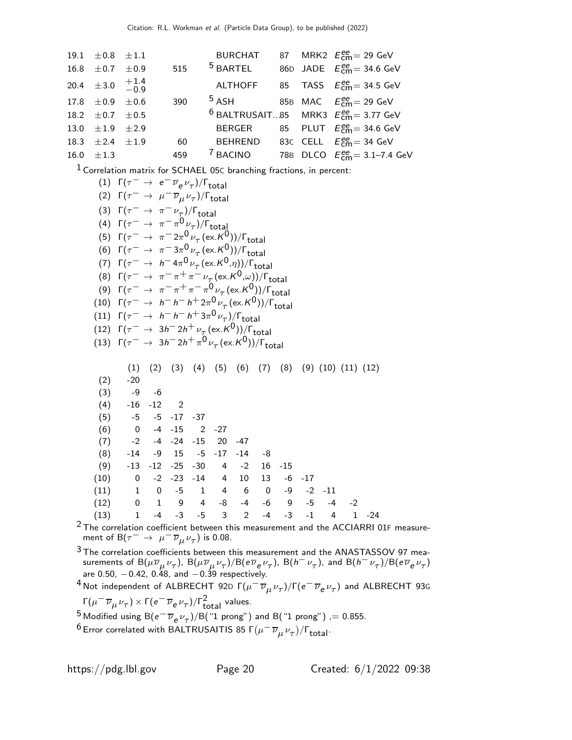| 19.1 $\pm 0.8$ $\pm 1.1$        |     | BURCHAT                                |  | 87 MRK2 $E_{\text{cm}}^{\text{ee}}$ = 29 GeV            |
|---------------------------------|-----|----------------------------------------|--|---------------------------------------------------------|
| 16.8 $\pm$ 0.7 $\pm$ 0.9        | 515 | $5$ BARTEL                             |  | 86D JADE $E_{\text{cm}}^{ee}$ = 34.6 GeV                |
| 20.4 $\pm 3.0$ $^{+1.4}_{-0.9}$ |     |                                        |  | ALTHOFF 85 TASS $E_{cm}^{ee}$ = 34.5 GeV                |
| $17.8 \pm 0.9 \pm 0.6$          | 390 | $5$ ASH 85B MAC $E_{cm}^{ee} = 29$ GeV |  |                                                         |
| 18.2 $\pm$ 0.7 $\pm$ 0.5        |     |                                        |  | <sup>6</sup> BALTRUSAIT85 MRK3 $E_{cm}^{ee}$ = 3.77 GeV |
| 13.0 $\pm 1.9$ $\pm 2.9$        |     |                                        |  | BERGER 85 PLUT $E_{cm}^{ee}$ = 34.6 GeV                 |
| 18.3 $\pm 2.4$ $\pm 1.9$        | 60  |                                        |  | BEHREND 83C CELL $E_{cm}^{ee}$ = 34 GeV                 |
| 16.0 $\pm 1.3$                  | 459 | <sup>7</sup> BACINO                    |  | 78B DLCO $E_{cm}^{ee} = 3.1 - 7.4$ GeV                  |

1 Correlation matrix for SCHAEL 05<sup>C</sup> branching fractions, in percent:

|      | (1) $\Gamma(\tau^- \to e^- \overline{\nu}_e \nu_\tau)/\Gamma_{\text{total}}$                      |  |  |  |  |                                                                            |  |               |  |  |                              |  |
|------|---------------------------------------------------------------------------------------------------|--|--|--|--|----------------------------------------------------------------------------|--|---------------|--|--|------------------------------|--|
|      | (2) $\Gamma(\tau^- \to \mu^- \overline{\nu}_{\mu} \nu_{\tau})/\Gamma_{\text{total}}$              |  |  |  |  |                                                                            |  |               |  |  |                              |  |
|      | (3) $\Gamma(\tau^- \to \pi^- \nu_\tau)/\Gamma_{\text{total}}$                                     |  |  |  |  |                                                                            |  |               |  |  |                              |  |
|      | (4) $\Gamma(\tau^- \to \pi^- \pi^0 \nu_\tau)/\Gamma_{\text{total}}$                               |  |  |  |  |                                                                            |  |               |  |  |                              |  |
|      | (5) $\Gamma(\tau^- \to \pi^- 2\pi^0 \nu_\tau (\text{ex.} K^0))/\Gamma_{\text{total}}$             |  |  |  |  |                                                                            |  |               |  |  |                              |  |
|      | (6) $\Gamma(\tau^- \to \pi^- 3\pi^0 \nu_\tau (\text{ex.} K^0))/\Gamma_{\text{total}}$             |  |  |  |  |                                                                            |  |               |  |  |                              |  |
|      | (7) $\Gamma(\tau^- \to h^- 4\pi^0 \nu_\tau (\text{ex.} K^0, \eta))/\Gamma_{\text{total}}$         |  |  |  |  |                                                                            |  |               |  |  |                              |  |
|      | (8) $\Gamma(\tau^- \to \pi^- \pi^+ \pi^- \nu_\tau (\text{ex.} K^0,\omega))/\Gamma_{\text{total}}$ |  |  |  |  |                                                                            |  |               |  |  |                              |  |
|      | (9) $\Gamma(\tau^- \to \pi^- \pi^+ \pi^- \pi^0 \nu_\tau (\text{ex. K}^0))/\Gamma_{\text{total}}$  |  |  |  |  |                                                                            |  |               |  |  |                              |  |
|      | (10) $\Gamma(\tau^- \to h^- h^- h^+ 2\pi^0 \nu_\tau (\text{ex.} K^0))/\Gamma_{\text{total}}$      |  |  |  |  |                                                                            |  |               |  |  |                              |  |
|      | (11) $\Gamma(\tau^- \to h^- h^- h^+ 3\pi^0 \nu_\tau)/\Gamma_{\text{total}}$                       |  |  |  |  |                                                                            |  |               |  |  |                              |  |
|      | (12) $\Gamma(\tau^- \to 3h^- 2h^+ \nu_\tau (\text{ex. K}^0))/\Gamma_{\text{total}}$               |  |  |  |  |                                                                            |  |               |  |  |                              |  |
|      | (13) $\Gamma(\tau^- \to 3h^- 2h^+ \pi^0 \nu_\tau (\text{ex.} K^0))/\Gamma_{\text{total}}$         |  |  |  |  |                                                                            |  |               |  |  |                              |  |
|      |                                                                                                   |  |  |  |  |                                                                            |  |               |  |  |                              |  |
|      |                                                                                                   |  |  |  |  | $(1)$ $(2)$ $(3)$ $(4)$ $(5)$ $(6)$ $(7)$ $(8)$ $(9)$ $(10)$ $(11)$ $(12)$ |  |               |  |  |                              |  |
|      | $(2)$ -20                                                                                         |  |  |  |  |                                                                            |  |               |  |  |                              |  |
|      | $(3)$ -9 -6                                                                                       |  |  |  |  |                                                                            |  |               |  |  |                              |  |
|      | $(4)$ -16 -12 2<br>$(5)$ -5 -5 -17 -37                                                            |  |  |  |  |                                                                            |  |               |  |  |                              |  |
|      | $(6)$ 0 -4 -15 2 -27                                                                              |  |  |  |  |                                                                            |  |               |  |  |                              |  |
|      | $(7)$ -2 -4 -24 -15 20 -47                                                                        |  |  |  |  |                                                                            |  |               |  |  |                              |  |
|      | $(8)$ -14 -9 15 -5 -17 -14 -8                                                                     |  |  |  |  |                                                                            |  |               |  |  |                              |  |
|      | $(9)$ -13 -12 -25 -30 4 -2 16 -15                                                                 |  |  |  |  |                                                                            |  |               |  |  |                              |  |
|      | $(10)$ 0 -2 -23 -14 4 10                                                                          |  |  |  |  |                                                                            |  | $13 - 6 - 17$ |  |  |                              |  |
|      | $(11)$ 1 0 -5 1 4 6 0 -9 -2 -11                                                                   |  |  |  |  |                                                                            |  |               |  |  |                              |  |
|      | $(12)$ 0 1 9 4 -8 -4 -6 9 -5 -4 -2                                                                |  |  |  |  |                                                                            |  |               |  |  |                              |  |
| (13) | $1 -4 -3 -5 3 2$                                                                                  |  |  |  |  |                                                                            |  |               |  |  | $-4$ $-3$ $-1$ $4$ $1$ $-24$ |  |

 $2$  The correlation coefficient between this measurement and the ACCIARRI 01F measurement of B $(\tau^-\rightarrow\ \mu^-\overline{\nu}_{\mu}\nu_{\tau})$  is 0.08.

<sup>3</sup> The correlation coefficients between this measurement and the ANASTASSOV 97 measurements of  ${\sf B}(\mu\overline\nu_\mu\nu_\tau)$ ,  ${\sf B}(\mu\overline\nu_\mu\nu_\tau)/{\sf B}$ (e $\overline\nu_e\nu_\tau)$ ,  ${\sf B}(h^-\nu_\tau)$ , and  ${\sf B}(h^-\nu_\tau)/{\sf B}(e\overline\nu_e\nu_\tau)$ are 0.50, −0.42, 0.48, and −0.39 respectively.

 $^4$ Not independent of ALBRECHT 92D Γ $(\mu^-\overline{\nu}_\mu \nu_\tau)/$ Γ $(e^-\overline{\nu}_e \nu_\tau)$  and ALBRECHT 93G Γ $(\mu^- \overline{\nu}_{\mu} \nu_{\tau}) \times \Gamma(e^- \overline{\nu}_{e} \nu_{\tau})/\Gamma_{total}^2$  values.

<sup>5</sup> Modified using B $(e^- \overline{\nu}_e \nu_\tau)/B$ ("1 prong") and B("1 prong") ,= 0.855.

 $^6$ Error correlated with BALTRUSAITIS 85 Γ $(\mu^-\,\overline{\nu}_\mu\,\nu_\tau)/$ Γ $_{\rm total}$ .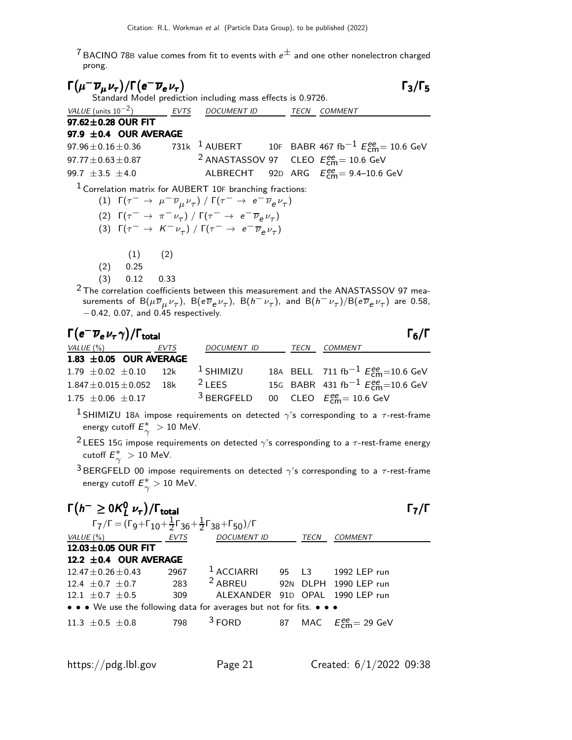$\frac{7}{7}$ BACINO 78B value comes from fit to events with  $e^{\pm}$  and one other nonelectron charged prong.

 $\Gamma(\mu^- \overline{\nu}_\mu \nu_\tau)/\Gamma(e^- \overline{\nu}_e \nu_\tau)$  Γ<sub>3</sub>/Γ<sub>5</sub>  $\frac{1}{\nu} \frac{1}{\nu} \frac{1}{\nu} \frac{1}{\sqrt{1-\nu}} \int \frac{1}{\sqrt{1-\nu}} \frac{1}{\sqrt{1-\nu}} \frac{1}{\sqrt{1-\nu}} \int \frac{1}{\sqrt{1-\nu}} \frac{1}{\sqrt{1-\nu}} \frac{1}{\sqrt{1-\nu}} \frac{1}{\sqrt{1-\nu}}$ VALUE (units  $10^{-2}$ ) ) EVTS DOCUMENT ID TECN COMMENT  $97.62 \pm 0.28$  OUR FIT **97.9**  $\pm$ **0.4 OUR AVERAGE**<br>97.96  $\pm$  0.16  $\pm$  0.36 731 97.96 $\pm$ 0.16 $\pm$ 0.36 731k 1 AUBERT 10F BABR 467 fb $^{-1}$   $E_{\mathsf{cm}}^{ee}$ = 10.6 GeV 97.77 $\pm$ 0.63 $\pm$ 0.87 <sup>2</sup> ANASTASSOV 97 CLEO  $E_{\textsf{cm}}^{ee}$  = 10.6 GeV 99.7 ±3.5 ±4.0 ALBRECHT 92<sup>D</sup> ARG E ee cm= 9.4–10.6 GeV  $1$  Correlation matrix for AUBERT 10F branching fractions: (1) Γ( $\tau^-\rightarrow\ \mu^-\overline{\nu}_\mu^{}\nu_\tau^{})\ /$  Γ( $\tau^-\rightarrow\ e^-\overline{\nu}_e^{}\nu_\tau^{})$ (2)  $\Gamma(\tau^- \to \pi^- \nu_\tau) / \Gamma(\tau^- \to e^- \overline{\nu}_e \nu_\tau)$ (3)  $\Gamma(\tau^- \to K^- \nu_\tau) / \Gamma(\tau^- \to e^- \overline{\nu}_e \nu_\tau)$  $(1)$   $(2)$ (2) 0.25 (3) 0.12 0.33

 $2$  The correlation coefficients between this measurement and the ANASTASSOV 97 measurements of  ${\sf B}(\mu\overline{\nu}_\mu\nu_\tau)$ ,  ${\sf B}({\sf e}\overline{\nu}_{\sf e}\nu_\tau)$ ,  ${\sf B}(h^-\nu_\tau)$ , and  ${\sf B}(h^-\nu_\tau)/{\sf B}({\sf e}\overline{\nu}_{\sf e}\nu_\tau)$  are 0.58, −0.42, 0.07, and 0.45 respectively.

| $\Gamma\bigl( e^-\overline{\nu}_e\,\nu_\tau\,\gamma\bigr)/\Gamma_{\rm total}$ |      |             |      | $\Gamma_6/\Gamma$                                             |
|-------------------------------------------------------------------------------|------|-------------|------|---------------------------------------------------------------|
| VALUE $(\%)$                                                                  | EVTS | DOCUMENT ID | TECN | <b>COMMENT</b>                                                |
| 1.83 $\pm$ 0.05 OUR AVERAGE                                                   |      |             |      |                                                               |
| $1.79 \pm 0.02 \pm 0.10$ 12k                                                  |      | $1$ SHIMIZU |      | 18A BELL 711 fb <sup>-1</sup> $E_{cm}^{ee}$ =10.6 GeV         |
| $1.847 \pm 0.015 \pm 0.052$                                                   | 18k  | $2$ LEES    |      | 15G BABR 431 fb <sup>-1</sup> $E_{cm}^{ee}$ =10.6 GeV         |
| $1.75 \pm 0.06 \pm 0.17$                                                      |      |             |      | <sup>3</sup> BERGFELD 00 CLEO $E_{\text{cm}}^{ee}$ = 10.6 GeV |

<sup>1</sup> SHIMIZU 18A impose requirements on detected  $\gamma$ 's corresponding to a  $\tau$ -rest-frame energy cutoff  $E_\gamma^*>10$  MeV.

<sup>2</sup> LEES 15G impose requirements on detected  $\gamma$ 's corresponding to a  $\tau$ -rest-frame energy cutoff  $E_\gamma^*>10$  MeV.

<sup>3</sup> BERGFELD 00 impose requirements on detected  $\gamma$ 's corresponding to a  $\tau$ -rest-frame energy cutoff  $E_\gamma^*>10$  MeV.

| $\Gamma(h^{-} \ge 0 \mathcal{K}_{L}^{0} \nu_{\tau}) / \Gamma_{\text{total}}$<br>$\Gamma_{7}/\Gamma = (\Gamma_{9} + \Gamma_{10} + \frac{1}{2} \Gamma_{36} + \frac{1}{2} \Gamma_{38} + \Gamma_{50}) / \Gamma$ |      |                                          |      |                                      |  |
|-------------------------------------------------------------------------------------------------------------------------------------------------------------------------------------------------------------|------|------------------------------------------|------|--------------------------------------|--|
|                                                                                                                                                                                                             |      |                                          |      |                                      |  |
| VALUE $(\%)$                                                                                                                                                                                                | EVTS | <b>DOCUMENT ID</b>                       | TECN | COMMENT                              |  |
| 12.03±0.05 OUR FIT                                                                                                                                                                                          |      |                                          |      |                                      |  |
| 12.2 $\pm$ 0.4 OUR AVERAGE                                                                                                                                                                                  |      |                                          |      |                                      |  |
| $12.47 + 0.26 + 0.43$                                                                                                                                                                                       | 2967 | <sup>1</sup> ACCIARRI 95 L3 1992 LEP run |      |                                      |  |
| $12.4 + 0.7 + 0.7$                                                                                                                                                                                          | 283  | <sup>2</sup> ABREU                       |      | 92N DLPH 1990 LEP run                |  |
| $12.1 + 0.7 + 0.5$                                                                                                                                                                                          | 309  | ALFXANDER                                |      | 91D OPAL 1990 LEP run                |  |
| • • • We use the following data for averages but not for fits. • • •                                                                                                                                        |      |                                          |      |                                      |  |
| $11.3 + 0.5 + 0.8$                                                                                                                                                                                          | 798  | $3$ FORD                                 |      | 87 MAC $E_{\text{cm}}^{ee}$ = 29 GeV |  |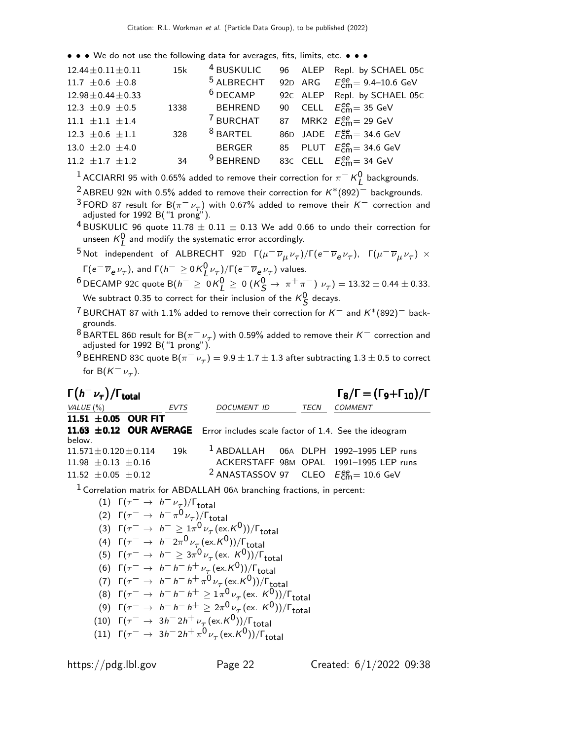• • • We do not use the following data for averages, fits, limits, etc. • • •

| $12.44 \pm 0.11 \pm 0.11$ | 15k  | <sup>4</sup> BUSKULIC |  | 96 ALEP Repl. by SCHAEL 05C                   |
|---------------------------|------|-----------------------|--|-----------------------------------------------|
| 11.7 $\pm$ 0.6 $\pm$ 0.8  |      | <sup>5</sup> ALBRECHT |  | 92D ARG $E_{cm}^{ee} = 9.4 - 10.6$ GeV        |
| $12.98 \pm 0.44 \pm 0.33$ |      | $6$ DECAMP            |  | 92C ALEP Repl. by SCHAEL 05C                  |
| 12.3 $\pm$ 0.9 $\pm$ 0.5  | 1338 | <b>BEHREND</b>        |  | 90 CELL $E_{\text{cm}}^{\text{ee}}$ = 35 GeV  |
| $11.1 \pm 1.1 \pm 1.4$    |      | <sup>7</sup> BURCHAT  |  | 87 MRK2 $E_{\text{cm}}^{\text{ee}}$ = 29 GeV  |
| 12.3 $\pm$ 0.6 $\pm$ 1.1  | 328  | $8$ BARTEL            |  | 86D JADE $E_{\text{cm}}^{ee}$ 34.6 GeV        |
| 13.0 $\pm 2.0 \pm 4.0$    |      | BERGER                |  | 85 PLUT $E_{\text{cm}}^{ee}$ = 34.6 GeV       |
| 11.2 $\pm$ 1.7 $\pm$ 1.2  | 34   | $9$ BEHREND           |  | 83C CELL $E_{\text{cm}}^{\text{ee}}$ = 34 GeV |
|                           |      |                       |  |                                               |

 $^1$  ACCIARRI 95 with 0.65% added to remove their correction for  $\pi^-$  K $^0_L$  backgrounds.

- <sup>2</sup> ABREU 92N with 0.5% added to remove their correction for  $K*(892)^-$  backgrounds.
- <sup>3</sup> FORD 87 result for B( $\pi^- \nu_{\tau}$ ) with 0.67% added to remove their K<sup>-</sup> correction and adjusted for 1992 B $('1)$  prong").

<sup>4</sup> BUSKULIC 96 quote 11.78  $\pm$  0.11  $\pm$  0.13 We add 0.66 to undo their correction for unseen  $K^0_L$  and modify the systematic error accordingly.

 $^5$ Not independent of ALBRECHT 92D  $\Gamma(\mu^-\overline{\nu}_\mu \nu_\tau)/\Gamma(e^-\overline{\nu}_e \nu_\tau)$ ,  $\Gamma(\mu^-\overline{\nu}_\mu \nu_\tau)$   $\times$ Γ $(e^- \overline{\nu}_e \nu_\tau)$ , and Γ $(h^- \ge 0 \overline{K^0_L} \nu_\tau)$ /Γ $(e^- \overline{\nu}_e \nu_\tau)$  values.

 $^6$ DECAMP 92c quote B $(h^{-} \geq 0$ K $_L^0 \geq 0$   $(K_S^0 \to \pi^+ \pi^-)$   $\nu_{\tau}) = 13.32 \pm 0.44 \pm 0.33.$ We subtract 0.35 to correct for their inclusion of the  $\kappa^0_{\cal S}$  decays.

- <sup>7</sup> BURCHAT 87 with 1.1% added to remove their correction for K<sup>-</sup> and K<sup>\*</sup>(892)<sup>-</sup> backgrounds.
- <sup>8</sup> BARTEL 86D result for B( $\pi^{-}$   $\nu_{\tau}$ ) with 0.59% added to remove their  $K^{-}$  correction and adjusted for 1992 B("1 prong").

 $^9$ BEHREND 83C quote B $(\pi^-\,\nu_\tau^{})=$  9.9  $\pm$  1.7  $\pm$  1.3 after subtracting 1.3  $\pm$  0.5 to correct for  $B(K^-\nu_\tau)$ .

| $\Gamma(h^-\nu_\tau)/\Gamma_{\rm total}$ |      |                                                                                    |      | $\Gamma_8/\Gamma = (\Gamma_9 + \Gamma_{10})/\Gamma$ |  |  |
|------------------------------------------|------|------------------------------------------------------------------------------------|------|-----------------------------------------------------|--|--|
| VALUE $(\% )$                            | EVTS | DOCUMENT ID                                                                        | TECN | <b>COMMENT</b>                                      |  |  |
| 11.51 $\pm 0.05$ OUR FIT                 |      |                                                                                    |      |                                                     |  |  |
|                                          |      | 11.63 ±0.12 OUR AVERAGE Error includes scale factor of 1.4. See the ideogram       |      |                                                     |  |  |
| below.                                   |      |                                                                                    |      |                                                     |  |  |
| $11.571 \pm 0.120 \pm 0.114$             | 19k  | $1$ ABDALLAH 06A DLPH 1992-1995 LEP runs                                           |      |                                                     |  |  |
| $11.98 \pm 0.13 \pm 0.16$                |      |                                                                                    |      | ACKERSTAFF 98M OPAL 1991-1995 LEP runs              |  |  |
| 11.52 $\pm$ 0.05 $\pm$ 0.12              |      | <sup>2</sup> ANASTASSOV 97 CLEO $E_{cm}^{ee}$ = 10.6 GeV                           |      |                                                     |  |  |
|                                          |      | $\frac{1}{1}$ Correlation matrix for ARDALI AH 06A branching fractions in percent: |      |                                                     |  |  |

6A branching fractions,

(1)  $Γ(τ<sup>-</sup> → h<sup>-</sup>ν<sub>τ<sub>λ</sub></sub>) / Γ<sub>total</sub>$ (2)  $\Gamma(\tau^- \to h^- \pi^0 \nu_\tau)/\Gamma_{\text{total}}$ (3)  $\Gamma(\tau^- \to h^- \geq 1\pi^0 \nu_\tau (\text{ex. K}^0))/\Gamma_{\text{total}}$ (4)  $\Gamma(\tau^- \to h^- 2\pi^0 \nu_\tau (\text{ex. K}^0))/\Gamma_{\text{total}}$ (5)  $\Gamma(\tau^- \to h^- \geq 3\pi^0 \nu_\tau (\text{ex. K}^0))/\Gamma_{\text{total}}$ (6)  $\Gamma(\tau^- \to h^- h^- h^+ \nu_\tau (\text{ex. K}^0)) / \Gamma_{\text{total}}$ (7)  $Γ(τ<sup>-</sup> → h<sup>-</sup> h<sup>-</sup> h<sup>+</sup> π<sup>0</sup> ν<sub>τ</sub> (e x.K<sup>0</sup>))/Γ<sub>total</sub>$ (8)  $\Gamma(\tau^- \to h^- h^- h^+ \geq 1\pi^0 \nu_\tau (\text{ex. } K^0)) / \Gamma_{\text{total}}$ (9)  $\Gamma(\tau^- \to h^- h^- h^+ \geq 2\pi^0 \nu_\tau (\text{ex. } K^0))/\Gamma_{\text{total}}$ (10)  $\Gamma(\tau^- \to 3h^- 2h^+ \nu_\tau (\text{ex.} K^0)) / \Gamma_{\text{total}}$ (11)  $\Gamma(\tau^- \to 3 h^- 2 h^+ \pi^0 \nu_\tau (\text{ex. K}^0))/\Gamma_{\text{total}}$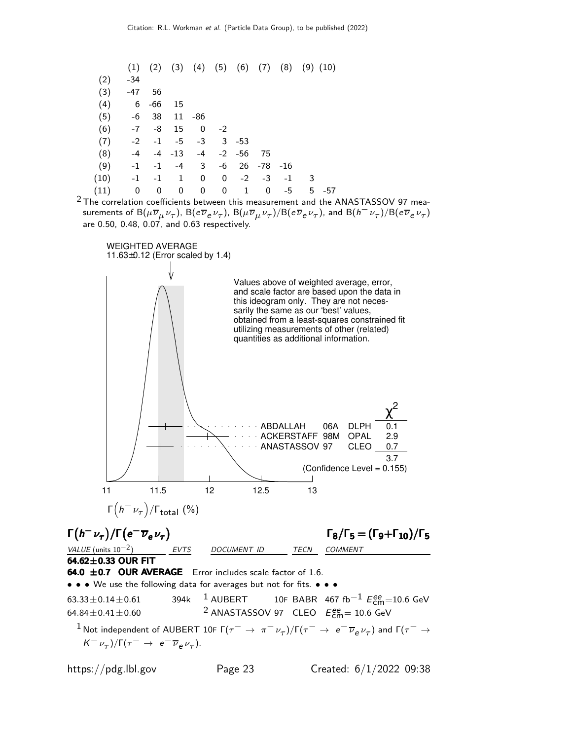| $-34$ |             |                                                                |                               |                    |              |                                               |                |           |                                                              |
|-------|-------------|----------------------------------------------------------------|-------------------------------|--------------------|--------------|-----------------------------------------------|----------------|-----------|--------------------------------------------------------------|
|       |             |                                                                |                               |                    |              |                                               |                |           |                                                              |
|       | -66         | 15                                                             |                               |                    |              |                                               |                |           |                                                              |
|       |             |                                                                |                               |                    |              |                                               |                |           |                                                              |
|       |             | 15                                                             | $\overline{0}$                | $-2$               |              |                                               |                |           |                                                              |
|       |             |                                                                |                               |                    |              |                                               |                |           |                                                              |
| $-4$  |             |                                                                | $-4$                          |                    |              | 75                                            |                |           |                                                              |
|       | $-1$        | -4                                                             | $\mathbf{3}$                  |                    |              |                                               |                |           |                                                              |
|       | $-1$        | 1                                                              | 0                             |                    |              | $-3$                                          | $-1$           | -3        |                                                              |
| 0     | 0           | 0                                                              | 0                             | 0                  | $\mathbf{1}$ | 0                                             | -5             | 5.<br>-57 |                                                              |
|       | (6)<br>(10) | $-47$ 56<br>$6\overline{6}$<br>$-6$ 38<br>$-7$<br>$-1$<br>$-1$ | -8<br>$-2$ $-1$<br>$-4$ $-13$ | 11 -86<br>$-5 - 3$ |              | $3 - 53$<br>$-2 - 56$<br>-6<br>$\overline{0}$ | 26 -78<br>$-2$ | -16       | $(1)$ $(2)$ $(3)$ $(4)$ $(5)$ $(6)$ $(7)$ $(8)$ $(9)$ $(10)$ |

 $2$  The correlation coefficients between this measurement and the ANASTASSOV 97 measurements of  ${\sf B}(\mu\overline\nu_\mu\nu_\tau)$ ,  ${\sf B}(e\overline\nu_e\nu_\tau)$ ,  ${\sf B}(\mu\overline\nu_\mu\nu_\tau)/{\sf B}(e\overline\nu_e\nu_\tau)$ , and  ${\sf B}(h^-\nu_\tau)/{\sf B}(e\overline\nu_e\nu_\tau)$ are 0.50, 0.48, 0.07, and 0.63 respectively.

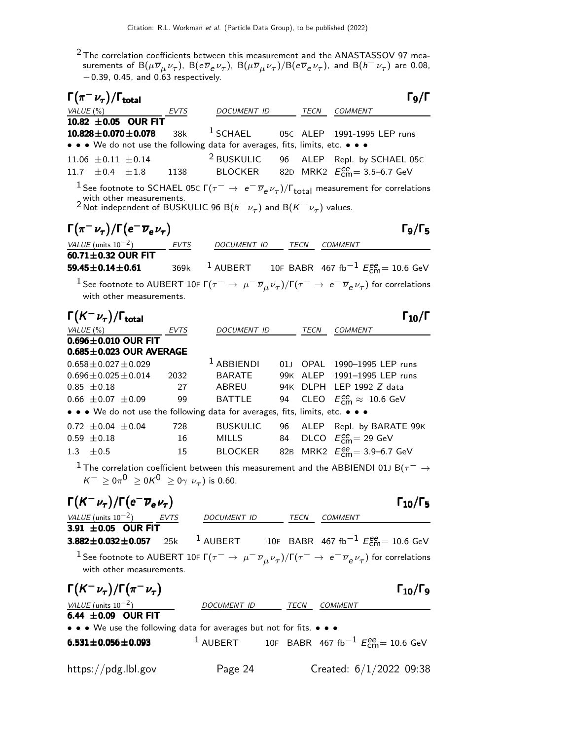$^2$ The correlation coefficients between this measurement and the ANASTASSOV 97 measurements of  ${\rm B}(\mu\overline{\nu}_{\mu}\nu_{\tau})$ ,  ${\rm B}(e\overline{\nu}_{e}\nu_{\tau})$ ,  ${\rm B}(\mu\overline{\nu}_{\mu}\nu_{\tau})/{\rm B}(e\overline{\nu}_{e}\nu_{\tau})$ , and  ${\rm B}(h^-\nu_{\tau})$  are 0.08, −0.39, 0.45, and 0.63 respectively.

| 96 ALEP Repl. by SCHAEL 05C                                                                                                                          |
|------------------------------------------------------------------------------------------------------------------------------------------------------|
|                                                                                                                                                      |
| $^1$ See footnote to SCHAEL 05C Г $(\tau^-\rightarrow\,e^-\,\overline{\nu}_e\,\nu_\tau)/\Gamma_{\rm total}$ measurement for correlations             |
|                                                                                                                                                      |
|                                                                                                                                                      |
| $\Gamma$ <sub>9</sub> /Γ <sub>5</sub>                                                                                                                |
|                                                                                                                                                      |
|                                                                                                                                                      |
| $^{-1}$ AUBERT $^{-1}$ 10F BABR 467 fb $^{-1}$ $E_{\rm cm}^{\rm ee}$ = 10.6 GeV                                                                      |
| $^1$ See footnote to AUBERT 10F Г $(\tau^-\to\mu^-\overline{\nu}_\mu\nu_\tau)/$ Г $(\tau^-\to\,e^-\overline{\nu}_e\nu_\tau)$ for correlations        |
|                                                                                                                                                      |
| $\Gamma_{10}/\Gamma$                                                                                                                                 |
|                                                                                                                                                      |
|                                                                                                                                                      |
|                                                                                                                                                      |
|                                                                                                                                                      |
|                                                                                                                                                      |
|                                                                                                                                                      |
|                                                                                                                                                      |
| ALEP Repl. by BARATE 99K                                                                                                                             |
|                                                                                                                                                      |
|                                                                                                                                                      |
| $^1$ The correlation coefficient between this measurement and the ABBIENDI 01J B( $\tau^-\rightarrow$                                                |
|                                                                                                                                                      |
|                                                                                                                                                      |
| $\Gamma_{10}/\Gamma_5$                                                                                                                               |
|                                                                                                                                                      |
| <sup>1</sup> AUBERT 10F BABR 467 fb <sup>-1</sup> $E_{\text{cm}}^{ee}$ = 10.6 GeV                                                                    |
|                                                                                                                                                      |
| $^1$ See footnote to AUBERT 10F $\Gamma(\tau^-\to\mu^-\overline{\nu}_\mu \nu_\tau)/\Gamma(\tau^-\to\,e^-\overline{\nu}_e \nu_\tau)$ for correlations |
| $\Gamma_{10}/\Gamma_{9}$                                                                                                                             |
|                                                                                                                                                      |
|                                                                                                                                                      |
|                                                                                                                                                      |
|                                                                                                                                                      |
| <sup>1</sup> AUBERT 10F BABR 467 fb <sup>-1</sup> $E_{\text{cm}}^{ee}$ = 10.6 GeV                                                                    |
|                                                                                                                                                      |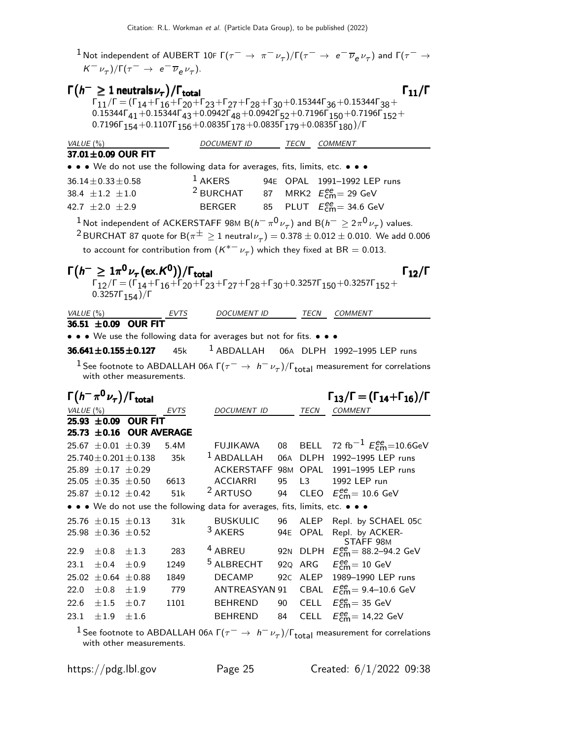$^1$ Not independent of AUBERT 10F Г $(\tau^-\to\pi^-\nu_\tau)/$ Г $(\tau^-\to\,$ e $^-\overline{\nu}_e\,\nu_\tau)$  and Г $(\tau^-\to$  $K^-\nu_\tau$ )/ $\Gamma(\tau^- \to e^- \overline{\nu}_e \nu_\tau)$ .

|           |                                   | $\Gamma(h^{-} \geq 1$ neutrals $\nu_{\tau})/\Gamma_{\text{total}}$                       |      |                                                                                                                               |     |             | $\Gamma_{11}/\Gamma$                                                                                                                                                  |
|-----------|-----------------------------------|------------------------------------------------------------------------------------------|------|-------------------------------------------------------------------------------------------------------------------------------|-----|-------------|-----------------------------------------------------------------------------------------------------------------------------------------------------------------------|
|           |                                   |                                                                                          |      |                                                                                                                               |     |             | $\Gamma_{11}/\Gamma = (\Gamma_{14} + \Gamma_{16} + \Gamma_{20} + \Gamma_{23} + \Gamma_{27} + \Gamma_{28} + \Gamma_{30} + 0.15344 \Gamma_{36} + 0.15344 \Gamma_{38} +$ |
|           |                                   |                                                                                          |      |                                                                                                                               |     |             | $0.15344\Gamma_{41} + 0.15344\Gamma_{43} + 0.0942\Gamma_{48} + 0.0942\Gamma_{52} + 0.7196\Gamma_{150} + 0.7196\Gamma_{152} +$                                         |
|           |                                   |                                                                                          |      | 0.7196 $\Gamma_{154}$ +0.1107 $\Gamma_{156}$ +0.0835 $\Gamma_{178}$ +0.0835 $\Gamma_{179}$ +0.0835 $\Gamma_{180}$ )/ $\Gamma$ |     |             |                                                                                                                                                                       |
| VALUE (%) |                                   |                                                                                          |      | DOCUMENT ID                                                                                                                   |     |             | TECN COMMENT                                                                                                                                                          |
|           |                                   | 37.01±0.09 OUR FIT                                                                       |      |                                                                                                                               |     |             |                                                                                                                                                                       |
|           |                                   |                                                                                          |      | • • • We do not use the following data for averages, fits, limits, etc. • • •                                                 |     |             |                                                                                                                                                                       |
|           | $36.14 \pm 0.33 \pm 0.58$         |                                                                                          |      | $1$ AKERS                                                                                                                     |     |             | 94E OPAL 1991-1992 LEP runs                                                                                                                                           |
|           | 38.4 $\pm 1.2$ $\pm 1.0$          |                                                                                          |      | <sup>2</sup> BURCHAT 87 MRK2 $E_{\text{cm}}^{ee}$ = 29 GeV                                                                    |     |             |                                                                                                                                                                       |
|           | 42.7 $\pm 2.0 \pm 2.9$            |                                                                                          |      | BERGER 85 PLUT $E_{cm}^{ee}$ = 34.6 GeV                                                                                       |     |             |                                                                                                                                                                       |
|           |                                   |                                                                                          |      |                                                                                                                               |     |             | $^1$ Not independent of ACKERSTAFF 98M B $(h^-\,\pi^0\,\nu_\tau)$ and B $(h^-\geq2\,\pi^0\,\nu_\tau)$ values.                                                         |
|           |                                   |                                                                                          |      |                                                                                                                               |     |             | $^2$ BURCHAT 87 quote for B $(\pi^\pm \geq 1$ neutral $\nu_\tau)$ $=$ 0.378 $\pm$ 0.012 $\pm$ 0.010. We add 0.006                                                     |
|           |                                   |                                                                                          |      |                                                                                                                               |     |             | to account for contribution from $(K^{*-} \nu_{\tau})$ which they fixed at BR = 0.013.                                                                                |
|           |                                   |                                                                                          |      |                                                                                                                               |     |             |                                                                                                                                                                       |
|           |                                   | $\Gamma(h^{-} \geq 1\pi^{0}\nu_{\tau}(\text{ex.}\mathcal{K}^{0}))/\Gamma_{\text{total}}$ |      |                                                                                                                               |     |             | $\Gamma_{12}/\Gamma$                                                                                                                                                  |
|           | 0.3257 $\Gamma_{154}$ )/ $\Gamma$ |                                                                                          |      |                                                                                                                               |     |             | $\Gamma_{12}/\Gamma = (\Gamma_{14} + \Gamma_{16} + \Gamma_{20} + \Gamma_{23} + \Gamma_{27} + \Gamma_{28} + \Gamma_{30} + 0.3257\Gamma_{150} + 0.3257\Gamma_{152} +$   |
|           |                                   |                                                                                          |      |                                                                                                                               |     |             |                                                                                                                                                                       |
|           | VALUE (%)                         | $\frac{VALUE (%)}{36.51 \pm 0.09}$ OUR FIT                                               |      | DOCUMENT ID                                                                                                                   |     |             | TECN COMMENT                                                                                                                                                          |
|           |                                   |                                                                                          |      |                                                                                                                               |     |             |                                                                                                                                                                       |
|           |                                   |                                                                                          |      | • • • We use the following data for averages but not for fits. • • •                                                          |     |             |                                                                                                                                                                       |
|           |                                   | $36.641 \pm 0.155 \pm 0.127$ 45k                                                         |      | $1$ ABDALLAH                                                                                                                  |     |             | 06A DLPH 1992-1995 LEP runs                                                                                                                                           |
|           |                                   |                                                                                          |      |                                                                                                                               |     |             | $^1$ See footnote to ABDALLAH 06A Г $(\tau^-\rightarrow\,h^-\,\nu_\tau)/\Gamma_{\rm total}$ measurement for correlations                                              |
|           |                                   | with other measurements.                                                                 |      |                                                                                                                               |     |             |                                                                                                                                                                       |
|           |                                   |                                                                                          |      |                                                                                                                               |     |             |                                                                                                                                                                       |
|           |                                   |                                                                                          |      |                                                                                                                               |     |             |                                                                                                                                                                       |
|           |                                   | $\Gamma(h^-\pi^0\nu_\tau)/\Gamma_{\rm total}$                                            |      |                                                                                                                               |     |             | $\Gamma_{13}/\Gamma = (\Gamma_{14} + \Gamma_{16})/\Gamma$                                                                                                             |
|           | VALUE(%)                          |                                                                                          | EVTS | DOCUMENT ID                                                                                                                   |     | TECN        | <b>COMMENT</b>                                                                                                                                                        |
|           |                                   | 25.93 ±0.09 OUR FIT<br>25.73 ±0.16 OUR AVERAGE                                           |      |                                                                                                                               |     |             |                                                                                                                                                                       |
|           | 25.67 $\pm 0.01 \pm 0.39$         |                                                                                          | 5.4M | <b>FUJIKAWA</b>                                                                                                               | 08  | <b>BELL</b> | 72 fb <sup>-1</sup> $E_{\text{cm}}^{ee}$ = 10.6GeV                                                                                                                    |
|           |                                   | $25.740 \pm 0.201 \pm 0.138$                                                             | 35k  | $1$ ABDALLAH                                                                                                                  | 06A |             | DLPH 1992-1995 LEP runs                                                                                                                                               |
|           | 25.89 $\pm$ 0.17 $\pm$ 0.29       |                                                                                          |      | ACKERSTAFF 98M                                                                                                                |     | OPAL        | 1991-1995 LEP runs                                                                                                                                                    |
|           | $25.05 \pm 0.35 \pm 0.50$         |                                                                                          | 6613 | <b>ACCIARRI</b>                                                                                                               | 95  | L3          | 1992 LEP run                                                                                                                                                          |
|           | 25.87 $\pm$ 0.12 $\pm$ 0.42       |                                                                                          | 51k  | <sup>2</sup> ARTUSO                                                                                                           | 94  | CLEO        | $E_{\text{cm}}^{\text{ee}}$ = 10.6 GeV                                                                                                                                |
|           |                                   |                                                                                          |      | • • • We do not use the following data for averages, fits, limits, etc. • • •                                                 |     |             |                                                                                                                                                                       |
|           | $25.76 \pm 0.15 \pm 0.13$         |                                                                                          | 31k  | <b>BUSKULIC</b>                                                                                                               | 96  | ALEP        | Repl. by SCHAEL 05C                                                                                                                                                   |
|           | $25.98 \pm 0.36 \pm 0.52$         |                                                                                          |      | 3 AKERS                                                                                                                       | 94E | OPAL        | Repl. by ACKER-                                                                                                                                                       |
| 22.9      | $\pm 0.8$                         | ±1.3                                                                                     | 283  | <sup>4</sup> ABREU                                                                                                            | 92N | <b>DLPH</b> | STAFF 98M                                                                                                                                                             |
| 23.1      | ± 0.4                             | ±0.9                                                                                     | 1249 | <sup>5</sup> ALBRECHT                                                                                                         | 92Q | ARG         | $E_{\text{cm}}^{\text{ee}}$ = 88.2–94.2 GeV<br>$E_{\text{cm}}^{\text{ee}} = 10 \text{ GeV}$                                                                           |
|           | 25.02 $\pm$ 0.64 $\pm$ 0.88       |                                                                                          | 1849 | <b>DECAMP</b>                                                                                                                 | 92C | ALEP        |                                                                                                                                                                       |
| 22.0      | $\pm 0.8$                         | ±1.9                                                                                     | 779  | ANTREASYAN 91                                                                                                                 |     |             | 1989-1990 LEP runs<br>CBAL $E_{\text{cm}}^{\text{ee}} = 9.4 - 10.6 \text{ GeV}$                                                                                       |
| 22.6      | $\pm 1.5$                         | ±0.7                                                                                     | 1101 | <b>BEHREND</b>                                                                                                                | 90  | <b>CELL</b> | $E_{\text{cm}}^{\text{ee}}$ = 35 GeV                                                                                                                                  |

<sup>1</sup> See footnote to ABDALLAH 06A  $\Gamma(\tau^- \to h^- \nu_\tau)/\Gamma_{\rm total}$  measurement for correlations with other measurements.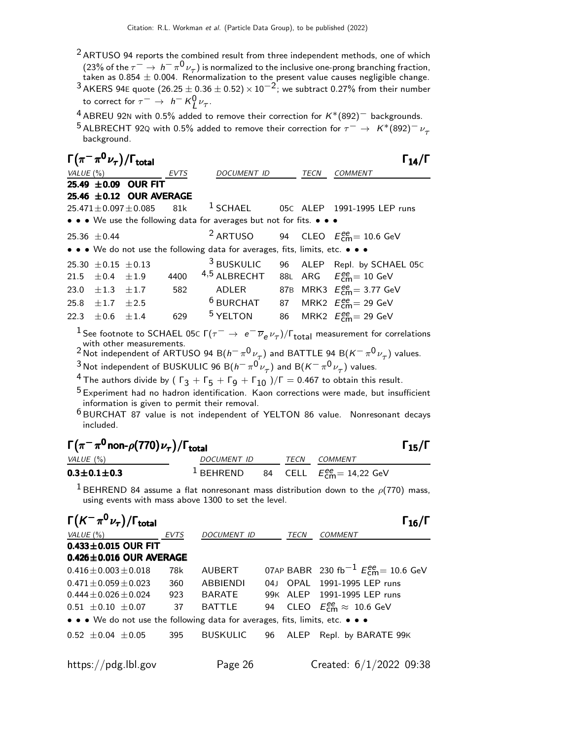- $2$  ARTUSO 94 reports the combined result from three independent methods, one of which (23% of the  $\tau^ \rightarrow$   $h^- \pi^0 \nu_{\tau}$ ) is normalized to the inclusive one-prong branching fraction, taken as 0.854  $\pm$  0.004. Renormalization to the present value causes negligible change.
- $^3$ AKERS 94E quote  $(26.25\pm0.36\pm0.52)\times10^{-2}$ ; we subtract 0.27% from their number to correct for  $\tau^- \to h^- K^0_L \nu_\tau$ .
- <sup>4</sup> ABREU 92N with 0.5% added to remove their correction for  $K*(892)^-$  backgrounds.
- 5 ALBRECHT 92Q with 0.5% added to remove their correction for  $\tau^- \to K^*(892)^- \nu_\tau$ background.

|           |                             | $\Gamma(\pi^-\pi^0\nu_\tau)/\Gamma_{\rm total}$                  |      |                                                                                                                                                                                                                                                                                                                                                                                                                                                                                                                       |                 |             |                                                      | $\Gamma_{14}/\Gamma$                                 |
|-----------|-----------------------------|------------------------------------------------------------------|------|-----------------------------------------------------------------------------------------------------------------------------------------------------------------------------------------------------------------------------------------------------------------------------------------------------------------------------------------------------------------------------------------------------------------------------------------------------------------------------------------------------------------------|-----------------|-------------|------------------------------------------------------|------------------------------------------------------|
| VALUE (%) |                             |                                                                  | EVTS | DOCUMENT ID                                                                                                                                                                                                                                                                                                                                                                                                                                                                                                           |                 | TECN        | <b>COMMENT</b>                                       |                                                      |
|           |                             | 25.49 ±0.09 OUR FIT                                              |      |                                                                                                                                                                                                                                                                                                                                                                                                                                                                                                                       |                 |             |                                                      |                                                      |
|           |                             | 25.46 ±0.12 OUR AVERAGE                                          |      |                                                                                                                                                                                                                                                                                                                                                                                                                                                                                                                       |                 |             |                                                      |                                                      |
|           |                             | $25.471 \pm 0.097 \pm 0.085$                                     | 81k  | $^1$ SCHAEL                                                                                                                                                                                                                                                                                                                                                                                                                                                                                                           |                 |             | 05C ALEP 1991-1995 LEP runs                          |                                                      |
|           |                             |                                                                  |      | • • • We use the following data for averages but not for fits. • • •                                                                                                                                                                                                                                                                                                                                                                                                                                                  |                 |             |                                                      |                                                      |
|           | $25.36 \pm 0.44$            |                                                                  |      | <sup>2</sup> ARTUSO                                                                                                                                                                                                                                                                                                                                                                                                                                                                                                   | 94              |             | CLEO $E_{\text{cm}}^{\text{ee}} = 10.6 \text{ GeV}$  |                                                      |
|           |                             |                                                                  |      | • • • We do not use the following data for averages, fits, limits, etc. • • •                                                                                                                                                                                                                                                                                                                                                                                                                                         |                 |             |                                                      |                                                      |
|           | 25.30 $\pm$ 0.15 $\pm$ 0.13 |                                                                  |      | <sup>3</sup> BUSKULIC                                                                                                                                                                                                                                                                                                                                                                                                                                                                                                 | 96              |             |                                                      | ALEP Repl. by SCHAEL 05C                             |
| 21.5      | $\pm$ 0.4                   | ±1.9                                                             | 4400 | 4,5 ALBRECHT                                                                                                                                                                                                                                                                                                                                                                                                                                                                                                          |                 |             | 88L ARG $E_{\text{cm}}^{ee} = 10 \text{ GeV}$        |                                                      |
| 23.0      | $\pm 1.3$                   | ±1.7                                                             | 582  | <b>ADLER</b>                                                                                                                                                                                                                                                                                                                                                                                                                                                                                                          |                 |             | 87B MRK3 $E_{\text{cm}}^{ee} = 3.77 \text{ GeV}$     |                                                      |
| 25.8      | $\pm 1.7$                   | ±2.5                                                             |      | $6$ BURCHAT                                                                                                                                                                                                                                                                                                                                                                                                                                                                                                           | 87              |             | MRK2 $E_{\text{cm}}^{ee}$ = 29 GeV                   |                                                      |
| 22.3      | $\pm 0.6$                   | ±1.4                                                             | 629  | <sup>5</sup> YELTON                                                                                                                                                                                                                                                                                                                                                                                                                                                                                                   | 86              |             | MRK2 $E_{\text{cm}}^{\text{ee}} = 29 \text{ GeV}$    |                                                      |
| VALUE (%) | included.                   | $\Gamma(\pi^-\pi^0$ non- $\rho(770)\nu_\tau)/\Gamma_{\rm total}$ |      | $^3$ Not independent of BUSKULIC 96 B $(h^-\,\pi^0\,\nu_\tau)$ and B $(K^-\,\pi^0\,\nu_\tau)$ values.<br><sup>4</sup> The authors divide by ( $\Gamma_3 + \Gamma_5 + \Gamma_9 + \Gamma_{10}$ )/ $\Gamma = 0.467$ to obtain this result.<br><sup>5</sup> Experiment had no hadron identification. Kaon corrections were made, but insufficient<br>information is given to permit their removal.<br><sup>6</sup> BURCHAT 87 value is not independent of YELTON 86 value. Nonresonant decays<br>DOCUMENT ID TECN COMMENT |                 |             |                                                      | $\Gamma_{15}/\Gamma$                                 |
|           | $0.3 \pm 0.1 \pm 0.3$       |                                                                  |      | $1$ BEHREND                                                                                                                                                                                                                                                                                                                                                                                                                                                                                                           | 84              |             | CELL $E_{cm}^{ee} = 14,22$ GeV                       |                                                      |
|           |                             | $\Gamma(K^-\pi^0\nu_\tau)/\Gamma_{\rm total}$                    |      | $^1$ BEHREND 84 assume a flat nonresonant mass distribution down to the $\rho(770)$ mass,<br>using events with mass above 1300 to set the level.                                                                                                                                                                                                                                                                                                                                                                      |                 |             |                                                      | $\Gamma_{16}/\Gamma$                                 |
| VALUE (%) |                             |                                                                  | EVTS | DOCUMENT ID                                                                                                                                                                                                                                                                                                                                                                                                                                                                                                           |                 | TECN        | <b>COMMENT</b>                                       |                                                      |
|           |                             | $0.433 \pm 0.015$ OUR FIT                                        |      |                                                                                                                                                                                                                                                                                                                                                                                                                                                                                                                       |                 |             |                                                      |                                                      |
|           |                             | $0.426 \pm 0.016$ OUR AVERAGE                                    |      |                                                                                                                                                                                                                                                                                                                                                                                                                                                                                                                       |                 |             |                                                      |                                                      |
|           | $0.416 \pm 0.003 \pm 0.018$ |                                                                  | 78k  | AUBERT                                                                                                                                                                                                                                                                                                                                                                                                                                                                                                                |                 | 07AP BABR   |                                                      | 230 fb <sup>-1</sup> $E_{\text{cm}}^{ee}$ = 10.6 GeV |
|           | $0.471 \pm 0.059 \pm 0.023$ |                                                                  | 360  | ABBIENDI                                                                                                                                                                                                                                                                                                                                                                                                                                                                                                              | 04 <sub>1</sub> | <b>OPAL</b> | 1991-1995 LEP runs                                   |                                                      |
|           | $0.444 \pm 0.026 \pm 0.024$ |                                                                  | 923  | BARATE                                                                                                                                                                                                                                                                                                                                                                                                                                                                                                                | 99K ALEP        |             | 1991-1995 LEP runs                                   |                                                      |
|           | $0.51 \pm 0.10 \pm 0.07$    |                                                                  | 37   | <b>BATTLE</b>                                                                                                                                                                                                                                                                                                                                                                                                                                                                                                         | 94              | <b>CLEO</b> | $E_{\text{cm}}^{\text{ee}} \approx 10.6 \text{ GeV}$ |                                                      |

• • • We do not use the following data for averages, fits, limits, etc. • • •

 $0.52 \pm 0.04 \pm 0.05$  395 BUSKULIC 96 ALEP Repl. by BARATE 99K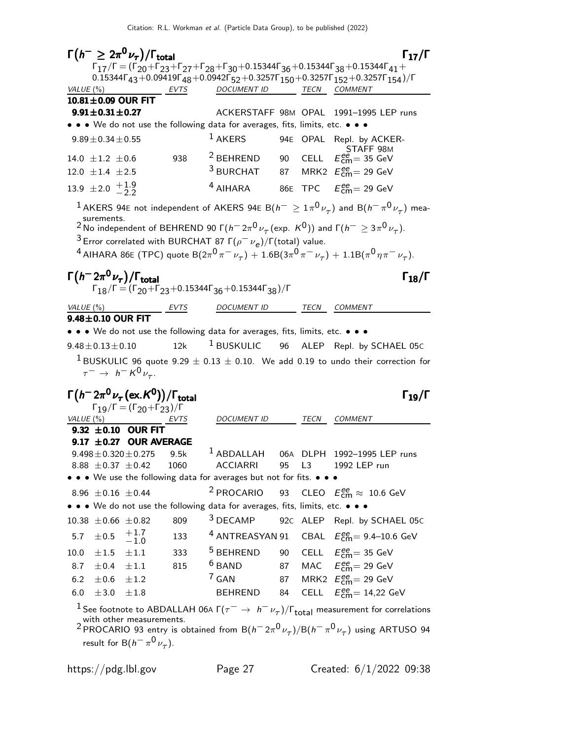$\Gamma(h^{-} \geq 2\pi^{0}\nu_{\tau})/\Gamma_{\text{total}}$  Γ<sub>17</sub>/Γ  $\Gamma_{17}/\Gamma = (\Gamma_{20}+\Gamma_{23}+\Gamma_{27}+\Gamma_{28}+\Gamma_{30}+0.15344\Gamma_{36}+0.15344\Gamma_{38}+0.15344\Gamma_{41}+$ 0.15344Γ<sub>43</sub>+0.09419Γ<sub>48</sub>+0.0942Γ<sub>52</sub>+0.3257Γ<sub>150</sub>+0.3257Γ<sub>152</sub>+0.3257Γ<sub>154</sub>)/Γ<br>VALUE(%) EVTS DOCUMENT ID TECN COMMENT EVTS DOCUMENT ID TECN COMMENT  $10.81 \pm 0.09$  OUR FIT<br> $9.91 \pm 0.31 \pm 0.27$ ACKERSTAFF 98M OPAL 1991-1995 LEP runs • • • We do not use the following data for averages, fits, limits, etc. • • •  $9.89\pm0.34\pm0.55$  1 AKERS 94E OPAL Repl. by ACKER- $14.0 \pm 1.2 \pm 0.6$  938  $2$  BEHREND 90 CELL  $E_{\rm cm}^{\rm ee}$  = 35 GeV  $12.0 \pm 1.4 \pm 2.5$  $3$  BURCHAT  $87$  MRK2  $E_{\rm{cm}}^{ee} = 29$  GeV  $13.9 \pm 2.0 +1.9 -2.2$  $-2.2$  $^4$  AIHARA 86E TPC  $E_{\rm cm}^{\rm ee}$  = 29 GeV  $^1$ AKERS 94E not independent of AKERS 94E B $(h^- \geq 1 \pi^0 \nu_\tau)$  and B $(h^- \pi^0 \nu_\tau)$  measurements. <sup>2</sup> No independent of BEHREND 90 Γ( $h^-$  2π<sup>0</sup>  $\nu_\tau$  (exp. K<sup>0</sup>)) and Γ( $h^ \geq$  3π<sup>0</sup>  $\nu_\tau$ ). <sup>3</sup> Error correlated with BURCHAT 87 Γ $(\rho^- \nu_e)/$ Γ(total) value.  $^4$  AIHARA 86E (TPC) quote B $(2\pi^0\pi^-\nu_\tau)+1.6$ B $(3\pi^0\pi^-\nu_\tau)+1.1$ B $(\pi^0\eta\pi^-\nu_\tau).$  $\Gamma(h^- 2\pi^0 \nu_\tau)/\Gamma_{\rm total}$  Γ<sub>18</sub>/Γ  $\Gamma_{18}/\Gamma = (\Gamma_{20} + \Gamma_{23} + 0.15344\Gamma_{36} + 0.15344\Gamma_{38})/\Gamma$ VALUE (%) **EVTS** DOCUMENT ID TECN COMMENT  $9.48\pm0.10$  OUR FIT • • • We do not use the following data for averages, fits, limits, etc. • • •  $9.48\pm0.13\pm0.10$  12k <sup>1</sup> BUSKULIC 96 ALEP Repl. by SCHAEL 05C <sup>1</sup> BUSKULIC 96 quote 9.29  $\pm$  0.13  $\pm$  0.10. We add 0.19 to undo their correction for  $\tau^ \rightarrow$   $h^-$  K<sup>0</sup> $\nu_{\tau}$ .  $\Gamma(h^- 2\pi^0 \nu_\tau(\text{ex.} K^0))/\Gamma_\text{total}$  Γ<sub>19</sub>/Γ  $\Gamma_{19}/\Gamma = (\Gamma_{20} + \Gamma_{23})/\Gamma$ <br>VALUE (%) EVT EVTS DOCUMENT ID TECN COMMENT  $9.32 \pm 0.10$  OUR FIT **9.17**  $\pm$ **0.27 OUR AVERAGE**<br>9.498  $\pm$  0.320  $\pm$  0.275 9.5k 9.5k  $1$  ABDALLAH 06A DLPH 1992-1995 LEP runs<br>1060 ACCIARRI 95 L3 1992 LEP run 8.88  $\pm 0.37 \pm 0.42$ • • • We use the following data for averages but not for fits. • • • 8.96  $\pm$  0.16  $\pm$  0.44 <sup>2</sup> PROCARIO  $_{\rm cm}^{ee} \approx 10.6 \,\text{GeV}$ • • • We do not use the following data for averages, fits, limits, etc. • • • 10.38  $\pm$ 0.66  $\pm$ 0.82 809 <sup>3</sup> DECAMP 92c ALEP Repl. by SCHAEL 05c 5.7  $\pm$ 0.5  $+1.7$  $-1.0$ <br> $\pm 1.1$ 133  $\frac{4 \text{ ANTREASYAN 91} \text{ CBAL} \quad E_{\text{CM}}^{ee} = 9.4 - 10.6 \text{ GeV}}{4 \text{ ANTREASYAN 91}}$ 10.0  $\pm 1.5$   $\pm 1.1$  333 5 BEHREND 90 CELL  $E_{\textsf{cm}}^{ee}$  = 35 GeV 8.7  $\pm$  0.4  $\pm$  1.1 815  $\frac{6}{5}$  BAND 87 MAC  $E_{\text{cm}}^{ee}$  = 29 GeV 6.2  $\pm 0.6$   $\pm 1.2$  $7$  GAN 87 MRK2  $E_{\text{cm}}^{ee} = 29$  GeV  $6.0 \pm 3.0 \pm 1.8$  BEHREND 84  $_{\text{cm}}^{\text{ee}}$  = 14,22 GeV <sup>1</sup> See footnote to ABDALLAH 06A  $\Gamma(\tau^- \to h^- \nu_\tau)/\Gamma_{\rm total}$  measurement for correlations with other measurements. <sup>2</sup> PROCARIO 93 entry is obtained from B $(h^- \, 2\pi^0 \nu_\tau)/{\rm B} (h^- \, \pi^0 \nu_\tau)$  using ARTUSO 94 result for B $(h^-\pi^0\nu_\tau)$ .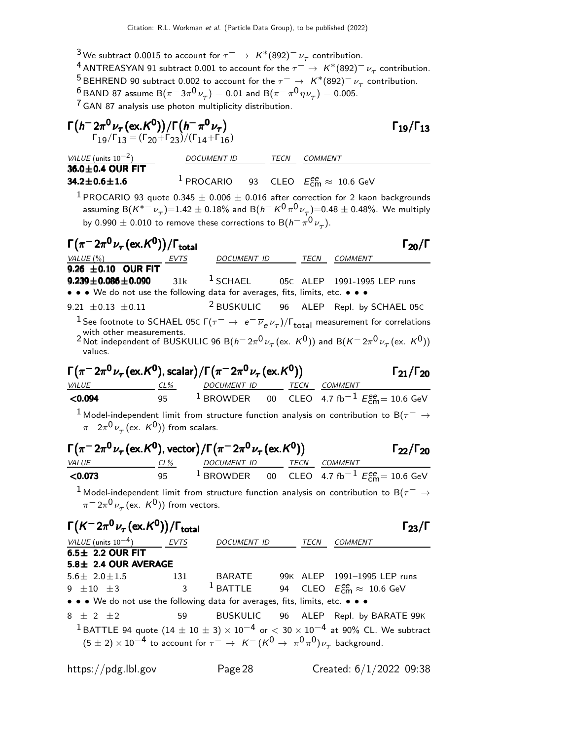<sup>3</sup>We subtract 0.0015 to account for  $\tau^- \to K^*(892)^- \nu_\tau$  contribution.

 $^4$  ANTREASYAN 91 subtract 0.001 to account for the  $\tau^-\to~{\sf K}^\ast (892)^-\nu_\tau$  contribution. <sup>5</sup> BEHREND 90 subtract 0.002 to account for the  $\tau^ \rightarrow$   $K^*(892)^- \nu_\tau$  contribution.  $\frac{6}{7}$ BAND 87 assume B $(\pi^{-}3\pi^{0}\nu_{\tau})=0.01$  and B $(\pi^{-}\pi^{0}\eta\nu_{\tau})=0.005.$ 

 $7$  GAN 87 analysis use photon multiplicity distribution.

| $\Gamma(h^- 2\pi^0 \nu_\tau (\text{ex.}\mathcal{K}^0))/\Gamma(h^-\pi^0 \nu_\tau)$<br>$\Gamma_{19}/\Gamma_{13} = (\Gamma_{20} + \Gamma_{23})/(\Gamma_{14} + \Gamma_{16})$                                                                          |          |                                                                             |    |                     | $\Gamma_{19}/\Gamma_{13}$                                                                                                   |
|---------------------------------------------------------------------------------------------------------------------------------------------------------------------------------------------------------------------------------------------------|----------|-----------------------------------------------------------------------------|----|---------------------|-----------------------------------------------------------------------------------------------------------------------------|
| VALUE (units $10^{-2}$ )                                                                                                                                                                                                                          |          | DOCUMENT ID                                                                 |    | <i>TECN COMMENT</i> |                                                                                                                             |
| 36.0±0.4 OUR FIT<br>$34.2 \pm 0.6 \pm 1.6$                                                                                                                                                                                                        |          | <sup>1</sup> PROCARIO 93 CLEO $E_{\text{cm}}^{ee} \approx 10.6 \text{ GeV}$ |    |                     |                                                                                                                             |
| $^{1}$ PROCARIO 93 quote 0.345 $\pm$ 0.006 $\pm$ 0.016 after correction for 2 kaon backgrounds<br>by 0.990 $\pm$ 0.010 to remove these corrections to B( $h^-\pi^0\nu_\tau$ ).                                                                    |          |                                                                             |    |                     | assuming B( $K^{*-} \nu_{\tau}$ )=1.42 $\pm$ 0.18% and B( $h^- K^0 \pi^0 \nu_{\tau}$ )=0.48 $\pm$ 0.48%. We multiply        |
| $\Gamma(\pi^- 2\pi^0 \nu_\tau (\text{ex.} K^0))/\Gamma_{\text{total}}$<br><u>VALUE (%)</u><br>9.26 $\pm$ 0.10 OUR FIT                                                                                                                             |          | DOCUMENT ID TECN COMMENT                                                    |    |                     | $\Gamma_{20}/\Gamma$                                                                                                        |
| $9.239 \pm 0.086 \pm 0.090$ 31k<br>• • • We do not use the following data for averages, fits, limits, etc. • • •                                                                                                                                  |          |                                                                             |    |                     | <sup>1</sup> SCHAEL 05C ALEP 1991-1995 LEP runs                                                                             |
| 9.21 $\pm$ 0.13 $\pm$ 0.11                                                                                                                                                                                                                        |          |                                                                             |    |                     | <sup>2</sup> BUSKULIC 96 ALEP Repl. by SCHAEL 05C                                                                           |
| $^1$ See footnote to SCHAEL 05 <code>c</code> Г $(\tau^-\rightarrow\ e^-\overline{\nu}_e\nu_\tau)/\Gamma_{\rm total}$ measurement for correlations                                                                                                |          |                                                                             |    |                     |                                                                                                                             |
| 2 with other measurements.<br>2 Not independent of BUSKULIC 96 B( $h^- 2\pi^0 \nu_\tau$ (ex. $K^0$ )) and B( $K^- 2\pi^0 \nu_\tau$ (ex. $K^0$ ))<br>values.                                                                                       |          |                                                                             |    |                     |                                                                                                                             |
| $\Gamma(\pi^- 2\pi^0 \nu_\tau (\text{ex.} K^0)$ , scalar) / $\Gamma(\pi^- 2\pi^0 \nu_\tau (\text{ex.} K^0))$                                                                                                                                      |          |                                                                             |    |                     | $\Gamma_{21}/\Gamma_{20}$                                                                                                   |
| <b>VALUE</b><br>< 0.094                                                                                                                                                                                                                           |          |                                                                             |    |                     | $\underbrace{CL\%}_{95}$ DOCUMENT ID TECN COMMENT<br>$\frac{TCN}{100}$ CLEO 4.7 fb <sup>-1</sup> E <sup>ee</sup> = 10.6 GeV |
| $^1$ Model-independent limit from structure function analysis on contribution to B( $\tau^-\rightarrow$                                                                                                                                           |          |                                                                             |    |                     |                                                                                                                             |
| $\pi$ <sup>-</sup> $2\pi$ <sup>0</sup> $\nu$ <sub>7</sub> (ex. K <sup>0</sup> )) from scalars.                                                                                                                                                    |          |                                                                             |    |                     |                                                                                                                             |
| $\Gamma(\pi^{-}2\pi^{0}\nu_{\tau}$ (ex. K <sup>0</sup> ), vector) / $\Gamma(\pi^{-}2\pi^{0}\nu_{\tau}$ (ex. K <sup>0</sup> ))                                                                                                                     |          |                                                                             |    |                     | $\Gamma_{22}/\Gamma_{20}$                                                                                                   |
| <b>VALUE</b><br>< 0.073                                                                                                                                                                                                                           |          | <u>CL% DOCUMENT ID TECN COMMENT</u>                                         |    |                     | 95 <sup>1</sup> BROWDER 00 CLEO 4.7 fb <sup>-1</sup> $E_{\text{cm}}^{ee}$ = 10.6 GeV                                        |
| $^1$ Model-independent limit from structure function analysis on contribution to B( $\tau^-\rightarrow$<br>$\pi$ <sup>-</sup> $2\pi$ <sup>0</sup> $\nu$ <sub>7</sub> (ex. K <sup>0</sup> )) from vectors.                                         |          |                                                                             |    |                     |                                                                                                                             |
| $\Gamma(K^- 2\pi^0 \nu_\tau (\text{ex.} K^0))/\Gamma_{\text{total}}$                                                                                                                                                                              |          |                                                                             |    |                     | $\Gamma_{23}/\Gamma$                                                                                                        |
| $VALUE$ (units $10^{-4}$ ) EVTS<br>$6.5 \pm 2.2$ OUR FIT<br>5.8± 2.4 OUR AVERAGE                                                                                                                                                                  |          | DOCUMENT ID TECN COMMENT                                                    |    |                     |                                                                                                                             |
| $5.6 \pm 2.0 \pm 1.5$<br>$9 \pm 10 \pm 3$                                                                                                                                                                                                         | 131<br>3 | $1$ BATTLE                                                                  | 94 |                     | BARATE 99K ALEP 1991-1995 LEP runs<br>CLEO $E_{\text{cm}}^{ee} \approx 10.6 \text{ GeV}$                                    |
| • • • We do not use the following data for averages, fits, limits, etc. • • •                                                                                                                                                                     |          |                                                                             |    |                     |                                                                                                                             |
| 8 $\pm$ 2 $\pm$ 2<br>$^1$ BATTLE 94 quote (14 $\pm$ 10 $\pm$ 3) $\times$ 10 $^{-4}$ or $<$ 30 $\times$ 10 $^{-4}$ at 90% CL. We subtract<br>$(5 \pm 2) \times 10^{-4}$ to account for $\tau^- \to K^- (K^0 \to \pi^0 \pi^0) \nu_\tau$ background. | 59       | <b>BUSKULIC</b>                                                             | 96 |                     | ALEP Repl. by BARATE 99K                                                                                                    |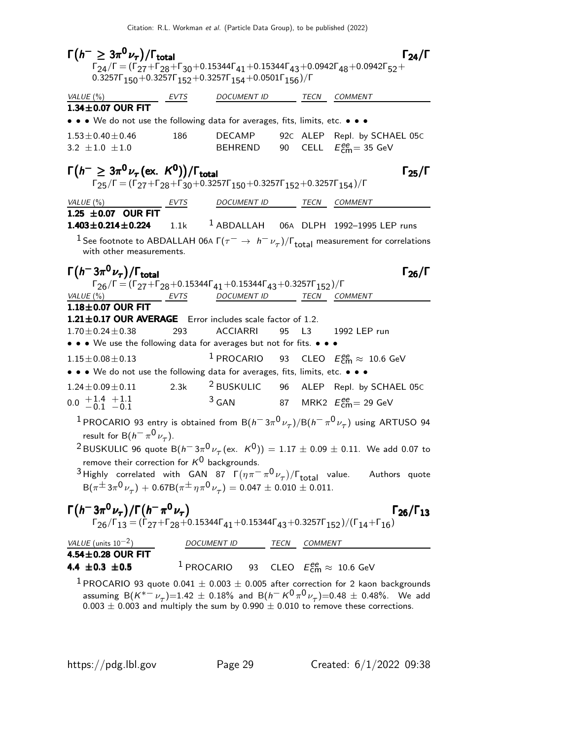$\Gamma(h^{-} \geq 3\pi^{0}\nu_{\tau})/\Gamma_{\text{total}}$   $\Gamma_{24}/\Gamma$  $(h^{-} \geq 3\pi^{0}\nu_{\tau})/\Gamma_{\text{total}}$  Γ<sub>24</sub>/Γ  $\Gamma_{24}/\Gamma$  = (Γ<sub>27</sub>+Γ<sub>28</sub>+Γ<sub>30</sub>+0.15344Γ<sub>41</sub>+0.15344Γ<sub>43</sub>+0.0942Γ<sub>48</sub>+0.0942Γ<sub>52</sub>+  $0.3257\Gamma_{150} + 0.3257\Gamma_{152} + 0.3257\Gamma_{154} + 0.0501\Gamma_{156})/\Gamma$ VALUE (%) EVTS DOCUMENT ID TECN COMMENT  $1.34 \pm 0.07$  OUR FIT • • • We do not use the following data for averages, fits, limits, etc. • • •  $1.53\pm0.40\pm0.46$  186 DECAMP 92c ALEP Repl. by SCHAEL 05c<br>  $3.2\pm1.0\pm1.0$  BEHREND 90 CELL  $E_{\text{cm}}^{\text{ee}} = 35$  GeV  $3.2 \pm 1.0 \pm 1.0$  BEHREND 90 CELL  $E_{\text{cm}}^{ee} = 35 \text{ GeV}$  $\Gamma(h^{-} \geq 3\pi^{0}\nu_{\tau}(\text{ex. } K^{0}))/\Gamma_{\text{total}}$  Γ<sub>25</sub>/Γ  $\Gamma_{25}/\Gamma=(\Gamma_{27}+\Gamma_{28}+\Gamma_{30}+0.3257\Gamma_{150}+0.3257\Gamma_{152}+0.3257\Gamma_{154})/\Gamma$ VALUE (%) EVTS DOCUMENT ID TECN COMMENT 1.25  $\pm$  0.07 OUR FIT<br>1.403  $\pm$  0.214  $\pm$  0.224  $1.1k$   $1$  ABDALLAH 06A DLPH 1992–1995 LEP runs <sup>1</sup> See footnote to ABDALLAH 06A  $\Gamma(\tau^- \to h^- \nu_\tau)/\Gamma_{\rm total}$  measurement for correlations with other measurements.  $\Gamma(h^-3\pi^0\nu_\tau)/\Gamma_{\rm total}$  Γ<sub>26</sub>/Γ  $\frac{1}{\text{FALUE (%)}}$  Γ = (Γ<sub>27</sub>+Γ<sub>28</sub>+0.15344Γ<sub>41</sub>+0.15344Γ<sub>43</sub>+0.3257Γ<sub>152</sub>)/Γ<br><u>VALUE (%) EVTS</u> DOCUMENT ID TECN CO. DOCUMENT ID TECN COMMENT  $1.18\pm0.07$  OUR FIT **1.21** $\pm$ **0.17 OUR AVERAGE** Error includes scale factor of 1.2.<br>1.70 $\pm$ 0.24 $\pm$ 0.38 293 ACCIARRI 95 L3 1.70±0.24±0.38 293 ACCIARRI 95 L3 1992 LEP run • • • We use the following data for averages but not for fits. • • •  $1.15\pm0.08\pm0.13$   $1$  PROCARIO 93 CLEO  $E_{\textsf{cm}}^{\textsf{ee}} \approx 10.6 \text{ GeV}$ • • • We do not use the following data for averages, fits, limits, etc. • • • • 1.24 $\pm$ 0.09 $\pm$ 0.11 2.3k <sup>2</sup> BUSKULIC 96 ALEP Repl. by  $1.24 \pm 0.09 \pm 0.11$  2.3k <sup>2</sup> BUSKULIC 96 ALEP Repl. by SCHAEL 05c  $0.0 + 1.4$  $-0.1$  $+1.1$  $-0.1$  $3$  GAN 87 MRK2  $E_{\text{cm}}^{ee} = 29$  GeV <sup>1</sup> PROCARIO 93 entry is obtained from B $(h^-3\pi^0\nu_\tau)/B(h^-\pi^0\nu_\tau)$  using ARTUSO 94 result for B $(h^-\pi^0\nu_\tau)$ .  $^2$ BUSKULIC 96 quote B $(h^- \, 3\pi^0 \nu_\tau\,(\text{ex.~K}^0)) = 1.17 \pm 0.09 \pm 0.11$ . We add 0.07 to remove their correction for  $K^0$  backgrounds. <sup>3</sup> Highly correlated with GAN 87  $\Gamma(\eta \pi^- \pi^0 \nu_\tau)/\Gamma_{\text{total}}$  value. Authors quote  ${\sf B}(\pi^\pm\,3\pi^0\,\nu_\tau)+ 0.67{\sf B}(\pi^\pm\,\eta\,\pi^0\,\nu_\tau)= 0.047\pm 0.010\pm 0.011.$  $\Gamma(h^- 3\pi^0 \nu_\tau)/\Gamma(h^- \pi^0 \nu_\tau)$ Γ $(h^- 3\pi^0 \nu_\tau)/\Gamma(h^- \pi^0 \nu_\tau)$  Γ $_{26}/\Gamma_{13}$  $\Gamma_{26}/\Gamma_{13}$  $\Gamma_{26}/\Gamma_{13} = (\Gamma_{27} + \Gamma_{28} + 0.15344\Gamma_{41} + 0.15344\Gamma_{43} + 0.3257\Gamma_{152})/(\Gamma_{14} + \Gamma_{16})$ VALUE (units 10<sup>-2</sup>) DOCUMENT ID TECN COMMENT  $4.54 \pm 0.28$  OUR FIT 4.4  $\pm 0.3 \pm 0.5$  $1$  PROCARIO 93 CLEO  $E_{\textsf{cm}}^{ee} \approx 10.6$  GeV <sup>1</sup> PROCARIO 93 quote 0.041  $\pm$  0.003  $\pm$  0.005 after correction for 2 kaon backgrounds assuming B $(K^{*-}\nu_{\tau})=1.42\pm0.18\%$  and B $(h^{-}K^{0}\pi^{0}\nu_{\tau})=0.48\pm0.48\%$ . We add  $0.003 \pm 0.003$  and multiply the sum by  $0.990 \pm 0.010$  to remove these corrections.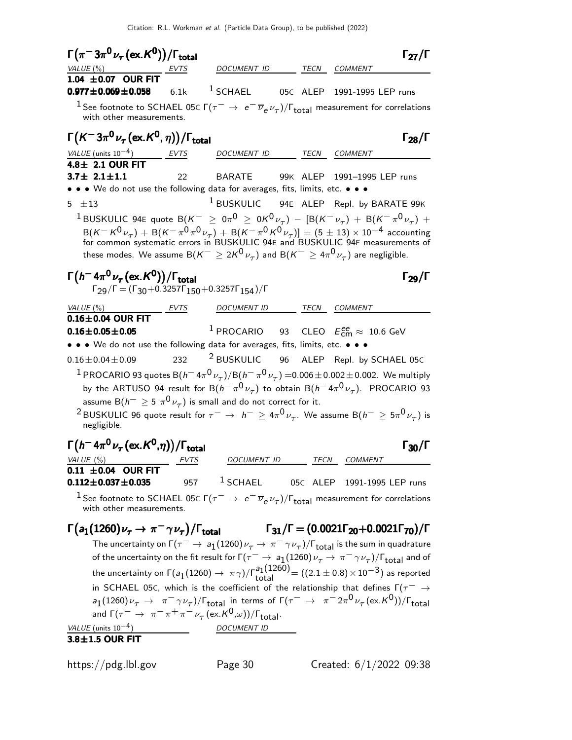Citation: R.L. Workman et al. (Particle Data Group), to be published (2022)

| $\Gamma(\pi^-3\pi^0\nu_\tau(\text{ex.}\mathcal{K}^0))/\Gamma_{\text{total}}$                                                                                                                                                                                                                                                                                                                                                                                                                                                         |             |                                                                             |      |                                                                     | $\Gamma_{27}/\Gamma$ |
|--------------------------------------------------------------------------------------------------------------------------------------------------------------------------------------------------------------------------------------------------------------------------------------------------------------------------------------------------------------------------------------------------------------------------------------------------------------------------------------------------------------------------------------|-------------|-----------------------------------------------------------------------------|------|---------------------------------------------------------------------|----------------------|
| VALUE (%)                                                                                                                                                                                                                                                                                                                                                                                                                                                                                                                            |             | DOCUMENT ID                                                                 | TECN | <b>COMMENT</b>                                                      |                      |
| 1.04 $\pm$ 0.07 OUR FIT<br>$0.977 \pm 0.069 \pm 0.058$                                                                                                                                                                                                                                                                                                                                                                                                                                                                               | 6.1k        | $1$ SCHAEL                                                                  |      | 05C ALEP 1991-1995 LEP runs                                         |                      |
| <sup>1</sup> See footnote to SCHAEL 05c $\Gamma(\tau^-\to\,e^-\,\overline{\nu}_e\,\nu_\tau)/\Gamma_{\rm total}$ measurement for correlations<br>with other measurements.                                                                                                                                                                                                                                                                                                                                                             |             |                                                                             |      |                                                                     |                      |
| $\Gamma(K^-3\pi^0\nu_\tau(\text{ex.}K^0,\eta))/\Gamma_{\text{total}}$                                                                                                                                                                                                                                                                                                                                                                                                                                                                |             |                                                                             |      |                                                                     | $\Gamma_{28}/\Gamma$ |
|                                                                                                                                                                                                                                                                                                                                                                                                                                                                                                                                      |             |                                                                             |      |                                                                     |                      |
| VALUE (units $10^{-4}$ )<br>$4.8 \pm 2.1$ OUR FIT                                                                                                                                                                                                                                                                                                                                                                                                                                                                                    | EVTS        | DOCUMENT ID                                                                 |      | TECN COMMENT                                                        |                      |
| $3.7 \pm 2.1 \pm 1.1$                                                                                                                                                                                                                                                                                                                                                                                                                                                                                                                | 22          | BARATE 99K ALEP 1991-1995 LEP runs                                          |      |                                                                     |                      |
| • • • We do not use the following data for averages, fits, limits, etc. • • •                                                                                                                                                                                                                                                                                                                                                                                                                                                        |             |                                                                             |      |                                                                     |                      |
| 5 $\pm$ 13                                                                                                                                                                                                                                                                                                                                                                                                                                                                                                                           |             | <sup>1</sup> BUSKULIC 94E ALEP Repl. by BARATE 99K                          |      |                                                                     |                      |
| $^1$ BUSKULIC 94E quote B $(K^-~\geq~0\pi^0~\geq~0\kappa^0\,\nu_\tau)$ — $[{\rm B}(K^-\,\nu_\tau)~+~{\rm B}(K^-\,\pi^0\,\nu_\tau)~+~\,$                                                                                                                                                                                                                                                                                                                                                                                              |             |                                                                             |      |                                                                     |                      |
| $B(K^-K^0\nu_{\tau}) + B(K^-\pi^0\pi^0\nu_{\tau}) + B(K^-\pi^0K^0\nu_{\tau})] = (5 \pm 13) \times 10^{-4}$ accounting<br>for common systematic errors in BUSKULIC 94E and BUSKULIC 94F measurements of<br>these modes. We assume B $(K^{-} \geq 2K^{0} \nu_{\tau})$ and B $(K^{-} \geq 4\pi^{0} \nu_{\tau})$ are negligible.                                                                                                                                                                                                         |             |                                                                             |      |                                                                     |                      |
| $\Gamma(h^- 4\pi^0 \nu_\tau (\text{ex.}\, K^0))/\Gamma_{\text{total}}$<br>$\Gamma_{29}/\Gamma = (\Gamma_{30} + 0.3257\Gamma_{150} + 0.3257\Gamma_{154})/\Gamma$                                                                                                                                                                                                                                                                                                                                                                      |             |                                                                             |      |                                                                     | $\Gamma_{29}/\Gamma$ |
| VALUE (%)                                                                                                                                                                                                                                                                                                                                                                                                                                                                                                                            | <u>EVTS</u> | DOCUMENT ID                                                                 |      | TECN COMMENT                                                        |                      |
| $0.16\pm0.04$ OUR FIT                                                                                                                                                                                                                                                                                                                                                                                                                                                                                                                |             |                                                                             |      |                                                                     |                      |
| $0.16 \pm 0.05 \pm 0.05$                                                                                                                                                                                                                                                                                                                                                                                                                                                                                                             |             | <sup>1</sup> PROCARIO 93 CLEO $E_{\text{cm}}^{ee} \approx 10.6 \text{ GeV}$ |      |                                                                     |                      |
|                                                                                                                                                                                                                                                                                                                                                                                                                                                                                                                                      |             |                                                                             |      |                                                                     |                      |
|                                                                                                                                                                                                                                                                                                                                                                                                                                                                                                                                      |             |                                                                             |      |                                                                     |                      |
|                                                                                                                                                                                                                                                                                                                                                                                                                                                                                                                                      | 232         | <sup>2</sup> BUSKULIC 96 ALEP Repl. by SCHAEL 05C                           |      |                                                                     |                      |
| <sup>1</sup> PROCARIO 93 quotes B $(h^-$ 4 $\pi^0\nu_\tau)/$ B $(h^-\pi^0\nu_\tau)$ =0.006 $\pm$ 0.002 $\pm$ 0.002. We multiply                                                                                                                                                                                                                                                                                                                                                                                                      |             |                                                                             |      |                                                                     |                      |
| by the ARTUSO 94 result for B $(h^-\pi^0\nu_\tau)$ to obtain B $(h^-\,4\pi^0\nu_\tau)$ . PROCARIO 93                                                                                                                                                                                                                                                                                                                                                                                                                                 |             |                                                                             |      |                                                                     |                      |
| assume B $(h^{-} \ge 5 \pi^0 \nu_{\tau})$ is small and do not correct for it.                                                                                                                                                                                                                                                                                                                                                                                                                                                        |             |                                                                             |      |                                                                     |                      |
| $^2$ BUSKULIC 96 quote result for $\tau^-\to\ h^-\geq 4\pi^0\nu_\tau.$ We assume B( $h^-\geq 5\pi^0\nu_\tau)$ is<br>negligible.                                                                                                                                                                                                                                                                                                                                                                                                      |             |                                                                             |      |                                                                     |                      |
|                                                                                                                                                                                                                                                                                                                                                                                                                                                                                                                                      |             |                                                                             |      |                                                                     | $\Gamma_{30}/\Gamma$ |
| $\frac{1}{100}$                                                                                                                                                                                                                                                                                                                                                                                                                                                                                                                      | EVTS        | DOCUMENT ID                                                                 |      | TECN COMMENT                                                        |                      |
|                                                                                                                                                                                                                                                                                                                                                                                                                                                                                                                                      |             |                                                                             |      |                                                                     |                      |
| <sup>1</sup> See footnote to SCHAEL 05c $\Gamma(\tau^-\to\ e^-\overline{\nu}_e\nu_\tau)/\Gamma_{\rm total}$ measurement for correlations<br>with other measurements.                                                                                                                                                                                                                                                                                                                                                                 |             | 957 <sup>1</sup> SCHAEL                                                     |      | 05C ALEP 1991-1995 LEP runs                                         |                      |
|                                                                                                                                                                                                                                                                                                                                                                                                                                                                                                                                      |             |                                                                             |      | $\Gamma_{31}/\Gamma = (0.0021\Gamma_{20}+0.0021\Gamma_{70})/\Gamma$ |                      |
|                                                                                                                                                                                                                                                                                                                                                                                                                                                                                                                                      |             |                                                                             |      |                                                                     |                      |
| The uncertainty on $\Gamma(\tau^- \to a_1(1260)\nu_\tau \to \pi^- \gamma \nu_\tau)/\Gamma_{\rm total}$ is the sum in quadrature<br>of the uncertainty on the fit result for $\Gamma(\tau^- \to a_1(1260)\nu_\tau \to \pi^- \gamma \nu_\tau)/\Gamma_{\text{total}}$ and of                                                                                                                                                                                                                                                            |             |                                                                             |      |                                                                     |                      |
|                                                                                                                                                                                                                                                                                                                                                                                                                                                                                                                                      |             |                                                                             |      |                                                                     |                      |
| the uncertainty on $\Gamma(a_1(1260) \to \pi \gamma)/\Gamma_{\rm total}^{a_1(1260)} = ((2.1 \pm 0.8) \times 10^{-3})$ as reported                                                                                                                                                                                                                                                                                                                                                                                                    |             |                                                                             |      |                                                                     |                      |
| in SCHAEL 05C, which is the coefficient of the relationship that defines $\Gamma(\tau^- \rightarrow$                                                                                                                                                                                                                                                                                                                                                                                                                                 |             |                                                                             |      |                                                                     |                      |
| • • • We do not use the following data for averages, fits, limits, etc. • • •<br>$0.16 \pm 0.04 \pm 0.09$<br>$\Gamma(h^- 4\pi^0 \nu_\tau\,(\mathrm{ex.}\mathcal{K}^0,\eta))/\Gamma_\mathrm{total}$<br>VALUE $(\%)$<br>$0.11 \pm 0.04$ OUR FIT<br>$0.112 \pm 0.037 \pm 0.035$<br>$\Gamma(a_1(1260)\nu_\tau \to \pi^-\gamma\nu_\tau)/\Gamma_{\rm total}$<br>$a_1(1260)\nu_\tau \to \pi^- \gamma \nu_\tau$ )/ $\Gamma_{\text{total}}$ in terms of $\Gamma(\tau^- \to \pi^- 2\pi^0 \nu_\tau (\text{ex. K}^0))$ / $\Gamma_{\text{total}}$ |             |                                                                             |      |                                                                     |                      |
| and $\Gamma(\tau^- \to \pi^- \pi^+ \pi^- \nu_\tau (\text{ex. } K^0,\omega))/\Gamma_{\text{total}}$ .<br>VALUE (units $10^{-4}$ )                                                                                                                                                                                                                                                                                                                                                                                                     |             | DOCUMENT ID                                                                 |      |                                                                     |                      |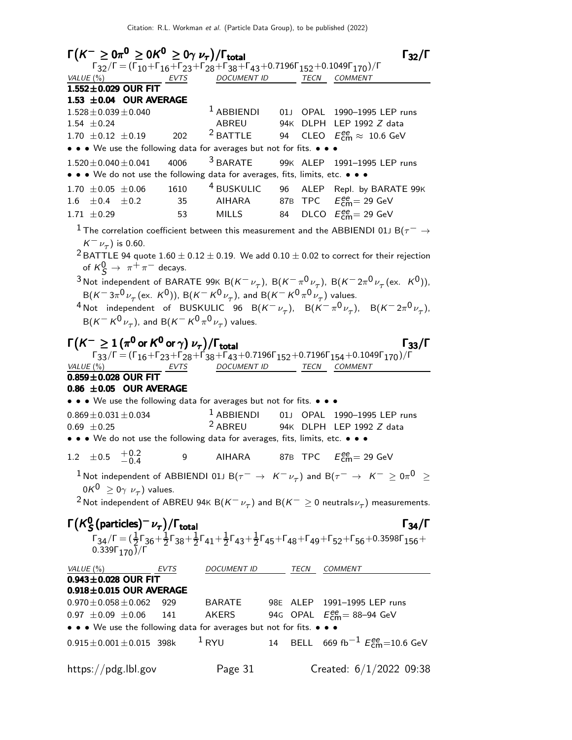| $\Gamma(K^- \geq 0\pi^0 \geq 0K^0 \geq 0\gamma \nu_\tau)/\Gamma_{\rm total}$                                                                                                                                                                                |                          |         | $\Gamma_{32}/\Gamma$                                         |
|-------------------------------------------------------------------------------------------------------------------------------------------------------------------------------------------------------------------------------------------------------------|--------------------------|---------|--------------------------------------------------------------|
| $\Gamma_{32}/\Gamma = (\Gamma_{10} + \Gamma_{16} + \Gamma_{23} + \Gamma_{28} + \Gamma_{38} + \Gamma_{43} + 0.7196\Gamma_{152} + 0.1049\Gamma_{170})/\Gamma$                                                                                                 |                          |         |                                                              |
| $VALUE(%)$ EVTS<br>$1.552\pm0.029$ OUR FIT                                                                                                                                                                                                                  | DOCUMENT ID TECN COMMENT |         |                                                              |
| 1.53 $\pm$ 0.04 OUR AVERAGE                                                                                                                                                                                                                                 |                          |         |                                                              |
| $1.528 \pm 0.039 \pm 0.040$                                                                                                                                                                                                                                 | $^1$ ABBIENDI            | 01J     | OPAL 1990-1995 LEP runs                                      |
| $1.54 \pm 0.24$                                                                                                                                                                                                                                             | ABREU                    |         | 94K DLPH LEP 1992 Z data                                     |
| $1.70 \pm 0.12 \pm 0.19$<br>202                                                                                                                                                                                                                             | <sup>2</sup> BATTLE      |         | 94 CLEO $E_{\text{cm}}^{\text{ee}} \approx 10.6 \text{ GeV}$ |
| • • • We use the following data for averages but not for fits. • • •                                                                                                                                                                                        |                          |         |                                                              |
| 4006                                                                                                                                                                                                                                                        | $3$ BARATE               |         | 99K ALEP 1991-1995 LEP runs                                  |
| $1.520 \pm 0.040 \pm 0.041$<br>• • • We do not use the following data for averages, fits, limits, etc. • • •                                                                                                                                                |                          |         |                                                              |
| $1.70 \pm 0.05 \pm 0.06$ 1610 <sup>4</sup> BUSKULIC 96 ALEP Repl. by BARATE 99K                                                                                                                                                                             |                          |         |                                                              |
| 1.6 $\pm$ 0.4 $\pm$ 0.2 35 AIHARA 87B TPC $E_{\text{cm}}^{\text{ee}}$ = 29 GeV                                                                                                                                                                              |                          |         |                                                              |
| $1.71 \pm 0.29$<br>53                                                                                                                                                                                                                                       | MILLS 84                 |         | DLCO $E_{\text{cm}}^{\text{ee}} = 29 \text{ GeV}$            |
|                                                                                                                                                                                                                                                             |                          |         |                                                              |
| $^1$ The correlation coefficient between this measurement and the ABBIENDI 01J B( $\tau^-\rightarrow$<br>$K^-\nu_{\tau}$ ) is 0.60.                                                                                                                         |                          |         |                                                              |
| <sup>2</sup> BATTLE 94 quote 1.60 $\pm$ 0.12 $\pm$ 0.19. We add 0.10 $\pm$ 0.02 to correct for their rejection                                                                                                                                              |                          |         |                                                              |
| of $K^0$ $\rightarrow \pi^+\pi^-$ decays.                                                                                                                                                                                                                   |                          |         |                                                              |
| <sup>3</sup> Not independent of BARATE 99K B(K <sup>-</sup> $\nu_{\tau}$ ), B(K <sup>-</sup> $\pi^{0}\nu_{\tau}$ ), B(K <sup>-</sup> 2 $\pi^{0}\nu_{\tau}$ (ex. K <sup>0</sup> )),                                                                          |                          |         |                                                              |
| $B(K^- 3\pi^0 \nu_\tau (\text{ex. } K^0))$ , $B(K^- K^0 \nu_\tau)$ , and $B(K^- K^0 \pi^0 \nu_\tau)$ values.                                                                                                                                                |                          |         |                                                              |
| <sup>4</sup> Not independent of BUSKULIC 96 B( $K^-\nu_\tau$ ), B( $K^-\pi^0\nu_\tau$ ), B( $K^-2\pi^0\nu_\tau$ ),                                                                                                                                          |                          |         |                                                              |
| $B(K^-K^0\nu_{\tau})$ , and $B(K^-K^0\pi^0\nu_{\tau})$ values.                                                                                                                                                                                              |                          |         |                                                              |
|                                                                                                                                                                                                                                                             |                          |         |                                                              |
| $\Gamma(K^-\geq 1$ $(\pi^{\mathbf{0}}$ or $K^{\mathbf{0}}$ or $\gamma)$ $\nu_{\tau})/\Gamma_{\text{total}}$                                                                                                                                                 |                          |         | $\Gamma_{33}/\Gamma$                                         |
| $\Gamma_{33}/\Gamma = (\Gamma_{16} + \Gamma_{23} + \Gamma_{28} + \Gamma_{38} + \Gamma_{43} + 0.7196\Gamma_{152} + 0.7196\Gamma_{154} + 0.1049\Gamma_{170})/\Gamma$                                                                                          |                          |         |                                                              |
| $VALUE(%)$ EVTS                                                                                                                                                                                                                                             | DOCUMENT ID              |         | TECN COMMENT                                                 |
| $0.859 \pm 0.028$ OUR FIT                                                                                                                                                                                                                                   |                          |         |                                                              |
| 0.86 $\pm$ 0.05 OUR AVERAGE                                                                                                                                                                                                                                 |                          |         |                                                              |
| • • • We use the following data for averages but not for fits. • • •                                                                                                                                                                                        |                          |         |                                                              |
| $0.869 \pm 0.031 \pm 0.034$                                                                                                                                                                                                                                 | $1$ ABBIENDI 01J         |         | OPAL 1990-1995 LEP runs                                      |
| $0.69 \pm 0.25$                                                                                                                                                                                                                                             |                          |         | <sup>2</sup> ABREU 94K DLPH LEP 1992 Z data                  |
| • • • We do not use the following data for averages, fits, limits, etc. • • •                                                                                                                                                                               |                          |         |                                                              |
| $+0.2$<br>$\pm 0.5$<br>1.2<br>9                                                                                                                                                                                                                             | AIHARA                   | 87B TPC | $E_{\rm CIII}^{\rm ee}$ = 29 GeV                             |
| $^{-1}$ Not independent of ABBIENDI 01J B $(\tau^-\,\rightarrow\,\,K^-\,\nu_\tau)$ and B $(\tau^-\,\rightarrow\,\,K^-\,\geq0\pi^0\,\,\geq\,\,$                                                                                                              |                          |         |                                                              |
| $0K^0 \geq 0\gamma \nu_\tau$ ) values.                                                                                                                                                                                                                      |                          |         |                                                              |
| <sup>2</sup> Not independent of ABREU 94 $\kappa$ B( $K^-\nu_\tau$ ) and B( $K^-\geq 0$ neutrals $\nu_\tau$ ) measurements.                                                                                                                                 |                          |         |                                                              |
|                                                                                                                                                                                                                                                             |                          |         |                                                              |
| $\Gamma(K_S^0 \text{(particles)}^- \nu_\tau)/\Gamma_\text{total}$                                                                                                                                                                                           |                          |         | $\Gamma_{34}/\Gamma$                                         |
| $\Gamma_{34}/\Gamma = (\frac{1}{2}\Gamma_{36} + \frac{1}{2}\Gamma_{38} + \frac{1}{2}\Gamma_{41} + \frac{1}{2}\Gamma_{43} + \frac{1}{2}\Gamma_{45} + \Gamma_{48} + \Gamma_{49} + \Gamma_{52} + \Gamma_{56} + 0.3598\Gamma_{156} + 0.339\Gamma_{170})/\Gamma$ |                          |         |                                                              |
|                                                                                                                                                                                                                                                             |                          |         |                                                              |
| $\frac{VALUE(%)}{0.943 \pm 0.028}$ OUR FIT                                                                                                                                                                                                                  | DOCUMENT ID TECN COMMENT |         |                                                              |
| $0.918 \pm 0.015$ OUR AVERAGE                                                                                                                                                                                                                               |                          |         |                                                              |
| $0.970 \pm 0.058 \pm 0.062$<br>929                                                                                                                                                                                                                          |                          |         | BARATE 98E ALEP 1991-1995 LEP runs                           |
| 141<br>$0.97 \pm 0.09 \pm 0.06$                                                                                                                                                                                                                             | AKERS                    |         | 94G OPAL $E_{\text{cm}}^{ee}$ = 88-94 GeV                    |
| • • • We use the following data for averages but not for fits. • • •                                                                                                                                                                                        |                          |         |                                                              |
| $0.915 \pm 0.001 \pm 0.015$ 398k                                                                                                                                                                                                                            | $1$ RYU                  |         | 14 BELL 669 fb <sup>-1</sup> $E_{cm}^{ee}$ =10.6 GeV         |
|                                                                                                                                                                                                                                                             |                          |         |                                                              |
| https://pdg.lbl.gov                                                                                                                                                                                                                                         | Page 31                  |         | Created: $6/1/2022$ 09:38                                    |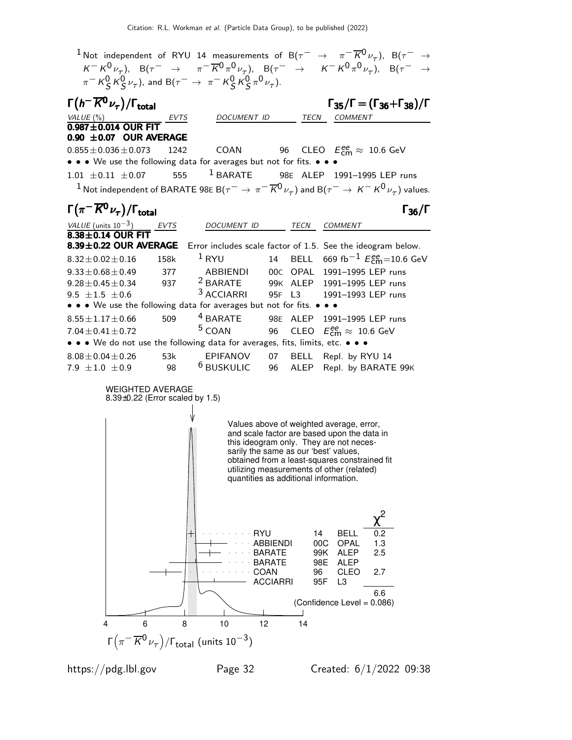$1$ Not independent of RYU 14 measurements of B( $\tau^-$  →  $\pi^ \overline{K}$ 0 $_{\nu_{\tau}}$ ), B( $\tau^-$  →  $K^- K^0 \nu_\tau$ ),  $B(\tau^- \rightarrow \pi^- \overline{K}{}^0 \pi^0 \nu_\tau)$ ,  $B(\tau^- \rightarrow \kappa^- K^0 \pi^0 \nu_\tau)$ ,  $B(\tau^- \rightarrow \tau^- K^0 \pi^0 \nu_\tau)$  $\pi^-$  K $^0_S$  K $^0_S$   $\nu_\tau$ ), and B( $\tau^ \rightarrow \pi^-$  K $^0_S$  K $^0_S$   $\pi^0$   $\nu_\tau$ ). Γ $(h = \overline{K^0} \nu_\tau)$ Γ $(h<sup>-</sup> K<sup>0</sup> \nu_{\tau})$ /Γ<sub>total</sub> Γ<sub>35</sub>/Γ = (Γ<sub>36</sub>+Γ<sub>38</sub>)/Γ VALUE (%) **EVTS** DOCUMENT ID TECN COMMENT  $0.987 \pm 0.014$  OUR FIT **0.90**  $\pm$ **0.07 OUR AVERAGE** 0.855 $\pm$ 0.036 $\pm$ 0.073 1242  $0.855 \pm 0.036 \pm 0.073$  1242 COAN 96 CLEO  $E_{\textsf{cm}}^{\textsf{ee}} \approx 10.6 \,\, \textsf{GeV}$ • • • We use the following data for averages but not for fits. • • • •  $1.01 \pm 0.11 \pm 0.07$  555  $1$  BARATE 98E ALEP 1  $1.01 \pm 0.11 \pm 0.07$  555 <sup>1</sup> BARATE 98E ALEP 1991-1995 LEP runs  $^1$  Not independent of BARATE 98E B $(\tau^-\to\pi^-\overline{K^0}\nu_\tau)$  and B $(\tau^-\to K^-\overline{K^0}\nu_\tau)$  values.  $\Gamma(\pi^- \overline{K^0} \nu_\tau)/\Gamma_{\rm total}$  Γ<sub>36</sub>/Γ total and total and the set of the set of the set of the set of the set of the set of the set of the set of th VALUE (units  $10^{-3}$ ) DOCUMENT ID TECN COMMENT  $8.38\pm0.14$  OUR FIT<br> $8.39\pm0.22$  OUR AVERAGE Error includes scale factor of 1.5. See the ideogram below.  $8.32 \pm 0.02 \pm 0.16$  158k  $^1$  RYU 14 BELL 669 fb $^{-1}$   $E_{\text{cm}}^{\text{ee}}$ =10.6 GeV 9.33 $\pm$ 0.68 $\pm$ 0.49 377 ABBIENDI 00C OPAL 1991-1995 LEP runs<br>9.28 $\pm$ 0.45 $\pm$ 0.34 937 <sup>2</sup> BARATE 99K ALEP 1991-1995 LEP runs  $\frac{2}{3}$ BARATE 99K ALEP 1991–1995 LEP runs<br> $\frac{3}{3}$ ACCIARRI 95F L3 1991–1993 LEP runs  $9.5 \pm 1.5 \pm 0.6$ 1991-1993 LEP runs • • • We use the following data for averages but not for fits. •<br> $8.55 \pm 1.17 \pm 0.66$  509  $^4$  BARATE 98E ALEP  $8.55 \pm 1.17 \pm 0.66$  509 <sup>4</sup> BARATE 98E ALEP 1991–1995 LEP runs<br>7.04 $\pm$ 0.41 $\pm$ 0.72 <sup>5</sup> COAN 96 CLEO  $E_{\rm em}^{\rm gen} \approx 10.6$  GeV  $7.04 \pm 0.41 \pm 0.72$  $_{\rm cm}^{ee} \approx 10.6 \,\text{GeV}$ • • • We do not use the following data for averages, fits, limits, etc. • • •  $8.08 \pm 0.04 \pm 0.26$  53k EPIFANOV 07 BELL Repl. by RYU 14<br>7.9  $\pm$ 1.0  $\pm$ 0.9 98 <sup>6</sup> BUSKULIC 96 ALEP Repl. by BARATI ALEP Repl. by BARATE 99K WEIGHTED AVERAGE 8.39±0.22 (Error scaled by 1.5) Values above of weighted average, error, and scale factor are based upon the data in this ideogram only. They are not necessarily the same as our 'best' values, obtained from a least-squares constrained fit utilizing measurements of other (related) quantities as additional information. ACCIARRI 95F L3 COAN 96 CLEO 2.7 BARATE 98E ALEP BARATE 99K ALEP 2.5 ABBIENDI 00C OPAL 1.3 RYU 14 BELL 0.2 χ 2 6.6 (Confidence Level = 0.086) 4 6 8 10 12 14 Γ $\bigl(\pi^- \overline{K}{}^0\nu_\tau\bigr)/\mathsf{\Gamma}_{\mathsf{total}}$  (units  $10^{-3})$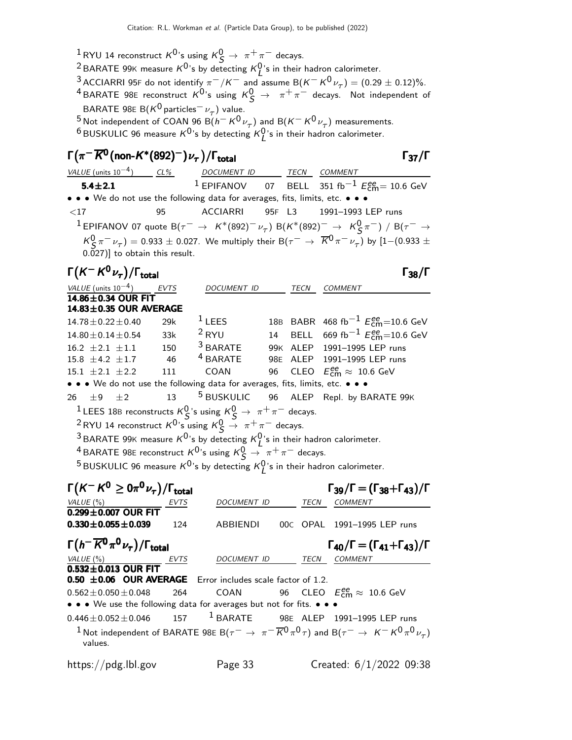$\frac{1}{2}$ RYU 14 reconstruct  $K^0$ 's using  $K^0_S \rightarrow \pi^+ \pi^-$  decays.

<sup>2</sup> BARATE 99K measure  $K^{0}$ 's by detecting  $K^{0}_{L}$ 's in their hadron calorimeter.

<sup>3</sup> ACCIARRI 95F do not identify  $\pi^-/K^-$  and assume B( $K^-K^0\nu_\tau$ ) = (0.29  $\pm$  0.12)%.

<sup>4</sup> BARATE 98E reconstruct  $K^0$ 's using  $K^0_S \rightarrow \pi^+ \pi^-$  decays. Not independent of BARATE 98E B $(K^0$  particles $^-\nu_\tau)$  value.

<sup>5</sup> Not independent of COAN 96 B( $h^- K^0 \nu_\tau$ ) and B( $K^- K^0 \nu_\tau$ ) measurements.

 $^6$ BUSKULIC 96 measure  $K^0$ 's by detecting  $K^0_L$ 's in their hadron calorimeter.

### $\Gamma(\pi^-\overline{K^0}$ (non-K\*(892) $^-)\nu_\tau$ )/Γ<sub>total</sub> Γ<sub>37</sub>/Γ  $\frac{VALUE \text{ (units 10}^{-4})}{5.4 \pm 2.1}$  CL% DOCUMENT ID TECN COMMENT TRANSPORTED TECN COMMENT 5.4±2.1  $^1$  EPIFANOV o7 BELL 351 fb $^{-1}$   $E_{\textsf{cm}}^{ee}$  = 10.6 GeV • • • We do not use the following data for averages, fits, limits, etc. • • • <17 95 ACCIARRI 95F L3 1991–1993 LEP runs  $1$  EPIFANOV 07 quote B $(\tau^- \to K^*(892)^- \nu_\tau)$  B $(K^*(892)^- \to K^0_S \pi^-)$  / B $(\tau^- \to \tau^0)$  $K^0_S \pi^- \nu_\tau) = 0.933 \pm 0.027$ . We multiply their B $(\tau^- \to \overline{K}^0 \pi^- \nu_\tau)$  by  $[1-(0.933 \pm 0.027)$ 0.027)] to obtain this result.  $\Gamma(K^-K^0\nu_\tau)/\Gamma_{\rm total}$  Γ<sub>38</sub>/Γ total38 VALUE (units  $10^{-4}$ ) ) EVTS DOCUMENT ID TECN COMMENT  $14.86 \pm 0.34$  OUR FIT  $14.83 \pm 0.35$  OUR AVERAGE  $14.78 \pm 0.22 \pm 0.40$  29k 1 LEES 18B BABR 468 fb<sup>-1</sup>  $E_{\text{cm}}^{\text{ee}}$ =10.6 GeV 14.80 $\pm$ 0.14 $\pm$ 0.54 33k  $^2$  RYU 14 BELL 669 fb $^{-1}$   $E_{\rm cm}^{\rm ee}$ =10.6 GeV  $16.2 \pm 2.1 \pm 1.1$  150 <sup>3</sup> BARATE 99K ALEP 1991–1995 LEP runs<br>15.8  $\pm$  4.2  $\pm$ 1.7 46 <sup>4</sup> BARATE 98E ALEP 1991–1995 LEP runs 15.8  $\pm$  4.2  $\pm$  1.7 46 <sup>4</sup> BARATE 98E ALEP 1991–1995 LEP runs<br>15.1  $\pm$  2.1  $\pm$  2.2 111 COAN 96 CLEO  $E_{\rm cm}^{\rm gen} \approx 10.6$  GeV 15.1  $\pm$  2.1  $\pm$  2.2 111 COAN 96 CLEO  $E_{\text{cm}}^{\text{ee}} \approx 10.6 \text{ GeV}$ • • • We do not use the following data for averages, fits, limits, etc. • • • •  $26 + 9 + 2 = 13$  • 5 BUSKULIC • 96 • ALEP Repl. by B  $26 \pm 9 \pm 2$  13 <sup>5</sup> BUSKULIC 96 ALEP Repl. by BARATE 99K <sup>1</sup>LEES 18B reconstructs  $K_S^0$ 's using  $K_S^0 \rightarrow \pi^+ \pi^-$  decays. <sup>2</sup> RYU 14 reconstruct  $K^0$ 's using  $K^0_S \rightarrow \pi^+ \pi^-$  decays. <sup>3</sup> BARATE 99K measure  $K^0$ 's by detecting  $K^0_L$ 's in their hadron calorimeter. <sup>4</sup> BARATE 98E reconstruct  $K^0$ 's using  $K^0_S \rightarrow \pi^+ \pi^-$  decays. <sup>5</sup> BUSKULIC 96 measure  $K^0$ 's by detecting  $K^0_L$ 's in their hadron calorimeter. Γ K − K <sup>0</sup> ≥ 0π <sup>0</sup> ν<sup>τ</sup> Γ /Γtotal Γ39/Γ = (Γ38+Γ43)/Γ − <sup>0</sup>≥ 0π <sup>0</sup>ντ Γ /ΓtotalΓ39/Γ = (Γ38+Γ43)/Γ K K<sup>0</sup> ≥0π<sup>0</sup> ν<sup>τ</sup> Γ /Γtotal Γ39/Γ = 38+Γ43)/Γ <sup>0</sup>≥0π0ντ/ΓtotalΓ39/Γ = 38+Γ43)/Γ VALUE (%) **EVTS** DOCUMENT ID TECN COMMENT  $\overline{0.299 \pm 0.007}$  OUR FIT 0.330  $\pm$  0.055  $\pm$  0.039 124 ABBIENDI 00C OPAL 1991-1995 LEP runs  $\Gamma(h^-\overline{K^0}\pi^0\nu_{\tau})/\Gamma_{\rm total}$   $\Gamma_{40}/\Gamma = (\Gamma_{41}+\Gamma_{43})$  $(h^-\overline{K^0}\pi^0\nu_\tau)/\Gamma_{\text{total}}$   $\Gamma_{40}/\Gamma = (\Gamma_{41}+\Gamma_{43})/\Gamma$ VALUE (%) **EVTS** DOCUMENT ID TECN COMMENT  $0.532 \pm 0.013$  OUR FIT<br>0.50  $\pm 0.06$  OUR AVERAGE 0.50 ±0.06 OUR AVERAGE 06 OUR AVERAGE 06 OUR AVERAGE 06 OUR AVERAGE Error includes scale factor of 1.2.  $0.562 \pm 0.050 \pm 0.048$  $_{\rm cm}^{ee} \approx 10.6 \,\text{GeV}$ • • • We use the following data for averages but not for fits. • • •

 $0.446 \pm 0.052 \pm 0.046$  157 <sup>1</sup> BARATE 98E ALEP 1991-1995 LEP runs  $^1$ Not independent of BARATE 98E B( $\tau^-\to~\pi^-\overline{K}{}^0\pi^0\tau)$  and B( $\tau^-\to~$  K $^-$  K $^0\pi^0\overline{\nu_\tau})$ 

values.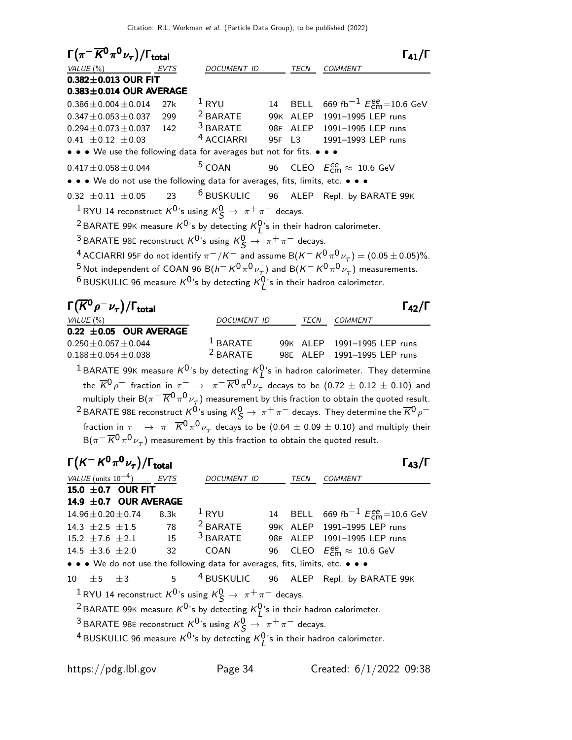| $\Gamma(\pi^- \overline{K}{}^0\pi^0\nu_\tau)/\Gamma_{\rm total}$                             |      |                                                                                                   |        |          | $\Gamma_{41}/\Gamma$                                                                                                               |
|----------------------------------------------------------------------------------------------|------|---------------------------------------------------------------------------------------------------|--------|----------|------------------------------------------------------------------------------------------------------------------------------------|
| VALUE $(\%)$                                                                                 | EVTS | <i>DOCUMENT ID</i>                                                                                |        | TECN     | <b>COMMENT</b>                                                                                                                     |
| $0.382 \pm 0.013$ OUR FIT                                                                    |      |                                                                                                   |        |          |                                                                                                                                    |
| $0.383 \pm 0.014$ OUR AVERAGE                                                                |      |                                                                                                   |        |          |                                                                                                                                    |
| $0.386 \pm 0.004 \pm 0.014$                                                                  | 27k  | $1$ RYU                                                                                           | 14     |          | BELL 669 fb <sup>-1</sup> $E_{\text{cm}}^{ee}$ =10.6 GeV                                                                           |
| $0.347 \pm 0.053 \pm 0.037$                                                                  | 299  |                                                                                                   |        |          | <sup>2</sup> BARATE 99K ALEP 1991-1995 LEP runs                                                                                    |
| $0.294 \pm 0.073 \pm 0.037$                                                                  | 142  | $3$ BARATE                                                                                        |        | 98E ALEP | 1991-1995 LEP runs                                                                                                                 |
| $0.41 \pm 0.12 \pm 0.03$                                                                     |      | <sup>4</sup> ACCIARRI                                                                             | 95F L3 |          | 1991-1993 LEP runs                                                                                                                 |
| • • • We use the following data for averages but not for fits. • • •                         |      |                                                                                                   |        |          |                                                                                                                                    |
| $0.417 \pm 0.058 \pm 0.044$                                                                  |      | <sup>5</sup> COAN                                                                                 |        |          | 96 CLEO $E_{\text{cm}}^{\text{ee}} \approx 10.6 \text{ GeV}$                                                                       |
| • • • We do not use the following data for averages, fits, limits, etc. • • •                |      |                                                                                                   |        |          |                                                                                                                                    |
| $0.32 \pm 0.11 \pm 0.05$                                                                     | 23   |                                                                                                   |        |          | <sup>6</sup> BUSKULIC 96 ALEP Repl. by BARATE 99K                                                                                  |
| <sup>1</sup> RYU 14 reconstruct $K^0$ 's using $K^0_S \rightarrow \pi^+ \pi^-$ decays.       |      |                                                                                                   |        |          |                                                                                                                                    |
| <sup>2</sup> BARATE 99K measure $K^0$ 's by detecting $K^0$ 's in their hadron calorimeter.  |      |                                                                                                   |        |          |                                                                                                                                    |
| <sup>3</sup> BARATE 98E reconstruct $K^0$ 's using $K^0_S \rightarrow \pi^+ \pi^-$ decays.   |      |                                                                                                   |        |          |                                                                                                                                    |
|                                                                                              |      |                                                                                                   |        |          | <sup>4</sup> ACCIARRI 95F do not identify $\pi^-/K^-$ and assume B( $K^- K^0 \pi^0 \nu_\tau$ ) = (0.05 ± 0.05)%.                   |
|                                                                                              |      |                                                                                                   |        |          | <sup>5</sup> Not independent of COAN 96 B( $h^- K^0 \pi^0 \nu_\tau$ ) and B( $K^- K^0 \pi^0 \nu_\tau$ ) measurements.              |
| $^6$ BUSKULIC 96 measure $K^{0}$ 's by detecting $K^{0}_{I}$ 's in their hadron calorimeter. |      |                                                                                                   |        |          |                                                                                                                                    |
|                                                                                              |      |                                                                                                   |        |          |                                                                                                                                    |
| $\Gamma(\overline{K}^0\rho^-\nu_\tau)/\Gamma_{\rm total}$                                    |      |                                                                                                   |        |          | $\Gamma_{42}/\Gamma$                                                                                                               |
| VALUE $(\% )$                                                                                |      | DOCUMENT ID                                                                                       |        | TECN     | <b>COMMENT</b>                                                                                                                     |
| $0.22 \pm 0.05$ OUR AVERAGE                                                                  |      |                                                                                                   |        |          |                                                                                                                                    |
| $0.250 \pm 0.057 \pm 0.044$                                                                  |      |                                                                                                   |        |          | <sup>1</sup> BARATE 99K ALEP 1991-1995 LEP runs                                                                                    |
| $0.188 \pm 0.054 \pm 0.038$                                                                  |      |                                                                                                   |        |          | <sup>2</sup> BARATE 98E ALEP 1991-1995 LEP runs                                                                                    |
|                                                                                              |      |                                                                                                   |        |          | <sup>1</sup> BARATE 99K measure $K^0$ 's by detecting $K^0_I$ 's in hadron calorimeter. They determine                             |
|                                                                                              |      |                                                                                                   |        |          | the $\overline{K}^0\rho^-$ fraction in $\tau^ \to \pi^- \overline{K}{}^0\pi^0\nu_\tau$ decays to be $(0.72 \pm 0.12 \pm 0.10)$ and |
|                                                                                              |      |                                                                                                   |        |          | multiply their B( $\pi^{-} \overline{K}^{0} \pi^{0} \nu_{\tau}$ ) measurement by this fraction to obtain the quoted result.        |
|                                                                                              |      |                                                                                                   |        |          | <sup>2</sup> BARATE 98E reconstruct $K^0$ 's using $K^0_S \to \pi^+ \pi^-$ decays. They determine the $\overline{K}{}^0 \rho^-$    |
|                                                                                              |      |                                                                                                   |        |          | fraction in $\tau^ \rightarrow \pi^- \overline{K}^0 \pi^0 \nu_\tau$ decays to be (0.64 $\pm$ 0.09 $\pm$ 0.10) and multiply their   |
|                                                                                              |      | $B(\pi^-\overline{K}{}^0\pi^0\nu_\tau)$ measurement by this fraction to obtain the quoted result. |        |          |                                                                                                                                    |

| $\Gamma(K^-K^0\pi^0\nu_\tau)/\Gamma_{\rm total}$ |                 |      |                                                                                                                                                                                           |      |                                                                                              |
|--------------------------------------------------|-----------------|------|-------------------------------------------------------------------------------------------------------------------------------------------------------------------------------------------|------|----------------------------------------------------------------------------------------------|
| VALUE (units $10^{-4}$ ) EVTS                    |                 |      | DOCUMENT ID                                                                                                                                                                               | TECN | <b>COMMENT</b>                                                                               |
| 15.0 $\pm$ 0.7 OUR FIT                           |                 |      |                                                                                                                                                                                           |      |                                                                                              |
| 14.9 ±0.7 OUR AVERAGE                            |                 |      |                                                                                                                                                                                           |      |                                                                                              |
| $14.96 \pm 0.20 \pm 0.74$                        |                 | 8.3k | $1$ RYU                                                                                                                                                                                   |      | 14 BELL 669 fb <sup>-1</sup> $E_{cm}^{ee}$ =10.6 GeV                                         |
| $14.3 \pm 2.5 \pm 1.5$ 78                        |                 |      | $2$ BARATE                                                                                                                                                                                |      | 99K ALEP 1991-1995 LEP runs                                                                  |
| $15.2 \pm 7.6 \pm 2.1$                           | 15              |      |                                                                                                                                                                                           |      | <sup>3</sup> BARATE 98E ALEP 1991-1995 LEP runs                                              |
| 14.5 $\pm 3.6 \pm 2.0$                           | $\overline{32}$ |      |                                                                                                                                                                                           |      | COAN 96 CLEO $E_{cm}^{ee} \approx 10.6$ GeV                                                  |
|                                                  |                 |      | • • • We do not use the following data for averages, fits, limits, etc. • • •                                                                                                             |      |                                                                                              |
|                                                  |                 |      |                                                                                                                                                                                           |      | 10 $\pm$ 5 $\pm$ 3 5 <sup>4</sup> BUSKULIC 96 ALEP Repl. by BARATE 99K                       |
|                                                  |                 |      | <sup>1</sup> RYU 14 reconstruct $K^0$ 's using $K^0_S \rightarrow \pi^+ \pi^-$ decays.                                                                                                    |      |                                                                                              |
|                                                  |                 |      |                                                                                                                                                                                           |      |                                                                                              |
|                                                  |                 |      |                                                                                                                                                                                           |      |                                                                                              |
|                                                  |                 |      |                                                                                                                                                                                           |      |                                                                                              |
|                                                  |                 |      |                                                                                                                                                                                           |      |                                                                                              |
|                                                  |                 |      |                                                                                                                                                                                           |      |                                                                                              |
|                                                  |                 |      | <sup>2</sup> BARATE 99K measure $K^0$ 's by detecting $K^0$ 's in their hadron calorimeter.<br><sup>3</sup> BARATE 98E reconstruct $K^0$ 's using $K^0_S \rightarrow \pi^+ \pi^-$ decays. |      | <sup>4</sup> BUSKULIC 96 measure $K^0$ 's by detecting $K^0$ 's in their hadron calorimeter. |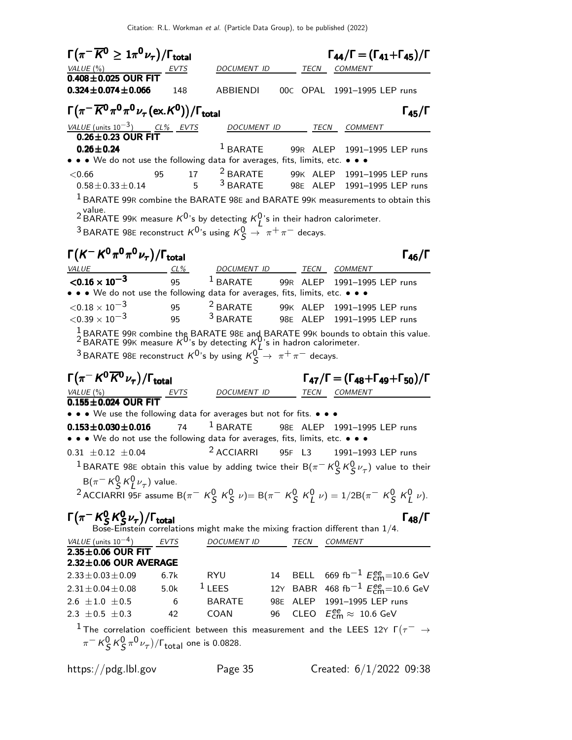| $\Gamma(\pi^- \overline{K^0} \geq 1 \pi^0 \nu_\tau)/\Gamma_{\rm total}$                                      |        |                          |    |        | $\Gamma_{44}/\Gamma = (\Gamma_{41} + \Gamma_{45})/\Gamma$                                                                                                                                                          |
|--------------------------------------------------------------------------------------------------------------|--------|--------------------------|----|--------|--------------------------------------------------------------------------------------------------------------------------------------------------------------------------------------------------------------------|
| VALUE(%)                                                                                                     | EVTS   | DOCUMENT ID              |    |        | TECN COMMENT                                                                                                                                                                                                       |
| $0.408 \pm 0.025$ OUR FIT                                                                                    |        |                          |    |        |                                                                                                                                                                                                                    |
| $0.324 \pm 0.074 \pm 0.066$                                                                                  | 148    | ABBIENDI                 |    |        | 00C OPAL 1991-1995 LEP runs                                                                                                                                                                                        |
| $\Gamma(\pi^-\overline{K^0}\pi^0\pi^0\nu_\tau(\mathrm{ex.}K^0))/\Gamma_{\mathrm{total}}$                     |        |                          |    |        | $\Gamma_{45}/\Gamma$                                                                                                                                                                                               |
| $\frac{\text{VALUE (units 10}^{-3})}{0.26 \pm 0.23} \frac{\text{CL\%}}{\text{OUR FIT}}$ EVTS                 |        | DOCUMENT ID              |    |        | TECN COMMENT                                                                                                                                                                                                       |
| $0.26 \pm 0.24$                                                                                              |        | $^1$ BARATE              |    |        | 99R ALEP 1991-1995 LEP runs                                                                                                                                                                                        |
| • • • We do not use the following data for averages, fits, limits, etc. • • •                                |        |                          |    |        |                                                                                                                                                                                                                    |
| < 0.66<br>95                                                                                                 | 17     | <sup>2</sup> BARATE      |    |        | 99K ALEP 1991-1995 LEP runs                                                                                                                                                                                        |
| $0.58 \pm 0.33 \pm 0.14$                                                                                     | 5      | <sup>3</sup> BARATE      |    |        | 98E ALEP 1991-1995 LEP runs                                                                                                                                                                                        |
|                                                                                                              |        |                          |    |        | $1$ BARATE 99R combine the BARATE 98E and BARATE 99K measurements to obtain this                                                                                                                                   |
| value.                                                                                                       |        |                          |    |        |                                                                                                                                                                                                                    |
| <sup>2</sup> BARATE 99K measure $K^0$ 's by detecting $K^0$ 's in their hadron calorimeter.                  |        |                          |    |        |                                                                                                                                                                                                                    |
| <sup>3</sup> BARATE 98E reconstruct $K^0$ 's using $K^0_S \rightarrow \pi^+ \pi^-$ decays.                   |        |                          |    |        |                                                                                                                                                                                                                    |
| $\Gamma(K^-K^0\pi^0\pi^0\nu_{\tau})/\Gamma_{\rm total}$                                                      |        |                          |    |        | $\Gamma_{46}/\Gamma$                                                                                                                                                                                               |
| <i>VALUE</i>                                                                                                 | $CL\%$ | DOCUMENT ID TECN COMMENT |    |        |                                                                                                                                                                                                                    |
| $< 0.16 \times 10^{-3}$                                                                                      | 95     |                          |    |        | <sup>1</sup> BARATE 99R ALEP 1991-1995 LEP runs                                                                                                                                                                    |
| • • We do not use the following data for averages, fits, limits, etc. • • •                                  |        |                          |    |        |                                                                                                                                                                                                                    |
| $<$ 0.18 $\times$ 10 $^{-3}$                                                                                 | 95     | $2$ BARATE               |    |        | 99K ALEP 1991-1995 LEP runs                                                                                                                                                                                        |
| ${<}0.39\times10^{-3}$                                                                                       | 95     | $3$ BARATE               |    |        | 98E ALEP 1991-1995 LEP runs                                                                                                                                                                                        |
|                                                                                                              |        |                          |    |        | <sup>1</sup> BARATE 99R combine the BARATE 98E and BARATE 99K bounds to obtain this value.<br><sup>2</sup> BARATE 99K measure K <sup>0</sup> 's by detecting K <sup>0</sup> 's in hadron calorimeter.              |
| <sup>3</sup> BARATE 98E reconstruct $K^0$ 's by using $K^0$ <sup>-</sup> $\rightarrow \pi^+\pi^-$ decays.    |        |                          |    |        |                                                                                                                                                                                                                    |
|                                                                                                              |        |                          |    |        |                                                                                                                                                                                                                    |
| $\Gamma(\pi^- K^0 \overline{K}{}^0 \nu_\tau)/\Gamma_{\rm total}$                                             |        |                          |    |        | $\Gamma_{47}/\Gamma = (\Gamma_{48} + \Gamma_{49} + \Gamma_{50})/\Gamma$                                                                                                                                            |
| VALUE (%)<br>$\frac{VALUE (%)}{0.155 \pm 0.024}$ OUR FIT $\frac{EVTS}{1}$                                    |        | DOCUMENT ID              |    |        | TECN COMMENT                                                                                                                                                                                                       |
|                                                                                                              |        |                          |    |        |                                                                                                                                                                                                                    |
| • • • We use the following data for averages but not for fits. • • •                                         |        |                          |    |        |                                                                                                                                                                                                                    |
| $0.153 \pm 0.030 \pm 0.016$<br>• • • We do not use the following data for averages, fits, limits, etc. • • • | 74     | $1$ BARATE               |    |        | 98E ALEP 1991-1995 LEP runs                                                                                                                                                                                        |
| $0.31 \pm 0.12 \pm 0.04$                                                                                     |        | <sup>2</sup> ACCIARRI    |    | 95F L3 | 1991-1993 LEP runs                                                                                                                                                                                                 |
|                                                                                                              |        |                          |    |        |                                                                                                                                                                                                                    |
|                                                                                                              |        |                          |    |        | <sup>1</sup> BARATE 98E obtain this value by adding twice their B( $\pi^-$ K $^0_S$ K $^0_S$ $\nu_{\tau}$ ) value to their                                                                                         |
| $B(\pi^- K_S^0 K_I^0 \nu_\tau)$ value.                                                                       |        |                          |    |        |                                                                                                                                                                                                                    |
|                                                                                                              |        |                          |    |        | <sup>2</sup> ACCIARRI 95F assume B( $\pi^-$ K <sup>0</sup> S K <sup>0</sup> S $\nu$ )= B( $\pi^-$ K <sup>0</sup> S K <sup>0</sup> <sub>I</sub> V) = 1/2B( $\pi^-$ K <sup>0</sup> S K <sup>0</sup> <sub>I</sub> V). |
| $\Gamma(\pi^- K^0_S K^0_S \nu_\tau)/\Gamma_{\rm total}$                                                      |        |                          |    |        | $\Gamma_{48}/\Gamma$                                                                                                                                                                                               |
|                                                                                                              |        |                          |    |        | Bose-Einstein correlations might make the mixing fraction different than $1/4$ .                                                                                                                                   |
| $\frac{VALUE \text{(units 10}^{-4})}{2.35 \pm 0.06 \text{ OUR FIT}}$ EVTS                                    |        | DOCUMENT ID TECN COMMENT |    |        |                                                                                                                                                                                                                    |
|                                                                                                              |        |                          |    |        |                                                                                                                                                                                                                    |
| $2.32 \pm 0.06$ OUR AVERAGE                                                                                  | 6.7k   | RYU                      |    |        | 14 BELL 669 fb <sup>-1</sup> $E_{\text{cm}}^{ee}$ =10.6 GeV                                                                                                                                                        |
| $2.33 \pm 0.03 \pm 0.09$<br>$2.31 \pm 0.04 \pm 0.08$                                                         | 5.0k   | $1$ LEES                 |    |        | 12Y BABR 468 fb <sup>-1</sup> $E_{\text{cm}}^{ee}$ =10.6 GeV                                                                                                                                                       |
| $2.6 \pm 1.0 \pm 0.5$ 6                                                                                      |        | BARATE                   |    |        | 98E ALEP 1991-1995 LEP runs                                                                                                                                                                                        |
| 2.3 $\pm$ 0.5 $\pm$ 0.3                                                                                      | 42     | <b>COAN</b>              | 96 |        | CLEO $E_{\text{cm}}^{ee} \approx 10.6 \text{ GeV}$                                                                                                                                                                 |
|                                                                                                              |        |                          |    |        |                                                                                                                                                                                                                    |
|                                                                                                              |        |                          |    |        | $^{-1}$ The correlation coefficient between this measurement and the LEES 12Y $\Gamma(\tau^-\rightarrow\tau^+)$                                                                                                    |
| $\pi^- K^0_S K^0_S \pi^0 \nu_\tau) / \Gamma_{\text{total}}$ one is 0.0828.                                   |        |                          |    |        |                                                                                                                                                                                                                    |

https://pdg.lbl.gov Page 35 Created: 6/1/2022 09:38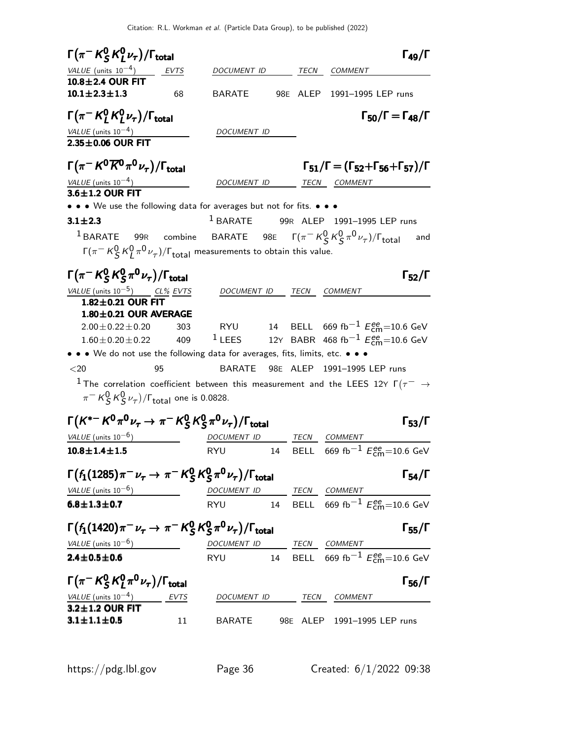| $\Gamma(\pi^- K^0_S K^0_L \nu_\tau)/\Gamma_{\rm total}$                                                                                                                                                                               |               |                                                 |    |                             | $\Gamma_{49}/\Gamma$                                                                                                                                |
|---------------------------------------------------------------------------------------------------------------------------------------------------------------------------------------------------------------------------------------|---------------|-------------------------------------------------|----|-----------------------------|-----------------------------------------------------------------------------------------------------------------------------------------------------|
| VALUE (units $10^{-4}$ )                                                                                                                                                                                                              | $\equiv$ EVTS | DOCUMENT ID TECN COMMENT                        |    |                             |                                                                                                                                                     |
| 10.8±2.4 OUR FIT<br>$10.1 \pm 2.3 \pm 1.3$                                                                                                                                                                                            | 68            | <b>BARATE</b>                                   |    |                             | 98E ALEP 1991-1995 LEP runs                                                                                                                         |
| $\Gamma(\pi^- K^0_L K^0_L \nu_\tau)/\Gamma_{\rm total}$                                                                                                                                                                               |               |                                                 |    |                             | $\Gamma_{50}/\Gamma = \Gamma_{48}/\Gamma$                                                                                                           |
| VALUE (units $10^{-4}$ )                                                                                                                                                                                                              |               | DOCUMENT ID                                     |    |                             |                                                                                                                                                     |
| $2.35\pm0.06$ OUR FIT                                                                                                                                                                                                                 |               |                                                 |    |                             |                                                                                                                                                     |
| $\Gamma(\pi^- K^0 \overline{K}{}^0 \pi^0 \nu_\tau)/\Gamma_{\rm total}$                                                                                                                                                                |               |                                                 |    |                             | $\Gamma_{51}/\Gamma = (\Gamma_{52} + \Gamma_{56} + \Gamma_{57})/\Gamma$                                                                             |
| VALUE (units $10^{-4}$ )                                                                                                                                                                                                              |               | DOCUMENT ID TECN COMMENT                        |    |                             |                                                                                                                                                     |
| $3.6 \pm 1.2$ OUR FIT                                                                                                                                                                                                                 |               |                                                 |    |                             |                                                                                                                                                     |
| • • • We use the following data for averages but not for fits. • • •                                                                                                                                                                  |               |                                                 |    |                             |                                                                                                                                                     |
| $3.1 \pm 2.3$                                                                                                                                                                                                                         |               | <sup>1</sup> BARATE 99R ALEP 1991-1995 LEP runs |    |                             |                                                                                                                                                     |
| <sup>1</sup> BARATE 99R combine BARATE 98E $\Gamma(\pi^- K^0_S K^0_S \pi^0 \nu_\tau)/\Gamma_{\rm total}$                                                                                                                              |               |                                                 |    |                             | and                                                                                                                                                 |
| $\Gamma(\pi^- K^0_S K^0_I \pi^0 \nu_\tau)/\Gamma_{\text{total}}$ measurements to obtain this value.                                                                                                                                   |               |                                                 |    |                             |                                                                                                                                                     |
| $\Gamma(\pi^- K^0_S K^0_S \pi^0 \nu_\tau)/\Gamma_{\rm total}$                                                                                                                                                                         |               |                                                 |    |                             | $\Gamma_{52}/\Gamma$                                                                                                                                |
| VALUE (units $10^{-5}$ ) CL% EVTS                                                                                                                                                                                                     |               | DOCUMENT ID TECN                                |    | <i>COMMENT</i>              |                                                                                                                                                     |
| $1.82 \pm 0.21$ OUR FIT                                                                                                                                                                                                               |               |                                                 |    |                             |                                                                                                                                                     |
| $1.80 \pm 0.21$ OUR AVERAGE                                                                                                                                                                                                           |               |                                                 |    |                             |                                                                                                                                                     |
| $2.00 \pm 0.22 \pm 0.20$                                                                                                                                                                                                              | 303           |                                                 |    |                             | $\mathsf{RYU} \qquad \quad \mathsf{14} \quad \mathsf{BELL} \quad \mathsf{669~fb}^{-1} \mathrel{E_{\mathsf{C}}^{ee}}\mathsf{m}{=} \mathsf{10.6~GeV}$ |
| $1.60 \pm 0.20 \pm 0.22$ 409                                                                                                                                                                                                          |               |                                                 |    |                             | <sup>1</sup> LEES 12Y BABR 468 fb <sup>-1</sup> $E_{\text{cm}}^{ee}$ =10.6 GeV                                                                      |
| • • • We do not use the following data for averages, fits, limits, etc. • • •                                                                                                                                                         |               |                                                 |    |                             |                                                                                                                                                     |
| $<$ 20                                                                                                                                                                                                                                | 95            | BARATE                                          |    | 98E ALEP 1991-1995 LEP runs |                                                                                                                                                     |
| $^1$ The correlation coefficient between this measurement and the LEES 12Y $\Gamma(\tau^-\rightarrow\tau^+$<br>$\pi^-$ K <sup>O</sup> <sub>S</sub> K <sup>O</sup> <sub>S</sub> $\nu_{\tau}$ )/ $\Gamma_{\text{total}}$ one is 0.0828. |               |                                                 |    |                             |                                                                                                                                                     |
| $\Gamma(K^{*-} K^0 \pi^0 \nu_\tau \to \pi^- K^0_S K^0_S \pi^0 \nu_\tau)/\Gamma_{\rm total}$                                                                                                                                           |               |                                                 |    |                             | $\Gamma_{53}/\Gamma$                                                                                                                                |
| VALUE (units $10^{-6}$ )                                                                                                                                                                                                              |               | DOCUMENT ID                                     |    | TECN COMMENT                |                                                                                                                                                     |
| $10.8 \pm 1.4 \pm 1.5$                                                                                                                                                                                                                |               | <b>RYU</b>                                      | 14 |                             | BELL 669 fb <sup>-1</sup> $E_{cm}^{ee}$ =10.6 GeV                                                                                                   |
| $\Gamma(f_1(1285)\pi^-\nu_\tau\to\pi^-K^0_S K^0_S\pi^0\nu_\tau)/\Gamma_{\rm total}$                                                                                                                                                   |               |                                                 |    |                             | $\Gamma_{54}/\Gamma$                                                                                                                                |
| $\frac{VALUE \text{ (units 10}^{-6})}{0.8 \pm 1.3 \pm 0.7}$ DOCUMENT ID TECN COMMENT<br>RYU 14 BELL 669 fb <sup>-1</sup> $E_{\text{cm}}^{\text{ee}}$ =10.6 GeV                                                                        |               |                                                 |    |                             |                                                                                                                                                     |
|                                                                                                                                                                                                                                       |               |                                                 |    |                             |                                                                                                                                                     |
| $\Gamma(f_1(1420)\pi^-\nu_\tau\to\pi^-K^0_S K^0_S\pi^0\nu_\tau)/\Gamma_{\rm total}$                                                                                                                                                   |               |                                                 |    |                             | $\Gamma_{55}/\Gamma$                                                                                                                                |
| $VALUE$ (units $10^{-6}$ )                                                                                                                                                                                                            |               | DOCUMENT ID TECN COMMENT                        |    |                             |                                                                                                                                                     |
| $2.4 \pm 0.5 \pm 0.6$                                                                                                                                                                                                                 |               |                                                 |    |                             | RYU 14 BELL 669 fb <sup>-1</sup> $E_{\text{cm}}^{ee}$ =10.6 GeV                                                                                     |
|                                                                                                                                                                                                                                       |               |                                                 |    |                             | $\Gamma_{56}/\Gamma$                                                                                                                                |
|                                                                                                                                                                                                                                       |               |                                                 |    |                             |                                                                                                                                                     |
|                                                                                                                                                                                                                                       |               | DOCUMENT ID TECN COMMENT                        |    |                             |                                                                                                                                                     |
| $\Gamma(\pi^- K^0_S K^0_I \pi^0 \nu_\tau)/\Gamma_{\rm total}$<br>$\frac{\text{VALUE (units 10}^{-4})}{\text{3.2} \pm \text{1.2 OUR FIT}}$<br>$3.1 \pm 1.1 \pm 0.5$                                                                    | 11            |                                                 |    |                             | BARATE 98E ALEP 1991-1995 LEP runs                                                                                                                  |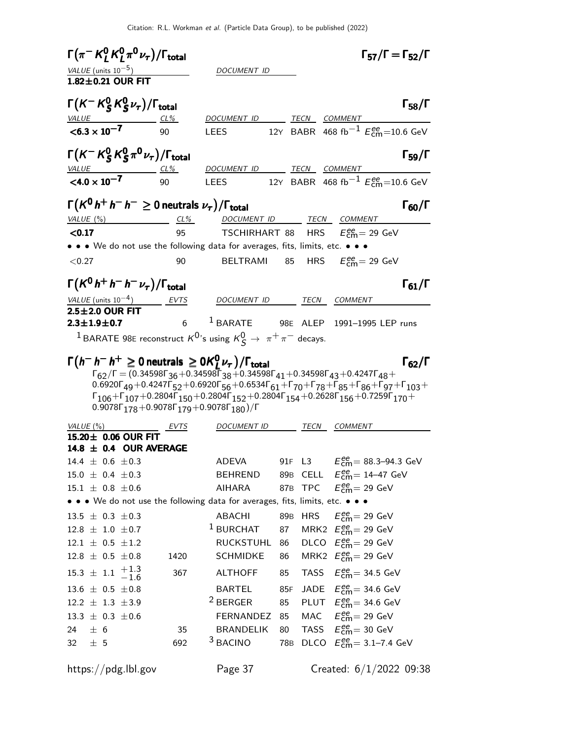| $\Gamma(\pi^- K^0_L K^0_L \pi^0 \nu_\tau)/\Gamma_{\rm total}$                                                                                                        |           |                                                                                                                                                                                                                                                                                                                                                                                                                                                                         |     |                                                     | $\Gamma_{57}/\Gamma = \Gamma_{52}/\Gamma$                    |                      |
|----------------------------------------------------------------------------------------------------------------------------------------------------------------------|-----------|-------------------------------------------------------------------------------------------------------------------------------------------------------------------------------------------------------------------------------------------------------------------------------------------------------------------------------------------------------------------------------------------------------------------------------------------------------------------------|-----|-----------------------------------------------------|--------------------------------------------------------------|----------------------|
|                                                                                                                                                                      |           | DOCUMENT ID                                                                                                                                                                                                                                                                                                                                                                                                                                                             |     |                                                     |                                                              |                      |
| $\frac{VALUE \text{(units 10}^{-5})}{1.82 \pm 0.21 \text{ OUR FIT}}$                                                                                                 |           |                                                                                                                                                                                                                                                                                                                                                                                                                                                                         |     |                                                     |                                                              |                      |
| $\Gamma(K^-K^0_SK^0_S\nu_\tau)/\Gamma_{\rm total}$                                                                                                                   |           |                                                                                                                                                                                                                                                                                                                                                                                                                                                                         |     |                                                     |                                                              | $\Gamma_{58}/\Gamma$ |
| VALUE                                                                                                                                                                |           | DOCUMENT ID                                                                                                                                                                                                                                                                                                                                                                                                                                                             |     | <u>TECN COMMENT</u>                                 |                                                              |                      |
| $< 6.3 \times 10^{-7}$                                                                                                                                               | 90        | <b>LEES</b>                                                                                                                                                                                                                                                                                                                                                                                                                                                             |     |                                                     | 12Y BABR 468 fb <sup>-1</sup> $E_{\text{cm}}^{ee}$ =10.6 GeV |                      |
| $\Gamma(K^-K^0_S K^0_S \pi^0 \nu_\tau)/\Gamma_{\rm total}$                                                                                                           |           | DOCUMENT ID                                                                                                                                                                                                                                                                                                                                                                                                                                                             |     | <u>TECN COMMENT</u>                                 |                                                              | $\Gamma_{59}/\Gamma$ |
| $VALU E$ CL%<br>$< 4.0 \times 10^{-7}$                                                                                                                               | 90        | <b>LEES</b>                                                                                                                                                                                                                                                                                                                                                                                                                                                             |     |                                                     | 12Y BABR 468 fb <sup>-1</sup> $E_{cm}^{ee}$ =10.6 GeV        |                      |
|                                                                                                                                                                      |           |                                                                                                                                                                                                                                                                                                                                                                                                                                                                         |     |                                                     |                                                              |                      |
| $\Gamma(K^0 h^+ h^- h^- \geq 0$ neutrals $\nu_{\tau})/\Gamma_{\rm total}$                                                                                            |           |                                                                                                                                                                                                                                                                                                                                                                                                                                                                         |     |                                                     |                                                              | $\Gamma_{60}/\Gamma$ |
| VALUE (%)                                                                                                                                                            | $CL\%$    | DOCUMENT ID TECN COMMENT                                                                                                                                                                                                                                                                                                                                                                                                                                                |     |                                                     |                                                              |                      |
| < 0.17                                                                                                                                                               | 95        | <b>TSCHIRHART 88 HRS</b> $E_{\text{cm}}^{\text{ee}} = 29 \text{ GeV}$                                                                                                                                                                                                                                                                                                                                                                                                   |     |                                                     |                                                              |                      |
| • • • We do not use the following data for averages, fits, limits, etc. • • •                                                                                        |           |                                                                                                                                                                                                                                                                                                                                                                                                                                                                         |     |                                                     |                                                              |                      |
| < 0.27                                                                                                                                                               | 90        | BELTRAMI                                                                                                                                                                                                                                                                                                                                                                                                                                                                |     | 85 HRS $E_{\text{cm}}^{\text{ee}} = 29 \text{ GeV}$ |                                                              |                      |
| $\Gamma(K^0 h^+ h^- h^- \nu_\tau)/\Gamma_{\rm total}$                                                                                                                |           |                                                                                                                                                                                                                                                                                                                                                                                                                                                                         |     |                                                     |                                                              | $\Gamma_{61}/\Gamma$ |
| VALUE (units $10^{-4}$ ) EVTS                                                                                                                                        |           | DOCUMENT ID TECN COMMENT                                                                                                                                                                                                                                                                                                                                                                                                                                                |     |                                                     |                                                              |                      |
| $2.5 \pm 2.0$ OUR FIT                                                                                                                                                |           |                                                                                                                                                                                                                                                                                                                                                                                                                                                                         |     |                                                     |                                                              |                      |
| $2.3 \pm 1.9 \pm 0.7$                                                                                                                                                | $6 \quad$ | <sup>1</sup> BARATE 98E ALEP 1991-1995 LEP runs                                                                                                                                                                                                                                                                                                                                                                                                                         |     |                                                     |                                                              |                      |
| <sup>1</sup> BARATE 98E reconstruct $K^0$ 's using $K^0_S \rightarrow \pi^+ \pi^-$ decays.                                                                           |           |                                                                                                                                                                                                                                                                                                                                                                                                                                                                         |     |                                                     |                                                              |                      |
| $\Gamma(h^- h^- h^+ \geq 0$ neutrals $\geq 0 K^0_L \nu_\tau$ )/ $\Gamma_{\text{total}}$<br>0.9078 $\Gamma_{178}$ + 0.9078 $\Gamma_{179}$ + 0.9078 $\Gamma_{180}$ )/F |           | $\Gamma_{62}/\Gamma = (0.34598\Gamma_{36} + 0.34598\Gamma_{38} + 0.34598\Gamma_{41} + 0.34598\Gamma_{43} + 0.4247\Gamma_{48} +$<br>$0.6920\Gamma_{49} + 0.4247\Gamma_{52} + 0.6920\Gamma_{56} + 0.6534\Gamma_{61} + \Gamma_{70} + \Gamma_{78} + \Gamma_{85} + \Gamma_{86} + \Gamma_{97} + \Gamma_{103} + \Gamma_{104}$<br>$\Gamma_{106} + \Gamma_{107} + 0.2804 \Gamma_{150} + 0.2804 \Gamma_{152} + 0.2804 \Gamma_{154} + 0.2628 \Gamma_{156} + 0.7259 \Gamma_{170} +$ |     |                                                     |                                                              | $\Gamma_{62}/\Gamma$ |
| VALUE(%)                                                                                                                                                             | EVTS      | <i>DOCUMENT ID</i>                                                                                                                                                                                                                                                                                                                                                                                                                                                      |     | TECN COMMENT                                        |                                                              |                      |
| 15.20± 0.06 OUR FIT                                                                                                                                                  |           |                                                                                                                                                                                                                                                                                                                                                                                                                                                                         |     |                                                     |                                                              |                      |
| 14.8 $\pm$ 0.4 OUR AVERAGE                                                                                                                                           |           |                                                                                                                                                                                                                                                                                                                                                                                                                                                                         |     |                                                     |                                                              |                      |
| $14.4 \pm 0.6 \pm 0.3$                                                                                                                                               |           | ADEVA                                                                                                                                                                                                                                                                                                                                                                                                                                                                   |     |                                                     | 91F L3 $E_{\text{cm}}^{ee} = 88.3 - 94.3 \text{ GeV}$        |                      |
| $15.0 \pm 0.4 \pm 0.3$                                                                                                                                               |           | BEHREND                                                                                                                                                                                                                                                                                                                                                                                                                                                                 |     |                                                     | 89B CELL $E_{\text{cm}}^{ee} = 14-47 \text{ GeV}$            |                      |
| $15.1 \pm 0.8 \pm 0.6$                                                                                                                                               |           | AIHARA                                                                                                                                                                                                                                                                                                                                                                                                                                                                  |     | 87B TPC $E_{\text{cm}}^{ee} = 29 \text{ GeV}$       |                                                              |                      |
| • • • We do not use the following data for averages, fits, limits, etc. • • •                                                                                        |           |                                                                                                                                                                                                                                                                                                                                                                                                                                                                         |     |                                                     |                                                              |                      |
| $13.5 \pm 0.3 \pm 0.3$                                                                                                                                               |           | ABACHI                                                                                                                                                                                                                                                                                                                                                                                                                                                                  |     | 89B HRS $E_{\text{cm}}^{ee} = 29 \text{ GeV}$       |                                                              |                      |
| $12.8 \pm 1.0 \pm 0.7$                                                                                                                                               |           | <sup>1</sup> BURCHAT 87 MRK2 $E_{\text{cm}}^{\text{ee}}$ = 29 GeV                                                                                                                                                                                                                                                                                                                                                                                                       |     |                                                     |                                                              |                      |
| $12.1 \pm 0.5 \pm 1.2$                                                                                                                                               |           | RUCKSTUHL 86                                                                                                                                                                                                                                                                                                                                                                                                                                                            |     | DLCO $E_{\text{cm}}^{ee}$ = 29 GeV                  |                                                              |                      |
| $12.8 \pm 0.5 \pm 0.8$                                                                                                                                               | 1420      | <b>SCHMIDKE</b>                                                                                                                                                                                                                                                                                                                                                                                                                                                         | 86  | MRK2 $E_{\text{cm}}^{ee}$ = 29 GeV                  |                                                              |                      |
| $15.3 \pm 1.1 \begin{array}{c} +1.3 \\ -1.6 \end{array}$                                                                                                             | 367       | ALTHOFF                                                                                                                                                                                                                                                                                                                                                                                                                                                                 | 85  |                                                     | TASS $E_{\text{cm}}^{ee}$ = 34.5 GeV                         |                      |
| $13.6 \pm 0.5 \pm 0.8$                                                                                                                                               |           | BARTEL                                                                                                                                                                                                                                                                                                                                                                                                                                                                  | 85F |                                                     | JADE $E_{\text{cm}}^{ee}$ = 34.6 GeV                         |                      |
| $12.2 \pm 1.3 \pm 3.9$                                                                                                                                               |           | <sup>2</sup> BERGER                                                                                                                                                                                                                                                                                                                                                                                                                                                     | 85  |                                                     | PLUT $E_{\text{cm}}^{ee}$ = 34.6 GeV                         |                      |
| $13.3 \pm 0.3 \pm 0.6$                                                                                                                                               |           | FERNANDEZ 85                                                                                                                                                                                                                                                                                                                                                                                                                                                            |     | MAC $E_{\text{cm}}^{ee} = 29 \text{ GeV}$           |                                                              |                      |
| 24<br>± 6                                                                                                                                                            | 35        | BRANDELIK                                                                                                                                                                                                                                                                                                                                                                                                                                                               | 80  | TASS $E_{\text{cm}}^{ee} = 30 \text{ GeV}$          |                                                              |                      |
| 32 $\pm$ 5                                                                                                                                                           | 692       | <sup>3</sup> BACINO                                                                                                                                                                                                                                                                                                                                                                                                                                                     | 78B |                                                     | DLCO $E_{\text{cm}}^{ee} = 3.1 - 7.4 \text{ GeV}$            |                      |
| https://pdg.lbl.gov                                                                                                                                                  |           | Page 37                                                                                                                                                                                                                                                                                                                                                                                                                                                                 |     |                                                     | Created: $6/1/2022$ 09:38                                    |                      |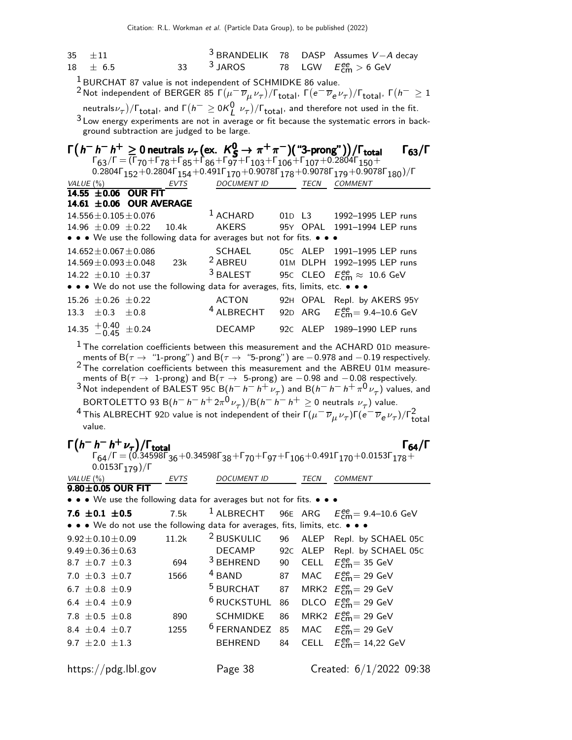| 35 $\pm 11$  |                                                                   |  | <sup>3</sup> BRANDELIK 78 DASP Assumes $V-A$ decay |
|--------------|-------------------------------------------------------------------|--|----------------------------------------------------|
| $18 \pm 6.5$ | 33 $\frac{3}{3}$ JAROS 78 LGW $E_{\text{cm}}^{\text{ee}} > 6$ GeV |  |                                                    |

 $1$  BURCHAT 87 value is not independent of SCHMIDKE 86 value.

 $^2$ Not independent of BERGER 85 Γ $(\mu^-\,\overline{\nu}_\mu\,\nu_\tau)/$ Γ $_{\rm total}$ , Γ $(e^-\,\overline{\nu}_e\,\nu_\tau)/$ Γ $_{\rm total}$ , Γ $(h^-\geq1)$ neutrals $\nu_\tau) / \Gamma_{\rm total}$ , and  $\Gamma(h^+ \geq 0 {\cal K}_{L^-}^0 \nu_\tau) / \Gamma_{\rm total}$ , and therefore not used in the fit. <sup>3</sup> Low energy experiments are not in average or fit because the systematic errors in background subtraction are judged to be large.

|               |                             |                                                     |      | $\Gamma(h^{-} h^{-} h^{+} \ge 0$ neutrals $\nu_{\tau}$ (ex. $K_S^0 \to \pi^{+} \pi^{-}$ ) ("3-prong")) / $\Gamma_{total}$<br>$\Gamma_{63}/\Gamma = (\Gamma_{70} + \Gamma_{78} + \Gamma_{85} + \Gamma_{86} + \Gamma_{97} + \Gamma_{103} + \Gamma_{106} + \Gamma_{107} + 0.2804 \Gamma_{150} +$ |             | $\Gamma_{63}/\Gamma$                                                                                                                 |
|---------------|-----------------------------|-----------------------------------------------------|------|-----------------------------------------------------------------------------------------------------------------------------------------------------------------------------------------------------------------------------------------------------------------------------------------------|-------------|--------------------------------------------------------------------------------------------------------------------------------------|
|               |                             |                                                     |      |                                                                                                                                                                                                                                                                                               |             | $0.2804\Gamma_{152} + 0.2804\Gamma_{154} + 0.491\Gamma_{170} + 0.9078\Gamma_{178} + 0.9078\Gamma_{179} + 0.9078\Gamma_{180})/\Gamma$ |
| VALUE $(\% )$ |                             |                                                     | EVTS | DOCUMENT ID                                                                                                                                                                                                                                                                                   | <b>TECN</b> | <b>COMMENT</b>                                                                                                                       |
|               |                             | 14.55 $\pm 0.06$ OUR FIT<br>14.61 ±0.06 OUR AVERAGE |      |                                                                                                                                                                                                                                                                                               |             |                                                                                                                                      |
|               |                             | $14.556 \pm 0.105 \pm 0.076$                        |      | $1$ ACHARD                                                                                                                                                                                                                                                                                    |             | 01D L3 1992-1995 LEP runs                                                                                                            |
|               |                             |                                                     |      |                                                                                                                                                                                                                                                                                               |             | $14.96 \pm 0.09 \pm 0.22$ 10.4k AKERS 95Y OPAL 1991-1994 LEP runs                                                                    |
|               |                             |                                                     |      | • • • We use the following data for averages but not for fits. • • •                                                                                                                                                                                                                          |             |                                                                                                                                      |
|               |                             | $14.652 \pm 0.067 \pm 0.086$                        |      | SCHAEL                                                                                                                                                                                                                                                                                        |             | 05C ALEP 1991-1995 LEP runs                                                                                                          |
|               |                             | $14.569 \pm 0.093 \pm 0.048$                        | 23k  | <sup>2</sup> ABREU                                                                                                                                                                                                                                                                            |             | 01M DLPH 1992-1995 LEP runs                                                                                                          |
|               | 14.22 $\pm$ 0.10 $\pm$ 0.37 |                                                     |      | $3$ BAI FST                                                                                                                                                                                                                                                                                   |             | 95C CLEO $E_{\text{cm}}^{\text{ee}} \approx 10.6 \text{ GeV}$                                                                        |
|               |                             |                                                     |      | • • • We do not use the following data for averages, fits, limits, etc. • • •                                                                                                                                                                                                                 |             |                                                                                                                                      |
|               | $15.26 \pm 0.26 \pm 0.22$   |                                                     |      | ACTON                                                                                                                                                                                                                                                                                         |             | 92H OPAL Repl. by AKERS 95Y                                                                                                          |
|               | $13.3 + 0.3 + 0.8$          |                                                     |      | <sup>4</sup> ALBRECHT                                                                                                                                                                                                                                                                         |             | 92D ARG $E_{cm}^{ee} = 9.4 - 10.6$ GeV                                                                                               |
|               | 14.35 $+0.40$ $\pm$ 0.24    |                                                     |      | <b>DECAMP</b>                                                                                                                                                                                                                                                                                 |             | 92C ALEP 1989-1990 LEP runs                                                                                                          |

 $^{\rm 1}$  The correlation coefficients between this measurement and the ACHARD 01D measurements of B( $\tau$  → "1-prong") and B( $\tau$  → "5-prong") are  $-0.978$  and  $-0.19$  respectively. <sup>2</sup> The correlation coefficients between this measurement and the ABREU 01M measurements of B( $\tau$  → 1-prong) and B( $\tau$  → 5-prong) are  $-0.98$  and  $-0.08$  respectively.

 $^3$ Not independent of BALEST 95 $c$  B $(h^-h^-h^+\nu_\tau)$  and B $(h^-h^-h^+\pi^0\nu_\tau)$  values, and  $\mathsf{BORTOLETTO\ 93}\ \mathsf{B}(h^-\,h^-\,h^+ \, 2\pi^0\,\nu_{_{\cal T}})/\mathsf{B}(h^-\,h^-\,h^+ \geq 0\ \mathsf{neutrals}\,\,\nu_{_{\cal T}})$  value.

<sup>4</sup> This ALBRECHT 92D value is not independent of their  $\Gamma(\mu^-\,\overline{\nu}_\mu\,\nu_\tau) \Gamma(e^-\,\overline{\nu}_e\,\nu_\tau) / \Gamma_\text{total}^2$ value.

| $\Gamma(h^- h^- h^+ \nu_\tau)/\Gamma_{\rm total}$<br>F <sub>64</sub> /F = (0.34598F <sub>36</sub> +0.34598F <sub>38</sub> +F <sub>70</sub> +F <sub>97</sub> +F <sub>106</sub> +0.491F <sub>170</sub> +0.0153F <sub>178</sub> + |             |                        |    |             | $\Gamma_{64}/\Gamma$                              |
|--------------------------------------------------------------------------------------------------------------------------------------------------------------------------------------------------------------------------------|-------------|------------------------|----|-------------|---------------------------------------------------|
| $0.0153\Gamma_{179})/\Gamma$                                                                                                                                                                                                   |             |                        |    |             |                                                   |
| VALUE $(\%)$                                                                                                                                                                                                                   | <b>EVTS</b> | <b>DOCUMENT ID</b>     |    | <b>TECN</b> | <b>COMMENT</b>                                    |
| $9.80 \pm 0.05$ OUR FIT                                                                                                                                                                                                        |             |                        |    |             |                                                   |
| • • • We use the following data for averages but not for fits. • • •                                                                                                                                                           |             |                        |    |             |                                                   |
| 7.6 $\pm$ 0.1 $\pm$ 0.5                                                                                                                                                                                                        | 7.5k        | $1$ ALBRECHT           |    |             | 96E ARG $E_{cm}^{ee} = 9.4 - 10.6$ GeV            |
| • • • We do not use the following data for averages, fits, limits, etc. • • •                                                                                                                                                  |             |                        |    |             |                                                   |
| $9.92 \pm 0.10 \pm 0.09$                                                                                                                                                                                                       | 11.2k       | <sup>2</sup> BUSKULIC  | 96 |             | ALEP Repl. by SCHAEL 05C                          |
| $9.49 \pm 0.36 \pm 0.63$                                                                                                                                                                                                       |             | <b>DECAMP</b>          |    |             | 92C ALEP Repl. by SCHAEL 05C                      |
| 8.7 $\pm$ 0.7 $\pm$ 0.3                                                                                                                                                                                                        | 694         | $3$ BEHREND            | 90 |             | CELL $E_{cm}^{ee} = 35$ GeV                       |
| 7.0 $\pm$ 0.3 $\pm$ 0.7                                                                                                                                                                                                        | 1566        | <sup>4</sup> BAND      | 87 |             | MAC $E_{\text{cm}}^{\text{ee}} = 29 \text{ GeV}$  |
| 6.7 $\pm$ 0.8 $\pm$ 0.9                                                                                                                                                                                                        |             | $5$ BURCHAT            | 87 |             | MRK2 $E_{\text{cm}}^{\text{ee}}$ = 29 GeV         |
| 6.4 $\pm$ 0.4 $\pm$ 0.9                                                                                                                                                                                                        |             | <sup>6</sup> RUCKSTUHL | 86 |             | DLCO $E_{\text{cm}}^{\text{ee}} = 29 \text{ GeV}$ |
| 7.8 $\pm$ 0.5 $\pm$ 0.8                                                                                                                                                                                                        | 890         | <b>SCHMIDKE</b>        | 86 |             | MRK2 $E_{\text{cm}}^{\text{ee}}$ = 29 GeV         |
| 8.4 $\pm$ 0.4 $\pm$ 0.7                                                                                                                                                                                                        | 1255        | $6$ FERNANDEZ          | 85 |             | MAC $E_{cm}^{ee}$ = 29 GeV                        |
| 9.7 $\pm 2.0 \pm 1.3$                                                                                                                                                                                                          |             | <b>BEHREND</b>         | 84 |             | CELL $E_{cm}^{ee} = 14,22$ GeV                    |
| https://pdg.lbl.gov                                                                                                                                                                                                            |             | Page 38                |    |             | Created: 6/1/2022 09:38                           |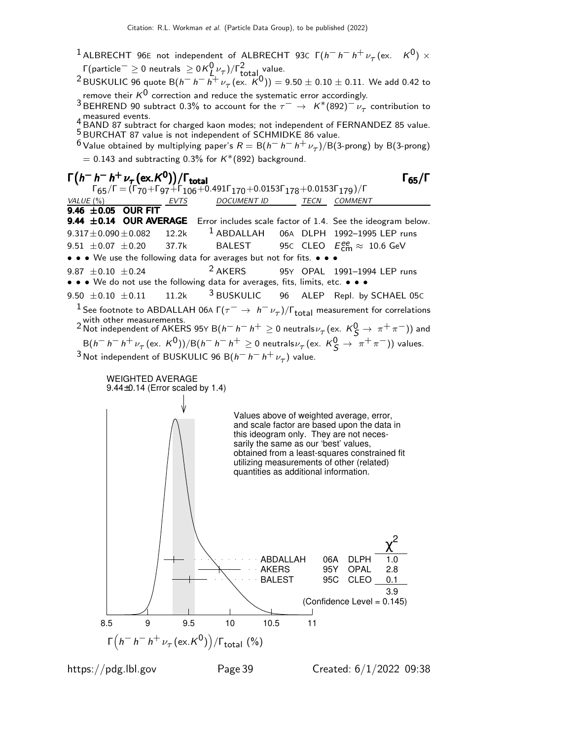- <sup>1</sup> ALBRECHT 96E not independent of ALBRECHT 93C  $\Gamma(h^{-} h^{-} h^{+} \nu_{\tau} (\text{ex.} K^{0}) \times$  $Γ$ (particle $^- \geq 0$  neutrals  $\geq$  0 K $^0_{L,^{\prime}'}$  )/ $Γ^2_{total}$  value.
- <sup>2</sup> BUSKULIC 96 quote B $(h-h-h^+ \nu_\tau~(\text{ex. } K^0)) = 9.50 \pm 0.10 \pm 0.11$ . We add 0.42 to remove their  $K^0$  correction and reduce the systematic error accordingly.
- 3 BEHREND 90 subtract 0.3% to account for the  $\tau^ \rightarrow$   $K^*(892)^{-\nu}$  contribution to

measured events.<br>- BAND 87 subtract for charged kaon modes; not independent of FERNANDEZ 85 value. 5 BURCHAT 87 value is not independent of SCHMIDKE 86 value.

 $^6$  Value obtained by multiplying paper's  $R = \mathsf{B} (h^- \, h^- \, h^+ \, \nu_\tau) / \mathsf{B} (3\text{-prong})$  by  $\mathsf{B} (3\text{-prong})$  $= 0.143$  and subtracting 0.3% for  $K^*(892)$  background.



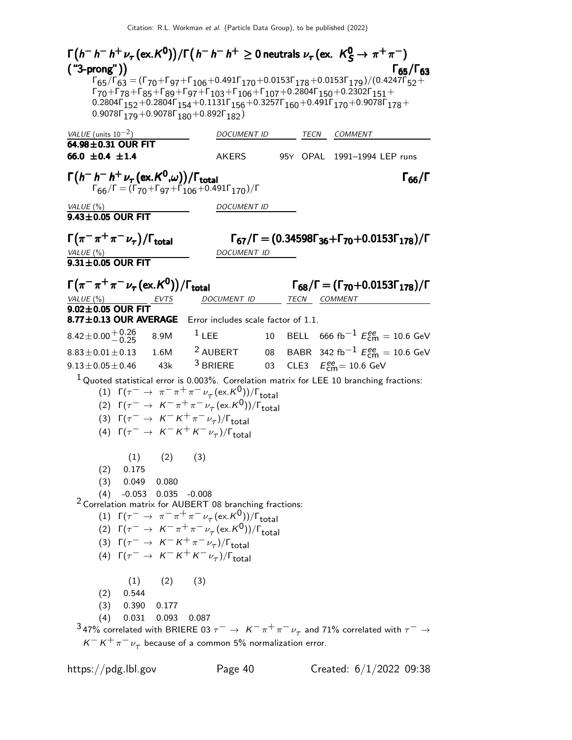Γ h − h − h <sup>+</sup> ν<sup>τ</sup> (ex.K 0 ) /Γ h − h − h <sup>+</sup> ≥ 0 neutrals ν<sup>τ</sup> (ex. K 0 <sup>S</sup> → π <sup>+</sup> π −) Γ h − h − h <sup>+</sup> ντ(ex.K 0 ) /Γh − h − h <sup>+</sup> 0 neutrals ντ(ex. K 0 <sup>S</sup> π <sup>+</sup> π −) 6563<sup>Γ</sup> h − h − h <sup>+</sup> ντ(ex.K<sup>0</sup> ) /Γh − h − h <sup>+</sup> 0 ντ(ex. <sup>0</sup> <sup>S</sup>π π )("3-prong")Γ65/ΓΓ h − h − h <sup>+</sup> ντ(ex.K<sup>0</sup> ) /Γh − h − h <sup>+</sup> 0 ντ(ex. <sup>0</sup> <sup>S</sup>π π )("3-prong") Γ65/Γ63  $\Gamma_{65}/\Gamma_{63} = (\Gamma_{70} + \Gamma_{97} + \Gamma_{106} + 0.491 \Gamma_{170} + 0.0153 \Gamma_{178} + 0.0153 \Gamma_{179})/(0.4247 \Gamma_{52} +$  $\Gamma$ 70+Γ78+Γ85+Γ89+Γ97+Γ103+Γ106+Γ107+0.2804Γ150+0.2302Γ151+  $0.2804\Gamma_{152} + 0.2804\Gamma_{154} + 0.1131\Gamma_{156} + 0.3257\Gamma_{160} + 0.491\Gamma_{170} + 0.9078\Gamma_{178} +$  $0.9078$ Γ<sub>179</sub> + 0.9078Γ<sub>180</sub> + 0.892Γ<sub>182</sub>) VALUE (units  $10^{-2}$ ) DOCUMENT ID TECN COMMENT  $\overline{64.98 \pm 0.31}$  OUR FIT<br>66.0  $\pm$  0.4  $\pm$  1.4 AKERS 95Y OPAL 1991-1994 LEP runs  $\Gamma(h^- h^- h^+ \nu_\tau(\text{ex.} K^0,\omega))/\Gamma_{\text{total}}$ Γ<sub>66</sub>/Γ  $\Gamma_{66}/\Gamma = (\Gamma_{70} + \Gamma_{97} + \Gamma_{106} + 0.491\Gamma_{170})/\Gamma$ VALUE (%) DOCUMENT ID  $9.43\pm0.05$  OUR FIT  $\Gamma(\pi^{-}\pi^{+}\pi^{-}\nu_{\tau})$ Γ $(\pi^- \pi^+ \pi^- \nu_\tau)/\Gamma_{\rm total}$  Γ<sub>67</sub>/Γ = (0.34598Γ<sub>36</sub>+Γ<sub>70</sub>+0.0153Γ<sub>178</sub>)/Γ VALUE (%) DOCUMENT ID  $9.31\pm0.05$  OUR FIT  $\Gamma(\pi^-\pi^+\pi^-\nu_\tau(\text{ex.}K^0))/\Gamma_{\text{total}}$  Γ<sub>68</sub>/Γ = (Γ<sub>70</sub>+0.0153Γ<sub>178</sub>)/Γ  $\Gamma_{68}/\Gamma = (\Gamma_{70} + 0.0153\Gamma_{178})/\Gamma$ VALUE (%) **EVTS** DOCUMENT ID TECN COMMENT  $9.02 \pm 0.05$  OUR FIT  $8.77\pm0.13$  OUR AVERAGE Error includes scale factor of 1.1.  $8.42\pm0.00\genfrac{}{}{0pt}{}{+0.26}{-0.25}$  $^{+0.26}_{-0.25}$  8.9M  $^{1}$  LEE 10 BELL 666 fb $^{-1}$  Eee = 10.6 GeV  $8.83 \pm 0.01 \pm 0.13$  1.6M <sup>2</sup> AUBERT 08 BABR 342 fb<sup>-1</sup>  $E_{\text{cm}}^{ee} = 10.6$  GeV  $9.13 \pm 0.05 \pm 0.46$  43k <sup>3</sup> BRIERE 03 CLE3  $E_{\text{cm}}^{ee} = 10.6 \text{ GeV}$  $1$  Quoted statistical error is 0.003%. Correlation matrix for LEE 10 branching fractions: (1)  $\Gamma(\tau^- \to \pi^- \pi^+ \pi^- \nu_\tau (\text{ex.} K^0)) / \Gamma_{\text{total}}$ (2)  $\Gamma(\tau^- \to K^- \pi^+ \pi^- \nu_\tau (\text{ex.} K^0))/\Gamma_{\text{total}}$ (3)  $\Gamma(\tau^- \to K^- K^+ \pi^- \nu_\tau)/\Gamma_{\text{total}}$ (4)  $\Gamma(\tau^- \to K^- K^+ K^- \nu_\tau)/\Gamma_{\text{total}}$  $(1)$   $(2)$   $(3)$ (2) 0.175 (3) 0.049 0.080 (4) -0.053 0.035 -0.008  $2$  Correlation matrix for AUBERT 08 branching fractions: (1)  $\Gamma(\tau^- \to \pi^- \pi^+ \pi^- \nu_\tau (\text{ex.} K^0)) / \Gamma_{\text{total}}$ (2)  $\Gamma(\tau^- \to K^- \pi^+ \pi^- \nu_\tau (\text{ex.} K^0))/\Gamma_{\text{total}}$ (3)  $\Gamma(\tau^- \to K^- K^+ \pi^- \nu_\tau)/\Gamma_{\text{total}}$ (4)  $\Gamma(\tau^- \to K^- K^+ K^- \nu_\tau)/\Gamma_{\text{total}}$  $(1)$   $(2)$   $(3)$ (2) 0.544 (3) 0.390 0.177 (4) 0.031 0.093 0.087  $^3$ 47% correlated with BRIERE 03  $\tau^-\to~$  K $^-\pi^+\pi^-\nu_\tau^{}$  and 71% correlated with  $\tau^-\to$  $K^- K^+ \pi^- \nu_\tau$  because of a common 5% normalization error.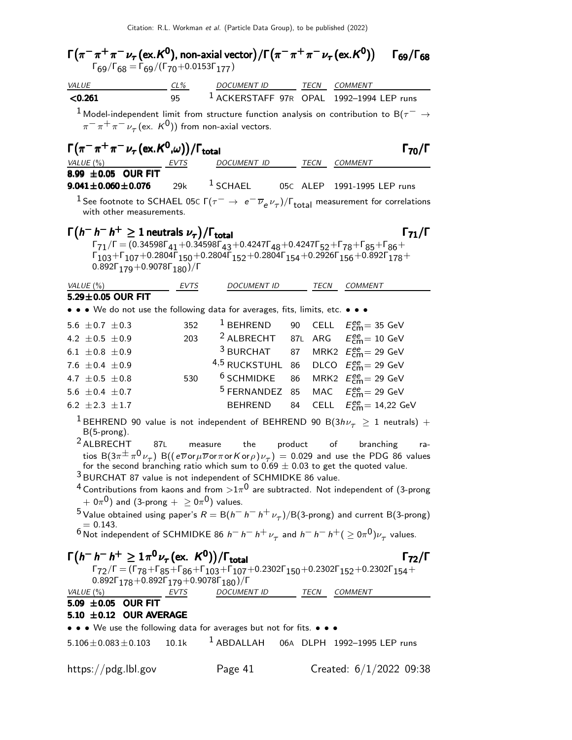$\Gamma(\pi^-\pi^+\pi^-\nu_\tau$  (ex. ${\sf K^0})$ , non-axial vector) / $\Gamma(\pi^-\pi^+\pi^-\nu_\tau$  (ex. ${\sf K^0})$ )  $\qquad \Gamma_{69}/\Gamma_{68}$  $\Gamma_{69}/\Gamma_{68}$  $\Gamma_{69}/\Gamma_{68} = \Gamma_{69}/(\Gamma_{70}+0.0153\Gamma_{177})$ VALUE CL% DOCUMENT ID TECN COMMENT  $\leq$ 0.261 95  $^1$  ACKERSTAFF 97R OPAL 1992–1994 LEP runs <sup>1</sup> Model-independent limit from structure function analysis on contribution to B( $\tau$ <sup>−</sup> →  $\pi^-\pi^+\pi^-\nu^{}_\tau$  (ex.  $\rm{\it K^{0}}$ )) from non-axial vectors.  $\Gamma(\pi^-\pi^+\pi^-\nu_\tau\,(ex.K^0,\omega))/\Gamma_{\text{total}}$  Γ<sub>70</sub>/Γ VALUE (%) EVTS DOCUMENT ID TECN COMMENT  $8.99 \pm 0.05$  OUR FIT<br> $9.041 \pm 0.060 \pm 0.076$ 29 $k = 1$  SCHAEL 05C ALEP 1991-1995 LEP runs <sup>1</sup> See footnote to SCHAEL 05C  $\Gamma(\tau^- \to e^- \overline{\nu}_e \nu_\tau)/\Gamma_{\text{total}}$  measurement for correlations with other measurements.  $\Gamma(h^{-} h^{+} \geq 1$  neutrals  $\nu_{\tau})/\Gamma_{\text{total}}$  Γ<sub>71</sub>/Γ  $\Gamma_{71}/\Gamma = (0.34598\Gamma_{41} + 0.34598\Gamma_{43} + 0.4247\Gamma_{48} + 0.4247\Gamma_{52} + \Gamma_{78} + \Gamma_{85} + \Gamma_{86} + \Gamma_{10}$  $\Gamma_{103} + \Gamma_{107} +$ 0.2804 $\Gamma_{150} +$ 0.2804 $\Gamma_{152} +$ 0.2804 $\Gamma_{154} +$ 0.2926 $\Gamma_{156} +$ 0.892 $\Gamma_{178} +$  $0.892\Gamma_{179}+0.9078\Gamma_{180})/\Gamma$ VALUE (%) **EVTS** DOCUMENT ID TECN COMMENT  $5.29\pm 0.05$  OUR FIT • • • We do not use the following data for averages, fits, limits, etc. • • • 5.6  $\pm$  0.7  $\pm$  0.3 352 <sup>1</sup> BEHREND ee<br>cm= 35 GeV  $4.2 \pm 0.5 \pm 0.9$  203 <sup>2</sup> ALBRECHT<br>6.1  $\pm$  0.8  $\pm$  0.9 <sup>3</sup> BURCHAT  $_{\text{cm}}^{\text{ee}}$ = 10 GeV  $6.1 \pm 0.8 \pm 0.9$  $3$  BURCHAT 87 MRK2  $E_{\text{cm}}^{ee}$  = 29 GeV 7.6  $\pm$  0.4  $\pm$  0.9  $4.5$  RUCKSTUHL 86 DLCO  $E_{\text{cm}}^{ee} = 29$  GeV  $4.7 \pm 0.5 \pm 0.8$  530  $\frac{6}{5}$  SCHMIDKE 86 MRK2  $E_{\text{cm}}^{ee} = 29$  GeV 5.6  $\pm$  0.4  $\pm$  0.7<br>6.2  $\pm$  2.3  $\pm$  1.7 <sup>5</sup> FERNANDEZ 85 MAC  $E_{\rm{cm}}^{\rm{ee}}$  = 29 GeV 6.2  $\pm$  2.3  $\pm$  1.7 BEHREND 84 CELL  $E_{\text{cm}}^{ee}$  = 14,22 GeV <sup>1</sup> BEHREND 90 value is not independent of BEHREND 90 B( $3h\nu_{\tau} \geq 1$  neutrals) + B(5-prong). 2 ALBRECHT 87<sup>L</sup> measure the product of branching ratios B $(3\pi^{\pm}\pi^{0}\nu_{\tau})$  B $((e\overline{\nu}\sigma\mu\overline{\nu}\sigma\pi\sigma\kappa\sigma\sigma)\nu_{\tau})=0.029$  and use the PDG 86 values for the second branching ratio which sum to  $0.69 \pm 0.03$  to get the quoted value. 3 BURCHAT 87 value is not independent of SCHMIDKE 86 value.  $^4$  Contributions from kaons and from  $>\!1\pi^0$  are subtracted. Not independent of (3-prong  $+$  0 $\pi^0)$  and (3-prong  $+~\geq$  0 $\pi^0)$  values. <sup>5</sup> Value obtained using paper's  $R = B(h^{-} h^{-} h^{+} \nu_{\tau})/B(3\text{-prong})$  and current B(3-prong)  $= 0.143.$  $^6$ Not independent of SCHMIDKE 86  $h^ h^ h^+$   $\nu_\tau$  and  $h^ h^ h^+$  (  $\geq 0\pi^0)\nu_\tau$  values.  $\Gamma(h^{-} h^{-} h^{+} \geq 1 \pi^{0} \nu_{\tau} (\text{ex. } K^{0})) / \Gamma_{\text{total}}$  Γ<sub>72</sub>/Γ total and the contract of  $\sim$  1  $72/1$  $\Gamma_{72}/\Gamma = (\Gamma_{78}+\Gamma_{85}+\Gamma_{86}+\Gamma_{103}+\Gamma_{107}+0.2302\Gamma_{150}+0.2302\Gamma_{152}+0.2302\Gamma_{154}+$  $0.892\Gamma_{178} + 0.892\Gamma_{179} + 0.9078\Gamma_{180})/\Gamma$ <br>VALUE (%) EVTS DOCUMENT ID TECN COMMENT 5.09  $\pm$  0.05 OUR FIT 5.10  $\pm$  0.12 OUR AVERAGE • • • We use the following data for averages but not for fits. • • •  $5.106 \pm 0.083 \pm 0.103$  10.1k <sup>1</sup> ABDALLAH 06A DLPH 1992-1995 LEP runs

https://pdg.lbl.gov Page 41 Created: 6/1/2022 09:38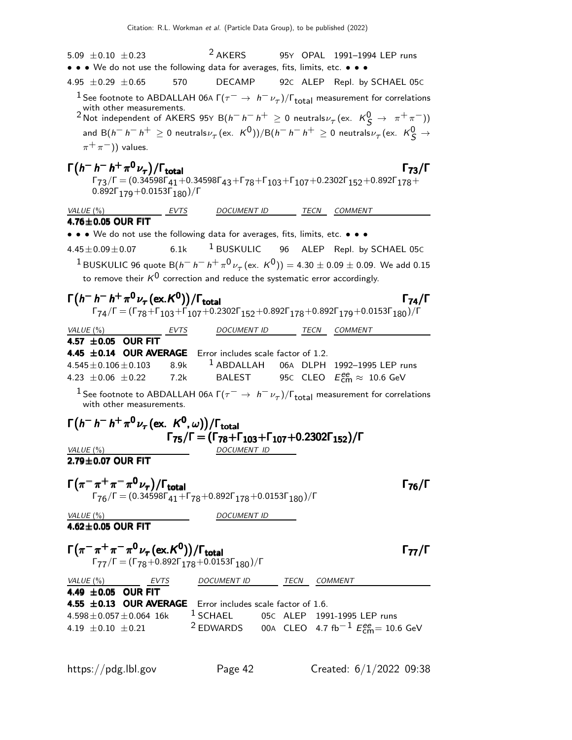5.09  $\pm$  0.10  $\pm$  0.23 <sup>2</sup> AKERS 95Y OPAL 1991-1994 LEP runs • • • We do not use the following data for averages, fits, limits, etc. • • • 4.95 ±0.29 ±0.65 570 DECAMP 92<sup>C</sup> ALEP Repl. by SCHAEL 05<sup>C</sup> <sup>1</sup> See footnote to ABDALLAH 06A  $\Gamma(\tau^- \to h^- \nu_\tau)/\Gamma_{\rm total}$  measurement for correlations with other measurements.<br><sup>2</sup> Not independent of AKERS 95Y B( $h^- h^+ \ge 0$  neutrals $\nu_\tau$ (ex.  $K^0_S \to \pi^+ \pi^-$ )) and  $\mathsf{B}(h^{-}h^{-}h^{+}\geq 0$  neutrals $\nu_{\tau}(\mathsf{ex.}~~\mathsf{K}^{\mathsf{0}}))/\mathsf{B}(h^{-}h^{-}h^{+}\geq 0$  neutrals $\nu_{\tau}(\mathsf{ex.}~~\mathsf{K}^{\mathsf{0}}_{\mathsf{S}}\rightarrow$  $\pi^+\pi^-$ )) values.  $\Gamma(h^{-} h^{+} \pi^{0} \nu_{\tau})/\Gamma_{\text{total}}$  Γ<sub>73</sub>/Γ  $\nu_{\tau})/\Gamma_{\text{total}}$  Γ<sub>73</sub>/Γ  $\Gamma_{73}/\Gamma = (0.34598\Gamma_{41}+0.34598\Gamma_{43}+\Gamma_{78}+\Gamma_{103}+\Gamma_{107}+0.2302\Gamma_{152}+0.892\Gamma_{178}+$  $0.892$ Γ<sub>170</sub> + 0.0153Γ<sub>180</sub>)/Γ VALUE (%) EVTS DOCUMENT ID TECN COMMENT  $\overline{4.76\pm 0.05}$  OUR FIT • • • We do not use the following data for averages, fits, limits, etc. • • •  $4.45\pm0.09\pm0.07$  6.1k <sup>1</sup> BUSKULIC 96 ALEP Repl. by SCHAEL 05C  $1$ BUSKULIC 96 quote B $(h^- h^- h^+ \pi^0 \nu_\tau$ (ex. K<sup>0</sup>)) = 4.30 ± 0.09 ± 0.09. We add 0.15 to remove their  $K^0$  correction and reduce the systematic error accordingly.  $\Gamma(h^{-} h^{+} \pi^{0} \nu_{\tau} (\text{ex. K}^{0})) / \Gamma_{\text{total}}$  Γ<sub>74</sub>/Γ  $174/1$  $\Gamma_{74}/\Gamma=(\Gamma_{78}+\Gamma_{103}+\Gamma_{107}+0.2302\Gamma_{152}+0.892\Gamma_{178}+0.892\Gamma_{179}+0.0153\Gamma_{180})/\Gamma$ VALUE (%) TECN EVTS DOCUMENT ID TECN COMMENT  $4.57 \pm 0.05$  OUR FIT **4.45**  $\pm$ **0.14 OUR AVERAGE** Error includes scale factor of 1.2.<br>4.545 $\pm$ 0.106 $\pm$ 0.103 8.9k <sup>1</sup> ABDALLAH 06A DLPH 8.9k <sup>1</sup> ABDALLAH 06A DLPH 1992–1995 LEP runs<br>7.2k BALEST 95c CLEO  $E_{\text{em}}^{\text{ee}} \approx 10.6 \text{ GeV}$ 4.23  $\pm$  0.06  $\pm$  0.22  $_{\rm cm}^{ee} \approx 10.6$  GeV <sup>1</sup> See footnote to ABDALLAH 06A  $\Gamma(\tau^- \to h^- \nu_\tau)/\Gamma_{\rm total}$  measurement for correlations with other measurements.  $\Gamma\big(h^- \, h^- \, h^+ \, \pi^0 \, \nu_\tau \, (\text{ex. } \, K^0,\omega) \big) / \Gamma_{\text{total}}$ Γ75/Γ = (Γ78+Γ103+Γ107+0.2302Γ152)/Γ Γ75/Γ = (Γ78+Γ103+Γ107+0.2302Γ152)/Γ Γ75/Γ = (Γ78+Γ103+Γ107+0.2302Γ152)/Γ Γ75/Γ = (Γ78+Γ103+Γ107+0.2302Γ152)/Γ VALUE (%) DOCUMENT ID  $2.79 \pm 0.07$  OUR FIT  $\Gamma(\pi^-\pi^+\pi^-\pi^0\nu_{\tau})/\Gamma_{\mathrm{total}}$  $\Gamma_{76}/\Gamma = (0.34598\Gamma_{41} + \Gamma_{78} + 0.892\Gamma_{178} + 0.0153\Gamma_{180})/\Gamma$ VALUE (%) DOCUMENT ID  $4.62 + 0.05$  OUR FIT  $\Gamma(\pi^-\pi^+\pi^-\pi^0\nu_\tau(\text{ex. K}^0))/\Gamma_{\text{total}}$  Γ<sub>77</sub>/Γ Γ<sub>77</sub>/Γ  $=($  Γ<sub>78</sub>  $+$ 0.892Γ $_{178}$   $+$ 0.0153Γ $_{180}$ )/Γ VALUE (%) **EVTS** DOCUMENT ID TECN COMMENT 4.49  $\pm$  0.05 OUR FIT **4.55**  $\pm$ **0.13 OUR AVERAGE** Error includes scale factor of 1.6.<br>4.598 $\pm$ 0.057 $\pm$ 0.064 16k <sup>1</sup> SCHAEL 05C ALEP 199  $4.598 \pm 0.057 \pm 0.064$  16k  $1$  SCHAEL 05c ALEP 1991-1995 LEP runs<br>4.19  $\pm$  0.10  $\pm$  0.21  $2$  EDWARDS 00A CLEO 4.7 fb<sup>-1</sup>  $E_{\text{cm}}^{\text{e}} = 10$ . 4.19  $\pm$ 0.10  $\pm$ 0.21 <sup>2</sup> EDWARDS 00A CLEO 4.7 fb<sup>−1</sup>  $E_{\text{cm}}^{ee}$ = 10.6 GeV

https://pdg.lbl.gov Page 42 Created: 6/1/2022 09:38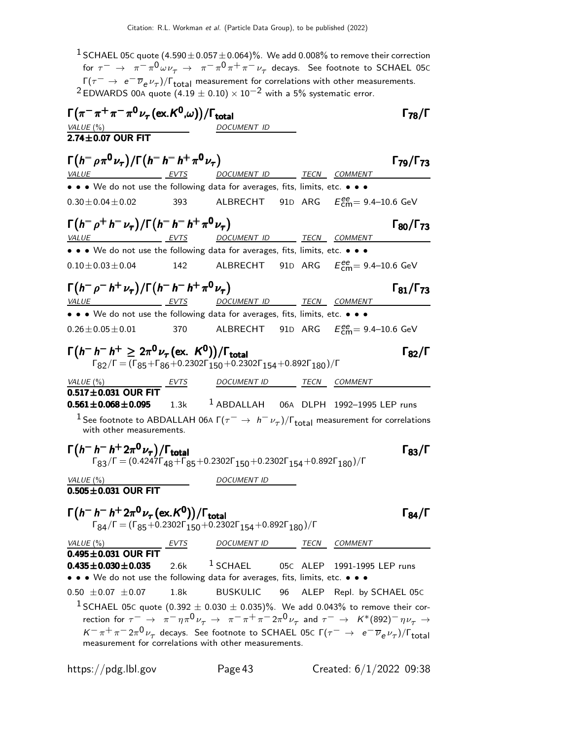<sup>1</sup> SCHAEL 05C quote  $(4.590\pm0.057\pm0.064)\%$ . We add 0.008% to remove their correction for  $\tau^-\,\to\,\,\,\pi^-\pi^0$   $\omega\nu_\tau\,\to\,\,\,\pi^-\pi^0\pi^+\pi^-\,\nu_\tau$  decays. See footnote to SCHAEL 05c  $\Gamma(\tau^-$  →  $e^-\overline{\nu}_e \nu_{\tau})/\Gamma_{\text{total}}$  measurement for correlations with other measurements. <sup>2</sup> EDWARDS 00A quote (4.19  $\pm$  0.10) × 10<sup>-2</sup> with a 5% systematic error.  $\Gamma(\pi^-\pi^+\pi^-\pi^0\nu_\tau(\text{ex.}K^0,\omega))/\Gamma_{\text{total}}$  Γ<sub>78</sub>/Γ VALUE  $\frac{6}{6}$  $2.74 \pm 0.07$  OUR FIT  $\Gamma(h^-\rho\pi^0\nu_{\tau})/\Gamma(h^-\hbar^+\pi^0\nu_{\tau})$  Γ<sub>79</sub>/Γ<sub>73</sub> Γ<sub>79</sub>/Γ<sub>73</sub> VALUE EVTS DOCUMENT ID TECN COMMENT • • • We do not use the following data for averages, fits, limits, etc. • • •  $0.30 \pm 0.04 \pm 0.02$  393 ALBRECHT  $_{cm}^{ee}$ = 9.4–10.6 GeV  $\Gamma(h^-\rho^+h^-\nu_\tau)/\Gamma(h^-h^-\hbar^+\pi^0\nu_\tau)$  Γ<sub>80</sub>/Γ<sub>73</sub> Γ<sub>80</sub>/Γ<sub>73</sub> VALUE EVTS DOCUMENT ID TECN COMMENT • • • We do not use the following data for averages, fits, limits, etc. • • •  $0.10 \pm 0.03 \pm 0.04$  142 ALBRECHT 91D ARG  $E_{\text{cm}}^{ee} = 9.4{\text{--}}10.6 \text{ GeV}$  $\Gamma(h^-\rho^-h^+\nu_\tau)/\Gamma(h^-\,h^+\,\pi^0\,\nu_\tau)$  Γ<sub>81</sub>/Γ<sub>73</sub>  $\Gamma_{81}/\Gamma_{73}$ VALUE  $\begin{array}{ccc} \cdot & \cdot & \cdot & \cdot \\ \hline \text{VALU E} & \text{EVTS} & \text{DOCUMENT ID} & \text{TECN} & \text{COMMENT} \end{array}$ • • • We do not use the following data for averages, fits, limits, etc. • • •  $0.26 \pm 0.05 \pm 0.01$  370 ALBRECHT 91D ARG  $E_{\text{cm}}^{ee} = 9.4{\text{--}}10.6 \text{ GeV}$  $\Gamma(h^- h^- h^+ \geq 2\pi^0 \nu_\tau (\text{ex. } K^0))/\Gamma_{\text{total}}$  Γ<sub>82</sub>/Γ  $\Gamma_{82}/\Gamma$  = ( $\Gamma_{85}$ + $\Gamma_{86}$ +0.2302 $\Gamma_{150}$ +0.2302 $\Gamma_{154}$ +0.892 $\Gamma_{180}$ )/ $\Gamma$ VALUE (%) **EVTS** DOCUMENT ID **TECN** COMMENT  $\overline{0.517 \pm 0.031}$  OUR FIT  $0.561 \pm 0.068 \pm 0.095$  $1.3k$   $1$  ABDALLAH 06A DLPH 1992-1995 LEP runs <sup>1</sup> See footnote to ABDALLAH 06A  $\Gamma(\tau^- \to h^- \nu_\tau)/\Gamma_{\rm total}$  measurement for correlations with other measurements.  $\Gamma(h^- h^+ 2\pi^0 \nu_\tau)/\Gamma_{\text{total}}$  Γ<sub>83</sub>/Γ  $\Gamma_{83}/\Gamma = (0.4247\Gamma_{48} + \Gamma_{85} + 0.2302\Gamma_{150} + 0.2302\Gamma_{154} + 0.892\Gamma_{180})/\Gamma$ VALUE  $(\%)$  DOCUMENT ID  $0.505 \pm 0.031$  OUR FIT  $\Gamma(h^- h^- h^+ 2\pi^0 \nu_\tau (\text{ex. } K^0)) / \Gamma_{\text{total}}$  Γ<sub>84</sub>/Γ  $\Gamma_{84}/\Gamma=(\Gamma_{85}+0.2302\Gamma_{150}+0.2302\Gamma_{154}+0.892\Gamma_{180})/\Gamma$ VALUE (%) **EVTS** DOCUMENT ID TECN COMMENT  $0.495 \pm 0.031$  OUR FIT  $0.435 \pm 0.030 \pm 0.035$  $2.6k$  <sup>1</sup> SCHAEL 05C ALEP 1991-1995 LEP runs • • • We do not use the following data for averages, fits, limits, etc. • • •  $0.50 \pm 0.07 \pm 0.07$  1.8k BUSKULIC 96 ALEP Repl. by SCHAEL 05C <sup>1</sup> SCHAEL 05C quote (0.392  $\pm$  0.030  $\pm$  0.035)%. We add 0.043% to remove their correction for  $\tau^ \rightarrow \pi^- \eta \pi^0 \nu_\tau \rightarrow \pi^- \pi^+ \pi^- 2 \pi^0 \nu_\tau$  and  $\tau^ \rightarrow$   $K^*(892)^- \eta \nu_\tau \rightarrow$  $K^-\pi^+\pi^-2\pi^0\nu_\tau$  decays. See footnote to SCHAEL 05c Γ( $\tau^-\to e^-\overline{\nu}_e\nu_\tau$ )/Γ<sub>total</sub> measurement for correlations with other measurements.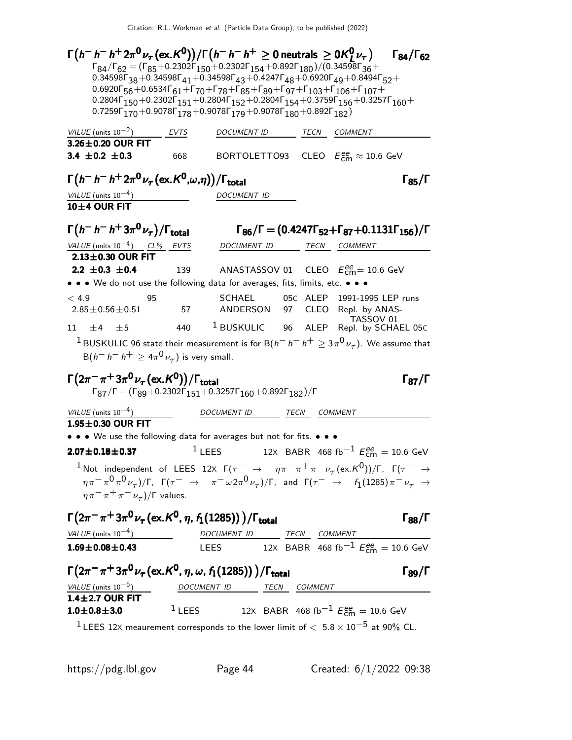| $\Gamma(h^- \, h^- \, h^+ \, 2\pi^0 \nu_\tau (\text{ex.}\, K^0))/\Gamma(h^- \, h^- \, h^+ \geq 0$ neutrals $\geq 0$ K $^0_I \nu_\tau)$                                                                                                                                                                          |          |                                                                                                                                                                                      |                      |              |                                                                                      | $\Gamma_{84}/\Gamma_{62}$ |
|-----------------------------------------------------------------------------------------------------------------------------------------------------------------------------------------------------------------------------------------------------------------------------------------------------------------|----------|--------------------------------------------------------------------------------------------------------------------------------------------------------------------------------------|----------------------|--------------|--------------------------------------------------------------------------------------|---------------------------|
| $\Gamma_{84}/\Gamma_{62} = (\Gamma_{85} + 0.2302\Gamma_{150} + 0.2302\Gamma_{154} + 0.892\Gamma_{180})/(0.34598\Gamma_{36} +$                                                                                                                                                                                   |          |                                                                                                                                                                                      |                      |              |                                                                                      |                           |
| 0.34598 $\Gamma_{38}$ +0.34598 $\Gamma_{41}$ +0.34598 $\Gamma_{43}$ +0.4247 $\Gamma_{48}$ +0.6920 $\Gamma_{49}$ +0.8494 $\Gamma_{52}$ +                                                                                                                                                                         |          |                                                                                                                                                                                      |                      |              |                                                                                      |                           |
| $0.6920\Gamma_{56} + 0.6534\Gamma_{61} + \Gamma_{70} + \Gamma_{78} + \Gamma_{85} + \Gamma_{89} + \Gamma_{97} + \Gamma_{103} + \Gamma_{106} + \Gamma_{107} +$<br>0.2804 $\Gamma_{150}$ + 0.2302 $\Gamma_{151}$ + 0.2804 $\Gamma_{152}$ + 0.2804 $\Gamma_{154}$ + 0.3759 $\Gamma_{156}$ + 0.3257 $\Gamma_{160}$ + |          |                                                                                                                                                                                      |                      |              |                                                                                      |                           |
| 0.7259 $\Gamma_{170}$ +0.9078 $\Gamma_{178}$ +0.9078 $\Gamma_{179}$ +0.9078 $\Gamma_{180}$ +0.892 $\Gamma_{182}$ )                                                                                                                                                                                              |          |                                                                                                                                                                                      |                      |              |                                                                                      |                           |
| VALUE (units $10^{-2}$ )                                                                                                                                                                                                                                                                                        | EVTS     | DOCUMENT ID                                                                                                                                                                          |                      |              | TECN COMMENT                                                                         |                           |
| 3.26±0.20 OUR FIT                                                                                                                                                                                                                                                                                               |          |                                                                                                                                                                                      |                      |              |                                                                                      |                           |
| 3.4 $\pm$ 0.2 $\pm$ 0.3                                                                                                                                                                                                                                                                                         | 668      |                                                                                                                                                                                      |                      |              | BORTOLETTO93 CLEO $E_{\text{cm}}^{\text{ee}} \approx 10.6 \text{ GeV}$               |                           |
| $\Gamma\big(h^- \, h^- \, h^+ \, 2\pi^{\mathbf{0}} \nu_\tau \, (\mathrm{ex.} \, K^{\mathbf{0}}, \omega, \eta)\big)/\Gamma_{\mathrm{total}}$                                                                                                                                                                     |          |                                                                                                                                                                                      | $\Gamma_{85}/\Gamma$ |              |                                                                                      |                           |
| VALUE (units $10^{-4}$ )                                                                                                                                                                                                                                                                                        |          | DOCUMENT ID                                                                                                                                                                          |                      |              |                                                                                      |                           |
| 10±4 OUR FIT                                                                                                                                                                                                                                                                                                    |          |                                                                                                                                                                                      |                      |              |                                                                                      |                           |
| $\Gamma(h^- h^- h^+ 3\pi^0 \nu_\tau)/\Gamma_{\rm total}$                                                                                                                                                                                                                                                        |          |                                                                                                                                                                                      |                      |              | $\Gamma_{86}/\Gamma = (0.4247\Gamma_{52} + \Gamma_{87} + 0.1131\Gamma_{156})/\Gamma$ |                           |
| VALUE (units $10^{-4}$ ) CL% EVTS                                                                                                                                                                                                                                                                               |          | DOCUMENT ID                                                                                                                                                                          |                      |              | TECN COMMENT                                                                         |                           |
| $2.13\pm0.30$ OUR FIT                                                                                                                                                                                                                                                                                           |          |                                                                                                                                                                                      |                      |              |                                                                                      |                           |
| 2.2 $\pm$ 0.3 $\pm$ 0.4                                                                                                                                                                                                                                                                                         |          | 139 ANASTASSOV 01 CLEO $E_{\text{cm}}^{\text{ee}}$ = 10.6 GeV                                                                                                                        |                      |              |                                                                                      |                           |
| • • • We do not use the following data for averages, fits, limits, etc. • • •                                                                                                                                                                                                                                   |          |                                                                                                                                                                                      |                      |              |                                                                                      |                           |
| < 4.9<br>95                                                                                                                                                                                                                                                                                                     |          | <b>SCHAEL</b>                                                                                                                                                                        |                      |              | 05C ALEP 1991-1995 LEP runs                                                          |                           |
| $2.85 \pm 0.56 \pm 0.51$                                                                                                                                                                                                                                                                                        | 57       | ANDERSON                                                                                                                                                                             |                      |              | 97 CLEO Repl. by ANAS-<br>TASSOV 01                                                  |                           |
| $+4$ $+5$<br>11 -                                                                                                                                                                                                                                                                                               | 440      | BUSKULIC 96 ALEP                                                                                                                                                                     |                      |              | Repl. by SCHAEL 05C                                                                  |                           |
| <sup>1</sup> BUSKULIC 96 state their measurement is for B( $h^ h^ h^+$ $\geq$ 3 $\pi^0$ $\nu_{\tau}$ ). We assume that                                                                                                                                                                                          |          |                                                                                                                                                                                      |                      |              |                                                                                      |                           |
| $B(h^-h^-h^+\geq 4\pi^0\nu_\tau)$ is very small.                                                                                                                                                                                                                                                                |          |                                                                                                                                                                                      |                      |              |                                                                                      |                           |
| $\Gamma(2\pi^-\pi^+3\pi^0\nu_{\tau}$ (ex. K <sup>0</sup> ))/ $\Gamma_{\rm total}$                                                                                                                                                                                                                               |          |                                                                                                                                                                                      |                      |              |                                                                                      | $\Gamma_{87}/\Gamma$      |
| $\Gamma_{87}/\Gamma = (\Gamma_{89} + 0.2302\Gamma_{151} + 0.3257\Gamma_{160} + 0.892\Gamma_{182})/\Gamma$                                                                                                                                                                                                       |          |                                                                                                                                                                                      |                      |              |                                                                                      |                           |
| VALUE (units $10^{-4}$ )                                                                                                                                                                                                                                                                                        |          | DOCUMENT ID                                                                                                                                                                          |                      | TECN COMMENT |                                                                                      |                           |
| $1.95 \pm 0.30$ OUR FIT                                                                                                                                                                                                                                                                                         |          |                                                                                                                                                                                      |                      |              |                                                                                      |                           |
| • • • We use the following data for averages but not for fits. • • •                                                                                                                                                                                                                                            |          |                                                                                                                                                                                      |                      |              |                                                                                      |                           |
| $2.07 \pm 0.18 \pm 0.37$                                                                                                                                                                                                                                                                                        |          | $1$ LEES                                                                                                                                                                             |                      |              | 12X BABR 468 fb <sup>-1</sup> $E_{cm}^{ee}$ = 10.6 GeV                               |                           |
| $^{-1}$ Not independent of LEES 12X $\Gamma(\tau^-\rightarrow \eta\pi^-\pi^+\pi^-\nu_{\tau}(\mathrm{ex.}\mathcal{K}^0))/\Gamma$ , $\Gamma(\tau^-\rightarrow \tau^+\pi^-\nu_{\tau}(\mathrm{ex.}\mathcal{K}^0))/\Gamma$                                                                                           |          |                                                                                                                                                                                      |                      |              |                                                                                      |                           |
| $(\eta\pi^-\pi^0\pi^0\nu_\tau)/\Gamma$ , $\Gamma(\tau^-\to\pi^-\omega 2\pi^0\nu_\tau)/\Gamma$ , and $\Gamma(\tau^-\to\ell_1(1285)\pi^-\nu_\tau\to\ell_1(1285))$                                                                                                                                                 |          |                                                                                                                                                                                      |                      |              |                                                                                      |                           |
| $\eta \pi^- \pi^+ \pi^- \nu_\tau$ )/ $\Gamma$ values.                                                                                                                                                                                                                                                           |          |                                                                                                                                                                                      |                      |              |                                                                                      |                           |
| $\Gamma(2\pi^-\pi^+3\pi^0\nu_\tau$ (ex. K <sup>0</sup> , $\eta$ , $f_1(1285))$ )/ $\Gamma_{\rm total}$                                                                                                                                                                                                          |          |                                                                                                                                                                                      |                      |              |                                                                                      | $\Gamma_{88}/\Gamma$      |
| $VALUE$ (units $10^{-4}$ )                                                                                                                                                                                                                                                                                      |          |                                                                                                                                                                                      |                      |              |                                                                                      |                           |
| $1.69 \pm 0.08 \pm 0.43$                                                                                                                                                                                                                                                                                        |          | $\frac{DOCUMENT \; ID}{\text{LEES}} \quad \frac{TECN}{12 \times} \; \frac{COMMENT}{\text{BABR}} \; \frac{COMMENT}{468 \; \text{fb}^{-1} \; E_{\text{cm}}^{ee}} = 10.6 \; \text{GeV}$ |                      |              |                                                                                      |                           |
|                                                                                                                                                                                                                                                                                                                 |          |                                                                                                                                                                                      |                      |              |                                                                                      |                           |
| $\Gamma(2\pi^-\pi^+3\pi^0\nu_\tau$ (ex. K <sup>0</sup> , $\eta$ , $\omega$ , $f_1(1285))$ ) / $\Gamma_{\rm total}$                                                                                                                                                                                              |          |                                                                                                                                                                                      |                      |              |                                                                                      | $\Gamma_{89}/\Gamma$      |
| $\frac{VALUE \text{ (units 10}^{-5})}{1.4 \pm 2.7 \text{ OUR FIT}}$ DOCUMENT ID TECN COMMENT                                                                                                                                                                                                                    |          |                                                                                                                                                                                      |                      |              |                                                                                      |                           |
| $1.0 \pm 0.8 \pm 3.0$                                                                                                                                                                                                                                                                                           | $1$ LEES |                                                                                                                                                                                      |                      |              | 12X BABR 468 fb <sup>-1</sup> $E_{\text{cm}}^{ee}$ = 10.6 GeV                        |                           |
|                                                                                                                                                                                                                                                                                                                 |          |                                                                                                                                                                                      |                      |              |                                                                                      |                           |
| <sup>1</sup> LEES 12X meaurement corresponds to the lower limit of $< 5.8 \times 10^{-5}$ at 90% CL.                                                                                                                                                                                                            |          |                                                                                                                                                                                      |                      |              |                                                                                      |                           |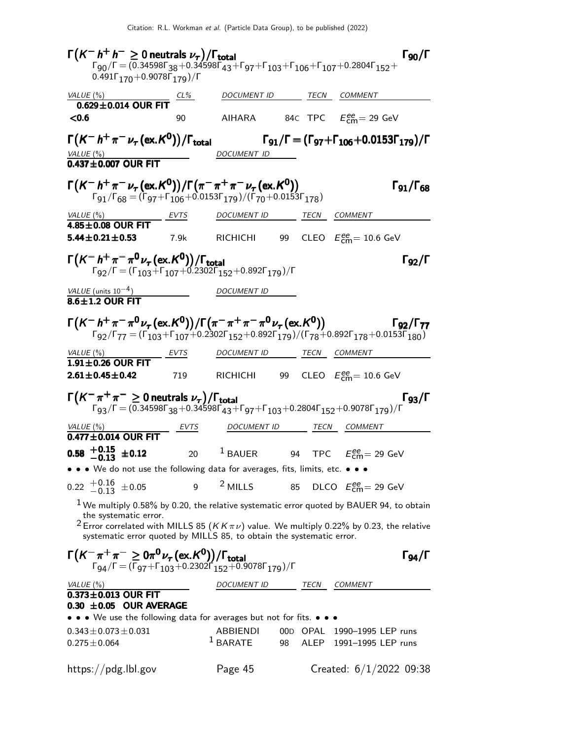Γ K − h <sup>+</sup> h <sup>−</sup> ≥ 0 neutrals ν<sup>τ</sup> /Γtotal Γ90/Γ K<sup>−</sup> h<sup>+</sup> h<sup>−</sup> ≥<sup>τ</sup> Γ total <sup>90</sup> K h≥ 0 neutrals <sup>τ</sup> /ΓΓ90/Γ Kh≥<sup>τ</sup>  $\Gamma_{90}/\Gamma$  $\Gamma_{90}/\Gamma = (0.34598\Gamma_{38}+0.34598\Gamma_{43}+\Gamma_{97}+\Gamma_{103}+\Gamma_{106}+\Gamma_{107}+0.2804\Gamma_{152}+$  $0.491\Gamma_{170} + 0.9078\Gamma_{179})/\Gamma$ VALUE (%) CL% DOCUMENT ID TECN COMMENT  $0.629 \pm 0.014$  OUR FIT<br><0.6  $\leq$ 0.6 90 AIHARA 84C TPC  $E_{\text{cm}}^{ee} = 29 \text{ GeV}$  $\Gamma\bigl(\mathcal{K}^-\,h^+\,\pi^-\,\nu_\tau\,(\mathrm{ex.}\,\mathcal{K}^0)\bigr)$ Γ $(K^- h^+ \pi^- \nu_\tau(\textsf{ex.} K^0))/\Gamma_{\textsf{total}}$  Γg1/Γ = (Γg7+Γ106+0.0153Γ179)/Γ VALUE (%) DOCUMENT ID  $0.437 + 0.007$  OUR FIT Γ $(K^- h^+ \pi^- \nu_\tau (\text{ex. } K^0)) / \Gamma(\pi^- \pi^+ \pi^- \nu_\tau (\text{ex. } K^0))$  Γ91/Γ<sub>68</sub> Γο1/Γ<sub>68</sub>  $\Gamma_{91}/\Gamma_{68} = (\Gamma_{97} + \Gamma_{106} + 0.0153 \Gamma_{179})/(\Gamma_{70} + 0.0153 \Gamma_{178})$ VALUE (%) EVTS DOCUMENT ID TECN COMMENT  $\frac{4.85 \pm 0.08}{4.85 \pm 0.21 \pm 0.53}$ **5.44** $\pm$ **0.21** $\pm$ **0.53** 7.9k RICHICHI 99 CLEO  $E_{\text{cm}}^{ee} = 10.6 \text{ GeV}$ Γ $(K-h^+\pi^-\pi^0\nu_\tau~(ex.K^0))/\Gamma_{\text{total}}$  Γg2/Γ  $\Gamma_{92}/\Gamma$  = ( $\Gamma_{103}$ + $\Gamma_{107}$ +0.2302 $\Gamma_{152}$ +0.892 $\Gamma_{179}$ )/ $\Gamma$  $VALUE$  (units 10<sup>-4</sup>) DOCUMENT ID  $8.6 \pm 1.2$  OUR FIT  $\Gamma(K^-\ h^+\pi^-\pi^0\nu_{\tau}$  (ex. K<sup>0</sup>))  $/ \Gamma(\pi^-\pi^+\pi^-\pi^0\nu_{\tau}$  (ex. K<sup>0</sup>)) [92/ $\Gamma_{77}$  $\Gamma_{92}/\Gamma_{77} = (\Gamma_{103} + \Gamma_{107} + 0.2302 \Gamma_{152} + 0.892 \Gamma_{179})/(\Gamma_{78} + 0.892 \Gamma_{178} + 0.0153 \Gamma_{180})$ VALUE (%) **EVTS** DOCUMENT ID **TECN** COMMENT  $1.91 \pm 0.26$  OUR FIT<br> $2.61 \pm 0.45 \pm 0.42$ **2.61** $\pm$ **0.45** $\pm$ **0.42** 719 RICHICHI 99 CLEO  $E_{\text{cm}}^{ee} = 10.6 \text{ GeV}$ Γ K − π <sup>+</sup> π <sup>−</sup> ≥ 0 neutrals ν<sup>τ</sup> /Γtotal Γ93/Γ K<sup>−</sup> <sup>+</sup> <sup>−</sup> ≥<sup>τ</sup> Γ total <sup>93</sup> K π π 0 ντ /Γtotal Γ93/Γ Kτ total 93  $\Gamma_{93}/\Gamma = (0.34598\Gamma_{38}+0.34598\Gamma_{43}+\Gamma_{97}+\Gamma_{103}+0.2804\Gamma_{152}+0.9078\Gamma_{179})/\Gamma$ VALUE (%) **EVTS** DOCUMENT ID TECN COMMENT  $\frac{EVTS}{0.477 \pm 0.014}$  OUR FIT  $-0.58$   $+0.15$   $\pm 0.12$ <br>-0.13  $+0.15$   $\pm$  0.12 20 <sup>1</sup> BAUER 94 TPC  $E_{\text{cm}}^{\text{ee}}$  = 29 GeV • • • We do not use the following data for averages, fits, limits, etc. • • •  $0.22 \begin{array}{c} +0.16 \\ -0.13 \end{array} \pm 0.05$  $^{+0.16}_{-0.13}$   $\pm$  0.05 9 <sup>2</sup> MILLS 85 DLCO  $E_{\text{cm}}^{ee}$  = 29 GeV  $<sup>1</sup>$  We multiply 0.58% by 0.20, the relative systematic error quoted by BAUER 94, to obtain</sup> the systematic error. <sup>2</sup> Error correlated with MILLS 85 ( $KK \pi \nu$ ) value. We multiply 0.22% by 0.23, the relative systematic error quoted by MILLS 85, to obtain the systematic error.  $\Gamma(K^-\pi^+\pi^-\geq 0\pi^0\nu_\tau(\mathrm{ex.}K^0))/\Gamma_{\mathrm{total}}$  Γg4/Γ  $\Gamma$ <sub>94</sub>/Γ = (Γ<sub>97</sub>+Γ<sub>103</sub>+0.2302Γ΄<sub>152</sub>+0.9078Γ<sub>179</sub>)/Γ VALUE (%)  $OCUMENT$  ID TECN COMMENT  $0.373 \pm 0.013$  OUR FIT  $0.30 \pm 0.05$  OUR AVERAGE • • • We use the following data for averages but not for fits. • • •  $0.343 \pm 0.073 \pm 0.031$ <br> $0.275 \pm 0.064$  ABBIENDI 00D OPAL 1990-1995 LEP runs<br> $1$  BARATE 98 ALEP 1991-1995 LEP runs 98 ALEP 1991-1995 LEP runs https://pdg.lbl.gov Page 45 Created: 6/1/2022 09:38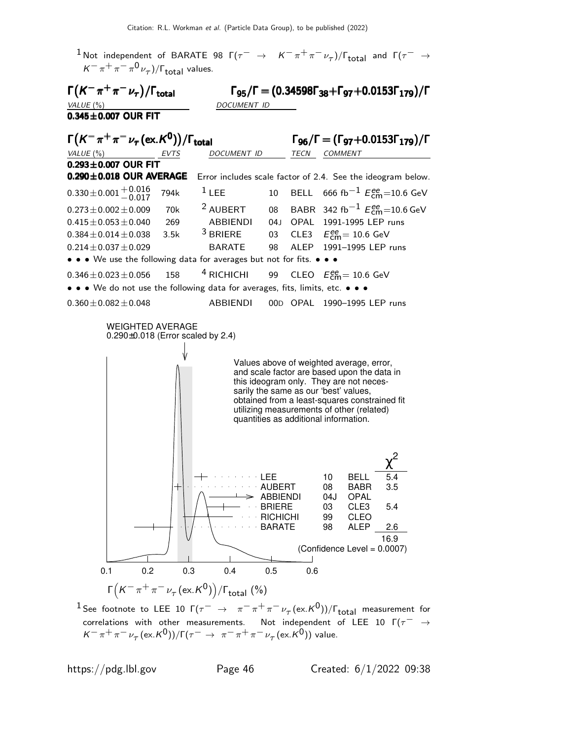



 $^1$  See footnote to LEE 10 Г $(\tau^-\;\to\;\;\pi^-\pi^+\pi^-\nu_\tau(\mathrm{ex.}K^0))/\Gamma_{\mathrm{total}}$  measurement for correlations with other measurements. Not independent of LEE 10  $\Gamma(\tau^- \rightarrow$  $K^-\pi^+\pi^-\nu_\tau(\mathrm{ex.}K^0))/\Gamma(\tau^-\rightarrow\pi^-\pi^+\pi^-\nu_\tau(\mathrm{ex.}K^0))$  value.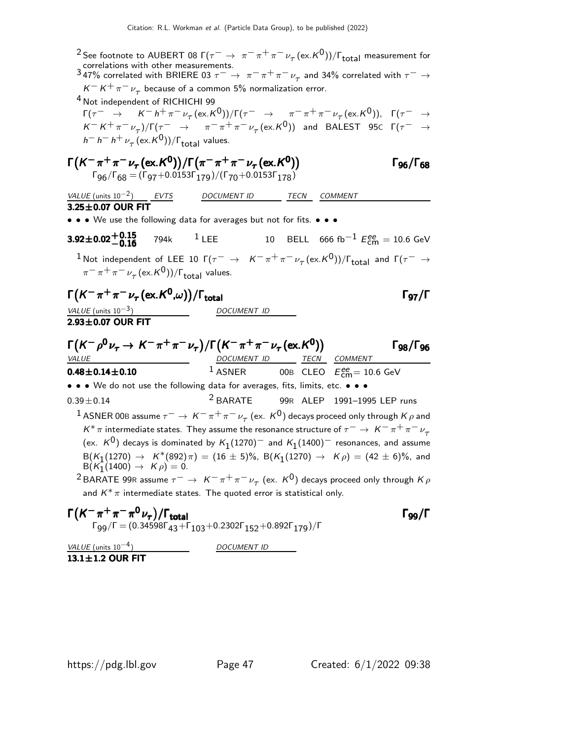<sup>2</sup> See footnote to AUBERT 08 Г( $\tau^- \to \pi^-\pi^+\pi^-\nu_\tau(\mathrm{ex.}K^0))/\Gamma_{\text{total}}$  measurement for correlations with other measurements.<br>347% correlated with BRIERE 03  $\tau^- \to \pi^- \pi^+ \pi^- \nu_\tau$  and 34% correlated with  $\tau^- \to$  $K^-K^+\pi^-\nu_\tau$  because of a common 5% normalization error. 4 Not independent of RICHICHI 99  $\Gamma(\tau^- \rightarrow K^- h^+ \pi^- \nu_\tau (\text{ex.} K^0))/\Gamma(\tau^- \rightarrow \pi^- \pi^+ \pi^- \nu_\tau (\text{ex.} K^0)), \Gamma(\tau^- \rightarrow \tau^+ \nu_\tau)$  $K^- K^+ \pi^- \nu_\tau) / \Gamma(\tau^- \rightarrow \pi^- \pi^+ \pi^- \nu_\tau (\text{ex.} K^0))$  and BALEST 95 $\text{C}$   $\Gamma(\tau^- \rightarrow \tau^+ \nu_\tau)$  $h^- h^- h^+ \nu_\tau \, (\mathrm{ex.} K^0))/\Gamma_{\mathrm{total}}$  values. Γ $(K^-\pi^+\pi^-\nu_\tau(\textsf{ex}.K^0))/\Gamma(\pi^-\pi^+\pi^-\nu_\tau(\textsf{ex}.K^0))$  Γ96/Γ68  $\Gamma$ <sub>96</sub>/ $\Gamma$ <sub>68</sub>  $\Gamma_{96}/\Gamma_{68} = (\Gamma_{97}+0.0153 \Gamma_{179})/(\Gamma_{70}+0.0153 \Gamma_{178})$ VALUE (units  $10^{-2}$ ) EVTS DOCUMENT ID TECN COMMENT  $3.25 \pm 0.07$  OUR FIT • • • We use the following data for averages but not for fits. • • •  $3.92\pm0.02\begin{array}{l}\n+0.15 \\
-0.16\n\end{array}$ **3.92±0.02<sup>+0.15</sup>** 794k <sup>1</sup> LEE 10 BELL 666 fb<sup>-1</sup>  $E_{\text{cm}}^{ee} = 10.6 \text{ GeV}$ <sup>1</sup> Not independent of LEE 10 Γ( $\tau^-$  →  $K^-\pi^+\pi^-\nu_\tau(\text{ex.}K^0))/\Gamma_{\text{total}}$  and Γ( $\tau^-\to$  $\pi^-\pi^+\pi^-\nu_\tau$  (ex. $\kappa^0$ ))/ $\Gamma_{\rm total}$  values.  $\Gamma(K^-\pi^+\pi^-\nu_\tau(\textsf{ex}.K^0,\omega))/\Gamma_{\textsf{total}}$  Γg7/Γ VALUE (units  $10^{-3}$ ) DOCUMENT ID  $2.93\pm0.07$  OUR FIT  $\Gamma(K^-\rho^0\nu_\tau\to K^-\pi^+\pi^-\nu_\tau)/\Gamma\bigl(K^-\pi^+\pi^-\nu_\tau\bigl(\textrm{ex}.K^0)\bigr)$  Γg<sub>8</sub>/Γg<sub>6</sub> Γ98/Γας VALUE **DOCUMENT ID TECN COMMENT 0.48** $\pm$ **0.14** $\pm$ **0.10** 1 ASNER 00B CLEO  $E_{\rm cm}^{\rm ee}$  = 10.6 GeV • • • We do not use the following data for averages, fits, limits, etc. • • •  $0.39\pm0.14$   $2$  BARATE 99R ALEP 1991-1995 LEP runs  $^1$  ASNER 00B assume  $\tau^-\to\,$  K $^-\pi^+\pi^-\,\nu_\tau$  (ex.  $\,{\sf K}^0)$  decays proceed only through  $\cal K\,\rho$  and  $K^* \pi$  intermediate states. They assume the resonance structure of  $\tau^- \to K^- \pi^+ \pi^- \nu_\tau$ (ex.  $\kappa^0$ ) decays is dominated by  $\kappa_1$ (1270) $^-$  and  $\kappa_1$ (1400) $^-$  resonances, and assume  $B(K_1(1270) → K*(892)π) = (16 ± 5)%$ ,  $B(K_1(1270) → Kρ) = (42 ± 6)%$ , and  $B(K_1(1400) \to K \rho) = 0.$  $^2$ BARATE 99R assume  $\tau^-\rightarrow~$  K $^-\pi^+\pi^-\nu_\tau^{}$  (ex.  $\rm\mathit{K}^{0})$  decays proceed only through  $\rm\mathit{K}\rho$ and  $K^* \pi$  intermediate states. The quoted error is statistical only.  $\Gamma(K^-\pi^+\pi^-\pi^0\nu_{\tau})/\Gamma_{\text{total}}$  $\nu_{\tau})/\Gamma_{\rm total}$  Γ<sub>99</sub>/Γ  $\Gamma_{99}/\Gamma = (0.34598\Gamma_{43} + \Gamma_{103} + 0.2302\Gamma_{152} + 0.892\Gamma_{179})/\Gamma$ VALUE (units  $10^{-4}$ ) DOCUMENT ID

 $13.1 + 1.2$  OUR FIT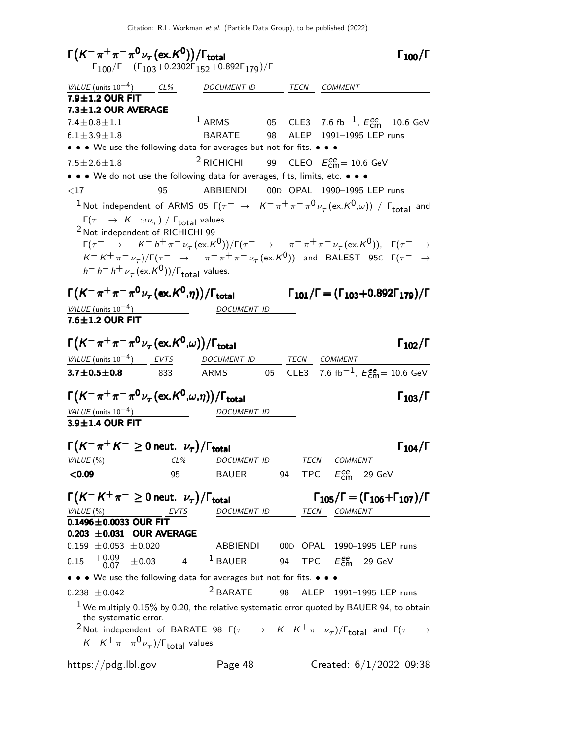$\Gamma(K^-\pi^+\pi^-\pi^0\nu_\tau(\text{ex.}K^0))/\Gamma_{\text{total}}$  Γ<sub>100</sub>/Γ  $\Gamma_{100}/\Gamma$  $\Gamma_{100}/\Gamma = (\Gamma_{103} + 0.2302\Gamma_{152} + 0.892\Gamma_{179})/\Gamma$  $VALUE$  (units 10<sup>-4</sup>) CL% DOCUMENT ID TECN COMMENT  $7.9 \pm 1.2$  OUR FIT  $7.3 \pm 1.2$  OUR AVERAGE  $7.4 \pm 0.8 \pm 1.1$  $1$  ARMS 05 CLE3 7.6 fb $^{-1}$ ,  $E_{\textsf{cm}}^{ee}$  = 10.6 GeV  $6.1 \pm 3.9 \pm 1.8$  BARATE 98 ALEP 1991–1995 LEP runs • • • We use the following data for averages but not for fits. • • •  $7.5 \pm 2.6 \pm 1.8$ 2 RICHICHI 99 CLEO E ee cm= 10.6 GeV • • • We do not use the following data for averages, fits, limits, etc. • • • <17 95 ABBIENDI 00D OPAL 1990–1995 LEP runs  $^1$ Not independent of ARMS 05 Г $(\tau^-\ \rightarrow\ \ K^-\ \pi^+\pi^-\pi^0\nu_\tau\, (\mathrm{ex.}\ K^0\!,\omega))$  /  $\Gamma_\mathrm{total}$  and  $\Gamma(\tau^- \to K^- \omega \nu_\tau) / \Gamma_{\text{total}}$  values. 2 Not independent of RICHICHI 99  $\Gamma(\tau^- \rightarrow K^- h^+ \pi^- \nu_\tau (\text{ex.} K^0))/\Gamma(\tau^- \rightarrow \pi^- \pi^+ \pi^- \nu_\tau (\text{ex.} K^0)), \Gamma(\tau^- \rightarrow \tau^+ \nu_\tau)$  $K^- K^+ \pi^- \nu_\tau) / \Gamma(\tau^- \rightarrow \pi^- \pi^+ \pi^- \nu_\tau (\text{ex.} K^0))$  and BALEST 95 $\text{C}$   $\Gamma(\tau^- \rightarrow \tau^+ \pi^- \nu_\tau)$  $h^- h^- h^+ \nu_\tau (\mathrm{ex.} K^0))/\Gamma_{\mathrm{total}}$  values. Γ $(K^-\pi^+\pi^-\pi^0\nu_\tau$  (ex. $K^0,\eta)$ ) / Γ<sub>total</sub> Γ $_{101}$  / Γ = (Γ $_{103}+0.892$  Γ $_{179}$ ) / Γ  $\Gamma_{101}/\Gamma$  = (Γ<sub>103</sub>+0.892Γ<sub>179</sub>)/Γ VALUE (units  $10^{-4}$ ) DOCUMENT ID  $7.6 \pm 1.2$  OUR FIT  $\Gamma(K^-\pi^+\pi^-\pi^0\nu_\tau(\text{ex.}K^0,\omega))/\Gamma_{\text{total}}$  Γ<sub>102</sub>/Γ  $\Gamma_{102}/\Gamma$ VALUE (units  $10^{-4}$ ) EVTS DOCUMENT ID TECN COMMENT **3.7** $\pm$ **0.5** $\pm$ **0.8** 833 ARMS 05 CLE3 7.6 fb $^{-1}$ ,  $E_{\text{cm}}^{ee} = 10.6$  GeV  $\Gamma\bigl(\mathcal{K}^-\pi^+\pi^-\pi^0\,\nu_\tau\,(\mathrm{ex.}\mathcal{K}^0\!,\!\omega,\!\eta)\bigr)/\Gamma_{\mathrm{total}}$  Γ $_{103}/\Gamma$ VALUE (units  $10^{-4}$ ) DOCUMENT ID  $3.9\pm1.4$  OUR FIT  $\Gamma(K^-\pi^+K^-\geq 0$  neut.  $\nu_\tau)/\Gamma_{\rm total}$  Γ<sub>104</sub>/Γ  $\Gamma_{104}/\Gamma$ VALUE (%) CL% DOCUMENT ID TECN COMMENT <0.09 95 BAUER 94 TPC E ee cm= 29 GeV  $\Gamma(K^- K^+ \pi^- \geq 0$  neut.  $\nu_\tau)/\Gamma_{\text{total}}$   $\Gamma_{105}/\Gamma = (\Gamma_{106} + \Gamma_{107})/\Gamma$  $\Gamma_{105}/\Gamma = (\Gamma_{106} + \Gamma_{107})/\Gamma$ VALUE (%) **EVTS** DOCUMENT ID TECN COMMENT  $0.1496 \pm 0.0033$  OUR FIT **0.203**  $\pm$ **0.031 OUR AVERAGE** 0.159  $\pm$ 0.053  $\pm$ 0.020 ABBIENDI 00D OPAL 1990-1995 LEP runs  $0.15$   $+0.09$ <br>-0.07  $^{+0.09}_{-0.07}$  ±0.03 4 <sup>1</sup> BAUER 94 TPC  $E_{\text{cm}}^{ee}$  = 29 GeV • • • We use the following data for averages but not for fits. • • •  $0.238 \pm 0.042$  2 BARATE 98 ALEP 1991-1995 LEP runs  $1$  We multiply 0.15% by 0.20, the relative systematic error quoted by BAUER 94, to obtain the systematic error.  $^2$ Not independent of BARATE 98  $\Gamma(\tau^- \rightarrow K^- K^+ \pi^- \nu_\tau)/\Gamma_{\rm total}$  and  $\Gamma(\tau^- \rightarrow \tau)$  $K^- K^+ \pi^- \pi^0 \nu_\tau$ )/ $\Gamma_{\rm total}$  values. https://pdg.lbl.gov Page 48 Created: 6/1/2022 09:38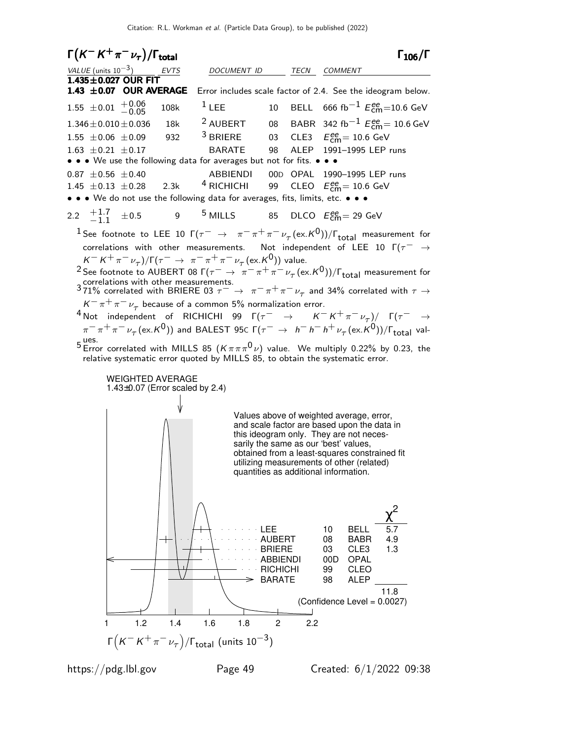| $\Gamma(K^-K^+\pi^-\nu_\tau)/\Gamma_{\rm total}$                                                                                                                                                                                                                                                                                                                                                                                                                                                                                                                                                                                                                                                                                                                                                                                                                                                                                                                                                                                                                                                                                                                                                                                                                 |                                                             |                                                     |                                                                                                                                                                                                                                                                                                                                                                            | $\Gamma_{106}/\Gamma$ |
|------------------------------------------------------------------------------------------------------------------------------------------------------------------------------------------------------------------------------------------------------------------------------------------------------------------------------------------------------------------------------------------------------------------------------------------------------------------------------------------------------------------------------------------------------------------------------------------------------------------------------------------------------------------------------------------------------------------------------------------------------------------------------------------------------------------------------------------------------------------------------------------------------------------------------------------------------------------------------------------------------------------------------------------------------------------------------------------------------------------------------------------------------------------------------------------------------------------------------------------------------------------|-------------------------------------------------------------|-----------------------------------------------------|----------------------------------------------------------------------------------------------------------------------------------------------------------------------------------------------------------------------------------------------------------------------------------------------------------------------------------------------------------------------------|-----------------------|
| $\frac{VALUE \text{(units 10}^{-3})}{1.435 \pm 0.027 \text{ OUR FIT}}$<br><b>EVTS</b>                                                                                                                                                                                                                                                                                                                                                                                                                                                                                                                                                                                                                                                                                                                                                                                                                                                                                                                                                                                                                                                                                                                                                                            | DOCUMENT ID                                                 |                                                     | TECN COMMENT                                                                                                                                                                                                                                                                                                                                                               |                       |
| 1.43 ±0.07 OUR AVERAGE                                                                                                                                                                                                                                                                                                                                                                                                                                                                                                                                                                                                                                                                                                                                                                                                                                                                                                                                                                                                                                                                                                                                                                                                                                           | Error includes scale factor of 2.4. See the ideogram below. |                                                     |                                                                                                                                                                                                                                                                                                                                                                            |                       |
| $1.55 \pm 0.01 + 0.06$<br>108k                                                                                                                                                                                                                                                                                                                                                                                                                                                                                                                                                                                                                                                                                                                                                                                                                                                                                                                                                                                                                                                                                                                                                                                                                                   | $1$ LEE                                                     | 10                                                  | BELL 666 fb <sup>-1</sup> $E_{\text{cm}}^{ee}$ =10.6 GeV                                                                                                                                                                                                                                                                                                                   |                       |
| $1.346 \pm 0.010 \pm 0.036$<br>18k<br>$1.55 \pm 0.06 \pm 0.09$<br>932<br>$1.63 \pm 0.21 \pm 0.17$<br>• • • We use the following data for averages but not for fits. • • •                                                                                                                                                                                                                                                                                                                                                                                                                                                                                                                                                                                                                                                                                                                                                                                                                                                                                                                                                                                                                                                                                        | <sup>2</sup> AUBERT<br>$3$ BRIERE<br><b>BARATE</b>          | 98                                                  | 08 BABR 342 fb <sup>-1</sup> $E_{\text{cm}}^{ee}$ = 10.6 GeV<br>03 CLE3 $E_{\text{cm}}^{ee} = 10.6 \text{ GeV}$<br>ALEP 1991-1995 LEP runs                                                                                                                                                                                                                                 |                       |
| $0.87 \pm 0.56 \pm 0.40$<br>1.45 $\pm$ 0.13 $\pm$ 0.28 2.3k <sup>4</sup> RICHICHI<br>• • • We do not use the following data for averages, fits, limits, etc. • • •                                                                                                                                                                                                                                                                                                                                                                                                                                                                                                                                                                                                                                                                                                                                                                                                                                                                                                                                                                                                                                                                                               | ABBIENDI                                                    | 99                                                  | 00D OPAL 1990-1995 LEP runs<br>CLEO $E_{\text{cm}}^{\text{ee}} = 10.6 \text{ GeV}$                                                                                                                                                                                                                                                                                         |                       |
| 2.2 $\frac{+1.7}{-1.1}$ $\pm 0.5$                                                                                                                                                                                                                                                                                                                                                                                                                                                                                                                                                                                                                                                                                                                                                                                                                                                                                                                                                                                                                                                                                                                                                                                                                                | 9 $5$ MILLS 85 DLCO $E_{\text{cm}}^{ee} = 29$ GeV           |                                                     |                                                                                                                                                                                                                                                                                                                                                                            |                       |
| <sup>1</sup> See footnote to LEE 10 $\Gamma(\tau^- \to \pi^-\pi^+\pi^-\nu_\tau(\text{ex.}K^0))/\Gamma_{\text{total}}$ measurement for<br>correlations with other measurements. Not independent of LEE 10 $\Gamma(\tau^- \rightarrow$<br>$K^- K^+ \pi^- \nu_\tau)/\Gamma(\tau^- \to \pi^- \pi^+ \pi^- \nu_\tau (\text{ex.} K^0))$ value.<br><sup>2</sup> See footnote to AUBERT 08 $\Gamma(\tau^- \to \pi^-\pi^+\pi^-\nu_\tau(\text{ex.}K^0))/\Gamma_{\text{total}}$ measurement for<br>3 correlations with other measurements.<br>371% correlated with BRIERE 03 $\tau^- \to \pi^- \pi^+ \pi^- \nu_\tau$ and 34% correlated with $\tau \to$<br>$K^-\pi^+\pi^-\nu_\tau$ because of a common 5% normalization error.<br><sup>4</sup> Not independent of RICHICHI 99 $\Gamma(\tau^- \to K^- K^+ \pi^- \nu_\tau)/\Gamma(\tau^- \to$<br>$\pi^-\pi^+\pi^-\nu_\tau(\mathrm{ex.}K^0))$ and BALEST 95 $\in$ $\Gamma(\tau^-\rightarrow~h^-h^-h^+\nu_\tau(\mathrm{ex.}K^0))/\Gamma_{\mathrm{total}}$ val-<br><sup>5</sup> Error correlated with MILLS 85 $(K \pi \pi \pi^0 \nu)$ value. We multiply 0.22% by 0.23, the<br>relative systematic error quoted by MILLS 85, to obtain the systematic error.<br><b>WEIGHTED AVERAGE</b><br>1.43 $\pm$ 0.07 (Error scaled by 2.4) |                                                             |                                                     |                                                                                                                                                                                                                                                                                                                                                                            |                       |
| ╈                                                                                                                                                                                                                                                                                                                                                                                                                                                                                                                                                                                                                                                                                                                                                                                                                                                                                                                                                                                                                                                                                                                                                                                                                                                                |                                                             | LEE<br>AUBERT<br><b>BRIERE</b>                      | Values above of weighted average, error,<br>and scale factor are based upon the data in<br>this ideogram only. They are not neces-<br>sarily the same as our 'best' values,<br>obtained from a least-squares constrained fit<br>utilizing measurements of other (related)<br>quantities as additional information.<br><b>BELL</b><br>10<br>08<br><b>BABR</b><br>03<br>CLE3 | 5.7<br>4.9<br>1.3     |
|                                                                                                                                                                                                                                                                                                                                                                                                                                                                                                                                                                                                                                                                                                                                                                                                                                                                                                                                                                                                                                                                                                                                                                                                                                                                  |                                                             | <b>ABBIENDI</b><br><b>RICHICHI</b><br><b>BARATE</b> | 00D<br><b>OPAL</b><br><b>CLEO</b><br>99<br>98<br><b>ALEP</b><br>(Confidence Level = 0.0027)                                                                                                                                                                                                                                                                                | 11.8                  |
| 1.2<br>1.4<br>1                                                                                                                                                                                                                                                                                                                                                                                                                                                                                                                                                                                                                                                                                                                                                                                                                                                                                                                                                                                                                                                                                                                                                                                                                                                  | 1.6<br>1.8                                                  | $\overline{c}$<br>2.2                               |                                                                                                                                                                                                                                                                                                                                                                            |                       |
| $\Gamma\left(K^-K^+\pi^-\nu_\tau\right)/\Gamma_{\rm total}$ (units $10^{-3}$ )                                                                                                                                                                                                                                                                                                                                                                                                                                                                                                                                                                                                                                                                                                                                                                                                                                                                                                                                                                                                                                                                                                                                                                                   |                                                             |                                                     |                                                                                                                                                                                                                                                                                                                                                                            |                       |
|                                                                                                                                                                                                                                                                                                                                                                                                                                                                                                                                                                                                                                                                                                                                                                                                                                                                                                                                                                                                                                                                                                                                                                                                                                                                  |                                                             |                                                     |                                                                                                                                                                                                                                                                                                                                                                            |                       |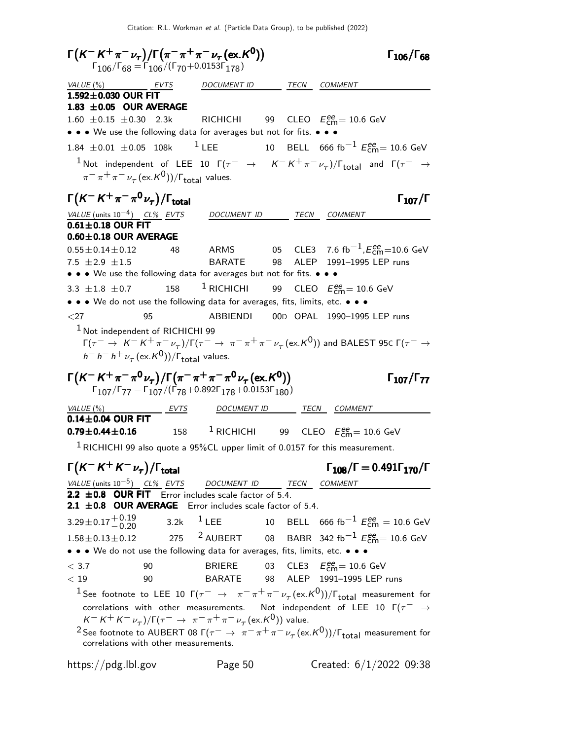Citation: R.L. Workman et al. (Particle Data Group), to be published (2022)

 $\Gamma(K^-K^+\pi^-\nu_\tau)/\Gamma(\pi^-\pi^+\pi^-\nu_\tau(\text{ex.}K^0))$   $\Gamma_{106}/\Gamma_{68}$  $\Gamma_{106}/\Gamma_{68}$  $\Gamma_{106}/\Gamma_{68} = \Gamma_{106}/(\Gamma_{70}+0.0153\Gamma_{178})$ VALUE (%) **EVTS** DOCUMENT ID TECN COMMENT  $1.592\pm0.030$  OUR FIT  $1.83 \pm 0.05$  OUR AVERAGE  $1.60 \pm 0.15 \pm 0.30$  2.3k RICHICHI  $_{\text{cm}}^{\text{ee}}$  = 10.6 GeV • • • We use the following data for averages but not for fits. • • • 1.84  $\pm$ 0.01  $\pm$ 0.05 108k <sup>1</sup> LEE 10 BELL 666 fb<sup>-1</sup>  $E_{\text{cm}}^{ee}$  = 10.6 GeV  $1$ Not independent of LEE 10 Γ( $\tau^-$  →  $K^- K^+ \pi^- \nu_\tau$ )/Γ<sub>total</sub> and Γ( $\tau^-$  →  $\pi^-\pi^+\pi^-\nu_\tau$  (ex. $\kappa^0$ ))/ $\Gamma_{\rm total}$  values.  $\Gamma(K^-K^+\pi^-\pi^0\nu_\tau)/\Gamma_{\rm total}$ Γ VALUE (units 10<sup>-4</sup>) CL% EVTS DOCUMENT <u>ID</u> TECN COMMENT  $0.61 \pm 0.18$  OUR FIT  $0.60\pm0.18$  OUR AVERAGE 0.55 $\pm$ 0.14 $\pm$ 0.12 48 ARMS 05 CLE3 7.6 fb $^{-1}$ , $E_{\rm cm}^{\rm ee}$ =10.6 GeV 7.5 ±2.9 ±1.5 BARATE 98 ALEP 1991–1995 LEP runs • • • We use the following data for averages but not for fits. • • • 3.3  $\pm$ 1.8  $\pm$ 0.7 158 <sup>1</sup> RICHICHI  $_{\text{cm}}^{\text{ee}}$ = 10.6 GeV • • • We do not use the following data for averages, fits, limits, etc. • • • <27 95 ABBIENDI 00D OPAL 1990–1995 LEP runs <sup>1</sup> Not independent of RICHICHI 99  $\Gamma(\tau^-\to~$  Κ $^-$  Κ $^+\pi^-\nu_\tau)$ /Γ $(\tau^-\to~\pi^-\pi^+\pi^-\nu_\tau$  (ex.Κ $^0$ )) and BALEST 95c Γ $(\tau^-\to$  $h^- h^- h^+ \nu_\tau \, (\mathrm{ex.} K^0))/\Gamma_{\mathrm{total}}$  values.  $\Gamma(K^-K^+\pi^-\pi^0\nu_\tau)/\Gamma(\pi^-\pi^+\pi^-\pi^0\nu_\tau(\text{ex.}K^0))$  [107/۲ $_{77}$  $Γ_{107}/Γ_{77}$  $\Gamma_{107}/\Gamma_{77} = \Gamma_{107}/(\Gamma_{78} + 0.892\Gamma_{178} + 0.0153\Gamma_{180})$ VALUE (%) **EVTS** DOCUMENT ID TECN COMMENT  $0.14\pm0.04$  OUR FIT  $0.79\pm0.44\pm0.16$ **0.79** $\pm$ **0.44** $\pm$ **0.16** 158 <sup>1</sup> RICHICHI 99 CLEO  $E_{\rm{cm}}^{\rm{ee}}$ = 10.6 GeV  $1$  RICHICHI 99 also quote a 95%CL upper limit of 0.0157 for this measurement.  $\Gamma(K^-K^+K^-\nu_\tau)/\Gamma_{\rm total}$  Γ<sub>108</sub>/Γ = 0.491Γ<sub>170</sub>/Γ  $\Gamma_{108}/\Gamma = 0.491\Gamma_{170}/\Gamma$ VALUE (units 10<sup>-5</sup>) CL% EVTS DOCUMENT ID TECN COMMENT 2.2  $\pm$  0.8 OUR FIT Error includes scale factor of 5.4. 2.1  $\pm$ 0.8 OUR AVERAGE Error includes scale factor of 5.4.  $3.29 \pm 0.17 + 0.19$ <br>-0.20  $^{+0.19}_{-0.20}$  3.2k  $^{1}$  LEE 10 BELL 666 fb $^{-1}$  Eee = 10.6 GeV 1.58 $\pm$ 0.13 $\pm$ 0.12 275 <sup>2</sup> AUBERT 08 BABR 342 fb<sup>-1</sup>  $E_{\rm{cm}}^{\rm{ee}}$  = 10.6 GeV • • • We do not use the following data for averages, fits, limits, etc. • • •  $<$  3.7  $\qquad$  90 BRIERE 03 CLE3  $E_{\text{cm}}^{ee}$  = 10.6 GeV < 19 90 BARATE 98 ALEP 1991–1995 LEP runs  $^1$  See footnote to LEE 10 Г $(\tau^-\;\to\;\;\pi^-\pi^+\pi^-\nu_\tau(\mathrm{ex.}K^0))/\Gamma_{\mathrm{total}}$  measurement for correlations with other measurements. Not independent of LEE 10  $\Gamma(\tau^- \rightarrow$  $K^- K^+ K^- \nu_\tau)/\Gamma(\tau^- \to \pi^- \pi^+ \pi^- \nu_\tau (\text{ex.} K^0))$  value. <sup>2</sup> See footnote to AUBERT 08 Γ( $\tau^-\to~\pi^-\pi^+\pi^-\nu_\tau$  (ex. K<sup>0</sup>))/Γ<sub>total</sub> measurement for correlations with other measurements. https://pdg.lbl.gov Page 50 Created: 6/1/2022 09:38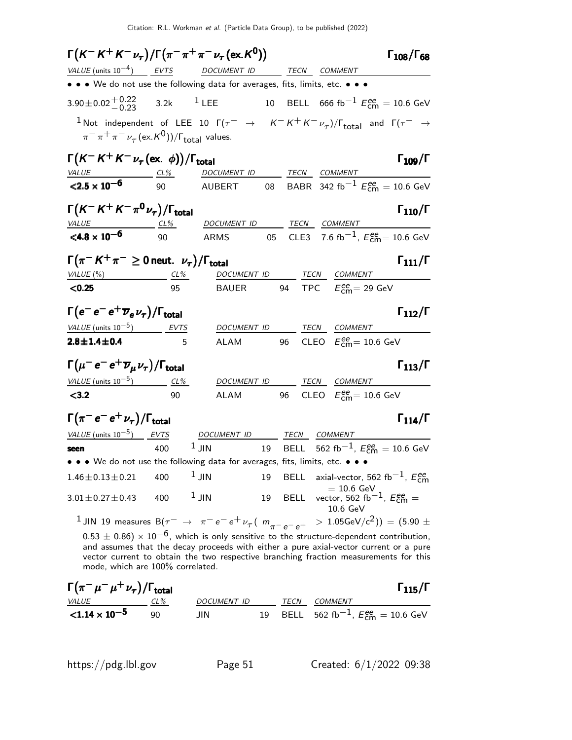| $\Gamma(K^-K^+K^-\nu_\tau)/\Gamma(\pi^-\pi^+\pi^-\nu_\tau(\text{ex.}K^0))$                                                                                                                                                                                                                                                   |              |          |                                                                             |    |             |      |                                                                          | $\Gamma_{108}/\Gamma_{68}$ |
|------------------------------------------------------------------------------------------------------------------------------------------------------------------------------------------------------------------------------------------------------------------------------------------------------------------------------|--------------|----------|-----------------------------------------------------------------------------|----|-------------|------|--------------------------------------------------------------------------|----------------------------|
| VALUE (units $10^{-4}$ ) EVTS                                                                                                                                                                                                                                                                                                |              |          | DOCUMENT ID                                                                 |    |             |      | TECN COMMENT                                                             |                            |
| • • • We do not use the following data for averages, fits, limits, etc. • • •                                                                                                                                                                                                                                                |              |          |                                                                             |    |             |      |                                                                          |                            |
| $3.90 \pm 0.02 \begin{array}{c} +0.22 \\ -0.23 \end{array}$                                                                                                                                                                                                                                                                  |              |          | 3.2 $k$ <sup>1</sup> LEE                                                    |    |             |      | 10 BELL 666 fb <sup>-1</sup> $E_{\text{cm}}^{ee}$ = 10.6 GeV             |                            |
| $^{-1}$ Not independent of LEE 10 $\Gamma(\tau^-\rightarrow K^-K^+K^-\nu_{\tau})/\Gamma_{\rm total}$ and $\Gamma(\tau^-\rightarrow \tau)$<br>$\pi^{-} \pi^{+} \pi^{-} \nu_{\tau}$ (ex. K <sup>0</sup> ))/ $\Gamma_{\text{total}}$ values.                                                                                    |              |          |                                                                             |    |             |      |                                                                          |                            |
| $\Gamma(K^-K^+K^-\nu_\tau(\text{ex. }\phi))/\Gamma_{\text{total}}$                                                                                                                                                                                                                                                           |              |          |                                                                             |    |             |      |                                                                          | $\Gamma_{109}/\Gamma$      |
| $VALUE$ $CL\%$<br>${<}2.5 \times 10^{-6}$                                                                                                                                                                                                                                                                                    | 90           |          | DOCUMENT ID<br>AUBERT 08 BABR 342 fb <sup>-1</sup> $E_{cm}^{ee}$ = 10.6 GeV |    |             |      | TECN COMMENT                                                             |                            |
| $\Gamma(K^-K^+K^-\pi^0\nu_\tau)/\Gamma_{\rm total}$<br>$VALU E$ $CL\%$                                                                                                                                                                                                                                                       |              |          | DOCUMENT ID TECN COMMENT                                                    |    |             |      |                                                                          | $\Gamma_{110}/\Gamma$      |
| $<$ 4.8 $\times$ 10 <sup>-6</sup>                                                                                                                                                                                                                                                                                            | 90           |          | ARMS<br>$\overline{05}$                                                     |    |             |      | CLE3 7.6 fb <sup>-1</sup> , $E_{\text{cm}}^{ee}$ = 10.6 GeV              |                            |
| $\Gamma(\pi^- K^+ \pi^- \geq 0$ neut. $\nu_{\tau})/\Gamma_{\text{total}}$                                                                                                                                                                                                                                                    |              |          |                                                                             |    |             |      |                                                                          | $\Gamma_{111}/\Gamma$      |
| VALUE $(\%)$<br>< 0.25                                                                                                                                                                                                                                                                                                       | $CL\%$<br>95 |          | DOCUMENT ID TECN COMMENT<br><b>BAUER</b>                                    |    |             |      | 94 TPC $E_{\text{cm}}^{ee}$ = 29 GeV                                     |                            |
|                                                                                                                                                                                                                                                                                                                              |              |          |                                                                             |    |             |      |                                                                          |                            |
| $\Gamma(e^-e^-e^+\overline{\nu}_e\nu_\tau)/\Gamma_{\rm total}$                                                                                                                                                                                                                                                               |              |          |                                                                             |    |             |      |                                                                          | $\Gamma_{112}/\Gamma$      |
| VALUE (units $10^{-5}$ ) EVTS                                                                                                                                                                                                                                                                                                |              |          | DOCUMENT ID                                                                 |    |             | TECN | COMMENT                                                                  |                            |
| $2.8 \pm 1.4 \pm 0.4$                                                                                                                                                                                                                                                                                                        |              |          | <b>ALAM</b>                                                                 |    | 96          |      | CLEO $E_{\text{cm}}^{\text{ee}} = 10.6 \text{ GeV}$                      |                            |
| $\Gamma(\mu^- e^- e^+ \overline{\nu}_{\mu} \nu_{\tau})/\Gamma_{\text{total}}$                                                                                                                                                                                                                                                |              |          |                                                                             |    |             |      |                                                                          | $\Gamma_{113}/\Gamma$      |
| $VALUE$ (units $10^{-5}$ ) CL%                                                                                                                                                                                                                                                                                               |              |          | DOCUMENT ID TECN COMMENT                                                    |    |             |      |                                                                          |                            |
| $<$ 3.2                                                                                                                                                                                                                                                                                                                      | 90           |          | ALAM                                                                        |    | 96          |      | CLEO $E_{\text{cm}}^{ee} = 10.6 \text{ GeV}$                             |                            |
| $\Gamma(\pi^-e^-e^+\nu_\tau)/\Gamma_{\rm total}$                                                                                                                                                                                                                                                                             |              |          |                                                                             |    |             |      |                                                                          | $\Gamma_{114}/\Gamma$      |
| VALUE (units $10^{-5}$ ) EVTS                                                                                                                                                                                                                                                                                                |              |          | DOCUMENT ID                                                                 |    | TECN        |      | COMMENT                                                                  |                            |
| seen<br>• • • We do not use the following data for averages, fits, limits, etc. • • •                                                                                                                                                                                                                                        | 400          | $1$ JIN  |                                                                             | 19 |             |      | BELL 562 fb <sup>-1</sup> , $E_{cm}^{ee} = 10.6$ GeV                     |                            |
| $1.46 \pm 0.13 \pm 0.21$                                                                                                                                                                                                                                                                                                     | 400          | $^1$ JIN |                                                                             | 19 | <b>BELL</b> |      | axial-vector, 562 fb $^{-1}$ , $E_{cm}^{ee}$                             |                            |
| $3.01 \pm 0.27 \pm 0.43$                                                                                                                                                                                                                                                                                                     | 400          | $1$ JIN  |                                                                             | 19 | <b>BELL</b> |      | = 10.6 GeV<br>vector, 562 fb <sup>-1</sup> , $E_{cm}^{ee}$ =<br>10.6 GeV |                            |
| $^1$ JIN 19 measures B( $\tau^ \rightarrow$ $~\pi^ e^ e^+$ $\nu_\tau$ ( $~m_{\pi^ e^ e^+$                                                                                                                                                                                                                                    |              |          |                                                                             |    |             |      | $> 1.05$ GeV/c <sup>2</sup> )) = (5.90 $\pm$                             |                            |
| $0.53 \pm 0.86$ ) $\times$ $10^{-6}$ , which is only sensitive to the structure-dependent contribution,<br>and assumes that the decay proceeds with either a pure axial-vector current or a pure<br>vector current to obtain the two respective branching fraction measurements for this<br>mode, which are 100% correlated. |              |          |                                                                             |    |             |      |                                                                          |                            |

| $\Gamma(\pi^-\mu^-\mu^+\nu_{\tau})/\Gamma_{\rm total}$ |     |             |      | $\Gamma_{115}/\Gamma$                                   |
|--------------------------------------------------------|-----|-------------|------|---------------------------------------------------------|
| <i>VALUE</i>                                           | CL% | DOCUMENT ID | TECN | COMMENT                                                 |
| ${<}1.14 \times 10^{-5}$                               | ۹N  | JIN         |      | 19 BELL 562 fb <sup>-1</sup> , $E_{cm}^{ee} = 10.6$ GeV |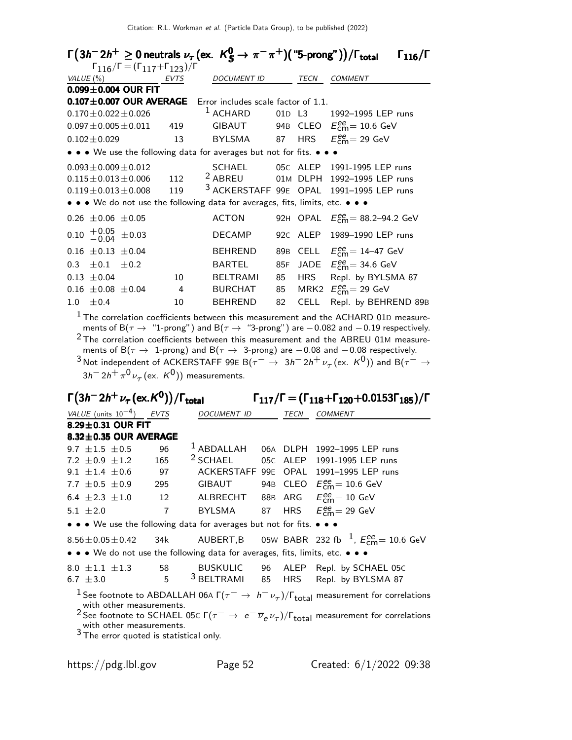| $\Gamma(3h^-2h^+\geq 0$ neutrals $\nu_\tau$ (ex. $K^0_S\to\pi^-\pi^+)$ ("5-prong"))/ $\Gamma_{\rm total}$ |      |                     |    |             | $\Gamma_{116}/\Gamma$                                                                                                                                                                                           |
|-----------------------------------------------------------------------------------------------------------|------|---------------------|----|-------------|-----------------------------------------------------------------------------------------------------------------------------------------------------------------------------------------------------------------|
| $\Gamma_{116}/\Gamma = (\Gamma_{117} + \Gamma_{123})/\Gamma$                                              |      |                     |    |             |                                                                                                                                                                                                                 |
| VALUE $(\%)$                                                                                              | EVTS | <b>DOCUMENT ID</b>  |    | <b>TECN</b> | <b>COMMENT</b>                                                                                                                                                                                                  |
| $0.099 \pm 0.004$ OUR FIT                                                                                 |      |                     |    |             |                                                                                                                                                                                                                 |
| 0.107±0.007 OUR AVERAGE Error includes scale factor of 1.1.                                               |      |                     |    |             |                                                                                                                                                                                                                 |
| $0.170$ $\pm$ 0.022 $\pm$ 0.026                                                                           |      | <sup>1</sup> ACHARD |    |             | 01D L3 1992-1995 LEP runs                                                                                                                                                                                       |
| $0.097 \pm 0.005 \pm 0.011$ 419                                                                           |      |                     |    |             | GIBAUT 94B CLEO $E_{\text{cm}}^{\text{ee}} = 10.6 \text{ GeV}$                                                                                                                                                  |
| $0.102 + 0.029$                                                                                           | 13   | BYLSMA 87           |    |             | HRS $E_{cm}^{ee} = 29$ GeV                                                                                                                                                                                      |
| • • • We use the following data for averages but not for fits. • • •                                      |      |                     |    |             |                                                                                                                                                                                                                 |
| $0.093 \pm 0.009 \pm 0.012$                                                                               |      | SCHAEL              |    |             | 05C ALEP 1991-1995 LEP runs                                                                                                                                                                                     |
| $0.115 \pm 0.013 \pm 0.006$                                                                               | 112  | <sup>2</sup> ABREU  |    |             | 01M DLPH 1992-1995 LEP runs                                                                                                                                                                                     |
| $0.119 \pm 0.013 \pm 0.008$                                                                               | 119  |                     |    |             | 3 ACKERSTAFF 99E OPAL 1991-1995 LEP runs                                                                                                                                                                        |
| • • • We do not use the following data for averages, fits, limits, etc. • • •                             |      |                     |    |             |                                                                                                                                                                                                                 |
| $0.26 \pm 0.06 \pm 0.05$                                                                                  |      | <b>ACTON</b>        |    |             | 92H OPAL $E_{\text{cm}}^{ee} = 88.2 - 94.2 \text{ GeV}$                                                                                                                                                         |
| $0.10 \begin{array}{c} +0.05 \\ -0.04 \end{array} \pm 0.03$                                               |      | DECAMP              |    |             | 92C ALEP 1989-1990 LEP runs                                                                                                                                                                                     |
| $0.16 \pm 0.13 \pm 0.04$                                                                                  |      | BEHREND             |    |             | 89B CELL $E_{\text{cm}}^{\text{ee}} = 14-47 \text{ GeV}$                                                                                                                                                        |
| $0.3 \pm 0.1 \pm 0.2$                                                                                     |      | <b>BARTEL</b>       |    |             | 85F JADE $E_{\text{cm}}^{\text{ee}}$ = 34.6 GeV                                                                                                                                                                 |
| $0.13 + 0.04$                                                                                             | 10   | <b>BELTRAMI</b>     | 85 | <b>HRS</b>  | Repl. by BYLSMA 87                                                                                                                                                                                              |
| $0.16 \pm 0.08 \pm 0.04$                                                                                  | 4    | BURCHAT             | 85 |             | MRK2 $E_{\text{cm}}^{\text{ee}} = 29 \text{ GeV}$                                                                                                                                                               |
| ±0.4<br>1.0                                                                                               | 10   | <b>BEHREND</b>      | 82 | <b>CELL</b> | Repl. by BEHREND 89B                                                                                                                                                                                            |
|                                                                                                           |      |                     |    |             | $^1$ The correlation coefficients between this measurement and the ACHARD 01D measure-<br>ments of B( $\tau \rightarrow$ "1-prong") and B( $\tau \rightarrow$ "3-prong") are $-0.082$ and $-0.19$ respectively. |

ments of B $(\tau \rightarrow$  "1-prong") and B $(\tau \rightarrow$  "3-prong") are  $-$  0.082 and  $-$  0.19 respectively.  $2$  The correlation coefficients between this measurement and the ABREU 01M measurements of B( $\tau \rightarrow 1$ -prong) and B( $\tau \rightarrow 3$ -prong) are  $-0.08$  and  $-0.08$  respectively.  $^3$ Not independent of ACKERSTAFF 99E B $(\tau^-\to\ 3h^-2h^+\nu_\tau$ (ex.  $K^0)$ ) and B $(\tau^-\to\tau^0)$ 

3h $^-$  2h $^+\pi^0\nu_\tau$  (ex.  $\,$  K $^0)$ ) measurements.

### $\Gamma\big(3h^-2h^+\nu_\tau\big(\text{ex.}\mathcal{K}^0\big)\big)$

Γ $(3h^- 2h^+ \nu_\tau$ (ex.K<sup>0</sup>))/Γ<sub>total</sub> Γ<sub>117</sub>/Γ = (Γ<sub>118</sub>+Γ<sub>120</sub>+0.0153Γ<sub>185</sub>)/Γ

| VALUE (units $10^{-4}$ ) EVTS                                                                                                                           |                | DOCUMENT ID           |  | TECN   | <b>COMMENT</b>                                                                                                                                |  |  |
|---------------------------------------------------------------------------------------------------------------------------------------------------------|----------------|-----------------------|--|--------|-----------------------------------------------------------------------------------------------------------------------------------------------|--|--|
| 8.29 $\pm$ 0.31 OUR FIT                                                                                                                                 |                |                       |  |        |                                                                                                                                               |  |  |
| $8.32 \pm 0.35$ OUR AVERAGE                                                                                                                             |                |                       |  |        |                                                                                                                                               |  |  |
| 9.7 $\pm 1.5 \pm 0.5$                                                                                                                                   | 96             | $^1$ ABDALLAH         |  |        | 06A DLPH 1992-1995 LEP runs                                                                                                                   |  |  |
| 7.2 $\pm$ 0.9 $\pm$ 1.2                                                                                                                                 | 165            | <sup>2</sup> SCHAEL   |  |        | 05C ALEP 1991-1995 LEP runs                                                                                                                   |  |  |
| 9.1 $\pm$ 1.4 $\pm$ 0.6                                                                                                                                 | 97             |                       |  |        | ACKERSTAFF 99E OPAL 1991-1995 LEP runs                                                                                                        |  |  |
| 7.7 $\pm$ 0.5 $\pm$ 0.9                                                                                                                                 | 295            | GIBAUT                |  |        | 94B CLEO $E_{cm}^{ee}$ = 10.6 GeV                                                                                                             |  |  |
| $6.4 \pm 2.3 \pm 1.0$ 12                                                                                                                                |                | ALBRECHT              |  |        | 88B ARG $E_{\text{cm}}^{\text{ee}} = 10 \text{ GeV}$                                                                                          |  |  |
| 5.1 $\pm 2.0$                                                                                                                                           | $\overline{7}$ | BYLSMA                |  |        | 87 HRS $E_{\text{cm}}^{\text{ee}}$ = 29 GeV                                                                                                   |  |  |
| • • • We use the following data for averages but not for fits. • • •                                                                                    |                |                       |  |        |                                                                                                                                               |  |  |
| $8.56 \pm 0.05 \pm 0.42$                                                                                                                                |                |                       |  |        | 34k AUBERT,B 05w BABR 232 fb $^{-1}$ , $E_{\rm cm}^{\rm ee}$ = 10.6 GeV                                                                       |  |  |
| $\bullet \bullet \bullet$ We do not use the following data for averages, fits, limits, etc. $\bullet \bullet \bullet$                                   |                |                       |  |        |                                                                                                                                               |  |  |
| $8.0 \pm 1.1 \pm 1.3$ 58                                                                                                                                |                |                       |  |        | BUSKULIC 96 ALEP Repl. by SCHAEL 05C                                                                                                          |  |  |
| 6.7 $\pm 3.0$                                                                                                                                           | $5^{\circ}$    | <sup>3</sup> BELTRAMI |  | 85 HRS | Repl. by BYLSMA 87                                                                                                                            |  |  |
| <sup>1</sup> See footnote to ABDALLAH 06A $\Gamma(\tau^- \to h^- \nu_\tau)/\Gamma_{\rm total}$ measurement for correlations<br>with other measurements. |                |                       |  |        |                                                                                                                                               |  |  |
| with other measurements.                                                                                                                                |                |                       |  |        | <sup>2</sup> See footnote to SCHAEL 05C $\Gamma(\tau^- \to e^- \overline{\nu}_e \nu_\tau)/\Gamma_{\text{total}}$ measurement for correlations |  |  |
| $3\overline{1}$ The error quoted is statistical only.                                                                                                   |                |                       |  |        |                                                                                                                                               |  |  |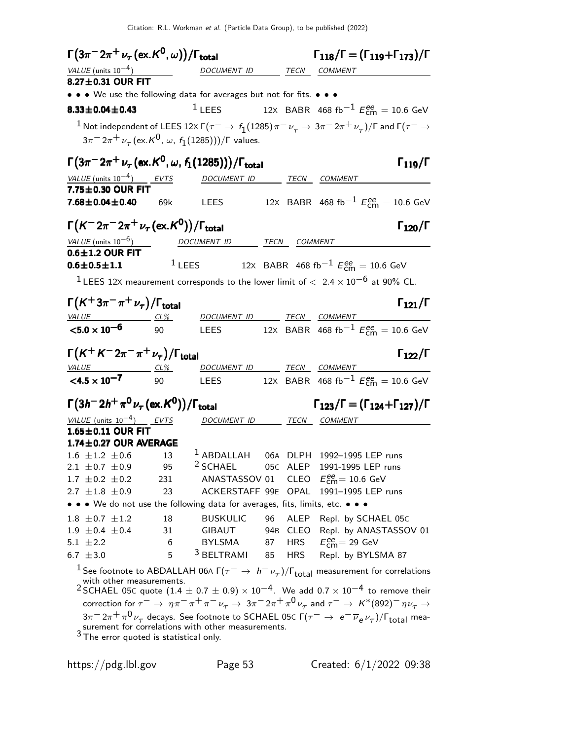$\Gamma(3\pi^{-} 2\pi^{+} \nu_{\tau} (\text{ex.} K^0, \omega)) / \Gamma_{\text{total}}$  Γ<sub>118</sub>/Γ = (Γ<sub>119</sub>+Γ<sub>173</sub>)/Γ  $\Gamma_{118}/\Gamma = (\Gamma_{119} + \Gamma_{173})/\Gamma$ VALUE (units  $10^{-4}$ ) DOCUMENT ID TECN COMMENT  $8.27 \pm 0.31$  OUR FIT • • • We use the following data for averages but not for fits. • • • **8.33±0.04±0.43** <sup>1</sup> LEES 12x BABR 468 fb<sup>-1</sup>  $E_{\text{cm}}^{ee} = 10.6 \text{ GeV}$  $^1$  Not independent of LEES 12x Γ( $\tau^-\to\,f_1(1285)\,\pi^-\,\nu_\tau\to\,3\pi^-\,2\pi^+\,\nu_\tau)$ /Γ and Γ( $\tau^-\to$  $3\pi^-2\pi^+\,\nu_\tau^{}(\mathrm{ex.}K^0\!,\,\omega,\,f_1^{}(1285)))/\Gamma$  values.  $\Gamma(3\pi^- 2\pi^+ \nu_\tau$  (ex.K<sup>0</sup>, ω, f<sub>1</sub>(1285)))/Γ<sub>total</sub> Γ<sub>119</sub>/Γ VALUE (units  $10^{-4}$ ) EVTS DOCUMENT ID TECN COMMENT  $7.75 \pm 0.30$  OUR FIT<br> $7.68 \pm 0.04 \pm 0.40$ **7.68** $\pm$ **0.04** $\pm$ **0.40** 69k LEES 12x BABR 468 fb<sup>-1</sup>  $E_{\text{cm}}^{\text{ee}} = 10.6 \text{ GeV}$  $\Gamma(K^- 2\pi^- 2\pi^+ \nu_\tau(\text{ex.} K^0))/\Gamma_{\text{total}}$  Γ<sub>120</sub>/Γ  $VALU E$  (units 10<sup>-6</sup>) DOCUMENT ID TECN COMMENT  $0.6\pm1.2$  OUR FIT  $0.6 \pm 0.5 \pm 1.1$  $1$  LEES 12X BABR 468 fb $^{-1}$   $E_{\text{cm}}^{ee} = 10.6$  GeV <sup>1</sup> LEES 12X meaurement corresponds to the lower limit of  $< 2.4 \times 10^{-6}$  at 90% CL.  $\Gamma(K^+3\pi^-\pi^+\nu_\tau)/\Gamma_{\rm total}$  Γ<sub>121</sub>/Γ VALUE CL% DOCUMENT ID TECN COMMENT  $<$ 5.0  $\times$  10 $^{-6}$ 90 LEES 12x BABR 468 fb $^{-1}$   $E_{\textsf{cm}}^{ee} = 10.6$  GeV  $\Gamma(K^+K^-2\pi^-\pi^+\nu_\tau)/\Gamma_{\rm total}$  Γ<sub>122</sub>/Γ  $\Gamma_{122}/\Gamma$ DOCUMENT ID TECN COMMENT  $<$ 4.5  $\times$  10<sup>-7</sup> 90 LEES 12x BABR 468 fb $^{-1}$   $E_{\textsf{cm}}^{ee} = 10.6$  GeV Γ(3h<sup>-</sup> 2h<sup>+</sup> π<sup>0</sup> ν<sub>τ</sub> (ex.K<sup>0</sup>))/Γ<sub>total</sub> Γ<sub>123</sub>/Γ = (Γ<sub>124</sub>+Γ<sub>127</sub>)/Γ  $\Gamma_{123}/\Gamma = (\Gamma_{124} + \Gamma_{127})/\Gamma$ VALUE (units  $10^{-4}$ ) EVTS DOCUMENT ID TECN COMMENT  $1.65\pm0.11$  OUR FIT **1.74±0.27 OUR AVERAGE**  $1.6 \pm 1.2 \pm 0.6$  13 1.6  $\pm$ 1.2  $\pm$ 0.6 13 <sup>1</sup> ABDALLAH 06A DLPH 1992-1995 LEP runs<br>2.1  $\pm$ 0.7  $\pm$ 0.9 95 <sup>2</sup> SCHAEL 05C ALEP 1991-1995 LEP runs 2.1  $\pm$  0.7  $\pm$  0.9 95 <sup>2</sup> SCHAEL 05C ALEP 1991-1995 LEP runs<br>1.7  $\pm$  0.2  $\pm$  0.2 231 ANASTASSOV 01 CLEO  $E_{cm}^{ee}$  = 10.6 GeV 1.7  $\pm$  0.2  $\pm$  0.2 231 ANASTASSOV 01 CLEO  $E_{\text{cm}}^{ee}$  = 10.6 GeV  $2.7 \pm 1.8 \pm 0.9$  23 ACKERSTAFF 99E OPAL 1991-1995 LEP runs • • • We do not use the following data for averages, fits, limits, etc. • • •  $1.8 \pm 0.7 \pm 1.2$  18 BUSKULIC 96 ALEP Repl. by SCHAEL 05C<br> $1.9 \pm 0.4 \pm 0.4$  31 GIBAUT 94B CLEO Repl. by ANASTASSO 1.9  $\pm$  0.4  $\pm$  0.4 31 GIBAUT 94B CLEO Repl. by ANASTASSOV 01<br>5.1  $\pm$  2.2 6 BYLSMA 87 HRS  $E_{cm}^{ee}$  = 29 GeV  $5.1 \pm 2.2$  6 BYLSMA 87 HRS<br>  $6.7 \pm 3.0$  5 <sup>3</sup> BELTRAMI 85 HRS  $_{\text{cm}}^{\text{ee}}$  = 29 GeV Repl. by BYLSMA 87 <sup>1</sup> See footnote to ABDALLAH 06A  $\Gamma(\tau^- \to h^- \nu_\tau)/\Gamma_{\rm total}$  measurement for correlations with other measurements. 2 SCHAEL 05C quote  $(1.4 \pm 0.7 \pm 0.9) \times 10^{-4}$ . We add 0.7  $\times 10^{-4}$  to remove their correction for  $\tau^-\to\eta\pi^-\pi^+\pi^-\nu_\tau\to 3\pi^-2\pi^+\pi^0\overline{\nu_\tau}$  and  $\tau^-\to K^*(892)^-\eta\overline{\nu_\tau}\to 0$ 3π $^{-}$ 2π $^{+}$ π $^{0}$ ν $^{-}$  decays. See footnote to SCHAEL 05c Γ( $\tau^{-}$   $\rightarrow$   $\,$  e $^{-}$   $\overline{\nu}_{e}$   $\nu_{\tau})$ /Γ<sub>total</sub> measurement for correlations with other measurements. <sup>3</sup> The error quoted is statistical only.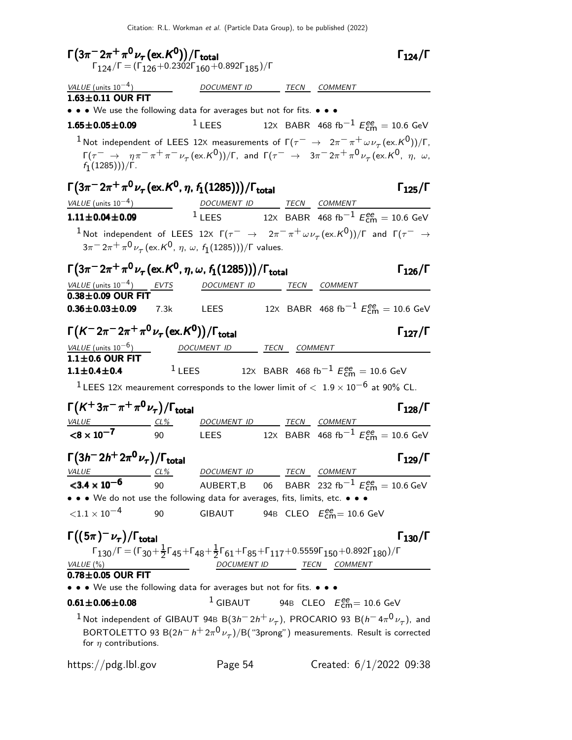Citation: R.L. Workman et al. (Particle Data Group), to be published (2022)

| $\Gamma(3\pi^{-}2\pi^{+}\pi^{0}\nu_{\tau}(\text{ex.}\mathcal{K}^{0}))/\Gamma_{\text{total}}$                                                                                                                   |                 | $\Gamma_{124}/\Gamma = (\Gamma_{126} + 0.2302\Gamma_{160} + 0.892\Gamma_{185})/\Gamma$                                                                                                                           |  |                                                               | $\Gamma_{124}/\Gamma$                                                 |
|----------------------------------------------------------------------------------------------------------------------------------------------------------------------------------------------------------------|-----------------|------------------------------------------------------------------------------------------------------------------------------------------------------------------------------------------------------------------|--|---------------------------------------------------------------|-----------------------------------------------------------------------|
| VALUE (units $10^{-4}$ )                                                                                                                                                                                       |                 | DOCUMENT ID TECN COMMENT                                                                                                                                                                                         |  |                                                               |                                                                       |
| $1.63 \pm 0.11$ OUR FIT                                                                                                                                                                                        |                 |                                                                                                                                                                                                                  |  |                                                               |                                                                       |
| • • • We use the following data for averages but not for fits. • • •                                                                                                                                           |                 |                                                                                                                                                                                                                  |  |                                                               |                                                                       |
| $1.65 \pm 0.05 \pm 0.09$                                                                                                                                                                                       |                 | <sup>1</sup> LEES 12x BABR 468 fb <sup>-1</sup> $E_{\text{cm}}^{ee} = 10.6 \text{ GeV}$                                                                                                                          |  |                                                               |                                                                       |
| <sup>1</sup> Not independent of LEES 12X measurements of $\Gamma(\tau^- \to 2\pi^-\pi^+\omega\nu_\tau(\text{ex.}K^0))/\Gamma$ ,                                                                                |                 |                                                                                                                                                                                                                  |  |                                                               |                                                                       |
| $f_1(1285)))/\Gamma$ .                                                                                                                                                                                         |                 | $\Gamma(\tau^-\to\eta\pi^-\pi^+\pi^-\nu_\tau\text{(ex.}\mathsf{K}^0))/\Gamma$ , and $\Gamma(\tau^-\to\mathsf{3}\pi^-\mathsf{2}\pi^+\pi^0\nu_\tau\text{(ex.}\mathsf{K}^0,\eta,\omega,$                            |  |                                                               |                                                                       |
| $\Gamma(3\pi^-2\pi^+\pi^0\nu_\tau$ (ex. ${\cal K}^0$ , $\eta$ , $f_1(1285)))/\Gamma_{\rm total}$                                                                                                               |                 |                                                                                                                                                                                                                  |  |                                                               | $\Gamma_{125}/\Gamma$                                                 |
| $\frac{VALUE \text{ (units 10}^{-4})}{1.11 \pm 0.04 \pm 0.09}$ $\frac{DOCUMENT \text{ ID}}{1 \text{ LEES}}$ $\frac{TECN}{12 \times BABR}$ $\frac{COMMENT}{468 \text{ fb}^{-1} E_{cm}^{ee}} = 10.6 \text{ GeV}$ |                 |                                                                                                                                                                                                                  |  |                                                               |                                                                       |
|                                                                                                                                                                                                                |                 |                                                                                                                                                                                                                  |  |                                                               |                                                                       |
| <sup>1</sup> Not independent of LEES 12x $\Gamma(\tau^-\to 2\pi^-\pi^+\omega\nu_\tau(\text{ex.}K^0))/\Gamma$ and $\Gamma(\tau^-\to 1)$                                                                         |                 |                                                                                                                                                                                                                  |  |                                                               |                                                                       |
|                                                                                                                                                                                                                |                 | $3\pi^{-} 2\pi^{+} \pi^{0} \nu_{\tau}$ (ex. K <sup>0</sup> , $\eta$ , $\omega$ , $f_1(1285))$ )/F values.                                                                                                        |  |                                                               |                                                                       |
| $\Gamma(3\pi^{-}2\pi^{+}\pi^{0}\nu_{\tau}$ (ex. K <sup>0</sup> , $\eta$ , $\omega$ , $f_{1}(1285))$ )/ $\Gamma_{\text {total}}$                                                                                |                 |                                                                                                                                                                                                                  |  |                                                               | $\Gamma_{126}/\Gamma$                                                 |
| VALUE (units $10^{-4}$ ) EVTS                                                                                                                                                                                  |                 | DOCUMENT ID _______ TECN COMMENT                                                                                                                                                                                 |  |                                                               |                                                                       |
| $0.38\pm0.09$ OUR FIT<br>$0.36 \pm 0.03 \pm 0.09$ 7.3k                                                                                                                                                         |                 | <b>LEES</b>                                                                                                                                                                                                      |  |                                                               | 12X BABR 468 fb <sup>-1</sup> $E_{\text{cm}}^{ee} = 10.6 \text{ GeV}$ |
| $\Gamma(K^- 2\pi^- 2\pi^+ \pi^0 \nu_\tau (\text{ex.} K^0))/\Gamma_{\text{total}}$                                                                                                                              |                 |                                                                                                                                                                                                                  |  |                                                               | $\Gamma_{127}/\Gamma$                                                 |
| <i>VALUE</i> (units $10^{-6}$ )                                                                                                                                                                                |                 | DOCUMENT ID TECN COMMENT                                                                                                                                                                                         |  |                                                               |                                                                       |
| $1.1 \pm 0.6$ OUR FIT                                                                                                                                                                                          |                 |                                                                                                                                                                                                                  |  |                                                               |                                                                       |
| $1.1 \pm 0.4 \pm 0.4$                                                                                                                                                                                          |                 | $1$ LEES                                                                                                                                                                                                         |  | 12x BABR 468 fb <sup>-1</sup> $E_{\text{cm}}^{ee}$ = 10.6 GeV |                                                                       |
| $^1$ LEES 12X meaurement corresponds to the lower limit of $<~1.9\times10^{-6}$ at 90% CL.                                                                                                                     |                 |                                                                                                                                                                                                                  |  |                                                               |                                                                       |
| $\Gamma(K^+3\pi^-\pi^+\pi^0\nu_\tau)/\Gamma_{\rm total}$                                                                                                                                                       |                 |                                                                                                                                                                                                                  |  |                                                               | $\Gamma_{128}/\Gamma$                                                 |
| <i>VALUE</i>                                                                                                                                                                                                   | $\frac{CL\%}{}$ | DOCUMENT ID TECN COMMENT                                                                                                                                                                                         |  |                                                               |                                                                       |
| $< 8 \times 10^{-7}$                                                                                                                                                                                           | 90              | <b>LEES</b>                                                                                                                                                                                                      |  |                                                               | 12X BABR 468 fb <sup>-1</sup> $E_{\text{cm}}^{ee}$ = 10.6 GeV         |
| $\Gamma(3h^-2h^+2\pi^0\nu_\tau)/\Gamma_{\rm total}$                                                                                                                                                            |                 |                                                                                                                                                                                                                  |  |                                                               | $\Gamma_{129}/\Gamma$                                                 |
| $VALUE 2 2$                                                                                                                                                                                                    |                 | DOCUMENT ID TECN COMMENT                                                                                                                                                                                         |  |                                                               |                                                                       |
| $<$ 3.4 $\times$ 10 <sup>-6</sup>                                                                                                                                                                              | 90              | AUBERT,B 06 BABR 232 fb $^{-1}$ $E_{\text{cm}}^{ee} = 10.6$ GeV                                                                                                                                                  |  |                                                               |                                                                       |
| • • • We do not use the following data for averages, fits, limits, etc. • • •                                                                                                                                  |                 |                                                                                                                                                                                                                  |  |                                                               |                                                                       |
| ${<}1.1\times10^{-4}$                                                                                                                                                                                          | 90              | GIBAUT 94B CLEO $E_{\text{cm}}^{ee} = 10.6 \text{ GeV}$                                                                                                                                                          |  |                                                               |                                                                       |
| $\Gamma((5\pi)^{-}\nu_{\tau})/\Gamma_{\mathrm{total}}$                                                                                                                                                         |                 | $\Gamma_{130}/\Gamma = (\Gamma_{30} + \frac{1}{2}\Gamma_{45} + \Gamma_{48} + \frac{1}{2}\Gamma_{61} + \Gamma_{85} + \Gamma_{117} + 0.5559\Gamma_{150} + 0.892\Gamma_{180})/\Gamma$                               |  |                                                               | $\Gamma_{130}/\Gamma$                                                 |
| VALUE (%)                                                                                                                                                                                                      |                 |                                                                                                                                                                                                                  |  | DOCUMENT ID TECN COMMENT                                      |                                                                       |
| $0.78\pm0.05$ OUR FIT<br>• • • We use the following data for averages but not for fits. • • •                                                                                                                  |                 |                                                                                                                                                                                                                  |  |                                                               |                                                                       |
|                                                                                                                                                                                                                |                 |                                                                                                                                                                                                                  |  |                                                               |                                                                       |
| $0.61 \pm 0.06 \pm 0.08$                                                                                                                                                                                       |                 |                                                                                                                                                                                                                  |  | <sup>1</sup> GIBAUT 94B CLEO $E_{\text{cm}}^{ee}$ = 10.6 GeV  |                                                                       |
| for $\eta$ contributions.                                                                                                                                                                                      |                 | <sup>1</sup> Not independent of GIBAUT 94B B $(3h^- 2h^+ \nu_\tau)$ , PROCARIO 93 B $(h^- 4\pi^0 \nu_\tau)$ , and<br>BORTOLETTO 93 B( $2h^- h^+ 2\pi^0 \nu_\tau$ )/B("3prong") measurements. Result is corrected |  |                                                               |                                                                       |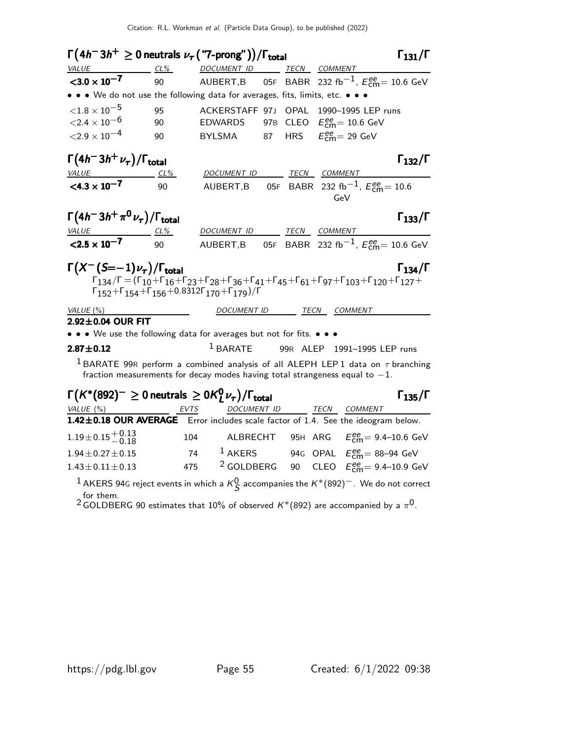| $\Gamma(4h^-3h^+\geq 0$ neutrals $\nu_{\tau}$ ("7-prong"))/ $\Gamma_{\text{total}}$                                                                                                                                                                                                                                                                                                                                                                                                                                                                                                               |            |                          |  |  | $\Gamma_{131}/\Gamma$                                                                                                                                                             |  |  |  |
|---------------------------------------------------------------------------------------------------------------------------------------------------------------------------------------------------------------------------------------------------------------------------------------------------------------------------------------------------------------------------------------------------------------------------------------------------------------------------------------------------------------------------------------------------------------------------------------------------|------------|--------------------------|--|--|-----------------------------------------------------------------------------------------------------------------------------------------------------------------------------------|--|--|--|
| VALUE<br>$CL\%$                                                                                                                                                                                                                                                                                                                                                                                                                                                                                                                                                                                   |            | DOCUMENT ID              |  |  | TECN COMMENT                                                                                                                                                                      |  |  |  |
| $<$ 3.0 $\times$ 10 <sup>-7</sup>                                                                                                                                                                                                                                                                                                                                                                                                                                                                                                                                                                 | 90         |                          |  |  | AUBERT,B 05F BABR 232 fb $^{-1}$ , $E_{\rm CMB}^{\rm ee}$ = 10.6 GeV                                                                                                              |  |  |  |
| • • • We do not use the following data for averages, fits, limits, etc. • • •                                                                                                                                                                                                                                                                                                                                                                                                                                                                                                                     |            |                          |  |  |                                                                                                                                                                                   |  |  |  |
| ${<}1.8\times10^{-5}$                                                                                                                                                                                                                                                                                                                                                                                                                                                                                                                                                                             | 95         |                          |  |  | ACKERSTAFF 97J OPAL 1990-1995 LEP runs                                                                                                                                            |  |  |  |
| ${<}2.4\times10^{-6}$                                                                                                                                                                                                                                                                                                                                                                                                                                                                                                                                                                             | 90         | <b>EDWARDS</b>           |  |  | 97B CLEO $E_{\text{cm}}^{ee} = 10.6 \text{ GeV}$                                                                                                                                  |  |  |  |
| ${<}2.9\times10^{-4}$                                                                                                                                                                                                                                                                                                                                                                                                                                                                                                                                                                             | 90         |                          |  |  | BYLSMA 87 HRS $E_{\text{cm}}^{ee} = 29 \text{ GeV}$                                                                                                                               |  |  |  |
| $\Gamma(4h^-3h^+\nu_\tau)/\Gamma_{\rm total}$                                                                                                                                                                                                                                                                                                                                                                                                                                                                                                                                                     |            |                          |  |  | $\Gamma_{132}/\Gamma$                                                                                                                                                             |  |  |  |
| $\frac{VALUE}{<}$<br><4.3 × 10 <sup>-7</sup>                                                                                                                                                                                                                                                                                                                                                                                                                                                                                                                                                      | <u>CL%</u> | DOCUMENT ID TECN COMMENT |  |  |                                                                                                                                                                                   |  |  |  |
|                                                                                                                                                                                                                                                                                                                                                                                                                                                                                                                                                                                                   | 90         |                          |  |  | AUBERT, B 05F BABR 232 fb <sup>-1</sup> , $E_{\text{cm}}^{ee}$ = 10.6<br>GeV                                                                                                      |  |  |  |
| $\Gamma(4h^-3h^+\pi^0\nu_{\tau})/\Gamma_{\text{total}}$                                                                                                                                                                                                                                                                                                                                                                                                                                                                                                                                           |            |                          |  |  | $\Gamma_{133}/\Gamma$                                                                                                                                                             |  |  |  |
| $VALU E$ CL%                                                                                                                                                                                                                                                                                                                                                                                                                                                                                                                                                                                      |            | DOCUMENT ID TECN COMMENT |  |  |                                                                                                                                                                                   |  |  |  |
| $< 2.5 \times 10^{-7}$                                                                                                                                                                                                                                                                                                                                                                                                                                                                                                                                                                            | 90         |                          |  |  | AUBERT, B 05F BABR 232 fb <sup>-1</sup> , $E_{\text{cm}}^{ee}$ = 10.6 GeV                                                                                                         |  |  |  |
| $\Gamma(X^-(S=-1)\nu_\tau)/\Gamma_{\rm total}$<br>$\Gamma_{134}/\Gamma$<br>$\Gamma_{134}/\Gamma$ = $(\Gamma_{10}+\Gamma_{16}+\Gamma_{23}+\Gamma_{28}+\Gamma_{36}+\Gamma_{41}+\Gamma_{45}+\Gamma_{61}+\Gamma_{97}+\Gamma_{103}+\Gamma_{120}+\Gamma_{127}+\Gamma_{121}+\Gamma_{121}+\Gamma_{122}+\Gamma_{123}+\Gamma_{123}+\Gamma_{124}+\Gamma_{125}+\Gamma_{126}+\Gamma_{127}+\Gamma_{128}+\Gamma_{128}+\Gamma_{129}+\Gamma_{120}+\Gamma_{120}+\Gamma_{121}+\Gamma_{121}+\Gamma_{123}+\Gamma_{123}+\Gamma_{12$<br>$\Gamma_{152}+\Gamma_{154}+\Gamma_{156}+0.8312\Gamma_{170}+\Gamma_{179})/\Gamma$ |            |                          |  |  |                                                                                                                                                                                   |  |  |  |
| VALUE (%)                                                                                                                                                                                                                                                                                                                                                                                                                                                                                                                                                                                         |            | <b>DOCUMENT ID</b>       |  |  | TECN COMMENT                                                                                                                                                                      |  |  |  |
| 2.92±0.04 OUR FIT                                                                                                                                                                                                                                                                                                                                                                                                                                                                                                                                                                                 |            |                          |  |  |                                                                                                                                                                                   |  |  |  |
| • • • We use the following data for averages but not for fits. • • •                                                                                                                                                                                                                                                                                                                                                                                                                                                                                                                              |            |                          |  |  |                                                                                                                                                                                   |  |  |  |
| $2.87 \pm 0.12$                                                                                                                                                                                                                                                                                                                                                                                                                                                                                                                                                                                   |            |                          |  |  | <sup>1</sup> BARATE 99R ALEP 1991-1995 LEP runs                                                                                                                                   |  |  |  |
|                                                                                                                                                                                                                                                                                                                                                                                                                                                                                                                                                                                                   |            |                          |  |  | <sup>1</sup> BARATE 99R perform a combined analysis of all ALEPH LEP 1 data on $\tau$ branching<br>fraction measurements for decay modes having total strangeness equal to $-1$ . |  |  |  |
| $\Gamma(K^*(892)^-\geq 0$ neutrals $\geq 0K_L^0\nu_\tau)/\Gamma_{\rm total}$<br>VALUE (%)                                                                                                                                                                                                                                                                                                                                                                                                                                                                                                         | EVTS       |                          |  |  | $\Gamma_{135}/\Gamma$<br>DOCUMENT ID TECN COMMENT                                                                                                                                 |  |  |  |
|                                                                                                                                                                                                                                                                                                                                                                                                                                                                                                                                                                                                   |            |                          |  |  | <b>1.42 + 0.18 OUR AVERAGE</b> Error includes scale factor of $1.4$ See the ideogram below                                                                                        |  |  |  |

| <b>1.42±0.18 OUR AVERAGE</b> Error includes scale factor of 1.4. See the ideogram below. |     |                |  |                                                                          |
|------------------------------------------------------------------------------------------|-----|----------------|--|--------------------------------------------------------------------------|
| $1.19\pm0.15\frac{+0.13}{-0.18}$                                                         | 104 |                |  | ALBRECHT 95H ARG $E_{cm}^{ee} = 9.4 - 10.6$ GeV                          |
| $1.94 \pm 0.27 \pm 0.15$                                                                 |     | $74$ $1$ AKERS |  | 94G OPAL $E_{cm}^{ee}$ = 88–94 GeV                                       |
| $1.43 \pm 0.11 \pm 0.13$                                                                 | 475 |                |  | <sup>2</sup> GOLDBERG 90 CLEO $E_{\text{cm}}^{\text{ee}}$ = 9.4–10.9 GeV |
|                                                                                          |     |                |  |                                                                          |

<sup>1</sup> AKERS 94G reject events in which a  $K_S^0$  accompanies the  $K^*(892)^-$ . We do not correct

for them.<br><sup>2</sup> GOLDBERG 90 estimates that 10% of observed K\*(892) are accompanied by a  $\pi^{0}$ .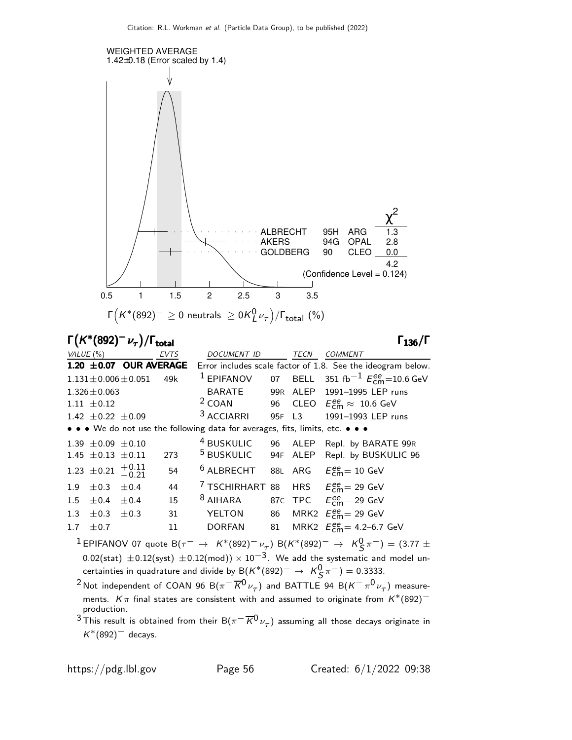

Γ $(K^*(892)^-\nu_{\tau})/\Gamma_{\text{total}}$  Γ<sub>136</sub>/Γ

total 136

| VALUE $(\%)$ |                                       |                             | <b>EVTS</b> | DOCUMENT ID                                                                   | <b>TECN</b> | <b>COMMENT</b>                                                                 |
|--------------|---------------------------------------|-----------------------------|-------------|-------------------------------------------------------------------------------|-------------|--------------------------------------------------------------------------------|
|              |                                       | $1.20 \pm 0.07$ OUR AVERAGE |             |                                                                               |             | Error includes scale factor of 1.8. See the ideogram below.                    |
|              |                                       | $1.131 \pm 0.006 \pm 0.051$ | 49k         | $1$ EPIFANOV                                                                  |             | 07 BELL 351 fb <sup>-1</sup> $E_{\rm cm}^{ee}$ =10.6 GeV                       |
|              | $1.326 \pm 0.063$                     |                             |             | BARATE                                                                        |             | 99R ALEP 1991-1995 LEP runs                                                    |
|              | $1.11 \pm 0.12$                       |                             |             |                                                                               |             | <sup>2</sup> COAN 96 CLEO $E_{\text{cm}}^{\text{ee}} \approx 10.6 \text{ GeV}$ |
|              | $1.42 \pm 0.22 \pm 0.09$              |                             |             | <sup>3</sup> ACCIARRI                                                         | 95F L3      | 1991-1993 LEP runs                                                             |
|              |                                       |                             |             | • • • We do not use the following data for averages, fits, limits, etc. • • • |             |                                                                                |
|              | $1.39 \pm 0.09 \pm 0.10$              |                             |             |                                                                               |             | <sup>4</sup> BUSKULIC 96 ALEP Repl. by BARATE 99R                              |
|              | $1.45 \pm 0.13 \pm 0.11$              |                             | 273         |                                                                               |             | <sup>5</sup> BUSKULIC 94F ALEP Repl. by BUSKULIC 96                            |
|              | 1.23 $\pm$ 0.21 $\frac{+0.11}{-0.21}$ |                             | 54          | $6$ ALBRECHT                                                                  |             | 88L ARG $E_{\text{cm}}^{ee} = 10 \text{ GeV}$                                  |
|              | $1.9 \pm 0.3 \pm 0.4$                 |                             | 44          | <sup>7</sup> TSCHIRHART 88 HRS $E_{\text{cm}}^{ee}$ = 29 GeV                  |             |                                                                                |
| 1.5          | $\pm 0.4 \pm 0.4$                     |                             | 15          | <sup>8</sup> AIHARA                                                           |             | 87C TPC $E_{\text{cm}}^{ee} = 29 \text{ GeV}$                                  |
| 1.3          | $\pm 0.3$                             | $\pm 0.3$                   | 31          | YELTON                                                                        |             | 86 MRK2 $E_{\text{cm}}^{ee}$ = 29 GeV                                          |
| 1.7          | ±0.7                                  |                             | 11          | DORFAN                                                                        |             | 81 MRK2 $E_{\text{cm}}^{ee}$ = 4.2–6.7 GeV                                     |
|              |                                       |                             |             |                                                                               |             |                                                                                |

 $^1$ EPIFANOV 07 quote B $(\tau^-\,\rightarrow\,\,$   $\mathcal{K}^*(892)^-\,\nu_{\tau}^-)$  B $(\mathcal{K}^*(892)^-\,\rightarrow\,\,\,\mathcal{K}^0_S\,\pi^-)=(3.77\,\pm\,$  $0.02$ (stat)  $\pm 0.12$ (syst)  $\pm 0.12$ (mod)) ×  $10^{-3}$ . We add the systematic and model uncertainties in quadrature and divide by B $(K^*(892)^-\rightarrow K^0_S\pi^-)=0.3333.$ 

 $^2$ Not independent of COAN 96 B $(\pi^-\overline{K^0}\nu_\tau)$  and BATTLE 94 B $(K^-\pi^0\nu_\tau)$  measurements. K $\pi$  final states are consistent with and assumed to originate from  $K^*(892)$ <sup>-</sup> production.

 $^3$ This result is obtained from their B $(\pi^-\overline{K^0}\nu_\tau)$  assuming all those decays originate in  $K^*(892)^-$  decays.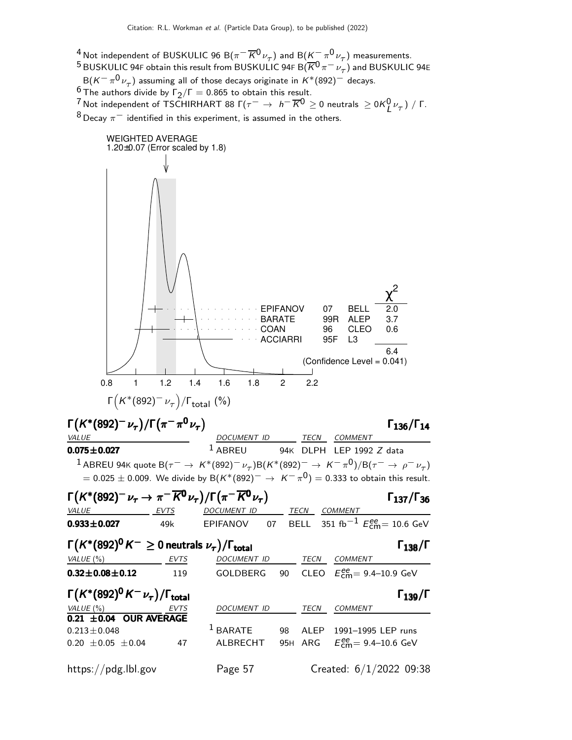<sup>4</sup> Not independent of BUSKULIC 96 B( $\pi^- \overline{K}{}^0 \nu_\tau$ ) and B( $\underline{K^-} \pi^0 \nu_\tau$ ) measurements. <sup>5</sup> BUSKULIC 94F obtain this result from BUSKULIC 94F B $(\overline{K}^0 \pi^- \nu_\tau)$  and BUSKULIC 94E  ${\sf B}({\sf K}^-\,\pi^0\,\nu_\tau)$  assuming all of those decays originate in  ${\sf K}^*(892)^-$  decays. <sup>6</sup> The authors divide by  $\Gamma_2/\Gamma = 0.865$  to obtain this result. <sup>7</sup> Not independent of TSCHIRHART 88 Γ( $\tau^-\,\rightarrow\,$  h $^-\,\overline{K}^0\geq$  0 neutrals  $\,\geq$  0K $^0_L$ ν $^-\tau)$  / Γ.  $8$  Decay  $\pi^-$  identified in this experiment, is assumed in the others.

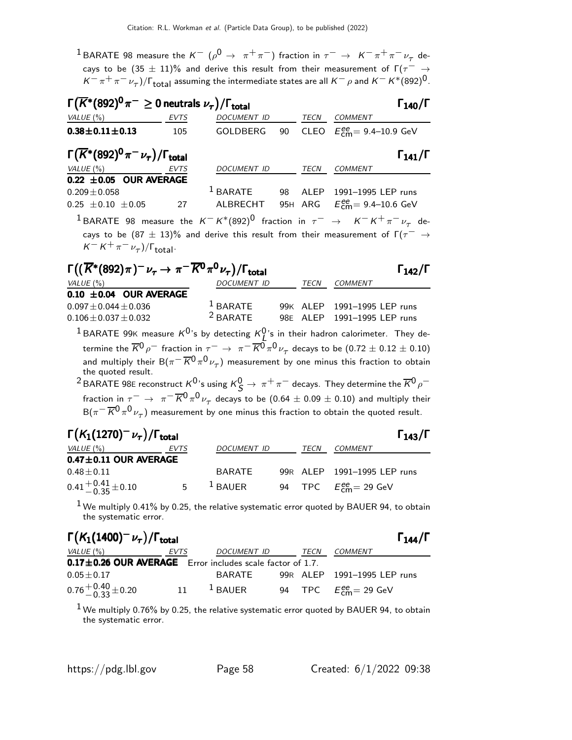$^1$ BARATE 98 measure the  $K^ (\rho^0 \rightarrow \pi^+ \pi^-)$  fraction in  $\tau^- \rightarrow \ K^- \pi^+ \pi^- \nu_\tau$  decays to be  $(35 \pm 11)$ % and derive this result from their measurement of  $\Gamma(\tau^- \rightarrow$  $K^-\,\pi^+\,\pi^-\,\nu_\tau)$ / $\Gamma_{\rm total}$  assuming the intermediate states are all  $K^-\,\rho$  and  $K^-\,K^*(892)^0$ .

| $\Gamma(\overline{K}^*(892)^0 \pi^- \geq 0$ neutrals $\nu_{\tau})/\Gamma_{\rm total}$      |             |                  |  | $\Gamma_{140}/\Gamma$                                                                                           |
|--------------------------------------------------------------------------------------------|-------------|------------------|--|-----------------------------------------------------------------------------------------------------------------|
| $VALUE(%)$ EVTS                                                                            |             | DOCUMENT ID TECN |  | COMMENT                                                                                                         |
| $0.38 \pm 0.11 \pm 0.13$                                                                   | 105         |                  |  | GOLDBERG 90 CLEO $E_{cm}^{ee} = 9.4 - 10.9$ GeV                                                                 |
| $\Gamma(\overline{K}^*(892)^0 \pi^- \nu_\tau)/\Gamma_{\rm total}$                          |             |                  |  | $\Gamma_{141}/\Gamma$                                                                                           |
| VALUE(%)                                                                                   | <b>EVTS</b> | DOCUMENT ID TECN |  | <b>COMMENT</b>                                                                                                  |
| 0.22 $\pm$ 0.05 OUR AVERAGE                                                                |             |                  |  |                                                                                                                 |
| $0.209 \pm 0.058$                                                                          |             |                  |  | $1$ BARATE 98 ALEP 1991-1995 LEP runs                                                                           |
| $0.25 \pm 0.10 \pm 0.05$ 27 ALBRECHT 95H ARG $E_{\text{cm}}^{ee} = 9.4 - 10.6 \text{ GeV}$ |             |                  |  |                                                                                                                 |
|                                                                                            |             |                  |  | <sup>1</sup> BARATE 98 measure the $K^- K^*(892)^0$ fraction in $\tau^- \rightarrow K^- K^+ \pi^- \nu_\tau$ de- |
|                                                                                            |             |                  |  | cays to be $(87 \pm 13)\%$ and derive this result from their measurement of $\Gamma(\tau^- \rightarrow$         |

 $K^- K^+ \pi^- \nu_\tau) / \Gamma_{\text{total}}$ .

| $\Gamma((\overline{K}^*(892)\pi)^-\nu_\tau\to\pi^-\overline{K^0}\pi^0\nu_\tau)/\Gamma_{\rm total}$ |                    |      |                             | $\Gamma_{142}/\Gamma$ |
|----------------------------------------------------------------------------------------------------|--------------------|------|-----------------------------|-----------------------|
| VALUE (%)                                                                                          | <b>DOCUMENT ID</b> | TECN | COMMENT                     |                       |
| $0.10 \pm 0.04$ OUR AVERAGE                                                                        |                    |      |                             |                       |
| $0.097 + 0.044 + 0.036$                                                                            | $1$ BARATE         |      | 99K ALEP 1991-1995 LEP runs |                       |
| $0.106 \pm 0.037 \pm 0.032$                                                                        | $2$ BARATE         |      | 98E ALEP 1991-1995 LEP runs |                       |

 $^1$ BARATE 99K measure  $K^0$ 's by detecting  $K^0_I$ 's in their hadron calorimeter. They de-BAINATE 99K measure K is by detecting  $R_L$  is in their nation calorimeter. They de-<br>termine the  $\overline{K}^0 \rho^-$  fraction in  $\tau^- \to \pi^- \overline{K}^0 \pi^0 \nu_\tau$  decays to be  $(0.72 \pm 0.12 \pm 0.10)$ and multiply their  $\text{B}(\pi^-\overline{K^0}\pi^0\nu_\tau)$  measurement by one minus this fraction to obtain the quoted result.

<sup>2</sup> BARATE 98E reconstruct  $K^0$ 's using  $K^0_S \to \pi^+ \pi^-$  decays. They determine the  $\overline{K}{}^0 \rho^$ fraction in  $\tau^-\,\to\,\,\pi^-\,\overline{K}{}^0\pi^0\,\nu_\tau$  decays to be  $(0.64\pm0.09\pm0.10)$  and multiply their  ${\sf B}(\pi^-\, \overline{K}{}^0\, \pi^0\, \nu_\tau)$  measurement by one minus this fraction to obtain the quoted result.

| $\Gamma(K_1(1270)^{-}\nu_{\tau})/\Gamma_{\rm total}$ |      |               |             | $\Gamma_{143}/\Gamma$                               |
|------------------------------------------------------|------|---------------|-------------|-----------------------------------------------------|
| VALUE (%)                                            | EVTS | DOCUMENT ID   | <i>TECN</i> | COMMENT                                             |
| $0.47 \pm 0.11$ OUR AVERAGE                          |      |               |             |                                                     |
| $0.48 + 0.11$                                        |      | <b>BARATE</b> |             | 99R ALEP 1991-1995 LEP runs                         |
| $0.41 + 0.41 + 0.10$                                 | .5.  | $1$ BAUER     |             | 94 TPC $E_{\text{cm}}^{\text{ee}} = 29 \text{ GeV}$ |

 $1$  We multiply 0.41% by 0.25, the relative systematic error quoted by BAUER 94, to obtain the systematic error.

| $\Gamma(K_1(1400)^{-1} \nu_{\tau})/\Gamma_{\rm total}$    |      |             |      | $\Gamma_{144}/\Gamma$         |
|-----------------------------------------------------------|------|-------------|------|-------------------------------|
| VALUE (%)                                                 | EVTS | DOCUMENT ID | TECN | COMMENT                       |
| 0.17±0.26 OUR AVERAGE Error includes scale factor of 1.7. |      |             |      |                               |
| $0.05\pm0.17$                                             |      | BARATE      |      | 99R ALEP 1991-1995 LEP runs   |
| $0.76^{+0.40}_{-0.33}$ ± 0.20                             | 11   | $1$ BAUER   |      | 94 TPC $E_{cm}^{ee}$ = 29 GeV |

 $1$  We multiply 0.76% by 0.25, the relative systematic error quoted by BAUER 94, to obtain the systematic error.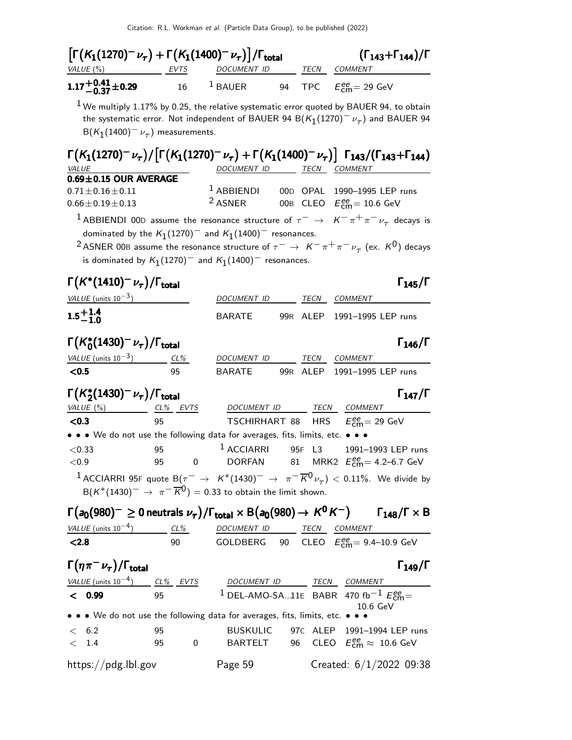| $\left[\Gamma(K_1(1270)^{-}\nu_{\tau})+\Gamma(K_1(1400)^{-}\nu_{\tau})\right]/\Gamma_{\text{total}}$<br>VALUE $(\%)$<br><u>EVTS</u>                                                                                                                                                                                                                                             |                               | DOCUMENT ID                                                                                  |    | TECN | COMMENT                                                                         | $(\Gamma_{143} + \Gamma_{144})/\Gamma$ |
|---------------------------------------------------------------------------------------------------------------------------------------------------------------------------------------------------------------------------------------------------------------------------------------------------------------------------------------------------------------------------------|-------------------------------|----------------------------------------------------------------------------------------------|----|------|---------------------------------------------------------------------------------|----------------------------------------|
| $1.17^{+0.41}_{-0.37}$ ±0.29                                                                                                                                                                                                                                                                                                                                                    | 16                            | $1$ BAUER                                                                                    | 94 |      | TPC $E_{\text{cm}}^{ee} = 29 \text{ GeV}$                                       |                                        |
| $^1$ We multiply 1.17% by 0.25, the relative systematic error quoted by BAUER 94, to obtain<br>the systematic error. Not independent of BAUER 94 B( $K_1(1270)^{-1} \nu_{\tau}$ ) and BAUER 94<br>$B(K_1(1400)^{-1}\nu_{\tau})$ measurements.                                                                                                                                   |                               |                                                                                              |    |      |                                                                                 |                                        |
| $\Gamma(K_1(1270)^{-}\nu_{\tau})/\lceil \Gamma(K_1(1270)^{-}\nu_{\tau}) + \Gamma(K_1(1400)^{-}\nu_{\tau})\rceil$ $\Gamma_{143}/(\Gamma_{143}+\Gamma_{144})$<br>VALUE                                                                                                                                                                                                            |                               | DOCUMENT ID TECN COMMENT                                                                     |    |      |                                                                                 |                                        |
| $0.69 \pm 0.15$ OUR AVERAGE                                                                                                                                                                                                                                                                                                                                                     |                               |                                                                                              |    |      |                                                                                 |                                        |
| $0.71 \pm 0.16 \pm 0.11$<br>$0.66 \pm 0.19 \pm 0.13$                                                                                                                                                                                                                                                                                                                            |                               | $1$ ABBIENDI<br><sup>2</sup> ASNER                                                           |    |      | 00D OPAL 1990-1995 LEP runs<br>00B CLEO $E_{\text{cm}}^{ee} = 10.6 \text{ GeV}$ |                                        |
| <sup>1</sup> ABBIENDI 00D assume the resonance structure of $\tau^ \rightarrow$ $K^-\pi^+\pi^-\nu_\tau$ decays is<br>dominated by the $K_1(1270)^-$ and $K_1(1400)^-$ resonances.<br><sup>2</sup> ASNER 00B assume the resonance structure of $\tau^- \to K^- \pi^+ \pi^- \nu_\tau$ (ex. K <sup>0</sup> ) decays<br>is dominated by $K_1(1270)^-$ and $K_1(1400)^-$ resonances. |                               |                                                                                              |    |      |                                                                                 |                                        |
| $\Gamma\bigl(\mathsf{K}^*(1410)^-\nu_\tau\bigr)/\Gamma_\mathsf{total}$                                                                                                                                                                                                                                                                                                          |                               |                                                                                              |    |      |                                                                                 | $\Gamma_{145}/\Gamma$                  |
| VALUE (units $10^{-3}$ )                                                                                                                                                                                                                                                                                                                                                        |                               | DOCUMENT ID                                                                                  |    | TECN | COMMENT                                                                         |                                        |
| $1.5^{+1.4}_{-1.0}$                                                                                                                                                                                                                                                                                                                                                             |                               | <b>BARATE</b>                                                                                |    |      | 99R ALEP 1991-1995 LEP runs                                                     |                                        |
| $\Gamma(K_0^*(1430)^-\nu_\tau)/\Gamma_{\rm total}$                                                                                                                                                                                                                                                                                                                              |                               |                                                                                              |    |      |                                                                                 | $\Gamma_{146}/\Gamma$                  |
| VALUE (units $10^{-3}$ ) CL%                                                                                                                                                                                                                                                                                                                                                    |                               | DOCUMENT ID                                                                                  |    |      | TECN COMMENT                                                                    |                                        |
| < 0.5                                                                                                                                                                                                                                                                                                                                                                           | 95                            | BARATE                                                                                       |    |      | 99R ALEP 1991-1995 LEP runs                                                     |                                        |
| $\Gamma(K_2^*(1430)^{-}\nu_\tau)/\Gamma_{\rm total}$                                                                                                                                                                                                                                                                                                                            |                               |                                                                                              |    |      |                                                                                 | $\Gamma_{147}/\Gamma$                  |
| <u>VALUE (%) CL% EVTS</u>                                                                                                                                                                                                                                                                                                                                                       |                               | DOCUMENT ID                                                                                  |    |      | TECN COMMENT                                                                    |                                        |
| < 0.3<br>• • • We do not use the following data for averages, fits, limits, etc. • • •                                                                                                                                                                                                                                                                                          | 95                            | TSCHIRHART 88 HRS                                                                            |    |      | $E_{\text{cm}}^{\text{ee}}$ = 29 GeV                                            |                                        |
| < 0.33<br>$<$ 0.9                                                                                                                                                                                                                                                                                                                                                               | 95<br>95<br>$\sim$ 0          | $1$ ACCIARRI<br>DORFAN $81$ MRK2 $E_{\text{cm}}^{\text{ee}} = 4.2 \text{--} 6.7 \text{ GeV}$ |    |      | 95F L3 1991-1993 LEP runs                                                       |                                        |
| <sup>1</sup> ACCIARRI 95F quote B $(\tau^- \to K^*(1430)^- \to \pi^- \overline{K}^0 \nu_\tau) < 0.11\%$ . We divide by<br>$B(K^*(1430)^-\rightarrow \pi^-\overline{K}^0)=0.33$ to obtain the limit shown.                                                                                                                                                                       |                               |                                                                                              |    |      |                                                                                 |                                        |
| $\Gamma(a_0(980)^{-} \geq 0$ neutrals $\nu_{\tau})/\Gamma_{\rm total} \times {\sf B}(a_0(980) \to K^0 K^{-})$ $\Gamma_{148}/\Gamma \times {\sf B}$                                                                                                                                                                                                                              |                               |                                                                                              |    |      |                                                                                 |                                        |
| $VALUE$ (units $10^{-4}$ ) $CL\%$ DOCUMENT ID TECN COMMENT<br>< 2.8                                                                                                                                                                                                                                                                                                             | 90                            | GOLDBERG 90 CLEO $E_{\text{cm}}^{ee}$ = 9.4–10.9 GeV                                         |    |      |                                                                                 |                                        |
|                                                                                                                                                                                                                                                                                                                                                                                 |                               |                                                                                              |    |      |                                                                                 |                                        |
| $\Gamma(\eta\pi^-\nu_\tau)/\Gamma_{\rm total}$                                                                                                                                                                                                                                                                                                                                  |                               |                                                                                              |    |      |                                                                                 | $\Gamma_{149}/\Gamma$                  |
| $\frac{VALUE \text{ (units 10}^{-4})}{VALUE \text{ (units 10}^{-4})}$ $\frac{CL\%}{95}$ $\frac{EVTS}{1}$ $\frac{DOCUMENT \text{ ID}}{DEL-AMO-SA11E}$ $\frac{TECN}{BABR}$ $\frac{COMMENT}{470 \text{ fb}^{-1} E_{cm}^{ee}}$                                                                                                                                                      |                               |                                                                                              |    |      |                                                                                 |                                        |
| • • • We do not use the following data for averages, fits, limits, etc. • • •                                                                                                                                                                                                                                                                                                   |                               |                                                                                              |    |      | 10.6 GeV                                                                        |                                        |
| < 6.2                                                                                                                                                                                                                                                                                                                                                                           | 95                            |                                                                                              |    |      | BUSKULIC 97c ALEP 1991-1994 LEP runs                                            |                                        |
| $\rm <$ 1.4                                                                                                                                                                                                                                                                                                                                                                     | $\overline{\mathbf{0}}$<br>95 |                                                                                              |    |      | BARTELT 96 CLEO $E_{\text{cm}}^{ee} \approx 10.6 \text{ GeV}$                   |                                        |
| https://pdg.lbl.gov                                                                                                                                                                                                                                                                                                                                                             |                               | Page 59                                                                                      |    |      | Created: $6/1/2022$ 09:38                                                       |                                        |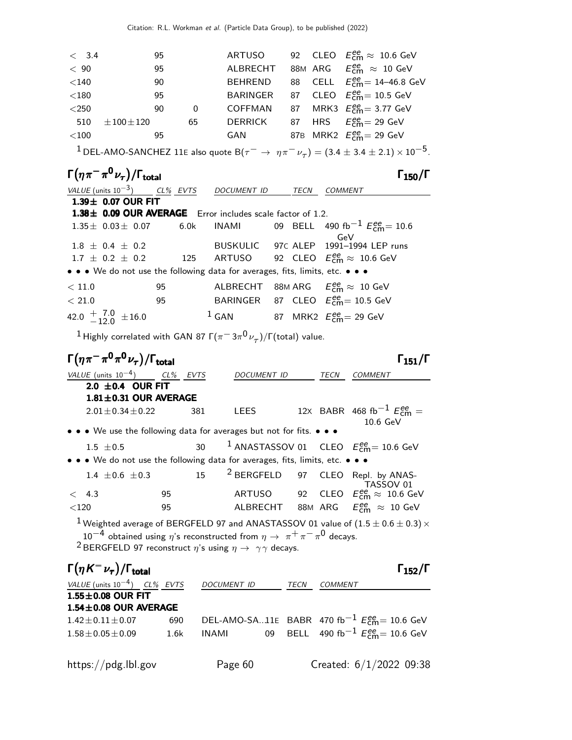| < 3.4   | 95                  |          | ARTUSO         |  | 92 CLEO $E_{\text{cm}}^{\text{ee}} \approx 10.6 \text{ GeV}$ |
|---------|---------------------|----------|----------------|--|--------------------------------------------------------------|
| < 90    | 95                  |          | ALBRECHT       |  | 88M ARG $E_{\text{cm}}^{\text{ee}} \approx 10 \text{ GeV}$   |
| $<$ 140 | 90                  |          | <b>BEHREND</b> |  | 88 CELL $E_{\text{cm}}^{ee} = 14 - 46.8 \text{ GeV}$         |
| $<$ 180 | 95                  |          |                |  | BARINGER 87 CLEO $E_{cm}^{ee} = 10.5$ GeV                    |
| $<$ 250 | 90                  | $\Omega$ |                |  | COFFMAN 87 MRK3 $E_{cm}^{ee} = 3.77$ GeV                     |
| 510     | $\pm$ 100 $\pm$ 120 | 65       | <b>DERRICK</b> |  | 87 HRS $E_{cm}^{ee} = 29$ GeV                                |
| $<$ 100 | 95                  |          | GAN            |  | 87B MRK2 $E_{\text{cm}}^{\text{ee}}$ = 29 GeV                |
|         |                     |          |                |  |                                                              |

 $^1$  DEL-AMO-SANCHEZ 11E also quote  ${\sf B}(\tau^-\to\ \eta\pi^-\nu_\tau)=(3.4\pm3.4\pm2.1)\times10^{-5}$ .

# Γ $(\eta \pi^- \pi^0 \nu_\tau)/\Gamma_{\text{total}}$  Γ<sub>150</sub>/Γ

| VALUE (units $10^{-3}$ ) CL% EVTS DOCUMENT ID                                 |    |         | TECN | <i>COMMENT</i>                                                                      |
|-------------------------------------------------------------------------------|----|---------|------|-------------------------------------------------------------------------------------|
| $1.39\pm$ 0.07 OUR FIT                                                        |    |         |      |                                                                                     |
| 1.38± 0.09 OUR AVERAGE Error includes scale factor of 1.2.                    |    |         |      |                                                                                     |
|                                                                               |    |         |      | $1.35\pm 0.03\pm 0.07$ 6.0k INAMI 09 BELL 490 fb <sup>-1</sup> $E_{cm}^{ee}$ = 10.6 |
| $1.8 \pm 0.4 \pm 0.2$                                                         |    |         |      | GeV<br>BUSKULIC 97c ALEP 1991-1994 LEP runs                                         |
| $1.7 \pm 0.2 \pm 0.2$ 125 ARTUSO 92 CLEO $E_{cm}^{ee} \approx 10.6$ GeV       |    |         |      |                                                                                     |
| • • • We do not use the following data for averages, fits, limits, etc. • • • |    |         |      |                                                                                     |
| < 11.0                                                                        | 95 |         |      | ALBRECHT 88M ARG $E_{\text{cm}}^{ee} \approx 10 \text{ GeV}$                        |
| < 21.0                                                                        | 95 |         |      | BARINGER 87 CLEO $E_{\text{cm}}^{ee}$ = 10.5 GeV                                    |
| 42.0 $\pm$ $\frac{7.0}{12.0}$ $\pm$ 16.0                                      |    | $1$ GAN |      | 87 MRK2 $E_{cm}^{ee}$ = 29 GeV                                                      |

 $^1$ Highly correlated with GAN 87 Γ $(\pi^- \, 3 \pi^0 \nu_\tau)/$ Γ $($ total) value.

| $\Gamma(\eta\pi^-\pi^0\pi^0\nu_{\tau})/\Gamma_{\rm total}$                    |    |     |                                                           |             | $\Gamma$ <sub>151</sub> / $\Gamma$                                                                                                                                                                                                                                                                                                 |
|-------------------------------------------------------------------------------|----|-----|-----------------------------------------------------------|-------------|------------------------------------------------------------------------------------------------------------------------------------------------------------------------------------------------------------------------------------------------------------------------------------------------------------------------------------|
| VALUE (units $10^{-4}$ ) CL% EVTS                                             |    |     | <b>DOCUMENT ID</b>                                        | <b>TECN</b> | <b>COMMENT</b>                                                                                                                                                                                                                                                                                                                     |
| 2.0 $\pm$ 0.4 OUR FIT                                                         |    |     |                                                           |             |                                                                                                                                                                                                                                                                                                                                    |
| $1.81 \pm 0.31$ OUR AVERAGE                                                   |    |     |                                                           |             |                                                                                                                                                                                                                                                                                                                                    |
| $2.01 \pm 0.34 \pm 0.22$                                                      |    | 381 | LEES                                                      |             | 12X BABR 468 fb <sup>-1</sup> $E_{cm}^{ee}$ =<br>$10.6\ GeV$                                                                                                                                                                                                                                                                       |
| • • • We use the following data for averages but not for fits. • • •          |    |     |                                                           |             |                                                                                                                                                                                                                                                                                                                                    |
| $1.5 \pm 0.5$                                                                 |    |     | 30 $1$ ANASTASSOV 01 CLEO $E_{\text{cm}}^{ee}$ = 10.6 GeV |             |                                                                                                                                                                                                                                                                                                                                    |
| • • • We do not use the following data for averages, fits, limits, etc. • • • |    |     |                                                           |             |                                                                                                                                                                                                                                                                                                                                    |
| 1.4 $\pm$ 0.6 $\pm$ 0.3                                                       |    |     | 15 <sup>2</sup> BERGFELD 97 CLEO Repl. by ANAS-           |             | TASSOV 01                                                                                                                                                                                                                                                                                                                          |
| < 4.3                                                                         | 95 |     | ARTUSO                                                    |             | 92 CLEO $E_{\text{cm}}^{ee} \approx 10.6 \text{ GeV}$                                                                                                                                                                                                                                                                              |
| $<$ 120                                                                       | 95 |     |                                                           |             | ALBRECHT 88M ARG $E_{\text{cm}}^{\text{ee}} \approx 10 \text{ GeV}$                                                                                                                                                                                                                                                                |
|                                                                               |    |     |                                                           |             | $\mathbf{1}$ $\mathbf{1}$ $\mathbf{1}$ $\mathbf{2}$ $\mathbf{3}$ $\mathbf{3}$ $\mathbf{4}$ $\mathbf{5}$ $\mathbf{4}$ $\mathbf{5}$ $\mathbf{5}$ $\mathbf{6}$ $\mathbf{1}$ $\mathbf{5}$ $\mathbf{5}$ $\mathbf{6}$ $\mathbf{1}$ $\mathbf{5}$ $\mathbf{6}$ $\mathbf{1}$ $\mathbf{5}$ $\mathbf{6}$ $\mathbf{1}$ $\mathbf{5}$ $\mathbf{$ |

 $^1$  Weighted average of BERGFELD 97 and ANASTASSOV 01 value of  $(1.5\pm 0.6\pm 0.3)\,\times$  $10^{-4}$  obtained using  $\eta$ 's reconstructed from  $\eta \rightarrow \; \pi^+ \pi^- \pi^0$  decays.  $^2$ BERGFELD 97 reconstruct  $\eta$ 's using  $\eta \rightarrow \gamma \gamma$  decays.

| $\Gamma(\eta K^-\nu_\tau)/\Gamma_{\rm total}$ |      |             |      |                                                                  | $\Gamma_{152}/\Gamma$ |
|-----------------------------------------------|------|-------------|------|------------------------------------------------------------------|-----------------------|
| VALUE (units $10^{-4}$ ) CL% EVTS             |      | DOCUMENT ID | TECN | <b>COMMENT</b>                                                   |                       |
| $1.55 \pm 0.08$ OUR FIT                       |      |             |      |                                                                  |                       |
| $1.54 \pm 0.08$ OUR AVERAGE                   |      |             |      |                                                                  |                       |
| $1.42 + 0.11 + 0.07$                          | 690  |             |      | DEL-AMO-SA11E BABR 470 fb <sup>-1</sup> $E_{cm}^{ee}$ = 10.6 GeV |                       |
| $1.58 \pm 0.05 \pm 0.09$                      | 1.6k | INAMI       |      | 09 BELL 490 fb <sup>-1</sup> $E_{cm}^{ee}$ = 10.6 GeV            |                       |
|                                               |      |             |      |                                                                  |                       |
|                                               |      |             |      |                                                                  |                       |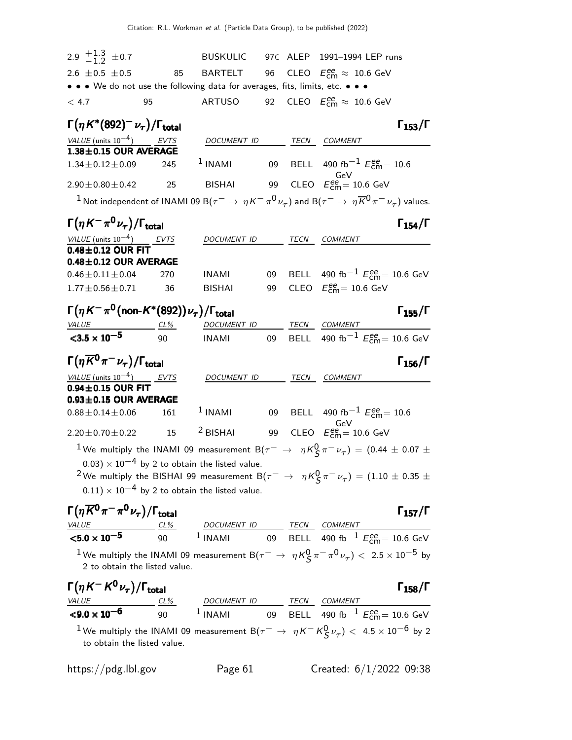| 2.9 $\frac{+1.3}{-1.2}$ ± 0.7                                                                      |                             | <b>BUSKULIC</b>                                                                                                                                    |    |      | 97C ALEP 1991-1994 LEP runs                                                                                                                                                                                                                                                                                                                                                    |
|----------------------------------------------------------------------------------------------------|-----------------------------|----------------------------------------------------------------------------------------------------------------------------------------------------|----|------|--------------------------------------------------------------------------------------------------------------------------------------------------------------------------------------------------------------------------------------------------------------------------------------------------------------------------------------------------------------------------------|
| $2.6 \pm 0.5 \pm 0.5$                                                                              | 85                          | BARTELT                                                                                                                                            | 96 |      | CLEO $E_{\text{cm}}^{\text{ee}} \approx 10.6 \text{ GeV}$                                                                                                                                                                                                                                                                                                                      |
| • • • We do not use the following data for averages, fits, limits, etc. • • •                      |                             |                                                                                                                                                    |    |      |                                                                                                                                                                                                                                                                                                                                                                                |
| < 4.7                                                                                              | 95                          | ARTUSO                                                                                                                                             | 92 |      | CLEO $E_{\text{cm}}^{\text{ee}} \approx 10.6 \text{ GeV}$                                                                                                                                                                                                                                                                                                                      |
| $\Gamma(\eta K^*(892)^{-}\nu_{\tau})/\Gamma_{\rm total}$                                           |                             |                                                                                                                                                    |    |      | $\Gamma_{153}/\Gamma$                                                                                                                                                                                                                                                                                                                                                          |
| VALUE (units $10^{-4}$ ) EVTS                                                                      |                             | <b>DOCUMENT ID</b>                                                                                                                                 |    | TECN | COMMENT                                                                                                                                                                                                                                                                                                                                                                        |
| 1.38±0.15 OUR AVERAGE<br>$1.34 \pm 0.12 \pm 0.09$                                                  | 245                         | $1$ INAMI                                                                                                                                          |    |      | 09 BELL 490 fb <sup>-1</sup> $E_{\text{cm}}^{ee}$ = 10.6                                                                                                                                                                                                                                                                                                                       |
| $2.90 \pm 0.80 \pm 0.42$                                                                           | $\overline{\phantom{1}}$ 25 | <b>BISHAI</b>                                                                                                                                      |    |      | 99 CLEO $E_{\text{cm}}^{ee}$ = 10.6 GeV                                                                                                                                                                                                                                                                                                                                        |
|                                                                                                    |                             |                                                                                                                                                    |    |      | <sup>1</sup> Not independent of INAMI 09 B( $\tau^ \to \eta K^- \pi^0 \nu_\tau$ ) and B( $\tau^ \to \eta \overline{K}^0 \pi^- \nu_\tau$ ) values.                                                                                                                                                                                                                              |
|                                                                                                    |                             |                                                                                                                                                    |    |      |                                                                                                                                                                                                                                                                                                                                                                                |
| $\Gamma(\eta\,K^-\pi^0\,\nu_{\tau})/\Gamma_{\rm total}$                                            |                             |                                                                                                                                                    |    |      | $\Gamma_{154}/\Gamma$                                                                                                                                                                                                                                                                                                                                                          |
| VALUE (units $10^{-4}$ ) EVTS<br>$0.48\pm0.12$ OUR FIT                                             |                             | DOCUMENT ID                                                                                                                                        |    | TECN | <b>COMMENT</b>                                                                                                                                                                                                                                                                                                                                                                 |
| $0.48 \pm 0.12$ OUR AVERAGE                                                                        |                             |                                                                                                                                                    |    |      |                                                                                                                                                                                                                                                                                                                                                                                |
| $0.46 \pm 0.11 \pm 0.04$                                                                           | 270                         | INAMI                                                                                                                                              | 09 |      | BELL 490 fb <sup>-1</sup> $E_{\text{cm}}^{ee}$ = 10.6 GeV                                                                                                                                                                                                                                                                                                                      |
| $1.77 \pm 0.56 \pm 0.71$                                                                           | 36                          | <b>BISHAI</b>                                                                                                                                      | 99 |      | CLEO $E_{\text{cm}}^{ee} = 10.6 \text{ GeV}$                                                                                                                                                                                                                                                                                                                                   |
| $\Gamma(\eta K^-\pi^0 \text{(non-}K^*(892))\nu_\tau)/\Gamma_\text{total}$                          |                             |                                                                                                                                                    |    |      | $\Gamma_{155}/\Gamma$                                                                                                                                                                                                                                                                                                                                                          |
|                                                                                                    |                             |                                                                                                                                                    |    |      |                                                                                                                                                                                                                                                                                                                                                                                |
|                                                                                                    |                             |                                                                                                                                                    |    |      |                                                                                                                                                                                                                                                                                                                                                                                |
| VALUE CL%<br>$<$ 3.5 $\times$ 10 <sup>-5</sup>                                                     | 90                          | DOCUMENT ID TECN COMMENT<br><b>INAMI</b>                                                                                                           | 09 |      | BELL 490 fb <sup>-1</sup> $E_{\text{cm}}^{ee}$ = 10.6 GeV                                                                                                                                                                                                                                                                                                                      |
|                                                                                                    |                             |                                                                                                                                                    |    |      | $\Gamma_{156}/\Gamma$                                                                                                                                                                                                                                                                                                                                                          |
| $\Gamma(\eta \overline{K}{}^0\pi^-\nu_\tau)/\Gamma_{\rm total}$<br>$VALUE$ (units $10^{-4}$ ) EVTS |                             | <i>DOCUMENT ID</i>                                                                                                                                 |    | TECN | <b>COMMENT</b>                                                                                                                                                                                                                                                                                                                                                                 |
| $0.94 \pm 0.15$ OUR FIT                                                                            |                             |                                                                                                                                                    |    |      |                                                                                                                                                                                                                                                                                                                                                                                |
| $0.93 \pm 0.15$ OUR AVERAGE<br>$0.88 \pm 0.14 \pm 0.06$                                            | 161                         | $1$ INAMI                                                                                                                                          |    |      |                                                                                                                                                                                                                                                                                                                                                                                |
| $2.20 \pm 0.70 \pm 0.22$                                                                           | 15                          | <sup>2</sup> BISHAI                                                                                                                                |    |      | 09 BELL 490 fb <sup>-1</sup> $E_{\text{cm}}^{ee}$ = 10.6<br>99 CLEO $E_{cm}^{ee} = 10.6$ GeV                                                                                                                                                                                                                                                                                   |
|                                                                                                    |                             |                                                                                                                                                    |    |      |                                                                                                                                                                                                                                                                                                                                                                                |
|                                                                                                    |                             |                                                                                                                                                    |    |      | $^1$ We multiply the INAMI 09 measurement B( $\tau^-\,\rightarrow\,\,\eta\,{\sf K}^0_{\sf S}\,\pi^-\,\nu_\tau)$ = (0.44 $\pm$ 0.07 $\pm$                                                                                                                                                                                                                                       |
|                                                                                                    |                             | $(0.03) \times 10^{-4}$ by 2 to obtain the listed value.                                                                                           |    |      |                                                                                                                                                                                                                                                                                                                                                                                |
|                                                                                                    |                             |                                                                                                                                                    |    |      | <sup>2</sup> We multiply the BISHAI 99 measurement B( $\tau^ \rightarrow$ $\eta K^0_S \pi^- \nu_\tau) = (1.10 \pm 0.35 \pm 0.35)$                                                                                                                                                                                                                                              |
|                                                                                                    |                             | $(0.11) \times 10^{-4}$ by 2 to obtain the listed value.                                                                                           |    |      |                                                                                                                                                                                                                                                                                                                                                                                |
| $\Gamma(\eta \overline{K}{}^0\pi^-\pi^0\nu_\tau)/\Gamma_{\rm total}$                               |                             |                                                                                                                                                    |    |      | $\Gamma_{157}/\Gamma$                                                                                                                                                                                                                                                                                                                                                          |
| VALUE<br><u>VALUE CL%</u><br>$\leq 5.0 \times 10^{-5}$ 90                                          | 90                          | $\begin{array}{c cc}\n & \text{DOCUMENT ID} & \text{TECN} & \text{COMMENT} \\ \hline\n1 NAMI & 09 & \text{BEL} & 490 \text{ fb}^{-1}\n\end{array}$ |    |      | $\frac{16 \text{ C}}{100 \text{ E}}$ $\frac{16 \text{ C}}{100 \text{ E}}$ $\frac{160 \text{ C}}{100 \text{ E}}$ $\frac{160 \text{ E}}{100 \text{ E}}$ $\frac{160 \text{ E}}{100 \text{ E}}$ $\frac{160 \text{ E}}{100 \text{ E}}$ $\frac{160 \text{ E}}{100 \text{ E}}$ $\frac{160 \text{ E}}{100 \text{ E}}$ $\frac{160 \text{ E}}{100 \text{ E}}$ $\frac{160 \text{ E}}{100$ |

2 to obtain the listed value.

| $\Gamma(\eta K^- K^0 \nu_\tau)/\Gamma_{\rm total}$ |        |                                                                                                                                             |      |                | $\Gamma_{158}/\Gamma$                                 |
|----------------------------------------------------|--------|---------------------------------------------------------------------------------------------------------------------------------------------|------|----------------|-------------------------------------------------------|
| <i>VALUE</i>                                       | $CL\%$ | DOCUMENT ID                                                                                                                                 | TECN | <b>COMMENT</b> |                                                       |
| $<$ 9.0 $\times$ 10 $^{-6}$                        | -90    | $1$ INAMI                                                                                                                                   |      |                | 09 BELL 490 fb <sup>-1</sup> $E_{cm}^{ee}$ = 10.6 GeV |
| to obtain the listed value.                        |        | <sup>1</sup> We multiply the INAMI 09 measurement B( $\tau^ \rightarrow$ $\eta K^- K^0_S \nu_\tau$ ) $<$ 4.5 $\times$ 10 <sup>-6</sup> by 2 |      |                |                                                       |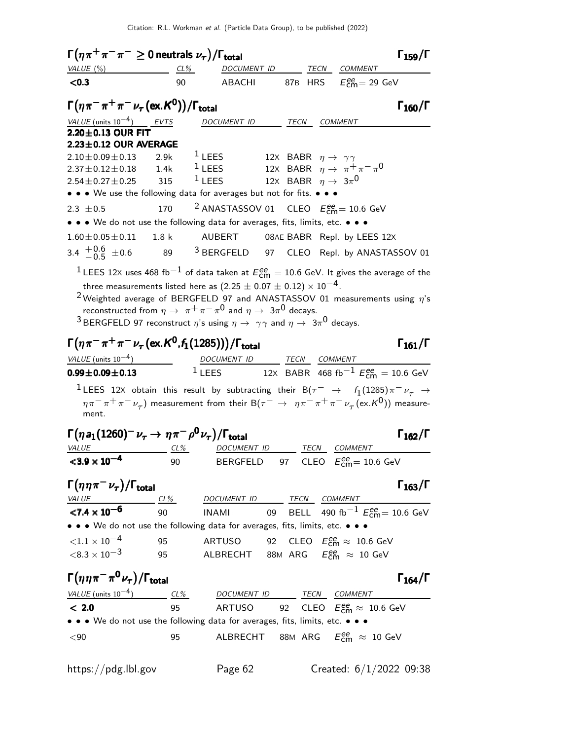| $\Gamma(\eta \pi^+ \pi^- \pi^- \geq 0$ neutrals $\nu_{\tau})/\Gamma_{\rm total}$                                                                                                                                                                                                                                                                                                                                                                                                     |                  |                                                                                                                                                                                                                                                                                                    |                                           |      |                                                              | $\Gamma_{159}/\Gamma$ |
|--------------------------------------------------------------------------------------------------------------------------------------------------------------------------------------------------------------------------------------------------------------------------------------------------------------------------------------------------------------------------------------------------------------------------------------------------------------------------------------|------------------|----------------------------------------------------------------------------------------------------------------------------------------------------------------------------------------------------------------------------------------------------------------------------------------------------|-------------------------------------------|------|--------------------------------------------------------------|-----------------------|
| VALUE (%)                                                                                                                                                                                                                                                                                                                                                                                                                                                                            | CL%              | DOCUMENT ID                                                                                                                                                                                                                                                                                        |                                           | TECN | COMMENT                                                      |                       |
| < 0.3                                                                                                                                                                                                                                                                                                                                                                                                                                                                                | 90               | ABACHI                                                                                                                                                                                                                                                                                             |                                           |      | 87B HRS $E_{\text{cm}}^{\text{ee}}$ = 29 GeV                 |                       |
| $\Gamma(\eta\pi^-\pi^+\pi^-\nu_\tau(\mathrm{ex.}K^0))/\Gamma_\mathrm{total}$                                                                                                                                                                                                                                                                                                                                                                                                         |                  |                                                                                                                                                                                                                                                                                                    |                                           |      |                                                              | $\Gamma_{160}/\Gamma$ |
| VALUE (units $10^{-4}$ ) EVTS                                                                                                                                                                                                                                                                                                                                                                                                                                                        |                  | DOCUMENT ID                                                                                                                                                                                                                                                                                        | TECN                                      |      | COMMENT                                                      |                       |
| 2.20±0.13 OUR FIT                                                                                                                                                                                                                                                                                                                                                                                                                                                                    |                  |                                                                                                                                                                                                                                                                                                    |                                           |      |                                                              |                       |
| $2.23 \pm 0.12$ OUR AVERAGE                                                                                                                                                                                                                                                                                                                                                                                                                                                          |                  | $1$ LEES                                                                                                                                                                                                                                                                                           |                                           |      |                                                              |                       |
| $2.10\pm0.09\pm0.13$<br>$2.37 \pm 0.12 \pm 0.18$                                                                                                                                                                                                                                                                                                                                                                                                                                     | 2.9k<br>1.4k     | $1$ LEES                                                                                                                                                                                                                                                                                           | 12X BABR $\eta \rightarrow \gamma \gamma$ |      | 12X BABR $\eta \rightarrow \pi^+ \pi^- \pi^0$                |                       |
| $2.54 \pm 0.27 \pm 0.25$                                                                                                                                                                                                                                                                                                                                                                                                                                                             | 315              | $1$ LEES                                                                                                                                                                                                                                                                                           | 12X BABR $\eta \rightarrow 3\pi^0$        |      |                                                              |                       |
| • • • We use the following data for averages but not for fits. • • •                                                                                                                                                                                                                                                                                                                                                                                                                 |                  |                                                                                                                                                                                                                                                                                                    |                                           |      |                                                              |                       |
| 2.3 $\pm 0.5$                                                                                                                                                                                                                                                                                                                                                                                                                                                                        | 170              | <sup>2</sup> ANASTASSOV 01 CLEO $E_{\text{cm}}^{ee}$ = 10.6 GeV                                                                                                                                                                                                                                    |                                           |      |                                                              |                       |
| • • • We do not use the following data for averages, fits, limits, etc. • • •                                                                                                                                                                                                                                                                                                                                                                                                        |                  |                                                                                                                                                                                                                                                                                                    |                                           |      |                                                              |                       |
| $1.60 \pm 0.05 \pm 0.11$                                                                                                                                                                                                                                                                                                                                                                                                                                                             | 1.8 <sub>k</sub> | AUBERT                                                                                                                                                                                                                                                                                             |                                           |      | 08AE BABR Repl. by LEES 12X                                  |                       |
| 3.4 $^{+0.6}_{-0.5}$ ±0.6                                                                                                                                                                                                                                                                                                                                                                                                                                                            |                  | 89 <sup>3</sup> BERGFELD 97 CLEO Repl. by ANASTASSOV 01                                                                                                                                                                                                                                            |                                           |      |                                                              |                       |
|                                                                                                                                                                                                                                                                                                                                                                                                                                                                                      |                  | $^1$ LEES 12X uses 468 fb $^{-1}$ of data taken at $E_{\rm cm}^{ee} =$ 10.6 GeV. It gives the average of the                                                                                                                                                                                       |                                           |      |                                                              |                       |
|                                                                                                                                                                                                                                                                                                                                                                                                                                                                                      |                  | $2$ Weighted average of BERGFELD 97 and ANASTASSOV 01 measurements using $\eta$ 's<br>reconstructed from $\eta \to \pi^+ \pi^- \pi^0$ and $\eta \to 3\pi^0$ decays.<br><sup>3</sup> BERGFELD 97 reconstruct $\eta$ 's using $\eta \rightarrow \gamma \gamma$ and $\eta \rightarrow 3\pi^0$ decays. |                                           |      |                                                              |                       |
|                                                                                                                                                                                                                                                                                                                                                                                                                                                                                      |                  |                                                                                                                                                                                                                                                                                                    |                                           |      |                                                              |                       |
|                                                                                                                                                                                                                                                                                                                                                                                                                                                                                      |                  |                                                                                                                                                                                                                                                                                                    |                                           |      |                                                              | $\Gamma_{161}/\Gamma$ |
|                                                                                                                                                                                                                                                                                                                                                                                                                                                                                      |                  |                                                                                                                                                                                                                                                                                                    |                                           |      |                                                              |                       |
|                                                                                                                                                                                                                                                                                                                                                                                                                                                                                      |                  | DOCUMENT ID TECN COMMENT<br><sup>1</sup> LEES 12X BABR 468 fb <sup>-1</sup> $E_{cm}^{ee} = 10.6$ GeV                                                                                                                                                                                               |                                           |      |                                                              |                       |
| $\Gamma(\eta \pi^- \pi^+ \pi^- \nu_\tau (\text{ex.}\mathcal{K}^0, f_1(1285))) / \Gamma_{\text{total}}$<br>VALUE (units $10^{-4}$ )<br>$0.99 \pm 0.09 \pm 0.13$<br>ment.                                                                                                                                                                                                                                                                                                              |                  | $^1$ LEES 12X obtain this result by subtracting their B $(\tau^-\;\rightarrow\;\;f_1(1285)\,\pi^-\,\nu_\tau\;\rightarrow\;$<br>$\eta \pi^- \pi^+ \pi^- \nu_\tau$ ) measurement from their B( $\tau^- \to \eta \pi^- \pi^+ \pi^- \nu_\tau$ (ex.K <sup>0</sup> )) measure-                           |                                           |      |                                                              |                       |
|                                                                                                                                                                                                                                                                                                                                                                                                                                                                                      |                  |                                                                                                                                                                                                                                                                                                    |                                           |      |                                                              | $\Gamma_{162}/\Gamma$ |
|                                                                                                                                                                                                                                                                                                                                                                                                                                                                                      |                  | DOCUMENT ID TECN COMMENT                                                                                                                                                                                                                                                                           |                                           |      |                                                              |                       |
|                                                                                                                                                                                                                                                                                                                                                                                                                                                                                      | 90               | <b>BERGFELD</b>                                                                                                                                                                                                                                                                                    |                                           |      | 97 CLEO $E_{\text{cm}}^{ee} = 10.6 \text{ GeV}$              |                       |
|                                                                                                                                                                                                                                                                                                                                                                                                                                                                                      |                  |                                                                                                                                                                                                                                                                                                    |                                           |      |                                                              |                       |
|                                                                                                                                                                                                                                                                                                                                                                                                                                                                                      |                  | DOCUMENT ID TECN COMMENT                                                                                                                                                                                                                                                                           |                                           |      |                                                              |                       |
|                                                                                                                                                                                                                                                                                                                                                                                                                                                                                      |                  | <b>INAMI</b>                                                                                                                                                                                                                                                                                       |                                           |      | 09 BELL 490 fb <sup>-1</sup> $E_{\text{cm}}^{ee}$ = 10.6 GeV |                       |
|                                                                                                                                                                                                                                                                                                                                                                                                                                                                                      |                  |                                                                                                                                                                                                                                                                                                    |                                           |      |                                                              | $\Gamma_{163}/\Gamma$ |
|                                                                                                                                                                                                                                                                                                                                                                                                                                                                                      | 95               | ARTUSO                                                                                                                                                                                                                                                                                             |                                           |      | 92 CLEO $E_{\text{cm}}^{\text{ee}} \approx 10.6 \text{ GeV}$ |                       |
|                                                                                                                                                                                                                                                                                                                                                                                                                                                                                      | 95               | ALBRECHT 88M ARG $E_{\text{cm}}^{ee} \approx 10 \text{ GeV}$                                                                                                                                                                                                                                       |                                           |      |                                                              |                       |
|                                                                                                                                                                                                                                                                                                                                                                                                                                                                                      |                  |                                                                                                                                                                                                                                                                                                    |                                           |      |                                                              |                       |
| $\Gamma(\eta a_1(1260)^-\nu_\tau\rightarrow\eta\pi^-\rho^0\nu_\tau)/\Gamma_{\rm total}$<br><b>VALUE</b><br>$<$ 3.9 $\times$ 10 <sup>-4</sup><br>$\Gamma(\eta\eta\pi^-\nu_{\tau})/\Gamma_{\rm total}$<br><u>VALUE</u> CL%<br>$\frac{CL}{8}$ Cl%<br>• • • We do not use the following data for averages, fits, limits, etc. • • •<br>${<}1.1 \times 10^{-4}$<br>$<$ 8.3 $\times$ 10 $^{-3}$<br>$\Gamma(\eta\eta\pi^-\pi^0\nu_\tau)/\Gamma_{\rm total}$<br>VALUE (units $10^{-4}$ ) CL% |                  | DOCUMENT ID TECN COMMENT                                                                                                                                                                                                                                                                           |                                           |      |                                                              | $\Gamma_{164}/\Gamma$ |
|                                                                                                                                                                                                                                                                                                                                                                                                                                                                                      | 95               | ARTUSO 92 CLEO $E_{\text{cm}}^{ee} \approx 10.6 \text{ GeV}$                                                                                                                                                                                                                                       |                                           |      |                                                              |                       |
| < 2.0<br>• • • We do not use the following data for averages, fits, limits, etc. • • •                                                                                                                                                                                                                                                                                                                                                                                               |                  |                                                                                                                                                                                                                                                                                                    |                                           |      |                                                              |                       |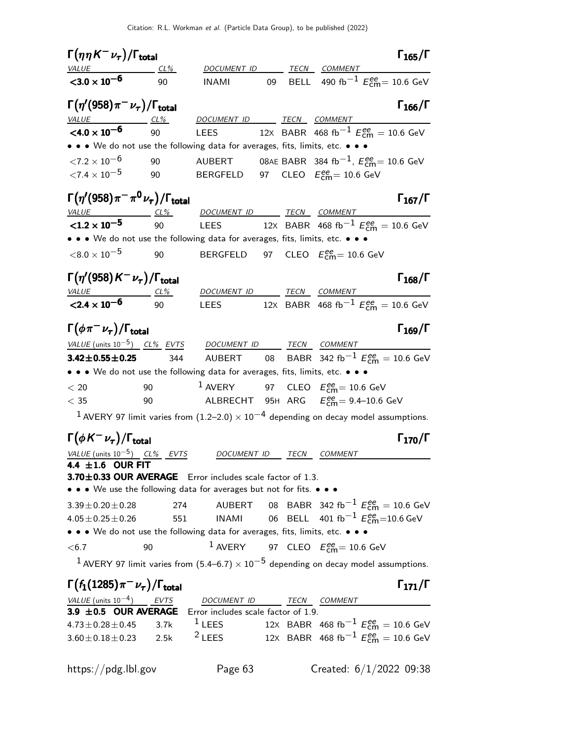| $\Gamma(\eta\eta K^-\nu_\tau)/\Gamma_{\rm total}$    |                                                                                                                                   |               |    |      |                                                                                                                   | $\Gamma_{165}/\Gamma$ |
|------------------------------------------------------|-----------------------------------------------------------------------------------------------------------------------------------|---------------|----|------|-------------------------------------------------------------------------------------------------------------------|-----------------------|
| <b>VALUE</b>                                         | CL%                                                                                                                               |               |    |      | DOCUMENT ID TECN COMMENT                                                                                          |                       |
| $3.0 \times 10^{-6}$                                 | 90                                                                                                                                | <b>INAMI</b>  | 09 |      | BELL 490 fb <sup>-1</sup> $E_{\text{cm}}^{ee}$ = 10.6 GeV                                                         |                       |
| $\Gamma(\eta'(958)\pi^-\nu_\tau)/\Gamma_{\rm total}$ |                                                                                                                                   |               |    |      |                                                                                                                   | $\Gamma_{166}/\Gamma$ |
| $VALU E$ CL%                                         |                                                                                                                                   |               |    |      | DOCUMENT ID ______ TECN ___ COMMENT _______                                                                       |                       |
| $<$ 4.0 $\times$ 10 <sup>-6</sup>                    | 90                                                                                                                                | <b>LEES</b>   |    |      | 12X BABR 468 fb <sup>-1</sup> $E_{\text{cm}}^{ee} = 10.6 \text{ GeV}$                                             |                       |
|                                                      | • • • We do not use the following data for averages, fits, limits, etc. • • •                                                     |               |    |      |                                                                                                                   |                       |
| ${<}7.2 \times 10^{-6}$                              | 90                                                                                                                                | <b>AUBERT</b> |    |      | 08AE BABR 384 fb <sup>-1</sup> , $E_{\text{cm}}^{ee}$ = 10.6 GeV                                                  |                       |
| ${<}7.4\times10^{-5}$                                | 90                                                                                                                                |               |    |      | BERGFELD 97 CLEO $E_{\text{cm}}^{ee}$ = 10.6 GeV                                                                  |                       |
|                                                      | $\Gamma(\eta^\prime(958)\pi^-\pi^0\nu_\tau)/\Gamma_{\rm total}$                                                                   |               |    |      |                                                                                                                   | $\Gamma_{167}/\Gamma$ |
|                                                      |                                                                                                                                   |               |    |      | $VALUE — CL% DOCUMENT ID TECN COMMENT$                                                                            |                       |
|                                                      |                                                                                                                                   |               |    |      | <b>&lt;1.2 x 10<sup>-5</sup></b> 90 LEES 12X BABR 468 fb <sup>-1</sup> $E_{cm}^{ee} = 10.6$ GeV                   |                       |
|                                                      | • • • We do not use the following data for averages, fits, limits, etc. • • •                                                     |               |    |      |                                                                                                                   |                       |
| ${<}8.0\times10^{-5}$                                | 90                                                                                                                                |               |    |      | BERGFELD 97 CLEO $E_{\text{cm}}^{\text{ee}}$ = 10.6 GeV                                                           |                       |
| $\Gamma(\eta'(958)K^-\nu_\tau)/\Gamma_{\rm total}$   |                                                                                                                                   |               |    |      |                                                                                                                   | $\Gamma_{168}/\Gamma$ |
| $VALUE$ $CL\%$                                       |                                                                                                                                   |               |    |      | DOCUMENT ID TECN COMMENT                                                                                          |                       |
| $<$ 2.4 $\times$ 10 <sup>-6</sup>                    | 90                                                                                                                                |               |    |      | LEES 12x BABR 468 fb <sup>-1</sup> $E_{\text{cm}}^{ee} = 10.6 \text{ GeV}$                                        |                       |
| $\Gamma(\phi\pi^-\nu_\tau)/\Gamma_{\rm total}$       |                                                                                                                                   |               |    |      |                                                                                                                   | $\Gamma_{169}/\Gamma$ |
|                                                      | $VALUE$ (units $10^{-5}$ ) CL% EVTS DOCUMENT ID TECN COMMENT                                                                      |               |    |      |                                                                                                                   |                       |
|                                                      |                                                                                                                                   |               |    |      | <b>3.42±0.55±0.25</b> 344 AUBERT 08 BABR 342 fb <sup>-1</sup> $E_{\text{cm}}^{ee} = 10.6 \text{ GeV}$             |                       |
|                                                      | • • • We do not use the following data for averages, fits, limits, etc. • • •                                                     |               |    |      |                                                                                                                   |                       |
| $<\,20$                                              | 90                                                                                                                                |               |    |      | <sup>1</sup> AVERY 97 CLEO $E_{\text{cm}}^{ee}$ = 10.6 GeV                                                        |                       |
| $<\,35$                                              | 90                                                                                                                                |               |    |      | ALBRECHT 95H ARG $E_{\text{cm}}^{\text{ee}}$ = 9.4–10.6 GeV                                                       |                       |
|                                                      |                                                                                                                                   |               |    |      | <sup>1</sup> AVERY 97 limit varies from (1.2–2.0) $\times$ 10 <sup>-4</sup> depending on decay model assumptions. |                       |
| $\Gamma(\phi K^-\nu_\tau)/\Gamma_{\rm total}$        |                                                                                                                                   |               |    |      |                                                                                                                   | $\Gamma_{170}/\Gamma$ |
|                                                      | VALUE (units $10^{-5}$ ) CL% EVTS                                                                                                 | DOCUMENT ID   |    | TECN | COMMENT                                                                                                           |                       |
| 4.4 $\pm 1.6$ OUR FIT                                |                                                                                                                                   |               |    |      |                                                                                                                   |                       |
|                                                      | 3.70±0.33 OUR AVERAGE Error includes scale factor of 1.3.<br>• • • We use the following data for averages but not for fits. • • • |               |    |      |                                                                                                                   |                       |
| $3.39 \pm 0.20 \pm 0.28$                             | 274                                                                                                                               | AUBERT        |    |      | 08 BABR 342 fb <sup>-1</sup> $E_{\text{cm}}^{ee}$ = 10.6 GeV                                                      |                       |
| $4.05 \pm 0.25 \pm 0.26$                             | 551                                                                                                                               | <b>INAMI</b>  |    |      | 06 BELL 401 fb <sup>-1</sup> $E_{\text{cm}}^{ee}$ =10.6 GeV                                                       |                       |
|                                                      | • • • We do not use the following data for averages, fits, limits, etc. • • •                                                     |               |    |      |                                                                                                                   |                       |
| < 6.7                                                | 90                                                                                                                                |               |    |      | <sup>1</sup> AVERY 97 CLEO $E_{\text{cm}}^{ee}$ = 10.6 GeV                                                        |                       |
|                                                      |                                                                                                                                   |               |    |      | $^1$ AVERY 97 limit varies from (5.4–6.7) $\times$ $10^{-5}$ depending on decay model assumptions.                |                       |
| $\Gamma(f_1(1285)\pi^-\nu_\tau)/\Gamma_{\rm total}$  |                                                                                                                                   |               |    |      |                                                                                                                   | $\Gamma_{171}/\Gamma$ |
|                                                      |                                                                                                                                   |               |    |      |                                                                                                                   |                       |

| <i>VALUE</i> (units $10^{-4}$ ) EVTS                          | DOCUMENT ID TECN COMMENT |  |                                                        |  |
|---------------------------------------------------------------|--------------------------|--|--------------------------------------------------------|--|
| 3.9 $\pm$ 0.5 OUR AVERAGE Error includes scale factor of 1.9. |                          |  |                                                        |  |
| $4.73 \pm 0.28 \pm 0.45$ 3.7k $1$ LEES                        |                          |  | 12X BABR 468 fb <sup>-1</sup> $E_{cm}^{ee}$ = 10.6 GeV |  |
| $3.60 \pm 0.18 \pm 0.23$ 2.5k <sup>2</sup> LEES               |                          |  | 12X BABR 468 fb <sup>-1</sup> $E_{cm}^{ee}$ = 10.6 GeV |  |
|                                                               |                          |  |                                                        |  |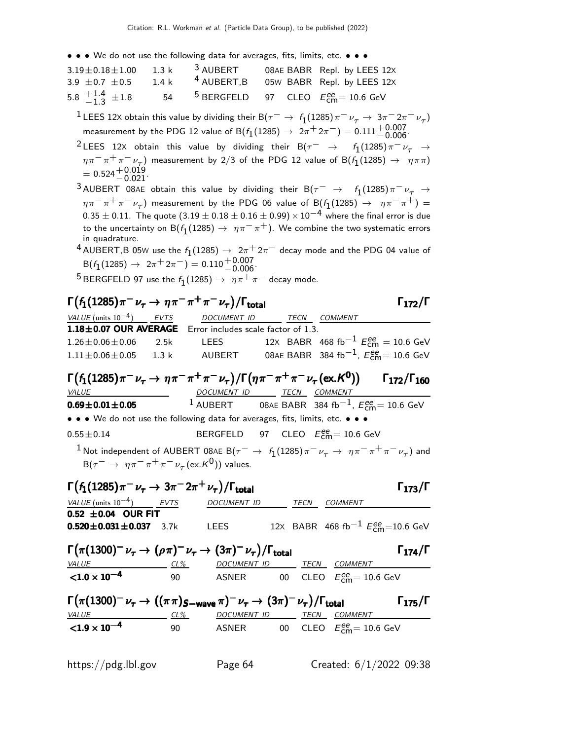• • • We do not use the following data for averages, fits, limits, etc. • • •

| $3.19 \pm 0.18 \pm 1.00$ 1.3 k $^3$ AUBERT<br>3.9 $\pm$ 0.7 $\pm$ 0.5 | $1.4 \text{ k}$ |                                                           | 08AE BABR Repl. by LEES 12X<br><sup>4</sup> AUBERT, B 05W BABR Repl. by LEES 12X |
|-----------------------------------------------------------------------|-----------------|-----------------------------------------------------------|----------------------------------------------------------------------------------|
| 5.8 $\frac{+1.4}{-1.3}$ $\pm 1.8$                                     |                 | 54 <sup>5</sup> BERGFELD 97 CLEO $E_{cm}^{ee}$ = 10.6 GeV |                                                                                  |

- $1$  LEES 12X obtain this value by dividing their B $(\tau^-\to f_1(1285)\pi^-\nu_\tau\to 3\pi^-2\pi^+\nu_\tau)$ measurement by the PDG 12 value of B $(f_1(1285) \rightarrow 2\pi^+ 2\pi^-) = 0.111^{+0.007}_{-0.006}$
- $^2$ LEES 12X obtain this value by dividing their B $(\tau^-\;\;\rightarrow\;\;\;\; f_1(1285)\,\pi^-\,\nu_\tau\;\;\rightarrow\;\;$  $\eta \pi^- \pi^+ \pi^- \nu_{\tau}$ ) measurement by 2/3 of the PDG 12 value of B( $f_1(1285) \to \eta \pi \pi$ )  $= 0.524_{ -0.021}^{ +0.019}.$
- $^3$ AUBERT 08AE obtain this value by dividing their B $(\tau^-\;\to\;\;f_1(1285)\,\pi^-\,\nu_\tau\;\to\;f_2(1285))$  $\eta\pi^-\pi^+\pi^-\nu_\tau)$  measurement by the PDG 06 value of B $(f_1(1285)\,\rightarrow\,\,\,\eta\pi^-\pi^+) =$  $0.35 \pm 0.11$ . The quote  $(3.19 \pm 0.18 \pm 0.16 \pm 0.99) \times 10^{-4}$  where the final error is due to the uncertainty on B $(f_1(1285) \rightarrow~\eta \pi^- \pi^+)$ . We combine the two systematic errors in quadrature.
- $^4$  AUBERT,B 05W use the  $f_1(1285) \rightarrow 2\pi^+ 2\pi^-$  decay mode and the PDG 04 value of  $B(f_1(1285) \rightarrow 2\pi^+ 2\pi^-) = 0.110^{+0.007}_{-0.006}$

 $^5$ BERGFELD 97 use the  $f_1(1285)\rightarrow~\eta\pi^+\pi^-$  decay mode.

# $\Gamma(f_1(1285)\pi^-\nu_\tau\to\eta\pi^-\pi^+\pi^-\nu_\tau)/\Gamma_{\text{total}}$  Γ<sub>172</sub>/Γ

VALUE (units  $10^{-4}$ ) EVTS DOCUMENT ID TECN COMMENT **1.18** $\pm$ **0.07 OUR AVERAGE** Error includes scale factor of 1.3.<br>1.26 $\pm$ 0.06 $\pm$ 0.06 2.5k LEES 12X BABR 4 1.26±0.06±0.06 2.5k LEES 12x BABR 468 fb<sup>-1</sup>  $E_{\text{cm}}^{\text{ee}} = 10.6 \text{ GeV}$ <sup>1</sup>.11±0.06±0.05 1.3 k AUBERT 08AE BABR 384 fb−1, <sup>E</sup> ee cm= 10.6 GeV

 $\Gamma(f_1(1285)\pi^-\nu_\tau\to\eta\pi^-\pi^+\pi^-\nu_\tau)/\Gamma(\eta\pi^-\pi^+\pi^-\nu_\tau(\text{ex.}\mathcal{K}^0))$   $\Gamma_{172}/\Gamma_{160}$ Γ172/Γ160 VALUE **DOCUMENT ID TECN COMMENT** 0.69±0.01±0.05 <sup>1</sup> AUBERT 08AE BABR 384 fb $^{-1}$ ,  $E_{\rm cm}^{ee}$ = 10.6 GeV • • • We do not use the following data for averages, fits, limits, etc. • • •  $0.55 \pm 0.14$  BERGFELD 97 CLEO  $E_{\text{cm}}^{ee} = 10.6 \text{ GeV}$  $^1$ Not independent of AUBERT 08AE B( $\tau^-\,\rightarrow\,\,$  f<sub>1</sub>(1285) $\pi^-\,\nu_\tau^{}\,\rightarrow\,\,$   $\eta\pi^-\,\pi^+\,\pi^-\,\nu_\tau^{}$ ) and

 $B(\tau^-\,\rightarrow\, \eta\pi^-\pi^+\pi^-\nu_{\tau}$  (ex. ${\sf K^0})$ ) values.

| $\Gamma(f_1(1285)\pi^-\nu_\tau\to 3\pi^-2\pi^+\nu_\tau)/\Gamma_{\rm total}$ | $\Gamma_{173}/\Gamma$ |      |                                                       |
|-----------------------------------------------------------------------------|-----------------------|------|-------------------------------------------------------|
| <i>VALUE</i> (units $10^{-4}$ ) EVTS                                        | <i>DOCUMENT ID</i>    | TECN | COMMENT                                               |
| $0.52 \pm 0.04$ OUR FIT                                                     |                       |      |                                                       |
| $0.520 \pm 0.031 \pm 0.037$ 3.7k                                            | LEES.                 |      | 12X BABR 468 fb <sup>-1</sup> $E_{cm}^{ee}$ =10.6 GeV |
|                                                                             |                       |      |                                                       |

| $\Gamma(\pi(1300)^{-}\nu_{\tau}\rightarrow(\rho\pi)^{-}\nu_{\tau}\rightarrow(3\pi)^{-}\nu_{\tau})/\Gamma_{\text{total}}$              |            |                    |      |                                                | $\Gamma_{174}/\Gamma$ |
|---------------------------------------------------------------------------------------------------------------------------------------|------------|--------------------|------|------------------------------------------------|-----------------------|
| <i>VALUE</i>                                                                                                                          | CL%        | <b>DOCUMENT ID</b> | TECN | COMMENT                                        |                       |
| $<$ 1.0 $\times$ 10 <sup>-4</sup>                                                                                                     | 90         | ASNER              |      | 00 CLEO $E_{\text{cm}}^{\text{ee}}$ = 10.6 GeV |                       |
|                                                                                                                                       |            |                    |      |                                                |                       |
| $\Gamma(\pi(1300)^{-}\nu_{\tau}\rightarrow((\pi\pi)_{S-wave}\pi)^{-}\nu_{\tau}\rightarrow(3\pi)^{-}\nu_{\tau})/\Gamma_{\text{total}}$ |            |                    |      |                                                | $\Gamma_{175}/\Gamma$ |
| <i>VALUE</i>                                                                                                                          | <u>CL%</u> | <i>DOCUMENT ID</i> | TECN | COMMENT                                        |                       |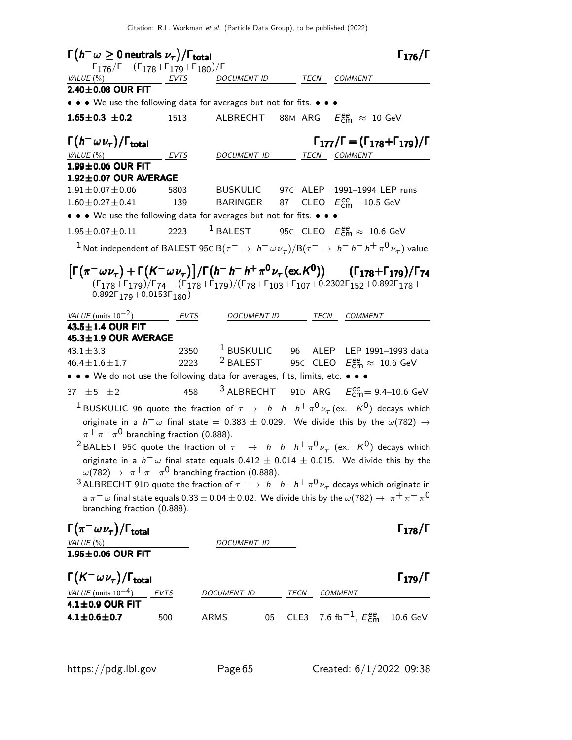| $\Gamma(h^-\omega\geq 0$ neutrals $\nu_\tau)/\Gamma_{\rm total}$                                                                                      |             |                    |      | $\Gamma_{176}/\Gamma$                                                                                                                                                                                                                                                                                                                                                                                                                                                                                                                                                                                                                                                                                       |
|-------------------------------------------------------------------------------------------------------------------------------------------------------|-------------|--------------------|------|-------------------------------------------------------------------------------------------------------------------------------------------------------------------------------------------------------------------------------------------------------------------------------------------------------------------------------------------------------------------------------------------------------------------------------------------------------------------------------------------------------------------------------------------------------------------------------------------------------------------------------------------------------------------------------------------------------------|
| $\Gamma_{176}/\Gamma = (\Gamma_{178} + \Gamma_{179} + \Gamma_{180})/\Gamma$<br>VALUE (%)<br>EVTS                                                      |             | DOCUMENT ID        |      | TECN COMMENT                                                                                                                                                                                                                                                                                                                                                                                                                                                                                                                                                                                                                                                                                                |
| $2.40\pm0.08$ OUR FIT                                                                                                                                 |             |                    |      |                                                                                                                                                                                                                                                                                                                                                                                                                                                                                                                                                                                                                                                                                                             |
| • • • We use the following data for averages but not for fits. • • •                                                                                  |             |                    |      |                                                                                                                                                                                                                                                                                                                                                                                                                                                                                                                                                                                                                                                                                                             |
| $1.65 \pm 0.3 \pm 0.2$                                                                                                                                | 1513        |                    |      | ALBRECHT 88M ARG $E_{\text{cm}}^{ee} \approx 10 \text{ GeV}$                                                                                                                                                                                                                                                                                                                                                                                                                                                                                                                                                                                                                                                |
| $\Gamma(h^-\,\omega\,\nu_\tau)/\Gamma_{\rm total}$<br>VALU E (%)                                                                                      | <b>EVTS</b> | DOCUMENT ID        |      | $\Gamma_{177}/\Gamma = (\Gamma_{178} + \Gamma_{179})/\Gamma$<br>TECN COMMENT                                                                                                                                                                                                                                                                                                                                                                                                                                                                                                                                                                                                                                |
| $1.99\pm0.06$ OUR FIT                                                                                                                                 |             |                    |      |                                                                                                                                                                                                                                                                                                                                                                                                                                                                                                                                                                                                                                                                                                             |
| $1.92 \pm 0.07$ OUR AVERAGE                                                                                                                           |             |                    |      |                                                                                                                                                                                                                                                                                                                                                                                                                                                                                                                                                                                                                                                                                                             |
| $1.91 \pm 0.07 \pm 0.06$                                                                                                                              | 5803        |                    |      | BUSKULIC 97c ALEP 1991-1994 LEP runs                                                                                                                                                                                                                                                                                                                                                                                                                                                                                                                                                                                                                                                                        |
| $1.60 \pm 0.27 \pm 0.41$<br>• • • We use the following data for averages but not for fits. • • •                                                      | 139         |                    |      | BARINGER 87 CLEO $E_{\rm cm}^{\rm ee}\!=10.5$ GeV                                                                                                                                                                                                                                                                                                                                                                                                                                                                                                                                                                                                                                                           |
| $1.95 \pm 0.07 \pm 0.11$                                                                                                                              |             | 2223 $1$ BALEST    |      | 95C CLEO $E_{\text{cm}}^{\text{ee}} \approx 10.6 \text{ GeV}$                                                                                                                                                                                                                                                                                                                                                                                                                                                                                                                                                                                                                                               |
|                                                                                                                                                       |             |                    |      | <sup>1</sup> Not independent of BALEST 95C B $(\tau^-\rightarrow\,h^-\,\omega\nu_\tau)/$ B $(\tau^-\rightarrow\,h^-\,h^-\,h^+\,\pi^0\,\nu_\tau)$ value.                                                                                                                                                                                                                                                                                                                                                                                                                                                                                                                                                     |
| $0.892\Gamma_{179} + 0.0153\Gamma_{180}$<br>VALUE (units $10^{-2}$ )                                                                                  | <b>EVTS</b> | <b>DOCUMENT ID</b> |      | $\left[\Gamma(\pi^-\omega\nu_{\tau}) + \Gamma(K^-\omega\nu_{\tau})\right] / \Gamma(h^-\,h^-\,h^+\,\pi^0\nu_{\tau}$ (ex. K <sup>0</sup> )) ( $\Gamma_{178}$ + $\Gamma_{179}$ )/ $\Gamma_{74}$<br>$(\Gamma_{178} + \Gamma_{179})$ / $\Gamma_{74} = (\Gamma_{178} + \Gamma_{179})$ / $(\Gamma_{78} + \Gamma_{103} + \Gamma_{107} + 0.2302\Gamma_{152} + 0.892\Gamma_{178} +$<br>TECN<br><b>COMMENT</b>                                                                                                                                                                                                                                                                                                         |
| 43.5±1.4 OUR FIT                                                                                                                                      |             |                    |      |                                                                                                                                                                                                                                                                                                                                                                                                                                                                                                                                                                                                                                                                                                             |
| 45.3±1.9 OUR AVERAGE                                                                                                                                  |             |                    |      |                                                                                                                                                                                                                                                                                                                                                                                                                                                                                                                                                                                                                                                                                                             |
| $43.1 \pm 3.3$<br>$46.4 \pm 1.6 \pm 1.7$                                                                                                              | 2223        |                    |      | 2350 <sup>1</sup> BUSKULIC 96 ALEP LEP 1991-1993 data<br>$^2$ BALEST 950 CLEO $E_{\rm cm}^{\rm ee} \approx 10.6$ GeV                                                                                                                                                                                                                                                                                                                                                                                                                                                                                                                                                                                        |
| • • • We do not use the following data for averages, fits, limits, etc. • • •                                                                         |             |                    |      |                                                                                                                                                                                                                                                                                                                                                                                                                                                                                                                                                                                                                                                                                                             |
| 37 $\pm$ 5 $\pm$ 2                                                                                                                                    | 458         |                    |      | <sup>3</sup> ALBRECHT 91D ARG $E_{\text{cm}}^{ee}$ = 9.4-10.6 GeV                                                                                                                                                                                                                                                                                                                                                                                                                                                                                                                                                                                                                                           |
| $\pi^+\pi^-\pi^0$ branching fraction (0.888).<br>$\omega(782) \rightarrow \pi^+\pi^-\pi^0$ branching fraction (0.888).<br>branching fraction (0.888). |             |                    |      | <sup>1</sup> BUSKULIC 96 quote the fraction of $\tau \to h^-h^-h^+\pi^0\nu_\tau$ (ex. $K^0$ ) decays which<br>originate in a $h^-\omega$ final state = 0.383 $\pm$ 0.029. We divide this by the $\omega(782) \rightarrow$<br><sup>2</sup> BALEST 95C quote the fraction of $\tau^ \rightarrow$ $h^-h^-h^+\pi^0\nu_\tau$ (ex. $K^0$ ) decays which<br>originate in a $h^{-}$ $\omega$ final state equals 0.412 $\pm$ 0.014 $\pm$ 0.015. We divide this by the<br><sup>3</sup> ALBRECHT 91D quote the fraction of $\tau^- \to h^- h^- h^+ \pi^0 \nu_\tau$ decays which originate in<br>a $\pi^ \omega$ final state equals 0.33 $\pm$ 0.04 $\pm$ 0.02. We divide this by the $\omega(782)\to\ \pi^+\pi^-\pi^0$ |
| $\Gamma(\pi^- \omega \nu_\tau)/\Gamma_{\rm total}$<br>VALUE $(\%)$<br>$1.95 \pm 0.06$ OUR FIT                                                         |             | DOCUMENT ID        |      | $\Gamma_{178}/\Gamma$                                                                                                                                                                                                                                                                                                                                                                                                                                                                                                                                                                                                                                                                                       |
| $\Gamma(K^-\omega\nu_\tau)/\Gamma_{\rm total}$<br>VALUE (units $10^{-4}$ )                                                                            | <b>EVTS</b> | DOCUMENT ID        | TECN | $\Gamma_{179}/\Gamma$<br><i>COMMENT</i>                                                                                                                                                                                                                                                                                                                                                                                                                                                                                                                                                                                                                                                                     |
| $4.1 \pm 0.9$ OUR FIT                                                                                                                                 |             |                    |      |                                                                                                                                                                                                                                                                                                                                                                                                                                                                                                                                                                                                                                                                                                             |
| $4.1 \pm 0.6 \pm 0.7$                                                                                                                                 | 500         | ARMS               | 05   | CLE3 7.6 fb <sup>-1</sup> , $E_{\text{cm}}^{ee}$ = 10.6 GeV                                                                                                                                                                                                                                                                                                                                                                                                                                                                                                                                                                                                                                                 |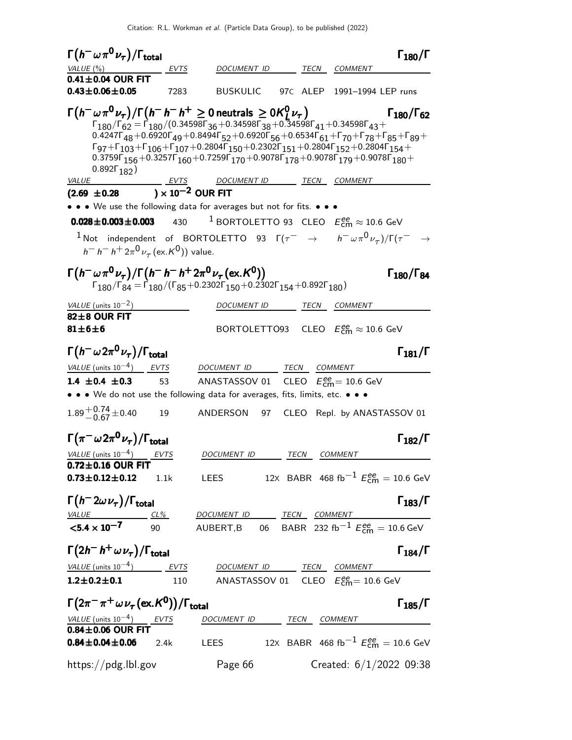| $\Gamma\bigl(\,h^-\omega\,\pi^0\,\nu_{\tau}\,\bigr)/\Gamma_{\rm total}$                                                                                                                                                                                                           |      |                                                                                                                                                                                                                                                                                                                                                                                                                                                                                                                                                                                                            |              |                                                        | $\Gamma_{180}/\Gamma$      |
|-----------------------------------------------------------------------------------------------------------------------------------------------------------------------------------------------------------------------------------------------------------------------------------|------|------------------------------------------------------------------------------------------------------------------------------------------------------------------------------------------------------------------------------------------------------------------------------------------------------------------------------------------------------------------------------------------------------------------------------------------------------------------------------------------------------------------------------------------------------------------------------------------------------------|--------------|--------------------------------------------------------|----------------------------|
| VALUE $(\%)$                                                                                                                                                                                                                                                                      | EVTS | DOCUMENT ID                                                                                                                                                                                                                                                                                                                                                                                                                                                                                                                                                                                                | TECN         | <b>COMMENT</b>                                         |                            |
| $0.41 \pm 0.04$ OUR FIT                                                                                                                                                                                                                                                           |      |                                                                                                                                                                                                                                                                                                                                                                                                                                                                                                                                                                                                            |              |                                                        |                            |
| $0.43 \pm 0.06 \pm 0.05$                                                                                                                                                                                                                                                          | 7283 | BUSKULIC                                                                                                                                                                                                                                                                                                                                                                                                                                                                                                                                                                                                   |              | 97C ALEP 1991-1994 LEP runs                            |                            |
| $\Gamma(h^-\omega\pi^0\nu_{\tau})/\Gamma(h^-\,h^-\,h^+\geq 0$ neutrals $\geq 0$ K $^0_1\nu_{\tau})$<br>0.892 $\Gamma_{182}$ )                                                                                                                                                     |      | $\Gamma_{180}/\Gamma_{62} = \Gamma_{180}/(0.34598 \Gamma_{36} + 0.34598 \Gamma_{38} + 0.34598 \Gamma_{41} + 0.34598 \Gamma_{43} +$<br>$0.4247\Gamma_{48} + 0.6920\Gamma_{49} + 0.8494\Gamma_{52} + 0.6920\Gamma_{56} + 0.6534\Gamma_{61} + \Gamma_{70} + \Gamma_{78} + \Gamma_{85} + \Gamma_{89} + \Gamma_{10}$<br>$\Gamma_{97} + \Gamma_{103} + \Gamma_{106} + \Gamma_{107} + 0.2804 \Gamma_{150} + 0.2302 \Gamma_{151} + 0.2804 \Gamma_{152} + 0.2804 \Gamma_{154} +$<br>$0.3759\Gamma_{156} + 0.3257\Gamma_{160} + 0.7259\Gamma_{170} + 0.9078\Gamma_{178} + 0.9078\Gamma_{179} + 0.9078\Gamma_{180} +$ |              |                                                        | $\Gamma_{180}/\Gamma_{62}$ |
| <i>VALUE</i>                                                                                                                                                                                                                                                                      |      | <u>EVTS DOCUMENT ID TECN COMMENT</u>                                                                                                                                                                                                                                                                                                                                                                                                                                                                                                                                                                       |              |                                                        |                            |
| $(2.69 \pm 0.28) \times 10^{-2}$ OUR FIT                                                                                                                                                                                                                                          |      |                                                                                                                                                                                                                                                                                                                                                                                                                                                                                                                                                                                                            |              |                                                        |                            |
| • • We use the following data for averages but not for fits. • • •                                                                                                                                                                                                                |      |                                                                                                                                                                                                                                                                                                                                                                                                                                                                                                                                                                                                            |              |                                                        |                            |
| $0.028\!\pm\!0.003\!\pm\!0.003$                                                                                                                                                                                                                                                   | 430  | <sup>1</sup> BORTOLETTO 93 CLEO $E_{\text{cm}}^{ee} \approx 10.6$ GeV                                                                                                                                                                                                                                                                                                                                                                                                                                                                                                                                      |              |                                                        |                            |
| $^{-1}$ Not independent of BORTOLETTO 93 $\Gamma(\tau^-\rightarrow h^-\omega\pi^0\nu_{\tau})/\Gamma(\tau^-\rightarrow$<br>$h^- h^- h^+ 2\pi^0 \nu_\tau (\text{ex.} K^0)$ ) value.                                                                                                 |      |                                                                                                                                                                                                                                                                                                                                                                                                                                                                                                                                                                                                            |              |                                                        |                            |
| $\Gamma(h^-\omega\pi^0\nu_{\tau})/\Gamma(h^-\,h^-\,h^+2\pi^0\nu_{\tau}$ (ex. K <sup>0</sup> ))                                                                                                                                                                                    |      | $\Gamma_{180}/\Gamma_{84} = \Gamma_{180}/(\Gamma_{85} + 0.2302\Gamma_{150} + 0.2302\Gamma_{154} + 0.892\Gamma_{180})$                                                                                                                                                                                                                                                                                                                                                                                                                                                                                      |              |                                                        | $\Gamma_{180}/\Gamma_{84}$ |
| VALUE (units $10^{-2}$ )                                                                                                                                                                                                                                                          |      | DOCUMENT ID                                                                                                                                                                                                                                                                                                                                                                                                                                                                                                                                                                                                | TECN         | <b>COMMENT</b>                                         |                            |
| $82 \pm 8$ OUR FIT<br>$81 \pm 6 \pm 6$                                                                                                                                                                                                                                            |      | BORTOLETTO93 CLEO $E_{\text{cm}}^{\text{ee}} \approx 10.6 \text{ GeV}$                                                                                                                                                                                                                                                                                                                                                                                                                                                                                                                                     |              |                                                        |                            |
| $\Gamma(h^-\omega2\pi^0\nu_\tau)/\Gamma_{\rm total}$                                                                                                                                                                                                                              |      |                                                                                                                                                                                                                                                                                                                                                                                                                                                                                                                                                                                                            |              |                                                        | $\Gamma_{181}/\Gamma$      |
| VALUE (units $10^{-4}$ ) EVTS                                                                                                                                                                                                                                                     |      | DOCUMENT ID                                                                                                                                                                                                                                                                                                                                                                                                                                                                                                                                                                                                | TECN COMMENT |                                                        |                            |
| 1.4 $\pm$ 0.4 $\pm$ 0.3                                                                                                                                                                                                                                                           | 53   | ANASTASSOV 01 CLEO $E_{\text{cm}}^{ee}$ = 10.6 GeV                                                                                                                                                                                                                                                                                                                                                                                                                                                                                                                                                         |              |                                                        |                            |
| • • We do not use the following data for averages, fits, limits, etc. • • •                                                                                                                                                                                                       |      |                                                                                                                                                                                                                                                                                                                                                                                                                                                                                                                                                                                                            |              |                                                        |                            |
| $1.89^{+0.74}_{-0.67}$ ± 0.40                                                                                                                                                                                                                                                     | 19   | ANDERSON<br>97                                                                                                                                                                                                                                                                                                                                                                                                                                                                                                                                                                                             |              | CLEO Repl. by ANASTASSOV 01                            |                            |
| $\Gamma(\pi^-\omega 2\pi^0\nu_\tau)/\Gamma_{\rm total}$                                                                                                                                                                                                                           |      |                                                                                                                                                                                                                                                                                                                                                                                                                                                                                                                                                                                                            |              |                                                        | $\Gamma_{182}/\Gamma$      |
| VALUE (units $10^{-4}$ ) EVTS                                                                                                                                                                                                                                                     |      | DOCUMENT ID                                                                                                                                                                                                                                                                                                                                                                                                                                                                                                                                                                                                | TECN COMMENT |                                                        |                            |
| $0.72 \pm 0.16$ OUR FIT<br><b>0.73±0.12±0.12</b> 1.1k LEES 12x BABR 468 fb <sup>-1</sup> $E_{cm}^{ee} = 10.6$ GeV                                                                                                                                                                 |      |                                                                                                                                                                                                                                                                                                                                                                                                                                                                                                                                                                                                            |              |                                                        |                            |
| $\Gamma(h^-2\omega \nu_\tau)/\Gamma_{\rm total}$                                                                                                                                                                                                                                  |      |                                                                                                                                                                                                                                                                                                                                                                                                                                                                                                                                                                                                            |              |                                                        | $\Gamma_{183}/\Gamma$      |
|                                                                                                                                                                                                                                                                                   |      |                                                                                                                                                                                                                                                                                                                                                                                                                                                                                                                                                                                                            |              |                                                        |                            |
| $\begin{array}{lllllll} \hline \text{VALU E} & \text{CL\%} & \text{DOCUMENT ID} & \text{TECN} & \text{COMMENT} \\ \textbf{<5.4}\times\textbf{10}^{-7} & 90 & \text{AUBERT,B} & 06 & \text{BABR} & 232 \text{ fb}^{-1} \text{ } E_{\text{cm}}^{ee} = 10.6 \text{ GeV} \end{array}$ |      |                                                                                                                                                                                                                                                                                                                                                                                                                                                                                                                                                                                                            |              |                                                        |                            |
| $\Gamma(2h^- h^+ \omega \nu_\tau)/\Gamma_{\rm total}$                                                                                                                                                                                                                             |      |                                                                                                                                                                                                                                                                                                                                                                                                                                                                                                                                                                                                            |              |                                                        | $\Gamma_{184}/\Gamma$      |
| $VALUE$ (units $10^{-4}$ ) EVTS DOCUMENT ID TECN COMMENT                                                                                                                                                                                                                          |      |                                                                                                                                                                                                                                                                                                                                                                                                                                                                                                                                                                                                            |              |                                                        |                            |
| $1.2 \pm 0.2 \pm 0.1$ 110                                                                                                                                                                                                                                                         |      | ANASTASSOV 01 $\,$ CLEO $\,$ $E_{\rm cm}^{\rm ee}$ $= 10.6$ GeV                                                                                                                                                                                                                                                                                                                                                                                                                                                                                                                                            |              |                                                        |                            |
| $\Gamma(2\pi^-\pi^+\omega\nu_\tau(\text{ex.}\mathcal{K}^0))/\Gamma_{\text{total}}$                                                                                                                                                                                                |      |                                                                                                                                                                                                                                                                                                                                                                                                                                                                                                                                                                                                            |              |                                                        | $\Gamma_{185}/\Gamma$      |
| $\frac{VALUE \text{(units 10}^{-4})}{0.84 \pm 0.06 \text{ OUR FIT}}$                                                                                                                                                                                                              |      | DOCUMENT ID TECN COMMENT                                                                                                                                                                                                                                                                                                                                                                                                                                                                                                                                                                                   |              |                                                        |                            |
| $0.84 \pm 0.04 \pm 0.06$ 2.4k                                                                                                                                                                                                                                                     |      | <b>LEES</b>                                                                                                                                                                                                                                                                                                                                                                                                                                                                                                                                                                                                |              | 12X BABR 468 fb <sup>-1</sup> $E_{cm}^{ee}$ = 10.6 GeV |                            |
| https://pdg.lbl.gov                                                                                                                                                                                                                                                               |      | Page 66                                                                                                                                                                                                                                                                                                                                                                                                                                                                                                                                                                                                    |              | Created: $6/1/2022$ 09:38                              |                            |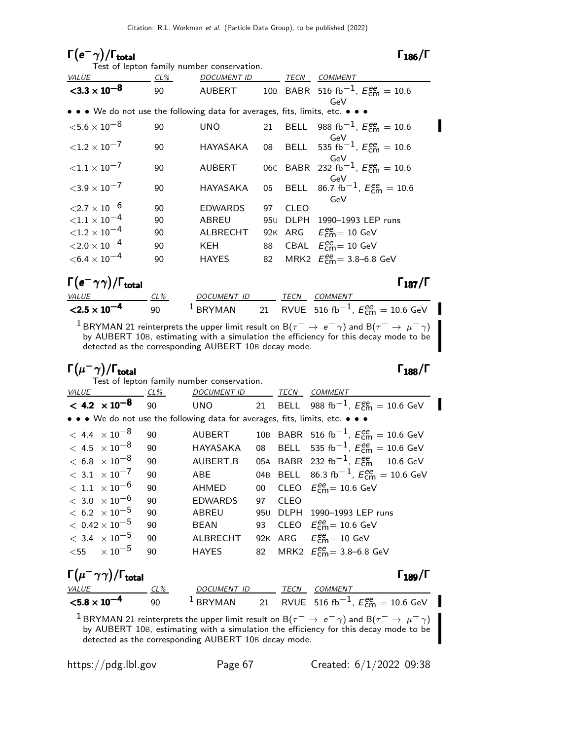### Γ $(e<sup>-</sup>γ)/Γ$ <sub>total</sub> Γ<sub>186</sub>/Γ

Π

|                                                                               |         | Test of lepton family number conservation. |     |             |                                                             |
|-------------------------------------------------------------------------------|---------|--------------------------------------------|-----|-------------|-------------------------------------------------------------|
| VALUE                                                                         | CL%     | <b>DOCUMENT ID</b>                         |     | TECN        | <b>COMMENT</b>                                              |
| $<$ 3.3 $\times$ 10 <sup>-8</sup>                                             | 90      | AUBERT                                     |     |             | 10B BABR 516 fb <sup>-1</sup> , $E_{cm}^{ee} = 10.6$        |
|                                                                               |         |                                            |     |             | GeV                                                         |
| • • • We do not use the following data for averages, fits, limits, etc. • • • |         |                                            |     |             |                                                             |
| ${<}5.6\times10^{-8}$                                                         | 90      | <b>UNO</b>                                 |     |             | 21 BELL 988 fb <sup>-1</sup> , $E_{cm}^{ee} = 10.6$         |
| ${<}1.2 \times 10^{-7}$                                                       | 90      | HAYASAKA                                   | 08  |             | GeV<br>BELL 535 fb <sup>-1</sup> , $E_{cm}^{ee} = 10.6$     |
| ${<}1.1 \times 10^{-7}$                                                       | 90      | <b>AUBERT</b>                              |     |             | GeV<br>06C BABR 232 fb <sup>-1</sup> , $E_{cm}^{ee} = 10.6$ |
| ${<}3.9\times10^{-7}$                                                         | 90      | HAYASAKA                                   | 05  |             | GeV<br>BELL 86.7 fb <sup>-1</sup> , $E_{cm}^{ee} = 10.6$    |
| ${<}2.7\times10^{-6}$                                                         | 90      | <b>EDWARDS</b>                             | 97  | <b>CLEO</b> | GeV                                                         |
| ${<}1.1\times10^{-4}$                                                         | 90      | <b>ABREU</b>                               | 95U | DLPH        | 1990-1993 LEP runs                                          |
| ${<}1.2\times10^{-4}$                                                         | 90      | ALBRECHT                                   | 92K |             | ARG $E_{\text{cm}}^{\text{ee}} = 10 \text{ GeV}$            |
| ${<}2.0\times10^{-4}$                                                         | 90      | KEH                                        | 88  |             | CBAL $E_{\text{cm}}^{\text{ee}} = 10 \text{ GeV}$           |
| $<$ 6.4 $\times$ 10 $^{-4}$                                                   | 90      | HAYES                                      | 82  |             | MRK2 $E_{cm}^{ee} = 3.8 - 6.8$ GeV                          |
| $\Gamma(e^-\gamma\gamma)/\Gamma_{\rm total}$                                  |         |                                            |     |             | $\Gamma_{187}/\Gamma$                                       |
| <b>VALUE</b>                                                                  | CL%     | DOCUMENT ID                                |     | TECN        | <b>COMMENT</b>                                              |
| $< 2.5 \times 10^{-4}$                                                        | T<br>90 | <b>BRYMAN</b>                              |     |             | 21 RVUE 516 fb <sup>-1</sup> , $E_{cm}^{ee} = 10.6$ GeV     |

<sup>1</sup> BRYMAN 21 reinterprets the upper limit result on B( $\tau$ <sup>−</sup> → e<sup>−</sup>  $\gamma$ ) and B( $\tau$ <sup>−</sup> →  $\mu$ <sup>−</sup>  $\gamma$ ) by AUBERT 10B, estimating with a simulation the efficiency for this decay mode to be detected as the corresponding AUBERT 10B decay mode.

### Γ $(\mu^- \gamma)$ /Γ<sub>total</sub> Γ $_{188}$ /Γ

|                                                                               |               | Test of lepton family number conservation. |        |             |                                                                                                                                          |
|-------------------------------------------------------------------------------|---------------|--------------------------------------------|--------|-------------|------------------------------------------------------------------------------------------------------------------------------------------|
| VALUE                                                                         | CL%           | <u>DOCUMENT ID</u>                         |        | <b>TECN</b> | <b>COMMENT</b>                                                                                                                           |
| $< 4.2 \times 10^{-8}$                                                        | 90            | <b>UNO</b>                                 |        |             | 21 BELL 988 fb <sup>-1</sup> , $E_{cm}^{ee} = 10.6$ GeV                                                                                  |
| • • • We do not use the following data for averages, fits, limits, etc. • • • |               |                                            |        |             |                                                                                                                                          |
| $< 4.4 \times 10^{-8}$                                                        | 90            | <b>AUBERT</b>                              |        |             | 10B BABR 516 fb <sup>-1</sup> , $E_{cm}^{ee} = 10.6$ GeV                                                                                 |
| $< 4.5 \times 10^{-8}$                                                        | 90            | HAYASAKA                                   | 08     |             | BELL 535 fb <sup>-1</sup> , $E_{cm}^{ee} = 10.6$ GeV                                                                                     |
| $< 6.8~\times 10^{-8}$                                                        | 90            | AUBERT, B                                  |        |             | 05A BABR 232 fb <sup>-1</sup> , $E_{cm}^{ee} = 10.6$ GeV                                                                                 |
| $< 3.1 \times 10^{-7}$                                                        | 90            | <b>ABE</b>                                 |        |             | 04B BELL 86.3 fb <sup>-1</sup> , $E_{cm}^{ee} = 10.6$ GeV                                                                                |
| $< 1.1 \times 10^{-6}$                                                        | 90            | AHMED                                      | $00\,$ |             | CLEO $E_{cm}^{ee} = 10.6$ GeV                                                                                                            |
| $< 3.0 \times 10^{-6}$                                                        | 90            | <b>EDWARDS</b>                             | 97     | <b>CLEO</b> |                                                                                                                                          |
| $< 6.2 \times 10^{-5}$                                                        | 90            | <b>ABREU</b>                               | 95U    |             | DLPH 1990-1993 LEP runs                                                                                                                  |
| $< 0.42 \times 10^{-5}$                                                       | 90            | <b>BEAN</b>                                | 93     |             | CLEO $E_{\text{cm}}^{\text{ee}} = 10.6 \text{ GeV}$                                                                                      |
| $< 3.4 \times 10^{-5}$                                                        | 90            | ALBRECHT                                   |        |             | 92K ARG $E_{cm}^{ee} = 10$ GeV                                                                                                           |
| $<$ 55 $\times 10^{-5}$                                                       | 90            | <b>HAYES</b>                               | 82     |             | MRK2 $E_{cm}^{ee} = 3.8 - 6.8$ GeV                                                                                                       |
| $\Gamma(\mu^-\gamma\gamma)/\Gamma_{\rm total}$                                |               |                                            |        |             | $\Gamma_{189}/\Gamma$                                                                                                                    |
| VALUE                                                                         | <u>__ CL%</u> | DOCUMENT ID                                |        | TECN        | COMMENT                                                                                                                                  |
| $< 5.8 \times 10^{-4}$                                                        | 90            |                                            |        |             | <sup>1</sup> BRYMAN 21 RVUE 516 fb <sup>-1</sup> , $E_{cm}^{ee} = 10.6$ GeV                                                              |
|                                                                               |               |                                            |        |             | $^{-1}$ BRYMAN 21 reinterprets the upper limit result on B $(\tau^-\rightarrow\,e^-\,\gamma)$ and B $(\tau^-\rightarrow\,\mu^-\,\gamma)$ |

<sup>1</sup> BRYMAN 21 reinterprets the upper limit result on B( $\tau$ <sup>−</sup> → e<sup>−</sup>  $\gamma$ ) and B( $\tau$ <sup>−</sup> →  $\mu$ <sup>−</sup>  $\gamma$ ) by AUBERT 10B, estimating with a simulation the efficiency for this decay mode to be detected as the corresponding AUBERT 10B decay mode.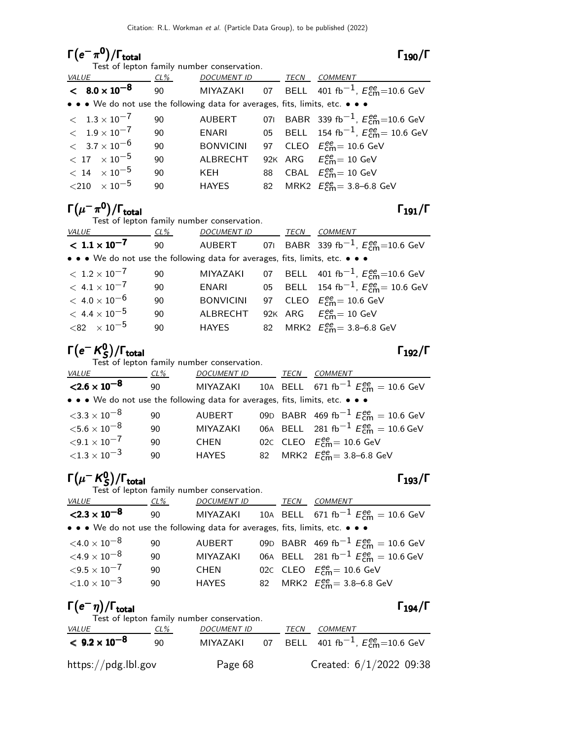### $\Gamma(e^-\pi^0)/\Gamma_{\rm total}$  Γ<sub>190</sub>/Γ total 190

|              |                             |      | Test of lepton family number conservation.                                                                            |      |                                                                 |
|--------------|-----------------------------|------|-----------------------------------------------------------------------------------------------------------------------|------|-----------------------------------------------------------------|
| <b>VALUE</b> |                             | CL%  | <b>DOCUMENT ID</b>                                                                                                    | TECN | COMMENT                                                         |
|              | $< 8.0 \times 10^{-8}$      | 90 — |                                                                                                                       |      | MIYAZAKI 07 BELL 401 fb <sup>-1</sup> , $E_{cm}^{ee}$ =10.6 GeV |
|              |                             |      | $\bullet \bullet \bullet$ We do not use the following data for averages, fits, limits, etc. $\bullet \bullet \bullet$ |      |                                                                 |
|              | $< 1.3 \times 10^{-7}$      | 90   | AUBERT                                                                                                                |      | 071 BABR 339 fb <sup>-1</sup> , $E_{cm}^{ee}$ =10.6 GeV         |
|              | $< 1.9 \times 10^{-7}$      | 90   | ENARI                                                                                                                 |      | 05 BELL 154 fb <sup>-1</sup> , $E_{cm}^{ee}$ = 10.6 GeV         |
|              | $< 3.7 \times 10^{-6}$      | 90   | <b>BONVICINI</b>                                                                                                      |      | 97 CLEO $E_{\text{cm}}^{ee} = 10.6$ GeV                         |
|              | $< 17 \times 10^{-5}$       | 90   | <b>ALBRECHT</b>                                                                                                       |      | 92K ARG $E_{\text{cm}}^{\text{ee}} = 10 \text{ GeV}$            |
|              | $< 14$ $\times 10^{-5}$     | 90   | KEH                                                                                                                   |      | 88 CBAL $E_{\text{cm}}^{ee} = 10 \text{ GeV}$                   |
|              | ${<}210$ $\times$ $10^{-5}$ | 90   | HAYES                                                                                                                 |      | 82 MRK2 $E_{cm}^{ee} = 3.8 - 6.8$ GeV                           |
|              |                             |      |                                                                                                                       |      |                                                                 |

# $\Gamma(\mu^-\pi^0)/\Gamma_{\rm total}$  Γ<sub>191</sub>/Γ

Test of lepton family number conservation.

|                                                                               |    | rest of reprofit family manuscritoriservation. |             |                                                         |
|-------------------------------------------------------------------------------|----|------------------------------------------------|-------------|---------------------------------------------------------|
| <i>VALUE</i><br>$CL\%$                                                        |    | <b>DOCUMENT ID</b>                             | <b>TECN</b> | <i>COMMENT</i>                                          |
| $< 1.1 \times 10^{-7}$                                                        | 90 | <b>AUBERT</b>                                  |             | 071 BABR 339 fb <sup>-1</sup> , $E_{cm}^{ee}$ =10.6 GeV |
| • • • We do not use the following data for averages, fits, limits, etc. • • • |    |                                                |             |                                                         |
| $< 1.2 \times 10^{-7}$                                                        | 90 | MIYAZAKI                                       |             | 07 BELL 401 fb <sup>-1</sup> , $E_{cm}^{ee}$ =10.6 GeV  |
| $< 4.1 \times 10^{-7}$                                                        | 90 | ENARI                                          |             | 05 BELL 154 fb <sup>-1</sup> , $E_{cm}^{ee}$ = 10.6 GeV |
| $<\,$ 4.0 $\times$ 10 $^{-6}$                                                 | 90 | <b>BONVICINI</b>                               |             | 97 CLEO $E_{cm}^{ee}$ = 10.6 GeV                        |
| $< 4.4 \times 10^{-5}$                                                        | 90 | <b>ALBRECHT</b>                                |             | 92K ARG $E_{cm}^{ee} = 10$ GeV                          |
| ${<}82 \times 10^{-5}$                                                        | 90 | HAYES                                          |             | 82 MRK2 $E_{cm}^{ee} = 3.8 - 6.8$ GeV                   |

### Γ $(e^ \mathcal{K}^0_S$  $\Gamma(e^{-}K_{S}^{0})/\Gamma_{\text{total}}$  Γ<sub>192</sub>/Γ

| Test of lepton family number conservation.                                    |    |                 |  |      |                                                                    |  |  |
|-------------------------------------------------------------------------------|----|-----------------|--|------|--------------------------------------------------------------------|--|--|
| VALUE CL%                                                                     |    | DOCUMENT ID     |  | TECN | COMMENT                                                            |  |  |
| $<$ 2.6 $\times$ 10 $^{-8}$                                                   |    |                 |  |      | 90 MIYAZAKI 10A BELL 671 fb <sup>-1</sup> $E_{cm}^{ee} = 10.6$ GeV |  |  |
| • • • We do not use the following data for averages, fits, limits, etc. • • • |    |                 |  |      |                                                                    |  |  |
| $<$ 3.3 $\times$ 10 $^{-8}$                                                   | 90 | AUBERT          |  |      | 09D BABR 469 fb <sup>-1</sup> $E_{cm}^{ee}$ = 10.6 GeV             |  |  |
| ${<}5.6\times10^{-8}$                                                         | 90 | <b>MIYAZAKI</b> |  |      | 06A BELL 281 fb <sup>-1</sup> $E_{cm}^{ee} = 10.6$ GeV             |  |  |
| ${<}9.1 \times 10^{-7}$                                                       | 90 | <b>CHEN</b>     |  |      | 02C CLEO $E_{cm}^{ee}$ = 10.6 GeV                                  |  |  |
| ${<}1.3\times10^{-3}$                                                         | 90 | <b>HAYES</b>    |  |      | 82 MRK2 $E_{cm}^{ee} = 3.8 - 6.8$ GeV                              |  |  |

### Γ $(\mu^-$  K $^0_S$  $\Gamma(\mu - K_S^0)/\Gamma_{\rm total}$  [193/Γ

| Test of lepton family number conservation.                                                                            |        |                    |  |             |                                                                        |  |  |
|-----------------------------------------------------------------------------------------------------------------------|--------|--------------------|--|-------------|------------------------------------------------------------------------|--|--|
| <i>VALUE</i>                                                                                                          | $CL\%$ | <b>DOCUMENT ID</b> |  | <b>TECN</b> | <b>COMMENT</b>                                                         |  |  |
| $<$ 2.3 $\times$ 10 <sup>-8</sup>                                                                                     | 90     |                    |  |             | MIYAZAKI 10A BELL 671 fb <sup>-1</sup> $E_{\text{cm}}^{ee}$ = 10.6 GeV |  |  |
| $\bullet \bullet \bullet$ We do not use the following data for averages, fits, limits, etc. $\bullet \bullet \bullet$ |        |                    |  |             |                                                                        |  |  |
| ${<}4.0\times10^{-8}$                                                                                                 | 90     | AUBERT             |  |             | 09D BABR 469 fb <sup>-1</sup> $E_{cm}^{ee}$ = 10.6 GeV                 |  |  |
| ${<}4.9\times10^{-8}$                                                                                                 | 90     | <b>MIYAZAKI</b>    |  |             | 06A BELL 281 fb <sup>-1</sup> $E_{cm}^{ee} = 10.6$ GeV                 |  |  |
| ${<}9.5\times10^{-7}$                                                                                                 | 90     | <b>CHEN</b>        |  |             | 02C CLEO $E_{\text{cm}}^{\text{ee}} = 10.6 \text{ GeV}$                |  |  |
| ${<}1.0\times10^{-3}$                                                                                                 | 90     | <b>HAYES</b>       |  |             | 82 MRK2 $E_{cm}^{ee} = 3.8 - 6.8$ GeV                                  |  |  |

### $\Gamma(e^-\eta)/\Gamma_{\rm total}$   $\Gamma_{194}/\Gamma$

|                        |     | Test of lepton family number conservation. |      |                                                                 |
|------------------------|-----|--------------------------------------------|------|-----------------------------------------------------------------|
| <i>VALUE</i>           | CL% | <b>DOCUMENT ID</b>                         | TECN | <i>COMMENT</i>                                                  |
| $< 9.2 \times 10^{-8}$ | 90  |                                            |      | MIYAZAKI 07 BELL 401 fb <sup>-1</sup> , $E_{cm}^{ee}$ =10.6 GeV |
| https://pdg.lbl.gov    |     | Page 68                                    |      | Created: $6/1/2022$ 09:38                                       |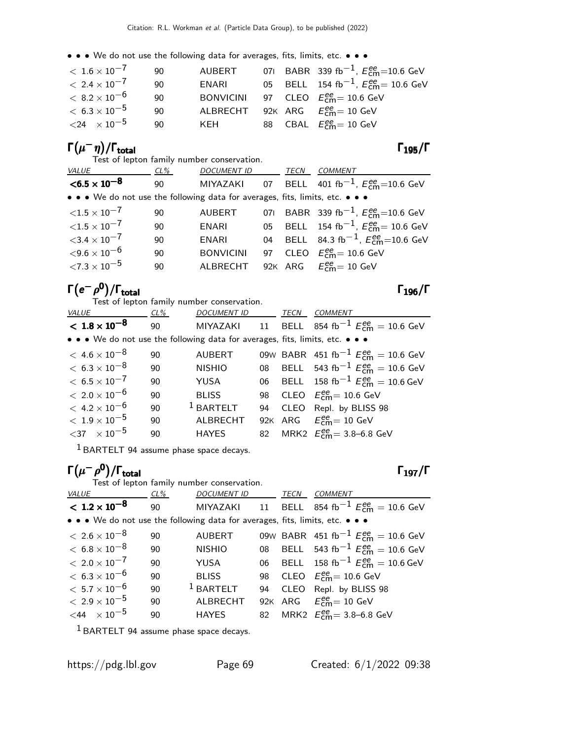• • • We do not use the following data for averages, fits, limits, etc. • • •

| $<\,1.6\times10^{-7}$   | 90 | AUBERT |  | 071 BABR 339 fb <sup>-1</sup> , $E_{cm}^{ee}$ =10.6 GeV |
|-------------------------|----|--------|--|---------------------------------------------------------|
| $< 2.4 \times 10^{-7}$  | 90 | ENARI  |  | 05 BELL 154 fb <sup>-1</sup> , $E_{cm}^{ee}$ = 10.6 GeV |
| $<\,8.2\times10^{-6}$   | 90 |        |  | BONVICINI 97 CLEO $E_{cm}^{ee} = 10.6$ GeV              |
| $<\rm~6.3\times10^{-5}$ | 90 |        |  | ALBRECHT 92K ARG $E_{cm}^{ee} = 10$ GeV                 |
| ${<}24 \times 10^{-5}$  | 90 | KFH    |  | 88 CBAL $E_{\text{cm}}^{\text{ee}} = 10 \text{ GeV}$    |

### $\Gamma(\mu^-\eta)/\Gamma_{\rm total}$  Γ<sub>195</sub>/Γ

Test of lepton family number conservation.

|  | -<br>٧<br>× |  |
|--|-------------|--|
|--|-------------|--|

|                             | rest or repton rammy number conservation.                                     |                    |      |                                                                 |
|-----------------------------|-------------------------------------------------------------------------------|--------------------|------|-----------------------------------------------------------------|
| <i>VALUE</i>                | CL%                                                                           | <b>DOCUMENT ID</b> | TECN | <b>COMMENT</b>                                                  |
| $<$ 6.5 $\times$ 10 $^{-8}$ | 90                                                                            |                    |      | MIYAZAKI 07 BELL 401 fb <sup>-1</sup> , $E_{cm}^{ee}$ =10.6 GeV |
|                             | • • • We do not use the following data for averages, fits, limits, etc. • • • |                    |      |                                                                 |
| ${<}1.5\times10^{-7}$       | 90                                                                            | <b>AUBERT</b>      |      | 071 BABR 339 fb <sup>-1</sup> , $E_{cm}^{ee}$ =10.6 GeV         |
| ${<}1.5\times10^{-7}$       | 90                                                                            | ENARI              |      | 05 BELL 154 fb <sup>-1</sup> , $E_{cm}^{ee}$ = 10.6 GeV         |
| ${<}3.4\times10^{-7}$       | 90                                                                            | ENARI              |      | 04 BELL 84.3 fb <sup>-1</sup> , $E_{cm}^{ee}$ =10.6 GeV         |
| ${<}9.6\times10^{-6}$       | 90                                                                            | <b>BONVICINI</b>   |      | 97 CLEO $E_{\text{cm}}^{\text{ee}} = 10.6 \text{ GeV}$          |
| ${<}7.3\times10^{-5}$       | 90                                                                            | ALBRECHT           |      | 92K ARG $E_{cm}^{ee} = 10$ GeV                                  |
|                             |                                                                               |                    |      |                                                                 |

# $\Gamma(e^-\rho^0)/\Gamma_{\rm total}$  Γ<sub>196</sub>/Γ

| Test of lepton family number conservation.                                    |      |                    |    |      |                                                                |  |  |  |
|-------------------------------------------------------------------------------|------|--------------------|----|------|----------------------------------------------------------------|--|--|--|
| <b>VALUE</b>                                                                  | CL % | <b>DOCUMENT ID</b> |    | TECN | COMMENT                                                        |  |  |  |
| $< 1.8 \times 10^{-8}$                                                        | 90   |                    |    |      | MIYAZAKI 11 BELL 854 fb <sup>-1</sup> $E_{cm}^{ee} = 10.6$ GeV |  |  |  |
| • • • We do not use the following data for averages, fits, limits, etc. • • • |      |                    |    |      |                                                                |  |  |  |
| $<\,$ 4.6 $\times$ 10 $^{-8}$                                                 | 90   | <b>AUBERT</b>      |    |      | 09W BABR 451 fb <sup>-1</sup> $E_{cm}^{ee}$ = 10.6 GeV         |  |  |  |
| $< 6.3 \times 10^{-8}$                                                        | 90   | <b>NISHIO</b>      |    |      | 08 BELL 543 fb <sup>-1</sup> $E_{cm}^{ee}$ = 10.6 GeV          |  |  |  |
| $< 6.5 \times 10^{-7}$                                                        | 90   | YUSA               |    |      | 06 BELL 158 fb <sup>-1</sup> $E_{cm}^{ee} = 10.6$ GeV          |  |  |  |
| $<\,2.0\times10^{-6}$                                                         | 90   | <b>BLISS</b>       |    |      | 98 CLEO $E_{cm}^{ee}$ = 10.6 GeV                               |  |  |  |
| $< 4.2 \times 10^{-6}$                                                        | 90   | $1$ BARTELT        | 94 |      | CLEO Repl. by BLISS 98                                         |  |  |  |
| $<\rm~1.9\times 10^{-5}$                                                      | 90   | <b>ALBRECHT</b>    |    |      | 92K ARG $E_{\text{cm}}^{ee} = 10 \text{ GeV}$                  |  |  |  |
| ${<}37$ $\times$ 10 <sup>-5</sup>                                             | 90   | <b>HAYES</b>       |    |      | 82 MRK2 $E_{cm}^{ee} = 3.8 - 6.8$ GeV                          |  |  |  |
|                                                                               |      |                    |    |      |                                                                |  |  |  |

1 BARTELT 94 assume phase space decays.

# $\Gamma(\mu^-\rho^{\mathbf{0}})/\Gamma_{\text{total}}$  Γ<sub>197</sub>/Γ

| Test of lepton family number conservation.                                    |      |                    |    |      |                                                                |  |  |
|-------------------------------------------------------------------------------|------|--------------------|----|------|----------------------------------------------------------------|--|--|
| VALUE                                                                         | CL % | <b>DOCUMENT ID</b> |    | TECN | <b>COMMENT</b>                                                 |  |  |
| $< 1.2 \times 10^{-8}$                                                        | 90   |                    |    |      | MIYAZAKI 11 BELL 854 fb <sup>-1</sup> $E_{cm}^{ee} = 10.6$ GeV |  |  |
| • • • We do not use the following data for averages, fits, limits, etc. • • • |      |                    |    |      |                                                                |  |  |
| $< 2.6 \times 10^{-8}$                                                        | 90   | <b>AUBERT</b>      |    |      | 09W BABR 451 fb <sup>-1</sup> $E_{cm}^{ee}$ = 10.6 GeV         |  |  |
| $< 6.8 \times 10^{-8}$                                                        | 90   | <b>NISHIO</b>      |    |      | 08 BELL 543 fb <sup>-1</sup> $E_{cm}^{ee}$ = 10.6 GeV          |  |  |
| $< 2.0 \times 10^{-7}$                                                        | 90   | YUSA               |    |      | 06 BELL 158 fb <sup>-1</sup> $E_{cm}^{ee}$ = 10.6 GeV          |  |  |
| $< 6.3 \times 10^{-6}$                                                        | 90   | <b>BLISS</b>       |    |      | 98 CLEO $E_{cm}^{ee}$ = 10.6 GeV                               |  |  |
| $< 5.7 \times 10^{-6}$                                                        | 90   | $1$ BARTELT        | 94 |      | CLEO Repl. by BLISS 98                                         |  |  |
| $< 2.9 \times 10^{-5}$                                                        | 90   | <b>ALBRECHT</b>    |    |      | 92K ARG $E_{\text{cm}}^{ee} = 10 \text{ GeV}$                  |  |  |
| $<$ 44 $\times 10^{-5}$                                                       | 90   | <b>HAYES</b>       |    |      | 82 MRK2 $E_{cm}^{ee} = 3.8 - 6.8$ GeV                          |  |  |

1 BARTELT 94 assume phase space decays.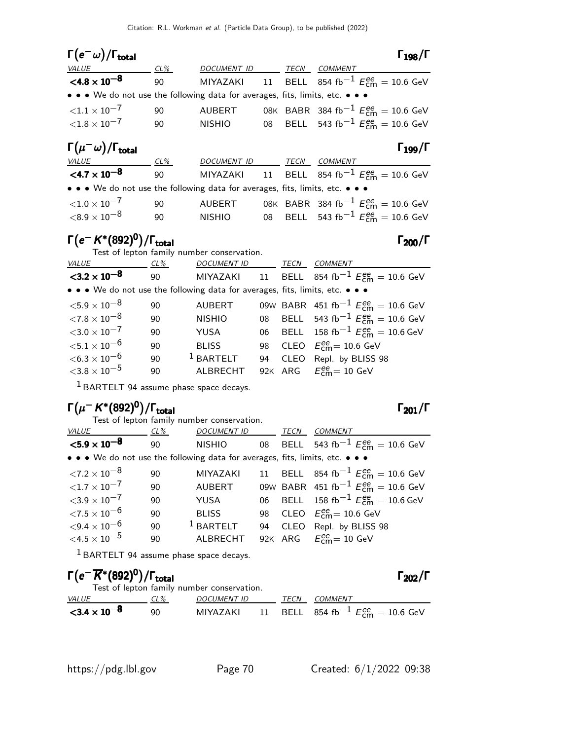| $\Gamma(e^-\omega)/\Gamma_{\rm total}$                                        |     |               |      | $\Gamma_{198}/\Gamma$                                                         |
|-------------------------------------------------------------------------------|-----|---------------|------|-------------------------------------------------------------------------------|
| VALUE                                                                         | CL% | DOCUMENT ID   | TECN | <b>COMMENT</b>                                                                |
| $<$ 4.8 $\times$ 10 <sup>-8</sup>                                             | 90  |               |      | MIYAZAKI 11 BELL 854 fb <sup>-1</sup> $E_{\text{cm}}^{ee} = 10.6 \text{ GeV}$ |
| • • • We do not use the following data for averages, fits, limits, etc. • • • |     |               |      |                                                                               |
| ${<}1.1 \times 10^{-7}$                                                       | 90  | <b>AUBERT</b> |      | 08K BABR 384 fb <sup>-1</sup> $E_{cm}^{ee}$ = 10.6 GeV                        |
| ${<}1.8\times10^{-7}$                                                         | 90  | NISHIO        |      | 08 BELL 543 fb <sup>-1</sup> $E_{cm}^{ee}$ = 10.6 GeV                         |
| $\Gamma(\mu^-\omega)/\Gamma_{\rm total}$                                      |     |               |      | $\Gamma_{199}/\Gamma$                                                         |
| VALUE                                                                         | CL% | DOCUMENT ID   | TECN | <b>COMMENT</b>                                                                |
| $<$ 4.7 $\times$ 10 <sup>-8</sup>                                             | 90  |               |      | MIYAZAKI 11 BELL 854 fb <sup>-1</sup> $E_{cm}^{ee} = 10.6$ GeV                |
| • • • We do not use the following data for averages, fits, limits, etc. • • • |     |               |      |                                                                               |

| ${<}1.0\times10^{-7}$ | 90. | AUBERT |  | 08K BABR 384 fb <sup>-1</sup> $E_{cm}^{ee} = 10.6$ GeV |
|-----------------------|-----|--------|--|--------------------------------------------------------|
| ${<}8.9\times10^{-8}$ | 90  | NISHIO |  | 08 BELL 543 fb <sup>-1</sup> $E_{cm}^{ee} = 10.6$ GeV  |

# $\Gamma(e^- K^*(892)^0)/\Gamma_{\rm total}$  Γ<sub>200</sub>/Γ

Test of lepton family number conservation.

| <i>VALUE</i>                                                                  | CL % | <b>DOCUMENT ID</b> | TECN | <b>COMMENT</b>                                         |
|-------------------------------------------------------------------------------|------|--------------------|------|--------------------------------------------------------|
| $<$ 3.2 $\times$ 10 <sup>-8</sup>                                             | 90   | MIYAZAKI           |      | 11 BELL 854 fb <sup>-1</sup> $E_{cm}^{ee}$ = 10.6 GeV  |
| • • • We do not use the following data for averages, fits, limits, etc. • • • |      |                    |      |                                                        |
| $<$ 5.9 $\times$ 10 $^{-8}$                                                   | 90   | <b>AUBERT</b>      |      | 09W BABR 451 fb <sup>-1</sup> $E_{cm}^{ee}$ = 10.6 GeV |
| ${<}7.8\times10^{-8}$                                                         | 90   | <b>NISHIO</b>      |      | 08 BELL 543 fb <sup>-1</sup> $E_{cm}^{ee}$ = 10.6 GeV  |
| ${<}3.0\times10^{-7}$                                                         | 90   | YUSA               |      | 06 BELL 158 fb <sup>-1</sup> $E_{cm}^{ee}$ = 10.6 GeV  |
| ${<}5.1\times10^{-6}$                                                         | 90   | <b>BLISS</b>       |      | 98 CLEO $E_{\text{cm}}^{\text{ee}} = 10.6 \text{ GeV}$ |
| $<$ 6.3 $\times$ 10 $^{-6}$                                                   | 90   | $1$ BARTELT        |      | 94 CLEO Repl. by BLISS 98                              |
| ${<}3.8\times10^{-5}$                                                         | 90   | ALBRECHT           |      | 92K ARG $E_{cm}^{ee} = 10$ GeV                         |
|                                                                               |      |                    |      |                                                        |

1 BARTELT 94 assume phase space decays.

# Γ $(\mu^- K^*(892)^0)/\Gamma_{\rm total}$ Γ $_{201}/\Gamma$

Test of lepton family number conservation.

| <b>VALUE</b>                                                                  | CL % | <b>DOCUMENT ID</b> |    | TECN | COMMENT                                                |
|-------------------------------------------------------------------------------|------|--------------------|----|------|--------------------------------------------------------|
| ${<}5.9\times10^{-8}$                                                         | 90   | <b>NISHIO</b>      |    |      | 08 BELL 543 fb <sup>-1</sup> $E_{cm}^{ee}$ = 10.6 GeV  |
| • • • We do not use the following data for averages, fits, limits, etc. • • • |      |                    |    |      |                                                        |
| $\langle 7.2\times10^{-8}$                                                    | 90   | MIYAZAKI           |    |      | 11 BELL 854 fb <sup>-1</sup> $E_{cm}^{ee}$ = 10.6 GeV  |
| ${<}1.7\times10^{-7}$                                                         | 90   | <b>AUBERT</b>      |    |      | 09W BABR 451 fb <sup>-1</sup> $E_{cm}^{ee}$ = 10.6 GeV |
| ${<}3.9\times10^{-7}$                                                         | 90   | YUSA               |    |      | 06 BELL 158 fb <sup>-1</sup> $E_{cm}^{ee}$ = 10.6 GeV  |
| ${<}7.5\times10^{-6}$                                                         | 90   | <b>BLISS</b>       |    |      | 98 CLEO $E_{\text{cm}}^{ee}$ = 10.6 GeV                |
| $<$ 9.4 $\times$ 10 $^{-6}$                                                   | 90   | $1$ BARTELT        | 94 | CLEO | Repl. by BLISS 98                                      |
| $\leq 4.5 \times 10^{-5}$                                                     | 90   | <b>ALBRECHT</b>    |    |      | 92K ARG $E_{cm}^{ee} = 10$ GeV                         |

1 BARTELT 94 assume phase space decays.

# $\Gamma(e^{-} \overline{K}^{*}(892)^{0})/\Gamma_{\mathrm{total}}$

| Test of lepton family number conservation. |        |             |  |      |                                                       |  |  |  |
|--------------------------------------------|--------|-------------|--|------|-------------------------------------------------------|--|--|--|
| <i>VALUE</i>                               | $CL\%$ | DOCUMENT ID |  | TECN | COMMENT                                               |  |  |  |
| ${<}3.4 \times 10^{-8}$                    | ۹N     | MIYAZAKI    |  |      | 11 BELL 854 fb <sup>-1</sup> $E_{cm}^{ee}$ = 10.6 GeV |  |  |  |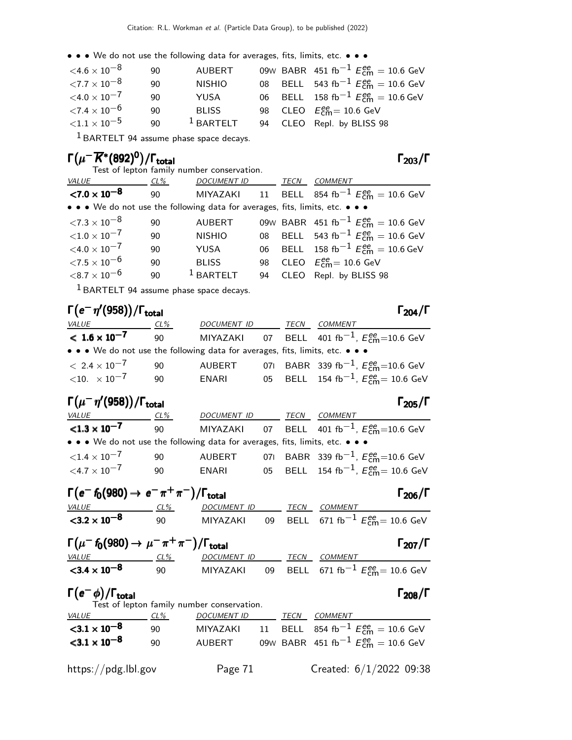• • • We do not use the following data for averages, fits, limits, etc. • • •

| $<$ 4.6 $\times$ 10 $^{-8}$ | -90 | AUBERT        |  | 09W BABR 451 fb <sup>-1</sup> $E_{cm}^{ee}$ = 10.6 GeV |
|-----------------------------|-----|---------------|--|--------------------------------------------------------|
| $<$ 7.7 $\times$ 10 $^{-8}$ | 90  | <b>NISHIO</b> |  | 08 BELL 543 fb <sup>-1</sup> $E_{cm}^{ee}$ = 10.6 GeV  |
| $<$ 4.0 $\times$ 10 $^{-7}$ | 90  | <b>YUSA</b>   |  | 06 BELL 158 fb <sup>-1</sup> $E_{cm}^{ee}$ = 10.6 GeV  |
| $<$ 7.4 $\times$ 10 $^{-6}$ | 90  | <b>BLISS</b>  |  | 98 CLEO $E_{\text{cm}}^{ee} = 10.6$ GeV                |
| ${<}1.1 \times 10^{-5}$     | 90  | $1$ BARTELT   |  | 94 CLEO Repl. by BLISS 98                              |

1 BARTELT 94 assume phase space decays.

# Γ $(\mu^-\overline{K}{}^*(892)^0)/\Gamma_{\text{total}}$

Test of lepton family number conservation.

| VALUE                                                                         | CL% | <b>DOCUMENT ID</b> | TECN | <b>COMMENT</b>                                                       |
|-------------------------------------------------------------------------------|-----|--------------------|------|----------------------------------------------------------------------|
| ${<}7.0 \times 10^{-8}$                                                       | 90  | MIYAZAKI           |      | 11 BELL 854 fb <sup>-1</sup> $E_{cm}^{ee}$ = 10.6 GeV                |
| • • • We do not use the following data for averages, fits, limits, etc. • • • |     |                    |      |                                                                      |
| $\langle 7.3\times10^{-8}$                                                    | 90  | <b>AUBERT</b>      |      | 09W BABR 451 fb <sup>-1</sup> $E_{cm}^{ee}$ = 10.6 GeV               |
| ${<}1.0\times10^{-7}$                                                         | 90  | <b>NISHIO</b>      |      | 08 BELL 543 fb <sup>-1</sup> $E_{cm}^{ee}$ = 10.6 GeV                |
| $<$ 4.0 $\times$ 10 $^{-7}$                                                   | 90  | YUSA               |      | 06 BELL 158 fb <sup>-1</sup> $E_{\text{cm}}^{ee} = 10.6 \text{ GeV}$ |
| ${<}7.5\times10^{-6}$                                                         | 90  | <b>BLISS</b>       |      | 98 CLEO $E_{\text{cm}}^{ee} = 10.6 \text{ GeV}$                      |
| $<$ 8.7 $\times$ 10 $^{-6}$                                                   | 90  | $1$ BARTELT        |      | 94 CLEO Repl. by BLISS 98                                            |
| 1 2 . 2 2 2 2 3 3 4 5 6 7 8                                                   |     |                    |      |                                                                      |

1 BARTELT 94 assume phase space decays.

### Γ $(e<sup>-</sup> η'(958))$ /Γ<sub>total</sub> Γ<sub>204</sub>/Γ  $\Gamma_{204}/\Gamma$ VALUE CL<sup>%</sup> DOCUMENT ID TECN COMMENT  $< 1.6 \times 10^{-7}$ 90 MIYAZAKI 07 BELL 401 fb $^{-1}$ ,  $E_{\rm cm}^{\rm ee}{=}$ 10.6 GeV • • • We do not use the following data for averages, fits, limits, etc. • • •  $\leq 2.4 \times 10^{-7}$  90 AUBERT 071 BABR 339 fb<sup>-1</sup>, E  $< 2.4 \times 10^{-7}$  90 AUBERT 07I BABR 339 fb $^{-1}$ ,  $E_{\rm cm}^{\rm ee}$ =10.6 GeV  $\langle 10. \times 10^{-7}$  90 ENARI 05 BELL 154 fb $^{-1}$ ,  $E_{\rm cm}^{\rm ee}$ = 10.6 GeV

| $\Gamma(\mu^-\eta'(958))/\Gamma_{\rm total}$                                  |     |                    |  |      | $\Gamma_{205}/\Gamma$                                                  |  |  |
|-------------------------------------------------------------------------------|-----|--------------------|--|------|------------------------------------------------------------------------|--|--|
| <i>VALUE</i>                                                                  | CL% | <b>DOCUMENT ID</b> |  | TECN | COMMENT                                                                |  |  |
| $< 1.3 \times 10^{-7}$                                                        | -90 |                    |  |      | MIYAZAKI 07 BELL 401 fb <sup>-1</sup> , $E_{\text{cm}}^{ee}$ =10.6 GeV |  |  |
| • • • We do not use the following data for averages, fits, limits, etc. • • • |     |                    |  |      |                                                                        |  |  |
| ${<}1.4\times10^{-7}$                                                         | 90  | AUBERT             |  |      | 071 BABR 339 fb <sup>-1</sup> , $E_{cm}^{ee}$ =10.6 GeV                |  |  |
| $<$ 4.7 $\times$ 10 $^{-7}$                                                   | 90  | ENARI              |  |      | 05 BELL 154 fb <sup>-1</sup> , $E_{cm}^{ee}$ = 10.6 GeV                |  |  |

|  |  | $\Gamma(e^ f_0(980) \rightarrow e^- \pi^+ \pi^-)/\Gamma_{\rm total}$ |  | $\Gamma_{206}/\Gamma$ |
|--|--|----------------------------------------------------------------------|--|-----------------------|
|--|--|----------------------------------------------------------------------|--|-----------------------|

 $\mathbf{A}$ 

| VALUE                             | CL% | <i>DOCUMENT ID</i> | TECN | <i>COMMENT</i>                                               |
|-----------------------------------|-----|--------------------|------|--------------------------------------------------------------|
| $<$ 3.2 $\times$ 10 <sup>-8</sup> | ۹N  |                    |      | MIYAZAKI 09 BELL 671 fb $^{-1}$ $E_{\rm cm}^{ee}$ = 10.6 GeV |

| $\Gamma(\mu^- \, \hbar (980) \to \mu^- \, \pi^+ \, \pi^-)/\Gamma_{\rm total}$ |             |              | $\Gamma_{207}/\Gamma$ |
|-------------------------------------------------------------------------------|-------------|--------------|-----------------------|
| 1/AIII                                                                        | DOCHMENT ID | TECN COMMENT |                       |

| <i>VALUE</i>            | CL% | DOCUMENT ID |  | <i>TECN COMMENT</i>                                            |
|-------------------------|-----|-------------|--|----------------------------------------------------------------|
| ${<}3.4 \times 10^{-8}$ | 90  |             |  | MIYAZAKI 09 BELL 671 fb <sup>-1</sup> $E_{cm}^{ee}$ = 10.6 GeV |

### Γ $(\rm{e}^{-}\,\rm{\phi})$ /Γ<sub>total</sub> επιτείται του προσπαθεί της προσπαθείας της προσπαθείας της προσπαθείας της προσπαθείας

| Test of lepton family number conservation. |        |                    |  |      |                                                        |  |
|--------------------------------------------|--------|--------------------|--|------|--------------------------------------------------------|--|
| <i>VALUE</i>                               | $CL\%$ | <b>DOCUMENT ID</b> |  | TECN | <i>COMMENT</i>                                         |  |
| $3.1 \times 10^{-8}$                       | 90     | MIYAZAKI           |  |      | 11 BELL 854 fb <sup>-1</sup> $E_{cm}^{ee}$ = 10.6 GeV  |  |
| ${<}3.1 \times 10^{-8}$                    | 90     | AUBERT             |  |      | 09W BABR 451 fb <sup>-1</sup> $E_{cm}^{ee}$ = 10.6 GeV |  |
|                                            |        |                    |  |      |                                                        |  |

https://pdg.lbl.gov Page 71 Created: 6/1/2022 09:38

### **al** Γ<sub>206</sub>/Γ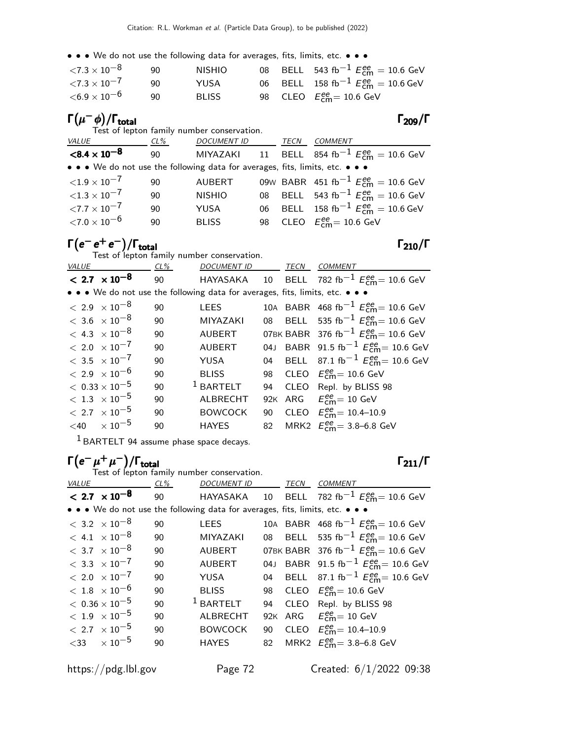• • • We do not use the following data for averages, fits, limits, etc. • • •

| $<$ 7.3 $\times$ 10 $^{-8}$          | ۹O | <b>NISHIO</b> |  | 08 BELL 543 fb <sup>-1</sup> $E_{cm}^{ee}$ = 10.6 GeV  |
|--------------------------------------|----|---------------|--|--------------------------------------------------------|
| $\langle 7.3 \times 10^{-7} \rangle$ | 90 | YUSA          |  | 06 BELL 158 fb <sup>-1</sup> $E_{cm}^{ee}$ = 10.6 GeV  |
| ${<}6.9\times10^{-6}$                | 90 | <b>BLISS</b>  |  | 98 CLEO $E_{\text{cm}}^{\text{ee}} = 10.6 \text{ GeV}$ |

### Γ $(\mu^-\phi)/\Gamma_{\rm total}$  Γ $_{209}/\Gamma$

|                                                                               |     | Test of lepton family number conservation. |  |      |                                                                 |
|-------------------------------------------------------------------------------|-----|--------------------------------------------|--|------|-----------------------------------------------------------------|
| <i>VALUE</i>                                                                  | CL% | <b>DOCUMENT ID</b>                         |  | TECN | <b>COMMENT</b>                                                  |
| $< 8.4 \times 10^{-8}$                                                        | 90  |                                            |  |      | MIYAZAKI 11 BELL 854 fb $^{-1}$ $E_{\text{cm}}^{ee}$ = 10.6 GeV |
| • • • We do not use the following data for averages, fits, limits, etc. • • • |     |                                            |  |      |                                                                 |
| ${<}1.9\times10^{-7}$                                                         | 90  | <b>AUBERT</b>                              |  |      | 09W BABR 451 fb <sup>-1</sup> $E_{cm}^{ee}$ = 10.6 GeV          |
| ${<}1.3\times10^{-7}$                                                         | 90  | <b>NISHIO</b>                              |  |      | 08 BELL 543 fb <sup>-1</sup> $E_{cm}^{ee}$ = 10.6 GeV           |
| ${<}7.7\times10^{-7}$                                                         | 90  | <b>YUSA</b>                                |  |      | 06 BELL 158 fb <sup>-1</sup> $E_{cm}^{ee}$ = 10.6 GeV           |
| ${<}7.0\times10^{-6}$                                                         | 90  | <b>BLISS</b>                               |  |      | 98 CLEO $E_{\text{cm}}^{\text{ee}} = 10.6 \text{ GeV}$          |

# $\Gamma(e^-\,e^+e^-)/\Gamma_{\rm total}$  Γ<sub>210</sub>/Γ

Test of lepton family number conservation.

| VALUE |                         | $CL\%$ | <b>DOCUMENT ID</b>                                                            |    | TECN | <b>COMMENT</b>                                                 |
|-------|-------------------------|--------|-------------------------------------------------------------------------------|----|------|----------------------------------------------------------------|
|       | $< 2.7 \times 10^{-8}$  | 90     | HAYASAKA                                                                      |    |      | 10 BELL 782 fb <sup>-1</sup> $E_{cm}^{ee}$ = 10.6 GeV          |
|       |                         |        | • • • We do not use the following data for averages, fits, limits, etc. • • • |    |      |                                                                |
|       | $< 2.9 \times 10^{-8}$  | 90     | <b>LEES</b>                                                                   |    |      | 10A BABR 468 fb <sup>-1</sup> $E_{cm}^{ee}$ = 10.6 GeV         |
|       | $< 3.6 \times 10^{-8}$  | 90     | MIYAZAKI                                                                      |    |      | 08 BELL 535 fb <sup>-1</sup> $E_{\text{cm}}^{ee}$ = 10.6 GeV   |
|       | $< 4.3 \times 10^{-8}$  | 90     | <b>AUBERT</b>                                                                 |    |      | 07BK BABR 376 fb <sup>-1</sup> $E_{\text{cm}}^{ee}$ = 10.6 GeV |
|       | $< 2.0 \times 10^{-7}$  | 90     | <b>AUBERT</b>                                                                 |    |      | 04J BABR 91.5 fb <sup>-1</sup> $E_{cm}^{ee}$ = 10.6 GeV        |
|       | $< 3.5 \times 10^{-7}$  | 90     | YUSA                                                                          |    |      | 04 BELL 87.1 fb <sup>-1</sup> $E_{cm}^{ee}$ = 10.6 GeV         |
|       | $< 2.9 \times 10^{-6}$  | 90     | <b>BLISS</b>                                                                  | 98 |      | CLEO $E_{\text{cm}}^{\text{ee}} = 10.6 \text{ GeV}$            |
|       | $< 0.33 \times 10^{-5}$ | 90     | $1$ BARTELT                                                                   | 94 |      | CLEO Repl. by BLISS 98                                         |
|       | $< 1.3 \times 10^{-5}$  | 90     | <b>ALBRECHT</b>                                                               |    |      | 92K ARG $E_{cm}^{ee} = 10$ GeV                                 |
|       | $< 2.7 \times 10^{-5}$  | 90     | <b>BOWCOCK</b>                                                                | 90 |      | CLEO $E_{cm}^{ee} = 10.4 - 10.9$                               |
|       | $<$ 40 $\times 10^{-5}$ | 90     | <b>HAYES</b>                                                                  |    |      | 82 MRK2 $E_{cm}^{ee} = 3.8 - 6.8$ GeV                          |
|       |                         |        |                                                                               |    |      |                                                                |

<sup>1</sup> BARTELT 94 assume phase space decays.

# $\Gamma(e^-\mu^+\mu^-)/\Gamma_{\rm total}$  Γ<sub>211</sub>/Γ

Test of lepton family number conservation.

| VALUE                                                                         |                                   | CL% | <b>DOCUMENT ID</b> |    | TECN | <b>COMMENT</b>                                                 |  |  |  |  |  |  |
|-------------------------------------------------------------------------------|-----------------------------------|-----|--------------------|----|------|----------------------------------------------------------------|--|--|--|--|--|--|
|                                                                               | $< 2.7 \times 10^{-8}$            | 90  |                    |    |      | HAYASAKA 10 BELL 782 fb <sup>-1</sup> $E_{cm}^{ee}$ = 10.6 GeV |  |  |  |  |  |  |
| • • • We do not use the following data for averages, fits, limits, etc. • • • |                                   |     |                    |    |      |                                                                |  |  |  |  |  |  |
|                                                                               | $< 3.2 \times 10^{-8}$            | 90  | <b>LEES</b>        |    |      | 10A BABR 468 fb <sup>-1</sup> $E_{cm}^{ee}$ = 10.6 GeV         |  |  |  |  |  |  |
|                                                                               | $< 4.1 \times 10^{-8}$            | 90  | <b>MIYAZAKI</b>    |    |      | 08 BELL 535 fb <sup>-1</sup> $E_{cm}^{ee}$ = 10.6 GeV          |  |  |  |  |  |  |
|                                                                               | $<$ 3.7 $\times$ 10 <sup>-8</sup> | 90  | <b>AUBERT</b>      |    |      | 07BK BABR 376 fb <sup>-1</sup> $E_{cm}^{ee}$ = 10.6 GeV        |  |  |  |  |  |  |
|                                                                               | $< 3.3 \times 10^{-7}$            | 90  | <b>AUBERT</b>      |    |      | 04J BABR 91.5 fb <sup>-1</sup> $E_{\text{cm}}^{ee}$ = 10.6 GeV |  |  |  |  |  |  |
|                                                                               | $< 2.0 \times 10^{-7}$            | 90  | YUSA               |    |      | 04 BELL 87.1 fb <sup>-1</sup> $E_{\text{cm}}^{ee}$ = 10.6 GeV  |  |  |  |  |  |  |
|                                                                               | $<\,1.8\phantom{0}\times 10^{-6}$ | 90  | <b>BLISS</b>       | 98 |      | CLEO $E_{\text{cm}}^{\text{ee}} = 10.6 \text{ GeV}$            |  |  |  |  |  |  |
|                                                                               | $<\,0.36\times10^{-5}$            | 90  | $1$ BARTELT        | 94 |      | CLEO Repl. by BLISS 98                                         |  |  |  |  |  |  |
|                                                                               | $<\,1.9\phantom{0}\times10^{-5}$  | 90  | <b>ALBRECHT</b>    |    |      | 92K ARG $E_{\text{cm}}^{ee} = 10 \text{ GeV}$                  |  |  |  |  |  |  |
|                                                                               | $< 2.7 \times 10^{-5}$            | 90  | <b>BOWCOCK</b>     | 90 |      | CLEO $E_{cm}^{ee} = 10.4 - 10.9$                               |  |  |  |  |  |  |
|                                                                               | $<$ 33 $\times 10^{-5}$           | 90  | <b>HAYES</b>       | 82 |      | MRK2 $E_{cm}^{ee} = 3.8 - 6.8$ GeV                             |  |  |  |  |  |  |
|                                                                               |                                   |     |                    |    |      |                                                                |  |  |  |  |  |  |

https://pdg.lbl.gov Page 72 Created: 6/1/2022 09:38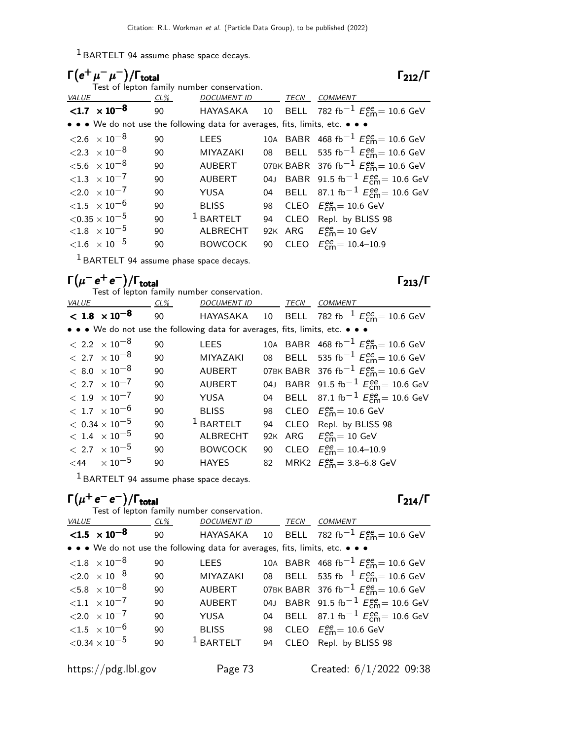1 BARTELT 94 assume phase space decays.

| $\Gamma(e^+\mu^-\mu^-)/\Gamma_{\rm total}$                                    |     | Test of lepton family number conservation. |     |      | $\Gamma_{212}/\Gamma$                                          |
|-------------------------------------------------------------------------------|-----|--------------------------------------------|-----|------|----------------------------------------------------------------|
| VALUE                                                                         | CL% | <b>DOCUMENT ID</b>                         |     | TECN | <i>COMMENT</i>                                                 |
| $< 1.7 \times 10^{-8}$                                                        | 90  |                                            |     |      | HAYASAKA 10 BELL 782 fb <sup>-1</sup> $E_{cm}^{ee}$ = 10.6 GeV |
| • • • We do not use the following data for averages, fits, limits, etc. • • • |     |                                            |     |      |                                                                |
| $\langle 2.6 \times 10^{-8}$                                                  | 90  | <b>LEES</b>                                |     |      | 10A BABR 468 fb <sup>-1</sup> $E_{cm}^{ee}$ = 10.6 GeV         |
| $\langle 2.3 \times 10^{-8} \rangle$                                          | 90  | <b>MIYAZAKI</b>                            |     |      | 08 BELL 535 fb <sup>-1</sup> $E_{cm}^{ee}$ = 10.6 GeV          |
| ${<}5.6 \times 10^{-8}$                                                       | 90  | <b>AUBERT</b>                              |     |      | 07BK BABR 376 fb <sup>-1</sup> $E_{cm}^{ee}$ = 10.6 GeV        |
| ${1.3 \times 10^{-7}}$                                                        | 90  | <b>AUBERT</b>                              |     |      | 04J BABR 91.5 fb <sup>-1</sup> $E_{cm}^{ee}$ = 10.6 GeV        |
| $\langle 2.0 \times 10^{-7}$                                                  | 90  | YUSA                                       |     |      | 04 BELL 87.1 fb <sup>-1</sup> $E_{cm}^{ee}$ = 10.6 GeV         |
| ${<}1.5 \times 10^{-6}$                                                       | 90  | <b>BLISS</b>                               | 98  |      | CLEO $E_{\text{cm}}^{\text{ee}} = 10.6 \text{ GeV}$            |
| $<$ 0.35 $\times$ 10 $^{-5}$                                                  | 90  | $1$ BARTELT                                | 94  | CLEO | Repl. by BLISS 98                                              |
| ${<}1.8$ $\times$ 10 <sup>-5</sup>                                            | 90  | ALBRECHT                                   | 92K |      | ARG $E_{cm}^{ee} = 10$ GeV                                     |
| ${<}1.6 \times 10^{-5}$                                                       | 90  | <b>BOWCOCK</b>                             | 90  |      | CLEO $E_{cm}^{ee} = 10.4 - 10.9$                               |
|                                                                               |     |                                            |     |      |                                                                |

 $<sup>1</sup>$  BARTELT 94 assume phase space decays.</sup>

## $\Gamma(\mu^- \, {\sf e}^+ \, {\sf e}^-)/\Gamma_{\sf total}$

Test of lepton family number conservation.

|                                                                               |     | rest or repton raminy number conservation. |    |      |                                                         |
|-------------------------------------------------------------------------------|-----|--------------------------------------------|----|------|---------------------------------------------------------|
| VALUE                                                                         | CL% | <b>DOCUMENT ID</b>                         |    | TECN | <b>COMMENT</b>                                          |
| $< 1.8 \times 10^{-8}$                                                        | 90  | HAYASAKA                                   |    |      | 10 BELL 782 fb <sup>-1</sup> $E_{cm}^{ee}$ = 10.6 GeV   |
| • • • We do not use the following data for averages, fits, limits, etc. • • • |     |                                            |    |      |                                                         |
| $< 2.2 \times 10^{-8}$                                                        | 90  | LEES                                       |    |      | 10A BABR 468 fb <sup>-1</sup> $E_{cm}^{ee}$ = 10.6 GeV  |
| $< 2.7 \times 10^{-8}$                                                        | 90  | <b>MIYAZAKI</b>                            |    |      | 08 BELL 535 fb <sup>-1</sup> $E_{cm}^{ee}$ = 10.6 GeV   |
| $< 8.0 \times 10^{-8}$                                                        | 90  | <b>AUBERT</b>                              |    |      | 07BK BABR 376 fb <sup>-1</sup> $E_{cm}^{ee}$ = 10.6 GeV |
| $< 2.7 \times 10^{-7}$                                                        | 90  | <b>AUBERT</b>                              |    |      | 04J BABR 91.5 fb <sup>-1</sup> $E_{cm}^{ee}$ = 10.6 GeV |
| $< 1.9 \times 10^{-7}$                                                        | 90  | YUSA                                       |    |      | 04 BELL 87.1 fb <sup>-1</sup> $E_{cm}^{ee}$ = 10.6 GeV  |
| $<\,1.7\phantom{0}\times 10^{-6}$                                             | 90  | <b>BLISS</b>                               |    |      | 98 CLEO $E_{\text{cm}}^{ee}$ = 10.6 GeV                 |
| $< 0.34 \times 10^{-5}$                                                       | 90  | $1$ BARTELT                                | 94 |      | CLEO Repl. by BLISS 98                                  |
| $<\,1.4\phantom{0}\times10^{-5}$                                              | 90  | <b>ALBRECHT</b>                            |    |      | 92K ARG $E_{\text{cm}}^{ee} = 10 \text{ GeV}$           |
| $< 2.7 \times 10^{-5}$                                                        | 90  | <b>BOWCOCK</b>                             | 90 |      | CLEO $E_{\text{cm}}^{\text{ee}} = 10.4 - 10.9$          |
| $<$ 44 $\times 10^{-5}$                                                       | 90  | <b>HAYES</b>                               | 82 |      | MRK2 $E_{cm}^{ee} = 3.8 - 6.8$ GeV                      |
|                                                                               |     |                                            |    |      |                                                         |

1 BARTELT 94 assume phase space decays.

## $\Gamma(\mu^+e^-e^-)/\Gamma_{\rm total}$  Γ<sub>214</sub>/Γ

|              |                                   |     | Test of lepton family number conservation.                                    |    |      |                                                                       |
|--------------|-----------------------------------|-----|-------------------------------------------------------------------------------|----|------|-----------------------------------------------------------------------|
| <b>VALUE</b> |                                   | CL% | <b>DOCUMENT ID</b>                                                            |    | TECN | <b>COMMENT</b>                                                        |
|              | $< 1.5 \times 10^{-8}$            | 90  |                                                                               |    |      | HAYASAKA 10 BELL 782 fb <sup>-1</sup> $E_{\text{cm}}^{ee}$ = 10.6 GeV |
|              |                                   |     | • • • We do not use the following data for averages, fits, limits, etc. • • • |    |      |                                                                       |
|              | $< 1.8$ $\times 10^{-8}$          | 90  | <b>LEES</b>                                                                   |    |      | 10A BABR 468 fb <sup>-1</sup> $E_{cm}^{ee}$ = 10.6 GeV                |
|              | ${<}2.0 \times 10^{-8}$           | 90  | <b>MIYAZAKI</b>                                                               |    |      | 08 BELL 535 fb <sup>-1</sup> $E_{\text{cm}}^{ee}$ = 10.6 GeV          |
|              | $<$ 5.8 $\times$ 10 $^{-8}$       | 90  | <b>AUBERT</b>                                                                 |    |      | 07BK BABR 376 fb <sup>-1</sup> $E_{\text{cm}}^{ee}$ = 10.6 GeV        |
|              | ${<}1.1 \times 10^{-7}$           | 90  | <b>AUBERT</b>                                                                 |    |      | 04J BABR 91.5 fb <sup>-1</sup> $E_{cm}^{ee}$ = 10.6 GeV               |
|              | $< 2.0 \times 10^{-7}$            | 90  | YUSA                                                                          | 04 |      | BELL 87.1 fb <sup>-1</sup> $E_{\text{cm}}^{ee}$ = 10.6 GeV            |
|              | $<$ 1.5 $\times$ 10 <sup>-6</sup> | 90  | <b>BLISS</b>                                                                  |    |      | 98 CLEO $E_{\text{cm}}^{ee}$ = 10.6 GeV                               |
|              | ${<}0.34\times10^{-5}$            | 90  | $1$ BARTELT                                                                   | 94 |      | CLEO Repl. by BLISS 98                                                |
|              | https://pdg.lbl.gov               |     | Page 73                                                                       |    |      | Created: 6/1/2022 09:38                                               |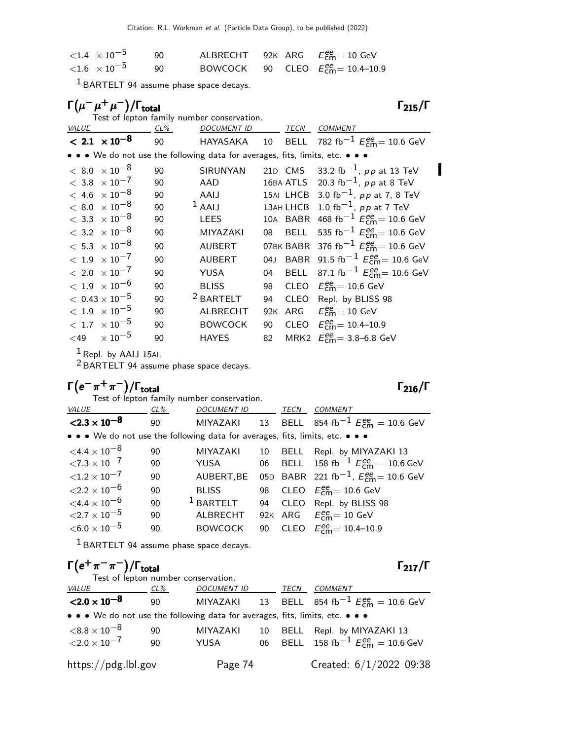| $<$ 1.4 $\,\times$ 10 $^{-5}$ | 90 |  | ALBRECHT 92K ARG $E_{cm}^{ee} = 10$ GeV    |
|-------------------------------|----|--|--------------------------------------------|
| $<$ 1.6 $\,\times$ 10 $^{-5}$ | 90 |  | BOWCOCK 90 CLEO $E_{cm}^{ee} = 10.4$ -10.9 |

1 BARTELT 94 assume phase space decays.

|              | $\Gamma(\mu^-\mu^+\mu^-)/\Gamma_{\rm total}$ |     |                                                                                                                                      |                 |             | $\Gamma_{215}/\Gamma$                                 |
|--------------|----------------------------------------------|-----|--------------------------------------------------------------------------------------------------------------------------------------|-----------------|-------------|-------------------------------------------------------|
| <b>VALUE</b> |                                              | CL% | Test of lepton family number conservation.<br><b>DOCUMENT ID</b>                                                                     |                 | TECN        | <b>COMMENT</b>                                        |
|              | $< 2.1 \times 10^{-8}$                       | 90  | HAYASAKA                                                                                                                             | 10 <sup>1</sup> |             | BELL 782 fb <sup>-1</sup> $E_{cm}^{ee}$ = 10.6 GeV    |
|              |                                              |     | $\bullet\,\bullet\,\bullet\,$ We do not use the following data for averages, fits, limits, etc. $\bullet\,\bullet\,\bullet\,\bullet$ |                 |             |                                                       |
|              | $< 8.0 \times 10^{-8}$                       | 90  | SIRUNYAN                                                                                                                             |                 | 21D CMS     | 33.2 fb <sup>-1</sup> , pp at 13 TeV                  |
|              | $< 3.8 \times 10^{-7}$                       | 90  | AAD                                                                                                                                  |                 |             | 16BA ATLS 20.3 fb <sup>-1</sup> , pp at 8 TeV         |
|              | $< 4.6 \times 10^{-8}$                       | 90  | AAIJ                                                                                                                                 |                 |             | 15AI LHCB 3.0 fb <sup>-1</sup> , pp at 7, 8 TeV       |
|              | $< 8.0 \times 10^{-8}$                       | 90  | $1$ AAIJ                                                                                                                             |                 |             | 13AH LHCB 1.0 fb <sup>-1</sup> , pp at 7 TeV          |
|              | $< 3.3 \times 10^{-8}$                       | 90  | LEES                                                                                                                                 |                 | 10A BABR    | 468 fb <sup>-1</sup> $E_{cm}^{ee}$ = 10.6 GeV         |
|              | $<\,$ 3.2 $\,\times 10^{-8}$                 | 90  | <b>MIYAZAKI</b>                                                                                                                      | 08              | <b>BELL</b> | 535 fb <sup>-1</sup> $E_{cm}^{ee}$ = 10.6 GeV         |
|              | $<\,5.3\phantom{0}\times 10^{-8}$            | 90  | <b>AUBERT</b>                                                                                                                        |                 | 07BK BABR   | 376 fb <sup>-1</sup> $E_{cm}^{ee}$ = 10.6 GeV         |
|              | $<\,1.9\phantom{0}\times 10^{-7}$            | 90  | <b>AUBERT</b>                                                                                                                        | 04J             | <b>BABR</b> | 91.5 fb <sup>-1</sup> $E_{cm}^{ee}$ = 10.6 GeV        |
|              | $< 2.0 \times 10^{-7}$                       | 90  | YUSA                                                                                                                                 | 04              | <b>BELL</b> | 87.1 fb <sup>-1</sup> $E_{\text{cm}}^{ee}$ = 10.6 GeV |
|              | $<\,1.9\phantom{0}\times10^{-6}$             | 90  | <b>BLISS</b>                                                                                                                         | 98              |             | CLEO $E_{cm}^{ee}$ = 10.6 GeV                         |
|              | $< 0.43 \times 10^{-5}$                      | 90  | <sup>2</sup> BARTELT                                                                                                                 | 94              |             | CLEO Repl. by BLISS 98                                |
|              | $<\,1.9\phantom{0}\times10^{-5}$             | 90  | <b>ALBRECHT</b>                                                                                                                      | 92K             | ARG         | $E_{\rm cm}^{\rm ee}$ = 10 GeV                        |
|              | $<\rm~1.7~\times 10^{-5}$                    | 90  | <b>BOWCOCK</b>                                                                                                                       | 90              |             | CLEO $E_{cm}^{ee} = 10.4 - 10.9$                      |
| $~<$ 49      | $\times$ 10 $^{-5}$                          | 90  | <b>HAYES</b>                                                                                                                         | 82              |             | MRK2 $E_{\text{cm}}^{ee} = 3.8 - 6.8 \text{ GeV}$     |

 $1$  Repl. by AAIJ 15AI.

 $2$  BARTELT 94 assume phase space decays.

| $\Gamma(e^-\pi^+\pi^-)/\Gamma_{\rm total}$ |        |                                                                               |    |             | $\Gamma_{216}/\Gamma$                                          |
|--------------------------------------------|--------|-------------------------------------------------------------------------------|----|-------------|----------------------------------------------------------------|
|                                            |        | Test of lepton family number conservation.                                    |    |             |                                                                |
| <b>VALUE</b>                               | $CL\%$ | <b>DOCUMENT ID</b>                                                            |    | TECN        | <b>COMMENT</b>                                                 |
| $<$ 2.3 $\times$ 10 <sup>-8</sup>          | 90     |                                                                               |    |             | MIYAZAKI 13 BELL 854 fb <sup>-1</sup> $E_{cm}^{ee} = 10.6$ GeV |
|                                            |        | • • • We do not use the following data for averages, fits, limits, etc. • • • |    |             |                                                                |
| $\leq 4.4 \times 10^{-8}$                  | 90     | <b>MIYAZAKI</b>                                                               | 10 | BELL        | Repl. by MIYAZAKI 13                                           |
| $\langle 7.3 \times 10^{-7} \rangle$       | 90     | YUSA                                                                          |    |             | 06 BELL 158 fb <sup>-1</sup> $E_{cm}^{ee}$ = 10.6 GeV          |
| ${<}1.2 \times 10^{-7}$                    | 90     | AUBERT, BE                                                                    |    |             | 05D BABR 221 fb <sup>-1</sup> , $E_{cm}^{ee}$ = 10.6 GeV       |
| ${<}2.2\times10^{-6}$                      | 90     | <b>BLISS</b>                                                                  | 98 |             | CLEO $E_{\text{cm}}^{ee} = 10.6 \text{ GeV}$                   |
| $\leq 4.4 \times 10^{-6}$                  | 90     | $1$ BARTELT                                                                   | 94 | <b>CLEO</b> | Repl. by BLISS 98                                              |
| ${<}2.7\times10^{-5}$                      | 90     | <b>ALBRECHT</b>                                                               |    |             | 92K ARG $E_{\text{cm}}^{\text{ee}} = 10 \text{ GeV}$           |
| ${<}6.0\times10^{-5}$                      | 90     | <b>BOWCOCK</b>                                                                | 90 |             | CLEO $E_{cm}^{ee} = 10.4 - 10.9$                               |

1 BARTELT 94 assume phase space decays.

| $\Gamma(e^+\pi^-\pi^-)/\Gamma_{\rm total}$                                    |        |                                     |    |      | $\Gamma_{217}/\Gamma$                                                         |
|-------------------------------------------------------------------------------|--------|-------------------------------------|----|------|-------------------------------------------------------------------------------|
|                                                                               |        | Test of lepton number conservation. |    |      |                                                                               |
| <i>VALUE</i>                                                                  | $CL\%$ | <b>DOCUMENT ID</b>                  |    | TECN | COMMENT                                                                       |
| $<$ 2.0 $\times$ 10 <sup>-8</sup>                                             | 90     |                                     |    |      | MIYAZAKI 13 BELL 854 fb <sup>-1</sup> $E_{\text{cm}}^{ee} = 10.6 \text{ GeV}$ |
| • • • We do not use the following data for averages, fits, limits, etc. • • • |        |                                     |    |      |                                                                               |
| ${<}8.8\times10^{-8}$                                                         | 90     | <b>MIYAZAKI</b>                     | 10 | BELL | Repl. by MIYAZAKI 13                                                          |
| ${<}2.0\times10^{-7}$                                                         | 90     | YUSA                                |    |      | 06 BELL 158 fb <sup>-1</sup> $E_{cm}^{ee}$ = 10.6 GeV                         |
| $\frac{https://pdg.1b1.gov}{%$                                                |        | Page 74                             |    |      | Created: $6/1/2022$ 09:38                                                     |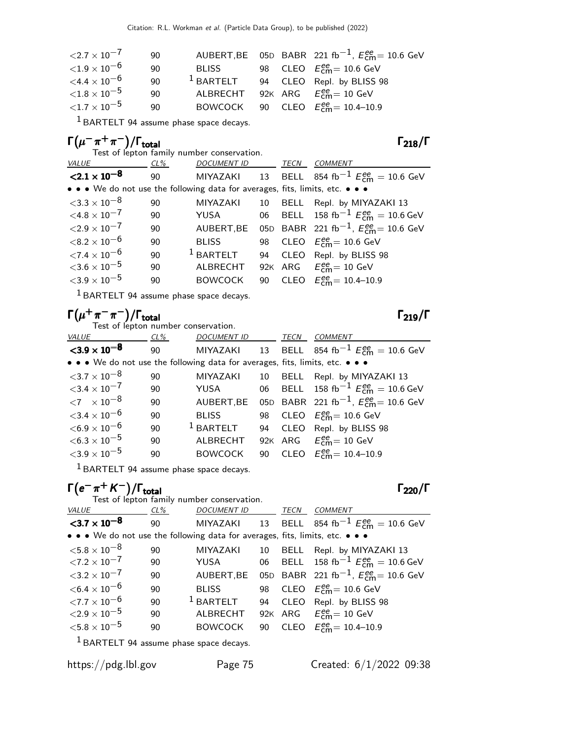| ${<}2.7\times10^{-7}$ | 90 |              |  | AUBERT, BE 05D BABR 221 fb <sup>-1</sup> , $E_{cm}^{ee}$ = 10.6 GeV |
|-----------------------|----|--------------|--|---------------------------------------------------------------------|
| ${<}1.9\times10^{-6}$ | 90 | <b>BLISS</b> |  | 98 CLEO $E_{\text{cm}}^{ee}$ = 10.6 GeV                             |
| ${<}4.4\times10^{-6}$ | 90 | $1$ BARTELT  |  | 94 CLEO Repl. by BLISS 98                                           |
| ${<}1.8\times10^{-5}$ | 90 |              |  | ALBRECHT 92K ARG $E_{cm}^{ee} = 10$ GeV                             |
| ${<}1.7\times10^{-5}$ | 90 |              |  | BOWCOCK 90 CLEO $E_{cm}^{ee} = 10.4 - 10.9$                         |

1 BARTELT 94 assume phase space decays.

## $\Gamma(\mu^-\pi^+\pi^-)/\Gamma_{\rm total}$  Γ<sub>218</sub>/Γ

Test of lepton family number conservation.

| <i>VALUE</i>                         | $CL\%$ | <b>DOCUMENT ID</b>                                                            |    | TECN | <b>COMMENT</b>                                                 |
|--------------------------------------|--------|-------------------------------------------------------------------------------|----|------|----------------------------------------------------------------|
| $\langle 2.1 \times 10^{-8} \rangle$ | 90     |                                                                               |    |      | MIYAZAKI 13 BELL 854 fb <sup>-1</sup> $E_{cm}^{ee} = 10.6$ GeV |
|                                      |        | • • • We do not use the following data for averages, fits, limits, etc. • • • |    |      |                                                                |
| $<$ 3.3 $\times$ 10 $^{-8}$          | 90     | <b>MIYAZAKI</b>                                                               | 10 |      | BELL Repl. by MIYAZAKI 13                                      |
| $\leq 4.8 \times 10^{-7}$            | 90     | YUSA                                                                          |    |      | 06 BELL 158 fb <sup>-1</sup> $E_{cm}^{ee} = 10.6$ GeV          |
| $<$ 2.9 $\times$ 10 $^{-7}$          | 90     | AUBERT, BE                                                                    |    |      | 05D BABR 221 fb <sup>-1</sup> , $E_{cm}^{ee}$ = 10.6 GeV       |
| $<$ 8.2 $\times$ 10 $^{-6}$          | 90     | <b>BLISS</b>                                                                  |    |      | 98 CLEO $E_{\text{cm}}^{\text{ee}} = 10.6 \text{ GeV}$         |
| ${<}7.4\times10^{-6}$                | 90     | $1$ BARTELT                                                                   |    |      | 94 CLEO Repl. by BLISS 98                                      |
| ${<}3.6\times10^{-5}$                | 90     | <b>ALBRECHT</b>                                                               |    |      | 92K ARG $E_{cm}^{ee} = 10$ GeV                                 |
| ${<}3.9\times10^{-5}$                | 90     | <b>BOWCOCK</b>                                                                |    |      | 90 CLEO $E_{cm}^{ee} = 10.4 - 10.9$                            |
|                                      |        |                                                                               |    |      |                                                                |

1 BARTELT 94 assume phase space decays.

## $\Gamma(\mu^+\pi^-\pi^-)/\Gamma_{\rm total}$  Γ<sub>219</sub>/Γ

Test of lepton number conservation.

| <b>VALUE</b>                                                                  | CL% | <b>DOCUMENT ID</b> |    | <b>TECN</b> | COMMENT                                                         |
|-------------------------------------------------------------------------------|-----|--------------------|----|-------------|-----------------------------------------------------------------|
| ${<}3.9\times10^{-8}$                                                         | 90  | MIYAZAKI           |    |             | 13 BELL 854 fb <sup>-1</sup> $E_{cm}^{ee}$ = 10.6 GeV           |
| • • • We do not use the following data for averages, fits, limits, etc. • • • |     |                    |    |             |                                                                 |
| $<$ 3.7 $\times$ 10 $^{-8}$                                                   | 90  | <b>MIYAZAKI</b>    | 10 |             | BELL Repl. by MIYAZAKI 13                                       |
| ${<}3.4\times10^{-7}$                                                         | 90  | YUSA               |    |             | 06 BELL 158 fb <sup>-1</sup> $E_{cm}^{ee}$ = 10.6 GeV           |
| $\langle 7 \times 10^{-8} \rangle$                                            | 90  | AUBERT, BE         |    |             | 05D BABR 221 fb <sup>-1</sup> , $E_{\text{cm}}^{ee}$ = 10.6 GeV |
| ${<}3.4\times10^{-6}$                                                         | 90  | <b>BLISS</b>       |    |             | 98 CLEO $E_{\text{cm}}^{\text{ee}} = 10.6 \text{ GeV}$          |
| $<$ 6.9 $\times$ 10 <sup>-6</sup>                                             | 90  | $1$ BARTELT        | 94 |             | CLEO Repl. by BLISS 98                                          |
| $<$ 6.3 $\times$ 10 $^{-5}$                                                   | 90  | ALBRECHT           |    |             | 92K ARG $E_{cm}^{ee} = 10$ GeV                                  |
| ${<}3.9\times10^{-5}$                                                         | 90  | <b>BOWCOCK</b>     | 90 |             | CLEO $E_{cm}^{ee} = 10.4 - 10.9$                                |

1 BARTELT 94 assume phase space decays.

## $\Gamma(e^{-}\pi^{+} K^{-})/\Gamma_{\text{total}}$  Γ<sub>220</sub>/Γ

|                                      |      | Test of lepton family number conservation.                                    |    |      |                                                                |
|--------------------------------------|------|-------------------------------------------------------------------------------|----|------|----------------------------------------------------------------|
| <b>VALUE</b>                         | CL % | <b>DOCUMENT ID</b>                                                            |    | TECN | <b>COMMENT</b>                                                 |
| ${<}3.7\times10^{-8}$                | 90   |                                                                               |    |      | MIYAZAKI 13 BELL 854 fb <sup>-1</sup> $E_{cm}^{ee} = 10.6$ GeV |
|                                      |      | • • • We do not use the following data for averages, fits, limits, etc. • • • |    |      |                                                                |
| ${<}5.8\times10^{-8}$                | 90   | <b>MIYAZAKI</b>                                                               | 10 |      | BELL Repl. by MIYAZAKI 13                                      |
| $\langle 7.2 \times 10^{-7} \rangle$ | 90   | YUSA                                                                          |    |      | 06 BELL 158 fb <sup>-1</sup> $E_{cm}^{ee}$ = 10.6 GeV          |
| $3.2 \times 10^{-7}$                 | 90   | AUBERT, BE                                                                    |    |      | 05D BABR 221 fb <sup>-1</sup> , $E_{cm}^{ee}$ = 10.6 GeV       |
| $<$ 6.4 $\times$ 10 $^{-6}$          | 90   | <b>BLISS</b>                                                                  |    |      | 98 CLEO $E_{\text{cm}}^{ee} = 10.6$ GeV                        |
| ${<}7.7\times10^{-6}$                | 90   | $1$ BARTELT                                                                   |    |      | 94 CLEO Repl. by BLISS 98                                      |
| ${<}2.9\times10^{-5}$                | 90   | ALBRECHT                                                                      |    |      | 92K ARG $E_{cm}^{ee} = 10$ GeV                                 |
| ${<}5.8\times10^{-5}$                | 90   | <b>BOWCOCK</b>                                                                | 90 |      | CLEO $E_{cm}^{ee} = 10.4 - 10.9$                               |
|                                      |      | $1$ RARTELT 04 accume phase space decays                                      |    |      |                                                                |

BARTELT 94 assume phase space decays.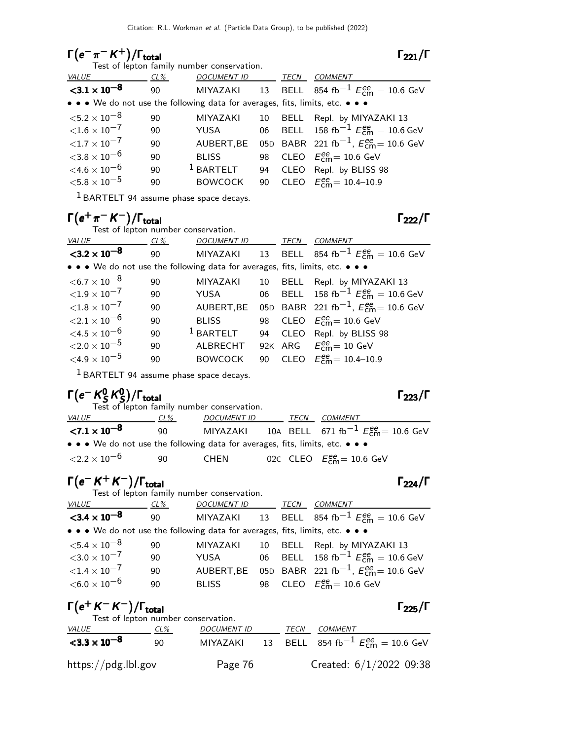# $\Gamma(e^-\pi^-K^+)/\Gamma_{\text{total}}$   $\Gamma_{221}/\Gamma$

Test of lepton family number conservation.

| <b>VALUE</b>                | $CL\%$ | DOCUMENT ID                                                                   |    | TECN | <b>COMMENT</b>                                                  |
|-----------------------------|--------|-------------------------------------------------------------------------------|----|------|-----------------------------------------------------------------|
| ${<}3.1 \times 10^{-8}$     | 90     |                                                                               |    |      | MIYAZAKI 13 BELL 854 fb <sup>-1</sup> $E_{cm}^{ee}$ = 10.6 GeV  |
|                             |        | • • • We do not use the following data for averages, fits, limits, etc. • • • |    |      |                                                                 |
| $<$ 5.2 $\times$ 10 $^{-8}$ | 90     | <b>MIYAZAKI</b>                                                               | 10 |      | BELL Repl. by MIYAZAKI 13                                       |
| ${<}1.6\times10^{-7}$       | 90     | YUSA                                                                          |    |      | 06 BELL 158 fb <sup>-1</sup> $E_{cm}^{ee}$ = 10.6 GeV           |
| ${<}1.7\times10^{-7}$       | 90     | AUBERT, BE                                                                    |    |      | 05D BABR 221 fb <sup>-1</sup> , $E_{\text{cm}}^{ee}$ = 10.6 GeV |
| ${<}3.8\times10^{-6}$       | 90     | <b>BLISS</b>                                                                  |    |      | 98 CLEO $E_{\text{cm}}^{ee}$ = 10.6 GeV                         |
| $\leq 4.6 \times 10^{-6}$   | 90     | $1$ BARTELT                                                                   |    |      | 94 CLEO Repl. by BLISS 98                                       |
| ${<}5.8\times10^{-5}$       | 90     | <b>BOWCOCK</b>                                                                | 90 |      | CLEO $E_{\text{cm}}^{\text{ee}} = 10.4 - 10.9$                  |
|                             |        |                                                                               |    |      |                                                                 |

 $^{1}$  BARTELT 94 assume phase space decays.

## $\Gamma(e^+\pi^- K^-)/\Gamma_{\rm total}$  Γ<sub>222</sub>/Γ

Test of lepton number conservation.

| <b>VALUE</b>                                                                  | $CL\%$ | <b>DOCUMENT ID</b> |    | <b>TECN</b> | <b>COMMENT</b>                                           |
|-------------------------------------------------------------------------------|--------|--------------------|----|-------------|----------------------------------------------------------|
| $<$ 3.2 $\times$ 10 <sup>-8</sup>                                             | 90     | MIYAZAKI           |    |             | 13 BELL 854 fb <sup>-1</sup> $E_{cm}^{ee}$ = 10.6 GeV    |
| • • • We do not use the following data for averages, fits, limits, etc. • • • |        |                    |    |             |                                                          |
| $<$ 6.7 $\times$ 10 $^{-8}$                                                   | 90     | <b>MIYAZAKI</b>    | 10 | BELL        | Repl. by MIYAZAKI 13                                     |
| ${<}1.9\times10^{-7}$                                                         | 90     | YUSA               | 06 |             | BELL 158 fb <sup>-1</sup> $E_{cm}^{ee} = 10.6$ GeV       |
| ${<}1.8\times10^{-7}$                                                         | 90     | AUBERT, BE         |    |             | 05D BABR 221 fb <sup>-1</sup> , $E_{cm}^{ee}$ = 10.6 GeV |
| ${<}2.1\times10^{-6}$                                                         | 90     | <b>BLISS</b>       |    |             | 98 CLEO $E_{\text{cm}}^{\text{ee}} = 10.6 \text{ GeV}$   |
| $\leq 4.5 \times 10^{-6}$                                                     | 90     | $1$ BARTELT        | 94 |             | CLEO Repl. by BLISS 98                                   |
| ${<}2.0\times10^{-5}$                                                         | 90     | <b>ALBRECHT</b>    |    |             | 92K ARG $E_{\text{cm}}^{ee} = 10 \text{ GeV}$            |
| $\leq 4.9 \times 10^{-5}$                                                     | 90     | <b>BOWCOCK</b>     | 90 |             | CLEO $E_{cm}^{ee} = 10.4 - 10.9$                         |

1 BARTELT 94 assume phase space decays.

### Γ $(e^-$  K $^0_S$  $^{\mathsf{0}}$  K  $^{\mathsf{0}}$ Γ $(e - K_S^0 K_S^0)/\Gamma_{\text{total}}$  Γ<sub>223</sub>/Γ

|                                                                                                                       |     | Test of lepton family number conservation. |      |                                                                 |
|-----------------------------------------------------------------------------------------------------------------------|-----|--------------------------------------------|------|-----------------------------------------------------------------|
| <i>VALUE</i>                                                                                                          | CL% | DOCUMENT ID                                | TECN | COMMENT                                                         |
| ${<}7.1 \times 10^{-8}$                                                                                               | 90. |                                            |      | MIYAZAKI 10A BELL 671 fb <sup>-1</sup> $E_{cm}^{ee}$ = 10.6 GeV |
| $\bullet \bullet \bullet$ We do not use the following data for averages, fits, limits, etc. $\bullet \bullet \bullet$ |     |                                            |      |                                                                 |
| $<$ 2.2 $\times$ 10 $^{-6}$                                                                                           | -90 | CHEN                                       |      | 02C CLEO $E_{\text{cm}}^{\text{ee}} = 10.6 \text{ GeV}$         |

## $\Gamma(e^- K^+ K^-)/\Gamma_{\text{total}}$  Γ<sub>224</sub>/Γ

| Test of lepton family number conservation.                                    |    |                    |    |      |                                                                |  |  |
|-------------------------------------------------------------------------------|----|--------------------|----|------|----------------------------------------------------------------|--|--|
| <i>VALUE</i><br>$CL\%$                                                        |    | <b>DOCUMENT ID</b> |    | TECN | <b>COMMENT</b>                                                 |  |  |
| ${<}3.4 \times 10^{-8}$                                                       | 90 |                    |    |      | MIYAZAKI 13 BELL 854 fb <sup>-1</sup> $E_{cm}^{ee}$ = 10.6 GeV |  |  |
| • • • We do not use the following data for averages, fits, limits, etc. • • • |    |                    |    |      |                                                                |  |  |
| ${<}5.4\times10^{-8}$                                                         | 90 | MIYAZAKI           | 10 |      | BELL Repl. by MIYAZAKI 13                                      |  |  |
| ${<}3.0\times10^{-7}$                                                         | 90 | YUSA               |    |      | 06 BELL 158 fb <sup>-1</sup> $E_{cm}^{ee}$ = 10.6 GeV          |  |  |
| ${<}1.4 \times 10^{-7}$                                                       | 90 | AUBERT, BE         |    |      | 05D BABR 221 fb <sup>-1</sup> , $E_{cm}^{ee}$ = 10.6 GeV       |  |  |
| $<$ 6.0 $\times$ 10 $^{-6}$                                                   | 90 | <b>BLISS</b>       |    |      | 98 CLEO $E_{\text{cm}}^{\text{ee}} = 10.6 \text{ GeV}$         |  |  |
|                                                                               |    |                    |    |      |                                                                |  |  |

## $\Gamma(e^+ K^- K^-)/\Gamma_{\rm total}$  Γ<sub>225</sub>/Γ

| Test of lepton number conservation. |     |                    |             |                                                       |
|-------------------------------------|-----|--------------------|-------------|-------------------------------------------------------|
| <i>VALUE</i>                        | CL% | <b>DOCUMENT ID</b> | <i>TECN</i> | COMMENT                                               |
| $<$ 3.3 $\times$ 10 <sup>-8</sup>   | 90  | MIYAZAKI           |             | 13 BELL 854 fb <sup>-1</sup> $E_{cm}^{ee}$ = 10.6 GeV |
| https://pdg.lbl.gov                 |     | Page 76            |             | Created: $6/1/2022$ 09:38                             |

### $\Gamma_{221}/\Gamma$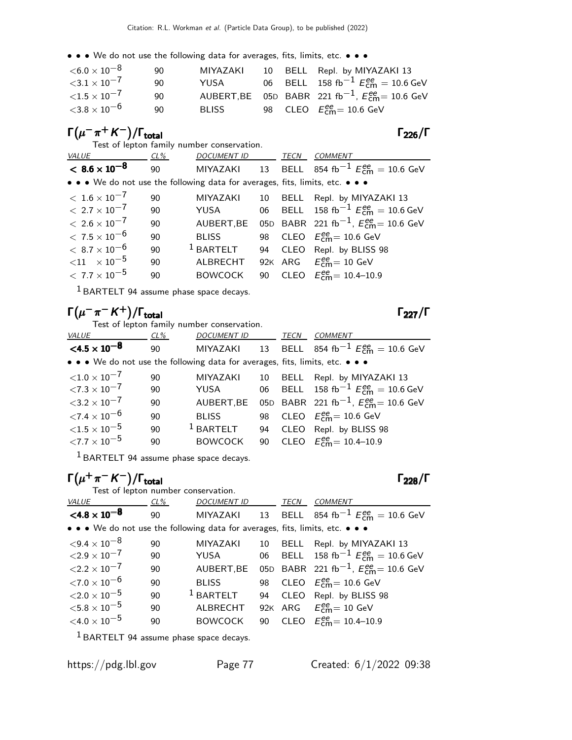• • • We do not use the following data for averages, fits, limits, etc. • • •

| ${<}6.0\times10^{-8}$ | 90 | MIYAZAKI     |  | 10 BELL Repl. by MIYAZAKI 13                                        |
|-----------------------|----|--------------|--|---------------------------------------------------------------------|
| ${<}3.1\times10^{-7}$ | 90 | YUSA         |  | 06 BELL 158 fb <sup>-1</sup> $E_{cm}^{ee}$ = 10.6 GeV               |
| ${<}1.5\times10^{-7}$ | 90 |              |  | AUBERT, BE 05D BABR 221 fb <sup>-1</sup> , $E_{cm}^{ee}$ = 10.6 GeV |
| ${<}3.8\times10^{-6}$ | 90 | <b>BLISS</b> |  | 98 CLEO $E_{\text{cm}}^{\text{ee}}$ = 10.6 GeV                      |

## $\Gamma(\mu^-\pi^+ K^-)/\Gamma_{\rm total}$  Γ<sub>226</sub>/Γ

Test of lepton family number conservation.

| <b>VALUE</b>                                                                  | CL% | <b>DOCUMENT ID</b> |    | TECN | <b>COMMENT</b>                                           |
|-------------------------------------------------------------------------------|-----|--------------------|----|------|----------------------------------------------------------|
| $< 8.6 \times 10^{-8}$                                                        | 90  | MIYAZAKI           |    |      | 13 BELL 854 fb <sup>-1</sup> $E_{cm}^{ee}$ = 10.6 GeV    |
| • • • We do not use the following data for averages, fits, limits, etc. • • • |     |                    |    |      |                                                          |
| $<\,1.6\times10^{-7}$                                                         | 90  | <b>MIYAZAKI</b>    | 10 | BELL | Repl. by MIYAZAKI 13                                     |
| $< 2.7 \times 10^{-7}$                                                        | 90  | YUSA               |    |      | 06 BELL 158 fb <sup>-1</sup> $E_{cm}^{ee}$ = 10.6 GeV    |
| $< 2.6 \times 10^{-7}$                                                        | 90  | AUBERT, BE         |    |      | 05D BABR 221 fb <sup>-1</sup> , $E_{cm}^{ee}$ = 10.6 GeV |
| $< 7.5 \times 10^{-6}$                                                        | 90  | <b>BLISS</b>       |    |      | 98 CLEO $E_{\text{cm}}^{ee} = 10.6$ GeV                  |
| $< 8.7 \times 10^{-6}$                                                        | 90  | $1$ BARTELT        |    |      | 94 CLEO Repl. by BLISS 98                                |
| ${11 \times 10^{-5}}$                                                         | 90  | <b>ALBRECHT</b>    |    |      | 92K ARG $E_{\text{cm}}^{ee} = 10 \text{ GeV}$            |
| $< 7.7 \times 10^{-5}$                                                        | 90  | <b>BOWCOCK</b>     |    |      | 90 CLEO $E_{cm}^{ee} = 10.4 - 10.9$                      |

 $<sup>1</sup>$  BARTELT 94 assume phase space decays.</sup>

## $\Gamma(\mu^-\pi^-K^+) / \Gamma_{\text{total}}$  Γ<sub>227</sub>/Γ

Test of lepton family number conservation.

| VALUE                                                                         | CL% | <b>DOCUMENT ID</b> |    | TECN | COMMENT                                                              |
|-------------------------------------------------------------------------------|-----|--------------------|----|------|----------------------------------------------------------------------|
| $\leq 4.5 \times 10^{-8}$                                                     | 90  | MIYAZAKI           |    |      | 13 BELL 854 fb <sup>-1</sup> $E_{cm}^{ee}$ = 10.6 GeV                |
| • • • We do not use the following data for averages, fits, limits, etc. • • • |     |                    |    |      |                                                                      |
| ${<}1.0\times10^{-7}$                                                         | 90  | <b>MIYAZAKI</b>    | 10 |      | BELL Repl. by MIYAZAKI 13                                            |
| $\langle 7.3 \times 10^{-7} \rangle$                                          | 90  | YUSA               |    |      | 06 BELL 158 fb <sup>-1</sup> $E_{\text{cm}}^{ee} = 10.6 \text{ GeV}$ |
| $3.2 \times 10^{-7}$                                                          | 90  | AUBERT, BE         |    |      | 05D BABR 221 fb <sup>-1</sup> , $E_{cm}^{ee}$ = 10.6 GeV             |
| ${<}7.4\times10^{-6}$                                                         | 90  | <b>BLISS</b>       |    |      | 98 CLEO $E_{\text{cm}}^{ee}$ = 10.6 GeV                              |
| ${<}1.5\times10^{-5}$                                                         | 90  | $1$ BARTELT        | 94 |      | CLEO Repl. by BLISS 98                                               |
| ${<}7.7\times10^{-5}$                                                         | 90  | <b>BOWCOCK</b>     | 90 |      | CLEO $E_{cm}^{ee} = 10.4 - 10.9$                                     |

1 BARTELT 94 assume phase space decays.

## $\Gamma(\mu^+\pi^- K^-)/\Gamma_{\rm total}$  Γ<sub>228</sub>/Γ

Test of lepton number conservation.<br>VALUE CL% DOCUMENT CL% DOCUMENT ID TECN COMMENT  $<$ 4.8  $\times$  10<sup>-8</sup> 90 MIYAZAKI 13 BELL 854 fb $^{-1}$   $E_{\textsf{cm}}^{ee} = 10.6 \text{ GeV}$ • • • We do not use the following data for averages, fits, limits, etc. • • •  $\leq 9.4 \times 10^{-8}$  90 MIYAZAKI 10 BELL Repl. by MIY  $\langle 9.4 \times 10^{-8}$  90 MIYAZAKI 10 BELL Repl. by MIYAZAKI 13<br> $\langle 2.9 \times 10^{-7}$  90 YUSA 06 BELL 158 fb<sup>-1</sup> E<sup>e</sup>m = 10.6 (  $\angle 2.9 \times 10^{-7}$  90 YUSA 06 BELL 158 fb<sup>-1</sup>  $E_{\text{cm}}^{ee} = 10.6$  GeV  $\langle 2.2 \times 10^{-7}$  90 AUBERT,BE 05D BABR 221 fb $^{-1}$ ,  $E_{\text{cm}}^{ee} = 10.6$  GeV  $\langle 7.0 \times 10^{-6}$  90 BLISS 98<br> $\langle 2.0 \times 10^{-5}$  90 <sup>1</sup> BARTELT 94  $_{\text{cm}}^{ee}$ = 10.6 GeV 90  $\,$   $\,$  1 BARTELT 94  $\,$  CLEO Repl. by BLISS 98<br>90  $\,$  ALBRECHT 92K ARG  $E_{cm}^{ee} = 10 \,$  GeV  $<\!\!5.8\times10^{-5}$ ee<br>cm= 10 GeV  $<$ 4.0  $\times$  10<sup>-5</sup> 90 BOWCOCK 90  $_{cm}^{ee}$  = 10.4–10.9

 $<sup>1</sup>$  BARTELT 94 assume phase space decays.</sup>

total228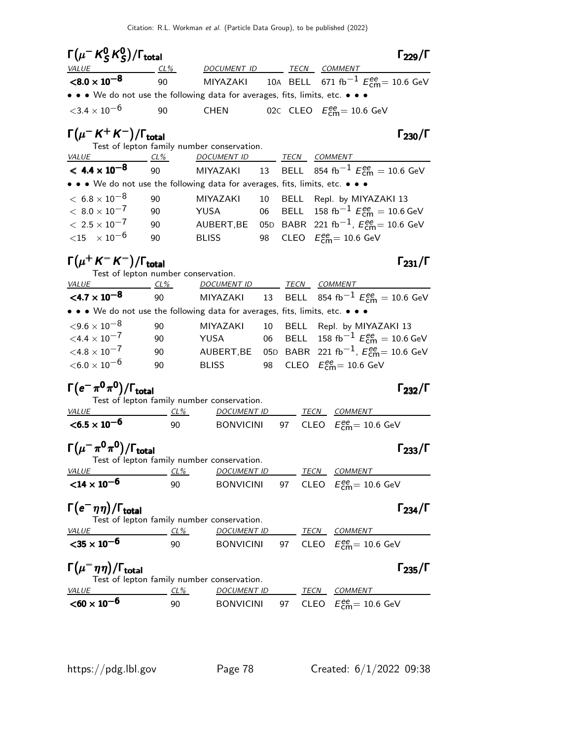| $\Gamma(\mu^ K^0_S$ $K^0_S)$ / $\Gamma_{\rm total}$                               |              |                                            |    |             | $\Gamma_{229}/\Gamma$                                                      |
|-----------------------------------------------------------------------------------|--------------|--------------------------------------------|----|-------------|----------------------------------------------------------------------------|
| <i>VALUE</i><br>$< 8.0 \times 10^{-8}$                                            | $CL\%$<br>90 | DOCUMENT ID TECN COMMENT                   |    |             |                                                                            |
| • • • We do not use the following data for averages, fits, limits, etc. • • •     |              |                                            |    |             | MIYAZAKI 10A BELL 671 $\text{fb}^{-1}$ $E_{\text{cm}}^{ee}$ = 10.6 GeV     |
|                                                                                   |              |                                            |    |             |                                                                            |
| ${<}3.4\times10^{-6}$                                                             | 90           | <b>CHEN</b>                                |    |             | 02c CLEO $E_{\text{cm}}^{ee}$ = 10.6 GeV                                   |
| $\Gamma(\mu^-$ K <sup>+</sup> K <sup>-</sup> )/ $\Gamma_{\rm total}$              |              | Test of lepton family number conservation. |    |             | $\Gamma_{230}/\Gamma$                                                      |
| $VALUE$ CL%                                                                       |              | DOCUMENT ID TECN COMMENT                   |    |             |                                                                            |
| $< 4.4 \times 10^{-8}$                                                            | 90           |                                            |    |             | MIYAZAKI 13 BELL 854 fb $^{-1}$ $E_\mathsf{cm}^{ee} =$ 10.6 GeV            |
| • • • We do not use the following data for averages, fits, limits, etc. • • •     |              |                                            |    |             |                                                                            |
| $<\,6.8\times10^{-8}$                                                             | 90           | MIYAZAKI                                   | 10 |             | BELL Repl. by MIYAZAKI 13                                                  |
| $< 8.0 \times 10^{-7}$                                                            | 90           | YUSA                                       | 06 | <b>BELL</b> | 158 fb <sup>-1</sup> $E_{\text{cm}}^{ee}$ = 10.6 GeV                       |
| $< 2.5 \times 10^{-7}$                                                            | 90           |                                            |    |             | AUBERT, BE 05D BABR 221 fb <sup>-1</sup> , $E_{\text{cm}}^{ee}$ = 10.6 GeV |
| $<$ 15 $\times$ 10 <sup>-6</sup>                                                  | 90           | <b>BLISS</b>                               | 98 |             | CLEO $E_{\text{cm}}^{\text{ee}} = 10.6 \text{ GeV}$                        |
| $\Gamma(\mu^+ K^- K^-)/\Gamma_{\rm total}$<br>Test of lepton number conservation. |              |                                            |    |             | $\Gamma_{231}/\Gamma$                                                      |
| $VALUE$ $CL\%$                                                                    |              | DOCUMENT ID TECN COMMENT                   |    |             |                                                                            |
| $<$ 4.7 $\times$ 10 $^{-8}$                                                       | 90           | MIYAZAKI                                   | 13 | <b>BELL</b> | 854 fb <sup>-1</sup> $E_{\text{cm}}^{ee}$ = 10.6 GeV                       |
| • • • We do not use the following data for averages, fits, limits, etc. • • •     |              |                                            |    |             |                                                                            |
| ${<}9.6 \times 10^{-8}$                                                           | 90           | MIYAZAKI                                   | 10 |             | BELL Repl. by MIYAZAKI 13                                                  |
| $<$ 4.4 $\times$ 10 <sup>-7</sup>                                                 | 90           | YUSA                                       | 06 |             | BELL 158 fb <sup>-1</sup> $E_{\text{cm}}^{ee} = 10.6 \text{ GeV}$          |
| $< 4.8 \times 10^{-7}$                                                            | 90           | AUBERT, BE                                 |    |             | 05D BABR 221 fb <sup>-1</sup> , $E_{\text{cm}}^{ee}$ = 10.6 GeV            |
| $<$ 6.0 $\times$ 10 $^{-6}$                                                       | 90           | <b>BLISS</b>                               | 98 |             | CLEO $E_{\text{cm}}^{ee} = 10.6 \text{ GeV}$                               |
| $\Gamma(e^-\pi^0\pi^0)/\Gamma_{\rm total}$                                        |              |                                            |    |             | $\Gamma_{232}/\Gamma$                                                      |
|                                                                                   |              | Test of lepton family number conservation. |    |             |                                                                            |
| $CL\%$<br><i>VALUE</i>                                                            |              | <b>DOCUMENT ID</b>                         |    |             | <b>TECN COMMENT</b>                                                        |
| $<$ 6.5 $\times$ 10 <sup>-6</sup>                                                 | 90           | <b>BONVICINI</b>                           |    | 97          | CLEO $E_{\text{cm}}^{\text{ee}} = 10.6 \text{ GeV}$                        |
| $\Gamma(\mu^-\pi^0\pi^0)/\Gamma_{\rm total}$                                      |              | Test of lepton family number conservation. |    |             | $\Gamma_{233}/\Gamma$                                                      |
| <i>VALUE</i>                                                                      | CL%          | <b>DOCUMENT ID</b>                         |    |             | <b>TECN COMMENT</b>                                                        |
| ${<}14 \times 10^{-6}$                                                            | 90           | <b>BONVICINI</b>                           | 97 |             | CLEO $E_{\text{cm}}^{\text{ee}} = 10.6 \text{ GeV}$                        |
| $\Gamma(e^-\eta\eta)/\Gamma_{\rm total}$                                          |              | Test of lepton family number conservation. |    |             | $\Gamma_{234}/\Gamma$                                                      |
| <i>VALUE</i>                                                                      | $CL\%$       | <u>DOCUMENT ID</u>                         |    |             | <b>TECN COMMENT</b>                                                        |
| $<$ 35 $\times$ 10 <sup>-6</sup>                                                  | 90           | <b>BONVICINI</b>                           |    |             | 97 CLEO $E_{\text{cm}}^{\text{ee}} = 10.6 \text{ GeV}$                     |
| $\Gamma(\mu^-\eta\eta)/\Gamma_{\rm total}$                                        |              | Test of lepton family number conservation. |    |             | $\Gamma_{235}/\Gamma$                                                      |
| <b>VALUE</b>                                                                      | $CL\%$       | <b>DOCUMENT ID</b>                         |    |             | <u>___ TECN COMMENT</u>                                                    |
| $<$ 60 $\times$ 10 <sup>-6</sup>                                                  | 90           | <b>BONVICINI</b>                           |    | 97          | CLEO $E_{\text{cm}}^{ee} = 10.6 \text{ GeV}$                               |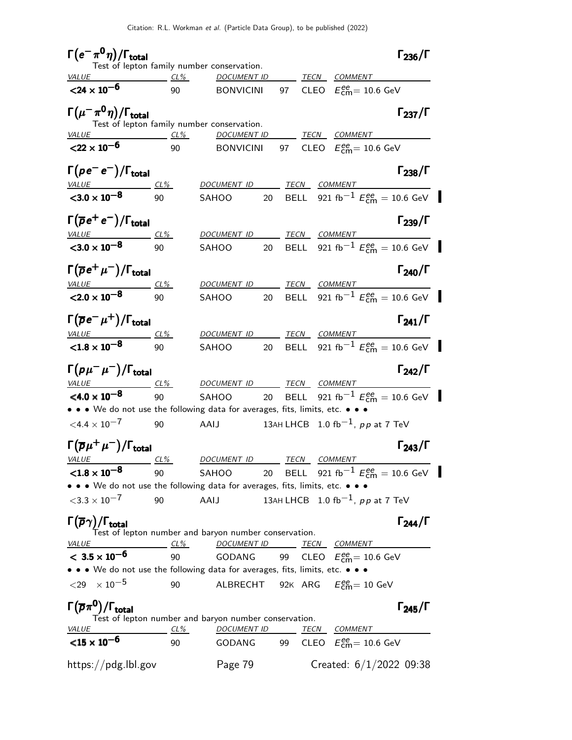| $\Gamma(e^-\pi^0\eta)/\Gamma_{\rm total}$                                     |                      |                                                           |    |             |                                                     | $\Gamma_{236}/\Gamma$                                                |
|-------------------------------------------------------------------------------|----------------------|-----------------------------------------------------------|----|-------------|-----------------------------------------------------|----------------------------------------------------------------------|
| VALUE                                                                         | $CL\%$               | Test of lepton family number conservation.<br>DOCUMENT ID |    |             | TECN COMMENT                                        |                                                                      |
| $<$ 24 $\times$ 10 <sup>-6</sup>                                              | 90                   | <b>BONVICINI</b>                                          |    | 97          | CLEO $E_{\text{cm}}^{ee}$ = 10.6 GeV                |                                                                      |
| $\Gamma(\mu^-\pi^0\eta)/\Gamma_{\rm total}$                                   |                      | Test of lepton family number conservation.                |    |             |                                                     | $\Gamma_{237}/\Gamma$                                                |
| $CL\%$<br><i>VALUE</i>                                                        |                      |                                                           |    |             | DOCUMENT ID TECN COMMENT                            |                                                                      |
| $<$ 22 $\times$ 10 <sup>-6</sup>                                              | 90                   | <b>BONVICINI</b>                                          |    |             | 97 CLEO $E_{\text{cm}}^{ee}$ = 10.6 GeV             |                                                                      |
| $\Gamma(\rho e^- e^-)/\Gamma_{\rm total}$                                     |                      | DOCUMENT ID TECN COMMENT                                  |    |             |                                                     | $\Gamma_{238}/\Gamma$                                                |
| <u>VALUE</u><br>$\sqrt{3.0 \times 10^{-8}}$                                   | <u>_ CL% _</u><br>90 | SAHOO                                                     |    |             |                                                     | 20 BELL 921 fb <sup>-1</sup> $E_{\text{cm}}^{ee} = 10.6 \text{ GeV}$ |
|                                                                               |                      |                                                           |    |             |                                                     |                                                                      |
| $\Gamma(\overline{\rho}e^+e^-)/\Gamma_{\rm total}$                            |                      | <b>DOCUMENT ID</b>                                        |    | TECN        | <b>COMMENT</b>                                      | $\Gamma_{239}/\Gamma$                                                |
| $\frac{VALUE}{< 3.0 \times 10^{-8}}$ $\frac{CL\%}{90}$                        |                      | SAHOO                                                     | 20 |             |                                                     | BELL 921 fb <sup>-1</sup> $E_{cm}^{ee}$ = 10.6 GeV                   |
| $\Gamma(\overline{\rho}e^+\mu^-)/\Gamma_{\rm total}$                          |                      |                                                           |    |             |                                                     | $\Gamma_{240}/\Gamma$                                                |
| $\frac{VALUE}{<}$ 2.0 $\times$ 10 <sup>-8</sup>                               | CL%                  | <b>DOCUMENT ID</b>                                        |    |             | TECN COMMENT                                        |                                                                      |
|                                                                               | 90                   | SAHOO                                                     | 20 |             |                                                     | BELL 921 fb <sup>-1</sup> $E_{\text{cm}}^{ee} = 10.6 \text{ GeV}$    |
| $\Gamma(\overline{\rho}e^-\mu^+)/\Gamma_{\rm total}$                          |                      | <b>DOCUMENT ID</b>                                        |    |             | TECN COMMENT                                        | $\Gamma_{241}/\Gamma$                                                |
| $\frac{VALUE}{<1.8 \times 10^{-8}}$ $\frac{CL\%}{90}$                         |                      | SAHOO                                                     | 20 |             |                                                     | BELL 921 fb <sup>-1</sup> $E_{cm}^{ee}$ = 10.6 GeV                   |
| $\Gamma(p\mu^-\mu^-)/\Gamma_{\rm total}$<br>$VALU E$ $CL\%$                   |                      | DOCUMENT ID TECN COMMENT                                  |    |             |                                                     | $\Gamma_{242}/\Gamma$                                                |
| $<$ 4.0 $\times$ 10 $^{-8}$                                                   | 90                   | SAHOO                                                     |    |             |                                                     | 20 BELL 921 fb <sup>-1</sup> $E_{\text{cm}}^{ee} = 10.6 \text{ GeV}$ |
| • • • We do not use the following data for averages, fits, limits, etc. • • • |                      |                                                           |    |             |                                                     |                                                                      |
| $<$ 4.4 $\times$ 10 $^{-7}$                                                   | 90                   | AAIJ                                                      |    |             | 13AH LHCB $\,$ 1.0 fb $^{-1}$ , pp at 7 TeV         |                                                                      |
| $\Gamma\big(\overline\rho\mu^+\mu^-\big)/\Gamma_{\rm total}$                  |                      |                                                           |    |             |                                                     | $\Gamma_{243}/\Gamma$                                                |
| <i>VALUE</i>                                                                  | CL%                  | DOCUMENT ID                                               |    | <b>TECN</b> | COMMENT                                             |                                                                      |
| ${<}1.8\times10^{-8}$                                                         | 90                   | SAHOO                                                     |    |             |                                                     | 20 BELL 921 fb <sup>-1</sup> $E_{\text{cm}}^{ee} = 10.6 \text{ GeV}$ |
| • • • We do not use the following data for averages, fits, limits, etc. • • • |                      |                                                           |    |             |                                                     |                                                                      |
| $<$ 3.3 $\times$ 10 <sup>-7</sup>                                             | 90                   | AAIJ                                                      |    |             | 13AH LHCB 1.0 fb <sup>-1</sup> , $pp$ at 7 TeV      |                                                                      |
| $\Gamma(\overline{\rho}\gamma)/\Gamma_{\rm total}$                            |                      | Test of lepton number and baryon number conservation.     |    |             |                                                     | $\Gamma_{244}/\Gamma$                                                |
| <i>VALUE</i>                                                                  | $CL\%$               | <b>DOCUMENT ID</b>                                        |    |             | TECN COMMENT                                        |                                                                      |
| $< 3.5 \times 10^{-6}$                                                        | 90                   | GODANG                                                    |    | 99          | CLEO $E_{\text{cm}}^{\text{ee}} = 10.6 \text{ GeV}$ |                                                                      |
| • • • We do not use the following data for averages, fits, limits, etc. • • • |                      |                                                           |    |             |                                                     |                                                                      |
| ${<}29 \times 10^{-5}$                                                        | 90                   | ALBRECHT                                                  |    |             | 92K $\rm{ARG}$ $E_{\rm{cm}}^{\rm{ee}}$ = 10 GeV     |                                                                      |
| $\Gamma(\overline{p}\pi^0)/\Gamma_{\rm total}$                                |                      | Test of lepton number and baryon number conservation.     |    |             |                                                     | $\Gamma_{245}/\Gamma$                                                |
| VALUE                                                                         | <u>__ CL% _</u>      | <u>DOCUMENT ID</u>                                        |    |             | <u>TECN COMMENT</u>                                 |                                                                      |
| ${<}15 \times 10^{-6}$                                                        | 90                   | GODANG                                                    |    |             | 99 CLEO $E_{\text{cm}}^{ee}$ = 10.6 GeV             |                                                                      |
| https://pdg.lbl.gov                                                           |                      | Page 79                                                   |    |             | Created: $6/1/2022$ 09:38                           |                                                                      |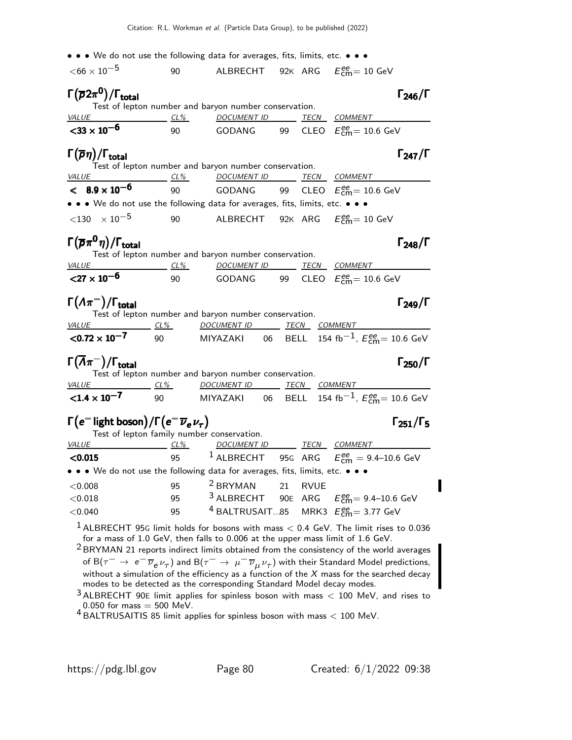|                                                                                    |           | • • • We do not use the following data for averages, fits, limits, etc. • • •                                                                           |    |             |                                                                                                                                                                                                                                                                                                                                                                                                                                                                                                                                     |
|------------------------------------------------------------------------------------|-----------|---------------------------------------------------------------------------------------------------------------------------------------------------------|----|-------------|-------------------------------------------------------------------------------------------------------------------------------------------------------------------------------------------------------------------------------------------------------------------------------------------------------------------------------------------------------------------------------------------------------------------------------------------------------------------------------------------------------------------------------------|
| $<$ 66 $\times$ 10 <sup>-5</sup>                                                   | 90        | ALBRECHT                                                                                                                                                |    |             | 92K $\rm{ARG}$ $E_{\rm{cm}}^{\rm{ee}}$ = 10 GeV                                                                                                                                                                                                                                                                                                                                                                                                                                                                                     |
| $\Gamma(\overline{\rho}2\pi^0)/\Gamma_{\rm total}$                                 |           |                                                                                                                                                         |    |             | $\Gamma_{246}/\Gamma$                                                                                                                                                                                                                                                                                                                                                                                                                                                                                                               |
| <b>VALUE</b>                                                                       | $CL\%$    | Test of lepton number and baryon number conservation.<br><u>DOCUMENT ID ________ TECN ___COMMENT</u>                                                    |    |             |                                                                                                                                                                                                                                                                                                                                                                                                                                                                                                                                     |
| $<$ 33 $\times$ 10 <sup>-6</sup>                                                   | 90        | GODANG 99 CLEO $E_{\text{cm}}^{\text{ee}} = 10.6 \text{ GeV}$                                                                                           |    |             |                                                                                                                                                                                                                                                                                                                                                                                                                                                                                                                                     |
| $\Gamma(\overline{p}\eta)/\Gamma_{\rm total}$                                      |           | Test of lepton number and baryon number conservation.                                                                                                   |    |             | $\Gamma_{247}/\Gamma$                                                                                                                                                                                                                                                                                                                                                                                                                                                                                                               |
| $VALUE$ $CL\%$                                                                     |           | DOCUMENT ID TECN COMMENT                                                                                                                                |    |             |                                                                                                                                                                                                                                                                                                                                                                                                                                                                                                                                     |
| $< 8.9 \times 10^{-6}$                                                             | 90        | GODANG 99 CLEO $E_{\rm cm}^{\rm ee}$ = 10.6 GeV                                                                                                         |    |             |                                                                                                                                                                                                                                                                                                                                                                                                                                                                                                                                     |
|                                                                                    |           | • • • We do not use the following data for averages, fits, limits, etc. • • •                                                                           |    |             |                                                                                                                                                                                                                                                                                                                                                                                                                                                                                                                                     |
| $<$ 130 $\times$ 10 $^{-5}$                                                        | 90        | ALBRECHT 92 $\kappa$ ARG $E_{\rm cm}^{\rm ee}$ = 10 GeV                                                                                                 |    |             |                                                                                                                                                                                                                                                                                                                                                                                                                                                                                                                                     |
| $\Gamma(\overline{p}\pi^0\eta)/\Gamma_{\rm total}$                                 |           |                                                                                                                                                         |    |             | $\Gamma_{248}/\Gamma$                                                                                                                                                                                                                                                                                                                                                                                                                                                                                                               |
| $VALUE$ $CL\%$                                                                     |           | Test of lepton number and baryon number conservation.<br><u>DOCUMENT ID ________ TECN __ COMMENT _</u>                                                  |    |             |                                                                                                                                                                                                                                                                                                                                                                                                                                                                                                                                     |
| ${27 \times 10^{-6}}$                                                              | $\sim$ 90 | GODANG 99 CLEO $E_{\text{cm}}^{\text{ee}}$ = 10.6 GeV                                                                                                   |    |             |                                                                                                                                                                                                                                                                                                                                                                                                                                                                                                                                     |
| $\Gamma(\Lambda\pi^-)/\Gamma_{\rm total}$<br>VALUE CL%                             |           | Test of lepton number and baryon number conservation.<br>DOCUMENT ID TECN COMMENT                                                                       |    |             | $\Gamma_{249}/\Gamma$                                                                                                                                                                                                                                                                                                                                                                                                                                                                                                               |
| $<$ 0.72 $\times$ 10 <sup>-7</sup>                                                 |           |                                                                                                                                                         |    |             | 90 MIYAZAKI 06 BELL 154 fb $^{-1}$ , $E_{\rm cm}^{ee}$ = 10.6 GeV                                                                                                                                                                                                                                                                                                                                                                                                                                                                   |
| $\Gamma(\overline{\Lambda}\pi^-)/\Gamma_{\rm total}$                               |           | Test of lepton number and baryon number conservation.                                                                                                   |    |             | $\Gamma_{250}/\Gamma$                                                                                                                                                                                                                                                                                                                                                                                                                                                                                                               |
|                                                                                    |           | VALUE CL% DOCUMENT ID TECN COMMENT                                                                                                                      |    |             |                                                                                                                                                                                                                                                                                                                                                                                                                                                                                                                                     |
| $< 1.4 \times 10^{-7}$                                                             |           |                                                                                                                                                         |    |             |                                                                                                                                                                                                                                                                                                                                                                                                                                                                                                                                     |
| $\Gamma(e^{-}$ light boson) / $\Gamma(e^{-}\overline{\nu}_{e}\nu_{\tau})$<br>VALUE | $CL\%$    | Test of lepton family number conservation.<br>DOCUMENT ID TECN COMMENT                                                                                  |    |             | $\Gamma_{251}/\Gamma_{5}$                                                                                                                                                                                                                                                                                                                                                                                                                                                                                                           |
| < 0.015                                                                            |           |                                                                                                                                                         |    |             | 95 <sup>1</sup> ALBRECHT 95G ARG $E_{cm}^{ee} = 9.4$ –10.6 GeV                                                                                                                                                                                                                                                                                                                                                                                                                                                                      |
|                                                                                    |           | • • We do not use the following data for averages, fits, limits, etc. • • •                                                                             |    |             |                                                                                                                                                                                                                                                                                                                                                                                                                                                                                                                                     |
| < 0.008                                                                            | 95        | <sup>2</sup> BRYMAN                                                                                                                                     | 21 | <b>RVUE</b> |                                                                                                                                                                                                                                                                                                                                                                                                                                                                                                                                     |
| < 0.018                                                                            | 95        | $3$ ALBRECHT                                                                                                                                            |    |             | 90E ARG $E_{\text{cm}}^{ee} = 9.4 - 10.6 \text{ GeV}$                                                                                                                                                                                                                                                                                                                                                                                                                                                                               |
| < 0.040                                                                            | 95        | <sup>4</sup> BALTRUSAIT85                                                                                                                               |    |             | MRK3 $E_{\text{cm}}^{ee}$ = 3.77 GeV                                                                                                                                                                                                                                                                                                                                                                                                                                                                                                |
|                                                                                    |           | for a mass of 1.0 GeV, then falls to 0.006 at the upper mass limit of 1.6 GeV.<br>modes to be detected as the corresponding Standard Model decay modes. |    |             | $^1$ ALBRECHT 95G limit holds for bosons with mass $<$ 0.4 GeV. The limit rises to 0.036<br><sup>2</sup> BRYMAN 21 reports indirect limits obtained from the consistency of the world averages<br>of B $(\tau^-\to e^-\overline{\nu}_e\nu_\tau)$ and B $(\tau^-\to \mu^-\overline{\nu}_\mu\nu_\tau)$ with their Standard Model predictions,<br>without a simulation of the efficiency as a function of the $X$ mass for the searched decay<br>$3$ ALBRECHT 90E limit applies for spinless boson with mass $<$ 100 MeV, and rises to |

0.050 for mass  $= 500$  MeV.<br><sup>4</sup> BALTRUSAITIS 85 limit applies for spinless boson with mass  $< 100$  MeV.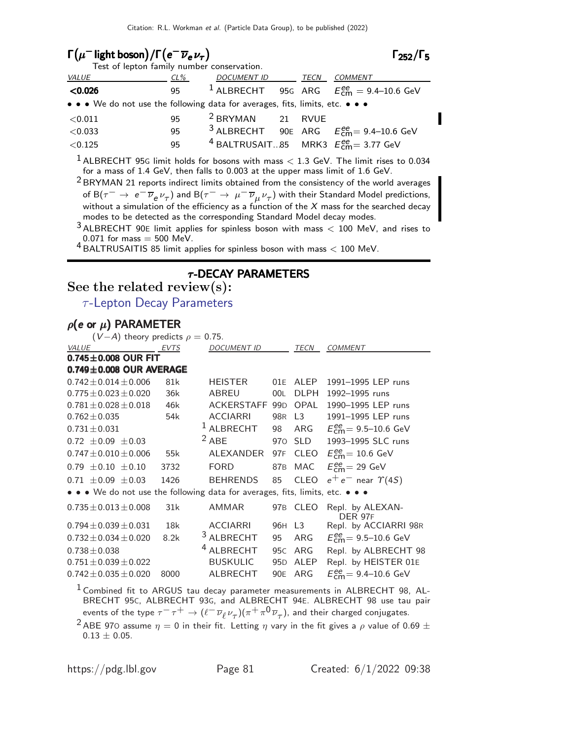| $\Gamma(\mu^-)$ light boson) / $\Gamma(e^-\overline{\nu}_e\nu_\tau)$          |     |                             |      | $\Gamma_{252}/\Gamma_5$                                         |
|-------------------------------------------------------------------------------|-----|-----------------------------|------|-----------------------------------------------------------------|
| Test of lepton family number conservation.                                    |     |                             |      |                                                                 |
| VALUE                                                                         | CL% | DOCUMENT ID                 | TECN | COMMENT                                                         |
| < 0.026                                                                       |     |                             |      | 95 <sup>1</sup> ALBRECHT 95G ARG $E_{cm}^{ee} = 9.4 - 10.6$ GeV |
| • • • We do not use the following data for averages, fits, limits, etc. • • • |     |                             |      |                                                                 |
| $<$ 0.011                                                                     | 95  | <sup>2</sup> BRYMAN 21 RVUE |      |                                                                 |
| < 0.033                                                                       | 95  |                             |      | <sup>3</sup> ALBRECHT 90E ARG $E_{cm}^{ee}$ = 9.4–10.6 GeV      |
| < 0.125                                                                       | 95  |                             |      | <sup>4</sup> BALTRUSAIT85 MRK3 $E_{cm}^{ee}$ = 3.77 GeV         |

 $1$  ALBRECHT 95G limit holds for bosons with mass  $< 1.3$  GeV. The limit rises to 0.034 for a mass of 1.4 GeV, then falls to 0.003 at the upper mass limit of 1.6 GeV.

2 BRYMAN 21 reports indirect limits obtained from the consistency of the world averages of B $(\tau^-\to\,e^-\,\overline{\nu}_e\,\nu_\tau)$  and B $(\tau^-\to\,\mu^-\,\overline{\nu}_\mu\,\nu_\tau)$  with their Standard Model predictions, without a simulation of the efficiency as a function of the  $X$  mass for the searched decay modes to be detected as the corresponding Standard Model decay modes.

 $3$  ALBRECHT 90E limit applies for spinless boson with mass  $<$  100 MeV, and rises to  $0.071$  for mass  $= 500$  MeV.

 $4$  BALTRUSAITIS 85 limit applies for spinless boson with mass  $<$  100 MeV.

## $\tau$ -DECAY PARAMETERS

See the related review(s):

 $\tau$ [-Lepton Decay Parameters](http://pdg.lbl.gov/2022/reviews/rpp2021-rev-tau-lepton-decay-param.pdf)

### $\rho$ (e or  $\mu$ ) PARAMETER

| $(V-A)$ theory predicts $\rho = 0.75$ .                                       |      |                       |                 |                |                                                                                         |
|-------------------------------------------------------------------------------|------|-----------------------|-----------------|----------------|-----------------------------------------------------------------------------------------|
| <b>VALUE</b><br><b>EVTS</b>                                                   |      | <b>DOCUMENT ID</b>    |                 | TECN           | <b>COMMENT</b>                                                                          |
| $0.745 \pm 0.008$ OUR FIT                                                     |      |                       |                 |                |                                                                                         |
| $0.749 \pm 0.008$ OUR AVERAGE                                                 |      |                       |                 |                |                                                                                         |
| $0.742 \pm 0.014 \pm 0.006$                                                   | 81k  | <b>HEISTER</b>        | 01E             | <b>ALEP</b>    | 1991-1995 LEP runs                                                                      |
| $0.775 \pm 0.023 \pm 0.020$                                                   | 36k  | ABREU                 | 00L             | <b>DLPH</b>    | 1992-1995 runs                                                                          |
| $0.781 \pm 0.028 \pm 0.018$                                                   | 46k  | ACKERSTAFF 99D        |                 | <b>OPAL</b>    | 1990-1995 LEP runs                                                                      |
| $0.762 \pm 0.035$                                                             | 54k  | <b>ACCIARRI</b>       | 98 <sub>R</sub> | L <sub>3</sub> | 1991-1995 LEP runs                                                                      |
| $0.731 \pm 0.031$                                                             |      | <sup>1</sup> ALBRECHT | 98              | ARG            | $E_{cm}^{ee}$ = 9.5-10.6 GeV                                                            |
| $0.72 \pm 0.09 \pm 0.03$                                                      |      | $2$ ABE               |                 | 970 SLD        | 1993-1995 SLC runs                                                                      |
| $0.747 \pm 0.010 \pm 0.006$                                                   | 55k  | ALEXANDER             | 97F             | <b>CLEO</b>    | $E_{cm}^{ee}$ = 10.6 GeV                                                                |
| $0.79 \pm 0.10 \pm 0.10$                                                      | 3732 | <b>FORD</b>           | 87B             | MAC            | $E_{\text{cm}}^{\text{ee}}$ = 29 GeV                                                    |
| $0.71 \pm 0.09 \pm 0.03$                                                      | 1426 | BEHRENDS              | 85              | <b>CLEO</b>    | $e^+e^-$ near $\Upsilon(4S)$                                                            |
| • • • We do not use the following data for averages, fits, limits, etc. • • • |      |                       |                 |                |                                                                                         |
| $0.735 \pm 0.013 \pm 0.008$                                                   | 31k  | AMMAR                 |                 | 97B CLEO       | Repl. by ALEXAN-<br><b>DER 97F</b>                                                      |
| $0.794 \pm 0.039 \pm 0.031$                                                   | 18k  | <b>ACCIARRI</b>       | 96H L3          |                | Repl. by ACCIARRI 98R                                                                   |
| $0.732 + 0.034 + 0.020$                                                       | 8.2k | <sup>3</sup> ALBRECHT | 95              | ARG            | $E_{cm}^{ee}$ = 9.5–10.6 GeV                                                            |
| $0.738 \pm 0.038$                                                             |      | <sup>4</sup> ALBRECHT | 95 <sub>C</sub> | ARG            | Repl. by ALBRECHT 98                                                                    |
| $0.751 \pm 0.039 \pm 0.022$                                                   |      | <b>BUSKULIC</b>       | 95 <sub>D</sub> | ALEP           | Repl. by HEISTER 01E                                                                    |
| $0.742 \pm 0.035 \pm 0.020$                                                   | 8000 | ALBRECHT              | 90E             | ARG            | $E_{cm}^{ee}$ = 9.4–10.6 GeV                                                            |
|                                                                               |      |                       |                 |                | <sup>1</sup> Combined fit to ARGUS tau decay parameter measurements in ALBRECHT 98, AL- |

BRECHT 95C, ALBRECHT 93G, and ALBRECHT 94E. ALBRECHT 98 use tau pair events of the type  $\tau^-\tau^+\to(\ell^-\overline{\nu}_\ell\nu_\tau)(\pi^+\pi^0\overline{\nu}_\tau)$ , and their charged conjugates.

<sup>2</sup> ABE 970 assume  $\eta = 0$  in their fit. Letting  $\eta$  vary in the fit gives a  $\rho$  value of 0.69  $\pm$  $0.13 \pm 0.05$ .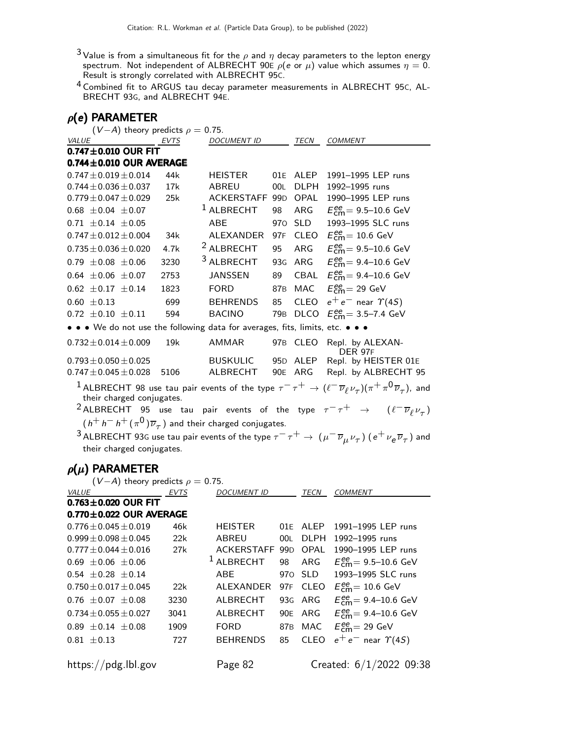- $^3$ Value is from a simultaneous fit for the  $\rho$  and  $\eta$  decay parameters to the lepton energy spectrum. Not independent of ALBRECHT 90E  $\rho($ e or  $\mu)$  value which assumes  $\eta=$  0. Result is strongly correlated with ALBRECHT 95C.
- 4 Combined fit to ARGUS tau decay parameter measurements in ALBRECHT 95C, AL-BRECHT 93G, and ALBRECHT 94E.

### $ρ(e)$  PARAMETER

 $(V - A)$  theory predicts  $\rho = 0.75$ .

| VALUE                                                                         | <b>EVTS</b> | <i>DOCUMENT ID</i>                                                          |     | TECN        | COMMENT                                                                                                                                              |
|-------------------------------------------------------------------------------|-------------|-----------------------------------------------------------------------------|-----|-------------|------------------------------------------------------------------------------------------------------------------------------------------------------|
| $0.747 \pm 0.010$ OUR FIT                                                     |             |                                                                             |     |             |                                                                                                                                                      |
| $0.744 \pm 0.010$ OUR AVERAGE                                                 |             |                                                                             |     |             |                                                                                                                                                      |
| $0.747 \pm 0.019 \pm 0.014$                                                   | 44k         | <b>HEISTER</b>                                                              |     | 01E ALEP    | 1991-1995 LEP runs                                                                                                                                   |
| $0.744 \pm 0.036 \pm 0.037$                                                   | 17k         | <b>ABREU</b>                                                                | 00L | <b>DLPH</b> | 1992-1995 runs                                                                                                                                       |
| $0.779 \pm 0.047 \pm 0.029$                                                   | 25k         | ACKERSTAFF 99D OPAL                                                         |     |             | 1990-1995 LEP runs                                                                                                                                   |
| $0.68 \pm 0.04 \pm 0.07$                                                      |             | $^1$ ALBRECHT                                                               | 98  | ARG         | $E_{\text{cm}}^{\text{ee}} = 9.5 - 10.6 \text{ GeV}$                                                                                                 |
| $0.71 \pm 0.14 \pm 0.05$                                                      |             | ABE                                                                         |     | 970 SLD     | 1993-1995 SLC runs                                                                                                                                   |
| $0.747 \pm 0.012 \pm 0.004$                                                   | 34k         | ALEXANDER                                                                   | 97F | CLEO        | $E_{\text{cm}}^{\text{ee}} = 10.6 \text{ GeV}$                                                                                                       |
| $0.735 \pm 0.036 \pm 0.020$                                                   | 4.7k        | <sup>2</sup> ALBRECHT                                                       | 95  | ARG         | $E_{cm}^{ee}$ = 9.5–10.6 GeV                                                                                                                         |
| $0.79 \pm 0.08 \pm 0.06$                                                      | 3230        | <sup>3</sup> ALBRECHT                                                       | 93G | ARG         | $E_{cm}^{ee}$ = 9.4–10.6 GeV                                                                                                                         |
| $0.64 \pm 0.06 \pm 0.07$                                                      | 2753        | <b>JANSSEN</b>                                                              | 89  | CBAL        | $E_{\text{cm}}^{\text{ee}} = 9.4 - 10.6 \text{ GeV}$                                                                                                 |
| $0.62 \pm 0.17 \pm 0.14$                                                      | 1823        | <b>FORD</b>                                                                 |     | 87B MAC     | $E_{\text{cm}}^{\text{ee}}$ = 29 GeV                                                                                                                 |
| $0.60 \pm 0.13$                                                               | 699         | <b>BEHRENDS</b>                                                             | 85  | CLEO        | $e^+e^-$ near $\Upsilon(4S)$                                                                                                                         |
| $0.72 \pm 0.10 \pm 0.11$                                                      | 594         | <b>BACINO</b>                                                               |     |             | 79B DLCO $E_{\text{cm}}^{ee} = 3.5 - 7.4 \text{ GeV}$                                                                                                |
| • • • We do not use the following data for averages, fits, limits, etc. • • • |             |                                                                             |     |             |                                                                                                                                                      |
| $0.732 \pm 0.014 \pm 0.009$                                                   | 19k         | AMMAR                                                                       |     | 97B CLEO    | Repl. by ALEXAN-<br><b>DER 97F</b>                                                                                                                   |
| $0.793 \pm 0.050 \pm 0.025$                                                   |             | <b>BUSKULIC</b>                                                             |     | 95D ALEP    | Repl. by HEISTER 01E                                                                                                                                 |
| $0.747 \pm 0.045 \pm 0.028$                                                   | 5106        | ALBRECHT                                                                    |     | 90E ARG     | Repl. by ALBRECHT 95                                                                                                                                 |
| their charged conjugates.                                                     |             |                                                                             |     |             | $^1$ ALBRECHT 98 use tau pair events of the type $\tau^-\tau^+\to(\ell^-\overline{\nu}_\ell \nu_\tau)(\pi^+\pi^0\overline{\nu}_\tau)$ , and          |
|                                                                               |             |                                                                             |     |             | <sup>2</sup> ALBRECHT 95 use tau pair events of the type $\tau^- \tau^+ \to (\ell^- \overline{\nu}_\ell \nu_\tau)$                                   |
|                                                                               |             | $(h^+ h^- h^+ (\pi^0) \overline{\nu}_{\tau})$ and their charged conjugates. |     |             |                                                                                                                                                      |
|                                                                               |             |                                                                             |     |             | <sup>3</sup> ALBRECHT 93G use tau pair events of the type $\tau^-\tau^+\to (\mu^-\overline{\nu}_\mu \nu_\tau)$ ( $e^+\nu_e\overline{\nu}_\tau$ ) and |
| their charged conjugates.                                                     |             |                                                                             |     |             |                                                                                                                                                      |
| $\rho(\mu)$ PARAMETER<br>$(V-A)$ theory predicts $\rho = 0.75$ .              |             |                                                                             |     |             |                                                                                                                                                      |

| $\mathbf{v}$ , $\mathbf{v}$ and $\mathbf{v}$ predicts $\mathbf{v} = \mathbf{v} \cdot \mathbf{v} \cdot \mathbf{v}$ . |             |                    |                 |             |                                        |
|---------------------------------------------------------------------------------------------------------------------|-------------|--------------------|-----------------|-------------|----------------------------------------|
| VALUE                                                                                                               | <b>EVTS</b> | <b>DOCUMENT ID</b> |                 | TECN        | <b>COMMENT</b>                         |
| $0.763 \pm 0.020$ OUR FIT                                                                                           |             |                    |                 |             |                                        |
| $0.770 \pm 0.022$ OUR AVERAGE                                                                                       |             |                    |                 |             |                                        |
| $0.776 + 0.045 + 0.019$                                                                                             | 46k         | <b>HEISTER</b>     | 01E             | <b>ALEP</b> | 1991-1995 LEP runs                     |
| $0.999 \pm 0.098 \pm 0.045$                                                                                         | 22k         | ABREU              | 00L             | <b>DLPH</b> | 1992-1995 runs                         |
| $0.777 \pm 0.044 \pm 0.016$                                                                                         | 27k         | ACKERSTAFF         | 99 <sub>D</sub> | OPAL        | 1990-1995 LEP runs                     |
| $0.69 \pm 0.06 \pm 0.06$                                                                                            |             | $1$ ALBRECHT       | 98              | ARG         | $E_{cm}^{ee}$ = 9.5–10.6 GeV           |
| $0.54 + 0.28 + 0.14$                                                                                                |             | ABE                |                 | 970 SLD     | 1993-1995 SLC runs                     |
| $0.750 \pm 0.017 \pm 0.045$                                                                                         | 22k         | ALEXANDER          |                 | 97F CLEO    | $E_{\text{cm}}^{\text{ee}}$ = 10.6 GeV |
| $0.76 \pm 0.07 \pm 0.08$                                                                                            | 3230        | ALBRECHT           |                 | 93G ARG     | $E_{cm}^{ee}$ = 9.4–10.6 GeV           |
| $0.734 \pm 0.055 \pm 0.027$                                                                                         | 3041        | ALBRECHT           | 90E             | ARG         | $E_{cm}^{ee}$ = 9.4–10.6 GeV           |
| $0.89 \pm 0.14 \pm 0.08$                                                                                            | 1909        | FORD               | 87 <sub>B</sub> | MAC         | $E_{\text{cm}}^{\text{ee}}$ = 29 GeV   |
| $0.81 \pm 0.13$                                                                                                     | 727         | <b>BEHRENDS</b>    | 85              | <b>CLEO</b> | $e^+e^-$ near $\Upsilon(4S)$           |
| https://pdg.lbl.gov                                                                                                 |             | Page 82            |                 |             | Created: $6/1/2022$ 09:38              |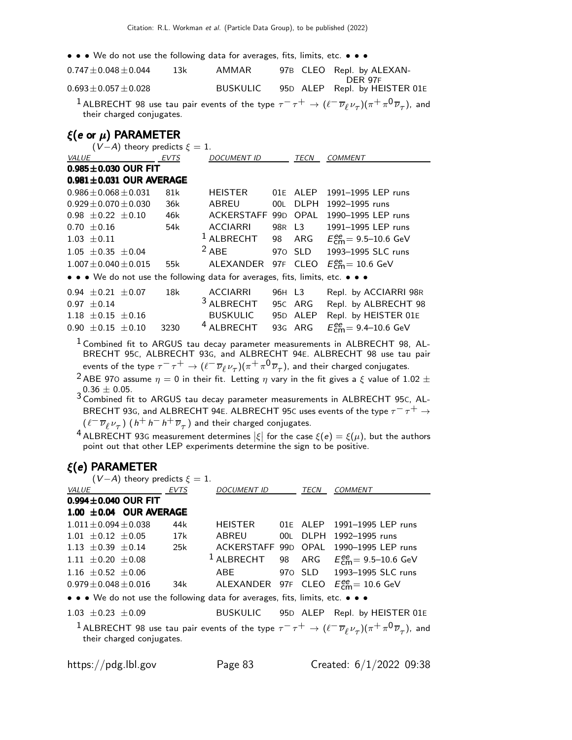• • • We do not use the following data for averages, fits, limits, etc. • • •

| $0.747 \pm 0.048 \pm 0.044$ | 13k | AMMAR           | 97B CLEO Repl. by ALEXAN-     |
|-----------------------------|-----|-----------------|-------------------------------|
|                             |     |                 | DER 97F                       |
| $0.693 \pm 0.057 \pm 0.028$ |     | <b>BUSKULIC</b> | 95D ALEP Repl. by HEISTER 01E |
|                             |     |                 |                               |

 $^1$  ALBRECHT 98 use tau pair events of the type  $\tau^-\tau^+\to(\ell^-\overline{\nu}_\ell \nu_\tau)(\pi^+\pi^0\overline{\nu}_\tau)$ , and their charged conjugates.

### ξ(e or  $\mu$ ) PARAMETER

| $(V-A)$ theory predicts $\xi = 1$ . |                          |                               |      |  |                                                                               |        |             |                                                      |
|-------------------------------------|--------------------------|-------------------------------|------|--|-------------------------------------------------------------------------------|--------|-------------|------------------------------------------------------|
| <i>VALUE</i>                        |                          | <b>EVTS</b>                   |      |  | DOCUMENT ID                                                                   |        | TECN        | <i>COMMENT</i>                                       |
|                                     |                          | $0.985 \pm 0.030$ OUR FIT     |      |  |                                                                               |        |             |                                                      |
|                                     |                          | $0.981 \pm 0.031$ OUR AVERAGE |      |  |                                                                               |        |             |                                                      |
|                                     |                          | $0.986 \pm 0.068 \pm 0.031$   | 81k  |  | HEISTER                                                                       | 01F    | ALEP        | 1991-1995 LEP runs                                   |
|                                     |                          | $0.929 \pm 0.070 \pm 0.030$   | 36k  |  | ABREU                                                                         | 00L    | <b>DLPH</b> | 1992-1995 runs                                       |
|                                     | $0.98 + 0.22 + 0.10$     |                               | 46k  |  | ACKERSTAFF 99D                                                                |        | OPAL        | 1990-1995 LEP runs                                   |
|                                     | $0.70 + 0.16$            |                               | 54k  |  | <b>ACCIARRI</b>                                                               |        | 98R L3      | 1991-1995 LEP runs                                   |
|                                     | $1.03 \pm 0.11$          |                               |      |  | $1$ ALBRECHT                                                                  |        | 98 ARG      | $E_{cm}^{ee}$ = 9.5–10.6 GeV                         |
|                                     | $1.05 \pm 0.35 \pm 0.04$ |                               |      |  | $2$ ABE                                                                       |        | 970 SLD     | 1993-1995 SLC runs                                   |
|                                     |                          | $1.007 + 0.040 + 0.015$       | 55k  |  | ALEXANDER                                                                     |        | 97F CLEO    | $E_{\text{cm}}^{\text{ee}} = 10.6 \text{ GeV}$       |
|                                     |                          |                               |      |  | • • • We do not use the following data for averages, fits, limits, etc. • • • |        |             |                                                      |
|                                     | $0.94 + 0.21 + 0.07$     |                               | 18k  |  | <b>ACCIARRI</b>                                                               | 96H L3 |             | Repl. by ACCIARRI 98R                                |
|                                     | $0.97 + 0.14$            |                               |      |  | <sup>3</sup> ALBRECHT                                                         |        | 95C ARG     | Repl. by ALBRECHT 98                                 |
|                                     | $1.18 \pm 0.15 \pm 0.16$ |                               |      |  | BUSKULIC                                                                      |        | 95D ALEP    | Repl. by HEISTER 01E                                 |
|                                     | $0.90 \pm 0.15 \pm 0.10$ |                               | 3230 |  | <b>ALBRECHT</b>                                                               |        | 93G ARG     | $E_{\text{cm}}^{\text{ee}} = 9.4 - 10.6 \text{ GeV}$ |

 $1$  Combined fit to ARGUS tau decay parameter measurements in ALBRECHT 98, AL-BRECHT 95C, ALBRECHT 93G, and ALBRECHT 94E. ALBRECHT 98 use tau pair events of the type  $\tau^-\tau^+\to(\ell^-\,\overline\nu_\ell\,\nu_\tau)(\pi^+\pi^0\,\overline\nu_\tau)$ , and their charged conjugates.

<sup>2</sup> ABE 970 assume  $\eta = 0$  in their fit. Letting  $\eta$  vary in the fit gives a  $\xi$  value of 1.02  $\pm$  $\frac{1}{3}$ 0.36  $\pm$  0.05.<br> $^3$ Combined fit to ARGUS tau decay parameter measurements in ALBRECHT 95C, AL-

BRECHT 93G, and ALBRECHT 94E. ALBRECHT 95C uses events of the type  $\tau^- \tau^+ \to$  $(\ell^- \overline{\nu}_{\ell} \nu_{\tau})$   $(\,h^+ \,h^- \,h^+ \,\overline{\nu}_{\tau} \,)$  and their charged conjugates.

<sup>4</sup> ALBRECHT 93G measurement determines  $|\xi|$  for the case  $\xi(e) = \xi(\mu)$ , but the authors point out that other LEP experiments determine the sign to be positive.

### ξ(e) PARAMETER (V  $\Delta$ ) theory predicts  $\epsilon$

| $(v - A)$ theory predicts $\zeta = 1$ .                                       |     |                     |          |                                                                                                                                                           |
|-------------------------------------------------------------------------------|-----|---------------------|----------|-----------------------------------------------------------------------------------------------------------------------------------------------------------|
| <i>VALUE</i><br><b>EVTS</b>                                                   |     | DOCUMENT ID         | TECN     | <b>COMMENT</b>                                                                                                                                            |
| $0.994 \pm 0.040$ OUR FIT                                                     |     |                     |          |                                                                                                                                                           |
| $1.00 \pm 0.04$ OUR AVERAGE                                                   |     |                     |          |                                                                                                                                                           |
| $1.011 + 0.094 + 0.038$                                                       | 44k | HEISTER             | 01E ALEP | 1991-1995 LEP runs                                                                                                                                        |
| $1.01 + 0.12 + 0.05$                                                          | 17k | ABREU               | 00L DLPH | 1992-1995 runs                                                                                                                                            |
| 1.13 $\pm$ 0.39 $\pm$ 0.14                                                    | 25k | ACKERSTAFF 99D OPAL |          | 1990-1995 LEP runs                                                                                                                                        |
| $1.11 \pm 0.20 \pm 0.08$                                                      |     | $^1$ ALBRECHT       |          | 98 ARG $E_{\text{cm}}^{ee} = 9.5 - 10.6 \text{ GeV}$                                                                                                      |
| 1.16 $\pm$ 0.52 $\pm$ 0.06                                                    |     | ABE                 |          | 970 SLD 1993-1995 SLC runs                                                                                                                                |
| $0.979 + 0.048 + 0.016$                                                       | 34k |                     |          | ALEXANDER 97F CLEO $E_{\text{cm}}^{\text{ee}} = 10.6 \text{ GeV}$                                                                                         |
| • • • We do not use the following data for averages, fits, limits, etc. • • • |     |                     |          |                                                                                                                                                           |
| $1.03 \pm 0.23 \pm 0.09$                                                      |     |                     |          | BUSKULIC 95D ALEP Repl. by HEISTER 01E                                                                                                                    |
| their charged conjugates.                                                     |     |                     |          | <sup>1</sup> ALBRECHT 98 use tau pair events of the type $\tau^- \tau^+ \to (\ell^- \overline{\nu}_\ell \nu_\tau)(\pi^+ \pi^0 \overline{\nu}_\tau)$ , and |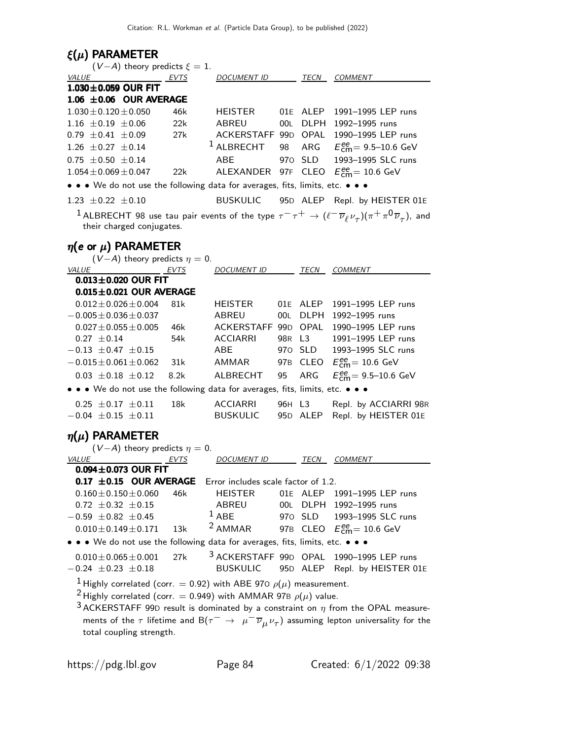# ξ(μ) PARAMETER

| $(V-A)$ theory predicts $\xi = 1$ .                                                 |            |                                        |        |             |                                                                                                                                                    |
|-------------------------------------------------------------------------------------|------------|----------------------------------------|--------|-------------|----------------------------------------------------------------------------------------------------------------------------------------------------|
| VALUE                                                                               | EVTS       | DOCUMENT ID TECN COMMENT               |        |             |                                                                                                                                                    |
| 1.030±0.059 OUR FIT                                                                 |            |                                        |        |             |                                                                                                                                                    |
| $1.06 \pm 0.06$ OUR AVERAGE                                                         |            |                                        |        |             |                                                                                                                                                    |
| $1.030 \pm 0.120 \pm 0.050$                                                         | 46k        | <b>HEISTER</b>                         |        |             | 01E ALEP 1991-1995 LEP runs                                                                                                                        |
| $1.16 \pm 0.19 \pm 0.06$                                                            | 22k        | ABREU                                  | 00L    |             | DLPH 1992-1995 runs                                                                                                                                |
| $0.79 \pm 0.41 \pm 0.09$                                                            | 27k        |                                        |        |             | ACKERSTAFF 99D OPAL 1990-1995 LEP runs                                                                                                             |
| $1.26 \pm 0.27 \pm 0.14$                                                            |            | $1$ ALBRECHT                           | 98     |             | ARG $E_{\text{cm}}^{ee} = 9.5 - 10.6 \text{ GeV}$                                                                                                  |
| $0.75 \pm 0.50 \pm 0.14$                                                            |            | ABE                                    |        | 970 SLD     | 1993-1995 SLC runs                                                                                                                                 |
| $1.054 \pm 0.069 \pm 0.047$                                                         | 22k        |                                        |        |             | ALEXANDER 97F CLEO $E_{\text{cm}}^{\text{ee}} = 10.6 \text{ GeV}$                                                                                  |
| • • • We do not use the following data for averages, fits, limits, etc. • • •       |            |                                        |        |             |                                                                                                                                                    |
| $1.23 \pm 0.22 \pm 0.10$                                                            |            | <b>BUSKULIC</b>                        |        |             | 95D ALEP Repl. by HEISTER 01E                                                                                                                      |
| their charged conjugates.                                                           |            |                                        |        |             | $^1$ ALBRECHT 98 use tau pair events of the type $\tau^-\tau^+\to(\ell^-\,\overline{\nu}_\ell\,\nu_\tau)(\pi^+\,\pi^0\,\overline{\nu}_\tau)$ , and |
| $\eta$ (e or $\mu$ ) PARAMETER                                                      |            |                                        |        |             |                                                                                                                                                    |
| $(V-A)$ theory predicts $\eta = 0$ .                                                |            |                                        |        |             |                                                                                                                                                    |
| <b>VALUE</b><br><b>EVTS</b>                                                         |            | <u>DOCUMENT ID</u>                     |        | TECN        | COMMENT                                                                                                                                            |
| $0.013 \pm 0.020$ OUR FIT                                                           |            |                                        |        |             |                                                                                                                                                    |
| $0.015 \pm 0.021$ OUR AVERAGE                                                       |            |                                        |        |             |                                                                                                                                                    |
| $0.012 \pm 0.026 \pm 0.004$                                                         | 81k        | <b>HEISTER</b>                         |        | 01E ALEP    | 1991-1995 LEP runs                                                                                                                                 |
| $-0.005 \pm 0.036 \pm 0.037$                                                        |            | <b>ABREU</b>                           | 00L    | <b>DLPH</b> | 1992-1995 runs<br>1990-1995 LEP runs                                                                                                               |
| $0.027 \pm 0.055 \pm 0.005$<br>$0.27 \pm 0.14$                                      | 46k<br>54k | ACKERSTAFF 99D OPAL<br><b>ACCIARRI</b> | 98R L3 |             | 1991-1995 LEP runs                                                                                                                                 |
| $-0.13 \pm 0.47 \pm 0.15$                                                           |            | ABE                                    |        | 970 SLD     | 1993-1995 SLC runs                                                                                                                                 |
| $-0.015 \pm 0.061 \pm 0.062$                                                        | 31k        | AMMAR                                  |        |             | 97B CLEO $E_{\text{cm}}^{ee} = 10.6 \text{ GeV}$                                                                                                   |
| $0.03 \pm 0.18 \pm 0.12$                                                            | 8.2k       | ALBRECHT                               | 95     | ARG         | $E_{\text{cm}}^{\text{ee}} = 9.5 - 10.6 \text{ GeV}$                                                                                               |
| • • • We do not use the following data for averages, fits, limits, etc. • • •       |            |                                        |        |             |                                                                                                                                                    |
|                                                                                     |            |                                        |        |             |                                                                                                                                                    |
| $0.25 \pm 0.17 \pm 0.11$                                                            | 18k        | ACCIARRI                               | 96H L3 |             | Repl. by ACCIARRI 98R                                                                                                                              |
| $-0.04 \pm 0.15 \pm 0.11$                                                           |            | <b>BUSKULIC</b>                        |        |             | 95D ALEP Repl. by HEISTER 01E                                                                                                                      |
| $\eta(\mu)$ PARAMETER                                                               |            |                                        |        |             |                                                                                                                                                    |
| $(V-A)$ theory predicts $\eta = 0$ .                                                |            |                                        |        |             |                                                                                                                                                    |
| VALUE<br><b>EVTS</b>                                                                |            | DOCUMENT ID TECN COMMENT               |        |             |                                                                                                                                                    |
| $0.094 \pm 0.073$ OUR FIT                                                           |            |                                        |        |             |                                                                                                                                                    |
| $0.17 \pm 0.15$ OUR AVERAGE Error includes scale factor of 1.2.                     |            |                                        |        |             |                                                                                                                                                    |
| $0.160 \pm 0.150 \pm 0.060$                                                         | 46k        | <b>HEISTER</b>                         |        |             | 01E ALEP 1991-1995 LEP runs                                                                                                                        |
| $0.72 \pm 0.32 \pm 0.15$                                                            |            | ABREU<br>$1$ ABE                       |        |             | 00L DLPH 1992-1995 runs                                                                                                                            |
| $-0.59 \pm 0.82 \pm 0.45$                                                           |            | <sup>2</sup> AMMAR                     |        | 970 SLD     | 1993-1995 SLC runs                                                                                                                                 |
| $0.010 \pm 0.149 \pm 0.171$                                                         | 13k        |                                        |        | 97B CLEO    | $E_{\text{cm}}^{\text{ee}} = 10.6 \text{ GeV}$                                                                                                     |
| • • We do not use the following data for averages, fits, limits, etc. • • •         |            |                                        |        |             |                                                                                                                                                    |
| $0.010 \pm 0.065 \pm 0.001$                                                         | 27k        | 3 ACKERSTAFF 99D OPAL                  |        |             | 1990-1995 LEP runs                                                                                                                                 |
| $-0.24 \pm 0.23 \pm 0.18$                                                           |            | <b>BUSKULIC</b>                        |        | 95D ALEP    | Repl. by HEISTER 01E                                                                                                                               |
| <sup>1</sup> Highly correlated (corr. = 0.92) with ABE 970 $\rho(\mu)$ measurement. |            |                                        |        |             |                                                                                                                                                    |
| <sup>2</sup> Highly correlated (corr. = 0.949) with AMMAR 97B $\rho(\mu)$ value.    |            |                                        |        |             |                                                                                                                                                    |
|                                                                                     |            |                                        |        |             | <sup>3</sup> ACKERSTAFF 99D result is dominated by a constraint on $\eta$ from the OPAL measure-                                                   |
|                                                                                     |            |                                        |        |             | ments of the $\tau$ lifetime and $B(\tau^{-} \to \mu^{-} \overline{\nu}_{\mu} \nu_{\tau})$ assuming lepton universality for the                    |
| total coupling strength.                                                            |            |                                        |        |             |                                                                                                                                                    |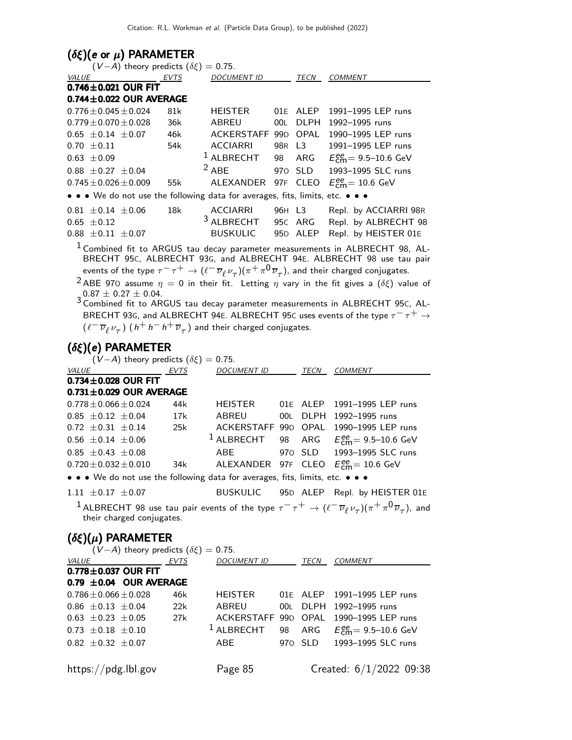### ( $\delta \xi$ )(e or  $\mu$ ) PARAMETER

| $(V-A)$ theory predicts $(\delta \xi) = 0.75$ .                               |     |                       |     |             |                                                                                                                                                                 |
|-------------------------------------------------------------------------------|-----|-----------------------|-----|-------------|-----------------------------------------------------------------------------------------------------------------------------------------------------------------|
| <b>VALUE</b><br>EVTS                                                          |     | DOCUMENT ID           |     | TECN        | <b>COMMENT</b>                                                                                                                                                  |
| $0.746 \pm 0.021$ OUR FIT                                                     |     |                       |     |             |                                                                                                                                                                 |
| $0.744 \pm 0.022$ OUR AVERAGE                                                 |     |                       |     |             |                                                                                                                                                                 |
| $0.776 \pm 0.045 \pm 0.024$                                                   | 81k | <b>HEISTER</b>        | 01E | ALEP        | 1991-1995 LEP runs                                                                                                                                              |
| $0.779 \pm 0.070 \pm 0.028$                                                   | 36k | ABREU                 | 00L | <b>DLPH</b> | 1992-1995 runs                                                                                                                                                  |
| $0.65 \pm 0.14 \pm 0.07$                                                      | 46k | ACKERSTAFF 99D        |     | OPAL        | 1990-1995 LEP runs                                                                                                                                              |
| $0.70 \pm 0.11$                                                               | 54k | <b>ACCIARRI</b>       |     | 98R L3      | 1991-1995 LEP runs                                                                                                                                              |
| $0.63 \pm 0.09$                                                               |     | $1$ ALBRECHT          |     | 98 ARG      | $E_{\text{cm}}^{\text{ee}} = 9.5 - 10.6 \text{ GeV}$                                                                                                            |
| $0.88 \pm 0.27 \pm 0.04$                                                      |     | $2$ ABE               |     | 970 SLD     | 1993-1995 SLC runs                                                                                                                                              |
| $0.745 \pm 0.026 \pm 0.009$                                                   | 55k | ALEXANDER             |     | 97F CLEO    | $E_{\text{cm}}^{\text{ee}} = 10.6 \text{ GeV}$                                                                                                                  |
| • • • We do not use the following data for averages, fits, limits, etc. • • • |     |                       |     |             |                                                                                                                                                                 |
| $0.81 \pm 0.14 \pm 0.06$                                                      | 18k | ACCIARRI              |     | 96H L3      | Repl. by ACCIARRI 98R                                                                                                                                           |
| $0.65 \pm 0.12$                                                               |     | <sup>3</sup> ALBRECHT |     | 95C ARG     | Repl. by ALBRECHT 98                                                                                                                                            |
| $0.88 \pm 0.11 \pm 0.07$                                                      |     | <b>BUSKULIC</b>       |     | 95D ALEP    | Repl. by HEISTER 01E                                                                                                                                            |
|                                                                               |     |                       |     |             | <sup>1</sup> Combined fit to ARGUS tau decay parameter measurements in ALBRECHT 98, AL-<br>BRECHT 95c, ALBRECHT 93G, and ALBRECHT 94E. ALBRECHT 98 use tau pair |
|                                                                               |     |                       |     |             | events of the type $\tau^- \tau^+ \to (\ell^- \overline{\nu}_{\ell} \nu_{\tau})(\pi^+ \pi^0 \overline{\nu}_{\tau})$ , and their charged conjugates.             |
|                                                                               |     |                       |     |             | $2$ ADE 070 accuma $x = 0$ in their fit. Letting $x$ year, in the fit gives a $(\delta t)$ value of                                                             |

ABE 970 assume  $\eta = 0$  in their fit. Letting  $\eta$  vary in the fit gives a  $(\delta \xi)$  value of  $0.87 \pm 0.27 \pm 0.04$ .  $3$  Combined fit to ARGUS tau decay parameter measurements in ALBRECHT 95c, AL-

BRECHT 93G, and ALBRECHT 94E. ALBRECHT 95C uses events of the type  $\tau^- \tau^+ \to$  $(\ell^- \overline{\nu}_{\ell} \nu_{\tau})$   $(\,h^+ \,h^- \,h^+ \, \overline{\nu}_{\tau} \,)$  and their charged conjugates.

### (δξ)(e) PARAMETER

| $(V-A)$ theory predicts $(\delta \xi) = 0.75$ .                                                                                                       |      |                       |  |          |                                                                                                                                                           |  |
|-------------------------------------------------------------------------------------------------------------------------------------------------------|------|-----------------------|--|----------|-----------------------------------------------------------------------------------------------------------------------------------------------------------|--|
| VALUE                                                                                                                                                 | EVTS | DOCUMENT ID           |  | TECN     | COMMENT                                                                                                                                                   |  |
| $0.734 \pm 0.028$ OUR FIT                                                                                                                             |      |                       |  |          |                                                                                                                                                           |  |
| $0.731 \pm 0.029$ OUR AVERAGE                                                                                                                         |      |                       |  |          |                                                                                                                                                           |  |
| $0.778 \pm 0.066 \pm 0.024$                                                                                                                           | 44k  | HEISTER               |  | 01E ALEP | 1991-1995 LEP runs                                                                                                                                        |  |
| $0.85 \pm 0.12 \pm 0.04$                                                                                                                              | 17k  | ABREU                 |  |          | 00L DLPH 1992-1995 runs                                                                                                                                   |  |
| $0.72 \pm 0.31 \pm 0.14$                                                                                                                              | 25k  |                       |  |          | ACKERSTAFF 99D OPAL 1990-1995 LEP runs                                                                                                                    |  |
| $0.56 \pm 0.14 \pm 0.06$                                                                                                                              |      | <sup>1</sup> ALBRECHT |  |          | 98 ARG $E_{\text{cm}}^{\text{ee}} = 9.5 - 10.6 \text{ GeV}$                                                                                               |  |
| $0.85 \pm 0.43 \pm 0.08$                                                                                                                              |      | ABE                   |  |          | 970 SLD 1993-1995 SLC runs                                                                                                                                |  |
| $0.720 \pm 0.032 \pm 0.010$                                                                                                                           | 34k  | ALEXANDER             |  |          | 97F CLEO $E_{\text{cm}}^{\text{ee}} = 10.6 \text{ GeV}$                                                                                                   |  |
| $\bullet \bullet \bullet$ We do not use the following data for averages, fits, limits, etc. $\bullet \bullet \bullet$                                 |      |                       |  |          |                                                                                                                                                           |  |
| $1.11 + 0.17 + 0.07$                                                                                                                                  |      |                       |  |          | BUSKULIC 95D ALEP Repl. by HEISTER 01E                                                                                                                    |  |
| their charged conjugates.                                                                                                                             |      |                       |  |          | <sup>1</sup> ALBRECHT 98 use tau pair events of the type $\tau^- \tau^+ \to (\ell^- \overline{\nu}_\ell \nu_\tau)(\pi^+ \pi^0 \overline{\nu}_\tau)$ , and |  |
| $(\delta \xi)(\mu)$ PARAMETER<br>$(V-A)$ theory predicts $(\delta \xi) = 0.75$ .<br>VALUE<br>$0.778 \pm 0.037$ OUR FIT<br>$0.79 \pm 0.04$ OUR AVERAGE | EVTS | DOCUMENT ID           |  | TECN     | COMMENT                                                                                                                                                   |  |

|                          | U. IY ILU. UM OUR AVERAGE   |     |  |                                                                  |
|--------------------------|-----------------------------|-----|--|------------------------------------------------------------------|
|                          | $0.786 \pm 0.066 \pm 0.028$ | 46k |  | HEISTER 01E ALEP 1991-1995 LEP runs                              |
|                          | $0.86 \pm 0.13 \pm 0.04$    | 22k |  | ABREU 00L DLPH 1992-1995 runs                                    |
|                          | $0.63 \pm 0.23 \pm 0.05$    |     |  | 27k ACKERSTAFF 99D OPAL 1990-1995 LEP runs                       |
| $0.73 \pm 0.18 \pm 0.10$ |                             |     |  | <sup>1</sup> ALBRECHT 98 ARG $E_{\text{cm}}^{ee}$ = 9.5–10.6 GeV |
|                          | $0.82 \pm 0.32 \pm 0.07$    |     |  | ABE 970 SLD 1993-1995 SLC runs                                   |
|                          |                             |     |  |                                                                  |

https://pdg.lbl.gov Page 85 Created: 6/1/2022 09:38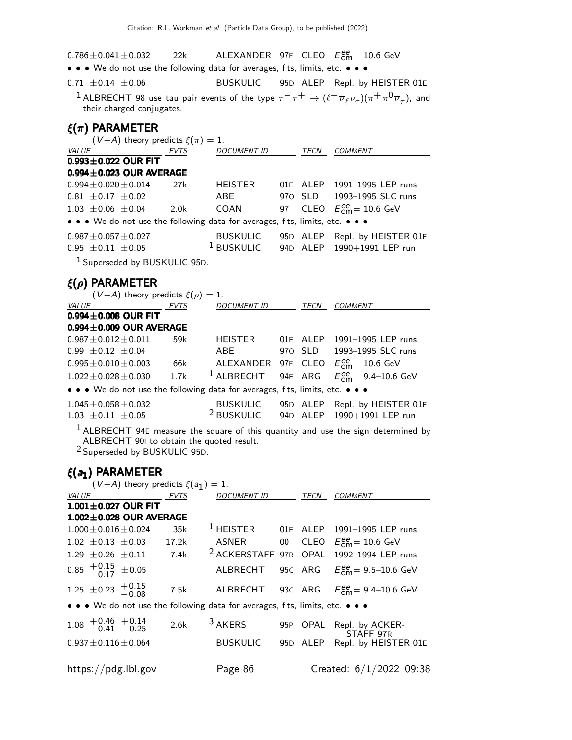$0.786 \pm 0.041 \pm 0.032$  22k ALEXANDER 97F CLEO  $E_{\text{cm}}^{\text{ee}} = 10.6 \text{ GeV}$ 

• • • We do not use the following data for averages, fits, limits, etc. • • •

 $0.71 \pm 0.14 \pm 0.06$  BUSKULIC 95D ALEP Repl. by HEISTER 01E

 $^1$  ALBRECHT 98 use tau pair events of the type  $\tau^-\tau^+\to(\ell^-\overline{\nu}_\ell \nu_\tau)(\pi^+\pi^0\overline{\nu}_\tau)$ , and their charged conjugates.

### ξ(π) PARAMETER

| $(V-A)$ theory predicts $\xi(\pi) = 1$ .                                      |                  |                    |      |                                  |
|-------------------------------------------------------------------------------|------------------|--------------------|------|----------------------------------|
| <i>VALUE</i>                                                                  | EVTS             | <b>DOCUMENT ID</b> | TECN | <b>COMMENT</b>                   |
| $0.993 \pm 0.022$ OUR FIT                                                     |                  |                    |      |                                  |
| $0.994 \pm 0.023$ OUR AVERAGE                                                 |                  |                    |      |                                  |
| $0.994 \pm 0.020 \pm 0.014$                                                   | 27k              | <b>HEISTER</b>     |      | 01E ALEP 1991-1995 LEP runs      |
| $0.81 \pm 0.17 \pm 0.02$                                                      |                  | ABE                |      | 970 SLD 1993-1995 SLC runs       |
| $1.03 \pm 0.06 \pm 0.04$                                                      | 2.0 <sub>k</sub> | COAN               |      | 97 CLEO $E_{cm}^{ee}$ = 10.6 GeV |
| • • • We do not use the following data for averages, fits, limits, etc. • • • |                  |                    |      |                                  |
| $0.987 \pm 0.057 \pm 0.027$                                                   |                  | <b>BUSKULIC</b>    |      | 95D ALEP Repl. by HEISTER 01E    |
| $0.95 \pm 0.11 \pm 0.05$                                                      |                  | $^1$ BUSKULIC      |      | 94D ALEP 1990+1991 LEP run       |
|                                                                               |                  |                    |      |                                  |

1 Superseded by BUSKULIC 95D.

## ξ(ρ) PARAMETER

| $(V-A)$ theory predicts $\xi(\rho) = 1$ .                                     |      |                       |          |                                        |
|-------------------------------------------------------------------------------|------|-----------------------|----------|----------------------------------------|
| <i>VALUE</i>                                                                  | EVTS | <i>DOCUMENT ID</i>    | TECN     | <b>COMMENT</b>                         |
| $0.994 \pm 0.008$ OUR FIT                                                     |      |                       |          |                                        |
| $0.994 \pm 0.009$ OUR AVERAGE                                                 |      |                       |          |                                        |
| $0.987 \pm 0.012 \pm 0.011$                                                   | 59k  | HEISTER               |          | 01E ALEP 1991-1995 LEP runs            |
| $0.99 \pm 0.12 \pm 0.04$                                                      |      | ABF                   |          | 970 SLD 1993-1995 SLC runs             |
| $0.995 \pm 0.010 \pm 0.003$                                                   | 66k  | ALEXANDER 97F CLEO    |          | $E_{\text{cm}}^{\text{ee}}$ = 10.6 GeV |
| $1.022 \pm 0.028 \pm 0.030$                                                   | 1.7k | <sup>1</sup> ALBRECHT |          | 94E ARG $E_{cm}^{ee} = 9.4 - 10.6$ GeV |
| • • • We do not use the following data for averages, fits, limits, etc. • • • |      |                       |          |                                        |
| $1.045 \pm 0.058 \pm 0.032$                                                   |      | <b>BUSKULIC</b>       | 95D ALEP | Repl. by HEISTER 01E                   |
| $1.03 \pm 0.11 \pm 0.05$                                                      |      | <sup>2</sup> BUSKULIC |          | 94D ALEP 1990+1991 LEP run             |
|                                                                               |      |                       |          |                                        |

 $<sup>1</sup>$  ALBRECHT 94E measure the square of this quantity and use the sign determined by</sup> ALBRECHT 90I to obtain the quoted result.

2 Superseded by BUSKULIC 95D.

### ξ(a<sup>1</sup> ) PARAMETER

| $(V-A)$ theory predicts $\xi(a_1)=1$ . |                                           |                               |       |  |                                                                               |      |                                                     |
|----------------------------------------|-------------------------------------------|-------------------------------|-------|--|-------------------------------------------------------------------------------|------|-----------------------------------------------------|
| <b>VALUE</b>                           |                                           |                               | EVTS  |  | <b>DOCUMENT ID</b>                                                            | TECN | <b>COMMENT</b>                                      |
|                                        |                                           | $1.001 \pm 0.027$ OUR FIT     |       |  |                                                                               |      |                                                     |
|                                        |                                           | $1.002 \pm 0.028$ OUR AVERAGE |       |  |                                                                               |      |                                                     |
|                                        | $1.000 \pm 0.016 \pm 0.024$               |                               | 35k   |  |                                                                               |      | <sup>1</sup> HEISTER 01E ALEP 1991-1995 LEP runs    |
|                                        |                                           | $1.02 \pm 0.13 \pm 0.03$      | 17.2k |  |                                                                               |      | ASNER 00 CLEO $E_{cm}^{ee} = 10.6$ GeV              |
|                                        |                                           | $1.29 \pm 0.26 \pm 0.11$ 7.4k |       |  |                                                                               |      | <sup>2</sup> ACKERSTAFF 97R OPAL 1992-1994 LEP runs |
|                                        | $0.85$ $^{+0.15}_{-0.17}$ ±0.05           |                               |       |  | ALBRECHT                                                                      |      | 95C ARG $E_{cm}^{ee} = 9.5 - 10.6$ GeV              |
|                                        | 1.25 $\pm$ 0.23 $+$ 0.15 $-$ 0.08         |                               | 7.5k  |  |                                                                               |      | ALBRECHT 93C ARG $E_{cm}^{ee} = 9.4 - 10.6$ GeV     |
|                                        |                                           |                               |       |  | • • • We do not use the following data for averages, fits, limits, etc. • • • |      |                                                     |
|                                        | $1.08$ $+0.46$ $+0.14$<br>$-0.41$ $-0.25$ |                               | 2.6k  |  | <sup>3</sup> AKERS                                                            |      | 95P OPAL Repl. by ACKER-<br>STAFF 97R               |
|                                        | $0.937 \pm 0.116 \pm 0.064$               |                               |       |  | BUSKULIC                                                                      |      | 95D ALEP Repl. by HEISTER 01E                       |
|                                        |                                           | https://pdg.lbl.gov           |       |  | Page 86                                                                       |      | Created: $6/1/2022$ 09:38                           |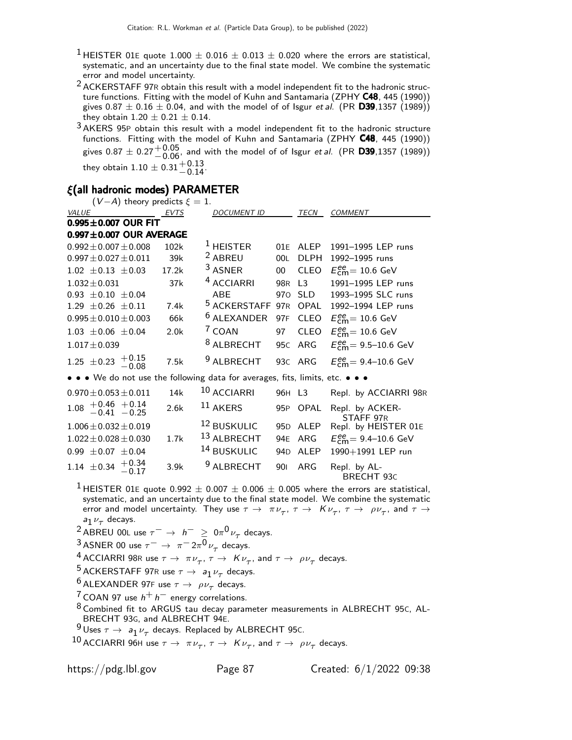- <sup>1</sup> HEISTER 01E quote 1.000  $\pm$  0.016  $\pm$  0.013  $\pm$  0.020 where the errors are statistical, systematic, and an uncertainty due to the final state model. We combine the systematic error and model uncertainty.
- 2 ACKERSTAFF 97<sup>R</sup> obtain this result with a model independent fit to the hadronic structure functions. Fitting with the model of Kuhn and Santamaria (ZPHY C48, 445 (1990)) gives  $0.87 \pm 0.16 \pm 0.04$ , and with the model of of Isgur et al. (PR D39,1357 (1989)) they obtain  $1.20 \pm 0.21 \pm 0.14$ .
- 3 AKERS 95P obtain this result with a model independent fit to the hadronic structure functions. Fitting with the model of Kuhn and Santamaria (ZPHY C48, 445 (1990)) gives  $0.87 \pm 0.27^{+0.05}_{-0.06}$ , and with the model of of Isgur *et al*. (PR **D39**,1357 (1989)) they obtain  $1.10 \pm 0.31_{-0.14}^{+0.13}$ .

### ξ(all hadronic modes) PARAMETER

| $(V-A)$ theory predicts $\xi = 1$ .                                           |                  |                             |                 |                |                                                                                                                                                                                                                                                                                                               |
|-------------------------------------------------------------------------------|------------------|-----------------------------|-----------------|----------------|---------------------------------------------------------------------------------------------------------------------------------------------------------------------------------------------------------------------------------------------------------------------------------------------------------------|
| VALUE                                                                         | EVTS             | <b>DOCUMENT ID</b>          |                 | TECN           | COMMENT                                                                                                                                                                                                                                                                                                       |
| $0.995 \pm 0.007$ OUR FIT                                                     |                  |                             |                 |                |                                                                                                                                                                                                                                                                                                               |
| $0.997 \pm 0.007$ OUR AVERAGE                                                 |                  |                             |                 |                |                                                                                                                                                                                                                                                                                                               |
| $0.992 \pm 0.007 \pm 0.008$                                                   | 102k             | $1$ HEISTER                 |                 | 01E ALEP       | 1991-1995 LEP runs                                                                                                                                                                                                                                                                                            |
| $0.997 \pm 0.027 \pm 0.011$                                                   | 39k              | <sup>2</sup> ABREU          | 00L             | <b>DLPH</b>    | 1992-1995 runs                                                                                                                                                                                                                                                                                                |
| $1.02 \pm 0.13 \pm 0.03$                                                      | 17.2k            | $3$ ASNER                   | 00              | <b>CLEO</b>    | $E_{\text{cm}}^{\text{ee}}$ = 10.6 GeV                                                                                                                                                                                                                                                                        |
| $1.032 \pm 0.031$                                                             | 37k              | <sup>4</sup> ACCIARRI       | 98 <sub>R</sub> | L <sub>3</sub> | 1991-1995 LEP runs                                                                                                                                                                                                                                                                                            |
| $0.93 \pm 0.10 \pm 0.04$                                                      |                  | ABF                         | 970             | SLD            | 1993-1995 SLC runs                                                                                                                                                                                                                                                                                            |
| $1.29 \pm 0.26 \pm 0.11$                                                      | 7.4k             | <sup>5</sup> ACKERSTAFF 97R |                 | OPAL           | 1992-1994 LEP runs                                                                                                                                                                                                                                                                                            |
| $0.995 \pm 0.010 \pm 0.003$                                                   | 66k              | <sup>6</sup> ALEXANDER      | 97F             | <b>CLEO</b>    | $E_{\text{cm}}^{\text{ee}}$ = 10.6 GeV                                                                                                                                                                                                                                                                        |
| $1.03 \pm 0.06 \pm 0.04$                                                      | 2.0 <sub>k</sub> | <sup>7</sup> COAN           | 97              | <b>CLEO</b>    | $E_{\text{cm}}^{\text{ee}} = 10.6 \text{ GeV}$                                                                                                                                                                                                                                                                |
| $1.017 \pm 0.039$                                                             |                  | <sup>8</sup> ALBRECHT       |                 | 95C ARG        | $E_{\text{cm}}^{\text{ee}} = 9.5 - 10.6 \text{ GeV}$                                                                                                                                                                                                                                                          |
| 1.25 $\pm$ 0.23 $+$ 0.15 $-$ 0.08                                             | 7.5k             | <sup>9</sup> ALBRECHT       |                 | 93C ARG        | $E_{cm}^{ee}$ = 9.4–10.6 GeV                                                                                                                                                                                                                                                                                  |
| • • • We do not use the following data for averages, fits, limits, etc. • • • |                  |                             |                 |                |                                                                                                                                                                                                                                                                                                               |
| $0.970 \pm 0.053 \pm 0.011$                                                   | 14k              | <sup>10</sup> ACCIARRI      | 96H L3          |                | Repl. by ACCIARRI 98R                                                                                                                                                                                                                                                                                         |
| $+0.46$ +0.14<br>-0.41 -0.25<br>1.08                                          | 2.6k             | $^{11}$ AKERS               | 95P             | <b>OPAL</b>    | Repl. by ACKER-<br>STAFF 97R                                                                                                                                                                                                                                                                                  |
| $1.006 \pm 0.032 \pm 0.019$                                                   |                  | <sup>12</sup> BUSKULIC      | 95 <sub>D</sub> | ALEP           | Repl. by HEISTER 01E                                                                                                                                                                                                                                                                                          |
| $1.022 \pm 0.028 \pm 0.030$                                                   | 1.7k             | 13 ALBRECHT                 | 94E             | ARG            | $E_{cm}^{ee}$ = 9.4–10.6 GeV                                                                                                                                                                                                                                                                                  |
| $0.99 \pm 0.07 \pm 0.04$                                                      |                  | <sup>14</sup> BUSKULIC      | 94 <sub>D</sub> | <b>ALEP</b>    | 1990+1991 LEP run                                                                                                                                                                                                                                                                                             |
| 1.14 $\pm$ 0.34 $+$ 0.34<br>-0.17                                             | 3.9k             | <sup>9</sup> ALBRECHT       | 901             | ARG            | Repl. by AL-<br>BRECHT 93C                                                                                                                                                                                                                                                                                    |
|                                                                               |                  |                             |                 |                | <sup>1</sup> HEISTER 01E quote 0.992 $\pm$ 0.007 $\pm$ 0.006 $\pm$ 0.005 where the errors are statistical,<br>systematic, and an uncertainty due to the final state model. We combine the systematic<br>. الموجد التاريخية التي تكان التاريخية التاريخية التي تتم المستمركة المستخدمات الملاحمة الموجد الموجد |

- systematic, and an uncertainty due to the final state model. We combine the systematic error and model uncertainty. They use  $\tau \to \pi \nu_\tau$ ,  $\tau \to K \nu_\tau$ ,  $\tau \to \rho \nu_\tau$ , and  $\tau \to \rho \nu_\tau$  $a_1 \nu_\tau$  decays.
- <sup>2</sup> ABREU 00L use  $\tau^ \rightarrow$   $h^ \geq$  0 $\pi^0 \nu_\tau$  decays.

 $\frac{3}{4}$  ASNER 00 use  $\tau^ \rightarrow \pi^- 2\pi^0 \nu_\tau$  decays.

 $^4$  ACCIARRI 98R use  $\tau \rightarrow \pi \nu_{\tau}, \tau \rightarrow \ K \nu_{\tau},$  and  $\tau \rightarrow \ \rho \nu_{\tau}$  decays.

<sup>5</sup> ACKERSTAFF 97R use  $\tau \rightarrow a_1 \nu_\tau$  decays.

<sup>6</sup> ALEXANDER 97F use  $\tau \rightarrow \rho \nu_{\tau}$  decays.

<sup>7</sup> COAN 97 use  $h^+ h^-$  energy correlations.

8 Combined fit to ARGUS tau decay parameter measurements in ALBRECHT 95C, AL-BRECHT 93G, and ALBRECHT 94E.

 $\frac{9}{2}$ Uses  $\tau \to a_1 \nu_\tau$  decays. Replaced by ALBRECHT 95c.

 $^{10}$  ACCIARRI 96H use  $\tau \to \; \pi \nu_\tau^{}, \tau \to \; K \nu_\tau^{},$  and  $\tau \to \; \rho \nu_\tau^{}$  decays.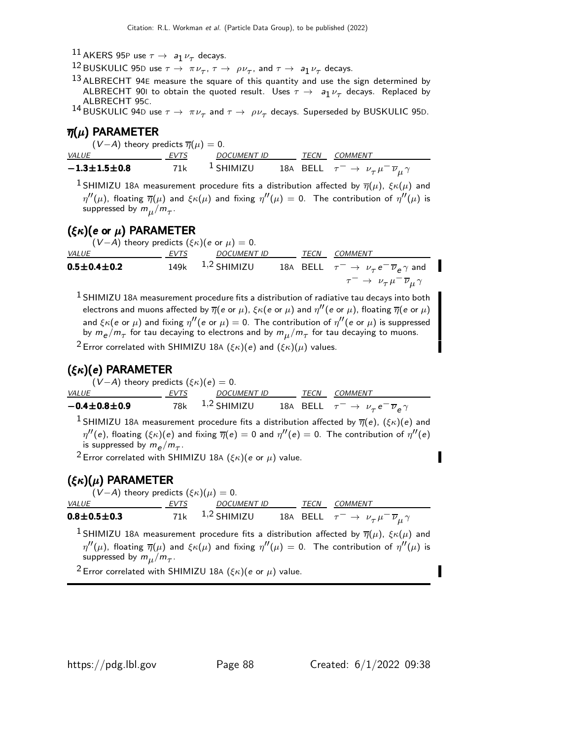$\frac{11}{2}$ AKERS 95P use  $\tau \rightarrow a_1 \nu_\tau$  decays.

12 BUSKULIC 95D use  $\tau \to \pi \nu_{\tau}$ ,  $\tau \to \rho \nu_{\tau}$ , and  $\tau \to a_1 \nu_{\tau}$  decays.

 $13$  ALBRECHT 94E measure the square of this quantity and use the sign determined by ALBRECHT 901 to obtain the quoted result. Uses  $\tau \rightarrow a_1 \nu_\tau$  decays. Replaced by ALBRECHT 95C.

 $^{14}$ BUSKULIC 94D use  $\tau \to~\pi \nu_\tau$  and  $\tau \to~\rho \nu_\tau$  decays. Superseded by BUSKULIC 95D.

### $\overline{\eta}(\mu)$  PARAMETER

| $(V-A)$ theory predicts $\overline{\eta}(\mu)=0.$ |      |                      |      |                                                                             |
|---------------------------------------------------|------|----------------------|------|-----------------------------------------------------------------------------|
| <i>VALUE</i>                                      | EVTS | DOCUMENT ID          | TECN | <i>COMMENT</i>                                                              |
| $-1.3 \!\pm\! 1.5 \!\pm\! 0.8$                    | 71k  | <sup>1</sup> SHIMIZU |      | 18A BELL $\tau^ \rightarrow$ $\nu_{\tau} \mu^- \overline{\nu}_{\mu} \gamma$ |

<sup>1</sup> SHIMIZU 18A measurement procedure fits a distribution affected by  $\overline{\eta}(\mu)$ ,  $\xi \kappa(\mu)$  and  $\eta''(\mu)$ , floating  $\overline{\eta}(\mu)$  and  $\xi\kappa(\mu)$  and fixing  $\eta''(\mu)=0.$  The contribution of  $\eta''(\mu)$  is suppressed by  $m_\mu/m_\tau$ .

### $(\xi \kappa)(e \text{ or } \mu)$  PARAMETER

(V-A) theory predicts  $(\xi \kappa)(e \text{ or } \mu) = 0$ .<br>VALUE EVTS DOCUMENT ID <u>VALUE EVTS DOCUMENT ID TECN COMMENT</u>  ${\bf 0.5\pm 0.4\pm 0.2} \hspace{1cm}$  149k  $\hspace{1cm}$   $^{1,2}$  SHIMIZU  $\hspace{1cm}$  18A BELL  $\hspace{1cm} \tau^- \rightarrow \hspace{1cm} \nu_\tau \hspace{1cm} e^- \overline{\nu}_e \gamma$  and  $\tau^ \rightarrow$   $\nu_{\tau} \mu^- \overline{\nu}_{\mu} \gamma$ 

 $<sup>1</sup>$  SHIMIZU 18A measurement procedure fits a distribution of radiative tau decays into both</sup> electrons and muons affected by  $\overline\eta(e$  or  $\mu)$ ,  $\xi\kappa(e$  or  $\mu)$  and  $\eta''(e$  or  $\mu)$ , floating  $\overline\eta(e$  or  $\mu)$ and  $\xi \kappa (e \text{ or } \mu)$  and fixing  $\eta''(e \text{ or } \mu) = 0$ . The contribution of  $\eta''(e \text{ or } \mu)$  is suppressed by  $m_{e}/m_{\tau}$  for tau decaying to electrons and by  $m_{\mu}/m_{\tau}$  for tau decaying to muons.

<sup>2</sup> Error correlated with SHIMIZU 18A ( $\xi \kappa$ )( $e$ ) and ( $\xi \kappa$ )( $\mu$ ) values.

### $(\xi \kappa)(e)$  PARAMETER

$$
(V-A) \text{ theory predicts } (\xi \kappa)(e) = 0.
$$

| <i>VALUE</i>           | EVTS | DOCUMENT ID          |  | <i>TECN COMMENT</i>                                                  |
|------------------------|------|----------------------|--|----------------------------------------------------------------------|
| $-0.4 \pm 0.8 \pm 0.9$ |      | 78 $k = 1,2$ SHIMIZU |  | 18A BELL $\tau^ \rightarrow$ $\nu_{\tau} e^ \overline{\nu}_e \gamma$ |

<sup>1</sup> SHIMIZU 18A measurement procedure fits a distribution affected by  $\overline{\eta}(e)$ ,  $(\xi \kappa)(e)$  and  $\eta''(e)$ , floating  $(\xi \kappa)(e)$  and fixing  $\overline{\eta}(e)=0$  and  $\eta''(e)=0.$  The contribution of  $\eta''(e)$ is suppressed by  $m_e/m_\tau$ .

<sup>2</sup> Error correlated with SHIMIZU 18A ( $\xi \kappa$ )(e or  $\mu$ ) value.

## $(\xi \kappa)(\mu)$  PARAMETER

 $(V-A)$  theory predicts  $(\xi \kappa)(\mu) = 0$ .

| <i>VALUE</i>              | <i>FVTS</i> | DOCUMENT ID         |  | <i>TECN COMMENT</i>                                            |
|---------------------------|-------------|---------------------|--|----------------------------------------------------------------|
| $0.8\!\pm\!0.5\!\pm\!0.3$ |             | $71k$ $1,2$ SHIMIZU |  | 18A BELL $\tau^- \to \nu_\tau \mu^- \overline{\nu}_\mu \gamma$ |

<sup>1</sup> SHIMIZU 18A measurement procedure fits a distribution affected by  $\overline{\eta}(\mu)$ ,  $\xi \kappa(\mu)$  and  $\eta''(\mu)$ , floating  $\overline{\eta}(\mu)$  and  $\xi\kappa(\mu)$  and fixing  $\eta''(\mu)=0.$  The contribution of  $\eta''(\mu)$  is suppressed by  $m_\mu/m_\tau$ .

<sup>2</sup> Error correlated with SHIMIZU 18A ( $\xi \kappa$ )(e or  $\mu$ ) value.

I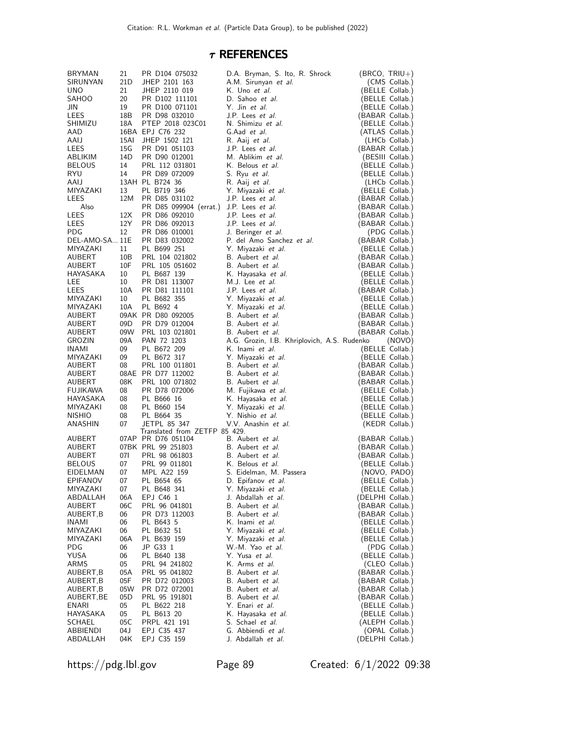### $\tau$  REFERENCES

| BRYMAN                    | 21        | PR D104 075032                   | D.A. Bryman, S. Ito, R. Shrock                    | $(BRCO, TRIU+)$                    |
|---------------------------|-----------|----------------------------------|---------------------------------------------------|------------------------------------|
| SIRUNYAN                  | 21D       | JHEP 2101 163                    | A.M. Sirunyan et al.                              | (CMS Collab.)                      |
| UNO.                      | 21        | JHEP 2110 019                    | K. Uno et al.                                     | (BELLE Collab.)                    |
| SAHOO<br>JIN              | 20<br>19  | PR D102 111101<br>PR D100 071101 | D. Sahoo et al.<br>Y. Jin et al.                  | (BELLE Collab.)<br>(BELLE Collab.) |
| LEES                      | 18B       | PR D98 032010                    | J.P. Lees et al.                                  | (BABAR Collab.)                    |
| SHIMIZU                   | 18A       | PTEP 2018 023C01                 | N. Shimizu et al.                                 | (BELLE Collab.)                    |
| AAD                       |           | 16BA EPJ C76 232                 | G.Aad et al.                                      | (ATLAS Collab.)                    |
| AAIJ                      | 15AI      | JHEP 1502 121                    | R. Aaij et al.                                    | (LHCb Collab.)                     |
| LEES                      | 15G       | PR D91 051103                    | J.P. Lees et al.                                  | (BABAR Collab.)                    |
| ABLIKIM                   | 14D       | PR D90 012001                    | M. Ablikim et al.                                 | (BESIII Collab.)                   |
| <b>BELOUS</b>             | 14        | PRL 112 031801                   | K. Belous <i>et al.</i>                           | (BELLE Collab.)                    |
| RYU                       | 14        | PR D89 072009                    | S. Ryu et al.                                     | (BELLE Collab.)                    |
| AAIJ                      |           | 13AH PL B724 36                  | R. Aaij et al.                                    | (LHCb Collab.)                     |
| MIYAZAKI                  | 13        | PL B719 346                      | Y. Miyazaki <i>et al.</i>                         | (BELLE Collab.)                    |
| LEES                      | 12M       | PR D85 031102                    | J.P. Lees et al.                                  | (BABAR Collab.)                    |
| Also                      |           | PR D85 099904 (errat.)           | J.P. Lees <i>et al.</i>                           | (BABAR Collab.)                    |
| LEES                      | 12X       | PR D86 092010                    | J.P. Lees et al.                                  | (BABAR Collab.)                    |
| LEES                      | 12Y       | PR D86 092013                    | J.P. Lees et al.                                  | (BABAR Collab.)                    |
| PDG<br>DEL-AMO-SA 11E     | 12        | PR D86 010001<br>PR D83 032002   | J. Beringer et al.<br>P. del Amo Sanchez et al.   | (PDG Collab.)                      |
| MIYAZAKI                  | 11        | PL B699 251                      | Y. Miyazaki <i>et al.</i>                         | (BABAR Collab.)<br>(BELLE Collab.) |
| AUBERT                    | 10B       | PRL 104 021802                   | B. Aubert et al.                                  | (BABAR Collab.)                    |
| AUBERT                    | 10F       | PRL 105 051602                   | B. Aubert et al.                                  | (BABAR Collab.)                    |
| HAYASAKA                  | 10        | PL B687 139                      | K. Hayasaka et al.                                | (BELLE Collab.)                    |
| LEE                       | 10        | PR D81 113007                    | M.J. Lee et al.                                   | (BELLE Collab.)                    |
| LEES                      | 10A       | PR D81 111101                    | J.P. Lees et al.                                  | (BABAR Collab.)                    |
| MIYAZAKI                  | 10        | PL B682 355                      | Y. Miyazaki <i>et al.</i>                         | (BELLE Collab.)                    |
| <b>MIYAZAKI</b>           | 10A       | PL B692 4                        | Y. Miyazaki et al.                                | (BELLE Collab.)                    |
| AUBERT                    |           | 09AK PR D80 092005               | B. Aubert et al.                                  | (BABAR Collab.)                    |
| AUBERT                    | 09D       | PR D79 012004                    | B. Aubert et al.                                  | (BABAR Collab.)                    |
| AUBERT                    |           | 09W PRL 103 021801               | B. Aubert et al.                                  | (BABAR Collab.)                    |
| <b>GROZIN</b>             | 09A       | PAN 72 1203                      | A.G. Grozin, I.B. Khriplovich, A.S. Rudenko       | (NOVO)                             |
| <b>INAMI</b>              | 09        |                                  | K. Inami et al.                                   |                                    |
|                           |           | PL B672 209                      |                                                   | (BELLE Collab.)                    |
| MIYAZAKI                  | 09        | PL B672 317                      | Y. Miyazaki et al.                                | (BELLE Collab.)                    |
| AUBERT                    | 08        | PRL 100 011801                   | B. Aubert et al.                                  | (BABAR Collab.)                    |
| AUBERT                    |           | 08AE PR D77 112002               | B. Aubert et al.                                  | (BABAR Collab.)                    |
| AUBERT                    | 08K       | PRL 100 071802                   | B. Aubert et al.                                  | (BABAR Collab.)                    |
| FUJIKAWA                  | 08        | PR D78 072006                    | M. Fujikawa et al.                                | (BELLE Collab.)                    |
| HAYASAKA                  | 08        | PL B666 16                       | K. Hayasaka <i>et al.</i>                         | (BELLE Collab.)                    |
| MIYAZAKI<br><b>NISHIO</b> | 08<br>08  | PL B660 154                      | Y. Miyazaki et al.                                | (BELLE Collab.)                    |
| ANASHIN                   | 07        | PL B664 35<br>JETPL 85 347       | Y. Nishio et al.<br>V.V. Anashin et al.           | (BELLE Collab.)                    |
|                           |           | Translated from ZETFP 85 429.    |                                                   | (KEDR Collab.)                     |
| AUBERT                    |           | 07AP PR D76 051104               | B. Aubert et al.                                  | (BABAR Collab.)                    |
| AUBERT                    |           | 07BK PRL 99 251803               | B. Aubert et al.                                  | (BABAR Collab.)                    |
| AUBERT                    | 071       | PRL 98 061803                    | B. Aubert et al.                                  | (BABAR Collab.)                    |
| <b>BELOUS</b>             | 07        | PRL 99 011801                    | K. Belous et al.                                  | (BELLE Collab.)                    |
| EIDELMAN                  | 07        | MPL A22 159                      | S. Eidelman, M. Passera                           | (NOVO, PADO)                       |
| EPIFANOV                  | 07        | PL B654 65                       | D. Epifanov et al.                                | (BELLE Collab.)                    |
| MIYAZAKI                  | 07        | PL B648 341                      | Y. Miyazaki <i>et al.</i>                         | (BELLE Collab.)                    |
| ABDALLAH                  | 06A       | EPJ C46 1                        | J. Abdallah <i>et al.</i>                         | (DELPHI Collab.)                   |
| AUBERT                    | 06C<br>06 | PRL 96 041801<br>PR D73 112003   | B. Aubert et al.                                  | (BABAR Collab.)                    |
| AUBERT,B<br>INAMI         | 06        | PL B643 5                        | B. Aubert <i>et al.</i><br>K. Inami <i>et al.</i> | (BABAR Collab.)<br>(BELLE Collab.) |
| MIYAZAKI                  | 06        | PL B632 51                       | Y. Miyazaki <i>et al.</i>                         | (BELLE Collab.)                    |
| MIYAZAKI                  | 06A       | PL B639 159                      | Y. Miyazaki et al.                                | (BELLE Collab.)                    |
| PDG                       | 06        | JP G33 1                         | W.-M. Yao et al.                                  | (PDG Collab.)                      |
| YUSA                      | 06        | PL B640 138                      | Y. Yusa <i>et al.</i>                             | (BELLE Collab.)                    |
| ARMS                      | 05        | PRL 94 241802                    | K. Arms et al.                                    | (CLEO Collab.)                     |
| AUBERT,B                  | 05A       | PRL 95 041802                    | B. Aubert <i>et al.</i>                           | (BABAR Collab.)                    |
| AUBERT,B                  | 05F       | PR D72 012003                    | B. Aubert et al.                                  | (BABAR Collab.)                    |
| AUBERT,B                  | 05W       | PR D72 072001                    | B. Aubert <i>et al.</i>                           | (BABAR Collab.)                    |
| AUBERT,BE                 | 05D       | PRL 95 191801                    | B. Aubert <i>et al.</i>                           | (BABAR Collab.)                    |
| ENARI                     | 05<br>05  | PL B622 218                      | Y. Enari et al.                                   | (BELLE Collab.)                    |
| HAYASAKA<br>SCHAEL        | 05C       | PL B613 20<br>PRPL 421 191       | K. Hayasaka et al.<br>S. Schael <i>et al.</i>     | (BELLE Collab.)<br>(ALEPH Collab.) |
| ABBIENDI                  | 04 J      | EPJ C35 437<br>EPJ C35 159       | G. Abbiendi et al.                                | (OPAL Collab.)<br>(DELPHI Collab.) |

https://pdg.lbl.gov Page 89 Created: 6/1/2022 09:38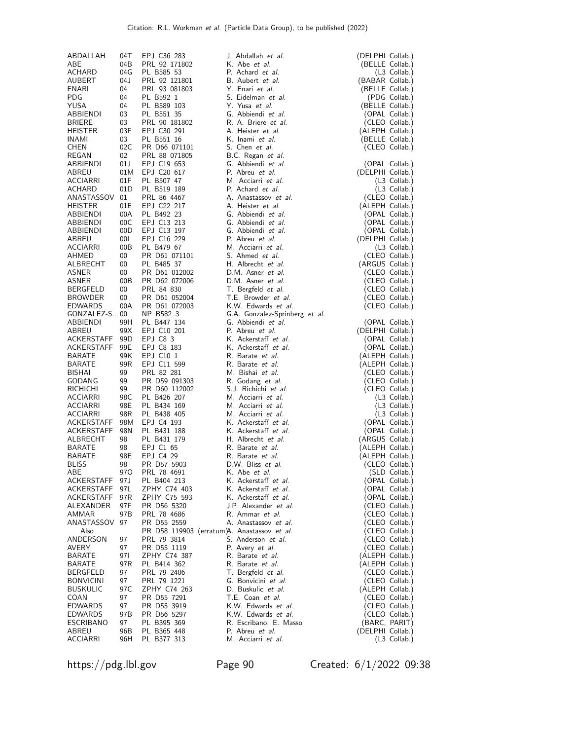| K. Abe et al.<br>(BELLE Collab.)<br>ABE<br>04B<br>PRL 92 171802<br>ACHARD<br>04G<br>PL B585 53<br>P. Achard et al.<br>$(L3$ Collab.)<br>04 J<br>PRL 92 121801<br>B. Aubert et al.<br>(BABAR Collab.)<br>AUBERT<br>Y. Enari et al.<br>ENARI<br>04<br>PRL 93 081803<br>(BELLE Collab.)<br>S. Eidelman et al.<br>PDG<br>04<br>PL B592 1<br>(PDG Collab.)<br>Y. Yusa et al.<br>YUSA<br>04<br>PL B589 103<br>(BELLE Collab.)<br>G. Abbiendi et al.<br>03<br>PL B551 35<br>ABBIENDI<br>(OPAL Collab.)<br>R. A. Briere et al.<br><b>BRIERE</b><br>03<br>PRL 90 181802<br>(CLEO Collab.)<br><b>HEISTER</b><br>03F<br>EPJ C30 291<br>A. Heister <i>et al.</i><br>(ALEPH Collab.)<br>PL B551 16<br>K. Inami et al.<br>INAMI<br>03<br>(BELLE Collab.)<br>CHEN<br>02C<br>PR D66 071101<br>S. Chen et al.<br>(CLEO Collab.)<br>REGAN<br>02<br>PRL 88 071805<br>B.C. Regan et al.<br>01J<br>EPJ C19 653<br>G. Abbiendi et al.<br>ABBIENDI<br>(OPAL Collab.)<br>EPJ C20 617<br>P. Abreu et al.<br>ABREU<br>01M<br>(DELPHI Collab.)<br>PL B507 47<br>M. Acciarri et al.<br>ACCIARRI<br>01F<br>$(L3$ Collab.)<br>ACHARD<br>PL B519 189<br>P. Achard et al.<br>01D<br>(L3 Collab.)<br>ANASTASSOV 01<br>PRL 86 4467<br>A. Anastassov et al.<br>(CLEO Collab.)<br>01E<br>EPJ C22 217<br>A. Heister et al.<br>HEISTER<br>(ALEPH Collab.)<br>ABBIENDI<br>00A<br>PL B492 23<br>G. Abbiendi et al.<br>(OPAL Collab.)<br>G. Abbiendi et al.<br>ABBIENDI<br>00C<br>EPJ C13 213<br>(OPAL Collab.)<br>EPJ C13 197<br>G. Abbiendi et al.<br>ABBIENDI<br>00D<br>(OPAL Collab.)<br>EPJ C16 229<br>P. Abreu et al.<br>ABREU<br>00L<br>(DELPHI Collab.)<br>M. Acciarri et al.<br><b>ACCIARRI</b><br>00B<br>PL B479 67<br>(L3 Collab.)<br>AHMED<br>00<br>PR D61 071101<br>S. Ahmed <i>et al.</i><br>(CLEO Collab.)<br>ALBRECHT<br>00<br>PL B485 37<br>H. Albrecht et al.<br>(ARGUS Collab.)<br>ASNER<br>00<br>PR D61 012002<br>D.M. Asner et al.<br>(CLEO Collab.)<br>D.M. Asner et al.<br>ASNER<br>00B<br>PR D62 072006<br>(CLEO Collab.)<br>PRL 84 830<br>00<br>T. Bergfeld <i>et al.</i><br>(CLEO Collab.)<br>BERGFELD<br>$00\,$<br>PR D61 052004<br>T.E. Browder et al.<br><b>BROWDER</b><br>(CLEO Collab.)<br>00A<br>PR D61 072003<br>K.W. Edwards et al.<br>EDWARDS<br>(CLEO Collab.)<br>GONZALEZ-S00<br>NP B582 3<br>G.A. Gonzalez-Sprinberg et al.<br>PL B447 134<br>G. Abbiendi et al.<br>ABBIENDI<br>99H<br>(OPAL Collab.)<br>99X<br>EPJ C10 201<br>P. Abreu et al.<br>ABREU<br>(DELPHI Collab.)<br>99 <sub>D</sub><br>EPJ C8 3<br>K. Ackerstaff et al.<br>ACKERSTAFF<br>(OPAL Collab.)<br>ACKERSTAFF<br>99E<br>EPJ C8 183<br>K. Ackerstaff et al.<br>(OPAL Collab.)<br>99K<br>EPJ C10 1<br>R. Barate et al.<br>(ALEPH Collab.)<br>BARATE<br>99R<br>EPJ C11 599<br>BARATE<br>R. Barate et al.<br>(ALEPH Collab.)<br>BISHAI<br>99<br>PRL 82 281<br>M. Bishai et al.<br>(CLEO Collab.)<br>GODANG<br>PR D59 091303<br>R. Godang et al.<br>(CLEO Collab.)<br>99<br><b>RICHICHI</b><br>S.J. Richichi et al.<br>(CLEO Collab.)<br>99<br>PR D60 112002<br>98C<br>PL B426 207<br>M. Acciarri et al.<br>ACCIARRI<br>$(L3$ Collab.)<br>ACCIARRI<br>98E<br>PL B434 169<br>M. Acciarri et al.<br>$(L3$ Collab.)<br>M. Acciarri et al.<br><b>ACCIARRI</b><br>98R<br>PL B438 405<br>$(L3$ Collab.)<br>K. Ackerstaff et al.<br>ACKERSTAFF<br>98M<br>EPJ C4 193<br>(OPAL Collab.)<br>K. Ackerstaff et al.<br>98N<br>(OPAL Collab.)<br>ACKERSTAFF<br>PL B431 188<br>PL B431 179<br>H. Albrecht et al.<br>(ARGUS Collab.)<br>ALBRECHT<br>98<br>R. Barate et al.<br>BARATE<br>98<br>EPJ C1 65<br>(ALEPH Collab.)<br><b>BARATE</b><br>98E<br>EPJ C4 29<br>R. Barate et al.<br>(ALEPH Collab.)<br><b>BLISS</b><br>PR D57 5903<br>D.W. Bliss et al.<br>98<br>(CLEO Collab.)<br><b>970</b><br>PRL 78 4691<br>K. Abe et al.<br>(SLD Collab.)<br>ABE<br>ACKERSTAFF<br>K. Ackerstaff et al.<br>(OPAL Collab.)<br>97 J<br>PL B404 213<br>ACKERSTAFF<br>97L<br>ZPHY C74 403<br>K. Ackerstaff et al.<br>(OPAL Collab.)<br>K. Ackerstaff et al.<br>(OPAL Collab.)<br>ACKERSTAFF<br>97R<br>ZPHY C75 593<br>97F<br>J.P. Alexander et al.<br>ALEXANDER<br>PR D56 5320<br>(CLEO Collab.)<br>97B<br>PRL 78 4686<br>R. Ammar et al.<br>(CLEO Collab.)<br>AMMAR<br>ANASTASSOV<br>97<br>PR D55 2559<br>A. Anastassov et al.<br>(CLEO Collab.)<br>Also<br>PR D58 119903 (erratum)A. Anastassov <i>et al.</i><br>(CLEO Collab.)<br>ANDERSON<br>97<br>PRL 79 3814<br>S. Anderson et al.<br>(CLEO Collab.)<br>97<br>AVERY<br>PR D55 1119<br>P. Avery et al.<br>(CLEO Collab.)<br>R. Barate et al.<br>(ALEPH Collab.)<br>BARATE<br>97I<br>ZPHY C74 387<br>PL B414 362<br>R. Barate et al.<br>(ALEPH Collab.)<br>BARATE<br>97R<br>BERGFELD<br>97<br>PRL 79 2406<br>T. Bergfeld <i>et al.</i><br>(CLEO Collab.)<br><b>BONVICINI</b><br>97<br>PRL 79 1221<br>G. Bonvicini et al.<br>(CLEO Collab.)<br>BUSKULIC<br>97 C<br>ZPHY C74 263<br>D. Buskulic et al.<br>(ALEPH Collab.)<br>PR D55 7291<br>T.E. Coan et al.<br>COAN<br>97<br>(CLEO Collab.)<br>K.W. Edwards et al.<br>EDWARDS<br>97<br>PR D55 3919<br>(CLEO Collab.)<br>97B<br>PR D56 5297<br>K.W. Edwards et al.<br>(CLEO Collab.)<br>EDWARDS<br>R. Escribano, E. Masso<br>ESCRIBANO<br>97<br>PL B395 369<br>(BARC, PARIT)<br>ABREU<br>P. Abreu et al.<br>(DELPHI Collab.)<br>96B<br>PL B365 448<br>ACCIARRI<br>PL B377 313<br>M. Acciarri et al.<br>(L3 Collab.)<br>96H | ABDALLAH | 04T | EPJ C36 283 | J. Abdallah et al. | (DELPHI Collab.) |
|------------------------------------------------------------------------------------------------------------------------------------------------------------------------------------------------------------------------------------------------------------------------------------------------------------------------------------------------------------------------------------------------------------------------------------------------------------------------------------------------------------------------------------------------------------------------------------------------------------------------------------------------------------------------------------------------------------------------------------------------------------------------------------------------------------------------------------------------------------------------------------------------------------------------------------------------------------------------------------------------------------------------------------------------------------------------------------------------------------------------------------------------------------------------------------------------------------------------------------------------------------------------------------------------------------------------------------------------------------------------------------------------------------------------------------------------------------------------------------------------------------------------------------------------------------------------------------------------------------------------------------------------------------------------------------------------------------------------------------------------------------------------------------------------------------------------------------------------------------------------------------------------------------------------------------------------------------------------------------------------------------------------------------------------------------------------------------------------------------------------------------------------------------------------------------------------------------------------------------------------------------------------------------------------------------------------------------------------------------------------------------------------------------------------------------------------------------------------------------------------------------------------------------------------------------------------------------------------------------------------------------------------------------------------------------------------------------------------------------------------------------------------------------------------------------------------------------------------------------------------------------------------------------------------------------------------------------------------------------------------------------------------------------------------------------------------------------------------------------------------------------------------------------------------------------------------------------------------------------------------------------------------------------------------------------------------------------------------------------------------------------------------------------------------------------------------------------------------------------------------------------------------------------------------------------------------------------------------------------------------------------------------------------------------------------------------------------------------------------------------------------------------------------------------------------------------------------------------------------------------------------------------------------------------------------------------------------------------------------------------------------------------------------------------------------------------------------------------------------------------------------------------------------------------------------------------------------------------------------------------------------------------------------------------------------------------------------------------------------------------------------------------------------------------------------------------------------------------------------------------------------------------------------------------------------------------------------------------------------------------------------------------------------------------------------------------------------------------------------------------------------------------------------------------------------------------------------------------------------------------------------------------------------------------------------------------------------------------------------------------------------------------------------------------------------------------------------------------------------------------------------------------------------------------------------------------------------------------------------------------------------------------------------------------------------------------------------------------------------|----------|-----|-------------|--------------------|------------------|
|                                                                                                                                                                                                                                                                                                                                                                                                                                                                                                                                                                                                                                                                                                                                                                                                                                                                                                                                                                                                                                                                                                                                                                                                                                                                                                                                                                                                                                                                                                                                                                                                                                                                                                                                                                                                                                                                                                                                                                                                                                                                                                                                                                                                                                                                                                                                                                                                                                                                                                                                                                                                                                                                                                                                                                                                                                                                                                                                                                                                                                                                                                                                                                                                                                                                                                                                                                                                                                                                                                                                                                                                                                                                                                                                                                                                                                                                                                                                                                                                                                                                                                                                                                                                                                                                                                                                                                                                                                                                                                                                                                                                                                                                                                                                                                                                                                                                                                                                                                                                                                                                                                                                                                                                                                                                                                                                                            |          |     |             |                    |                  |
|                                                                                                                                                                                                                                                                                                                                                                                                                                                                                                                                                                                                                                                                                                                                                                                                                                                                                                                                                                                                                                                                                                                                                                                                                                                                                                                                                                                                                                                                                                                                                                                                                                                                                                                                                                                                                                                                                                                                                                                                                                                                                                                                                                                                                                                                                                                                                                                                                                                                                                                                                                                                                                                                                                                                                                                                                                                                                                                                                                                                                                                                                                                                                                                                                                                                                                                                                                                                                                                                                                                                                                                                                                                                                                                                                                                                                                                                                                                                                                                                                                                                                                                                                                                                                                                                                                                                                                                                                                                                                                                                                                                                                                                                                                                                                                                                                                                                                                                                                                                                                                                                                                                                                                                                                                                                                                                                                            |          |     |             |                    |                  |
|                                                                                                                                                                                                                                                                                                                                                                                                                                                                                                                                                                                                                                                                                                                                                                                                                                                                                                                                                                                                                                                                                                                                                                                                                                                                                                                                                                                                                                                                                                                                                                                                                                                                                                                                                                                                                                                                                                                                                                                                                                                                                                                                                                                                                                                                                                                                                                                                                                                                                                                                                                                                                                                                                                                                                                                                                                                                                                                                                                                                                                                                                                                                                                                                                                                                                                                                                                                                                                                                                                                                                                                                                                                                                                                                                                                                                                                                                                                                                                                                                                                                                                                                                                                                                                                                                                                                                                                                                                                                                                                                                                                                                                                                                                                                                                                                                                                                                                                                                                                                                                                                                                                                                                                                                                                                                                                                                            |          |     |             |                    |                  |
|                                                                                                                                                                                                                                                                                                                                                                                                                                                                                                                                                                                                                                                                                                                                                                                                                                                                                                                                                                                                                                                                                                                                                                                                                                                                                                                                                                                                                                                                                                                                                                                                                                                                                                                                                                                                                                                                                                                                                                                                                                                                                                                                                                                                                                                                                                                                                                                                                                                                                                                                                                                                                                                                                                                                                                                                                                                                                                                                                                                                                                                                                                                                                                                                                                                                                                                                                                                                                                                                                                                                                                                                                                                                                                                                                                                                                                                                                                                                                                                                                                                                                                                                                                                                                                                                                                                                                                                                                                                                                                                                                                                                                                                                                                                                                                                                                                                                                                                                                                                                                                                                                                                                                                                                                                                                                                                                                            |          |     |             |                    |                  |
|                                                                                                                                                                                                                                                                                                                                                                                                                                                                                                                                                                                                                                                                                                                                                                                                                                                                                                                                                                                                                                                                                                                                                                                                                                                                                                                                                                                                                                                                                                                                                                                                                                                                                                                                                                                                                                                                                                                                                                                                                                                                                                                                                                                                                                                                                                                                                                                                                                                                                                                                                                                                                                                                                                                                                                                                                                                                                                                                                                                                                                                                                                                                                                                                                                                                                                                                                                                                                                                                                                                                                                                                                                                                                                                                                                                                                                                                                                                                                                                                                                                                                                                                                                                                                                                                                                                                                                                                                                                                                                                                                                                                                                                                                                                                                                                                                                                                                                                                                                                                                                                                                                                                                                                                                                                                                                                                                            |          |     |             |                    |                  |
|                                                                                                                                                                                                                                                                                                                                                                                                                                                                                                                                                                                                                                                                                                                                                                                                                                                                                                                                                                                                                                                                                                                                                                                                                                                                                                                                                                                                                                                                                                                                                                                                                                                                                                                                                                                                                                                                                                                                                                                                                                                                                                                                                                                                                                                                                                                                                                                                                                                                                                                                                                                                                                                                                                                                                                                                                                                                                                                                                                                                                                                                                                                                                                                                                                                                                                                                                                                                                                                                                                                                                                                                                                                                                                                                                                                                                                                                                                                                                                                                                                                                                                                                                                                                                                                                                                                                                                                                                                                                                                                                                                                                                                                                                                                                                                                                                                                                                                                                                                                                                                                                                                                                                                                                                                                                                                                                                            |          |     |             |                    |                  |
|                                                                                                                                                                                                                                                                                                                                                                                                                                                                                                                                                                                                                                                                                                                                                                                                                                                                                                                                                                                                                                                                                                                                                                                                                                                                                                                                                                                                                                                                                                                                                                                                                                                                                                                                                                                                                                                                                                                                                                                                                                                                                                                                                                                                                                                                                                                                                                                                                                                                                                                                                                                                                                                                                                                                                                                                                                                                                                                                                                                                                                                                                                                                                                                                                                                                                                                                                                                                                                                                                                                                                                                                                                                                                                                                                                                                                                                                                                                                                                                                                                                                                                                                                                                                                                                                                                                                                                                                                                                                                                                                                                                                                                                                                                                                                                                                                                                                                                                                                                                                                                                                                                                                                                                                                                                                                                                                                            |          |     |             |                    |                  |
|                                                                                                                                                                                                                                                                                                                                                                                                                                                                                                                                                                                                                                                                                                                                                                                                                                                                                                                                                                                                                                                                                                                                                                                                                                                                                                                                                                                                                                                                                                                                                                                                                                                                                                                                                                                                                                                                                                                                                                                                                                                                                                                                                                                                                                                                                                                                                                                                                                                                                                                                                                                                                                                                                                                                                                                                                                                                                                                                                                                                                                                                                                                                                                                                                                                                                                                                                                                                                                                                                                                                                                                                                                                                                                                                                                                                                                                                                                                                                                                                                                                                                                                                                                                                                                                                                                                                                                                                                                                                                                                                                                                                                                                                                                                                                                                                                                                                                                                                                                                                                                                                                                                                                                                                                                                                                                                                                            |          |     |             |                    |                  |
|                                                                                                                                                                                                                                                                                                                                                                                                                                                                                                                                                                                                                                                                                                                                                                                                                                                                                                                                                                                                                                                                                                                                                                                                                                                                                                                                                                                                                                                                                                                                                                                                                                                                                                                                                                                                                                                                                                                                                                                                                                                                                                                                                                                                                                                                                                                                                                                                                                                                                                                                                                                                                                                                                                                                                                                                                                                                                                                                                                                                                                                                                                                                                                                                                                                                                                                                                                                                                                                                                                                                                                                                                                                                                                                                                                                                                                                                                                                                                                                                                                                                                                                                                                                                                                                                                                                                                                                                                                                                                                                                                                                                                                                                                                                                                                                                                                                                                                                                                                                                                                                                                                                                                                                                                                                                                                                                                            |          |     |             |                    |                  |
|                                                                                                                                                                                                                                                                                                                                                                                                                                                                                                                                                                                                                                                                                                                                                                                                                                                                                                                                                                                                                                                                                                                                                                                                                                                                                                                                                                                                                                                                                                                                                                                                                                                                                                                                                                                                                                                                                                                                                                                                                                                                                                                                                                                                                                                                                                                                                                                                                                                                                                                                                                                                                                                                                                                                                                                                                                                                                                                                                                                                                                                                                                                                                                                                                                                                                                                                                                                                                                                                                                                                                                                                                                                                                                                                                                                                                                                                                                                                                                                                                                                                                                                                                                                                                                                                                                                                                                                                                                                                                                                                                                                                                                                                                                                                                                                                                                                                                                                                                                                                                                                                                                                                                                                                                                                                                                                                                            |          |     |             |                    |                  |
|                                                                                                                                                                                                                                                                                                                                                                                                                                                                                                                                                                                                                                                                                                                                                                                                                                                                                                                                                                                                                                                                                                                                                                                                                                                                                                                                                                                                                                                                                                                                                                                                                                                                                                                                                                                                                                                                                                                                                                                                                                                                                                                                                                                                                                                                                                                                                                                                                                                                                                                                                                                                                                                                                                                                                                                                                                                                                                                                                                                                                                                                                                                                                                                                                                                                                                                                                                                                                                                                                                                                                                                                                                                                                                                                                                                                                                                                                                                                                                                                                                                                                                                                                                                                                                                                                                                                                                                                                                                                                                                                                                                                                                                                                                                                                                                                                                                                                                                                                                                                                                                                                                                                                                                                                                                                                                                                                            |          |     |             |                    |                  |
|                                                                                                                                                                                                                                                                                                                                                                                                                                                                                                                                                                                                                                                                                                                                                                                                                                                                                                                                                                                                                                                                                                                                                                                                                                                                                                                                                                                                                                                                                                                                                                                                                                                                                                                                                                                                                                                                                                                                                                                                                                                                                                                                                                                                                                                                                                                                                                                                                                                                                                                                                                                                                                                                                                                                                                                                                                                                                                                                                                                                                                                                                                                                                                                                                                                                                                                                                                                                                                                                                                                                                                                                                                                                                                                                                                                                                                                                                                                                                                                                                                                                                                                                                                                                                                                                                                                                                                                                                                                                                                                                                                                                                                                                                                                                                                                                                                                                                                                                                                                                                                                                                                                                                                                                                                                                                                                                                            |          |     |             |                    |                  |
|                                                                                                                                                                                                                                                                                                                                                                                                                                                                                                                                                                                                                                                                                                                                                                                                                                                                                                                                                                                                                                                                                                                                                                                                                                                                                                                                                                                                                                                                                                                                                                                                                                                                                                                                                                                                                                                                                                                                                                                                                                                                                                                                                                                                                                                                                                                                                                                                                                                                                                                                                                                                                                                                                                                                                                                                                                                                                                                                                                                                                                                                                                                                                                                                                                                                                                                                                                                                                                                                                                                                                                                                                                                                                                                                                                                                                                                                                                                                                                                                                                                                                                                                                                                                                                                                                                                                                                                                                                                                                                                                                                                                                                                                                                                                                                                                                                                                                                                                                                                                                                                                                                                                                                                                                                                                                                                                                            |          |     |             |                    |                  |
|                                                                                                                                                                                                                                                                                                                                                                                                                                                                                                                                                                                                                                                                                                                                                                                                                                                                                                                                                                                                                                                                                                                                                                                                                                                                                                                                                                                                                                                                                                                                                                                                                                                                                                                                                                                                                                                                                                                                                                                                                                                                                                                                                                                                                                                                                                                                                                                                                                                                                                                                                                                                                                                                                                                                                                                                                                                                                                                                                                                                                                                                                                                                                                                                                                                                                                                                                                                                                                                                                                                                                                                                                                                                                                                                                                                                                                                                                                                                                                                                                                                                                                                                                                                                                                                                                                                                                                                                                                                                                                                                                                                                                                                                                                                                                                                                                                                                                                                                                                                                                                                                                                                                                                                                                                                                                                                                                            |          |     |             |                    |                  |
|                                                                                                                                                                                                                                                                                                                                                                                                                                                                                                                                                                                                                                                                                                                                                                                                                                                                                                                                                                                                                                                                                                                                                                                                                                                                                                                                                                                                                                                                                                                                                                                                                                                                                                                                                                                                                                                                                                                                                                                                                                                                                                                                                                                                                                                                                                                                                                                                                                                                                                                                                                                                                                                                                                                                                                                                                                                                                                                                                                                                                                                                                                                                                                                                                                                                                                                                                                                                                                                                                                                                                                                                                                                                                                                                                                                                                                                                                                                                                                                                                                                                                                                                                                                                                                                                                                                                                                                                                                                                                                                                                                                                                                                                                                                                                                                                                                                                                                                                                                                                                                                                                                                                                                                                                                                                                                                                                            |          |     |             |                    |                  |
|                                                                                                                                                                                                                                                                                                                                                                                                                                                                                                                                                                                                                                                                                                                                                                                                                                                                                                                                                                                                                                                                                                                                                                                                                                                                                                                                                                                                                                                                                                                                                                                                                                                                                                                                                                                                                                                                                                                                                                                                                                                                                                                                                                                                                                                                                                                                                                                                                                                                                                                                                                                                                                                                                                                                                                                                                                                                                                                                                                                                                                                                                                                                                                                                                                                                                                                                                                                                                                                                                                                                                                                                                                                                                                                                                                                                                                                                                                                                                                                                                                                                                                                                                                                                                                                                                                                                                                                                                                                                                                                                                                                                                                                                                                                                                                                                                                                                                                                                                                                                                                                                                                                                                                                                                                                                                                                                                            |          |     |             |                    |                  |
|                                                                                                                                                                                                                                                                                                                                                                                                                                                                                                                                                                                                                                                                                                                                                                                                                                                                                                                                                                                                                                                                                                                                                                                                                                                                                                                                                                                                                                                                                                                                                                                                                                                                                                                                                                                                                                                                                                                                                                                                                                                                                                                                                                                                                                                                                                                                                                                                                                                                                                                                                                                                                                                                                                                                                                                                                                                                                                                                                                                                                                                                                                                                                                                                                                                                                                                                                                                                                                                                                                                                                                                                                                                                                                                                                                                                                                                                                                                                                                                                                                                                                                                                                                                                                                                                                                                                                                                                                                                                                                                                                                                                                                                                                                                                                                                                                                                                                                                                                                                                                                                                                                                                                                                                                                                                                                                                                            |          |     |             |                    |                  |
|                                                                                                                                                                                                                                                                                                                                                                                                                                                                                                                                                                                                                                                                                                                                                                                                                                                                                                                                                                                                                                                                                                                                                                                                                                                                                                                                                                                                                                                                                                                                                                                                                                                                                                                                                                                                                                                                                                                                                                                                                                                                                                                                                                                                                                                                                                                                                                                                                                                                                                                                                                                                                                                                                                                                                                                                                                                                                                                                                                                                                                                                                                                                                                                                                                                                                                                                                                                                                                                                                                                                                                                                                                                                                                                                                                                                                                                                                                                                                                                                                                                                                                                                                                                                                                                                                                                                                                                                                                                                                                                                                                                                                                                                                                                                                                                                                                                                                                                                                                                                                                                                                                                                                                                                                                                                                                                                                            |          |     |             |                    |                  |
|                                                                                                                                                                                                                                                                                                                                                                                                                                                                                                                                                                                                                                                                                                                                                                                                                                                                                                                                                                                                                                                                                                                                                                                                                                                                                                                                                                                                                                                                                                                                                                                                                                                                                                                                                                                                                                                                                                                                                                                                                                                                                                                                                                                                                                                                                                                                                                                                                                                                                                                                                                                                                                                                                                                                                                                                                                                                                                                                                                                                                                                                                                                                                                                                                                                                                                                                                                                                                                                                                                                                                                                                                                                                                                                                                                                                                                                                                                                                                                                                                                                                                                                                                                                                                                                                                                                                                                                                                                                                                                                                                                                                                                                                                                                                                                                                                                                                                                                                                                                                                                                                                                                                                                                                                                                                                                                                                            |          |     |             |                    |                  |
|                                                                                                                                                                                                                                                                                                                                                                                                                                                                                                                                                                                                                                                                                                                                                                                                                                                                                                                                                                                                                                                                                                                                                                                                                                                                                                                                                                                                                                                                                                                                                                                                                                                                                                                                                                                                                                                                                                                                                                                                                                                                                                                                                                                                                                                                                                                                                                                                                                                                                                                                                                                                                                                                                                                                                                                                                                                                                                                                                                                                                                                                                                                                                                                                                                                                                                                                                                                                                                                                                                                                                                                                                                                                                                                                                                                                                                                                                                                                                                                                                                                                                                                                                                                                                                                                                                                                                                                                                                                                                                                                                                                                                                                                                                                                                                                                                                                                                                                                                                                                                                                                                                                                                                                                                                                                                                                                                            |          |     |             |                    |                  |
|                                                                                                                                                                                                                                                                                                                                                                                                                                                                                                                                                                                                                                                                                                                                                                                                                                                                                                                                                                                                                                                                                                                                                                                                                                                                                                                                                                                                                                                                                                                                                                                                                                                                                                                                                                                                                                                                                                                                                                                                                                                                                                                                                                                                                                                                                                                                                                                                                                                                                                                                                                                                                                                                                                                                                                                                                                                                                                                                                                                                                                                                                                                                                                                                                                                                                                                                                                                                                                                                                                                                                                                                                                                                                                                                                                                                                                                                                                                                                                                                                                                                                                                                                                                                                                                                                                                                                                                                                                                                                                                                                                                                                                                                                                                                                                                                                                                                                                                                                                                                                                                                                                                                                                                                                                                                                                                                                            |          |     |             |                    |                  |
|                                                                                                                                                                                                                                                                                                                                                                                                                                                                                                                                                                                                                                                                                                                                                                                                                                                                                                                                                                                                                                                                                                                                                                                                                                                                                                                                                                                                                                                                                                                                                                                                                                                                                                                                                                                                                                                                                                                                                                                                                                                                                                                                                                                                                                                                                                                                                                                                                                                                                                                                                                                                                                                                                                                                                                                                                                                                                                                                                                                                                                                                                                                                                                                                                                                                                                                                                                                                                                                                                                                                                                                                                                                                                                                                                                                                                                                                                                                                                                                                                                                                                                                                                                                                                                                                                                                                                                                                                                                                                                                                                                                                                                                                                                                                                                                                                                                                                                                                                                                                                                                                                                                                                                                                                                                                                                                                                            |          |     |             |                    |                  |
|                                                                                                                                                                                                                                                                                                                                                                                                                                                                                                                                                                                                                                                                                                                                                                                                                                                                                                                                                                                                                                                                                                                                                                                                                                                                                                                                                                                                                                                                                                                                                                                                                                                                                                                                                                                                                                                                                                                                                                                                                                                                                                                                                                                                                                                                                                                                                                                                                                                                                                                                                                                                                                                                                                                                                                                                                                                                                                                                                                                                                                                                                                                                                                                                                                                                                                                                                                                                                                                                                                                                                                                                                                                                                                                                                                                                                                                                                                                                                                                                                                                                                                                                                                                                                                                                                                                                                                                                                                                                                                                                                                                                                                                                                                                                                                                                                                                                                                                                                                                                                                                                                                                                                                                                                                                                                                                                                            |          |     |             |                    |                  |
|                                                                                                                                                                                                                                                                                                                                                                                                                                                                                                                                                                                                                                                                                                                                                                                                                                                                                                                                                                                                                                                                                                                                                                                                                                                                                                                                                                                                                                                                                                                                                                                                                                                                                                                                                                                                                                                                                                                                                                                                                                                                                                                                                                                                                                                                                                                                                                                                                                                                                                                                                                                                                                                                                                                                                                                                                                                                                                                                                                                                                                                                                                                                                                                                                                                                                                                                                                                                                                                                                                                                                                                                                                                                                                                                                                                                                                                                                                                                                                                                                                                                                                                                                                                                                                                                                                                                                                                                                                                                                                                                                                                                                                                                                                                                                                                                                                                                                                                                                                                                                                                                                                                                                                                                                                                                                                                                                            |          |     |             |                    |                  |
|                                                                                                                                                                                                                                                                                                                                                                                                                                                                                                                                                                                                                                                                                                                                                                                                                                                                                                                                                                                                                                                                                                                                                                                                                                                                                                                                                                                                                                                                                                                                                                                                                                                                                                                                                                                                                                                                                                                                                                                                                                                                                                                                                                                                                                                                                                                                                                                                                                                                                                                                                                                                                                                                                                                                                                                                                                                                                                                                                                                                                                                                                                                                                                                                                                                                                                                                                                                                                                                                                                                                                                                                                                                                                                                                                                                                                                                                                                                                                                                                                                                                                                                                                                                                                                                                                                                                                                                                                                                                                                                                                                                                                                                                                                                                                                                                                                                                                                                                                                                                                                                                                                                                                                                                                                                                                                                                                            |          |     |             |                    |                  |
|                                                                                                                                                                                                                                                                                                                                                                                                                                                                                                                                                                                                                                                                                                                                                                                                                                                                                                                                                                                                                                                                                                                                                                                                                                                                                                                                                                                                                                                                                                                                                                                                                                                                                                                                                                                                                                                                                                                                                                                                                                                                                                                                                                                                                                                                                                                                                                                                                                                                                                                                                                                                                                                                                                                                                                                                                                                                                                                                                                                                                                                                                                                                                                                                                                                                                                                                                                                                                                                                                                                                                                                                                                                                                                                                                                                                                                                                                                                                                                                                                                                                                                                                                                                                                                                                                                                                                                                                                                                                                                                                                                                                                                                                                                                                                                                                                                                                                                                                                                                                                                                                                                                                                                                                                                                                                                                                                            |          |     |             |                    |                  |
|                                                                                                                                                                                                                                                                                                                                                                                                                                                                                                                                                                                                                                                                                                                                                                                                                                                                                                                                                                                                                                                                                                                                                                                                                                                                                                                                                                                                                                                                                                                                                                                                                                                                                                                                                                                                                                                                                                                                                                                                                                                                                                                                                                                                                                                                                                                                                                                                                                                                                                                                                                                                                                                                                                                                                                                                                                                                                                                                                                                                                                                                                                                                                                                                                                                                                                                                                                                                                                                                                                                                                                                                                                                                                                                                                                                                                                                                                                                                                                                                                                                                                                                                                                                                                                                                                                                                                                                                                                                                                                                                                                                                                                                                                                                                                                                                                                                                                                                                                                                                                                                                                                                                                                                                                                                                                                                                                            |          |     |             |                    |                  |
|                                                                                                                                                                                                                                                                                                                                                                                                                                                                                                                                                                                                                                                                                                                                                                                                                                                                                                                                                                                                                                                                                                                                                                                                                                                                                                                                                                                                                                                                                                                                                                                                                                                                                                                                                                                                                                                                                                                                                                                                                                                                                                                                                                                                                                                                                                                                                                                                                                                                                                                                                                                                                                                                                                                                                                                                                                                                                                                                                                                                                                                                                                                                                                                                                                                                                                                                                                                                                                                                                                                                                                                                                                                                                                                                                                                                                                                                                                                                                                                                                                                                                                                                                                                                                                                                                                                                                                                                                                                                                                                                                                                                                                                                                                                                                                                                                                                                                                                                                                                                                                                                                                                                                                                                                                                                                                                                                            |          |     |             |                    |                  |
|                                                                                                                                                                                                                                                                                                                                                                                                                                                                                                                                                                                                                                                                                                                                                                                                                                                                                                                                                                                                                                                                                                                                                                                                                                                                                                                                                                                                                                                                                                                                                                                                                                                                                                                                                                                                                                                                                                                                                                                                                                                                                                                                                                                                                                                                                                                                                                                                                                                                                                                                                                                                                                                                                                                                                                                                                                                                                                                                                                                                                                                                                                                                                                                                                                                                                                                                                                                                                                                                                                                                                                                                                                                                                                                                                                                                                                                                                                                                                                                                                                                                                                                                                                                                                                                                                                                                                                                                                                                                                                                                                                                                                                                                                                                                                                                                                                                                                                                                                                                                                                                                                                                                                                                                                                                                                                                                                            |          |     |             |                    |                  |
|                                                                                                                                                                                                                                                                                                                                                                                                                                                                                                                                                                                                                                                                                                                                                                                                                                                                                                                                                                                                                                                                                                                                                                                                                                                                                                                                                                                                                                                                                                                                                                                                                                                                                                                                                                                                                                                                                                                                                                                                                                                                                                                                                                                                                                                                                                                                                                                                                                                                                                                                                                                                                                                                                                                                                                                                                                                                                                                                                                                                                                                                                                                                                                                                                                                                                                                                                                                                                                                                                                                                                                                                                                                                                                                                                                                                                                                                                                                                                                                                                                                                                                                                                                                                                                                                                                                                                                                                                                                                                                                                                                                                                                                                                                                                                                                                                                                                                                                                                                                                                                                                                                                                                                                                                                                                                                                                                            |          |     |             |                    |                  |
|                                                                                                                                                                                                                                                                                                                                                                                                                                                                                                                                                                                                                                                                                                                                                                                                                                                                                                                                                                                                                                                                                                                                                                                                                                                                                                                                                                                                                                                                                                                                                                                                                                                                                                                                                                                                                                                                                                                                                                                                                                                                                                                                                                                                                                                                                                                                                                                                                                                                                                                                                                                                                                                                                                                                                                                                                                                                                                                                                                                                                                                                                                                                                                                                                                                                                                                                                                                                                                                                                                                                                                                                                                                                                                                                                                                                                                                                                                                                                                                                                                                                                                                                                                                                                                                                                                                                                                                                                                                                                                                                                                                                                                                                                                                                                                                                                                                                                                                                                                                                                                                                                                                                                                                                                                                                                                                                                            |          |     |             |                    |                  |
|                                                                                                                                                                                                                                                                                                                                                                                                                                                                                                                                                                                                                                                                                                                                                                                                                                                                                                                                                                                                                                                                                                                                                                                                                                                                                                                                                                                                                                                                                                                                                                                                                                                                                                                                                                                                                                                                                                                                                                                                                                                                                                                                                                                                                                                                                                                                                                                                                                                                                                                                                                                                                                                                                                                                                                                                                                                                                                                                                                                                                                                                                                                                                                                                                                                                                                                                                                                                                                                                                                                                                                                                                                                                                                                                                                                                                                                                                                                                                                                                                                                                                                                                                                                                                                                                                                                                                                                                                                                                                                                                                                                                                                                                                                                                                                                                                                                                                                                                                                                                                                                                                                                                                                                                                                                                                                                                                            |          |     |             |                    |                  |
|                                                                                                                                                                                                                                                                                                                                                                                                                                                                                                                                                                                                                                                                                                                                                                                                                                                                                                                                                                                                                                                                                                                                                                                                                                                                                                                                                                                                                                                                                                                                                                                                                                                                                                                                                                                                                                                                                                                                                                                                                                                                                                                                                                                                                                                                                                                                                                                                                                                                                                                                                                                                                                                                                                                                                                                                                                                                                                                                                                                                                                                                                                                                                                                                                                                                                                                                                                                                                                                                                                                                                                                                                                                                                                                                                                                                                                                                                                                                                                                                                                                                                                                                                                                                                                                                                                                                                                                                                                                                                                                                                                                                                                                                                                                                                                                                                                                                                                                                                                                                                                                                                                                                                                                                                                                                                                                                                            |          |     |             |                    |                  |
|                                                                                                                                                                                                                                                                                                                                                                                                                                                                                                                                                                                                                                                                                                                                                                                                                                                                                                                                                                                                                                                                                                                                                                                                                                                                                                                                                                                                                                                                                                                                                                                                                                                                                                                                                                                                                                                                                                                                                                                                                                                                                                                                                                                                                                                                                                                                                                                                                                                                                                                                                                                                                                                                                                                                                                                                                                                                                                                                                                                                                                                                                                                                                                                                                                                                                                                                                                                                                                                                                                                                                                                                                                                                                                                                                                                                                                                                                                                                                                                                                                                                                                                                                                                                                                                                                                                                                                                                                                                                                                                                                                                                                                                                                                                                                                                                                                                                                                                                                                                                                                                                                                                                                                                                                                                                                                                                                            |          |     |             |                    |                  |
|                                                                                                                                                                                                                                                                                                                                                                                                                                                                                                                                                                                                                                                                                                                                                                                                                                                                                                                                                                                                                                                                                                                                                                                                                                                                                                                                                                                                                                                                                                                                                                                                                                                                                                                                                                                                                                                                                                                                                                                                                                                                                                                                                                                                                                                                                                                                                                                                                                                                                                                                                                                                                                                                                                                                                                                                                                                                                                                                                                                                                                                                                                                                                                                                                                                                                                                                                                                                                                                                                                                                                                                                                                                                                                                                                                                                                                                                                                                                                                                                                                                                                                                                                                                                                                                                                                                                                                                                                                                                                                                                                                                                                                                                                                                                                                                                                                                                                                                                                                                                                                                                                                                                                                                                                                                                                                                                                            |          |     |             |                    |                  |
|                                                                                                                                                                                                                                                                                                                                                                                                                                                                                                                                                                                                                                                                                                                                                                                                                                                                                                                                                                                                                                                                                                                                                                                                                                                                                                                                                                                                                                                                                                                                                                                                                                                                                                                                                                                                                                                                                                                                                                                                                                                                                                                                                                                                                                                                                                                                                                                                                                                                                                                                                                                                                                                                                                                                                                                                                                                                                                                                                                                                                                                                                                                                                                                                                                                                                                                                                                                                                                                                                                                                                                                                                                                                                                                                                                                                                                                                                                                                                                                                                                                                                                                                                                                                                                                                                                                                                                                                                                                                                                                                                                                                                                                                                                                                                                                                                                                                                                                                                                                                                                                                                                                                                                                                                                                                                                                                                            |          |     |             |                    |                  |
|                                                                                                                                                                                                                                                                                                                                                                                                                                                                                                                                                                                                                                                                                                                                                                                                                                                                                                                                                                                                                                                                                                                                                                                                                                                                                                                                                                                                                                                                                                                                                                                                                                                                                                                                                                                                                                                                                                                                                                                                                                                                                                                                                                                                                                                                                                                                                                                                                                                                                                                                                                                                                                                                                                                                                                                                                                                                                                                                                                                                                                                                                                                                                                                                                                                                                                                                                                                                                                                                                                                                                                                                                                                                                                                                                                                                                                                                                                                                                                                                                                                                                                                                                                                                                                                                                                                                                                                                                                                                                                                                                                                                                                                                                                                                                                                                                                                                                                                                                                                                                                                                                                                                                                                                                                                                                                                                                            |          |     |             |                    |                  |
|                                                                                                                                                                                                                                                                                                                                                                                                                                                                                                                                                                                                                                                                                                                                                                                                                                                                                                                                                                                                                                                                                                                                                                                                                                                                                                                                                                                                                                                                                                                                                                                                                                                                                                                                                                                                                                                                                                                                                                                                                                                                                                                                                                                                                                                                                                                                                                                                                                                                                                                                                                                                                                                                                                                                                                                                                                                                                                                                                                                                                                                                                                                                                                                                                                                                                                                                                                                                                                                                                                                                                                                                                                                                                                                                                                                                                                                                                                                                                                                                                                                                                                                                                                                                                                                                                                                                                                                                                                                                                                                                                                                                                                                                                                                                                                                                                                                                                                                                                                                                                                                                                                                                                                                                                                                                                                                                                            |          |     |             |                    |                  |
|                                                                                                                                                                                                                                                                                                                                                                                                                                                                                                                                                                                                                                                                                                                                                                                                                                                                                                                                                                                                                                                                                                                                                                                                                                                                                                                                                                                                                                                                                                                                                                                                                                                                                                                                                                                                                                                                                                                                                                                                                                                                                                                                                                                                                                                                                                                                                                                                                                                                                                                                                                                                                                                                                                                                                                                                                                                                                                                                                                                                                                                                                                                                                                                                                                                                                                                                                                                                                                                                                                                                                                                                                                                                                                                                                                                                                                                                                                                                                                                                                                                                                                                                                                                                                                                                                                                                                                                                                                                                                                                                                                                                                                                                                                                                                                                                                                                                                                                                                                                                                                                                                                                                                                                                                                                                                                                                                            |          |     |             |                    |                  |
|                                                                                                                                                                                                                                                                                                                                                                                                                                                                                                                                                                                                                                                                                                                                                                                                                                                                                                                                                                                                                                                                                                                                                                                                                                                                                                                                                                                                                                                                                                                                                                                                                                                                                                                                                                                                                                                                                                                                                                                                                                                                                                                                                                                                                                                                                                                                                                                                                                                                                                                                                                                                                                                                                                                                                                                                                                                                                                                                                                                                                                                                                                                                                                                                                                                                                                                                                                                                                                                                                                                                                                                                                                                                                                                                                                                                                                                                                                                                                                                                                                                                                                                                                                                                                                                                                                                                                                                                                                                                                                                                                                                                                                                                                                                                                                                                                                                                                                                                                                                                                                                                                                                                                                                                                                                                                                                                                            |          |     |             |                    |                  |
|                                                                                                                                                                                                                                                                                                                                                                                                                                                                                                                                                                                                                                                                                                                                                                                                                                                                                                                                                                                                                                                                                                                                                                                                                                                                                                                                                                                                                                                                                                                                                                                                                                                                                                                                                                                                                                                                                                                                                                                                                                                                                                                                                                                                                                                                                                                                                                                                                                                                                                                                                                                                                                                                                                                                                                                                                                                                                                                                                                                                                                                                                                                                                                                                                                                                                                                                                                                                                                                                                                                                                                                                                                                                                                                                                                                                                                                                                                                                                                                                                                                                                                                                                                                                                                                                                                                                                                                                                                                                                                                                                                                                                                                                                                                                                                                                                                                                                                                                                                                                                                                                                                                                                                                                                                                                                                                                                            |          |     |             |                    |                  |
|                                                                                                                                                                                                                                                                                                                                                                                                                                                                                                                                                                                                                                                                                                                                                                                                                                                                                                                                                                                                                                                                                                                                                                                                                                                                                                                                                                                                                                                                                                                                                                                                                                                                                                                                                                                                                                                                                                                                                                                                                                                                                                                                                                                                                                                                                                                                                                                                                                                                                                                                                                                                                                                                                                                                                                                                                                                                                                                                                                                                                                                                                                                                                                                                                                                                                                                                                                                                                                                                                                                                                                                                                                                                                                                                                                                                                                                                                                                                                                                                                                                                                                                                                                                                                                                                                                                                                                                                                                                                                                                                                                                                                                                                                                                                                                                                                                                                                                                                                                                                                                                                                                                                                                                                                                                                                                                                                            |          |     |             |                    |                  |
|                                                                                                                                                                                                                                                                                                                                                                                                                                                                                                                                                                                                                                                                                                                                                                                                                                                                                                                                                                                                                                                                                                                                                                                                                                                                                                                                                                                                                                                                                                                                                                                                                                                                                                                                                                                                                                                                                                                                                                                                                                                                                                                                                                                                                                                                                                                                                                                                                                                                                                                                                                                                                                                                                                                                                                                                                                                                                                                                                                                                                                                                                                                                                                                                                                                                                                                                                                                                                                                                                                                                                                                                                                                                                                                                                                                                                                                                                                                                                                                                                                                                                                                                                                                                                                                                                                                                                                                                                                                                                                                                                                                                                                                                                                                                                                                                                                                                                                                                                                                                                                                                                                                                                                                                                                                                                                                                                            |          |     |             |                    |                  |
|                                                                                                                                                                                                                                                                                                                                                                                                                                                                                                                                                                                                                                                                                                                                                                                                                                                                                                                                                                                                                                                                                                                                                                                                                                                                                                                                                                                                                                                                                                                                                                                                                                                                                                                                                                                                                                                                                                                                                                                                                                                                                                                                                                                                                                                                                                                                                                                                                                                                                                                                                                                                                                                                                                                                                                                                                                                                                                                                                                                                                                                                                                                                                                                                                                                                                                                                                                                                                                                                                                                                                                                                                                                                                                                                                                                                                                                                                                                                                                                                                                                                                                                                                                                                                                                                                                                                                                                                                                                                                                                                                                                                                                                                                                                                                                                                                                                                                                                                                                                                                                                                                                                                                                                                                                                                                                                                                            |          |     |             |                    |                  |
|                                                                                                                                                                                                                                                                                                                                                                                                                                                                                                                                                                                                                                                                                                                                                                                                                                                                                                                                                                                                                                                                                                                                                                                                                                                                                                                                                                                                                                                                                                                                                                                                                                                                                                                                                                                                                                                                                                                                                                                                                                                                                                                                                                                                                                                                                                                                                                                                                                                                                                                                                                                                                                                                                                                                                                                                                                                                                                                                                                                                                                                                                                                                                                                                                                                                                                                                                                                                                                                                                                                                                                                                                                                                                                                                                                                                                                                                                                                                                                                                                                                                                                                                                                                                                                                                                                                                                                                                                                                                                                                                                                                                                                                                                                                                                                                                                                                                                                                                                                                                                                                                                                                                                                                                                                                                                                                                                            |          |     |             |                    |                  |
|                                                                                                                                                                                                                                                                                                                                                                                                                                                                                                                                                                                                                                                                                                                                                                                                                                                                                                                                                                                                                                                                                                                                                                                                                                                                                                                                                                                                                                                                                                                                                                                                                                                                                                                                                                                                                                                                                                                                                                                                                                                                                                                                                                                                                                                                                                                                                                                                                                                                                                                                                                                                                                                                                                                                                                                                                                                                                                                                                                                                                                                                                                                                                                                                                                                                                                                                                                                                                                                                                                                                                                                                                                                                                                                                                                                                                                                                                                                                                                                                                                                                                                                                                                                                                                                                                                                                                                                                                                                                                                                                                                                                                                                                                                                                                                                                                                                                                                                                                                                                                                                                                                                                                                                                                                                                                                                                                            |          |     |             |                    |                  |
|                                                                                                                                                                                                                                                                                                                                                                                                                                                                                                                                                                                                                                                                                                                                                                                                                                                                                                                                                                                                                                                                                                                                                                                                                                                                                                                                                                                                                                                                                                                                                                                                                                                                                                                                                                                                                                                                                                                                                                                                                                                                                                                                                                                                                                                                                                                                                                                                                                                                                                                                                                                                                                                                                                                                                                                                                                                                                                                                                                                                                                                                                                                                                                                                                                                                                                                                                                                                                                                                                                                                                                                                                                                                                                                                                                                                                                                                                                                                                                                                                                                                                                                                                                                                                                                                                                                                                                                                                                                                                                                                                                                                                                                                                                                                                                                                                                                                                                                                                                                                                                                                                                                                                                                                                                                                                                                                                            |          |     |             |                    |                  |
|                                                                                                                                                                                                                                                                                                                                                                                                                                                                                                                                                                                                                                                                                                                                                                                                                                                                                                                                                                                                                                                                                                                                                                                                                                                                                                                                                                                                                                                                                                                                                                                                                                                                                                                                                                                                                                                                                                                                                                                                                                                                                                                                                                                                                                                                                                                                                                                                                                                                                                                                                                                                                                                                                                                                                                                                                                                                                                                                                                                                                                                                                                                                                                                                                                                                                                                                                                                                                                                                                                                                                                                                                                                                                                                                                                                                                                                                                                                                                                                                                                                                                                                                                                                                                                                                                                                                                                                                                                                                                                                                                                                                                                                                                                                                                                                                                                                                                                                                                                                                                                                                                                                                                                                                                                                                                                                                                            |          |     |             |                    |                  |
|                                                                                                                                                                                                                                                                                                                                                                                                                                                                                                                                                                                                                                                                                                                                                                                                                                                                                                                                                                                                                                                                                                                                                                                                                                                                                                                                                                                                                                                                                                                                                                                                                                                                                                                                                                                                                                                                                                                                                                                                                                                                                                                                                                                                                                                                                                                                                                                                                                                                                                                                                                                                                                                                                                                                                                                                                                                                                                                                                                                                                                                                                                                                                                                                                                                                                                                                                                                                                                                                                                                                                                                                                                                                                                                                                                                                                                                                                                                                                                                                                                                                                                                                                                                                                                                                                                                                                                                                                                                                                                                                                                                                                                                                                                                                                                                                                                                                                                                                                                                                                                                                                                                                                                                                                                                                                                                                                            |          |     |             |                    |                  |
|                                                                                                                                                                                                                                                                                                                                                                                                                                                                                                                                                                                                                                                                                                                                                                                                                                                                                                                                                                                                                                                                                                                                                                                                                                                                                                                                                                                                                                                                                                                                                                                                                                                                                                                                                                                                                                                                                                                                                                                                                                                                                                                                                                                                                                                                                                                                                                                                                                                                                                                                                                                                                                                                                                                                                                                                                                                                                                                                                                                                                                                                                                                                                                                                                                                                                                                                                                                                                                                                                                                                                                                                                                                                                                                                                                                                                                                                                                                                                                                                                                                                                                                                                                                                                                                                                                                                                                                                                                                                                                                                                                                                                                                                                                                                                                                                                                                                                                                                                                                                                                                                                                                                                                                                                                                                                                                                                            |          |     |             |                    |                  |
|                                                                                                                                                                                                                                                                                                                                                                                                                                                                                                                                                                                                                                                                                                                                                                                                                                                                                                                                                                                                                                                                                                                                                                                                                                                                                                                                                                                                                                                                                                                                                                                                                                                                                                                                                                                                                                                                                                                                                                                                                                                                                                                                                                                                                                                                                                                                                                                                                                                                                                                                                                                                                                                                                                                                                                                                                                                                                                                                                                                                                                                                                                                                                                                                                                                                                                                                                                                                                                                                                                                                                                                                                                                                                                                                                                                                                                                                                                                                                                                                                                                                                                                                                                                                                                                                                                                                                                                                                                                                                                                                                                                                                                                                                                                                                                                                                                                                                                                                                                                                                                                                                                                                                                                                                                                                                                                                                            |          |     |             |                    |                  |
|                                                                                                                                                                                                                                                                                                                                                                                                                                                                                                                                                                                                                                                                                                                                                                                                                                                                                                                                                                                                                                                                                                                                                                                                                                                                                                                                                                                                                                                                                                                                                                                                                                                                                                                                                                                                                                                                                                                                                                                                                                                                                                                                                                                                                                                                                                                                                                                                                                                                                                                                                                                                                                                                                                                                                                                                                                                                                                                                                                                                                                                                                                                                                                                                                                                                                                                                                                                                                                                                                                                                                                                                                                                                                                                                                                                                                                                                                                                                                                                                                                                                                                                                                                                                                                                                                                                                                                                                                                                                                                                                                                                                                                                                                                                                                                                                                                                                                                                                                                                                                                                                                                                                                                                                                                                                                                                                                            |          |     |             |                    |                  |
|                                                                                                                                                                                                                                                                                                                                                                                                                                                                                                                                                                                                                                                                                                                                                                                                                                                                                                                                                                                                                                                                                                                                                                                                                                                                                                                                                                                                                                                                                                                                                                                                                                                                                                                                                                                                                                                                                                                                                                                                                                                                                                                                                                                                                                                                                                                                                                                                                                                                                                                                                                                                                                                                                                                                                                                                                                                                                                                                                                                                                                                                                                                                                                                                                                                                                                                                                                                                                                                                                                                                                                                                                                                                                                                                                                                                                                                                                                                                                                                                                                                                                                                                                                                                                                                                                                                                                                                                                                                                                                                                                                                                                                                                                                                                                                                                                                                                                                                                                                                                                                                                                                                                                                                                                                                                                                                                                            |          |     |             |                    |                  |
|                                                                                                                                                                                                                                                                                                                                                                                                                                                                                                                                                                                                                                                                                                                                                                                                                                                                                                                                                                                                                                                                                                                                                                                                                                                                                                                                                                                                                                                                                                                                                                                                                                                                                                                                                                                                                                                                                                                                                                                                                                                                                                                                                                                                                                                                                                                                                                                                                                                                                                                                                                                                                                                                                                                                                                                                                                                                                                                                                                                                                                                                                                                                                                                                                                                                                                                                                                                                                                                                                                                                                                                                                                                                                                                                                                                                                                                                                                                                                                                                                                                                                                                                                                                                                                                                                                                                                                                                                                                                                                                                                                                                                                                                                                                                                                                                                                                                                                                                                                                                                                                                                                                                                                                                                                                                                                                                                            |          |     |             |                    |                  |
|                                                                                                                                                                                                                                                                                                                                                                                                                                                                                                                                                                                                                                                                                                                                                                                                                                                                                                                                                                                                                                                                                                                                                                                                                                                                                                                                                                                                                                                                                                                                                                                                                                                                                                                                                                                                                                                                                                                                                                                                                                                                                                                                                                                                                                                                                                                                                                                                                                                                                                                                                                                                                                                                                                                                                                                                                                                                                                                                                                                                                                                                                                                                                                                                                                                                                                                                                                                                                                                                                                                                                                                                                                                                                                                                                                                                                                                                                                                                                                                                                                                                                                                                                                                                                                                                                                                                                                                                                                                                                                                                                                                                                                                                                                                                                                                                                                                                                                                                                                                                                                                                                                                                                                                                                                                                                                                                                            |          |     |             |                    |                  |
|                                                                                                                                                                                                                                                                                                                                                                                                                                                                                                                                                                                                                                                                                                                                                                                                                                                                                                                                                                                                                                                                                                                                                                                                                                                                                                                                                                                                                                                                                                                                                                                                                                                                                                                                                                                                                                                                                                                                                                                                                                                                                                                                                                                                                                                                                                                                                                                                                                                                                                                                                                                                                                                                                                                                                                                                                                                                                                                                                                                                                                                                                                                                                                                                                                                                                                                                                                                                                                                                                                                                                                                                                                                                                                                                                                                                                                                                                                                                                                                                                                                                                                                                                                                                                                                                                                                                                                                                                                                                                                                                                                                                                                                                                                                                                                                                                                                                                                                                                                                                                                                                                                                                                                                                                                                                                                                                                            |          |     |             |                    |                  |
|                                                                                                                                                                                                                                                                                                                                                                                                                                                                                                                                                                                                                                                                                                                                                                                                                                                                                                                                                                                                                                                                                                                                                                                                                                                                                                                                                                                                                                                                                                                                                                                                                                                                                                                                                                                                                                                                                                                                                                                                                                                                                                                                                                                                                                                                                                                                                                                                                                                                                                                                                                                                                                                                                                                                                                                                                                                                                                                                                                                                                                                                                                                                                                                                                                                                                                                                                                                                                                                                                                                                                                                                                                                                                                                                                                                                                                                                                                                                                                                                                                                                                                                                                                                                                                                                                                                                                                                                                                                                                                                                                                                                                                                                                                                                                                                                                                                                                                                                                                                                                                                                                                                                                                                                                                                                                                                                                            |          |     |             |                    |                  |
|                                                                                                                                                                                                                                                                                                                                                                                                                                                                                                                                                                                                                                                                                                                                                                                                                                                                                                                                                                                                                                                                                                                                                                                                                                                                                                                                                                                                                                                                                                                                                                                                                                                                                                                                                                                                                                                                                                                                                                                                                                                                                                                                                                                                                                                                                                                                                                                                                                                                                                                                                                                                                                                                                                                                                                                                                                                                                                                                                                                                                                                                                                                                                                                                                                                                                                                                                                                                                                                                                                                                                                                                                                                                                                                                                                                                                                                                                                                                                                                                                                                                                                                                                                                                                                                                                                                                                                                                                                                                                                                                                                                                                                                                                                                                                                                                                                                                                                                                                                                                                                                                                                                                                                                                                                                                                                                                                            |          |     |             |                    |                  |
|                                                                                                                                                                                                                                                                                                                                                                                                                                                                                                                                                                                                                                                                                                                                                                                                                                                                                                                                                                                                                                                                                                                                                                                                                                                                                                                                                                                                                                                                                                                                                                                                                                                                                                                                                                                                                                                                                                                                                                                                                                                                                                                                                                                                                                                                                                                                                                                                                                                                                                                                                                                                                                                                                                                                                                                                                                                                                                                                                                                                                                                                                                                                                                                                                                                                                                                                                                                                                                                                                                                                                                                                                                                                                                                                                                                                                                                                                                                                                                                                                                                                                                                                                                                                                                                                                                                                                                                                                                                                                                                                                                                                                                                                                                                                                                                                                                                                                                                                                                                                                                                                                                                                                                                                                                                                                                                                                            |          |     |             |                    |                  |
|                                                                                                                                                                                                                                                                                                                                                                                                                                                                                                                                                                                                                                                                                                                                                                                                                                                                                                                                                                                                                                                                                                                                                                                                                                                                                                                                                                                                                                                                                                                                                                                                                                                                                                                                                                                                                                                                                                                                                                                                                                                                                                                                                                                                                                                                                                                                                                                                                                                                                                                                                                                                                                                                                                                                                                                                                                                                                                                                                                                                                                                                                                                                                                                                                                                                                                                                                                                                                                                                                                                                                                                                                                                                                                                                                                                                                                                                                                                                                                                                                                                                                                                                                                                                                                                                                                                                                                                                                                                                                                                                                                                                                                                                                                                                                                                                                                                                                                                                                                                                                                                                                                                                                                                                                                                                                                                                                            |          |     |             |                    |                  |
|                                                                                                                                                                                                                                                                                                                                                                                                                                                                                                                                                                                                                                                                                                                                                                                                                                                                                                                                                                                                                                                                                                                                                                                                                                                                                                                                                                                                                                                                                                                                                                                                                                                                                                                                                                                                                                                                                                                                                                                                                                                                                                                                                                                                                                                                                                                                                                                                                                                                                                                                                                                                                                                                                                                                                                                                                                                                                                                                                                                                                                                                                                                                                                                                                                                                                                                                                                                                                                                                                                                                                                                                                                                                                                                                                                                                                                                                                                                                                                                                                                                                                                                                                                                                                                                                                                                                                                                                                                                                                                                                                                                                                                                                                                                                                                                                                                                                                                                                                                                                                                                                                                                                                                                                                                                                                                                                                            |          |     |             |                    |                  |
|                                                                                                                                                                                                                                                                                                                                                                                                                                                                                                                                                                                                                                                                                                                                                                                                                                                                                                                                                                                                                                                                                                                                                                                                                                                                                                                                                                                                                                                                                                                                                                                                                                                                                                                                                                                                                                                                                                                                                                                                                                                                                                                                                                                                                                                                                                                                                                                                                                                                                                                                                                                                                                                                                                                                                                                                                                                                                                                                                                                                                                                                                                                                                                                                                                                                                                                                                                                                                                                                                                                                                                                                                                                                                                                                                                                                                                                                                                                                                                                                                                                                                                                                                                                                                                                                                                                                                                                                                                                                                                                                                                                                                                                                                                                                                                                                                                                                                                                                                                                                                                                                                                                                                                                                                                                                                                                                                            |          |     |             |                    |                  |
|                                                                                                                                                                                                                                                                                                                                                                                                                                                                                                                                                                                                                                                                                                                                                                                                                                                                                                                                                                                                                                                                                                                                                                                                                                                                                                                                                                                                                                                                                                                                                                                                                                                                                                                                                                                                                                                                                                                                                                                                                                                                                                                                                                                                                                                                                                                                                                                                                                                                                                                                                                                                                                                                                                                                                                                                                                                                                                                                                                                                                                                                                                                                                                                                                                                                                                                                                                                                                                                                                                                                                                                                                                                                                                                                                                                                                                                                                                                                                                                                                                                                                                                                                                                                                                                                                                                                                                                                                                                                                                                                                                                                                                                                                                                                                                                                                                                                                                                                                                                                                                                                                                                                                                                                                                                                                                                                                            |          |     |             |                    |                  |
|                                                                                                                                                                                                                                                                                                                                                                                                                                                                                                                                                                                                                                                                                                                                                                                                                                                                                                                                                                                                                                                                                                                                                                                                                                                                                                                                                                                                                                                                                                                                                                                                                                                                                                                                                                                                                                                                                                                                                                                                                                                                                                                                                                                                                                                                                                                                                                                                                                                                                                                                                                                                                                                                                                                                                                                                                                                                                                                                                                                                                                                                                                                                                                                                                                                                                                                                                                                                                                                                                                                                                                                                                                                                                                                                                                                                                                                                                                                                                                                                                                                                                                                                                                                                                                                                                                                                                                                                                                                                                                                                                                                                                                                                                                                                                                                                                                                                                                                                                                                                                                                                                                                                                                                                                                                                                                                                                            |          |     |             |                    |                  |
|                                                                                                                                                                                                                                                                                                                                                                                                                                                                                                                                                                                                                                                                                                                                                                                                                                                                                                                                                                                                                                                                                                                                                                                                                                                                                                                                                                                                                                                                                                                                                                                                                                                                                                                                                                                                                                                                                                                                                                                                                                                                                                                                                                                                                                                                                                                                                                                                                                                                                                                                                                                                                                                                                                                                                                                                                                                                                                                                                                                                                                                                                                                                                                                                                                                                                                                                                                                                                                                                                                                                                                                                                                                                                                                                                                                                                                                                                                                                                                                                                                                                                                                                                                                                                                                                                                                                                                                                                                                                                                                                                                                                                                                                                                                                                                                                                                                                                                                                                                                                                                                                                                                                                                                                                                                                                                                                                            |          |     |             |                    |                  |
|                                                                                                                                                                                                                                                                                                                                                                                                                                                                                                                                                                                                                                                                                                                                                                                                                                                                                                                                                                                                                                                                                                                                                                                                                                                                                                                                                                                                                                                                                                                                                                                                                                                                                                                                                                                                                                                                                                                                                                                                                                                                                                                                                                                                                                                                                                                                                                                                                                                                                                                                                                                                                                                                                                                                                                                                                                                                                                                                                                                                                                                                                                                                                                                                                                                                                                                                                                                                                                                                                                                                                                                                                                                                                                                                                                                                                                                                                                                                                                                                                                                                                                                                                                                                                                                                                                                                                                                                                                                                                                                                                                                                                                                                                                                                                                                                                                                                                                                                                                                                                                                                                                                                                                                                                                                                                                                                                            |          |     |             |                    |                  |
|                                                                                                                                                                                                                                                                                                                                                                                                                                                                                                                                                                                                                                                                                                                                                                                                                                                                                                                                                                                                                                                                                                                                                                                                                                                                                                                                                                                                                                                                                                                                                                                                                                                                                                                                                                                                                                                                                                                                                                                                                                                                                                                                                                                                                                                                                                                                                                                                                                                                                                                                                                                                                                                                                                                                                                                                                                                                                                                                                                                                                                                                                                                                                                                                                                                                                                                                                                                                                                                                                                                                                                                                                                                                                                                                                                                                                                                                                                                                                                                                                                                                                                                                                                                                                                                                                                                                                                                                                                                                                                                                                                                                                                                                                                                                                                                                                                                                                                                                                                                                                                                                                                                                                                                                                                                                                                                                                            |          |     |             |                    |                  |
|                                                                                                                                                                                                                                                                                                                                                                                                                                                                                                                                                                                                                                                                                                                                                                                                                                                                                                                                                                                                                                                                                                                                                                                                                                                                                                                                                                                                                                                                                                                                                                                                                                                                                                                                                                                                                                                                                                                                                                                                                                                                                                                                                                                                                                                                                                                                                                                                                                                                                                                                                                                                                                                                                                                                                                                                                                                                                                                                                                                                                                                                                                                                                                                                                                                                                                                                                                                                                                                                                                                                                                                                                                                                                                                                                                                                                                                                                                                                                                                                                                                                                                                                                                                                                                                                                                                                                                                                                                                                                                                                                                                                                                                                                                                                                                                                                                                                                                                                                                                                                                                                                                                                                                                                                                                                                                                                                            |          |     |             |                    |                  |
|                                                                                                                                                                                                                                                                                                                                                                                                                                                                                                                                                                                                                                                                                                                                                                                                                                                                                                                                                                                                                                                                                                                                                                                                                                                                                                                                                                                                                                                                                                                                                                                                                                                                                                                                                                                                                                                                                                                                                                                                                                                                                                                                                                                                                                                                                                                                                                                                                                                                                                                                                                                                                                                                                                                                                                                                                                                                                                                                                                                                                                                                                                                                                                                                                                                                                                                                                                                                                                                                                                                                                                                                                                                                                                                                                                                                                                                                                                                                                                                                                                                                                                                                                                                                                                                                                                                                                                                                                                                                                                                                                                                                                                                                                                                                                                                                                                                                                                                                                                                                                                                                                                                                                                                                                                                                                                                                                            |          |     |             |                    |                  |

https://pdg.lbl.gov Page 90 Created: 6/1/2022 09:38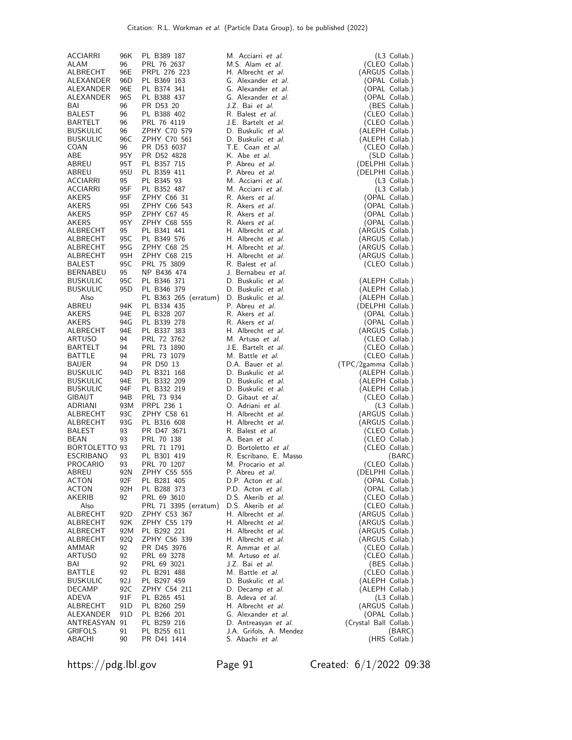| ACCIARRI              | 96K             | PL B389 187                          | M. Acciarri et al.                         | (L3 Collab.)                        |
|-----------------------|-----------------|--------------------------------------|--------------------------------------------|-------------------------------------|
| ALAM                  | 96              | PRL 76 2637                          | M.S. Alam et al.                           | (CLEO Collab.)                      |
| ALBRECHT              | 96E             | PRPL 276 223                         | H. Albrecht et al.                         | (ARGUS Collab.)                     |
| ALEXANDER             | 96 <sub>D</sub> | PL B369 163                          | G. Alexander et al.                        | (OPAL Collab.)                      |
| ALEXANDER             | 96E             | PL B374 341                          | G. Alexander et al.                        | (OPAL Collab.)                      |
| ALEXANDER             | 96S             | PL B388 437                          | G. Alexander et al.                        | (OPAL Collab.)                      |
| BAI                   | 96              | PR D53 20                            | J.Z. Bai et al.                            | (BES Collab.)                       |
| <b>BALEST</b>         | 96              | PL B388 402                          | R. Balest et al.                           | (CLEO Collab.)                      |
| BARTELT               | 96              | PRL 76 4119                          | J.E. Bartelt et al.                        | (CLEO Collab.)                      |
| <b>BUSKULIC</b>       | 96              | ZPHY C70 579                         | D. Buskulic et al.                         | (ALEPH Collab.)                     |
| BUSKULIC              | 96C             | ZPHY C70 561                         | D. Buskulic et al.                         | (ALEPH Collab.)                     |
| COAN<br>ABE           | 96<br>95Y       | PR D53 6037<br>PR D52 4828           | T.E. Coan et al.<br>K. Abe et al.          | (CLEO Collab.)<br>(SLD Collab.)     |
| ABREU                 | 95T             | PL B357 715                          | P. Abreu et al.                            | (DELPHI Collab.)                    |
| ABREU                 | 95U             | PL B359 411                          | P. Abreu et al.                            | (DELPHI Collab.)                    |
| <b>ACCIARRI</b>       | 95              | PL B345 93                           | M. Acciarri et al.                         | (L3 Collab.)                        |
| ACCIARRI              | 95F             | PL B352 487                          | M. Acciarri et al.                         | $(L3$ Collab.)                      |
| AKERS                 | 95F             | ZPHY C66 31                          | R. Akers et al.                            | (OPAL Collab.)                      |
| AKERS                 | 951             | ZPHY C66 543                         | R. Akers et al.                            | (OPAL Collab.)                      |
| AKERS                 | 95P             | ZPHY C67 45                          | R. Akers et al.                            | (OPAL Collab.)                      |
| AKERS                 | 95 Y            | ZPHY C68 555                         | R. Akers et al.                            | (OPAL Collab.)                      |
| ALBRECHT              | 95              | PL B341 441                          | H. Albrecht et al.                         | (ARGUS Collab.)                     |
| ALBRECHT              | 95C             | PL B349 576                          | H. Albrecht et al.                         | (ARGUS Collab.)                     |
| ALBRECHT              | 95G             | ZPHY C68 25                          | H. Albrecht et al.                         | (ARGUS Collab.)                     |
| ALBRECHT              | 95H             | ZPHY C68 215                         | H. Albrecht et al.                         | (ARGUS Collab.)                     |
| <b>BALEST</b>         | 95C             | PRL 75 3809                          | R. Balest et al.                           | (CLEO Collab.)                      |
| BERNABEU              | 95              | NP B436 474                          | J. Bernabeu et al.                         |                                     |
| <b>BUSKULIC</b>       | 95C             | PL B346 371                          | D. Buskulic et al.                         | (ALEPH Collab.)                     |
| <b>BUSKULIC</b>       | 95 <sub>D</sub> | PL B346 379                          | D. Buskulic et al.                         | (ALEPH Collab.)                     |
| Also<br>ABREU         | 94K             | PL B363 265 (erratum)<br>PL B334 435 | D. Buskulic et al.<br>P. Abreu et al.      | (ALEPH Collab.)<br>(DELPHI Collab.) |
| AKERS                 | 94E             | PL B328 207                          | R. Akers et al.                            | (OPAL Collab.)                      |
| <b>AKERS</b>          | 94G             | PL B339 278                          | R. Akers et al.                            | (OPAL Collab.)                      |
| ALBRECHT              | 94E             | PL B337 383                          | H. Albrecht et al.                         | (ARGUS Collab.)                     |
| ARTUSO                | 94              | PRL 72 3762                          | M. Artuso et al.                           | (CLEO Collab.)                      |
| BARTELT               | 94              | PRL 73 1890                          | J.E. Bartelt et al.                        | (CLEO Collab.)                      |
| BATTLE                | 94              | PRL 73 1079                          | M. Battle et al.                           | (CLEO Collab.)                      |
| BAUER                 | 94              | PR D50 13                            | D.A. Bauer et al.                          | (TPC/2gamma Collab.)                |
| <b>BUSKULIC</b>       | 94D             | PL B321 168                          | D. Buskulic et al.                         | (ALEPH Collab.)                     |
| <b>BUSKULIC</b>       | 94E             | PL B332 209                          | D. Buskulic et al.                         | (ALEPH Collab.)                     |
| <b>BUSKULIC</b>       | 94F             | PL B332 219                          | D. Buskulic et al.                         | (ALEPH Collab.)                     |
| GIBAUT                | 94B             | PRL 73 934                           | D. Gibaut et al.                           | (CLEO Collab.)                      |
| ADRIANI               | 93M             | PRPL 236 1                           | O. Adriani et al.                          | (L3 Collab.)                        |
| ALBRECHT              | 93C             | ZPHY C58 61                          | H. Albrecht et al.                         | (ARGUS Collab.)                     |
| ALBRECHT              | 93G<br>93       | PL B316 608<br>PR D47 3671           | H. Albrecht et al.<br>R. Balest et al.     | (ARGUS Collab.)                     |
| <b>BALEST</b><br>BEAN | 93              | PRL 70 138                           | A. Bean et al.                             | (CLEO Collab.)<br>(CLEO Collab.)    |
| BORTOLETTO 93         |                 | PRL 71 1791                          | D. Bortoletto et al.                       | (CLEO Collab.)                      |
| <b>ESCRIBANO</b>      | 93              | PL B301 419                          | R. Escribano, E. Masso                     | (BARC)                              |
| <b>PROCARIO</b>       | 93              | PRL 70 1207                          | M. Procario et al.                         | (CLEO Collab.)                      |
| ABREU                 | 92N             | ZPHY C55 555                         | P. Abreu et al.                            | (DELPHI Collab.)                    |
| ACTON                 | 92F             | PL B281 405                          | D.P. Acton et al.                          | (OPAL Collab.)                      |
| ACTON                 | 92H             | PL B288 373                          | P.D. Acton et al.                          | (OPAL Collab.)                      |
| AKERIB                | 92              | PRL 69 3610                          | D.S. Akerib et al.                         | (CLEO Collab.)                      |
| Also                  |                 | PRL 71 3395 (erratum)                | D.S. Akerib et al.                         | (CLEO Collab.)                      |
| ALBRECHT              | 92D             | ZPHY C53 367                         | H. Albrecht et al.                         | (ARGUS Collab.)                     |
| ALBRECHT              | 92K             | ZPHY C55 179                         | H. Albrecht et al.                         | (ARGUS Collab.)                     |
| ALBRECHT              | 92M             | PL B292 221                          | H. Albrecht et al.                         | (ARGUS Collab.)                     |
| ALBRECHT              | 92Q             | ZPHY C56 339                         | H. Albrecht et al.                         | (ARGUS Collab.)                     |
| AMMAR                 | 92              | PR D45 3976                          | R. Ammar et al.                            | (CLEO Collab.)                      |
| ARTUSO<br>BAI         | 92              | PRL 69 3278                          | M. Artuso <i>et al.</i><br>J.Z. Bai et al. | (CLEO Collab.)                      |
| BATTLE                | 92<br>92        | PRL 69 3021<br>PL B291 488           | M. Battle <i>et al.</i>                    | (BES Collab.)<br>(CLEO Collab.)     |
| <b>BUSKULIC</b>       | 92 J            | PL B297 459                          | D. Buskulic et al.                         | (ALEPH Collab.)                     |
| DECAMP                | 92C             | ZPHY C54 211                         | D. Decamp et al.                           | (ALEPH Collab.)                     |
| ADEVA                 | 91F             | PL B265 451                          | B. Adeva et al.                            | $(L3$ Collab.)                      |
| ALBRECHT              | 91 D            | PL B260 259                          | H. Albrecht et al.                         | (ARGUS Collab.)                     |
| ALEXANDER             | 91 D            | PL B266 201                          | G. Alexander et al.                        | (OPAL Collab.)                      |
| ANTREASYAN 91         |                 | PL B259 216                          | D. Antreasyan et al.                       | (Crystal Ball Collab.)              |
| <b>GRIFOLS</b>        | 91              | PL B255 611                          | J.A. Grifols, A. Mendez                    | (BARC)                              |
| ABACHI                | 90              | PR D41 1414                          | S. Abachi et al.                           | (HRS Collab.)                       |

https://pdg.lbl.gov Page 91 Created: 6/1/2022 09:38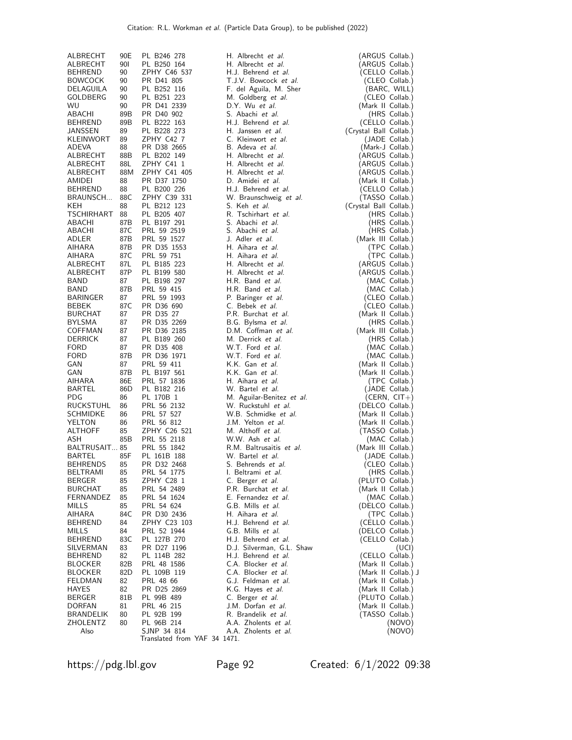| ALBRECHT             | 90E        | PL B246 278                  | H. Albrecht et al.         | (ARGUS Collab.)        |
|----------------------|------------|------------------------------|----------------------------|------------------------|
| ALBRECHT             | <b>901</b> | PL B250 164                  | H. Albrecht et al.         | (ARGUS Collab.)        |
| BEHREND              | 90         | ZPHY C46 537                 | H.J. Behrend et al.        | (CELLO Collab.)        |
| <b>BOWCOCK</b>       | 90         | PR D41 805                   | T.J.V. Bowcock et al.      | (CLEO Collab.)         |
| DELAGUILA            | 90         | PL B252 116                  | F. del Aguila, M. Sher     | (BARC, WILL)           |
| GOLDBERG             | 90         | PL B251 223                  | M. Goldberg et al.         | (CLEO Collab.)         |
|                      |            |                              |                            |                        |
| WU.                  | 90         | PR D41 2339                  | D.Y. Wu et al.             | (Mark II Collab.)      |
| ABACHI               | 89B        | PR D40 902                   | S. Abachi et al.           | (HRS Collab.)          |
| <b>BEHREND</b>       | 89B        | PL B222 163                  | H.J. Behrend et al.        | (CELLO Collab.)        |
| JANSSEN              | 89         | PL B228 273                  | H. Janssen et al.          | (Crystal Ball Collab.) |
| KLEINWORT            | 89         | ZPHY C42 7                   | C. Kleinwort et al.        | (JADE Collab.)         |
| ADEVA                | 88         | PR D38 2665                  | B. Adeva et al.            | (Mark-J Collab.)       |
| ALBRECHT             | 88B        | PL B202 149                  | H. Albrecht et al.         | (ARGUS Collab.)        |
|                      |            |                              |                            |                        |
| ALBRECHT             | 88L        | ZPHY C41 1                   | H. Albrecht et al.         | (ARGUS Collab.)        |
| ALBRECHT             | 88M        | ZPHY C41 405                 | H. Albrecht et al.         | (ARGUS Collab.)        |
| AMIDEI               | 88         | PR D37 1750                  | D. Amidei et al.           | (Mark II Collab.)      |
| <b>BEHREND</b>       | 88         | PL B200 226                  | H.J. Behrend et al.        | (CELLO Collab.)        |
| BRAUNSCH             | 88C        | ZPHY C39 331                 | W. Braunschweig et al.     | (TASSO Collab.)        |
| KEH                  | 88         | PL B212 123                  | S. Keh <i>et al.</i>       | (Crystal Ball Collab.) |
| TSCHIRHART           | 88         | PL B205 407                  | R. Tschirhart et al.       | (HRS Collab.)          |
|                      |            |                              | S. Abachi et al.           |                        |
| ABACHI               | 87B        | PL B197 291                  |                            | (HRS Collab.)          |
| ABACHI               | 87C        | PRL 59 2519                  | S. Abachi et al.           | (HRS Collab.)          |
| ADLER                | 87B        | PRL 59 1527                  | J. Adler et al.            | (Mark III Collab.)     |
| AIHARA               | 87B        | PR D35 1553                  | H. Aihara et al.           | (TPC Collab.)          |
| AIHARA               | 87C        | PRL 59 751                   | H. Aihara et al.           | (TPC Collab.)          |
| ALBRECHT             | 87L        | PL B185 223                  | H. Albrecht et al.         | (ARGUS Collab.)        |
| ALBRECHT             | 87P        | PL B199 580                  | H. Albrecht et al.         | (ARGUS Collab.)        |
| BAND                 | 87         | PL B198 297                  | H.R. Band et al.           | (MAC Collab.)          |
|                      |            |                              |                            |                        |
| BAND                 | 87B        | PRL 59 415                   | H.R. Band et al.           | (MAC Collab.)          |
| <b>BARINGER</b>      | 87         | PRL 59 1993                  | P. Baringer et al.         | (CLEO Collab.)         |
| <b>BEBEK</b>         | 87C        | PR D36 690                   | C. Bebek et al.            | (CLEO Collab.)         |
| <b>BURCHAT</b>       | 87         | PR D35 27                    | P.R. Burchat et al.        | (Mark II Collab.)      |
| <b>BYLSMA</b>        | 87         | PR D35 2269                  | B.G. Bylsma et al.         | (HRS Collab.)          |
| COFFMAN              | 87         | PR D36 2185                  | D.M. Coffman et al.        | (Mark III Collab.)     |
| <b>DERRICK</b>       | 87         | PL B189 260                  | M. Derrick et al.          | (HRS Collab.)          |
| <b>FORD</b>          | 87         |                              | W.T. Ford et al.           |                        |
|                      |            | PR D35 408                   |                            | (MAC Collab.)          |
| <b>FORD</b>          | 87B        | PR D36 1971                  | W.T. Ford et al.           | (MAC Collab.)          |
| GAN                  | 87         | PRL 59 411                   | K.K. Gan et al.            | (Mark II Collab.)      |
| GAN                  | 87B        | PL B197 561                  | K.K. Gan et al.            | (Mark II Collab.)      |
| AIHARA               | 86E        | PRL 57 1836                  | H. Aihara et al.           | (TPC Collab.)          |
| BARTEL               | 86D        | PL B182 216                  | W. Bartel et al.           | (JADE Collab.)         |
| <b>PDG</b>           | 86         | PL 170B 1                    | M. Aguilar-Benitez et al.  | (CERN, $CIT+$ )        |
| RUCKSTUHL            | 86         | PRL 56 2132                  | W. Ruckstuhl et al.        | (DELCO Collab.)        |
| <b>SCHMIDKE</b>      | 86         | PRL 57 527                   | W.B. Schmidke et al.       | (Mark II Collab.)      |
|                      |            |                              |                            |                        |
| <b>YELTON</b>        | 86         | PRL 56 812                   | J.M. Yelton et al.         | (Mark II Collab.)      |
| <b>ALTHOFF</b>       | 85         | ZPHY C26 521                 | M. Althoff et al.          | (TASSO Collab.)        |
| ASH                  | 85B        | PRL 55 2118                  | W.W. Ash et al.            | (MAC Collab.)          |
| <b>BALTRUSAIT 85</b> |            | PRL 55 1842                  | R.M. Baltrusaitis et al.   | (Mark III Collab.)     |
| <b>BARTEL</b>        | 85F        | PL 161B 188                  | W. Bartel et al.           | (JADE Collab.)         |
| <b>BEHRENDS</b>      | 85         | PR D32 2468                  | S. Behrends <i>et al.</i>  | (CLEO Collab.)         |
| BELTRAMI             | 85         | PRL 54 1775                  | I. Beltrami <i>et al.</i>  | (HRS Collab.)          |
| <b>BERGER</b>        | 85         | ZPHY C28 1                   | C. Berger <i>et al.</i>    | (PLUTO Collab.)        |
| <b>BURCHAT</b>       | 85         | PRL 54 2489                  | P.R. Burchat et al.        | (Mark II Collab.)      |
|                      |            |                              | E. Fernandez et al.        |                        |
| FERNANDEZ            | 85         | PRL 54 1624                  |                            | (MAC Collab.)          |
| MILLS                | 85         | PRL 54 624                   | G.B. Mills et al.          | (DELCO Collab.)        |
| AIHARA               | 84C        | PR D30 2436                  | H. Aihara et al.           | (TPC Collab.)          |
| <b>BEHREND</b>       | 84         | ZPHY C23 103                 | H.J. Behrend et al.        | (CELLO Collab.)        |
| MILLS                | 84         | PRL 52 1944                  | G.B. Mills et al.          | (DELCO Collab.)        |
| <b>BEHREND</b>       | 83C        | PL 127B 270                  | H.J. Behrend et al.        | (CELLO Collab.)        |
| SILVERMAN            | 83         | PR D27 1196                  | D.J. Silverman, G.L. Shaw  | (UCI)                  |
| <b>BEHREND</b>       | 82         | PL 114B 282                  | H.J. Behrend et al.        | (CELLO Collab.)        |
| <b>BLOCKER</b>       | 82B        | PRL 48 1586                  | C.A. Blocker et al.        | (Mark II Collab.)      |
|                      |            |                              |                            |                        |
| <b>BLOCKER</b>       | 82D        | PL 109B 119                  | C.A. Blocker et al.        | (Mark II Collab.) J    |
| FELDMAN              | 82         | PRL 48 66                    | G.J. Feldman et al.        | (Mark II Collab.)      |
| HAYES                | 82         | PR D25 2869                  | K.G. Hayes et al.          | (Mark II Collab.)      |
| <b>BERGER</b>        | 81B        | PL 99B 489                   | C. Berger et al.           | (PLUTO Collab.)        |
| DORFAN               | 81         | PRL 46 215                   | J.M. Dorfan et al.         | (Mark II Collab.)      |
| BRANDELIK            | 80         | PL 92B 199                   | R. Brandelik <i>et al.</i> | (TASSO Collab.)        |
| ZHOLENTZ             | 80         | PL 96B 214                   | A.A. Zholents et al.       | (NOVO)                 |
| Also                 |            | SJNP 34 814                  | A.A. Zholents et al.       | (NOVO)                 |
|                      |            | Translated from YAF 34 1471. |                            |                        |

https://pdg.lbl.gov Page 92 Created: 6/1/2022 09:38